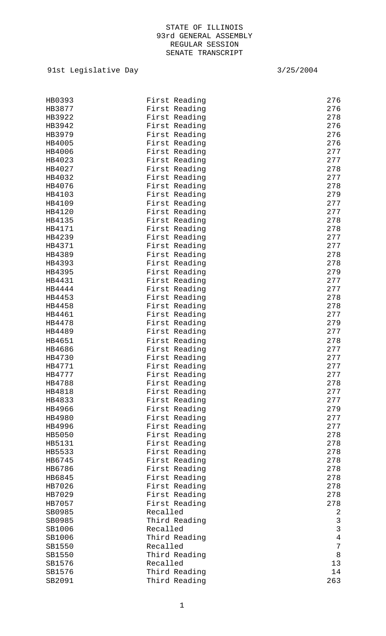| HB0393           | First Reading             | 276              |
|------------------|---------------------------|------------------|
| HB3877           | First Reading             | 276              |
| HB3922           | First Reading             | 278              |
| HB3942           | First Reading             | 276              |
| HB3979           | First Reading             | 276              |
| HB4005           | First Reading             | 276              |
| HB4006           | First Reading             | 277              |
| HB4023           | First Reading             | 277              |
| HB4027           | First Reading             | 278              |
| HB4032           | First Reading             | 277              |
| HB4076           | First Reading             | 278              |
| HB4103           | First Reading             | 279              |
| HB4109           | First Reading             | 277              |
| HB4120           | First Reading             | 277              |
| HB4135           | First Reading             | 278              |
| HB4171           | First Reading             | 278              |
| HB4239           | First Reading             | 277              |
| HB4371           | First Reading             | 277              |
| HB4389           | First Reading             | 278              |
| HB4393           | First Reading             | 278              |
| HB4395           | First Reading             | 279              |
| HB4431           | First Reading             | 277              |
| HB4444           | First Reading             | 277              |
| HB4453           | First Reading             | 278              |
| HB4458           | First Reading             | 278              |
| HB4461           | First Reading             | 277              |
| HB4478           | First Reading             | 279              |
| HB4489           | First Reading             | 277              |
| HB4651           | First Reading             | 278              |
| HB4686           | First Reading             | 277              |
| HB4730           | First Reading             | 277              |
| HB4771           | First Reading             | 277              |
| HB4777           | First Reading             | 277              |
| HB4788           | First Reading             | 278              |
| HB4818           | First Reading             | 277              |
| HB4833           | First Reading             | 277              |
| HB4966           | First Reading             | 279              |
| HB4980           | First Reading             | 277              |
| HB4996           | First Reading             | 277              |
| HB5050           | First Reading             | 278              |
| HB5131           | First Reading             | 278              |
| HB5533           | First Reading             | 278              |
| HB6745           | First Reading             | 278              |
| HB6786           | First Reading             | 278              |
| HB6845           | First Reading             | 278              |
| HB7026           | First Reading             | 278              |
| HB7029           | First Reading             | 278              |
| HB7057           | First Reading<br>Recalled | 278              |
| SB0985<br>SB0985 |                           | 2<br>$\mathsf 3$ |
| SB1006           | Third Reading<br>Recalled | $\mathbf{3}$     |
| SB1006           | Third Reading             | $\overline{4}$   |
| SB1550           | Recalled                  | $\boldsymbol{7}$ |
| SB1550           | Third Reading             | $\,8\,$          |
| SB1576           | Recalled                  | 13               |
| SB1576           | Third Reading             | 14               |
| SB2091           | Third Reading             | 263              |
|                  |                           |                  |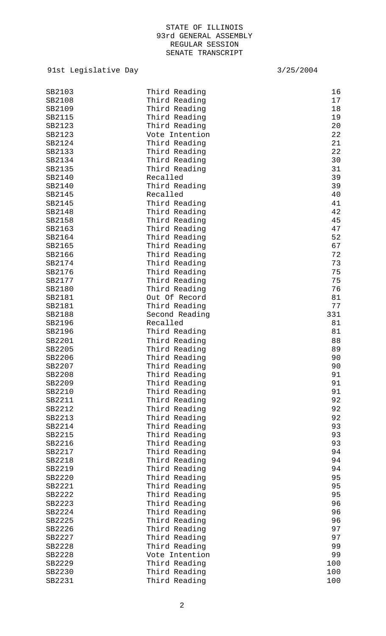| SB2103 | Third Reading  | 16  |
|--------|----------------|-----|
|        |                |     |
| SB2108 | Third Reading  | 17  |
| SB2109 | Third Reading  | 18  |
| SB2115 | Third Reading  | 19  |
| SB2123 | Third Reading  | 20  |
| SB2123 | Vote Intention | 22  |
| SB2124 | Third Reading  | 21  |
| SB2133 | Third Reading  | 22  |
| SB2134 | Third Reading  | 30  |
| SB2135 | Third Reading  | 31  |
| SB2140 | Recalled       | 39  |
| SB2140 | Third Reading  | 39  |
| SB2145 | Recalled       | 40  |
| SB2145 | Third Reading  | 41  |
| SB2148 | Third Reading  | 42  |
|        |                |     |
| SB2158 | Third Reading  | 45  |
| SB2163 | Third Reading  | 47  |
| SB2164 | Third Reading  | 52  |
| SB2165 | Third Reading  | 67  |
| SB2166 | Third Reading  | 72  |
| SB2174 | Third Reading  | 73  |
| SB2176 | Third Reading  | 75  |
| SB2177 | Third Reading  | 75  |
| SB2180 | Third Reading  | 76  |
| SB2181 | Out Of Record  | 81  |
| SB2181 | Third Reading  | 77  |
| SB2188 | Second Reading | 331 |
| SB2196 | Recalled       | 81  |
| SB2196 | Third Reading  | 81  |
| SB2201 | Third Reading  | 88  |
| SB2205 | Third Reading  | 89  |
| SB2206 |                | 90  |
|        | Third Reading  |     |
| SB2207 | Third Reading  | 90  |
| SB2208 | Third Reading  | 91  |
| SB2209 | Third Reading  | 91  |
| SB2210 | Third Reading  | 91  |
| SB2211 | Third Reading  | 92  |
| SB2212 | Third Reading  | 92  |
| SB2213 | Third Reading  | 92  |
| SB2214 | Third Reading  | 93  |
| SB2215 | Third Reading  | 93  |
| SB2216 | Third Reading  | 93  |
| SB2217 | Third Reading  | 94  |
| SB2218 | Third Reading  | 94  |
| SB2219 | Third Reading  | 94  |
| SB2220 | Third Reading  | 95  |
| SB2221 | Third Reading  | 95  |
| SB2222 |                | 95  |
|        | Third Reading  |     |
| SB2223 | Third Reading  | 96  |
| SB2224 | Third Reading  | 96  |
| SB2225 | Third Reading  | 96  |
| SB2226 | Third Reading  | 97  |
| SB2227 | Third Reading  | 97  |
| SB2228 | Third Reading  | 99  |
| SB2228 | Vote Intention | 99  |
| SB2229 | Third Reading  | 100 |
| SB2230 | Third Reading  | 100 |
| SB2231 | Third Reading  | 100 |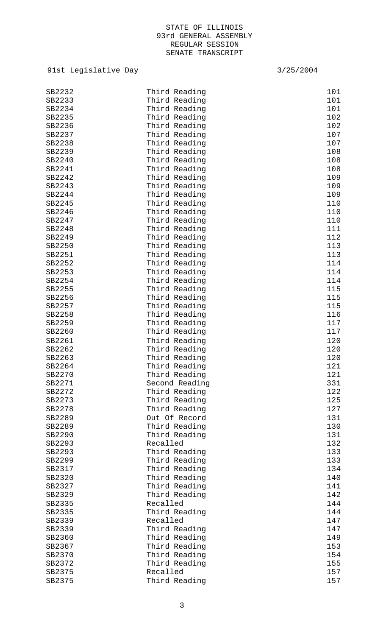| SB2232           | Third Reading             | 101 |
|------------------|---------------------------|-----|
| SB2233           | Third Reading             | 101 |
| SB2234           | Third Reading             | 101 |
| SB2235           | Third Reading             | 102 |
| SB2236           | Third Reading             | 102 |
|                  |                           |     |
| SB2237           | Third Reading             | 107 |
| SB2238           | Third Reading             | 107 |
| SB2239           | Third Reading             | 108 |
| SB2240           | Third Reading             | 108 |
| SB2241           | Third Reading             | 108 |
| SB2242           | Third Reading             | 109 |
| SB2243           | Third Reading             | 109 |
| SB2244           | Third Reading             | 109 |
| SB2245           | Third Reading             | 110 |
| SB2246           | Third Reading             | 110 |
| SB2247           | Third Reading             | 110 |
| SB2248           | Third Reading             | 111 |
| SB2249           | Third Reading             | 112 |
| SB2250           | Third Reading             | 113 |
| SB2251           | Third Reading             | 113 |
| SB2252           | Third Reading             | 114 |
| SB2253           | Third Reading             | 114 |
| SB2254           | Third Reading             | 114 |
| SB2255           | Third Reading             | 115 |
| SB2256           | Third Reading             | 115 |
| SB2257           | Third Reading             | 115 |
| SB2258           | Third Reading             | 116 |
| SB2259           | Third Reading             | 117 |
| SB2260           | Third Reading             | 117 |
| SB2261           | Third Reading             | 120 |
| SB2262           | Third Reading             | 120 |
| SB2263           | Third Reading             | 120 |
| SB2264           | Third Reading             | 121 |
| SB2270           | Third Reading             | 121 |
| SB2271           | Second Reading            | 331 |
| SB2272           | Third Reading             | 122 |
| SB2273           | Third Reading             | 125 |
| SB2278           | Third Reading             | 127 |
| SB2289           | Out Of Record             | 131 |
| SB2289           | Third Reading             | 130 |
| SB2290           | Third Reading             | 131 |
| SB2293           | Recalled                  | 132 |
| SB2293           | Third Reading             | 133 |
| SB2299           | Third Reading             | 133 |
| SB2317           | Third Reading             | 134 |
| SB2320           | Third Reading             | 140 |
| SB2327           | Third Reading             | 141 |
| SB2329           | Third Reading             | 142 |
| SB2335           | Recalled                  | 144 |
|                  |                           | 144 |
| SB2335<br>SB2339 | Third Reading<br>Recalled | 147 |
| SB2339           |                           | 147 |
|                  | Third Reading             | 149 |
| SB2360           | Third Reading             |     |
| SB2367           | Third Reading             | 153 |
| SB2370           | Third Reading             | 154 |
| SB2372           | Third Reading             | 155 |
| SB2375           | Recalled                  | 157 |
| SB2375           | Third Reading             | 157 |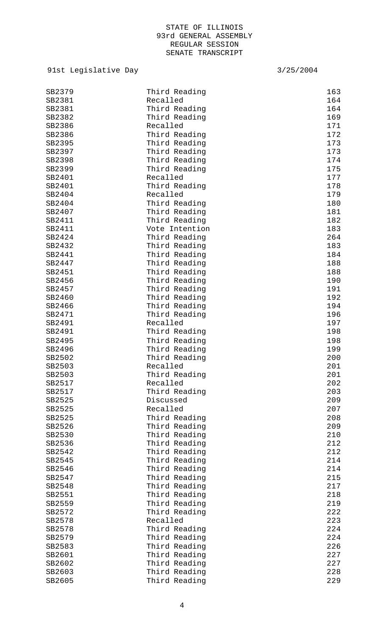| SB2379 | Third Reading  | 163 |
|--------|----------------|-----|
| SB2381 | Recalled       | 164 |
| SB2381 | Third Reading  | 164 |
| SB2382 | Third Reading  | 169 |
| SB2386 | Recalled       | 171 |
| SB2386 | Third Reading  | 172 |
| SB2395 | Third Reading  | 173 |
| SB2397 | Third Reading  | 173 |
| SB2398 | Third Reading  | 174 |
| SB2399 | Third Reading  | 175 |
| SB2401 | Recalled       | 177 |
| SB2401 | Third Reading  | 178 |
| SB2404 | Recalled       | 179 |
| SB2404 | Third Reading  | 180 |
| SB2407 | Third Reading  | 181 |
| SB2411 | Third Reading  | 182 |
| SB2411 | Vote Intention | 183 |
| SB2424 | Third Reading  | 264 |
| SB2432 | Third Reading  | 183 |
| SB2441 | Third Reading  | 184 |
| SB2447 | Third Reading  | 188 |
| SB2451 | Third Reading  | 188 |
| SB2456 | Third Reading  | 190 |
| SB2457 | Third Reading  | 191 |
| SB2460 | Third Reading  | 192 |
| SB2466 | Third Reading  | 194 |
| SB2471 | Third Reading  | 196 |
| SB2491 | Recalled       | 197 |
| SB2491 |                | 198 |
|        | Third Reading  |     |
| SB2495 | Third Reading  | 198 |
| SB2496 | Third Reading  | 199 |
| SB2502 | Third Reading  | 200 |
| SB2503 | Recalled       | 201 |
| SB2503 | Third Reading  | 201 |
| SB2517 | Recalled       | 202 |
| SB2517 | Third Reading  | 203 |
| SB2525 | Discussed      | 209 |
| SB2525 | Recalled       | 207 |
| SB2525 | Third Reading  | 208 |
| SB2526 | Third Reading  | 209 |
| SB2530 | Third Reading  | 210 |
| SB2536 | Third Reading  | 212 |
| SB2542 | Third Reading  | 212 |
| SB2545 | Third Reading  | 214 |
| SB2546 | Third Reading  | 214 |
| SB2547 | Third Reading  | 215 |
| SB2548 | Third Reading  | 217 |
| SB2551 | Third Reading  | 218 |
| SB2559 | Third Reading  | 219 |
| SB2572 | Third Reading  | 222 |
| SB2578 | Recalled       | 223 |
| SB2578 | Third Reading  | 224 |
| SB2579 | Third Reading  | 224 |
| SB2583 | Third Reading  | 226 |
| SB2601 | Third Reading  | 227 |
| SB2602 | Third Reading  | 227 |
| SB2603 | Third Reading  | 228 |
| SB2605 | Third Reading  | 229 |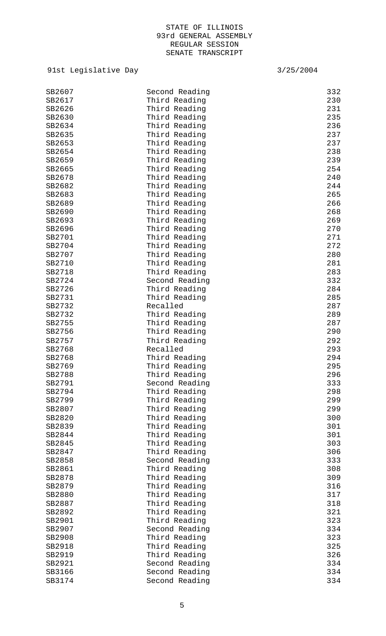| SB2607 | Second Reading | 332 |
|--------|----------------|-----|
| SB2617 | Third Reading  | 230 |
| SB2626 | Third Reading  | 231 |
| SB2630 | Third Reading  | 235 |
| SB2634 | Third Reading  | 236 |
| SB2635 | Third Reading  | 237 |
| SB2653 | Third Reading  | 237 |
| SB2654 | Third Reading  | 238 |
|        |                |     |
| SB2659 | Third Reading  | 239 |
| SB2665 | Third Reading  | 254 |
| SB2678 | Third Reading  | 240 |
| SB2682 | Third Reading  | 244 |
| SB2683 | Third Reading  | 265 |
| SB2689 | Third Reading  | 266 |
| SB2690 | Third Reading  | 268 |
| SB2693 | Third Reading  | 269 |
| SB2696 | Third Reading  | 270 |
| SB2701 | Third Reading  | 271 |
| SB2704 | Third Reading  | 272 |
| SB2707 | Third Reading  | 280 |
| SB2710 | Third Reading  | 281 |
| SB2718 | Third Reading  | 283 |
| SB2724 | Second Reading | 332 |
| SB2726 | Third Reading  | 284 |
| SB2731 | Third Reading  | 285 |
| SB2732 | Recalled       | 287 |
| SB2732 | Third Reading  | 289 |
| SB2755 | Third Reading  | 287 |
| SB2756 | Third Reading  | 290 |
|        |                |     |
| SB2757 | Third Reading  | 292 |
| SB2768 | Recalled       | 293 |
| SB2768 | Third Reading  | 294 |
| SB2769 | Third Reading  | 295 |
| SB2788 | Third Reading  | 296 |
| SB2791 | Second Reading | 333 |
| SB2794 | Third Reading  | 298 |
| SB2799 | Third Reading  | 299 |
| SB2807 | Third Reading  | 299 |
| SB2820 | Third Reading  | 300 |
| SB2839 | Third Reading  | 301 |
| SB2844 | Third Reading  | 301 |
| SB2845 | Third Reading  | 303 |
| SB2847 | Third Reading  | 306 |
| SB2858 | Second Reading | 333 |
| SB2861 | Third Reading  | 308 |
| SB2878 | Third Reading  | 309 |
| SB2879 | Third Reading  | 316 |
| SB2880 | Third Reading  | 317 |
| SB2887 | Third Reading  | 318 |
| SB2892 | Third Reading  | 321 |
| SB2901 | Third Reading  | 323 |
| SB2907 | Second Reading | 334 |
|        |                |     |
| SB2908 | Third Reading  | 323 |
| SB2918 | Third Reading  | 325 |
| SB2919 | Third Reading  | 326 |
| SB2921 | Second Reading | 334 |
| SB3166 | Second Reading | 334 |
| SB3174 | Second Reading | 334 |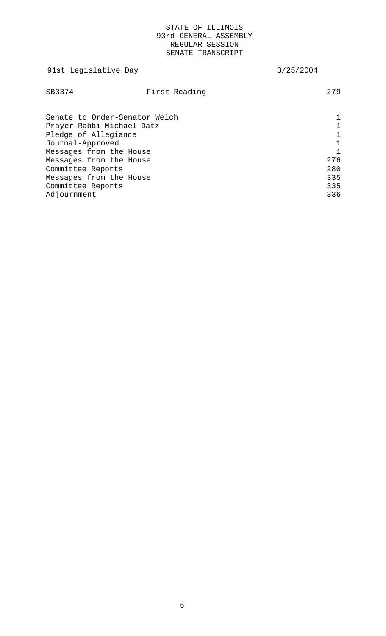| 91st Legislative Day                                                                                                              |               | 3/25/2004 |                   |
|-----------------------------------------------------------------------------------------------------------------------------------|---------------|-----------|-------------------|
| SB3374                                                                                                                            | First Reading |           | 279               |
| Senate to Order-Senator Welch<br>Prayer-Rabbi Michael Datz<br>Pledge of Allegiance<br>Journal-Approved<br>Messages from the House |               |           |                   |
| Messages from the House<br>Committee Reports                                                                                      |               |           | 276<br>280        |
| Messages from the House<br>Committee Reports<br>Adjournment                                                                       |               |           | 335<br>335<br>336 |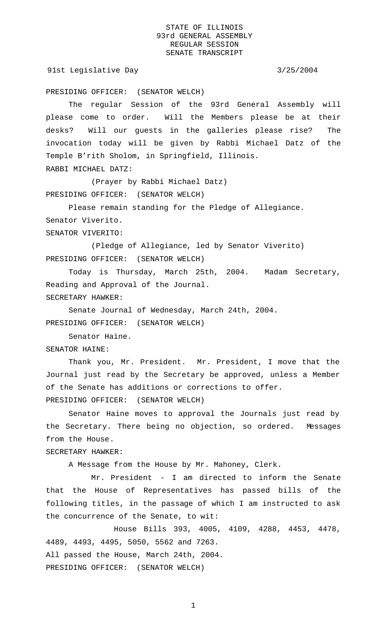91st Legislative Day 3/25/2004

PRESIDING OFFICER: (SENATOR WELCH)

The regular Session of the 93rd General Assembly will please come to order. Will the Members please be at their desks? Will our guests in the galleries please rise? The invocation today will be given by Rabbi Michael Datz of the Temple B'rith Sholom, in Springfield, Illinois.

RABBI MICHAEL DATZ:

(Prayer by Rabbi Michael Datz) PRESIDING OFFICER: (SENATOR WELCH)

Please remain standing for the Pledge of Allegiance. Senator Viverito. SENATOR VIVERITO:

(Pledge of Allegiance, led by Senator Viverito) PRESIDING OFFICER: (SENATOR WELCH)

Today is Thursday, March 25th, 2004. Madam Secretary, Reading and Approval of the Journal. SECRETARY HAWKER:

Senate Journal of Wednesday, March 24th, 2004. PRESIDING OFFICER: (SENATOR WELCH)

Senator Haine.

SENATOR HAINE:

Thank you, Mr. President. Mr. President, I move that the Journal just read by the Secretary be approved, unless a Member of the Senate has additions or corrections to offer. PRESIDING OFFICER: (SENATOR WELCH)

Senator Haine moves to approval the Journals just read by the Secretary. There being no objection, so ordered. Messages from the House.

SECRETARY HAWKER:

A Message from the House by Mr. Mahoney, Clerk.

Mr. President - I am directed to inform the Senate that the House of Representatives has passed bills of the following titles, in the passage of which I am instructed to ask the concurrence of the Senate, to wit:

House Bills 393, 4005, 4109, 4288, 4453, 4478, 4489, 4493, 4495, 5050, 5562 and 7263. All passed the House, March 24th, 2004. PRESIDING OFFICER: (SENATOR WELCH)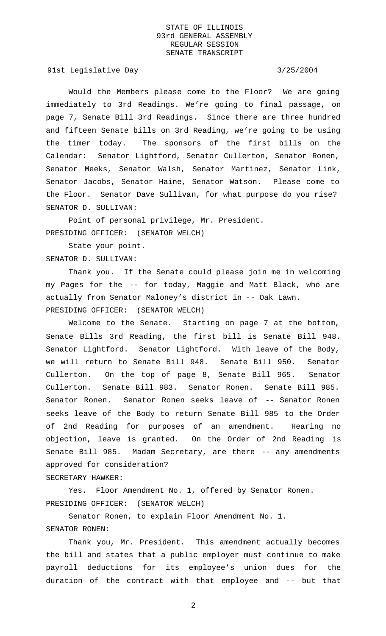91st Legislative Day 3/25/2004

Would the Members please come to the Floor? We are going immediately to 3rd Readings. We're going to final passage, on page 7, Senate Bill 3rd Readings. Since there are three hundred and fifteen Senate bills on 3rd Reading, we're going to be using the timer today. The sponsors of the first bills on the Calendar: Senator Lightford, Senator Cullerton, Senator Ronen, Senator Meeks, Senator Walsh, Senator Martinez, Senator Link, Senator Jacobs, Senator Haine, Senator Watson. Please come to the Floor. Senator Dave Sullivan, for what purpose do you rise? SENATOR D. SULLIVAN:

Point of personal privilege, Mr. President. PRESIDING OFFICER: (SENATOR WELCH)

State your point. SENATOR D. SULLIVAN:

Thank you. If the Senate could please join me in welcoming my Pages for the -- for today, Maggie and Matt Black, who are actually from Senator Maloney's district in -- Oak Lawn. PRESIDING OFFICER: (SENATOR WELCH)

Welcome to the Senate. Starting on page 7 at the bottom, Senate Bills 3rd Reading, the first bill is Senate Bill 948. Senator Lightford. Senator Lightford. With leave of the Body, we will return to Senate Bill 948. Senate Bill 950. Senator Cullerton. On the top of page 8, Senate Bill 965. Senator Cullerton. Senate Bill 983. Senator Ronen. Senate Bill 985. Senator Ronen. Senator Ronen seeks leave of -- Senator Ronen seeks leave of the Body to return Senate Bill 985 to the Order of 2nd Reading for purposes of an amendment. Hearing no objection, leave is granted. On the Order of 2nd Reading is Senate Bill 985. Madam Secretary, are there -- any amendments approved for consideration?

# SECRETARY HAWKER:

Yes. Floor Amendment No. 1, offered by Senator Ronen. PRESIDING OFFICER: (SENATOR WELCH)

Senator Ronen, to explain Floor Amendment No. 1.

# SENATOR RONEN:

Thank you, Mr. President. This amendment actually becomes the bill and states that a public employer must continue to make payroll deductions for its employee's union dues for the duration of the contract with that employee and -- but that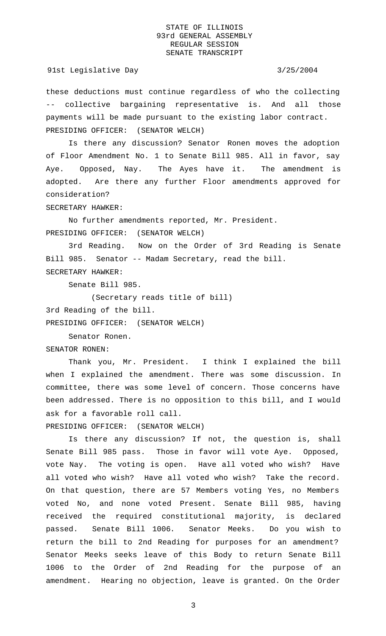## 91st Legislative Day 3/25/2004

these deductions must continue regardless of who the collecting -- collective bargaining representative is. And all those payments will be made pursuant to the existing labor contract. PRESIDING OFFICER: (SENATOR WELCH)

Is there any discussion? Senator Ronen moves the adoption of Floor Amendment No. 1 to Senate Bill 985. All in favor, say Aye. Opposed, Nay. The Ayes have it. The amendment is adopted. Are there any further Floor amendments approved for consideration?

SECRETARY HAWKER:

No further amendments reported, Mr. President. PRESIDING OFFICER: (SENATOR WELCH)

3rd Reading. Now on the Order of 3rd Reading is Senate Bill 985. Senator -- Madam Secretary, read the bill. SECRETARY HAWKER:

Senate Bill 985.

(Secretary reads title of bill)

3rd Reading of the bill.

PRESIDING OFFICER: (SENATOR WELCH)

Senator Ronen.

SENATOR RONEN:

Thank you, Mr. President. I think I explained the bill when I explained the amendment. There was some discussion. In committee, there was some level of concern. Those concerns have been addressed. There is no opposition to this bill, and I would ask for a favorable roll call.

PRESIDING OFFICER: (SENATOR WELCH)

Is there any discussion? If not, the question is, shall Senate Bill 985 pass. Those in favor will vote Aye. Opposed, vote Nay. The voting is open. Have all voted who wish? Have all voted who wish? Have all voted who wish? Take the record. On that question, there are 57 Members voting Yes, no Members voted No, and none voted Present. Senate Bill 985, having received the required constitutional majority, is declared passed. Senate Bill 1006. Senator Meeks. Do you wish to return the bill to 2nd Reading for purposes for an amendment? Senator Meeks seeks leave of this Body to return Senate Bill 1006 to the Order of 2nd Reading for the purpose of an amendment. Hearing no objection, leave is granted. On the Order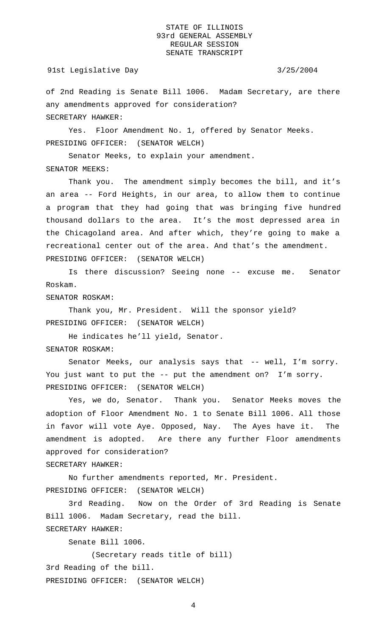## 91st Legislative Day 3/25/2004

of 2nd Reading is Senate Bill 1006. Madam Secretary, are there any amendments approved for consideration? SECRETARY HAWKER:

Yes. Floor Amendment No. 1, offered by Senator Meeks. PRESIDING OFFICER: (SENATOR WELCH)

Senator Meeks, to explain your amendment. SENATOR MEEKS:

Thank you. The amendment simply becomes the bill, and it's an area -- Ford Heights, in our area, to allow them to continue a program that they had going that was bringing five hundred thousand dollars to the area. It's the most depressed area in the Chicagoland area. And after which, they're going to make a recreational center out of the area. And that's the amendment. PRESIDING OFFICER: (SENATOR WELCH)

Is there discussion? Seeing none -- excuse me. Senator Roskam.

SENATOR ROSKAM:

Thank you, Mr. President. Will the sponsor yield? PRESIDING OFFICER: (SENATOR WELCH)

He indicates he'll yield, Senator. SENATOR ROSKAM:

Senator Meeks, our analysis says that -- well, I'm sorry. You just want to put the -- put the amendment on? I'm sorry. PRESIDING OFFICER: (SENATOR WELCH)

Yes, we do, Senator. Thank you. Senator Meeks moves the adoption of Floor Amendment No. 1 to Senate Bill 1006. All those in favor will vote Aye. Opposed, Nay. The Ayes have it. The amendment is adopted. Are there any further Floor amendments approved for consideration?

SECRETARY HAWKER:

No further amendments reported, Mr. President. PRESIDING OFFICER: (SENATOR WELCH)

3rd Reading. Now on the Order of 3rd Reading is Senate Bill 1006. Madam Secretary, read the bill. SECRETARY HAWKER:

Senate Bill 1006.

(Secretary reads title of bill) 3rd Reading of the bill. PRESIDING OFFICER: (SENATOR WELCH)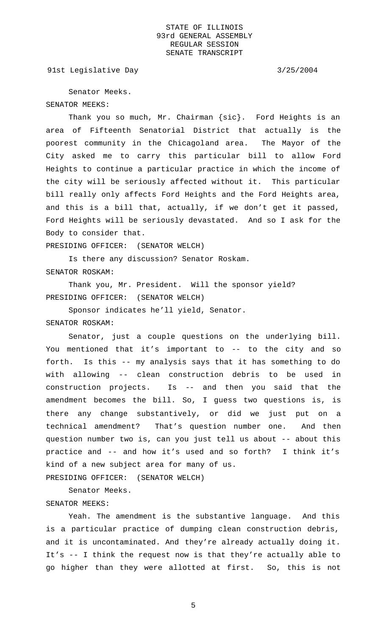91st Legislative Day 3/25/2004

Senator Meeks. SENATOR MEEKS:

Thank you so much, Mr. Chairman {sic}. Ford Heights is an area of Fifteenth Senatorial District that actually is the poorest community in the Chicagoland area. The Mayor of the City asked me to carry this particular bill to allow Ford Heights to continue a particular practice in which the income of the city will be seriously affected without it. This particular bill really only affects Ford Heights and the Ford Heights area, and this is a bill that, actually, if we don't get it passed, Ford Heights will be seriously devastated. And so I ask for the Body to consider that.

PRESIDING OFFICER: (SENATOR WELCH)

Is there any discussion? Senator Roskam. SENATOR ROSKAM:

Thank you, Mr. President. Will the sponsor yield? PRESIDING OFFICER: (SENATOR WELCH)

Sponsor indicates he'll yield, Senator. SENATOR ROSKAM:

Senator, just a couple questions on the underlying bill. You mentioned that it's important to -- to the city and so forth. Is this -- my analysis says that it has something to do with allowing -- clean construction debris to be used in construction projects. Is -- and then you said that the amendment becomes the bill. So, I guess two questions is, is there any change substantively, or did we just put on a technical amendment? That's question number one. And then question number two is, can you just tell us about -- about this practice and -- and how it's used and so forth? I think it's kind of a new subject area for many of us.

PRESIDING OFFICER: (SENATOR WELCH)

Senator Meeks.

# SENATOR MEEKS:

Yeah. The amendment is the substantive language. And this is a particular practice of dumping clean construction debris, and it is uncontaminated. And they're already actually doing it. It's -- I think the request now is that they're actually able to go higher than they were allotted at first. So, this is not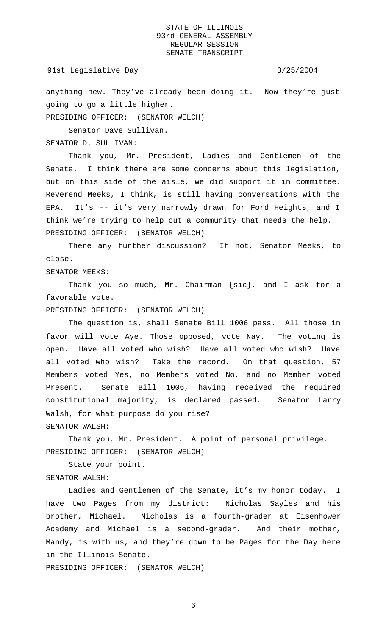91st Legislative Day 3/25/2004

anything new. They've already been doing it. Now they're just going to go a little higher.

PRESIDING OFFICER: (SENATOR WELCH)

Senator Dave Sullivan.

SENATOR D. SULLIVAN:

Thank you, Mr. President, Ladies and Gentlemen of the Senate. I think there are some concerns about this legislation, but on this side of the aisle, we did support it in committee. Reverend Meeks, I think, is still having conversations with the EPA. It's -- it's very narrowly drawn for Ford Heights, and I think we're trying to help out a community that needs the help. PRESIDING OFFICER: (SENATOR WELCH)

There any further discussion? If not, Senator Meeks, to close.

SENATOR MEEKS:

Thank you so much, Mr. Chairman {sic}, and I ask for a favorable vote.

PRESIDING OFFICER: (SENATOR WELCH)

The question is, shall Senate Bill 1006 pass. All those in favor will vote Aye. Those opposed, vote Nay. The voting is open. Have all voted who wish? Have all voted who wish? Have all voted who wish? Take the record. On that question, 57 Members voted Yes, no Members voted No, and no Member voted Present. Senate Bill 1006, having received the required constitutional majority, is declared passed. Senator Larry Walsh, for what purpose do you rise? SENATOR WALSH:

Thank you, Mr. President. A point of personal privilege. PRESIDING OFFICER: (SENATOR WELCH)

State your point.

# SENATOR WALSH:

Ladies and Gentlemen of the Senate, it's my honor today. I have two Pages from my district: Nicholas Sayles and his brother, Michael. Nicholas is a fourth-grader at Eisenhower Academy and Michael is a second-grader. And their mother, Mandy, is with us, and they're down to be Pages for the Day here in the Illinois Senate.

PRESIDING OFFICER: (SENATOR WELCH)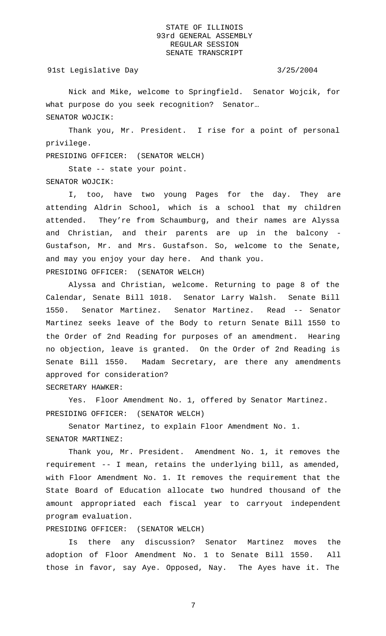91st Legislative Day 3/25/2004

Nick and Mike, welcome to Springfield. Senator Wojcik, for what purpose do you seek recognition? Senator… SENATOR WOJCIK:

Thank you, Mr. President. I rise for a point of personal privilege.

PRESIDING OFFICER: (SENATOR WELCH)

State -- state your point. SENATOR WOJCIK:

I, too, have two young Pages for the day. They are attending Aldrin School, which is a school that my children attended. They're from Schaumburg, and their names are Alyssa and Christian, and their parents are up in the balcony - Gustafson, Mr. and Mrs. Gustafson. So, welcome to the Senate, and may you enjoy your day here. And thank you. PRESIDING OFFICER: (SENATOR WELCH)

Alyssa and Christian, welcome. Returning to page 8 of the Calendar, Senate Bill 1018. Senator Larry Walsh. Senate Bill 1550. Senator Martinez. Senator Martinez. Read -- Senator Martinez seeks leave of the Body to return Senate Bill 1550 to the Order of 2nd Reading for purposes of an amendment. Hearing no objection, leave is granted. On the Order of 2nd Reading is Senate Bill 1550. Madam Secretary, are there any amendments approved for consideration?

SECRETARY HAWKER:

Yes. Floor Amendment No. 1, offered by Senator Martinez. PRESIDING OFFICER: (SENATOR WELCH)

Senator Martinez, to explain Floor Amendment No. 1. SENATOR MARTINEZ:

Thank you, Mr. President. Amendment No. 1, it removes the requirement -- I mean, retains the underlying bill, as amended, with Floor Amendment No. 1. It removes the requirement that the State Board of Education allocate two hundred thousand of the amount appropriated each fiscal year to carryout independent program evaluation.

PRESIDING OFFICER: (SENATOR WELCH)

Is there any discussion? Senator Martinez moves the adoption of Floor Amendment No. 1 to Senate Bill 1550. All those in favor, say Aye. Opposed, Nay. The Ayes have it. The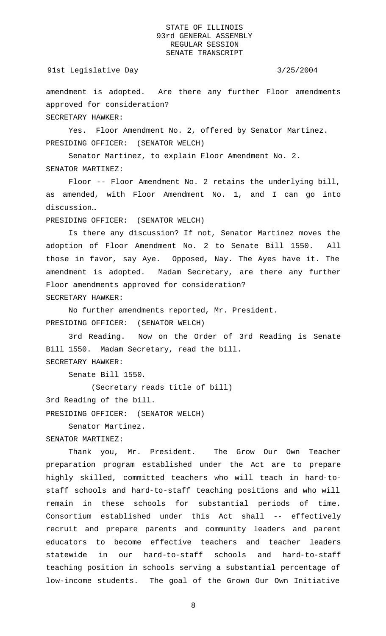### 91st Legislative Day 3/25/2004

amendment is adopted. Are there any further Floor amendments approved for consideration?

SECRETARY HAWKER:

Yes. Floor Amendment No. 2, offered by Senator Martinez. PRESIDING OFFICER: (SENATOR WELCH)

Senator Martinez, to explain Floor Amendment No. 2. SENATOR MARTINEZ:

Floor -- Floor Amendment No. 2 retains the underlying bill, as amended, with Floor Amendment No. 1, and I can go into discussion…

PRESIDING OFFICER: (SENATOR WELCH)

Is there any discussion? If not, Senator Martinez moves the adoption of Floor Amendment No. 2 to Senate Bill 1550. All those in favor, say Aye. Opposed, Nay. The Ayes have it. The amendment is adopted. Madam Secretary, are there any further Floor amendments approved for consideration? SECRETARY HAWKER:

No further amendments reported, Mr. President. PRESIDING OFFICER: (SENATOR WELCH)

3rd Reading. Now on the Order of 3rd Reading is Senate Bill 1550. Madam Secretary, read the bill. SECRETARY HAWKER:

Senate Bill 1550.

(Secretary reads title of bill)

3rd Reading of the bill.

PRESIDING OFFICER: (SENATOR WELCH)

Senator Martinez.

SENATOR MARTINEZ:

Thank you, Mr. President. The Grow Our Own Teacher preparation program established under the Act are to prepare highly skilled, committed teachers who will teach in hard-tostaff schools and hard-to-staff teaching positions and who will remain in these schools for substantial periods of time. Consortium established under this Act shall -- effectively recruit and prepare parents and community leaders and parent educators to become effective teachers and teacher leaders statewide in our hard-to-staff schools and hard-to-staff teaching position in schools serving a substantial percentage of low-income students. The goal of the Grown Our Own Initiative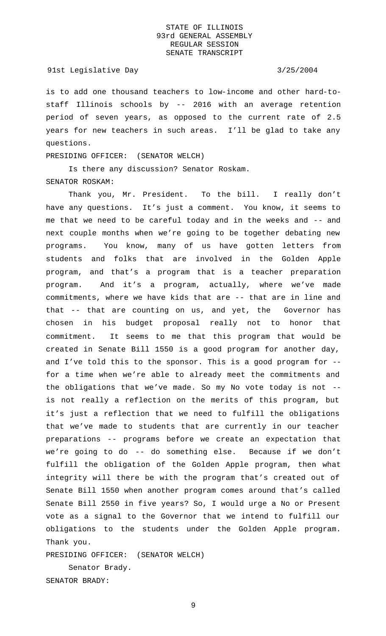## 91st Legislative Day 3/25/2004

is to add one thousand teachers to low-income and other hard-tostaff Illinois schools by -- 2016 with an average retention period of seven years, as opposed to the current rate of 2.5 years for new teachers in such areas. I'll be glad to take any questions.

# PRESIDING OFFICER: (SENATOR WELCH)

Is there any discussion? Senator Roskam. SENATOR ROSKAM:

Thank you, Mr. President. To the bill. I really don't have any questions. It's just a comment. You know, it seems to me that we need to be careful today and in the weeks and -- and next couple months when we're going to be together debating new programs. You know, many of us have gotten letters from students and folks that are involved in the Golden Apple program, and that's a program that is a teacher preparation program. And it's a program, actually, where we've made commitments, where we have kids that are -- that are in line and that -- that are counting on us, and yet, the Governor has chosen in his budget proposal really not to honor that commitment. It seems to me that this program that would be created in Senate Bill 1550 is a good program for another day, and I've told this to the sponsor. This is a good program for - for a time when we're able to already meet the commitments and the obligations that we've made. So my No vote today is not - is not really a reflection on the merits of this program, but it's just a reflection that we need to fulfill the obligations that we've made to students that are currently in our teacher preparations -- programs before we create an expectation that we're going to do -- do something else. Because if we don't fulfill the obligation of the Golden Apple program, then what integrity will there be with the program that's created out of Senate Bill 1550 when another program comes around that's called Senate Bill 2550 in five years? So, I would urge a No or Present vote as a signal to the Governor that we intend to fulfill our obligations to the students under the Golden Apple program. Thank you.

PRESIDING OFFICER: (SENATOR WELCH)

Senator Brady. SENATOR BRADY: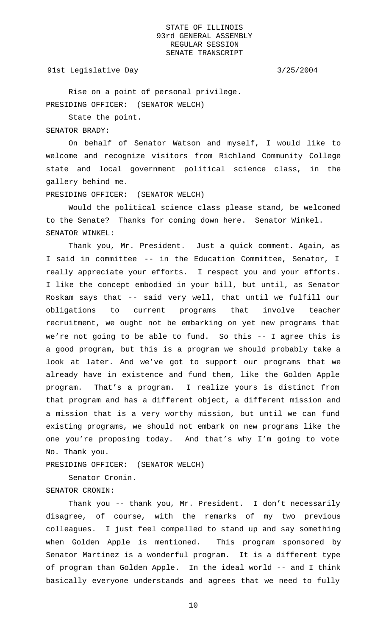## 91st Legislative Day 3/25/2004

Rise on a point of personal privilege. PRESIDING OFFICER: (SENATOR WELCH)

State the point.

SENATOR BRADY:

On behalf of Senator Watson and myself, I would like to welcome and recognize visitors from Richland Community College state and local government political science class, in the gallery behind me.

PRESIDING OFFICER: (SENATOR WELCH)

Would the political science class please stand, be welcomed to the Senate? Thanks for coming down here. Senator Winkel. SENATOR WINKEL:

Thank you, Mr. President. Just a quick comment. Again, as I said in committee -- in the Education Committee, Senator, I really appreciate your efforts. I respect you and your efforts. I like the concept embodied in your bill, but until, as Senator Roskam says that -- said very well, that until we fulfill our obligations to current programs that involve teacher recruitment, we ought not be embarking on yet new programs that we're not going to be able to fund. So this -- I agree this is a good program, but this is a program we should probably take a look at later. And we've got to support our programs that we already have in existence and fund them, like the Golden Apple program. That's a program. I realize yours is distinct from that program and has a different object, a different mission and a mission that is a very worthy mission, but until we can fund existing programs, we should not embark on new programs like the one you're proposing today. And that's why I'm going to vote No. Thank you.

PRESIDING OFFICER: (SENATOR WELCH)

Senator Cronin. SENATOR CRONIN:

Thank you -- thank you, Mr. President. I don't necessarily disagree, of course, with the remarks of my two previous colleagues. I just feel compelled to stand up and say something when Golden Apple is mentioned. This program sponsored by Senator Martinez is a wonderful program. It is a different type of program than Golden Apple. In the ideal world -- and I think basically everyone understands and agrees that we need to fully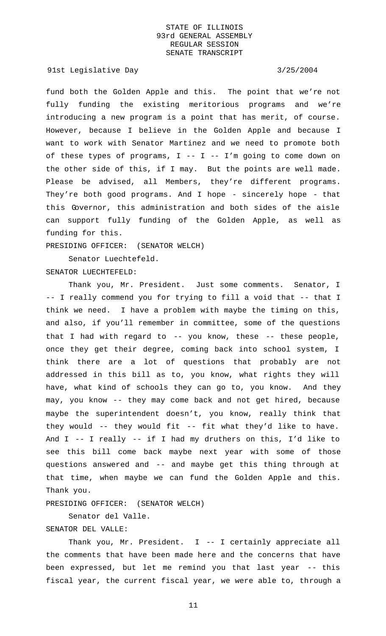91st Legislative Day 3/25/2004

fund both the Golden Apple and this. The point that we're not fully funding the existing meritorious programs and we're introducing a new program is a point that has merit, of course. However, because I believe in the Golden Apple and because I want to work with Senator Martinez and we need to promote both of these types of programs,  $I$  --  $I$  --  $I'$ m going to come down on the other side of this, if I may. But the points are well made. Please be advised, all Members, they're different programs. They're both good programs. And I hope - sincerely hope - that this Governor, this administration and both sides of the aisle can support fully funding of the Golden Apple, as well as funding for this.

PRESIDING OFFICER: (SENATOR WELCH)

Senator Luechtefeld.

SENATOR LUECHTEFELD:

Thank you, Mr. President. Just some comments. Senator, I -- I really commend you for trying to fill a void that -- that I think we need. I have a problem with maybe the timing on this, and also, if you'll remember in committee, some of the questions that I had with regard to  $-$ - you know, these  $-$ - these people, once they get their degree, coming back into school system, I think there are a lot of questions that probably are not addressed in this bill as to, you know, what rights they will have, what kind of schools they can go to, you know. And they may, you know -- they may come back and not get hired, because maybe the superintendent doesn't, you know, really think that they would -- they would fit -- fit what they'd like to have. And I -- I really -- if I had my druthers on this, I'd like to see this bill come back maybe next year with some of those questions answered and -- and maybe get this thing through at that time, when maybe we can fund the Golden Apple and this. Thank you.

PRESIDING OFFICER: (SENATOR WELCH)

Senator del Valle.

# SENATOR DEL VALLE:

Thank you, Mr. President. I -- I certainly appreciate all the comments that have been made here and the concerns that have been expressed, but let me remind you that last year -- this fiscal year, the current fiscal year, we were able to, through a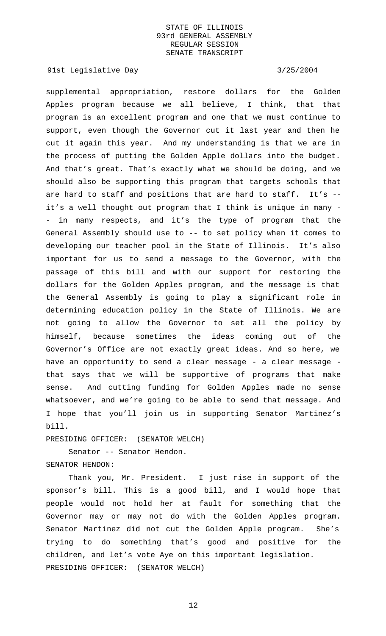91st Legislative Day 3/25/2004

supplemental appropriation, restore dollars for the Golden Apples program because we all believe, I think, that that program is an excellent program and one that we must continue to support, even though the Governor cut it last year and then he cut it again this year. And my understanding is that we are in the process of putting the Golden Apple dollars into the budget. And that's great. That's exactly what we should be doing, and we should also be supporting this program that targets schools that are hard to staff and positions that are hard to staff. It's - it's a well thought out program that I think is unique in many - - in many respects, and it's the type of program that the General Assembly should use to -- to set policy when it comes to developing our teacher pool in the State of Illinois. It's also important for us to send a message to the Governor, with the passage of this bill and with our support for restoring the dollars for the Golden Apples program, and the message is that the General Assembly is going to play a significant role in determining education policy in the State of Illinois. We are not going to allow the Governor to set all the policy by himself, because sometimes the ideas coming out of the Governor's Office are not exactly great ideas. And so here, we have an opportunity to send a clear message - a clear message that says that we will be supportive of programs that make sense. And cutting funding for Golden Apples made no sense whatsoever, and we're going to be able to send that message. And I hope that you'll join us in supporting Senator Martinez's bill.

PRESIDING OFFICER: (SENATOR WELCH)

Senator -- Senator Hendon. SENATOR HENDON:

Thank you, Mr. President. I just rise in support of the sponsor's bill. This is a good bill, and I would hope that people would not hold her at fault for something that the Governor may or may not do with the Golden Apples program. Senator Martinez did not cut the Golden Apple program. She's trying to do something that's good and positive for the children, and let's vote Aye on this important legislation. PRESIDING OFFICER: (SENATOR WELCH)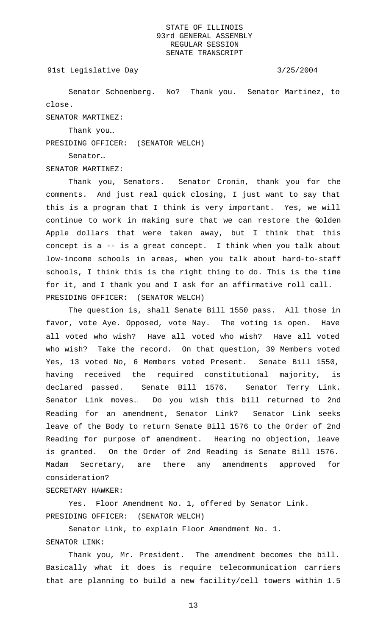## 91st Legislative Day 3/25/2004

Senator Schoenberg. No? Thank you. Senator Martinez, to close.

SENATOR MARTINEZ:

Thank you…

PRESIDING OFFICER: (SENATOR WELCH)

Senator…

SENATOR MARTINEZ:

Thank you, Senators. Senator Cronin, thank you for the comments. And just real quick closing, I just want to say that this is a program that I think is very important. Yes, we will continue to work in making sure that we can restore the Golden Apple dollars that were taken away, but I think that this concept is a -- is a great concept. I think when you talk about low-income schools in areas, when you talk about hard-to-staff schools, I think this is the right thing to do. This is the time for it, and I thank you and I ask for an affirmative roll call. PRESIDING OFFICER: (SENATOR WELCH)

The question is, shall Senate Bill 1550 pass. All those in favor, vote Aye. Opposed, vote Nay. The voting is open. Have all voted who wish? Have all voted who wish? Have all voted who wish? Take the record. On that question, 39 Members voted Yes, 13 voted No, 6 Members voted Present. Senate Bill 1550, having received the required constitutional majority, is declared passed. Senate Bill 1576. Senator Terry Link. Senator Link moves… Do you wish this bill returned to 2nd Reading for an amendment, Senator Link? Senator Link seeks leave of the Body to return Senate Bill 1576 to the Order of 2nd Reading for purpose of amendment. Hearing no objection, leave is granted. On the Order of 2nd Reading is Senate Bill 1576. Madam Secretary, are there any amendments approved for consideration?

SECRETARY HAWKER:

Yes. Floor Amendment No. 1, offered by Senator Link. PRESIDING OFFICER: (SENATOR WELCH)

Senator Link, to explain Floor Amendment No. 1. SENATOR LINK:

Thank you, Mr. President. The amendment becomes the bill. Basically what it does is require telecommunication carriers that are planning to build a new facility/cell towers within 1.5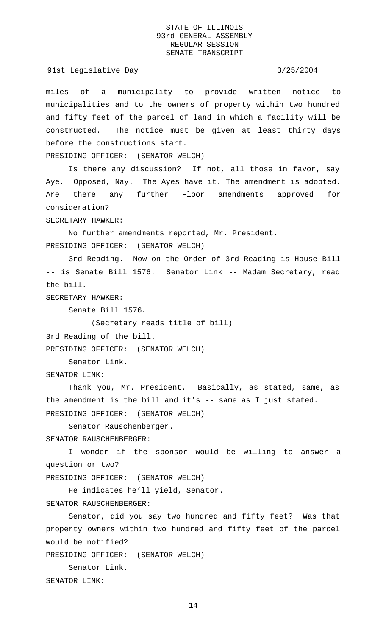## 91st Legislative Day 3/25/2004

miles of a municipality to provide written notice to municipalities and to the owners of property within two hundred and fifty feet of the parcel of land in which a facility will be constructed. The notice must be given at least thirty days before the constructions start.

PRESIDING OFFICER: (SENATOR WELCH)

Is there any discussion? If not, all those in favor, say Aye. Opposed, Nay. The Ayes have it. The amendment is adopted. Are there any further Floor amendments approved for consideration?

SECRETARY HAWKER:

No further amendments reported, Mr. President. PRESIDING OFFICER: (SENATOR WELCH)

3rd Reading. Now on the Order of 3rd Reading is House Bill -- is Senate Bill 1576. Senator Link -- Madam Secretary, read the bill.

SECRETARY HAWKER:

Senate Bill 1576.

(Secretary reads title of bill)

3rd Reading of the bill.

PRESIDING OFFICER: (SENATOR WELCH)

Senator Link.

SENATOR LINK:

Thank you, Mr. President. Basically, as stated, same, as the amendment is the bill and it's  $-$  same as I just stated. PRESIDING OFFICER: (SENATOR WELCH)

Senator Rauschenberger.

SENATOR RAUSCHENBERGER:

I wonder if the sponsor would be willing to answer a question or two?

PRESIDING OFFICER: (SENATOR WELCH)

He indicates he'll yield, Senator.

SENATOR RAUSCHENBERGER:

Senator, did you say two hundred and fifty feet? Was that property owners within two hundred and fifty feet of the parcel would be notified?

PRESIDING OFFICER: (SENATOR WELCH)

Senator Link. SENATOR LINK: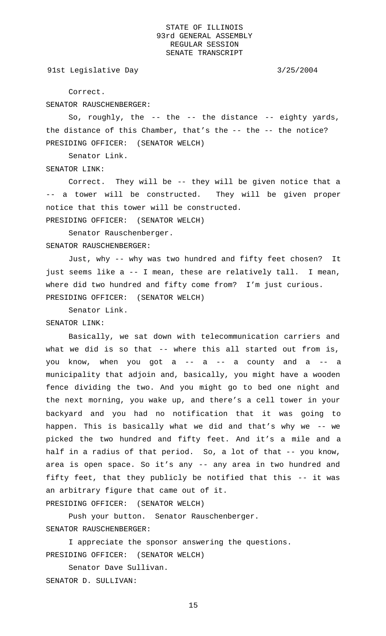91st Legislative Day 3/25/2004

Correct.

SENATOR RAUSCHENBERGER:

So, roughly, the -- the -- the distance -- eighty yards, the distance of this Chamber, that's the -- the -- the notice? PRESIDING OFFICER: (SENATOR WELCH)

Senator Link.

# SENATOR LINK:

Correct. They will be -- they will be given notice that a -- a tower will be constructed. They will be given proper notice that this tower will be constructed.

PRESIDING OFFICER: (SENATOR WELCH)

Senator Rauschenberger. SENATOR RAUSCHENBERGER:

Just, why -- why was two hundred and fifty feet chosen? It just seems like a -- I mean, these are relatively tall. I mean, where did two hundred and fifty come from? I'm just curious. PRESIDING OFFICER: (SENATOR WELCH)

Senator Link.

## SENATOR LINK:

Basically, we sat down with telecommunication carriers and what we did is so that -- where this all started out from is, you know, when you got  $a$  --  $a$  -- a county and  $a$  -- a municipality that adjoin and, basically, you might have a wooden fence dividing the two. And you might go to bed one night and the next morning, you wake up, and there's a cell tower in your backyard and you had no notification that it was going to happen. This is basically what we did and that's why we -- we picked the two hundred and fifty feet. And it's a mile and a half in a radius of that period. So, a lot of that -- you know, area is open space. So it's any -- any area in two hundred and fifty feet, that they publicly be notified that this -- it was an arbitrary figure that came out of it. PRESIDING OFFICER: (SENATOR WELCH)

Push your button. Senator Rauschenberger.

SENATOR RAUSCHENBERGER:

I appreciate the sponsor answering the questions. PRESIDING OFFICER: (SENATOR WELCH)

Senator Dave Sullivan. SENATOR D. SULLIVAN: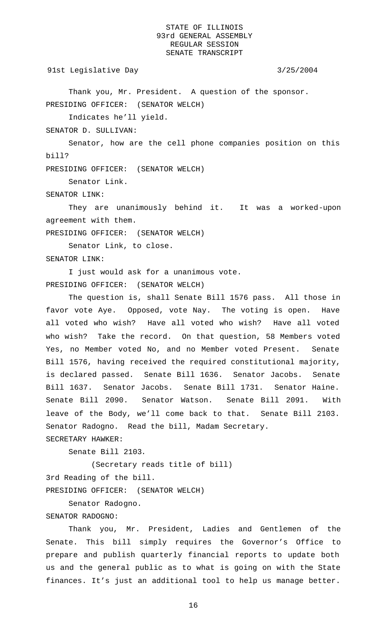91st Legislative Day 3/25/2004

Thank you, Mr. President. A question of the sponsor. PRESIDING OFFICER: (SENATOR WELCH)

Indicates he'll yield.

SENATOR D. SULLIVAN:

Senator, how are the cell phone companies position on this bill?

PRESIDING OFFICER: (SENATOR WELCH)

Senator Link.

SENATOR LINK:

They are unanimously behind it. It was a worked-upon agreement with them.

PRESIDING OFFICER: (SENATOR WELCH)

Senator Link, to close. SENATOR LINK:

I just would ask for a unanimous vote. PRESIDING OFFICER: (SENATOR WELCH)

The question is, shall Senate Bill 1576 pass. All those in favor vote Aye. Opposed, vote Nay. The voting is open. Have all voted who wish? Have all voted who wish? Have all voted who wish? Take the record. On that question, 58 Members voted Yes, no Member voted No, and no Member voted Present. Senate Bill 1576, having received the required constitutional majority, is declared passed. Senate Bill 1636. Senator Jacobs. Senate Bill 1637. Senator Jacobs. Senate Bill 1731. Senator Haine. Senate Bill 2090. Senator Watson. Senate Bill 2091. With leave of the Body, we'll come back to that. Senate Bill 2103. Senator Radogno. Read the bill, Madam Secretary.

SECRETARY HAWKER:

Senate Bill 2103.

(Secretary reads title of bill)

3rd Reading of the bill.

PRESIDING OFFICER: (SENATOR WELCH)

Senator Radogno.

# SENATOR RADOGNO:

Thank you, Mr. President, Ladies and Gentlemen of the Senate. This bill simply requires the Governor's Office to prepare and publish quarterly financial reports to update both us and the general public as to what is going on with the State finances. It's just an additional tool to help us manage better.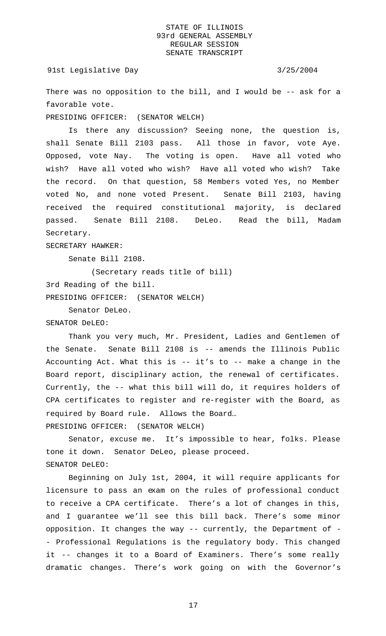There was no opposition to the bill, and I would be -- ask for a favorable vote.

PRESIDING OFFICER: (SENATOR WELCH)

Is there any discussion? Seeing none, the question is, shall Senate Bill 2103 pass. All those in favor, vote Aye. Opposed, vote Nay. The voting is open. Have all voted who wish? Have all voted who wish? Have all voted who wish? Take the record. On that question, 58 Members voted Yes, no Member voted No, and none voted Present. Senate Bill 2103, having received the required constitutional majority, is declared passed. Senate Bill 2108. DeLeo. Read the bill, Madam Secretary.

SECRETARY HAWKER:

Senate Bill 2108.

(Secretary reads title of bill) 3rd Reading of the bill. PRESIDING OFFICER: (SENATOR WELCH)

Senator DeLeo.

SENATOR DeLEO:

Thank you very much, Mr. President, Ladies and Gentlemen of the Senate. Senate Bill 2108 is -- amends the Illinois Public Accounting Act. What this is -- it's to -- make a change in the Board report, disciplinary action, the renewal of certificates. Currently, the -- what this bill will do, it requires holders of CPA certificates to register and re-register with the Board, as required by Board rule. Allows the Board… PRESIDING OFFICER: (SENATOR WELCH)

Senator, excuse me. It's impossible to hear, folks. Please tone it down. Senator DeLeo, please proceed. SENATOR DeLEO:

Beginning on July 1st, 2004, it will require applicants for licensure to pass an exam on the rules of professional conduct to receive a CPA certificate. There's a lot of changes in this, and I guarantee we'll see this bill back. There's some minor opposition. It changes the way -- currently, the Department of - - Professional Regulations is the regulatory body. This changed it -- changes it to a Board of Examiners. There's some really dramatic changes. There's work going on with the Governor's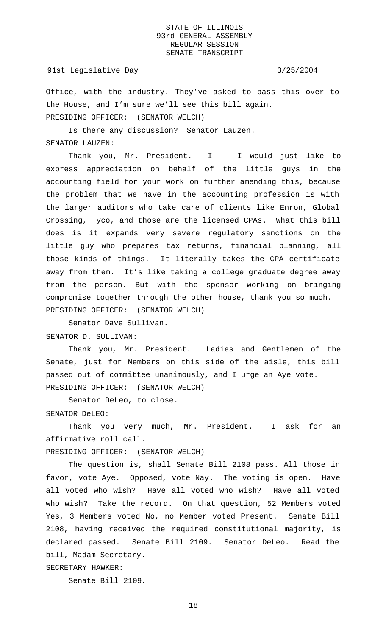## 91st Legislative Day 3/25/2004

Office, with the industry. They've asked to pass this over to the House, and I'm sure we'll see this bill again. PRESIDING OFFICER: (SENATOR WELCH)

Is there any discussion? Senator Lauzen. SENATOR LAUZEN:

Thank you, Mr. President. I -- I would just like to express appreciation on behalf of the little guys in the accounting field for your work on further amending this, because the problem that we have in the accounting profession is with the larger auditors who take care of clients like Enron, Global Crossing, Tyco, and those are the licensed CPAs. What this bill does is it expands very severe regulatory sanctions on the little guy who prepares tax returns, financial planning, all those kinds of things. It literally takes the CPA certificate away from them. It's like taking a college graduate degree away from the person. But with the sponsor working on bringing compromise together through the other house, thank you so much. PRESIDING OFFICER: (SENATOR WELCH)

Senator Dave Sullivan.

SENATOR D. SULLIVAN:

Thank you, Mr. President. Ladies and Gentlemen of the Senate, just for Members on this side of the aisle, this bill passed out of committee unanimously, and I urge an Aye vote. PRESIDING OFFICER: (SENATOR WELCH)

Senator DeLeo, to close.

SENATOR DeLEO:

Thank you very much, Mr. President. I ask for an affirmative roll call.

PRESIDING OFFICER: (SENATOR WELCH)

The question is, shall Senate Bill 2108 pass. All those in favor, vote Aye. Opposed, vote Nay. The voting is open. Have all voted who wish? Have all voted who wish? Have all voted who wish? Take the record. On that question, 52 Members voted Yes, 3 Members voted No, no Member voted Present. Senate Bill 2108, having received the required constitutional majority, is declared passed. Senate Bill 2109. Senator DeLeo. Read the bill, Madam Secretary.

SECRETARY HAWKER:

Senate Bill 2109.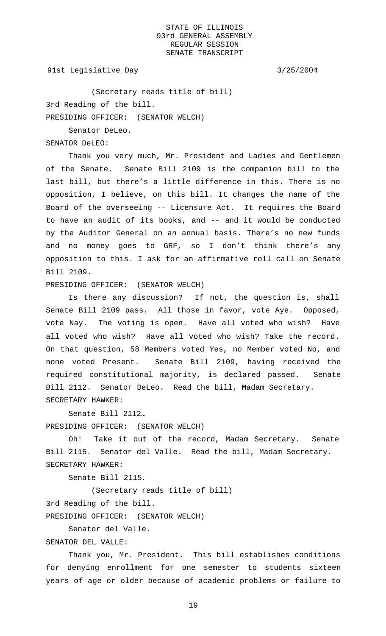91st Legislative Day 3/25/2004

(Secretary reads title of bill) 3rd Reading of the bill. PRESIDING OFFICER: (SENATOR WELCH)

Senator DeLeo.

SENATOR DeLEO:

Thank you very much, Mr. President and Ladies and Gentlemen of the Senate. Senate Bill 2109 is the companion bill to the last bill, but there's a little difference in this. There is no opposition, I believe, on this bill. It changes the name of the Board of the overseeing -- Licensure Act. It requires the Board to have an audit of its books, and -- and it would be conducted by the Auditor General on an annual basis. There's no new funds and no money goes to GRF, so I don't think there's any opposition to this. I ask for an affirmative roll call on Senate Bill 2109.

PRESIDING OFFICER: (SENATOR WELCH)

Is there any discussion? If not, the question is, shall Senate Bill 2109 pass. All those in favor, vote Aye. Opposed, vote Nay. The voting is open. Have all voted who wish? Have all voted who wish? Have all voted who wish? Take the record. On that question, 58 Members voted Yes, no Member voted No, and none voted Present. Senate Bill 2109, having received the required constitutional majority, is declared passed. Senate Bill 2112. Senator DeLeo. Read the bill, Madam Secretary. SECRETARY HAWKER:

Senate Bill 2112…

PRESIDING OFFICER: (SENATOR WELCH)

Oh! Take it out of the record, Madam Secretary. Senate Bill 2115. Senator del Valle. Read the bill, Madam Secretary. SECRETARY HAWKER:

Senate Bill 2115.

(Secretary reads title of bill)

3rd Reading of the bill.

PRESIDING OFFICER: (SENATOR WELCH)

Senator del Valle.

SENATOR DEL VALLE:

Thank you, Mr. President. This bill establishes conditions for denying enrollment for one semester to students sixteen years of age or older because of academic problems or failure to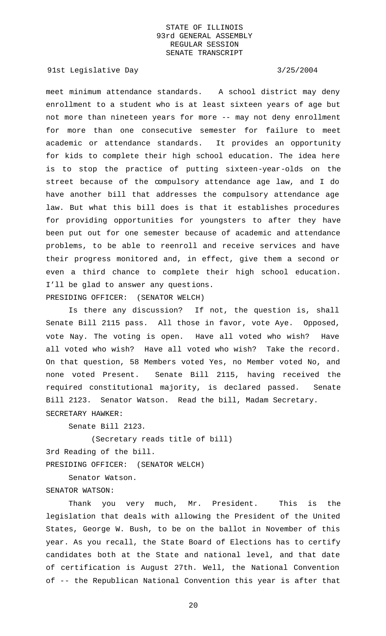91st Legislative Day 3/25/2004

meet minimum attendance standards. A school district may deny enrollment to a student who is at least sixteen years of age but not more than nineteen years for more -- may not deny enrollment for more than one consecutive semester for failure to meet academic or attendance standards. It provides an opportunity for kids to complete their high school education. The idea here is to stop the practice of putting sixteen-year-olds on the street because of the compulsory attendance age law, and I do have another bill that addresses the compulsory attendance age law. But what this bill does is that it establishes procedures for providing opportunities for youngsters to after they have been put out for one semester because of academic and attendance problems, to be able to reenroll and receive services and have their progress monitored and, in effect, give them a second or even a third chance to complete their high school education. I'll be glad to answer any questions. PRESIDING OFFICER: (SENATOR WELCH)

Is there any discussion? If not, the question is, shall Senate Bill 2115 pass. All those in favor, vote Aye. Opposed, vote Nay. The voting is open. Have all voted who wish? Have all voted who wish? Have all voted who wish? Take the record. On that question, 58 Members voted Yes, no Member voted No, and none voted Present. Senate Bill 2115, having received the required constitutional majority, is declared passed. Senate Bill 2123. Senator Watson. Read the bill, Madam Secretary. SECRETARY HAWKER:

Senate Bill 2123.

(Secretary reads title of bill) 3rd Reading of the bill. PRESIDING OFFICER: (SENATOR WELCH)

Senator Watson. SENATOR WATSON:

Thank you very much, Mr. President. This is the legislation that deals with allowing the President of the United States, George W. Bush, to be on the ballot in November of this year. As you recall, the State Board of Elections has to certify candidates both at the State and national level, and that date of certification is August 27th. Well, the National Convention of -- the Republican National Convention this year is after that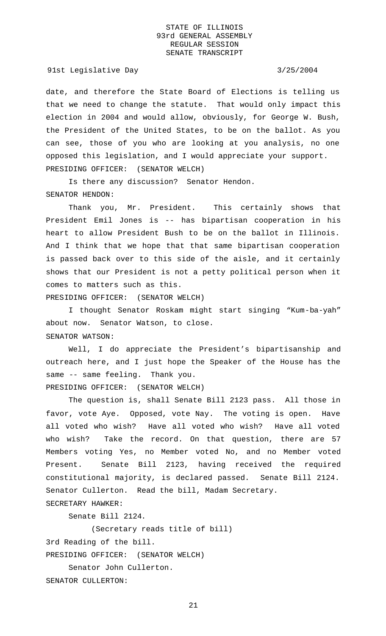91st Legislative Day 3/25/2004

date, and therefore the State Board of Elections is telling us that we need to change the statute. That would only impact this election in 2004 and would allow, obviously, for George W. Bush, the President of the United States, to be on the ballot. As you can see, those of you who are looking at you analysis, no one opposed this legislation, and I would appreciate your support. PRESIDING OFFICER: (SENATOR WELCH)

Is there any discussion? Senator Hendon. SENATOR HENDON:

Thank you, Mr. President. This certainly shows that President Emil Jones is -- has bipartisan cooperation in his heart to allow President Bush to be on the ballot in Illinois. And I think that we hope that that same bipartisan cooperation is passed back over to this side of the aisle, and it certainly shows that our President is not a petty political person when it comes to matters such as this.

PRESIDING OFFICER: (SENATOR WELCH)

I thought Senator Roskam might start singing "Kum-ba-yah" about now. Senator Watson, to close. SENATOR WATSON:

Well, I do appreciate the President's bipartisanship and outreach here, and I just hope the Speaker of the House has the same -- same feeling. Thank you. PRESIDING OFFICER: (SENATOR WELCH)

The question is, shall Senate Bill 2123 pass. All those in favor, vote Aye. Opposed, vote Nay. The voting is open. Have all voted who wish? Have all voted who wish? Have all voted who wish? Take the record. On that question, there are 57 Members voting Yes, no Member voted No, and no Member voted Present. Senate Bill 2123, having received the required constitutional majority, is declared passed. Senate Bill 2124. Senator Cullerton. Read the bill, Madam Secretary. SECRETARY HAWKER:

Senate Bill 2124.

(Secretary reads title of bill)

3rd Reading of the bill.

PRESIDING OFFICER: (SENATOR WELCH)

Senator John Cullerton.

SENATOR CULLERTON: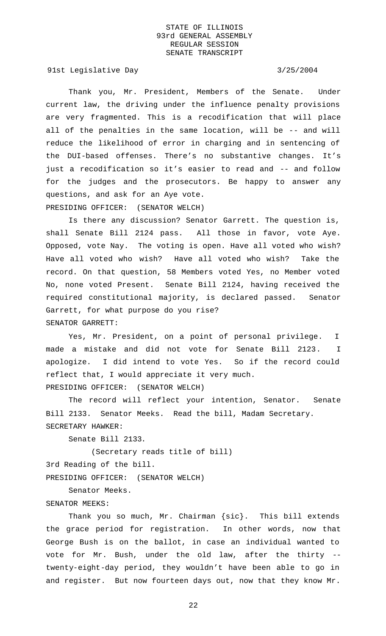91st Legislative Day 3/25/2004

Thank you, Mr. President, Members of the Senate. Under current law, the driving under the influence penalty provisions are very fragmented. This is a recodification that will place all of the penalties in the same location, will be -- and will reduce the likelihood of error in charging and in sentencing of the DUI-based offenses. There's no substantive changes. It's just a recodification so it's easier to read and -- and follow for the judges and the prosecutors. Be happy to answer any questions, and ask for an Aye vote. PRESIDING OFFICER: (SENATOR WELCH)

Is there any discussion? Senator Garrett. The question is, shall Senate Bill 2124 pass. All those in favor, vote Aye. Opposed, vote Nay. The voting is open. Have all voted who wish? Have all voted who wish? Have all voted who wish? Take the record. On that question, 58 Members voted Yes, no Member voted No, none voted Present. Senate Bill 2124, having received the required constitutional majority, is declared passed. Senator Garrett, for what purpose do you rise? SENATOR GARRETT:

Yes, Mr. President, on a point of personal privilege. I made a mistake and did not vote for Senate Bill 2123. I apologize. I did intend to vote Yes. So if the record could reflect that, I would appreciate it very much. PRESIDING OFFICER: (SENATOR WELCH)

The record will reflect your intention, Senator. Senate Bill 2133. Senator Meeks. Read the bill, Madam Secretary. SECRETARY HAWKER:

Senate Bill 2133.

(Secretary reads title of bill) 3rd Reading of the bill. PRESIDING OFFICER: (SENATOR WELCH)

Senator Meeks.

## SENATOR MEEKS:

Thank you so much, Mr. Chairman {sic}. This bill extends the grace period for registration. In other words, now that George Bush is on the ballot, in case an individual wanted to vote for Mr. Bush, under the old law, after the thirty - twenty-eight-day period, they wouldn't have been able to go in and register. But now fourteen days out, now that they know Mr.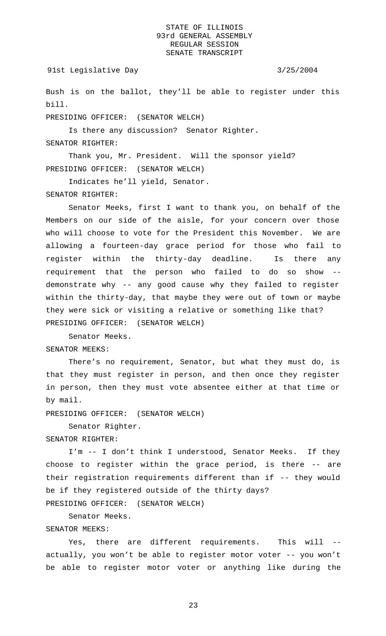## 91st Legislative Day 3/25/2004

Bush is on the ballot, they'll be able to register under this bill.

PRESIDING OFFICER: (SENATOR WELCH)

Is there any discussion? Senator Righter.

# SENATOR RIGHTER:

Thank you, Mr. President. Will the sponsor yield? PRESIDING OFFICER: (SENATOR WELCH)

Indicates he'll yield, Senator.

## SENATOR RIGHTER:

Senator Meeks, first I want to thank you, on behalf of the Members on our side of the aisle, for your concern over those who will choose to vote for the President this November. We are allowing a fourteen-day grace period for those who fail to register within the thirty-day deadline. Is there any requirement that the person who failed to do so show - demonstrate why -- any good cause why they failed to register within the thirty-day, that maybe they were out of town or maybe they were sick or visiting a relative or something like that? PRESIDING OFFICER: (SENATOR WELCH)

Senator Meeks. SENATOR MEEKS:

There's no requirement, Senator, but what they must do, is that they must register in person, and then once they register in person, then they must vote absentee either at that time or by mail.

PRESIDING OFFICER: (SENATOR WELCH)

Senator Righter.

## SENATOR RIGHTER:

I'm -- I don't think I understood, Senator Meeks. If they choose to register within the grace period, is there -- are their registration requirements different than if -- they would be if they registered outside of the thirty days?

PRESIDING OFFICER: (SENATOR WELCH)

Senator Meeks.

# SENATOR MEEKS:

Yes, there are different requirements. This will actually, you won't be able to register motor voter -- you won't be able to register motor voter or anything like during the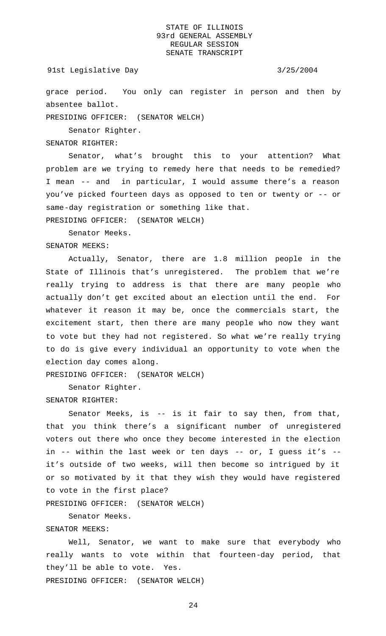## 91st Legislative Day 3/25/2004

grace period. You only can register in person and then by absentee ballot.

PRESIDING OFFICER: (SENATOR WELCH)

Senator Righter.

# SENATOR RIGHTER:

Senator, what's brought this to your attention? What problem are we trying to remedy here that needs to be remedied? I mean -- and in particular, I would assume there's a reason you've picked fourteen days as opposed to ten or twenty or -- or same-day registration or something like that.

PRESIDING OFFICER: (SENATOR WELCH)

Senator Meeks.

SENATOR MEEKS:

Actually, Senator, there are 1.8 million people in the State of Illinois that's unregistered. The problem that we're really trying to address is that there are many people who actually don't get excited about an election until the end. For whatever it reason it may be, once the commercials start, the excitement start, then there are many people who now they want to vote but they had not registered. So what we're really trying to do is give every individual an opportunity to vote when the election day comes along.

PRESIDING OFFICER: (SENATOR WELCH)

Senator Righter.

## SENATOR RIGHTER:

Senator Meeks, is -- is it fair to say then, from that, that you think there's a significant number of unregistered voters out there who once they become interested in the election in -- within the last week or ten days -- or, I guess it's - it's outside of two weeks, will then become so intrigued by it or so motivated by it that they wish they would have registered to vote in the first place?

PRESIDING OFFICER: (SENATOR WELCH)

Senator Meeks.

# SENATOR MEEKS:

Well, Senator, we want to make sure that everybody who really wants to vote within that fourteen-day period, that they'll be able to vote. Yes. PRESIDING OFFICER: (SENATOR WELCH)

 $2.4$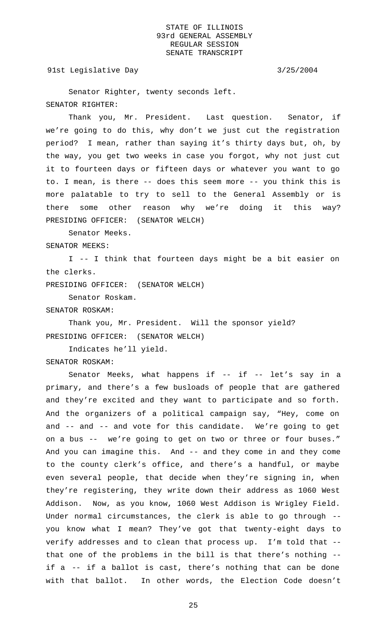91st Legislative Day 3/25/2004

Senator Righter, twenty seconds left. SENATOR RIGHTER:

Thank you, Mr. President. Last question. Senator, if we're going to do this, why don't we just cut the registration period? I mean, rather than saying it's thirty days but, oh, by the way, you get two weeks in case you forgot, why not just cut it to fourteen days or fifteen days or whatever you want to go to. I mean, is there -- does this seem more -- you think this is more palatable to try to sell to the General Assembly or is there some other reason why we're doing it this way? PRESIDING OFFICER: (SENATOR WELCH)

Senator Meeks.

SENATOR MEEKS:

I -- I think that fourteen days might be a bit easier on the clerks.

PRESIDING OFFICER: (SENATOR WELCH)

Senator Roskam.

SENATOR ROSKAM:

Thank you, Mr. President. Will the sponsor yield? PRESIDING OFFICER: (SENATOR WELCH)

Indicates he'll yield.

SENATOR ROSKAM:

Senator Meeks, what happens if -- if -- let's say in a primary, and there's a few busloads of people that are gathered and they're excited and they want to participate and so forth. And the organizers of a political campaign say, "Hey, come on and -- and -- and vote for this candidate. We're going to get on a bus -- we're going to get on two or three or four buses." And you can imagine this. And -- and they come in and they come to the county clerk's office, and there's a handful, or maybe even several people, that decide when they're signing in, when they're registering, they write down their address as 1060 West Addison. Now, as you know, 1060 West Addison is Wrigley Field. Under normal circumstances, the clerk is able to go through - you know what I mean? They've got that twenty-eight days to verify addresses and to clean that process up. I'm told that - that one of the problems in the bill is that there's nothing - if a -- if a ballot is cast, there's nothing that can be done with that ballot. In other words, the Election Code doesn't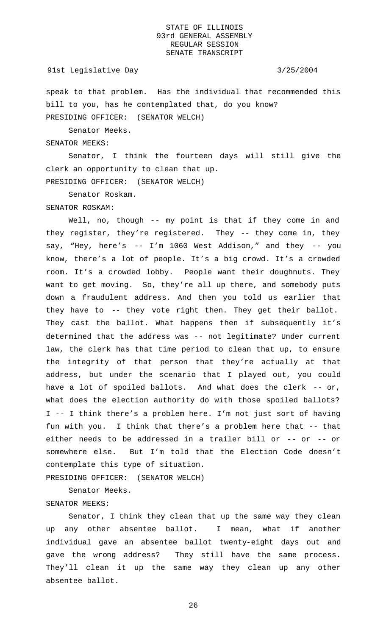## 91st Legislative Day 3/25/2004

speak to that problem. Has the individual that recommended this bill to you, has he contemplated that, do you know? PRESIDING OFFICER: (SENATOR WELCH)

Senator Meeks.

SENATOR MEEKS:

Senator, I think the fourteen days will still give the clerk an opportunity to clean that up. PRESIDING OFFICER: (SENATOR WELCH)

Senator Roskam.

### SENATOR ROSKAM:

Well, no, though -- my point is that if they come in and they register, they're registered. They -- they come in, they say, "Hey, here's -- I'm 1060 West Addison," and they -- you know, there's a lot of people. It's a big crowd. It's a crowded room. It's a crowded lobby. People want their doughnuts. They want to get moving. So, they're all up there, and somebody puts down a fraudulent address. And then you told us earlier that they have to -- they vote right then. They get their ballot. They cast the ballot. What happens then if subsequently it's determined that the address was -- not legitimate? Under current law, the clerk has that time period to clean that up, to ensure the integrity of that person that they're actually at that address, but under the scenario that I played out, you could have a lot of spoiled ballots. And what does the clerk -- or, what does the election authority do with those spoiled ballots? I -- I think there's a problem here. I'm not just sort of having fun with you. I think that there's a problem here that -- that either needs to be addressed in a trailer bill or -- or -- or somewhere else. But I'm told that the Election Code doesn't contemplate this type of situation.

PRESIDING OFFICER: (SENATOR WELCH)

Senator Meeks.

# SENATOR MEEKS:

Senator, I think they clean that up the same way they clean up any other absentee ballot. I mean, what if another individual gave an absentee ballot twenty-eight days out and gave the wrong address? They still have the same process. They'll clean it up the same way they clean up any other absentee ballot.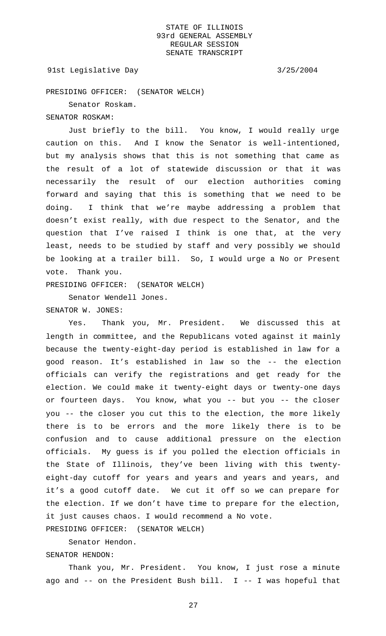# 91st Legislative Day 3/25/2004

PRESIDING OFFICER: (SENATOR WELCH)

Senator Roskam.

# SENATOR ROSKAM:

Just briefly to the bill. You know, I would really urge caution on this. And I know the Senator is well-intentioned, but my analysis shows that this is not something that came as the result of a lot of statewide discussion or that it was necessarily the result of our election authorities coming forward and saying that this is something that we need to be doing. I think that we're maybe addressing a problem that doesn't exist really, with due respect to the Senator, and the question that I've raised I think is one that, at the very least, needs to be studied by staff and very possibly we should be looking at a trailer bill. So, I would urge a No or Present vote. Thank you.

PRESIDING OFFICER: (SENATOR WELCH)

Senator Wendell Jones.

# SENATOR W. JONES:

Yes. Thank you, Mr. President. We discussed this at length in committee, and the Republicans voted against it mainly because the twenty-eight-day period is established in law for a good reason. It's established in law so the -- the election officials can verify the registrations and get ready for the election. We could make it twenty-eight days or twenty-one days or fourteen days. You know, what you -- but you -- the closer you -- the closer you cut this to the election, the more likely there is to be errors and the more likely there is to be confusion and to cause additional pressure on the election officials. My guess is if you polled the election officials in the State of Illinois, they've been living with this twentyeight-day cutoff for years and years and years and years, and it's a good cutoff date. We cut it off so we can prepare for the election. If we don't have time to prepare for the election, it just causes chaos. I would recommend a No vote.

PRESIDING OFFICER: (SENATOR WELCH)

Senator Hendon.

SENATOR HENDON:

Thank you, Mr. President. You know, I just rose a minute ago and -- on the President Bush bill. I -- I was hopeful that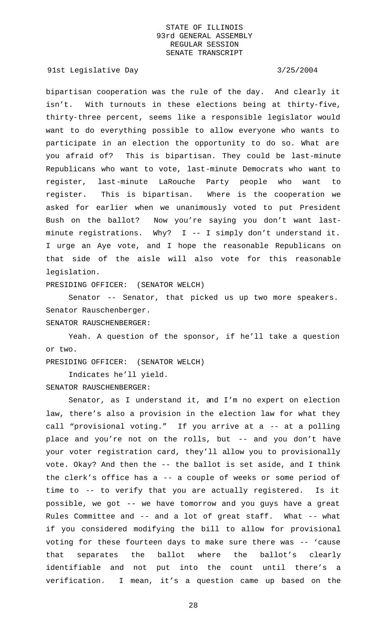## 91st Legislative Day 3/25/2004

bipartisan cooperation was the rule of the day. And clearly it isn't. With turnouts in these elections being at thirty-five, thirty-three percent, seems like a responsible legislator would want to do everything possible to allow everyone who wants to participate in an election the opportunity to do so. What are you afraid of? This is bipartisan. They could be last-minute Republicans who want to vote, last-minute Democrats who want to register, last-minute LaRouche Party people who want to register. This is bipartisan. Where is the cooperation we asked for earlier when we unanimously voted to put President Bush on the ballot? Now you're saying you don't want lastminute registrations. Why? I -- I simply don't understand it. I urge an Aye vote, and I hope the reasonable Republicans on that side of the aisle will also vote for this reasonable legislation.

PRESIDING OFFICER: (SENATOR WELCH)

Senator -- Senator, that picked us up two more speakers. Senator Rauschenberger.

SENATOR RAUSCHENBERGER:

Yeah. A question of the sponsor, if he'll take a question or two.

PRESIDING OFFICER: (SENATOR WELCH)

Indicates he'll yield.

SENATOR RAUSCHENBERGER:

Senator, as I understand it, and I'm no expert on election law, there's also a provision in the election law for what they call "provisional voting." If you arrive at a -- at a polling place and you're not on the rolls, but -- and you don't have your voter registration card, they'll allow you to provisionally vote. Okay? And then the -- the ballot is set aside, and I think the clerk's office has a -- a couple of weeks or some period of time to -- to verify that you are actually registered. Is it possible, we got -- we have tomorrow and you guys have a great Rules Committee and -- and a lot of great staff. What -- what if you considered modifying the bill to allow for provisional voting for these fourteen days to make sure there was -- 'cause that separates the ballot where the ballot's clearly identifiable and not put into the count until there's a verification. I mean, it's a question came up based on the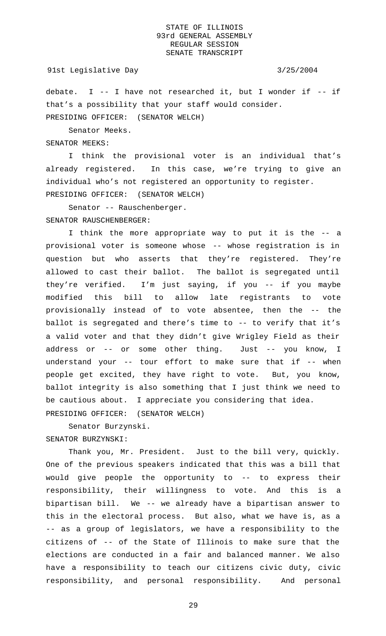## 91st Legislative Day 3/25/2004

debate. I  $-$ - I have not researched it, but I wonder if  $-$ - if that's a possibility that your staff would consider. PRESIDING OFFICER: (SENATOR WELCH)

Senator Meeks.

SENATOR MEEKS:

I think the provisional voter is an individual that's already registered. In this case, we're trying to give an individual who's not registered an opportunity to register. PRESIDING OFFICER: (SENATOR WELCH)

Senator -- Rauschenberger. SENATOR RAUSCHENBERGER:

I think the more appropriate way to put it is the -- a provisional voter is someone whose -- whose registration is in question but who asserts that they're registered. They're allowed to cast their ballot. The ballot is segregated until they're verified. I'm just saying, if you -- if you maybe modified this bill to allow late registrants to vote provisionally instead of to vote absentee, then the -- the ballot is segregated and there's time to -- to verify that it's a valid voter and that they didn't give Wrigley Field as their address or -- or some other thing. Just -- you know, I understand your -- tour effort to make sure that if -- when people get excited, they have right to vote. But, you know, ballot integrity is also something that I just think we need to be cautious about. I appreciate you considering that idea. PRESIDING OFFICER: (SENATOR WELCH)

Senator Burzynski. SENATOR BURZYNSKI:

Thank you, Mr. President. Just to the bill very, quickly. One of the previous speakers indicated that this was a bill that would give people the opportunity to -- to express their responsibility, their willingness to vote. And this is a bipartisan bill. We -- we already have a bipartisan answer to this in the electoral process. But also, what we have is, as a -- as a group of legislators, we have a responsibility to the citizens of -- of the State of Illinois to make sure that the elections are conducted in a fair and balanced manner. We also have a responsibility to teach our citizens civic duty, civic responsibility, and personal responsibility. And personal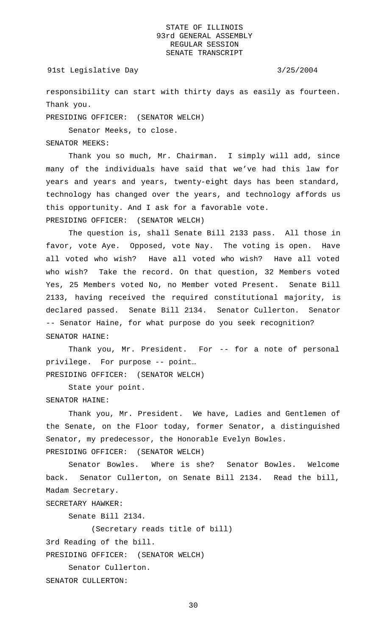## 91st Legislative Day 3/25/2004

responsibility can start with thirty days as easily as fourteen. Thank you.

PRESIDING OFFICER: (SENATOR WELCH)

Senator Meeks, to close.

SENATOR MEEKS:

Thank you so much, Mr. Chairman. I simply will add, since many of the individuals have said that we've had this law for years and years and years, twenty-eight days has been standard, technology has changed over the years, and technology affords us this opportunity. And I ask for a favorable vote. PRESIDING OFFICER: (SENATOR WELCH)

The question is, shall Senate Bill 2133 pass. All those in favor, vote Aye. Opposed, vote Nay. The voting is open. Have all voted who wish? Have all voted who wish? Have all voted who wish? Take the record. On that question, 32 Members voted Yes, 25 Members voted No, no Member voted Present. Senate Bill 2133, having received the required constitutional majority, is declared passed. Senate Bill 2134. Senator Cullerton. Senator -- Senator Haine, for what purpose do you seek recognition? SENATOR HAINE:

Thank you, Mr. President. For -- for a note of personal privilege. For purpose -- point… PRESIDING OFFICER: (SENATOR WELCH)

State your point. SENATOR HAINE:

Thank you, Mr. President. We have, Ladies and Gentlemen of the Senate, on the Floor today, former Senator, a distinguished Senator, my predecessor, the Honorable Evelyn Bowles. PRESIDING OFFICER: (SENATOR WELCH)

Senator Bowles. Where is she? Senator Bowles. Welcome back. Senator Cullerton, on Senate Bill 2134. Read the bill, Madam Secretary.

SECRETARY HAWKER:

Senate Bill 2134.

(Secretary reads title of bill)

3rd Reading of the bill.

PRESIDING OFFICER: (SENATOR WELCH)

Senator Cullerton.

SENATOR CULLERTON: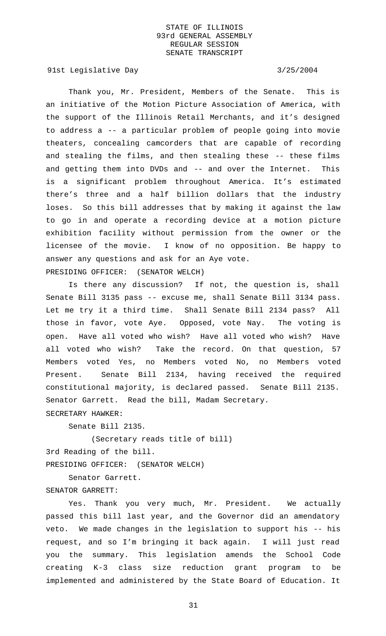91st Legislative Day 3/25/2004

Thank you, Mr. President, Members of the Senate. This is an initiative of the Motion Picture Association of America, with the support of the Illinois Retail Merchants, and it's designed to address a -- a particular problem of people going into movie theaters, concealing camcorders that are capable of recording and stealing the films, and then stealing these -- these films and getting them into DVDs and -- and over the Internet. This is a significant problem throughout America. It's estimated there's three and a half billion dollars that the industry loses. So this bill addresses that by making it against the law to go in and operate a recording device at a motion picture exhibition facility without permission from the owner or the licensee of the movie. I know of no opposition. Be happy to answer any questions and ask for an Aye vote. PRESIDING OFFICER: (SENATOR WELCH)

Is there any discussion? If not, the question is, shall Senate Bill 3135 pass -- excuse me, shall Senate Bill 3134 pass. Let me try it a third time. Shall Senate Bill 2134 pass? All those in favor, vote Aye. Opposed, vote Nay. The voting is open. Have all voted who wish? Have all voted who wish? Have all voted who wish? Take the record. On that question, 57 Members voted Yes, no Members voted No, no Members voted Present. Senate Bill 2134, having received the required constitutional majority, is declared passed. Senate Bill 2135. Senator Garrett. Read the bill, Madam Secretary.

SECRETARY HAWKER:

Senate Bill 2135.

(Secretary reads title of bill) 3rd Reading of the bill. PRESIDING OFFICER: (SENATOR WELCH)

Senator Garrett. SENATOR GARRETT:

Yes. Thank you very much, Mr. President. We actually passed this bill last year, and the Governor did an amendatory veto. We made changes in the legislation to support his -- his request, and so I'm bringing it back again. I will just read you the summary. This legislation amends the School Code creating K-3 class size reduction grant program to be implemented and administered by the State Board of Education. It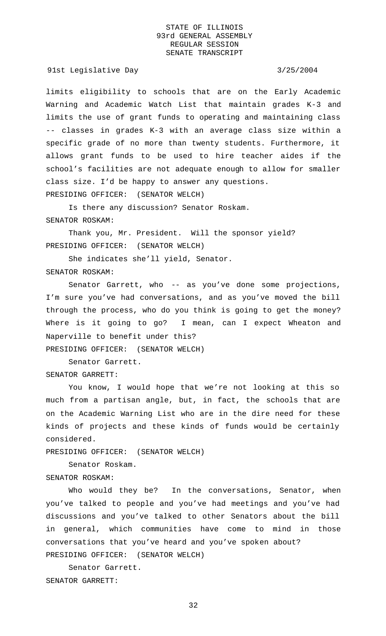91st Legislative Day 3/25/2004

limits eligibility to schools that are on the Early Academic Warning and Academic Watch List that maintain grades K-3 and limits the use of grant funds to operating and maintaining class -- classes in grades K-3 with an average class size within a specific grade of no more than twenty students. Furthermore, it allows grant funds to be used to hire teacher aides if the school's facilities are not adequate enough to allow for smaller class size. I'd be happy to answer any questions. PRESIDING OFFICER: (SENATOR WELCH)

Is there any discussion? Senator Roskam. SENATOR ROSKAM:

Thank you, Mr. President. Will the sponsor yield? PRESIDING OFFICER: (SENATOR WELCH)

She indicates she'll yield, Senator. SENATOR ROSKAM:

Senator Garrett, who -- as you've done some projections, I'm sure you've had conversations, and as you've moved the bill through the process, who do you think is going to get the money? Where is it going to go? I mean, can I expect Wheaton and

PRESIDING OFFICER: (SENATOR WELCH)

Naperville to benefit under this?

Senator Garrett.

SENATOR GARRETT:

You know, I would hope that we're not looking at this so much from a partisan angle, but, in fact, the schools that are on the Academic Warning List who are in the dire need for these kinds of projects and these kinds of funds would be certainly considered.

PRESIDING OFFICER: (SENATOR WELCH)

Senator Roskam.

SENATOR ROSKAM:

Who would they be? In the conversations, Senator, when you've talked to people and you've had meetings and you've had discussions and you've talked to other Senators about the bill in general, which communities have come to mind in those conversations that you've heard and you've spoken about? PRESIDING OFFICER: (SENATOR WELCH)

Senator Garrett. SENATOR GARRETT: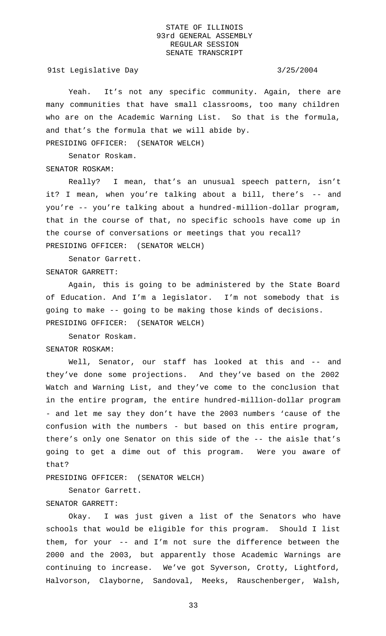91st Legislative Day 3/25/2004

Yeah. It's not any specific community. Again, there are many communities that have small classrooms, too many children who are on the Academic Warning List. So that is the formula, and that's the formula that we will abide by.

PRESIDING OFFICER: (SENATOR WELCH)

Senator Roskam.

# SENATOR ROSKAM:

Really? I mean, that's an unusual speech pattern, isn't it? I mean, when you're talking about a bill, there's -- and you're -- you're talking about a hundred-million-dollar program, that in the course of that, no specific schools have come up in the course of conversations or meetings that you recall? PRESIDING OFFICER: (SENATOR WELCH)

Senator Garrett.

SENATOR GARRETT:

Again, this is going to be administered by the State Board of Education. And I'm a legislator. I'm not somebody that is going to make -- going to be making those kinds of decisions. PRESIDING OFFICER: (SENATOR WELCH)

Senator Roskam. SENATOR ROSKAM:

Well, Senator, our staff has looked at this and -- and they've done some projections. And they've based on the 2002 Watch and Warning List, and they've come to the conclusion that in the entire program, the entire hundred-million-dollar program - and let me say they don't have the 2003 numbers 'cause of the confusion with the numbers - but based on this entire program, there's only one Senator on this side of the -- the aisle that's going to get a dime out of this program. Were you aware of that?

PRESIDING OFFICER: (SENATOR WELCH)

Senator Garrett.

# SENATOR GARRETT:

Okay. I was just given a list of the Senators who have schools that would be eligible for this program. Should I list them, for your -- and I'm not sure the difference between the 2000 and the 2003, but apparently those Academic Warnings are continuing to increase. We've got Syverson, Crotty, Lightford, Halvorson, Clayborne, Sandoval, Meeks, Rauschenberger, Walsh,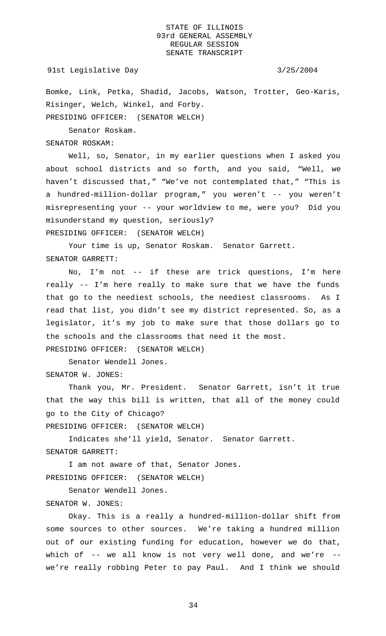### 91st Legislative Day 3/25/2004

Bomke, Link, Petka, Shadid, Jacobs, Watson, Trotter, Geo-Karis, Risinger, Welch, Winkel, and Forby. PRESIDING OFFICER: (SENATOR WELCH)

Senator Roskam.

SENATOR ROSKAM:

Well, so, Senator, in my earlier questions when I asked you about school districts and so forth, and you said, "Well, we haven't discussed that," "We've not contemplated that," "This is a hundred-million-dollar program," you weren't -- you weren't misrepresenting your -- your worldview to me, were you? Did you misunderstand my question, seriously?

PRESIDING OFFICER: (SENATOR WELCH)

Your time is up, Senator Roskam. Senator Garrett. SENATOR GARRETT:

No, I'm not -- if these are trick questions, I'm here really -- I'm here really to make sure that we have the funds that go to the neediest schools, the neediest classrooms. As I read that list, you didn't see my district represented. So, as a legislator, it's my job to make sure that those dollars go to the schools and the classrooms that need it the most. PRESIDING OFFICER: (SENATOR WELCH)

Senator Wendell Jones. SENATOR W. JONES:

Thank you, Mr. President. Senator Garrett, isn't it true that the way this bill is written, that all of the money could go to the City of Chicago?

PRESIDING OFFICER: (SENATOR WELCH)

Indicates she'll yield, Senator. Senator Garrett. SENATOR GARRETT:

I am not aware of that, Senator Jones. PRESIDING OFFICER: (SENATOR WELCH)

Senator Wendell Jones.

# SENATOR W. JONES:

Okay. This is a really a hundred-million-dollar shift from some sources to other sources. We're taking a hundred million out of our existing funding for education, however we do that, which of -- we all know is not very well done, and we're - we're really robbing Peter to pay Paul. And I think we should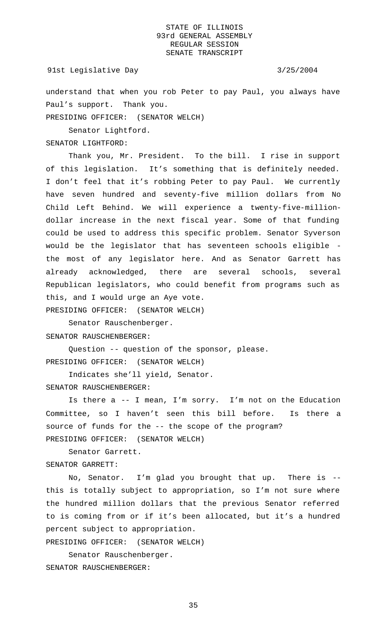### 91st Legislative Day 3/25/2004

understand that when you rob Peter to pay Paul, you always have Paul's support. Thank you.

PRESIDING OFFICER: (SENATOR WELCH)

Senator Lightford.

SENATOR LIGHTFORD:

Thank you, Mr. President. To the bill. I rise in support of this legislation. It's something that is definitely needed. I don't feel that it's robbing Peter to pay Paul. We currently have seven hundred and seventy-five million dollars from No Child Left Behind. We will experience a twenty-five-milliondollar increase in the next fiscal year. Some of that funding could be used to address this specific problem. Senator Syverson would be the legislator that has seventeen schools eligible the most of any legislator here. And as Senator Garrett has already acknowledged, there are several schools, several Republican legislators, who could benefit from programs such as this, and I would urge an Aye vote.

PRESIDING OFFICER: (SENATOR WELCH)

Senator Rauschenberger.

SENATOR RAUSCHENBERGER:

Question -- question of the sponsor, please. PRESIDING OFFICER: (SENATOR WELCH)

Indicates she'll yield, Senator. SENATOR RAUSCHENBERGER:

Is there a -- I mean, I'm sorry. I'm not on the Education Committee, so I haven't seen this bill before. Is there a source of funds for the -- the scope of the program? PRESIDING OFFICER: (SENATOR WELCH)

Senator Garrett. SENATOR GARRETT:

No, Senator. I'm glad you brought that up. There is - this is totally subject to appropriation, so I'm not sure where the hundred million dollars that the previous Senator referred to is coming from or if it's been allocated, but it's a hundred percent subject to appropriation.

PRESIDING OFFICER: (SENATOR WELCH)

Senator Rauschenberger.

SENATOR RAUSCHENBERGER: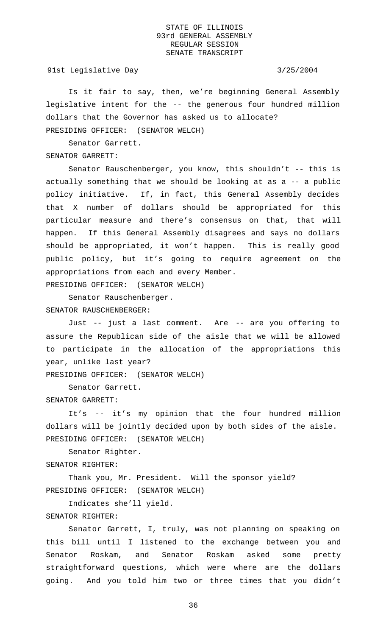91st Legislative Day 3/25/2004

Is it fair to say, then, we're beginning General Assembly legislative intent for the -- the generous four hundred million dollars that the Governor has asked us to allocate?

PRESIDING OFFICER: (SENATOR WELCH)

Senator Garrett.

SENATOR GARRETT:

Senator Rauschenberger, you know, this shouldn't -- this is actually something that we should be looking at as a -- a public policy initiative. If, in fact, this General Assembly decides that X number of dollars should be appropriated for this particular measure and there's consensus on that, that will happen. If this General Assembly disagrees and says no dollars should be appropriated, it won't happen. This is really good public policy, but it's going to require agreement on the appropriations from each and every Member. PRESIDING OFFICER: (SENATOR WELCH)

Senator Rauschenberger. SENATOR RAUSCHENBERGER:

Just -- just a last comment. Are -- are you offering to assure the Republican side of the aisle that we will be allowed to participate in the allocation of the appropriations this year, unlike last year?

PRESIDING OFFICER: (SENATOR WELCH)

Senator Garrett.

SENATOR GARRETT:

It's -- it's my opinion that the four hundred million dollars will be jointly decided upon by both sides of the aisle. PRESIDING OFFICER: (SENATOR WELCH)

Senator Righter. SENATOR RIGHTER:

Thank you, Mr. President. Will the sponsor yield? PRESIDING OFFICER: (SENATOR WELCH)

Indicates she'll yield.

### SENATOR RIGHTER:

Senator Garrett, I, truly, was not planning on speaking on this bill until I listened to the exchange between you and Senator Roskam, and Senator Roskam asked some pretty straightforward questions, which were where are the dollars going. And you told him two or three times that you didn't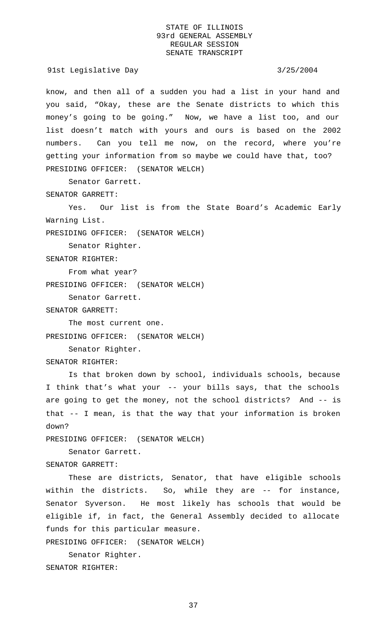91st Legislative Day 3/25/2004

know, and then all of a sudden you had a list in your hand and you said, "Okay, these are the Senate districts to which this money's going to be going." Now, we have a list too, and our list doesn't match with yours and ours is based on the 2002 numbers. Can you tell me now, on the record, where you're getting your information from so maybe we could have that, too? PRESIDING OFFICER: (SENATOR WELCH)

Senator Garrett.

SENATOR GARRETT:

Yes. Our list is from the State Board's Academic Early Warning List.

PRESIDING OFFICER: (SENATOR WELCH)

Senator Righter.

SENATOR RIGHTER:

From what year?

PRESIDING OFFICER: (SENATOR WELCH)

Senator Garrett.

SENATOR GARRETT:

The most current one. PRESIDING OFFICER: (SENATOR WELCH)

Senator Righter.

SENATOR RIGHTER:

Is that broken down by school, individuals schools, because I think that's what your -- your bills says, that the schools are going to get the money, not the school districts? And -- is that -- I mean, is that the way that your information is broken down?

PRESIDING OFFICER: (SENATOR WELCH)

Senator Garrett. SENATOR GARRETT:

These are districts, Senator, that have eligible schools within the districts. So, while they are -- for instance, Senator Syverson. He most likely has schools that would be eligible if, in fact, the General Assembly decided to allocate funds for this particular measure.

PRESIDING OFFICER: (SENATOR WELCH)

Senator Righter. SENATOR RIGHTER: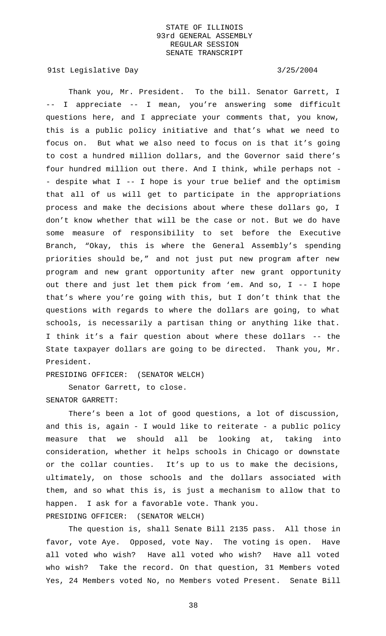91st Legislative Day 3/25/2004

Thank you, Mr. President. To the bill. Senator Garrett, I -- I appreciate -- I mean, you're answering some difficult questions here, and I appreciate your comments that, you know, this is a public policy initiative and that's what we need to focus on. But what we also need to focus on is that it's going to cost a hundred million dollars, and the Governor said there's four hundred million out there. And I think, while perhaps not - - despite what I -- I hope is your true belief and the optimism that all of us will get to participate in the appropriations process and make the decisions about where these dollars go, I don't know whether that will be the case or not. But we do have some measure of responsibility to set before the Executive Branch, "Okay, this is where the General Assembly's spending priorities should be," and not just put new program after new program and new grant opportunity after new grant opportunity out there and just let them pick from 'em. And so, I -- I hope that's where you're going with this, but I don't think that the questions with regards to where the dollars are going, to what schools, is necessarily a partisan thing or anything like that. I think it's a fair question about where these dollars -- the State taxpayer dollars are going to be directed. Thank you, Mr. President.

PRESIDING OFFICER: (SENATOR WELCH)

Senator Garrett, to close.

SENATOR GARRETT:

There's been a lot of good questions, a lot of discussion, and this is, again - I would like to reiterate - a public policy measure that we should all be looking at, taking into consideration, whether it helps schools in Chicago or downstate or the collar counties. It's up to us to make the decisions, ultimately, on those schools and the dollars associated with them, and so what this is, is just a mechanism to allow that to happen. I ask for a favorable vote. Thank you. PRESIDING OFFICER: (SENATOR WELCH)

The question is, shall Senate Bill 2135 pass. All those in favor, vote Aye. Opposed, vote Nay. The voting is open. Have all voted who wish? Have all voted who wish? Have all voted who wish? Take the record. On that question, 31 Members voted Yes, 24 Members voted No, no Members voted Present. Senate Bill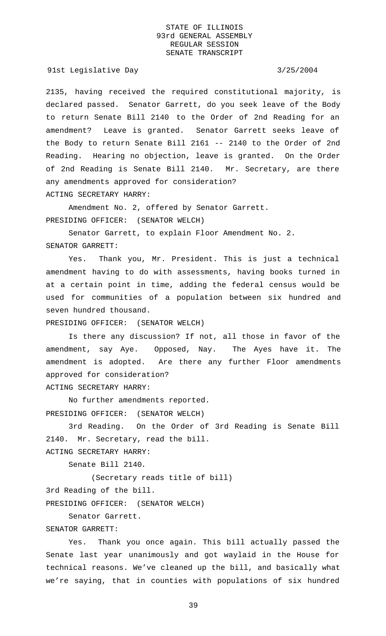91st Legislative Day 3/25/2004

2135, having received the required constitutional majority, is declared passed. Senator Garrett, do you seek leave of the Body to return Senate Bill 2140 to the Order of 2nd Reading for an amendment? Leave is granted. Senator Garrett seeks leave of the Body to return Senate Bill 2161 -- 2140 to the Order of 2nd Reading. Hearing no objection, leave is granted. On the Order of 2nd Reading is Senate Bill 2140. Mr. Secretary, are there any amendments approved for consideration? ACTING SECRETARY HARRY:

Amendment No. 2, offered by Senator Garrett. PRESIDING OFFICER: (SENATOR WELCH)

Senator Garrett, to explain Floor Amendment No. 2. SENATOR GARRETT:

Yes. Thank you, Mr. President. This is just a technical amendment having to do with assessments, having books turned in at a certain point in time, adding the federal census would be used for communities of a population between six hundred and seven hundred thousand.

PRESIDING OFFICER: (SENATOR WELCH)

Is there any discussion? If not, all those in favor of the amendment, say Aye. Opposed, Nay. The Ayes have it. The amendment is adopted. Are there any further Floor amendments approved for consideration?

ACTING SECRETARY HARRY:

No further amendments reported. PRESIDING OFFICER: (SENATOR WELCH)

3rd Reading. On the Order of 3rd Reading is Senate Bill 2140. Mr. Secretary, read the bill.

ACTING SECRETARY HARRY:

Senate Bill 2140.

(Secretary reads title of bill) 3rd Reading of the bill.

PRESIDING OFFICER: (SENATOR WELCH)

Senator Garrett.

# SENATOR GARRETT:

Yes. Thank you once again. This bill actually passed the Senate last year unanimously and got waylaid in the House for technical reasons. We've cleaned up the bill, and basically what we're saying, that in counties with populations of six hundred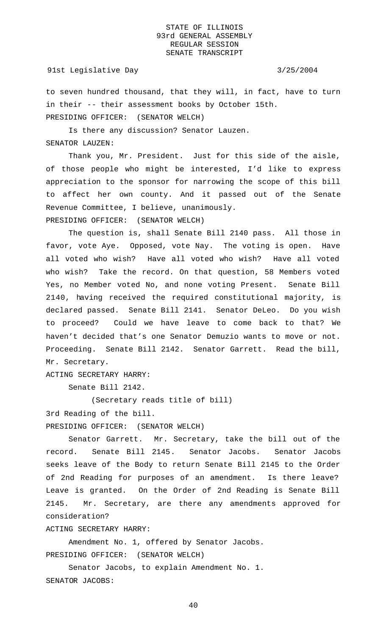# 91st Legislative Day 3/25/2004

to seven hundred thousand, that they will, in fact, have to turn in their -- their assessment books by October 15th. PRESIDING OFFICER: (SENATOR WELCH)

Is there any discussion? Senator Lauzen. SENATOR LAUZEN:

Thank you, Mr. President. Just for this side of the aisle, of those people who might be interested, I'd like to express appreciation to the sponsor for narrowing the scope of this bill to affect her own county. And it passed out of the Senate Revenue Committee, I believe, unanimously. PRESIDING OFFICER: (SENATOR WELCH)

The question is, shall Senate Bill 2140 pass. All those in favor, vote Aye. Opposed, vote Nay. The voting is open. Have all voted who wish? Have all voted who wish? Have all voted who wish? Take the record. On that question, 58 Members voted Yes, no Member voted No, and none voting Present. Senate Bill 2140, having received the required constitutional majority, is declared passed. Senate Bill 2141. Senator DeLeo. Do you wish to proceed? Could we have leave to come back to that? We haven't decided that's one Senator Demuzio wants to move or not. Proceeding. Senate Bill 2142. Senator Garrett. Read the bill, Mr. Secretary.

ACTING SECRETARY HARRY:

Senate Bill 2142.

(Secretary reads title of bill)

3rd Reading of the bill.

PRESIDING OFFICER: (SENATOR WELCH)

Senator Garrett. Mr. Secretary, take the bill out of the record. Senate Bill 2145. Senator Jacobs. Senator Jacobs seeks leave of the Body to return Senate Bill 2145 to the Order of 2nd Reading for purposes of an amendment. Is there leave? Leave is granted. On the Order of 2nd Reading is Senate Bill 2145. Mr. Secretary, are there any amendments approved for consideration?

ACTING SECRETARY HARRY:

Amendment No. 1, offered by Senator Jacobs. PRESIDING OFFICER: (SENATOR WELCH)

Senator Jacobs, to explain Amendment No. 1. SENATOR JACOBS: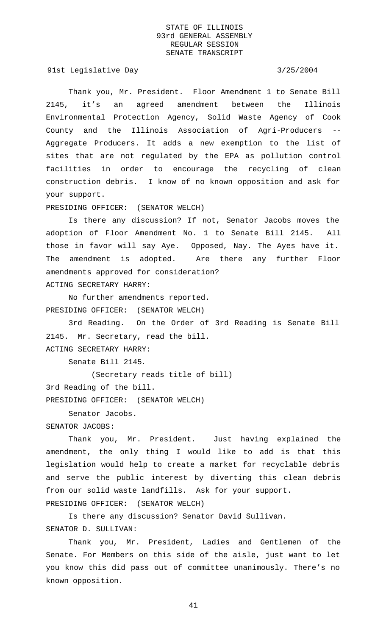91st Legislative Day 3/25/2004

Thank you, Mr. President. Floor Amendment 1 to Senate Bill 2145, it's an agreed amendment between the Illinois Environmental Protection Agency, Solid Waste Agency of Cook County and the Illinois Association of Agri-Producers -- Aggregate Producers. It adds a new exemption to the list of sites that are not regulated by the EPA as pollution control facilities in order to encourage the recycling of clean construction debris. I know of no known opposition and ask for your support.

PRESIDING OFFICER: (SENATOR WELCH)

Is there any discussion? If not, Senator Jacobs moves the adoption of Floor Amendment No. 1 to Senate Bill 2145. All those in favor will say Aye. Opposed, Nay. The Ayes have it. The amendment is adopted. Are there any further Floor amendments approved for consideration? ACTING SECRETARY HARRY:

No further amendments reported. PRESIDING OFFICER: (SENATOR WELCH)

3rd Reading. On the Order of 3rd Reading is Senate Bill 2145. Mr. Secretary, read the bill. ACTING SECRETARY HARRY:

Senate Bill 2145.

(Secretary reads title of bill) 3rd Reading of the bill. PRESIDING OFFICER: (SENATOR WELCH)

Senator Jacobs.

SENATOR JACOBS:

Thank you, Mr. President. Just having explained the amendment, the only thing I would like to add is that this legislation would help to create a market for recyclable debris and serve the public interest by diverting this clean debris from our solid waste landfills. Ask for your support. PRESIDING OFFICER: (SENATOR WELCH)

Is there any discussion? Senator David Sullivan.

SENATOR D. SULLIVAN:

Thank you, Mr. President, Ladies and Gentlemen of the Senate. For Members on this side of the aisle, just want to let you know this did pass out of committee unanimously. There's no known opposition.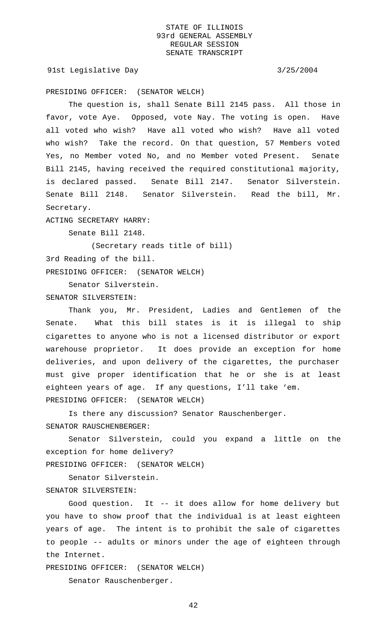91st Legislative Day 3/25/2004

PRESIDING OFFICER: (SENATOR WELCH)

The question is, shall Senate Bill 2145 pass. All those in favor, vote Aye. Opposed, vote Nay. The voting is open. Have all voted who wish? Have all voted who wish? Have all voted who wish? Take the record. On that question, 57 Members voted Yes, no Member voted No, and no Member voted Present. Senate Bill 2145, having received the required constitutional majority, is declared passed. Senate Bill 2147. Senator Silverstein. Senate Bill 2148. Senator Silverstein. Read the bill, Mr. Secretary.

ACTING SECRETARY HARRY:

Senate Bill 2148.

(Secretary reads title of bill) 3rd Reading of the bill.

PRESIDING OFFICER: (SENATOR WELCH)

Senator Silverstein. SENATOR SILVERSTEIN:

Thank you, Mr. President, Ladies and Gentlemen of the Senate. What this bill states is it is illegal to ship cigarettes to anyone who is not a licensed distributor or export warehouse proprietor. It does provide an exception for home deliveries, and upon delivery of the cigarettes, the purchaser must give proper identification that he or she is at least eighteen years of age. If any questions, I'll take 'em. PRESIDING OFFICER: (SENATOR WELCH)

Is there any discussion? Senator Rauschenberger. SENATOR RAUSCHENBERGER:

Senator Silverstein, could you expand a little on the exception for home delivery? PRESIDING OFFICER: (SENATOR WELCH)

Senator Silverstein.

SENATOR SILVERSTEIN:

Good question. It -- it does allow for home delivery but you have to show proof that the individual is at least eighteen years of age. The intent is to prohibit the sale of cigarettes to people -- adults or minors under the age of eighteen through the Internet.

PRESIDING OFFICER: (SENATOR WELCH)

Senator Rauschenberger.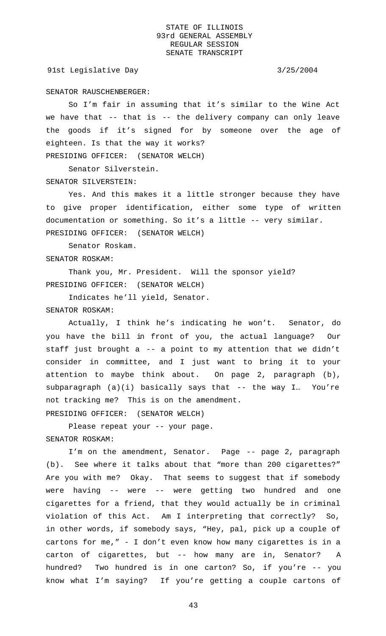91st Legislative Day 3/25/2004

### SENATOR RAUSCHENBERGER:

So I'm fair in assuming that it's similar to the Wine Act we have that -- that is -- the delivery company can only leave the goods if it's signed for by someone over the age of eighteen. Is that the way it works?

PRESIDING OFFICER: (SENATOR WELCH)

Senator Silverstein. SENATOR SILVERSTEIN:

Yes. And this makes it a little stronger because they have to give proper identification, either some type of written documentation or something. So it's a little -- very similar. PRESIDING OFFICER: (SENATOR WELCH)

Senator Roskam. SENATOR ROSKAM:

Thank you, Mr. President. Will the sponsor yield? PRESIDING OFFICER: (SENATOR WELCH)

Indicates he'll yield, Senator. SENATOR ROSKAM:

Actually, I think he's indicating he won't. Senator, do you have the bill in front of you, the actual language? Our staff just brought a -- a point to my attention that we didn't consider in committee, and I just want to bring it to your attention to maybe think about. On page 2, paragraph (b), subparagraph (a)(i) basically says that -- the way I... You're not tracking me? This is on the amendment.

PRESIDING OFFICER: (SENATOR WELCH)

Please repeat your -- your page. SENATOR ROSKAM:

I'm on the amendment, Senator. Page -- page 2, paragraph (b). See where it talks about that "more than 200 cigarettes?" Are you with me? Okay. That seems to suggest that if somebody were having -- were -- were getting two hundred and one cigarettes for a friend, that they would actually be in criminal violation of this Act. Am I interpreting that correctly? So, in other words, if somebody says, "Hey, pal, pick up a couple of cartons for me," - I don't even know how many cigarettes is in a carton of cigarettes, but -- how many are in, Senator? A hundred? Two hundred is in one carton? So, if you're -- you know what I'm saying? If you're getting a couple cartons of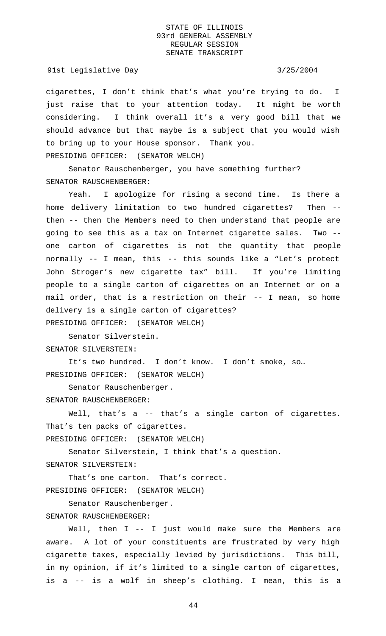### 91st Legislative Day 3/25/2004

cigarettes, I don't think that's what you're trying to do. I just raise that to your attention today. It might be worth considering. I think overall it's a very good bill that we should advance but that maybe is a subject that you would wish to bring up to your House sponsor. Thank you. PRESIDING OFFICER: (SENATOR WELCH)

Senator Rauschenberger, you have something further? SENATOR RAUSCHENBERGER:

Yeah. I apologize for rising a second time. Is there a home delivery limitation to two hundred cigarettes? Then - then -- then the Members need to then understand that people are going to see this as a tax on Internet cigarette sales. Two - one carton of cigarettes is not the quantity that people normally -- I mean, this -- this sounds like a "Let's protect John Stroger's new cigarette tax" bill. If you're limiting people to a single carton of cigarettes on an Internet or on a mail order, that is a restriction on their -- I mean, so home delivery is a single carton of cigarettes? PRESIDING OFFICER: (SENATOR WELCH)

Senator Silverstein. SENATOR SILVERSTEIN:

It's two hundred. I don't know. I don't smoke, so… PRESIDING OFFICER: (SENATOR WELCH)

Senator Rauschenberger. SENATOR RAUSCHENBERGER:

Well, that's a -- that's a single carton of cigarettes. That's ten packs of cigarettes.

PRESIDING OFFICER: (SENATOR WELCH)

Senator Silverstein, I think that's a question. SENATOR SILVERSTEIN:

That's one carton. That's correct. PRESIDING OFFICER: (SENATOR WELCH)

Senator Rauschenberger.

SENATOR RAUSCHENBERGER:

Well, then I -- I just would make sure the Members are aware. A lot of your constituents are frustrated by very high cigarette taxes, especially levied by jurisdictions. This bill, in my opinion, if it's limited to a single carton of cigarettes, is a -- is a wolf in sheep's clothing. I mean, this is a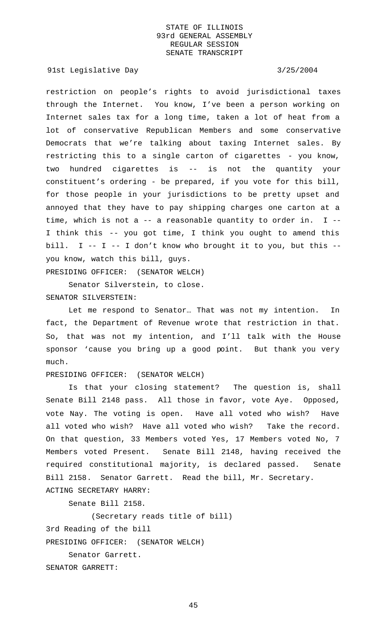91st Legislative Day 3/25/2004

restriction on people's rights to avoid jurisdictional taxes through the Internet. You know, I've been a person working on Internet sales tax for a long time, taken a lot of heat from a lot of conservative Republican Members and some conservative Democrats that we're talking about taxing Internet sales. By restricting this to a single carton of cigarettes - you know, two hundred cigarettes is -- is not the quantity your constituent's ordering - be prepared, if you vote for this bill, for those people in your jurisdictions to be pretty upset and annoyed that they have to pay shipping charges one carton at a time, which is not a  $-$  a reasonable quantity to order in. I  $-$ I think this -- you got time, I think you ought to amend this bill. I -- I -- I don't know who brought it to you, but this -you know, watch this bill, guys.

PRESIDING OFFICER: (SENATOR WELCH)

Senator Silverstein, to close. SENATOR SILVERSTEIN:

Let me respond to Senator… That was not my intention. In fact, the Department of Revenue wrote that restriction in that. So, that was not my intention, and I'll talk with the House sponsor 'cause you bring up a good point. But thank you very much.

## PRESIDING OFFICER: (SENATOR WELCH)

Is that your closing statement? The question is, shall Senate Bill 2148 pass. All those in favor, vote Aye. Opposed, vote Nay. The voting is open. Have all voted who wish? Have all voted who wish? Have all voted who wish? Take the record. On that question, 33 Members voted Yes, 17 Members voted No, 7 Members voted Present. Senate Bill 2148, having received the required constitutional majority, is declared passed. Senate Bill 2158. Senator Garrett. Read the bill, Mr. Secretary. ACTING SECRETARY HARRY:

Senate Bill 2158.

(Secretary reads title of bill) 3rd Reading of the bill PRESIDING OFFICER: (SENATOR WELCH) Senator Garrett. SENATOR GARRETT: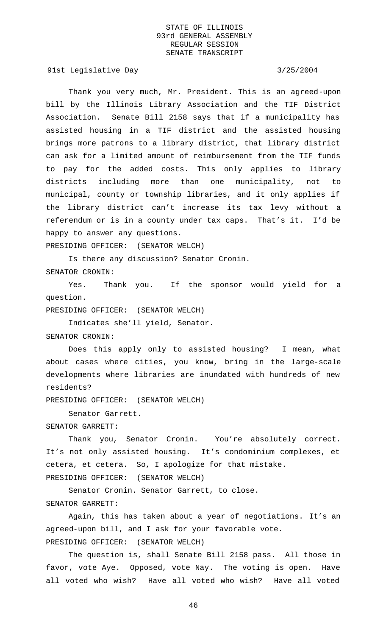91st Legislative Day 3/25/2004

Thank you very much, Mr. President. This is an agreed-upon bill by the Illinois Library Association and the TIF District Association. Senate Bill 2158 says that if a municipality has assisted housing in a TIF district and the assisted housing brings more patrons to a library district, that library district can ask for a limited amount of reimbursement from the TIF funds to pay for the added costs. This only applies to library districts including more than one municipality, not to municipal, county or township libraries, and it only applies if the library district can't increase its tax levy without a referendum or is in a county under tax caps. That's it. I'd be happy to answer any questions.

PRESIDING OFFICER: (SENATOR WELCH)

Is there any discussion? Senator Cronin.

SENATOR CRONIN:

Yes. Thank you. If the sponsor would yield for a question.

PRESIDING OFFICER: (SENATOR WELCH)

Indicates she'll yield, Senator.

SENATOR CRONIN:

Does this apply only to assisted housing? I mean, what about cases where cities, you know, bring in the large-scale developments where libraries are inundated with hundreds of new residents?

PRESIDING OFFICER: (SENATOR WELCH)

Senator Garrett.

### SENATOR GARRETT:

Thank you, Senator Cronin. You're absolutely correct. It's not only assisted housing. It's condominium complexes, et cetera, et cetera. So, I apologize for that mistake.

PRESIDING OFFICER: (SENATOR WELCH)

Senator Cronin. Senator Garrett, to close.

# SENATOR GARRETT:

Again, this has taken about a year of negotiations. It's an agreed-upon bill, and I ask for your favorable vote. PRESIDING OFFICER: (SENATOR WELCH)

The question is, shall Senate Bill 2158 pass. All those in favor, vote Aye. Opposed, vote Nay. The voting is open. Have all voted who wish? Have all voted who wish? Have all voted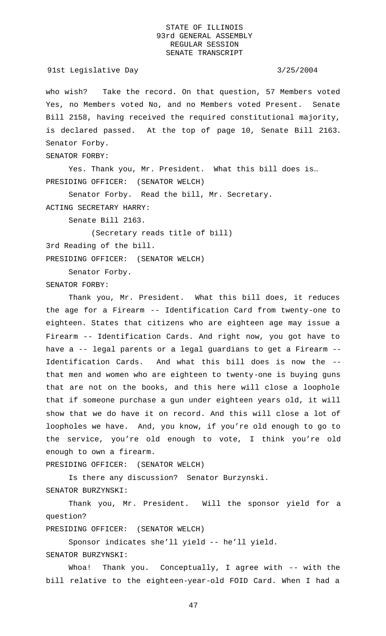who wish? Take the record. On that question, 57 Members voted Yes, no Members voted No, and no Members voted Present. Senate Bill 2158, having received the required constitutional majority, is declared passed. At the top of page 10, Senate Bill 2163. Senator Forby.

SENATOR FORBY:

Yes. Thank you, Mr. President. What this bill does is… PRESIDING OFFICER: (SENATOR WELCH)

Senator Forby. Read the bill, Mr. Secretary. ACTING SECRETARY HARRY:

Senate Bill 2163.

(Secretary reads title of bill)

3rd Reading of the bill.

PRESIDING OFFICER: (SENATOR WELCH)

Senator Forby.

SENATOR FORBY:

Thank you, Mr. President. What this bill does, it reduces the age for a Firearm -- Identification Card from twenty-one to eighteen. States that citizens who are eighteen age may issue a Firearm -- Identification Cards. And right now, you got have to have a -- legal parents or a legal guardians to get a Firearm -- Identification Cards. And what this bill does is now the - that men and women who are eighteen to twenty-one is buying guns that are not on the books, and this here will close a loophole that if someone purchase a gun under eighteen years old, it will show that we do have it on record. And this will close a lot of loopholes we have. And, you know, if you're old enough to go to the service, you're old enough to vote, I think you're old enough to own a firearm.

PRESIDING OFFICER: (SENATOR WELCH)

Is there any discussion? Senator Burzynski.

SENATOR BURZYNSKI:

Thank you, Mr. President. Will the sponsor yield for a question?

PRESIDING OFFICER: (SENATOR WELCH)

Sponsor indicates she'll yield -- he'll yield.

SENATOR BURZYNSKI:

Whoa! Thank you. Conceptually, I agree with -- with the bill relative to the eighteen-year-old FOID Card. When I had a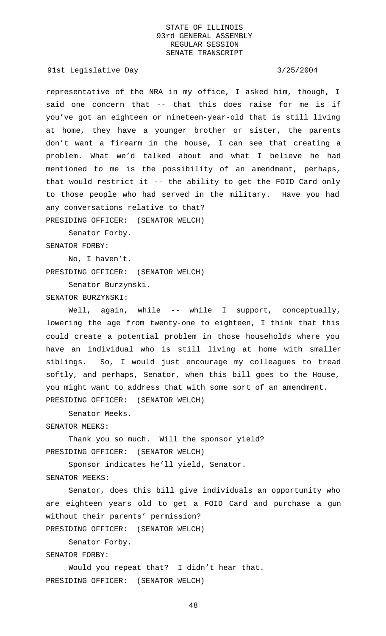91st Legislative Day 3/25/2004

representative of the NRA in my office, I asked him, though, I said one concern that -- that this does raise for me is if you've got an eighteen or nineteen-year-old that is still living at home, they have a younger brother or sister, the parents don't want a firearm in the house, I can see that creating a problem. What we'd talked about and what I believe he had mentioned to me is the possibility of an amendment, perhaps, that would restrict it -- the ability to get the FOID Card only to those people who had served in the military. Have you had any conversations relative to that? PRESIDING OFFICER: (SENATOR WELCH)

Senator Forby.

SENATOR FORBY:

No, I haven't.

PRESIDING OFFICER: (SENATOR WELCH)

Senator Burzynski.

SENATOR BURZYNSKI:

Well, again, while -- while I support, conceptually, lowering the age from twenty-one to eighteen, I think that this could create a potential problem in those households where you have an individual who is still living at home with smaller siblings. So, I would just encourage my colleagues to tread softly, and perhaps, Senator, when this bill goes to the House, you might want to address that with some sort of an amendment. PRESIDING OFFICER: (SENATOR WELCH)

Senator Meeks.

SENATOR MEEKS:

Thank you so much. Will the sponsor yield? PRESIDING OFFICER: (SENATOR WELCH)

Sponsor indicates he'll yield, Senator.

SENATOR MEEKS:

Senator, does this bill give individuals an opportunity who are eighteen years old to get a FOID Card and purchase a gun without their parents' permission?

PRESIDING OFFICER: (SENATOR WELCH)

Senator Forby.

SENATOR FORBY:

Would you repeat that? I didn't hear that. PRESIDING OFFICER: (SENATOR WELCH)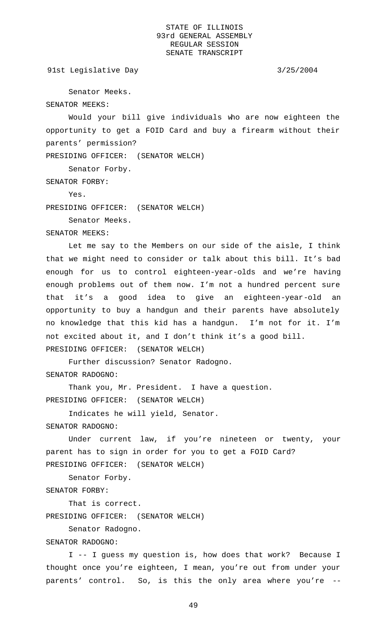91st Legislative Day 3/25/2004

Senator Meeks.

SENATOR MEEKS:

Would your bill give individuals who are now eighteen the opportunity to get a FOID Card and buy a firearm without their parents' permission?

PRESIDING OFFICER: (SENATOR WELCH)

Senator Forby.

SENATOR FORBY:

Yes.

PRESIDING OFFICER: (SENATOR WELCH)

Senator Meeks.

SENATOR MEEKS:

Let me say to the Members on our side of the aisle, I think that we might need to consider or talk about this bill. It's bad enough for us to control eighteen-year-olds and we're having enough problems out of them now. I'm not a hundred percent sure that it's a good idea to give an eighteen-year-old an opportunity to buy a handgun and their parents have absolutely no knowledge that this kid has a handgun. I'm not for it. I'm not excited about it, and I don't think it's a good bill. PRESIDING OFFICER: (SENATOR WELCH)

Further discussion? Senator Radogno. SENATOR RADOGNO:

Thank you, Mr. President. I have a question. PRESIDING OFFICER: (SENATOR WELCH)

Indicates he will yield, Senator.

SENATOR RADOGNO:

Under current law, if you're nineteen or twenty, your parent has to sign in order for you to get a FOID Card? PRESIDING OFFICER: (SENATOR WELCH)

Senator Forby. SENATOR FORBY:

That is correct.

PRESIDING OFFICER: (SENATOR WELCH)

Senator Radogno.

SENATOR RADOGNO:

I -- I guess my question is, how does that work? Because I thought once you're eighteen, I mean, you're out from under your parents' control. So, is this the only area where you're --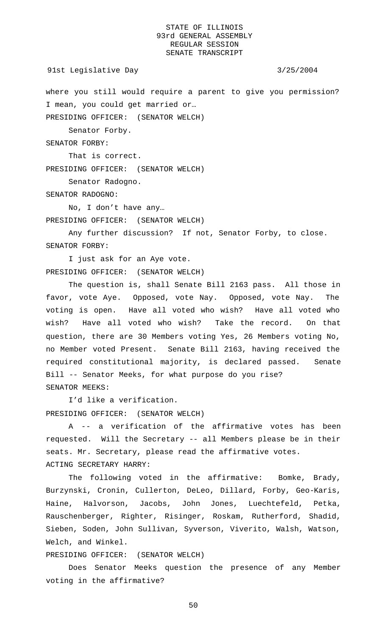91st Legislative Day 3/25/2004

where you still would require a parent to give you permission? I mean, you could get married or…

PRESIDING OFFICER: (SENATOR WELCH)

Senator Forby.

SENATOR FORBY:

That is correct.

PRESIDING OFFICER: (SENATOR WELCH)

Senator Radogno.

SENATOR RADOGNO:

No, I don't have any… PRESIDING OFFICER: (SENATOR WELCH)

Any further discussion? If not, Senator Forby, to close. SENATOR FORBY:

I just ask for an Aye vote. PRESIDING OFFICER: (SENATOR WELCH)

The question is, shall Senate Bill 2163 pass. All those in favor, vote Aye. Opposed, vote Nay. Opposed, vote Nay. The voting is open. Have all voted who wish? Have all voted who wish? Have all voted who wish? Take the record. On that question, there are 30 Members voting Yes, 26 Members voting No, no Member voted Present. Senate Bill 2163, having received the required constitutional majority, is declared passed. Senate Bill -- Senator Meeks, for what purpose do you rise? SENATOR MEEKS:

I'd like a verification.

PRESIDING OFFICER: (SENATOR WELCH)

A -- a verification of the affirmative votes has been requested. Will the Secretary -- all Members please be in their seats. Mr. Secretary, please read the affirmative votes. ACTING SECRETARY HARRY:

The following voted in the affirmative: Bomke, Brady, Burzynski, Cronin, Cullerton, DeLeo, Dillard, Forby, Geo-Karis, Haine, Halvorson, Jacobs, John Jones, Luechtefeld, Petka, Rauschenberger, Righter, Risinger, Roskam, Rutherford, Shadid, Sieben, Soden, John Sullivan, Syverson, Viverito, Walsh, Watson, Welch, and Winkel.

PRESIDING OFFICER: (SENATOR WELCH)

Does Senator Meeks question the presence of any Member voting in the affirmative?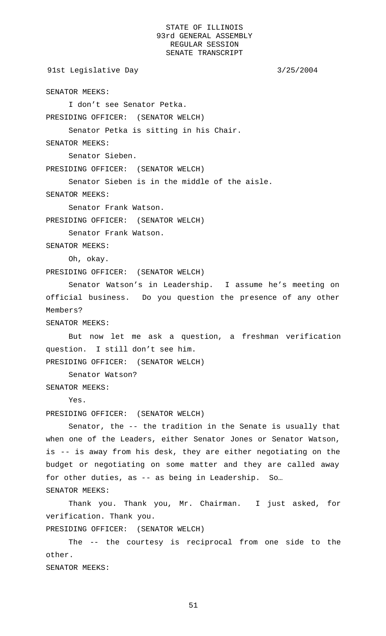91st Legislative Day 3/25/2004

SENATOR MEEKS:

I don't see Senator Petka.

PRESIDING OFFICER: (SENATOR WELCH)

Senator Petka is sitting in his Chair.

SENATOR MEEKS:

Senator Sieben.

PRESIDING OFFICER: (SENATOR WELCH)

Senator Sieben is in the middle of the aisle.

SENATOR MEEKS:

Senator Frank Watson.

PRESIDING OFFICER: (SENATOR WELCH)

Senator Frank Watson.

SENATOR MEEKS:

Oh, okay.

PRESIDING OFFICER: (SENATOR WELCH)

Senator Watson's in Leadership. I assume he's meeting on official business. Do you question the presence of any other Members?

SENATOR MEEKS:

But now let me ask a question, a freshman verification question. I still don't see him.

PRESIDING OFFICER: (SENATOR WELCH)

Senator Watson?

SENATOR MEEKS:

Yes.

PRESIDING OFFICER: (SENATOR WELCH)

Senator, the -- the tradition in the Senate is usually that when one of the Leaders, either Senator Jones or Senator Watson, is -- is away from his desk, they are either negotiating on the budget or negotiating on some matter and they are called away for other duties, as -- as being in Leadership. So… SENATOR MEEKS:

Thank you. Thank you, Mr. Chairman. I just asked, for verification. Thank you.

PRESIDING OFFICER: (SENATOR WELCH)

The -- the courtesy is reciprocal from one side to the other.

SENATOR MEEKS: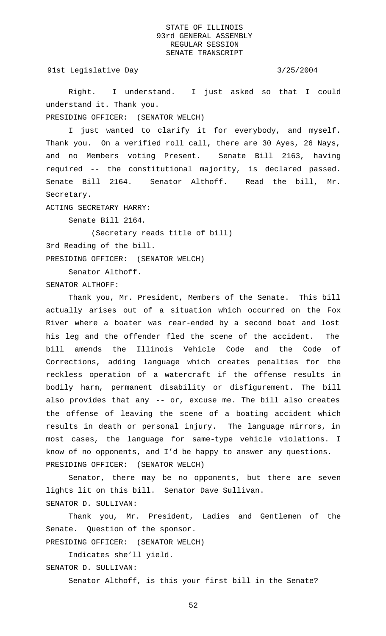91st Legislative Day 3/25/2004

Right. I understand. I just asked so that I could understand it. Thank you.

PRESIDING OFFICER: (SENATOR WELCH)

I just wanted to clarify it for everybody, and myself. Thank you. On a verified roll call, there are 30 Ayes, 26 Nays, and no Members voting Present. Senate Bill 2163, having required -- the constitutional majority, is declared passed. Senate Bill 2164. Senator Althoff. Read the bill, Mr. Secretary.

ACTING SECRETARY HARRY:

Senate Bill 2164.

(Secretary reads title of bill)

3rd Reading of the bill.

PRESIDING OFFICER: (SENATOR WELCH)

Senator Althoff.

SENATOR ALTHOFF:

Thank you, Mr. President, Members of the Senate. This bill actually arises out of a situation which occurred on the Fox River where a boater was rear-ended by a second boat and lost his leg and the offender fled the scene of the accident. The bill amends the Illinois Vehicle Code and the Code of Corrections, adding language which creates penalties for the reckless operation of a watercraft if the offense results in bodily harm, permanent disability or disfigurement. The bill also provides that any -- or, excuse me. The bill also creates the offense of leaving the scene of a boating accident which results in death or personal injury. The language mirrors, in most cases, the language for same-type vehicle violations. I know of no opponents, and I'd be happy to answer any questions. PRESIDING OFFICER: (SENATOR WELCH)

Senator, there may be no opponents, but there are seven lights lit on this bill. Senator Dave Sullivan. SENATOR D. SULLIVAN:

Thank you, Mr. President, Ladies and Gentlemen of the Senate. Question of the sponsor.

PRESIDING OFFICER: (SENATOR WELCH)

Indicates she'll yield.

SENATOR D. SULLIVAN: Senator Althoff, is this your first bill in the Senate?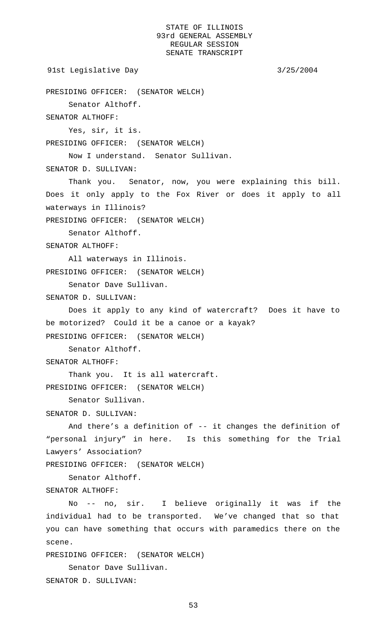```
91st Legislative Day 3/25/2004
```

```
PRESIDING OFFICER: (SENATOR WELCH)
```
Senator Althoff.

SENATOR ALTHOFF:

Yes, sir, it is. PRESIDING OFFICER: (SENATOR WELCH)

Now I understand. Senator Sullivan.

SENATOR D. SULLIVAN:

Thank you. Senator, now, you were explaining this bill. Does it only apply to the Fox River or does it apply to all waterways in Illinois?

PRESIDING OFFICER: (SENATOR WELCH)

Senator Althoff.

SENATOR ALTHOFF:

All waterways in Illinois. PRESIDING OFFICER: (SENATOR WELCH)

Senator Dave Sullivan.

SENATOR D. SULLIVAN:

Does it apply to any kind of watercraft? Does it have to be motorized? Could it be a canoe or a kayak? PRESIDING OFFICER: (SENATOR WELCH)

Senator Althoff.

SENATOR ALTHOFF:

Thank you. It is all watercraft. PRESIDING OFFICER: (SENATOR WELCH)

Senator Sullivan.

SENATOR D. SULLIVAN:

And there's a definition of -- it changes the definition of "personal injury" in here. Is this something for the Trial Lawyers' Association?

PRESIDING OFFICER: (SENATOR WELCH)

Senator Althoff.

SENATOR ALTHOFF:

No -- no, sir. I believe originally it was if the individual had to be transported. We've changed that so that you can have something that occurs with paramedics there on the scene.

PRESIDING OFFICER: (SENATOR WELCH)

Senator Dave Sullivan. SENATOR D. SULLIVAN: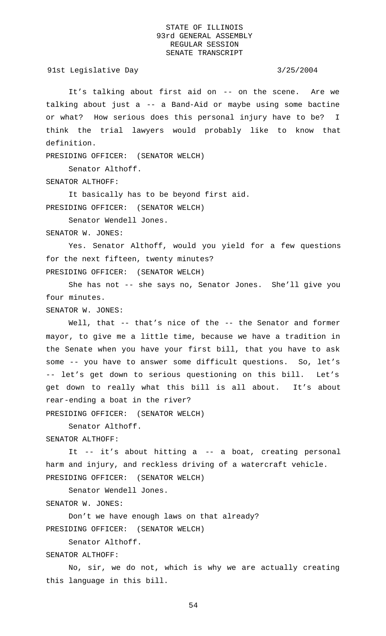91st Legislative Day 3/25/2004

It's talking about first aid on -- on the scene. Are we talking about just a -- a Band-Aid or maybe using some bactine or what? How serious does this personal injury have to be? I think the trial lawyers would probably like to know that definition.

PRESIDING OFFICER: (SENATOR WELCH)

Senator Althoff.

SENATOR ALTHOFF:

It basically has to be beyond first aid.

PRESIDING OFFICER: (SENATOR WELCH)

Senator Wendell Jones. SENATOR W. JONES:

Yes. Senator Althoff, would you yield for a few questions for the next fifteen, twenty minutes? PRESIDING OFFICER: (SENATOR WELCH)

She has not -- she says no, Senator Jones. She'll give you four minutes.

SENATOR W. JONES:

Well, that -- that's nice of the -- the Senator and former mayor, to give me a little time, because we have a tradition in the Senate when you have your first bill, that you have to ask some -- you have to answer some difficult questions. So, let's -- let's get down to serious questioning on this bill. Let's get down to really what this bill is all about. It's about rear-ending a boat in the river?

PRESIDING OFFICER: (SENATOR WELCH)

Senator Althoff.

SENATOR ALTHOFF:

It -- it's about hitting a -- a boat, creating personal harm and injury, and reckless driving of a watercraft vehicle. PRESIDING OFFICER: (SENATOR WELCH)

Senator Wendell Jones.

SENATOR W. JONES:

Don't we have enough laws on that already?

PRESIDING OFFICER: (SENATOR WELCH)

Senator Althoff.

SENATOR ALTHOFF:

No, sir, we do not, which is why we are actually creating this language in this bill.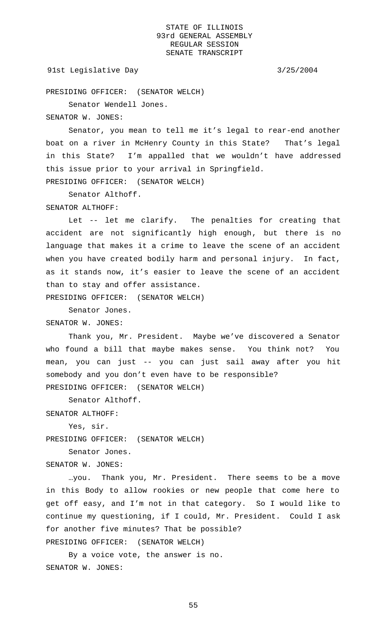### 91st Legislative Day 3/25/2004

PRESIDING OFFICER: (SENATOR WELCH)

Senator Wendell Jones.

SENATOR W. JONES:

Senator, you mean to tell me it's legal to rear-end another boat on a river in McHenry County in this State? That's legal in this State? I'm appalled that we wouldn't have addressed this issue prior to your arrival in Springfield. PRESIDING OFFICER: (SENATOR WELCH)

Senator Althoff.

### SENATOR ALTHOFF:

Let -- let me clarify. The penalties for creating that accident are not significantly high enough, but there is no language that makes it a crime to leave the scene of an accident when you have created bodily harm and personal injury. In fact, as it stands now, it's easier to leave the scene of an accident than to stay and offer assistance.

PRESIDING OFFICER: (SENATOR WELCH)

Senator Jones.

SENATOR W. JONES:

Thank you, Mr. President. Maybe we've discovered a Senator who found a bill that maybe makes sense. You think not? You mean, you can just -- you can just sail away after you hit somebody and you don't even have to be responsible? PRESIDING OFFICER: (SENATOR WELCH)

Senator Althoff.

SENATOR ALTHOFF:

Yes, sir.

PRESIDING OFFICER: (SENATOR WELCH)

Senator Jones.

SENATOR W. JONES:

…you. Thank you, Mr. President. There seems to be a move in this Body to allow rookies or new people that come here to get off easy, and I'm not in that category. So I would like to continue my questioning, if I could, Mr. President. Could I ask for another five minutes? That be possible?

PRESIDING OFFICER: (SENATOR WELCH)

By a voice vote, the answer is no. SENATOR W. JONES: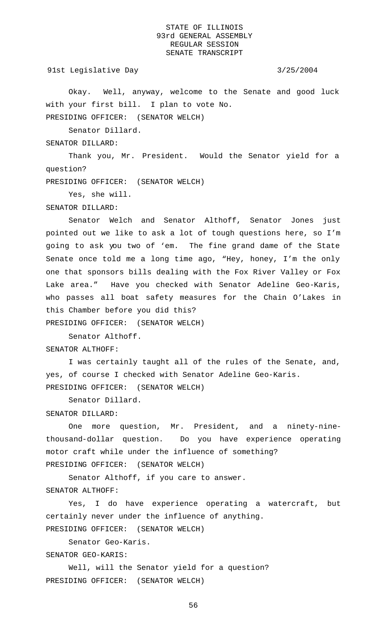91st Legislative Day 3/25/2004

Okay. Well, anyway, welcome to the Senate and good luck with your first bill. I plan to vote No. PRESIDING OFFICER: (SENATOR WELCH)

Senator Dillard.

SENATOR DILLARD:

Thank you, Mr. President. Would the Senator yield for a question?

PRESIDING OFFICER: (SENATOR WELCH)

Yes, she will.

## SENATOR DILLARD:

Senator Welch and Senator Althoff, Senator Jones just pointed out we like to ask a lot of tough questions here, so I'm going to ask you two of 'em. The fine grand dame of the State Senate once told me a long time ago, "Hey, honey, I'm the only one that sponsors bills dealing with the Fox River Valley or Fox Lake area." Have you checked with Senator Adeline Geo-Karis, who passes all boat safety measures for the Chain O'Lakes in this Chamber before you did this? PRESIDING OFFICER: (SENATOR WELCH)

Senator Althoff.

SENATOR ALTHOFF:

I was certainly taught all of the rules of the Senate, and, yes, of course I checked with Senator Adeline Geo-Karis. PRESIDING OFFICER: (SENATOR WELCH)

Senator Dillard.

### SENATOR DILLARD:

One more question, Mr. President, and a ninety-ninethousand-dollar question. Do you have experience operating motor craft while under the influence of something? PRESIDING OFFICER: (SENATOR WELCH)

Senator Althoff, if you care to answer. SENATOR ALTHOFF:

Yes, I do have experience operating a watercraft, but certainly never under the influence of anything. PRESIDING OFFICER: (SENATOR WELCH)

Senator Geo-Karis. SENATOR GEO-KARIS:

Well, will the Senator yield for a question? PRESIDING OFFICER: (SENATOR WELCH)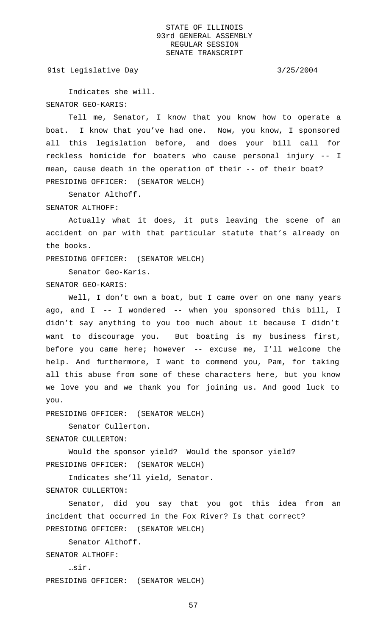91st Legislative Day 3/25/2004

Indicates she will. SENATOR GEO-KARIS:

Tell me, Senator, I know that you know how to operate a boat. I know that you've had one. Now, you know, I sponsored all this legislation before, and does your bill call for reckless homicide for boaters who cause personal injury -- I mean, cause death in the operation of their -- of their boat? PRESIDING OFFICER: (SENATOR WELCH)

Senator Althoff.

### SENATOR ALTHOFF:

Actually what it does, it puts leaving the scene of an accident on par with that particular statute that's already on the books.

PRESIDING OFFICER: (SENATOR WELCH)

Senator Geo-Karis. SENATOR GEO-KARIS:

Well, I don't own a boat, but I came over on one many years ago, and I -- I wondered -- when you sponsored this bill, I didn't say anything to you too much about it because I didn't want to discourage you. But boating is my business first, before you came here; however -- excuse me, I'll welcome the help. And furthermore, I want to commend you, Pam, for taking all this abuse from some of these characters here, but you know we love you and we thank you for joining us. And good luck to you.

PRESIDING OFFICER: (SENATOR WELCH)

Senator Cullerton.

SENATOR CULLERTON:

Would the sponsor yield? Would the sponsor yield? PRESIDING OFFICER: (SENATOR WELCH)

Indicates she'll yield, Senator.

SENATOR CULLERTON:

Senator, did you say that you got this idea from an incident that occurred in the Fox River? Is that correct? PRESIDING OFFICER: (SENATOR WELCH)

Senator Althoff.

SENATOR ALTHOFF:

…sir.

PRESIDING OFFICER: (SENATOR WELCH)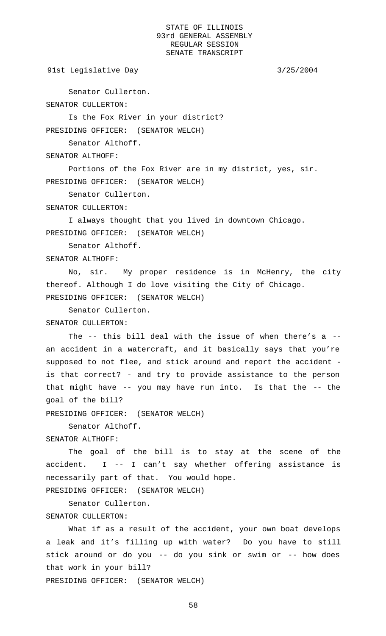91st Legislative Day 3/25/2004

Senator Cullerton.

SENATOR CULLERTON:

Is the Fox River in your district?

PRESIDING OFFICER: (SENATOR WELCH)

Senator Althoff.

SENATOR ALTHOFF:

Portions of the Fox River are in my district, yes, sir. PRESIDING OFFICER: (SENATOR WELCH)

Senator Cullerton.

SENATOR CULLERTON:

I always thought that you lived in downtown Chicago. PRESIDING OFFICER: (SENATOR WELCH)

Senator Althoff.

SENATOR ALTHOFF:

No, sir. My proper residence is in McHenry, the city thereof. Although I do love visiting the City of Chicago. PRESIDING OFFICER: (SENATOR WELCH)

Senator Cullerton.

SENATOR CULLERTON:

The -- this bill deal with the issue of when there's a - an accident in a watercraft, and it basically says that you're supposed to not flee, and stick around and report the accident is that correct? - and try to provide assistance to the person that might have -- you may have run into. Is that the -- the goal of the bill?

PRESIDING OFFICER: (SENATOR WELCH)

Senator Althoff.

SENATOR ALTHOFF:

The goal of the bill is to stay at the scene of the accident. I -- I can't say whether offering assistance is necessarily part of that. You would hope.

PRESIDING OFFICER: (SENATOR WELCH)

Senator Cullerton. SENATOR CULLERTON:

What if as a result of the accident, your own boat develops a leak and it's filling up with water? Do you have to still stick around or do you -- do you sink or swim or -- how does that work in your bill? PRESIDING OFFICER: (SENATOR WELCH)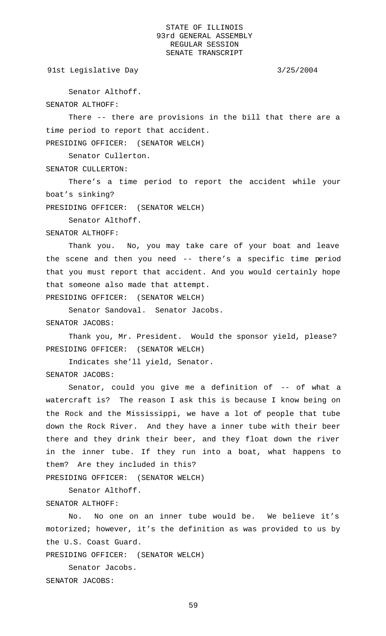91st Legislative Day 3/25/2004

Senator Althoff.

SENATOR ALTHOFF:

There -- there are provisions in the bill that there are a time period to report that accident.

PRESIDING OFFICER: (SENATOR WELCH)

Senator Cullerton.

SENATOR CULLERTON:

There's a time period to report the accident while your boat's sinking?

PRESIDING OFFICER: (SENATOR WELCH)

Senator Althoff.

SENATOR ALTHOFF:

Thank you. No, you may take care of your boat and leave the scene and then you need -- there's a specific time period that you must report that accident. And you would certainly hope that someone also made that attempt.

PRESIDING OFFICER: (SENATOR WELCH)

Senator Sandoval. Senator Jacobs. SENATOR JACOBS:

Thank you, Mr. President. Would the sponsor yield, please? PRESIDING OFFICER: (SENATOR WELCH)

Indicates she'll yield, Senator.

SENATOR JACOBS:

Senator, could you give me a definition of -- of what a watercraft is? The reason I ask this is because I know being on the Rock and the Mississippi, we have a lot of people that tube down the Rock River. And they have a inner tube with their beer there and they drink their beer, and they float down the river in the inner tube. If they run into a boat, what happens to them? Are they included in this?

PRESIDING OFFICER: (SENATOR WELCH)

Senator Althoff.

SENATOR ALTHOFF:

No. No one on an inner tube would be. We believe it's motorized; however, it's the definition as was provided to us by the U.S. Coast Guard.

PRESIDING OFFICER: (SENATOR WELCH)

Senator Jacobs.

SENATOR JACOBS: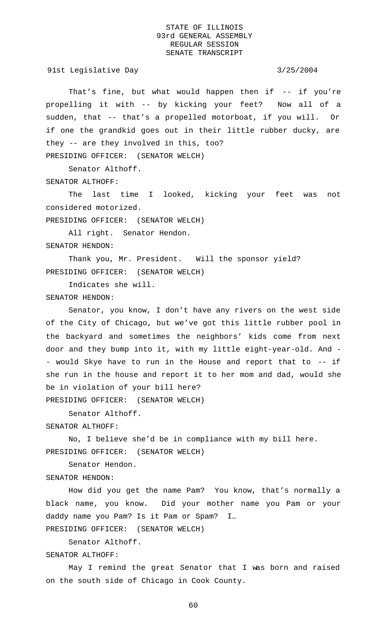91st Legislative Day 3/25/2004

That's fine, but what would happen then if -- if you're propelling it with -- by kicking your feet? Now all of a sudden, that -- that's a propelled motorboat, if you will. Or if one the grandkid goes out in their little rubber ducky, are they -- are they involved in this, too? PRESIDING OFFICER: (SENATOR WELCH)

Senator Althoff.

SENATOR ALTHOFF:

The last time I looked, kicking your feet was not considered motorized.

PRESIDING OFFICER: (SENATOR WELCH)

All right. Senator Hendon. SENATOR HENDON:

Thank you, Mr. President. Will the sponsor yield? PRESIDING OFFICER: (SENATOR WELCH)

Indicates she will.

SENATOR HENDON:

Senator, you know, I don't have any rivers on the west side of the City of Chicago, but we've got this little rubber pool in the backyard and sometimes the neighbors' kids come from next door and they bump into it, with my little eight-year-old. And - - would Skye have to run in the House and report that to -- if she run in the house and report it to her mom and dad, would she be in violation of your bill here? PRESIDING OFFICER: (SENATOR WELCH)

Senator Althoff.

SENATOR ALTHOFF:

No, I believe she'd be in compliance with my bill here. PRESIDING OFFICER: (SENATOR WELCH)

Senator Hendon.

SENATOR HENDON:

How did you get the name Pam? You know, that's normally a black name, you know. Did your mother name you Pam or your daddy name you Pam? Is it Pam or Spam? I…

PRESIDING OFFICER: (SENATOR WELCH)

Senator Althoff.

SENATOR ALTHOFF:

May I remind the great Senator that I was born and raised on the south side of Chicago in Cook County.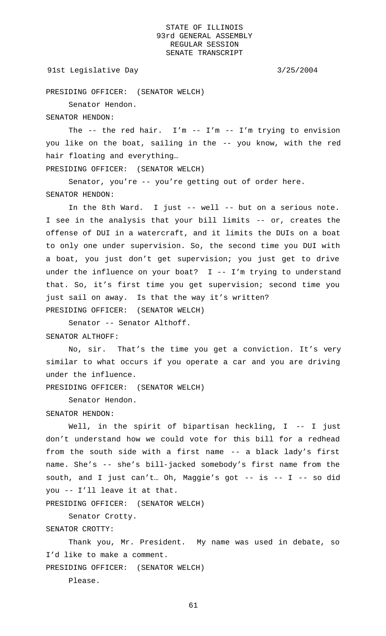### 91st Legislative Day 3/25/2004

PRESIDING OFFICER: (SENATOR WELCH)

Senator Hendon.

SENATOR HENDON:

The -- the red hair. I'm -- I'm -- I'm trying to envision you like on the boat, sailing in the -- you know, with the red hair floating and everything…

PRESIDING OFFICER: (SENATOR WELCH)

Senator, you're -- you're getting out of order here. SENATOR HENDON:

In the 8th Ward. I just -- well -- but on a serious note. I see in the analysis that your bill limits -- or, creates the offense of DUI in a watercraft, and it limits the DUIs on a boat to only one under supervision. So, the second time you DUI with a boat, you just don't get supervision; you just get to drive under the influence on your boat? I -- I'm trying to understand that. So, it's first time you get supervision; second time you just sail on away. Is that the way it's written? PRESIDING OFFICER: (SENATOR WELCH)

Senator -- Senator Althoff. SENATOR ALTHOFF:

No, sir. That's the time you get a conviction. It's very similar to what occurs if you operate a car and you are driving

PRESIDING OFFICER: (SENATOR WELCH)

Senator Hendon.

under the influence.

### SENATOR HENDON:

Well, in the spirit of bipartisan heckling, I -- I just don't understand how we could vote for this bill for a redhead from the south side with a first name -- a black lady's first name. She's -- she's bill-jacked somebody's first name from the south, and I just can't… Oh, Maggie's got -- is -- I -- so did you -- I'll leave it at that.

PRESIDING OFFICER: (SENATOR WELCH)

Senator Crotty.

# SENATOR CROTTY:

Thank you, Mr. President. My name was used in debate, so I'd like to make a comment.

PRESIDING OFFICER: (SENATOR WELCH)

Please.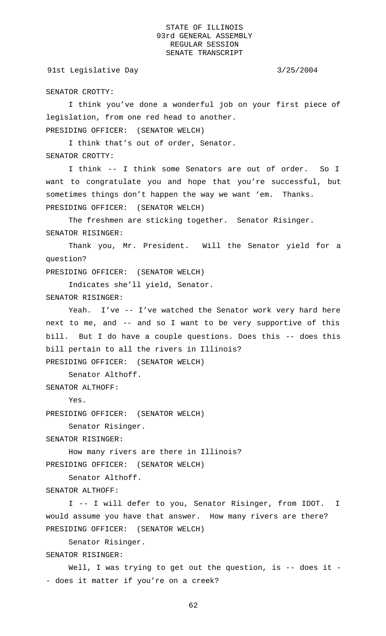# 91st Legislative Day 3/25/2004

SENATOR CROTTY:

I think you've done a wonderful job on your first piece of legislation, from one red head to another. PRESIDING OFFICER: (SENATOR WELCH)

I think that's out of order, Senator. SENATOR CROTTY:

I think -- I think some Senators are out of order. So I want to congratulate you and hope that you're successful, but sometimes things don't happen the way we want 'em. Thanks. PRESIDING OFFICER: (SENATOR WELCH)

The freshmen are sticking together. Senator Risinger. SENATOR RISINGER:

Thank you, Mr. President. Will the Senator yield for a question?

PRESIDING OFFICER: (SENATOR WELCH)

Indicates she'll yield, Senator. SENATOR RISINGER:

Yeah. I've -- I've watched the Senator work very hard here next to me, and -- and so I want to be very supportive of this bill. But I do have a couple questions. Does this -- does this bill pertain to all the rivers in Illinois? PRESIDING OFFICER: (SENATOR WELCH)

Senator Althoff.

SENATOR ALTHOFF:

Yes.

PRESIDING OFFICER: (SENATOR WELCH)

Senator Risinger.

SENATOR RISINGER:

How many rivers are there in Illinois? PRESIDING OFFICER: (SENATOR WELCH)

Senator Althoff.

SENATOR ALTHOFF:

I -- I will defer to you, Senator Risinger, from IDOT. I would assume you have that answer. How many rivers are there? PRESIDING OFFICER: (SENATOR WELCH)

Senator Risinger. SENATOR RISINGER:

Well, I was trying to get out the question, is -- does it -- does it matter if you're on a creek?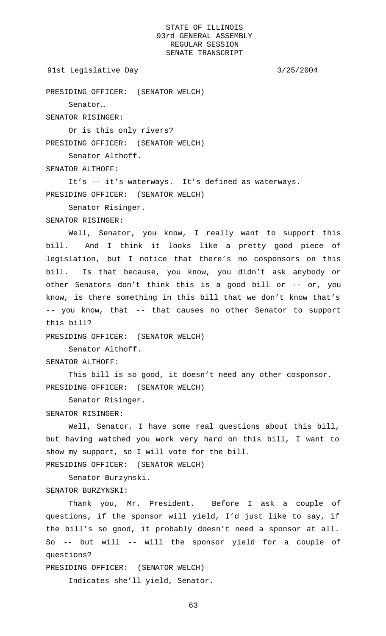```
91st Legislative Day 3/25/2004
```
PRESIDING OFFICER: (SENATOR WELCH)

Senator…

SENATOR RISINGER:

Or is this only rivers?

PRESIDING OFFICER: (SENATOR WELCH)

Senator Althoff.

SENATOR ALTHOFF:

It's -- it's waterways. It's defined as waterways. PRESIDING OFFICER: (SENATOR WELCH)

Senator Risinger.

SENATOR RISINGER:

Well, Senator, you know, I really want to support this bill. And I think it looks like a pretty good piece of legislation, but I notice that there's no cosponsors on this bill. Is that because, you know, you didn't ask anybody or other Senators don't think this is a good bill or -- or, you know, is there something in this bill that we don't know that's -- you know, that -- that causes no other Senator to support this bill?

PRESIDING OFFICER: (SENATOR WELCH)

Senator Althoff.

### SENATOR ALTHOFF:

This bill is so good, it doesn't need any other cosponsor. PRESIDING OFFICER: (SENATOR WELCH)

Senator Risinger.

# SENATOR RISINGER:

Well, Senator, I have some real questions about this bill, but having watched you work very hard on this bill, I want to show my support, so I will vote for the bill.

PRESIDING OFFICER: (SENATOR WELCH)

Senator Burzynski. SENATOR BURZYNSKI:

Thank you, Mr. President. Before I ask a couple of questions, if the sponsor will yield, I'd just like to say, if the bill's so good, it probably doesn't need a sponsor at all. So -- but will -- will the sponsor yield for a couple of questions?

PRESIDING OFFICER: (SENATOR WELCH)

Indicates she'll yield, Senator.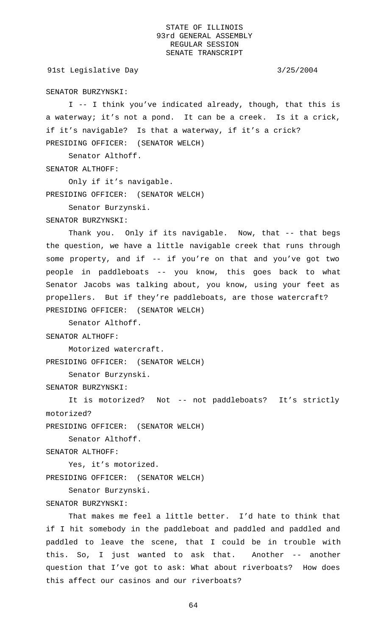91st Legislative Day 3/25/2004

SENATOR BURZYNSKI:

I -- I think you've indicated already, though, that this is a waterway; it's not a pond. It can be a creek. Is it a crick, if it's navigable? Is that a waterway, if it's a crick? PRESIDING OFFICER: (SENATOR WELCH)

Senator Althoff.

SENATOR ALTHOFF:

Only if it's navigable. PRESIDING OFFICER: (SENATOR WELCH)

Senator Burzynski.

SENATOR BURZYNSKI:

Thank you. Only if its navigable. Now, that -- that begs the question, we have a little navigable creek that runs through some property, and if -- if you're on that and you've got two people in paddleboats -- you know, this goes back to what Senator Jacobs was talking about, you know, using your feet as propellers. But if they're paddleboats, are those watercraft? PRESIDING OFFICER: (SENATOR WELCH)

Senator Althoff.

SENATOR ALTHOFF:

Motorized watercraft. PRESIDING OFFICER: (SENATOR WELCH)

Senator Burzynski.

SENATOR BURZYNSKI:

It is motorized? Not -- not paddleboats? It's strictly motorized?

PRESIDING OFFICER: (SENATOR WELCH)

Senator Althoff.

SENATOR ALTHOFF:

Yes, it's motorized.

PRESIDING OFFICER: (SENATOR WELCH)

Senator Burzynski.

# SENATOR BURZYNSKI:

That makes me feel a little better. I'd hate to think that if I hit somebody in the paddleboat and paddled and paddled and paddled to leave the scene, that I could be in trouble with this. So, I just wanted to ask that. Another -- another question that I've got to ask: What about riverboats? How does this affect our casinos and our riverboats?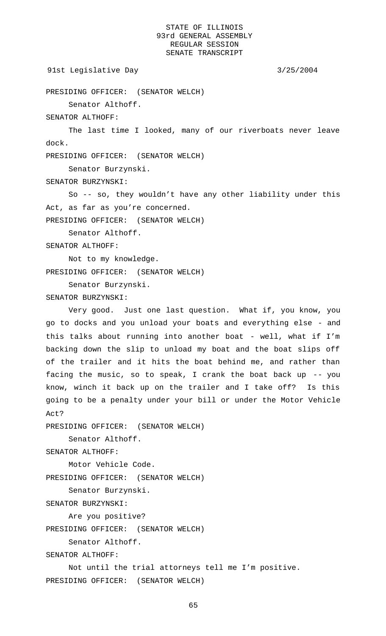```
91st Legislative Day 3/25/2004
```

```
PRESIDING OFFICER: (SENATOR WELCH)
```
Senator Althoff.

SENATOR ALTHOFF:

The last time I looked, many of our riverboats never leave dock.

PRESIDING OFFICER: (SENATOR WELCH)

Senator Burzynski.

SENATOR BURZYNSKI:

So -- so, they wouldn't have any other liability under this Act, as far as you're concerned.

PRESIDING OFFICER: (SENATOR WELCH)

Senator Althoff.

SENATOR ALTHOFF:

Not to my knowledge. PRESIDING OFFICER: (SENATOR WELCH)

Senator Burzynski.

SENATOR BURZYNSKI:

Very good. Just one last question. What if, you know, you go to docks and you unload your boats and everything else - and this talks about running into another boat - well, what if I'm backing down the slip to unload my boat and the boat slips off of the trailer and it hits the boat behind me, and rather than facing the music, so to speak, I crank the boat back up  $-$ - you know, winch it back up on the trailer and I take off? Is this going to be a penalty under your bill or under the Motor Vehicle Act?

PRESIDING OFFICER: (SENATOR WELCH)

Senator Althoff.

SENATOR ALTHOFF:

Motor Vehicle Code.

PRESIDING OFFICER: (SENATOR WELCH)

Senator Burzynski.

SENATOR BURZYNSKI:

Are you positive?

```
PRESIDING OFFICER: (SENATOR WELCH)
```
Senator Althoff.

SENATOR ALTHOFF:

Not until the trial attorneys tell me I'm positive. PRESIDING OFFICER: (SENATOR WELCH)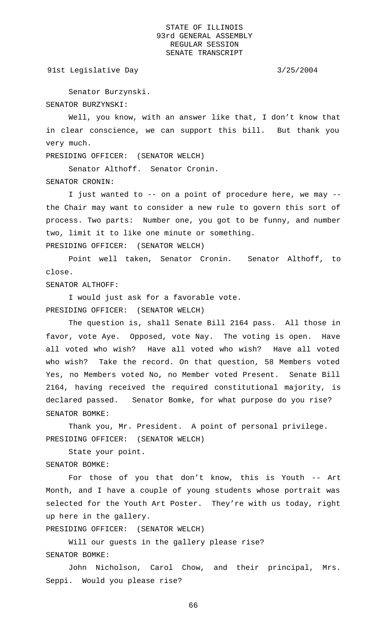91st Legislative Day 3/25/2004

Senator Burzynski. SENATOR BURZYNSKI:

Well, you know, with an answer like that, I don't know that in clear conscience, we can support this bill. But thank you very much.

PRESIDING OFFICER: (SENATOR WELCH)

Senator Althoff. Senator Cronin. SENATOR CRONIN:

I just wanted to -- on a point of procedure here, we may - the Chair may want to consider a new rule to govern this sort of process. Two parts: Number one, you got to be funny, and number two, limit it to like one minute or something. PRESIDING OFFICER: (SENATOR WELCH)

Point well taken, Senator Cronin. Senator Althoff, to close.

SENATOR ALTHOFF:

I would just ask for a favorable vote. PRESIDING OFFICER: (SENATOR WELCH)

The question is, shall Senate Bill 2164 pass. All those in favor, vote Aye. Opposed, vote Nay. The voting is open. Have all voted who wish? Have all voted who wish? Have all voted who wish? Take the record. On that question, 58 Members voted Yes, no Members voted No, no Member voted Present. Senate Bill 2164, having received the required constitutional majority, is declared passed. Senator Bomke, for what purpose do you rise? SENATOR BOMKE:

Thank you, Mr. President. A point of personal privilege. PRESIDING OFFICER: (SENATOR WELCH)

State your point. SENATOR BOMKE:

For those of you that don't know, this is Youth -- Art Month, and I have a couple of young students whose portrait was selected for the Youth Art Poster. They're with us today, right up here in the gallery.

PRESIDING OFFICER: (SENATOR WELCH)

Will our guests in the gallery please rise? SENATOR BOMKE:

John Nicholson, Carol Chow, and their principal, Mrs. Seppi. Would you please rise?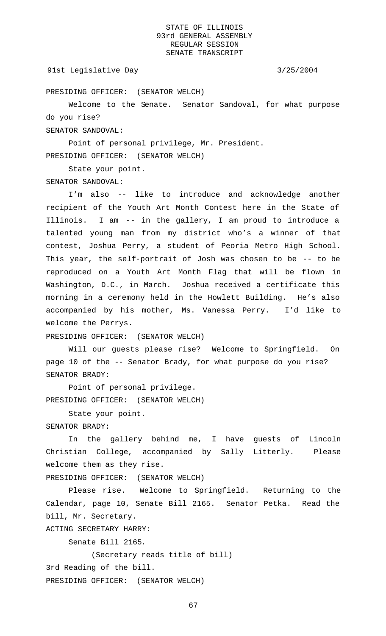### 91st Legislative Day 3/25/2004

PRESIDING OFFICER: (SENATOR WELCH)

Welcome to the Senate. Senator Sandoval, for what purpose do you rise?

SENATOR SANDOVAL:

Point of personal privilege, Mr. President. PRESIDING OFFICER: (SENATOR WELCH)

State your point. SENATOR SANDOVAL:

I'm also -- like to introduce and acknowledge another recipient of the Youth Art Month Contest here in the State of Illinois. I am -- in the gallery, I am proud to introduce a talented young man from my district who's a winner of that contest, Joshua Perry, a student of Peoria Metro High School. This year, the self-portrait of Josh was chosen to be -- to be reproduced on a Youth Art Month Flag that will be flown in Washington, D.C., in March. Joshua received a certificate this morning in a ceremony held in the Howlett Building. He's also accompanied by his mother, Ms. Vanessa Perry. I'd like to welcome the Perrys.

PRESIDING OFFICER: (SENATOR WELCH)

Will our guests please rise? Welcome to Springfield. On page 10 of the -- Senator Brady, for what purpose do you rise? SENATOR BRADY:

Point of personal privilege. PRESIDING OFFICER: (SENATOR WELCH)

State your point.

# SENATOR BRADY:

In the gallery behind me, I have guests of Lincoln Christian College, accompanied by Sally Litterly. Please welcome them as they rise.

PRESIDING OFFICER: (SENATOR WELCH)

Please rise. Welcome to Springfield. Returning to the Calendar, page 10, Senate Bill 2165. Senator Petka. Read the bill, Mr. Secretary.

ACTING SECRETARY HARRY:

Senate Bill 2165.

(Secretary reads title of bill)

3rd Reading of the bill.

PRESIDING OFFICER: (SENATOR WELCH)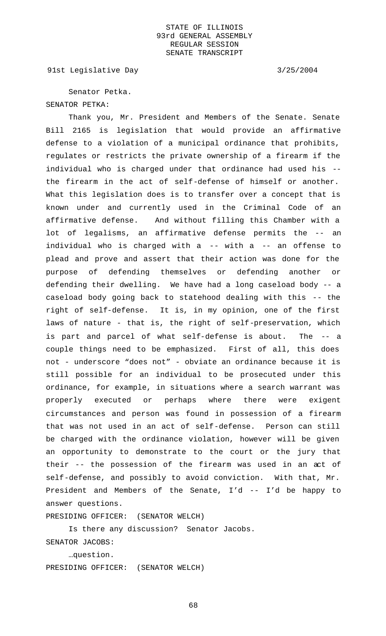91st Legislative Day 3/25/2004

Senator Petka. SENATOR PETKA:

Thank you, Mr. President and Members of the Senate. Senate Bill 2165 is legislation that would provide an affirmative defense to a violation of a municipal ordinance that prohibits, regulates or restricts the private ownership of a firearm if the individual who is charged under that ordinance had used his - the firearm in the act of self-defense of himself or another. What this legislation does is to transfer over a concept that is known under and currently used in the Criminal Code of an affirmative defense. And without filling this Chamber with a lot of legalisms, an affirmative defense permits the -- an individual who is charged with a -- with a -- an offense to plead and prove and assert that their action was done for the purpose of defending themselves or defending another or defending their dwelling. We have had a long caseload body -- a caseload body going back to statehood dealing with this -- the right of self-defense. It is, in my opinion, one of the first laws of nature - that is, the right of self-preservation, which is part and parcel of what self-defense is about. The -- a couple things need to be emphasized. First of all, this does not - underscore "does not" - obviate an ordinance because it is still possible for an individual to be prosecuted under this ordinance, for example, in situations where a search warrant was properly executed or perhaps where there were exigent circumstances and person was found in possession of a firearm that was not used in an act of self-defense. Person can still be charged with the ordinance violation, however will be given an opportunity to demonstrate to the court or the jury that their -- the possession of the firearm was used in an act of self-defense, and possibly to avoid conviction. With that, Mr. President and Members of the Senate, I'd -- I'd be happy to answer questions.

PRESIDING OFFICER: (SENATOR WELCH)

Is there any discussion? Senator Jacobs. SENATOR JACOBS:

…question. PRESIDING OFFICER: (SENATOR WELCH)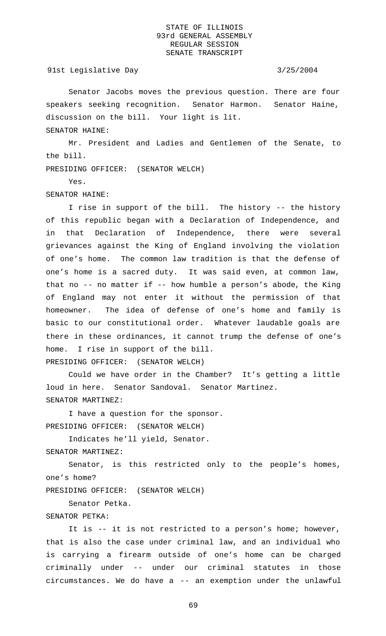### 91st Legislative Day 3/25/2004

Senator Jacobs moves the previous question. There are four speakers seeking recognition. Senator Harmon. Senator Haine, discussion on the bill. Your light is lit. SENATOR HAINE:

Mr. President and Ladies and Gentlemen of the Senate, to the bill.

PRESIDING OFFICER: (SENATOR WELCH)

Yes.

### SENATOR HAINE:

I rise in support of the bill. The history -- the history of this republic began with a Declaration of Independence, and in that Declaration of Independence, there were several grievances against the King of England involving the violation of one's home. The common law tradition is that the defense of one's home is a sacred duty. It was said even, at common law, that no -- no matter if -- how humble a person's abode, the King of England may not enter it without the permission of that homeowner. The idea of defense of one's home and family is basic to our constitutional order. Whatever laudable goals are there in these ordinances, it cannot trump the defense of one's home. I rise in support of the bill. PRESIDING OFFICER: (SENATOR WELCH)

Could we have order in the Chamber? It's getting a little loud in here. Senator Sandoval. Senator Martinez. SENATOR MARTINEZ:

I have a question for the sponsor. PRESIDING OFFICER: (SENATOR WELCH)

Indicates he'll yield, Senator.

SENATOR MARTINEZ:

Senator, is this restricted only to the people's homes, one's home?

PRESIDING OFFICER: (SENATOR WELCH)

Senator Petka.

### SENATOR PETKA:

It is -- it is not restricted to a person's home; however, that is also the case under criminal law, and an individual who is carrying a firearm outside of one's home can be charged criminally under -- under our criminal statutes in those circumstances. We do have a -- an exemption under the unlawful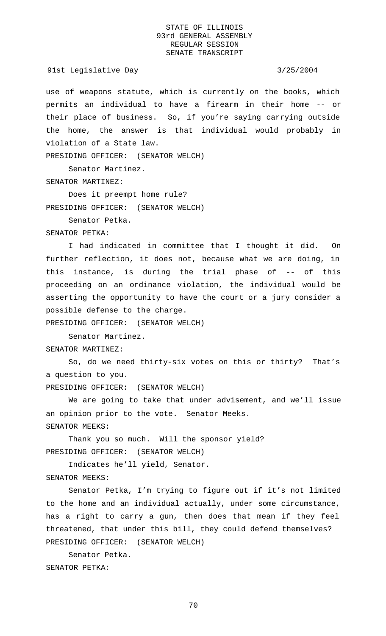91st Legislative Day 3/25/2004

use of weapons statute, which is currently on the books, which permits an individual to have a firearm in their home -- or their place of business. So, if you're saying carrying outside the home, the answer is that individual would probably in violation of a State law.

PRESIDING OFFICER: (SENATOR WELCH)

Senator Martinez. SENATOR MARTINEZ:

Does it preempt home rule? PRESIDING OFFICER: (SENATOR WELCH)

Senator Petka.

SENATOR PETKA:

I had indicated in committee that I thought it did. On further reflection, it does not, because what we are doing, in this instance, is during the trial phase of -- of this proceeding on an ordinance violation, the individual would be asserting the opportunity to have the court or a jury consider a possible defense to the charge.

PRESIDING OFFICER: (SENATOR WELCH)

Senator Martinez.

SENATOR MARTINEZ:

So, do we need thirty-six votes on this or thirty? That's a question to you.

PRESIDING OFFICER: (SENATOR WELCH)

We are going to take that under advisement, and we'll issue an opinion prior to the vote. Senator Meeks. SENATOR MEEKS:

Thank you so much. Will the sponsor yield? PRESIDING OFFICER: (SENATOR WELCH)

Indicates he'll yield, Senator.

SENATOR MEEKS:

Senator Petka, I'm trying to figure out if it's not limited to the home and an individual actually, under some circumstance, has a right to carry a gun, then does that mean if they feel threatened, that under this bill, they could defend themselves? PRESIDING OFFICER: (SENATOR WELCH)

Senator Petka. SENATOR PETKA: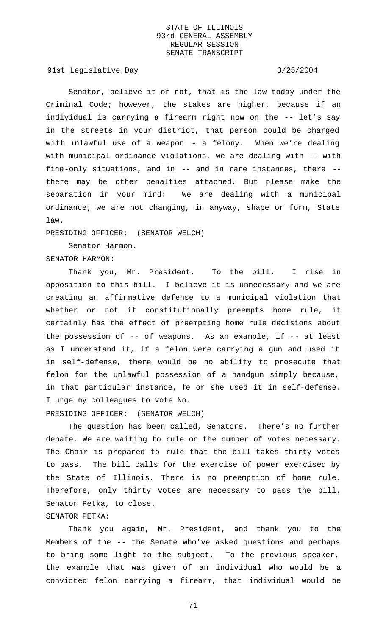91st Legislative Day 3/25/2004

Senator, believe it or not, that is the law today under the Criminal Code; however, the stakes are higher, because if an individual is carrying a firearm right now on the -- let's say in the streets in your district, that person could be charged with unlawful use of a weapon - a felony. When we're dealing with municipal ordinance violations, we are dealing with -- with fine-only situations, and in -- and in rare instances, there - there may be other penalties attached. But please make the separation in your mind: We are dealing with a municipal ordinance; we are not changing, in anyway, shape or form, State law.

PRESIDING OFFICER: (SENATOR WELCH)

Senator Harmon. SENATOR HARMON:

Thank you, Mr. President. To the bill. I rise in opposition to this bill. I believe it is unnecessary and we are creating an affirmative defense to a municipal violation that whether or not it constitutionally preempts home rule, it certainly has the effect of preempting home rule decisions about the possession of -- of weapons. As an example, if -- at least as I understand it, if a felon were carrying a gun and used it in self-defense, there would be no ability to prosecute that felon for the unlawful possession of a handgun simply because, in that particular instance, he or she used it in self-defense. I urge my colleagues to vote No.

PRESIDING OFFICER: (SENATOR WELCH)

The question has been called, Senators. There's no further debate. We are waiting to rule on the number of votes necessary. The Chair is prepared to rule that the bill takes thirty votes to pass. The bill calls for the exercise of power exercised by the State of Illinois. There is no preemption of home rule. Therefore, only thirty votes are necessary to pass the bill. Senator Petka, to close.

## SENATOR PETKA:

Thank you again, Mr. President, and thank you to the Members of the -- the Senate who've asked questions and perhaps to bring some light to the subject. To the previous speaker, the example that was given of an individual who would be a convicted felon carrying a firearm, that individual would be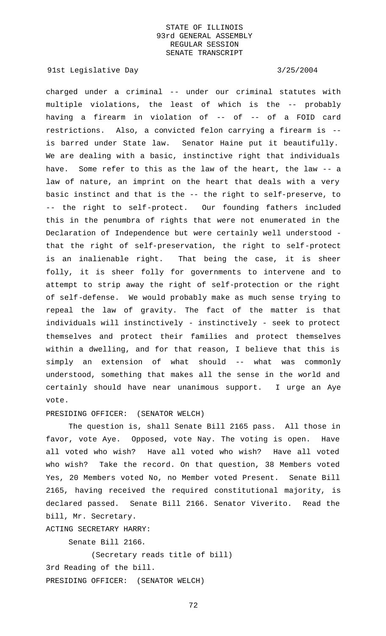91st Legislative Day 3/25/2004

charged under a criminal -- under our criminal statutes with multiple violations, the least of which is the -- probably having a firearm in violation of -- of -- of a FOID card restrictions. Also, a convicted felon carrying a firearm is - is barred under State law. Senator Haine put it beautifully. We are dealing with a basic, instinctive right that individuals have. Some refer to this as the law of the heart, the law -- a law of nature, an imprint on the heart that deals with a very basic instinct and that is the -- the right to self-preserve, to -- the right to self-protect. Our founding fathers included this in the penumbra of rights that were not enumerated in the Declaration of Independence but were certainly well understood that the right of self-preservation, the right to self-protect is an inalienable right. That being the case, it is sheer folly, it is sheer folly for governments to intervene and to attempt to strip away the right of self-protection or the right of self-defense. We would probably make as much sense trying to repeal the law of gravity. The fact of the matter is that individuals will instinctively - instinctively - seek to protect themselves and protect their families and protect themselves within a dwelling, and for that reason, I believe that this is simply an extension of what should -- what was commonly understood, something that makes all the sense in the world and certainly should have near unanimous support. I urge an Aye vote.

## PRESIDING OFFICER: (SENATOR WELCH)

The question is, shall Senate Bill 2165 pass. All those in favor, vote Aye. Opposed, vote Nay. The voting is open. Have all voted who wish? Have all voted who wish? Have all voted who wish? Take the record. On that question, 38 Members voted Yes, 20 Members voted No, no Member voted Present. Senate Bill 2165, having received the required constitutional majority, is declared passed. Senate Bill 2166. Senator Viverito. Read the bill, Mr. Secretary.

ACTING SECRETARY HARRY:

Senate Bill 2166.

(Secretary reads title of bill) 3rd Reading of the bill. PRESIDING OFFICER: (SENATOR WELCH)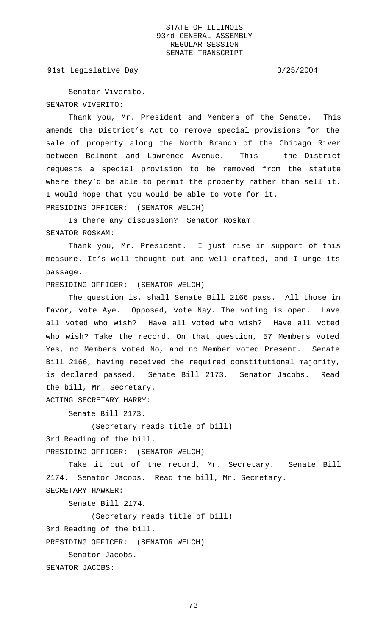91st Legislative Day 3/25/2004

Senator Viverito. SENATOR VIVERITO:

Thank you, Mr. President and Members of the Senate. This amends the District's Act to remove special provisions for the sale of property along the North Branch of the Chicago River between Belmont and Lawrence Avenue. This -- the District requests a special provision to be removed from the statute where they'd be able to permit the property rather than sell it. I would hope that you would be able to vote for it. PRESIDING OFFICER: (SENATOR WELCH)

Is there any discussion? Senator Roskam. SENATOR ROSKAM:

Thank you, Mr. President. I just rise in support of this measure. It's well thought out and well crafted, and I urge its passage.

PRESIDING OFFICER: (SENATOR WELCH)

The question is, shall Senate Bill 2166 pass. All those in favor, vote Aye. Opposed, vote Nay. The voting is open. Have all voted who wish? Have all voted who wish? Have all voted who wish? Take the record. On that question, 57 Members voted Yes, no Members voted No, and no Member voted Present. Senate Bill 2166, having received the required constitutional majority, is declared passed. Senate Bill 2173. Senator Jacobs. Read the bill, Mr. Secretary.

ACTING SECRETARY HARRY:

Senate Bill 2173.

(Secretary reads title of bill)

3rd Reading of the bill.

PRESIDING OFFICER: (SENATOR WELCH)

Take it out of the record, Mr. Secretary. Senate Bill 2174. Senator Jacobs. Read the bill, Mr. Secretary.

SECRETARY HAWKER:

Senate Bill 2174.

(Secretary reads title of bill)

3rd Reading of the bill.

PRESIDING OFFICER: (SENATOR WELCH)

Senator Jacobs.

SENATOR JACOBS: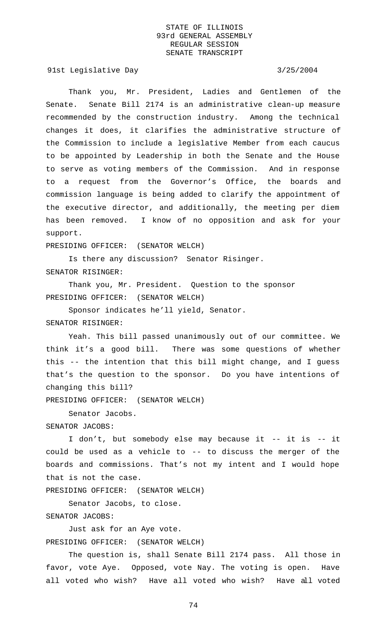91st Legislative Day 3/25/2004

Thank you, Mr. President, Ladies and Gentlemen of the Senate. Senate Bill 2174 is an administrative clean-up measure recommended by the construction industry. Among the technical changes it does, it clarifies the administrative structure of the Commission to include a legislative Member from each caucus to be appointed by Leadership in both the Senate and the House to serve as voting members of the Commission. And in response to a request from the Governor's Office, the boards and commission language is being added to clarify the appointment of the executive director, and additionally, the meeting per diem has been removed. I know of no opposition and ask for your support.

PRESIDING OFFICER: (SENATOR WELCH)

Is there any discussion? Senator Risinger. SENATOR RISINGER:

Thank you, Mr. President. Question to the sponsor PRESIDING OFFICER: (SENATOR WELCH)

Sponsor indicates he'll yield, Senator. SENATOR RISINGER:

Yeah. This bill passed unanimously out of our committee. We think it's a good bill. There was some questions of whether this -- the intention that this bill might change, and I guess that's the question to the sponsor. Do you have intentions of changing this bill?

PRESIDING OFFICER: (SENATOR WELCH)

Senator Jacobs.

SENATOR JACOBS:

I don't, but somebody else may because it -- it is -- it could be used as a vehicle to -- to discuss the merger of the boards and commissions. That's not my intent and I would hope that is not the case.

PRESIDING OFFICER: (SENATOR WELCH)

Senator Jacobs, to close.

SENATOR JACOBS:

Just ask for an Aye vote.

PRESIDING OFFICER: (SENATOR WELCH)

The question is, shall Senate Bill 2174 pass. All those in favor, vote Aye. Opposed, vote Nay. The voting is open. Have all voted who wish? Have all voted who wish? Have all voted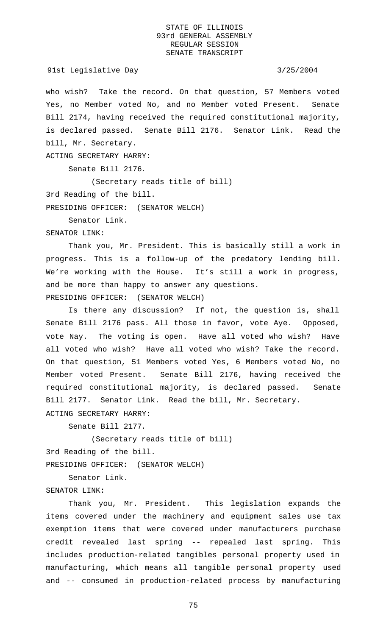who wish? Take the record. On that question, 57 Members voted Yes, no Member voted No, and no Member voted Present. Senate Bill 2174, having received the required constitutional majority, is declared passed. Senate Bill 2176. Senator Link. Read the bill, Mr. Secretary.

ACTING SECRETARY HARRY:

Senate Bill 2176.

(Secretary reads title of bill)

3rd Reading of the bill.

PRESIDING OFFICER: (SENATOR WELCH)

Senator Link.

SENATOR LINK:

Thank you, Mr. President. This is basically still a work in progress. This is a follow-up of the predatory lending bill. We're working with the House. It's still a work in progress, and be more than happy to answer any questions. PRESIDING OFFICER: (SENATOR WELCH)

Is there any discussion? If not, the question is, shall Senate Bill 2176 pass. All those in favor, vote Aye. Opposed, vote Nay. The voting is open. Have all voted who wish? Have all voted who wish? Have all voted who wish? Take the record. On that question, 51 Members voted Yes, 6 Members voted No, no Member voted Present. Senate Bill 2176, having received the required constitutional majority, is declared passed. Senate Bill 2177. Senator Link. Read the bill, Mr. Secretary. ACTING SECRETARY HARRY:

Senate Bill 2177.

(Secretary reads title of bill) 3rd Reading of the bill.

PRESIDING OFFICER: (SENATOR WELCH)

Senator Link.

# SENATOR LINK:

Thank you, Mr. President. This legislation expands the items covered under the machinery and equipment sales use tax exemption items that were covered under manufacturers purchase credit revealed last spring -- repealed last spring. This includes production-related tangibles personal property used in manufacturing, which means all tangible personal property used and -- consumed in production-related process by manufacturing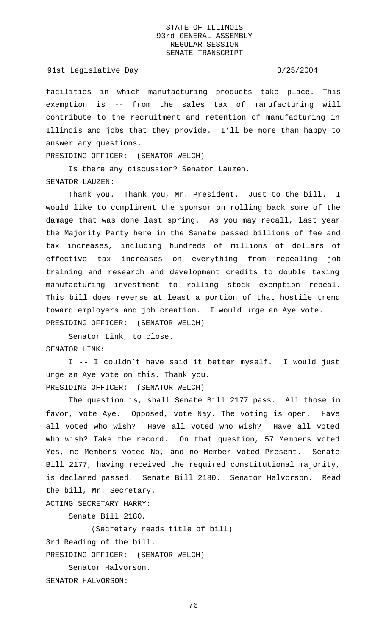### 91st Legislative Day 3/25/2004

facilities in which manufacturing products take place. This exemption is -- from the sales tax of manufacturing will contribute to the recruitment and retention of manufacturing in Illinois and jobs that they provide. I'll be more than happy to answer any questions.

PRESIDING OFFICER: (SENATOR WELCH)

Is there any discussion? Senator Lauzen. SENATOR LAUZEN:

Thank you. Thank you, Mr. President. Just to the bill. I would like to compliment the sponsor on rolling back some of the damage that was done last spring. As you may recall, last year the Majority Party here in the Senate passed billions of fee and tax increases, including hundreds of millions of dollars of effective tax increases on everything from repealing job training and research and development credits to double taxing manufacturing investment to rolling stock exemption repeal. This bill does reverse at least a portion of that hostile trend toward employers and job creation. I would urge an Aye vote. PRESIDING OFFICER: (SENATOR WELCH)

Senator Link, to close. SENATOR LINK:

I -- I couldn't have said it better myself. I would just urge an Aye vote on this. Thank you.

PRESIDING OFFICER: (SENATOR WELCH)

The question is, shall Senate Bill 2177 pass. All those in favor, vote Aye. Opposed, vote Nay. The voting is open. Have all voted who wish? Have all voted who wish? Have all voted who wish? Take the record. On that question, 57 Members voted Yes, no Members voted No, and no Member voted Present. Senate Bill 2177, having received the required constitutional majority, is declared passed. Senate Bill 2180. Senator Halvorson. Read the bill, Mr. Secretary.

ACTING SECRETARY HARRY:

Senate Bill 2180.

(Secretary reads title of bill)

3rd Reading of the bill.

PRESIDING OFFICER: (SENATOR WELCH)

Senator Halvorson.

SENATOR HALVORSON: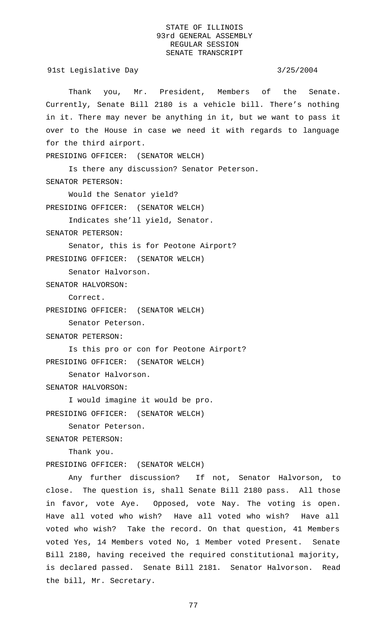91st Legislative Day 3/25/2004

Thank you, Mr. President, Members of the Senate. Currently, Senate Bill 2180 is a vehicle bill. There's nothing in it. There may never be anything in it, but we want to pass it over to the House in case we need it with regards to language for the third airport.

PRESIDING OFFICER: (SENATOR WELCH)

Is there any discussion? Senator Peterson. SENATOR PETERSON:

Would the Senator yield? PRESIDING OFFICER: (SENATOR WELCH)

Indicates she'll yield, Senator.

SENATOR PETERSON:

Senator, this is for Peotone Airport? PRESIDING OFFICER: (SENATOR WELCH)

Senator Halvorson.

SENATOR HALVORSON:

Correct.

```
PRESIDING OFFICER: (SENATOR WELCH)
```
Senator Peterson.

SENATOR PETERSON:

Is this pro or con for Peotone Airport? PRESIDING OFFICER: (SENATOR WELCH)

Senator Halvorson.

SENATOR HALVORSON:

I would imagine it would be pro. PRESIDING OFFICER: (SENATOR WELCH)

Senator Peterson.

SENATOR PETERSON:

Thank you.

PRESIDING OFFICER: (SENATOR WELCH)

Any further discussion? If not, Senator Halvorson, to close. The question is, shall Senate Bill 2180 pass. All those in favor, vote Aye. Opposed, vote Nay. The voting is open. Have all voted who wish? Have all voted who wish? Have all voted who wish? Take the record. On that question, 41 Members voted Yes, 14 Members voted No, 1 Member voted Present. Senate Bill 2180, having received the required constitutional majority, is declared passed. Senate Bill 2181. Senator Halvorson. Read the bill, Mr. Secretary.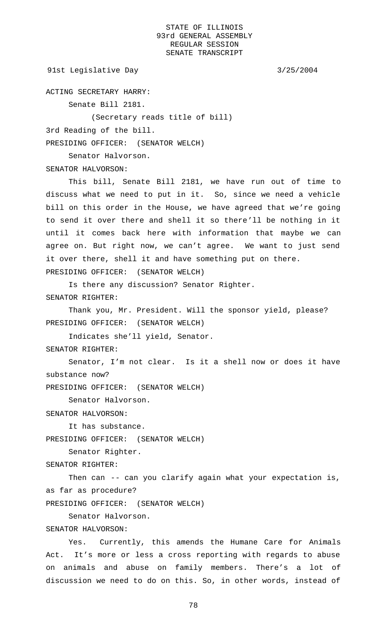```
91st Legislative Day 3/25/2004
```
ACTING SECRETARY HARRY:

Senate Bill 2181.

(Secretary reads title of bill)

3rd Reading of the bill.

PRESIDING OFFICER: (SENATOR WELCH)

Senator Halvorson.

SENATOR HALVORSON:

This bill, Senate Bill 2181, we have run out of time to discuss what we need to put in it. So, since we need a vehicle bill on this order in the House, we have agreed that we're going to send it over there and shell it so there'll be nothing in it until it comes back here with information that maybe we can agree on. But right now, we can't agree. We want to just send it over there, shell it and have something put on there.

PRESIDING OFFICER: (SENATOR WELCH)

Is there any discussion? Senator Righter. SENATOR RIGHTER:

Thank you, Mr. President. Will the sponsor yield, please? PRESIDING OFFICER: (SENATOR WELCH)

Indicates she'll yield, Senator.

SENATOR RIGHTER:

Senator, I'm not clear. Is it a shell now or does it have substance now?

PRESIDING OFFICER: (SENATOR WELCH)

Senator Halvorson.

SENATOR HALVORSON:

It has substance.

PRESIDING OFFICER: (SENATOR WELCH)

Senator Righter.

SENATOR RIGHTER:

Then can -- can you clarify again what your expectation is, as far as procedure?

PRESIDING OFFICER: (SENATOR WELCH)

Senator Halvorson.

# SENATOR HALVORSON:

Yes. Currently, this amends the Humane Care for Animals Act. It's more or less a cross reporting with regards to abuse on animals and abuse on family members. There's a lot of discussion we need to do on this. So, in other words, instead of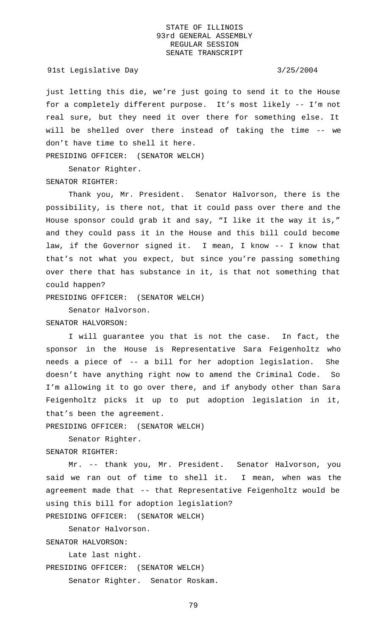### 91st Legislative Day 3/25/2004

just letting this die, we're just going to send it to the House for a completely different purpose. It's most likely -- I'm not real sure, but they need it over there for something else. It will be shelled over there instead of taking the time -- we don't have time to shell it here.

PRESIDING OFFICER: (SENATOR WELCH)

Senator Righter. SENATOR RIGHTER:

Thank you, Mr. President. Senator Halvorson, there is the possibility, is there not, that it could pass over there and the House sponsor could grab it and say, "I like it the way it is," and they could pass it in the House and this bill could become law, if the Governor signed it. I mean, I know -- I know that that's not what you expect, but since you're passing something over there that has substance in it, is that not something that could happen?

PRESIDING OFFICER: (SENATOR WELCH)

Senator Halvorson.

SENATOR HALVORSON:

I will guarantee you that is not the case. In fact, the sponsor in the House is Representative Sara Feigenholtz who needs a piece of -- a bill for her adoption legislation. She doesn't have anything right now to amend the Criminal Code. So I'm allowing it to go over there, and if anybody other than Sara Feigenholtz picks it up to put adoption legislation in it, that's been the agreement.

PRESIDING OFFICER: (SENATOR WELCH)

Senator Righter.

SENATOR RIGHTER:

Mr. -- thank you, Mr. President. Senator Halvorson, you said we ran out of time to shell it. I mean, when was the agreement made that -- that Representative Feigenholtz would be using this bill for adoption legislation?

PRESIDING OFFICER: (SENATOR WELCH)

Senator Halvorson.

SENATOR HALVORSON:

Late last night.

PRESIDING OFFICER: (SENATOR WELCH)

Senator Righter. Senator Roskam.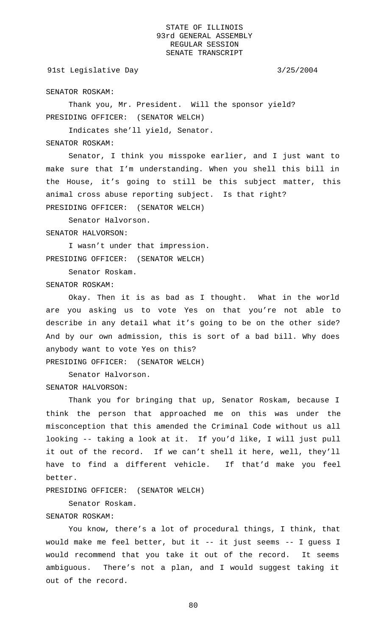## 91st Legislative Day 3/25/2004

SENATOR ROSKAM:

Thank you, Mr. President. Will the sponsor yield? PRESIDING OFFICER: (SENATOR WELCH)

Indicates she'll yield, Senator.

## SENATOR ROSKAM:

Senator, I think you misspoke earlier, and I just want to make sure that I'm understanding. When you shell this bill in the House, it's going to still be this subject matter, this animal cross abuse reporting subject. Is that right? PRESIDING OFFICER: (SENATOR WELCH)

Senator Halvorson.

SENATOR HALVORSON:

I wasn't under that impression. PRESIDING OFFICER: (SENATOR WELCH)

Senator Roskam.

SENATOR ROSKAM:

Okay. Then it is as bad as I thought. What in the world are you asking us to vote Yes on that you're not able to describe in any detail what it's going to be on the other side? And by our own admission, this is sort of a bad bill. Why does anybody want to vote Yes on this? PRESIDING OFFICER: (SENATOR WELCH)

Senator Halvorson. SENATOR HALVORSON:

Thank you for bringing that up, Senator Roskam, because I think the person that approached me on this was under the misconception that this amended the Criminal Code without us all looking -- taking a look at it. If you'd like, I will just pull it out of the record. If we can't shell it here, well, they'll have to find a different vehicle. If that'd make you feel better.

PRESIDING OFFICER: (SENATOR WELCH)

Senator Roskam.

### SENATOR ROSKAM:

You know, there's a lot of procedural things, I think, that would make me feel better, but it -- it just seems -- I guess I would recommend that you take it out of the record. It seems ambiguous. There's not a plan, and I would suggest taking it out of the record.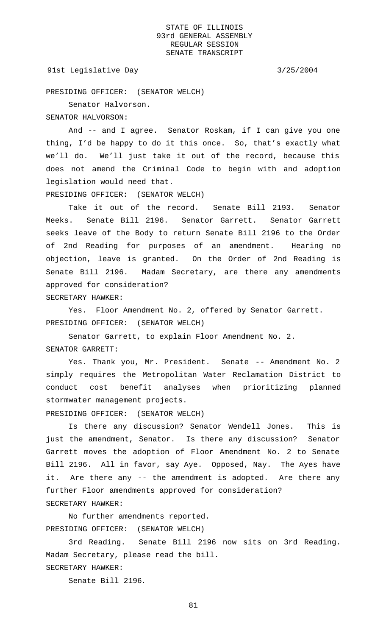### 91st Legislative Day 3/25/2004

PRESIDING OFFICER: (SENATOR WELCH)

Senator Halvorson.

SENATOR HALVORSON:

And -- and I agree. Senator Roskam, if I can give you one thing, I'd be happy to do it this once. So, that's exactly what we'll do. We'll just take it out of the record, because this does not amend the Criminal Code to begin with and adoption legislation would need that.

PRESIDING OFFICER: (SENATOR WELCH)

Take it out of the record. Senate Bill 2193. Senator Meeks. Senate Bill 2196. Senator Garrett. Senator Garrett seeks leave of the Body to return Senate Bill 2196 to the Order of 2nd Reading for purposes of an amendment. Hearing no objection, leave is granted. On the Order of 2nd Reading is Senate Bill 2196. Madam Secretary, are there any amendments approved for consideration?

SECRETARY HAWKER:

Yes. Floor Amendment No. 2, offered by Senator Garrett. PRESIDING OFFICER: (SENATOR WELCH)

Senator Garrett, to explain Floor Amendment No. 2. SENATOR GARRETT:

Yes. Thank you, Mr. President. Senate -- Amendment No. 2 simply requires the Metropolitan Water Reclamation District to conduct cost benefit analyses when prioritizing planned stormwater management projects.

PRESIDING OFFICER: (SENATOR WELCH)

Is there any discussion? Senator Wendell Jones. This is just the amendment, Senator. Is there any discussion? Senator Garrett moves the adoption of Floor Amendment No. 2 to Senate Bill 2196. All in favor, say Aye. Opposed, Nay. The Ayes have it. Are there any -- the amendment is adopted. Are there any further Floor amendments approved for consideration? SECRETARY HAWKER:

No further amendments reported. PRESIDING OFFICER: (SENATOR WELCH)

3rd Reading. Senate Bill 2196 now sits on 3rd Reading. Madam Secretary, please read the bill.

SECRETARY HAWKER:

Senate Bill 2196.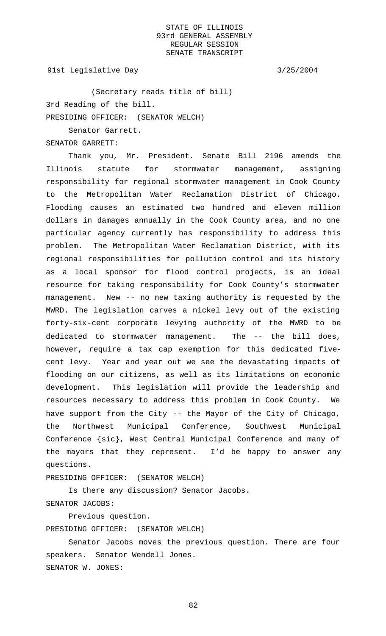91st Legislative Day 3/25/2004

(Secretary reads title of bill) 3rd Reading of the bill. PRESIDING OFFICER: (SENATOR WELCH)

Senator Garrett.

SENATOR GARRETT:

Thank you, Mr. President. Senate Bill 2196 amends the Illinois statute for stormwater management, assigning responsibility for regional stormwater management in Cook County to the Metropolitan Water Reclamation District of Chicago. Flooding causes an estimated two hundred and eleven million dollars in damages annually in the Cook County area, and no one particular agency currently has responsibility to address this problem. The Metropolitan Water Reclamation District, with its regional responsibilities for pollution control and its history as a local sponsor for flood control projects, is an ideal resource for taking responsibility for Cook County's stormwater management. New -- no new taxing authority is requested by the MWRD. The legislation carves a nickel levy out of the existing forty-six-cent corporate levying authority of the MWRD to be dedicated to stormwater management. The -- the bill does, however, require a tax cap exemption for this dedicated fivecent levy. Year and year out we see the devastating impacts of flooding on our citizens, as well as its limitations on economic development. This legislation will provide the leadership and resources necessary to address this problem in Cook County. We have support from the City -- the Mayor of the City of Chicago, the Northwest Municipal Conference, Southwest Municipal Conference {sic}, West Central Municipal Conference and many of the mayors that they represent. I'd be happy to answer any questions.

PRESIDING OFFICER: (SENATOR WELCH)

Is there any discussion? Senator Jacobs. SENATOR JACOBS:

Previous question.

PRESIDING OFFICER: (SENATOR WELCH)

Senator Jacobs moves the previous question. There are four speakers. Senator Wendell Jones. SENATOR W. JONES: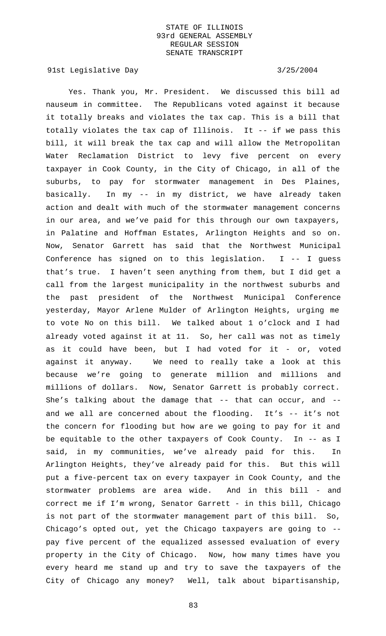91st Legislative Day 3/25/2004

Yes. Thank you, Mr. President. We discussed this bill ad nauseum in committee. The Republicans voted against it because it totally breaks and violates the tax cap. This is a bill that totally violates the tax cap of Illinois. It -- if we pass this bill, it will break the tax cap and will allow the Metropolitan Water Reclamation District to levy five percent on every taxpayer in Cook County, in the City of Chicago, in all of the suburbs, to pay for stormwater management in Des Plaines, basically. In my -- in my district, we have already taken action and dealt with much of the stormwater management concerns in our area, and we've paid for this through our own taxpayers, in Palatine and Hoffman Estates, Arlington Heights and so on. Now, Senator Garrett has said that the Northwest Municipal Conference has signed on to this legislation. I -- I guess that's true. I haven't seen anything from them, but I did get a call from the largest municipality in the northwest suburbs and the past president of the Northwest Municipal Conference yesterday, Mayor Arlene Mulder of Arlington Heights, urging me to vote No on this bill. We talked about 1 o'clock and I had already voted against it at 11. So, her call was not as timely as it could have been, but I had voted for it - or, voted against it anyway. We need to really take a look at this because we're going to generate million and millions and millions of dollars. Now, Senator Garrett is probably correct. She's talking about the damage that  $--$  that can occur, and  $-$ and we all are concerned about the flooding. It's -- it's not the concern for flooding but how are we going to pay for it and be equitable to the other taxpayers of Cook County. In -- as I said, in my communities, we've already paid for this. In Arlington Heights, they've already paid for this. But this will put a five-percent tax on every taxpayer in Cook County, and the stormwater problems are area wide. And in this bill - and correct me if I'm wrong, Senator Garrett - in this bill, Chicago is not part of the stormwater management part of this bill. So, Chicago's opted out, yet the Chicago taxpayers are going to - pay five percent of the equalized assessed evaluation of every property in the City of Chicago. Now, how many times have you every heard me stand up and try to save the taxpayers of the City of Chicago any money? Well, talk about bipartisanship,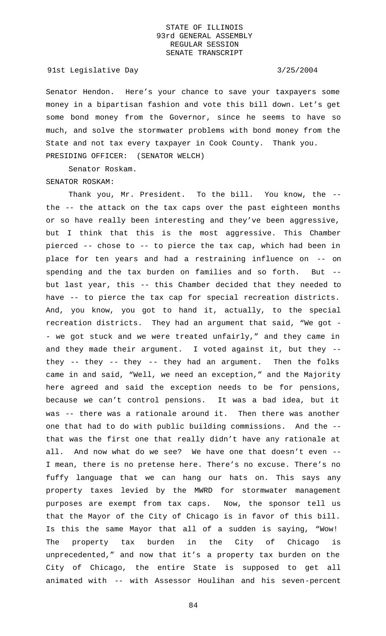### 91st Legislative Day 3/25/2004

Senator Hendon. Here's your chance to save your taxpayers some money in a bipartisan fashion and vote this bill down. Let's get some bond money from the Governor, since he seems to have so much, and solve the stormwater problems with bond money from the State and not tax every taxpayer in Cook County. Thank you. PRESIDING OFFICER: (SENATOR WELCH)

Senator Roskam. SENATOR ROSKAM:

Thank you, Mr. President. To the bill. You know, the - the -- the attack on the tax caps over the past eighteen months or so have really been interesting and they've been aggressive, but I think that this is the most aggressive. This Chamber pierced -- chose to -- to pierce the tax cap, which had been in place for ten years and had a restraining influence on -- on spending and the tax burden on families and so forth. But - but last year, this -- this Chamber decided that they needed to have -- to pierce the tax cap for special recreation districts. And, you know, you got to hand it, actually, to the special recreation districts. They had an argument that said, "We got - - we got stuck and we were treated unfairly," and they came in and they made their argument. I voted against it, but they - they -- they -- they -- they had an argument. Then the folks came in and said, "Well, we need an exception," and the Majority here agreed and said the exception needs to be for pensions, because we can't control pensions. It was a bad idea, but it was -- there was a rationale around it. Then there was another one that had to do with public building commissions. And the - that was the first one that really didn't have any rationale at all. And now what do we see? We have one that doesn't even -- I mean, there is no pretense here. There's no excuse. There's no fuffy language that we can hang our hats on. This says any property taxes levied by the MWRD for stormwater management purposes are exempt from tax caps. Now, the sponsor tell us that the Mayor of the City of Chicago is in favor of this bill. Is this the same Mayor that all of a sudden is saying, "Wow! The property tax burden in the City of Chicago is unprecedented," and now that it's a property tax burden on the City of Chicago, the entire State is supposed to get all animated with -- with Assessor Houlihan and his seven-percent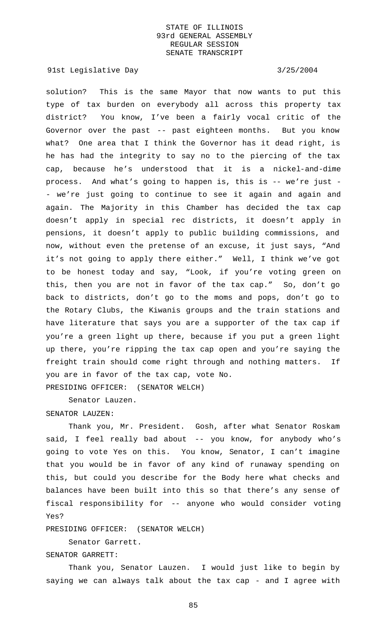91st Legislative Day 3/25/2004

solution? This is the same Mayor that now wants to put this type of tax burden on everybody all across this property tax district? You know, I've been a fairly vocal critic of the Governor over the past -- past eighteen months. But you know what? One area that I think the Governor has it dead right, is he has had the integrity to say no to the piercing of the tax cap, because he's understood that it is a nickel-and-dime process. And what's going to happen is, this is -- we're just - - we're just going to continue to see it again and again and again. The Majority in this Chamber has decided the tax cap doesn't apply in special rec districts, it doesn't apply in pensions, it doesn't apply to public building commissions, and now, without even the pretense of an excuse, it just says, "And it's not going to apply there either." Well, I think we've got to be honest today and say, "Look, if you're voting green on this, then you are not in favor of the tax cap." So, don't go back to districts, don't go to the moms and pops, don't go to the Rotary Clubs, the Kiwanis groups and the train stations and have literature that says you are a supporter of the tax cap if you're a green light up there, because if you put a green light up there, you're ripping the tax cap open and you're saying the freight train should come right through and nothing matters. If you are in favor of the tax cap, vote No. PRESIDING OFFICER: (SENATOR WELCH)

Senator Lauzen.

### SENATOR LAUZEN:

Thank you, Mr. President. Gosh, after what Senator Roskam said, I feel really bad about -- you know, for anybody who's going to vote Yes on this. You know, Senator, I can't imagine that you would be in favor of any kind of runaway spending on this, but could you describe for the Body here what checks and balances have been built into this so that there's any sense of fiscal responsibility for -- anyone who would consider voting Yes?

PRESIDING OFFICER: (SENATOR WELCH)

Senator Garrett.

SENATOR GARRETT:

Thank you, Senator Lauzen. I would just like to begin by saying we can always talk about the tax cap - and I agree with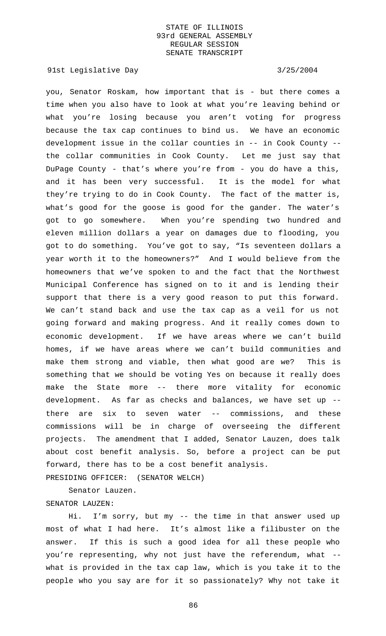91st Legislative Day 3/25/2004

you, Senator Roskam, how important that is - but there comes a time when you also have to look at what you're leaving behind or what you're losing because you aren't voting for progress because the tax cap continues to bind us. We have an economic development issue in the collar counties in -- in Cook County - the collar communities in Cook County. Let me just say that DuPage County - that's where you're from - you do have a this, and it has been very successful. It is the model for what they're trying to do in Cook County. The fact of the matter is, what's good for the goose is good for the gander. The water's got to go somewhere. When you're spending two hundred and eleven million dollars a year on damages due to flooding, you got to do something. You've got to say, "Is seventeen dollars a year worth it to the homeowners?" And I would believe from the homeowners that we've spoken to and the fact that the Northwest Municipal Conference has signed on to it and is lending their support that there is a very good reason to put this forward. We can't stand back and use the tax cap as a veil for us not going forward and making progress. And it really comes down to economic development. If we have areas where we can't build homes, if we have areas where we can't build communities and make them strong and viable, then what good are we? This is something that we should be voting Yes on because it really does make the State more -- there more vitality for economic development. As far as checks and balances, we have set up - there are six to seven water -- commissions, and these commissions will be in charge of overseeing the different projects. The amendment that I added, Senator Lauzen, does talk about cost benefit analysis. So, before a project can be put forward, there has to be a cost benefit analysis.

PRESIDING OFFICER: (SENATOR WELCH)

Senator Lauzen. SENATOR LAUZEN:

Hi. I'm sorry, but my -- the time in that answer used up most of what I had here. It's almost like a filibuster on the answer. If this is such a good idea for all these people who you're representing, why not just have the referendum, what - what is provided in the tax cap law, which is you take it to the people who you say are for it so passionately? Why not take it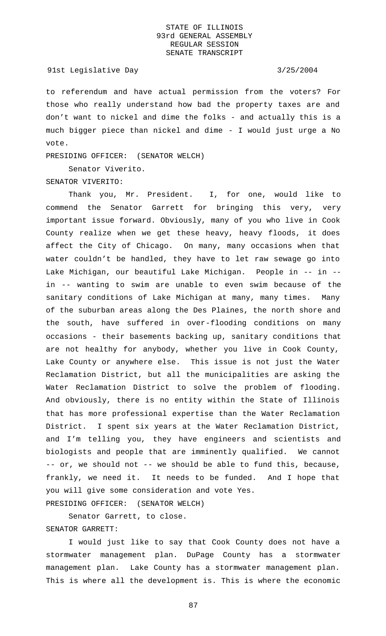### 91st Legislative Day 3/25/2004

to referendum and have actual permission from the voters? For those who really understand how bad the property taxes are and don't want to nickel and dime the folks - and actually this is a much bigger piece than nickel and dime - I would just urge a No vote.

PRESIDING OFFICER: (SENATOR WELCH)

Senator Viverito. SENATOR VIVERITO:

Thank you, Mr. President. I, for one, would like to commend the Senator Garrett for bringing this very, very important issue forward. Obviously, many of you who live in Cook County realize when we get these heavy, heavy floods, it does affect the City of Chicago. On many, many occasions when that water couldn't be handled, they have to let raw sewage go into Lake Michigan, our beautiful Lake Michigan. People in -- in - in -- wanting to swim are unable to even swim because of the sanitary conditions of Lake Michigan at many, many times. Many of the suburban areas along the Des Plaines, the north shore and the south, have suffered in over-flooding conditions on many occasions - their basements backing up, sanitary conditions that are not healthy for anybody, whether you live in Cook County, Lake County or anywhere else. This issue is not just the Water Reclamation District, but all the municipalities are asking the Water Reclamation District to solve the problem of flooding. And obviously, there is no entity within the State of Illinois that has more professional expertise than the Water Reclamation District. I spent six years at the Water Reclamation District, and I'm telling you, they have engineers and scientists and biologists and people that are imminently qualified. We cannot -- or, we should not -- we should be able to fund this, because, frankly, we need it. It needs to be funded. And I hope that you will give some consideration and vote Yes. PRESIDING OFFICER: (SENATOR WELCH)

Senator Garrett, to close. SENATOR GARRETT:

I would just like to say that Cook County does not have a stormwater management plan. DuPage County has a stormwater management plan. Lake County has a stormwater management plan. This is where all the development is. This is where the economic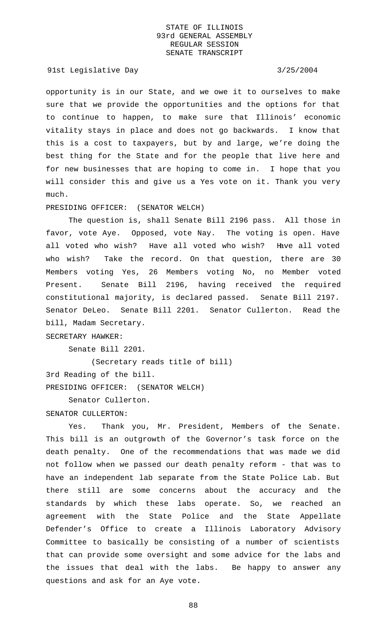91st Legislative Day 3/25/2004

opportunity is in our State, and we owe it to ourselves to make sure that we provide the opportunities and the options for that to continue to happen, to make sure that Illinois' economic vitality stays in place and does not go backwards. I know that this is a cost to taxpayers, but by and large, we're doing the best thing for the State and for the people that live here and for new businesses that are hoping to come in. I hope that you will consider this and give us a Yes vote on it. Thank you very much.

### PRESIDING OFFICER: (SENATOR WELCH)

The question is, shall Senate Bill 2196 pass. All those in favor, vote Aye. Opposed, vote Nay. The voting is open. Have all voted who wish? Have all voted who wish? Have all voted who wish? Take the record. On that question, there are 30 Members voting Yes, 26 Members voting No, no Member voted Present. Senate Bill 2196, having received the required constitutional majority, is declared passed. Senate Bill 2197. Senator DeLeo. Senate Bill 2201. Senator Cullerton. Read the bill, Madam Secretary.

## SECRETARY HAWKER:

Senate Bill 2201.

(Secretary reads title of bill) 3rd Reading of the bill. PRESIDING OFFICER: (SENATOR WELCH)

Senator Cullerton.

### SENATOR CULLERTON:

Yes. Thank you, Mr. President, Members of the Senate. This bill is an outgrowth of the Governor's task force on the death penalty. One of the recommendations that was made we did not follow when we passed our death penalty reform - that was to have an independent lab separate from the State Police Lab. But there still are some concerns about the accuracy and the standards by which these labs operate. So, we reached an agreement with the State Police and the State Appellate Defender's Office to create a Illinois Laboratory Advisory Committee to basically be consisting of a number of scientists that can provide some oversight and some advice for the labs and the issues that deal with the labs. Be happy to answer any questions and ask for an Aye vote.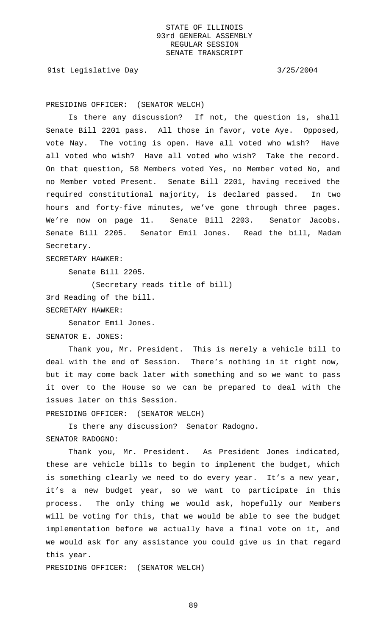91st Legislative Day 3/25/2004

PRESIDING OFFICER: (SENATOR WELCH)

Is there any discussion? If not, the question is, shall Senate Bill 2201 pass. All those in favor, vote Aye. Opposed, vote Nay. The voting is open. Have all voted who wish? Have all voted who wish? Have all voted who wish? Take the record. On that question, 58 Members voted Yes, no Member voted No, and no Member voted Present. Senate Bill 2201, having received the required constitutional majority, is declared passed. In two hours and forty-five minutes, we've gone through three pages. We're now on page 11. Senate Bill 2203. Senator Jacobs. Senate Bill 2205. Senator Emil Jones. Read the bill, Madam Secretary.

SECRETARY HAWKER:

Senate Bill 2205.

(Secretary reads title of bill)

3rd Reading of the bill.

SECRETARY HAWKER:

Senator Emil Jones.

SENATOR E. JONES:

Thank you, Mr. President. This is merely a vehicle bill to deal with the end of Session. There's nothing in it right now, but it may come back later with something and so we want to pass it over to the House so we can be prepared to deal with the issues later on this Session.

PRESIDING OFFICER: (SENATOR WELCH)

Is there any discussion? Senator Radogno. SENATOR RADOGNO:

Thank you, Mr. President. As President Jones indicated, these are vehicle bills to begin to implement the budget, which is something clearly we need to do every year. It's a new year, it's a new budget year, so we want to participate in this process. The only thing we would ask, hopefully our Members will be voting for this, that we would be able to see the budget implementation before we actually have a final vote on it, and we would ask for any assistance you could give us in that regard this year.

PRESIDING OFFICER: (SENATOR WELCH)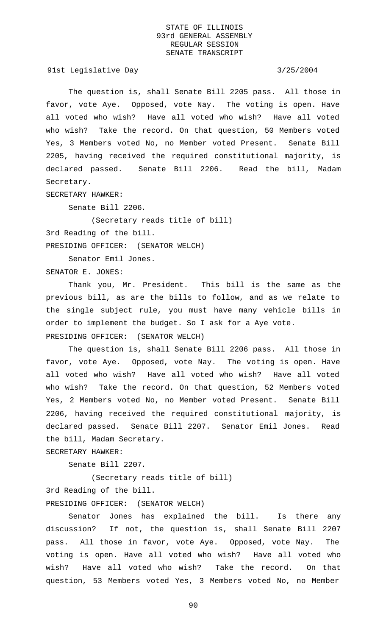91st Legislative Day 3/25/2004

The question is, shall Senate Bill 2205 pass. All those in favor, vote Aye. Opposed, vote Nay. The voting is open. Have all voted who wish? Have all voted who wish? Have all voted who wish? Take the record. On that question, 50 Members voted Yes, 3 Members voted No, no Member voted Present. Senate Bill 2205, having received the required constitutional majority, is declared passed. Senate Bill 2206. Read the bill, Madam Secretary.

SECRETARY HAWKER:

Senate Bill 2206.

(Secretary reads title of bill) 3rd Reading of the bill. PRESIDING OFFICER: (SENATOR WELCH)

Senator Emil Jones.

SENATOR E. JONES:

Thank you, Mr. President. This bill is the same as the previous bill, as are the bills to follow, and as we relate to the single subject rule, you must have many vehicle bills in order to implement the budget. So I ask for a Aye vote. PRESIDING OFFICER: (SENATOR WELCH)

The question is, shall Senate Bill 2206 pass. All those in favor, vote Aye. Opposed, vote Nay. The voting is open. Have all voted who wish? Have all voted who wish? Have all voted who wish? Take the record. On that question, 52 Members voted Yes, 2 Members voted No, no Member voted Present. Senate Bill 2206, having received the required constitutional majority, is declared passed. Senate Bill 2207. Senator Emil Jones. Read the bill, Madam Secretary.

SECRETARY HAWKER:

Senate Bill 2207.

(Secretary reads title of bill) 3rd Reading of the bill. PRESIDING OFFICER: (SENATOR WELCH)

Senator Jones has explained the bill. Is there any discussion? If not, the question is, shall Senate Bill 2207 pass. All those in favor, vote Aye. Opposed, vote Nay. The voting is open. Have all voted who wish? Have all voted who wish? Have all voted who wish? Take the record. On that question, 53 Members voted Yes, 3 Members voted No, no Member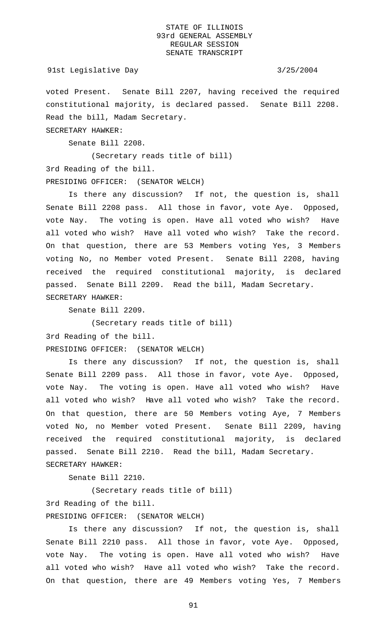### 91st Legislative Day 3/25/2004

voted Present. Senate Bill 2207, having received the required constitutional majority, is declared passed. Senate Bill 2208. Read the bill, Madam Secretary.

SECRETARY HAWKER:

Senate Bill 2208.

(Secretary reads title of bill) 3rd Reading of the bill. PRESIDING OFFICER: (SENATOR WELCH)

Is there any discussion? If not, the question is, shall Senate Bill 2208 pass. All those in favor, vote Aye. Opposed, vote Nay. The voting is open. Have all voted who wish? Have all voted who wish? Have all voted who wish? Take the record. On that question, there are 53 Members voting Yes, 3 Members voting No, no Member voted Present. Senate Bill 2208, having received the required constitutional majority, is declared passed. Senate Bill 2209. Read the bill, Madam Secretary. SECRETARY HAWKER:

Senate Bill 2209.

(Secretary reads title of bill) 3rd Reading of the bill. PRESIDING OFFICER: (SENATOR WELCH)

Is there any discussion? If not, the question is, shall Senate Bill 2209 pass. All those in favor, vote Aye. Opposed, vote Nay. The voting is open. Have all voted who wish? Have all voted who wish? Have all voted who wish? Take the record. On that question, there are 50 Members voting Aye, 7 Members voted No, no Member voted Present. Senate Bill 2209, having received the required constitutional majority, is declared passed. Senate Bill 2210. Read the bill, Madam Secretary. SECRETARY HAWKER:

Senate Bill 2210.

(Secretary reads title of bill) 3rd Reading of the bill.

PRESIDING OFFICER: (SENATOR WELCH)

Is there any discussion? If not, the question is, shall Senate Bill 2210 pass. All those in favor, vote Aye. Opposed, vote Nay. The voting is open. Have all voted who wish? Have all voted who wish? Have all voted who wish? Take the record. On that question, there are 49 Members voting Yes, 7 Members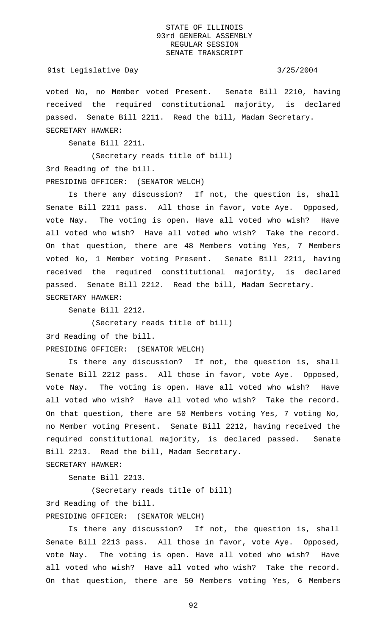### 91st Legislative Day 3/25/2004

voted No, no Member voted Present. Senate Bill 2210, having received the required constitutional majority, is declared passed. Senate Bill 2211. Read the bill, Madam Secretary. SECRETARY HAWKER:

Senate Bill 2211.

(Secretary reads title of bill) 3rd Reading of the bill. PRESIDING OFFICER: (SENATOR WELCH)

Is there any discussion? If not, the question is, shall Senate Bill 2211 pass. All those in favor, vote Aye. Opposed, vote Nay. The voting is open. Have all voted who wish? Have all voted who wish? Have all voted who wish? Take the record. On that question, there are 48 Members voting Yes, 7 Members voted No, 1 Member voting Present. Senate Bill 2211, having received the required constitutional majority, is declared passed. Senate Bill 2212. Read the bill, Madam Secretary. SECRETARY HAWKER:

Senate Bill 2212.

(Secretary reads title of bill) 3rd Reading of the bill. PRESIDING OFFICER: (SENATOR WELCH)

Is there any discussion? If not, the question is, shall Senate Bill 2212 pass. All those in favor, vote Aye. Opposed, vote Nay. The voting is open. Have all voted who wish? Have all voted who wish? Have all voted who wish? Take the record. On that question, there are 50 Members voting Yes, 7 voting No, no Member voting Present. Senate Bill 2212, having received the required constitutional majority, is declared passed. Senate Bill 2213. Read the bill, Madam Secretary.

SECRETARY HAWKER:

Senate Bill 2213.

(Secretary reads title of bill)

3rd Reading of the bill.

PRESIDING OFFICER: (SENATOR WELCH)

Is there any discussion? If not, the question is, shall Senate Bill 2213 pass. All those in favor, vote Aye. Opposed, vote Nay. The voting is open. Have all voted who wish? Have all voted who wish? Have all voted who wish? Take the record. On that question, there are 50 Members voting Yes, 6 Members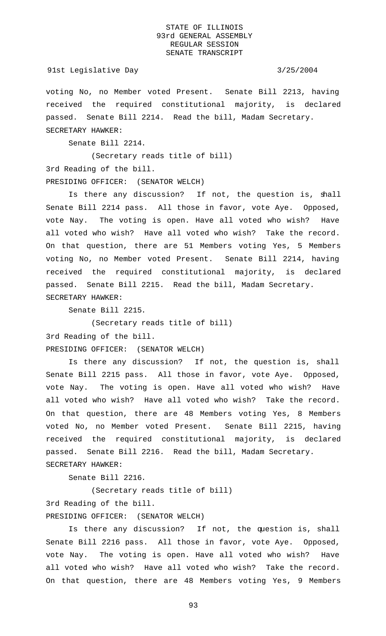### 91st Legislative Day 3/25/2004

voting No, no Member voted Present. Senate Bill 2213, having received the required constitutional majority, is declared passed. Senate Bill 2214. Read the bill, Madam Secretary. SECRETARY HAWKER:

Senate Bill 2214.

(Secretary reads title of bill) 3rd Reading of the bill. PRESIDING OFFICER: (SENATOR WELCH)

Is there any discussion? If not, the question is, shall Senate Bill 2214 pass. All those in favor, vote Aye. Opposed, vote Nay. The voting is open. Have all voted who wish? Have all voted who wish? Have all voted who wish? Take the record. On that question, there are 51 Members voting Yes, 5 Members voting No, no Member voted Present. Senate Bill 2214, having received the required constitutional majority, is declared passed. Senate Bill 2215. Read the bill, Madam Secretary. SECRETARY HAWKER:

Senate Bill 2215.

(Secretary reads title of bill) 3rd Reading of the bill. PRESIDING OFFICER: (SENATOR WELCH)

Is there any discussion? If not, the question is, shall Senate Bill 2215 pass. All those in favor, vote Aye. Opposed, vote Nay. The voting is open. Have all voted who wish? Have all voted who wish? Have all voted who wish? Take the record. On that question, there are 48 Members voting Yes, 8 Members voted No, no Member voted Present. Senate Bill 2215, having received the required constitutional majority, is declared passed. Senate Bill 2216. Read the bill, Madam Secretary. SECRETARY HAWKER:

Senate Bill 2216.

(Secretary reads title of bill) 3rd Reading of the bill. PRESIDING OFFICER: (SENATOR WELCH)

Is there any discussion? If not, the question is, shall Senate Bill 2216 pass. All those in favor, vote Aye. Opposed, vote Nay. The voting is open. Have all voted who wish? Have all voted who wish? Have all voted who wish? Take the record. On that question, there are 48 Members voting Yes, 9 Members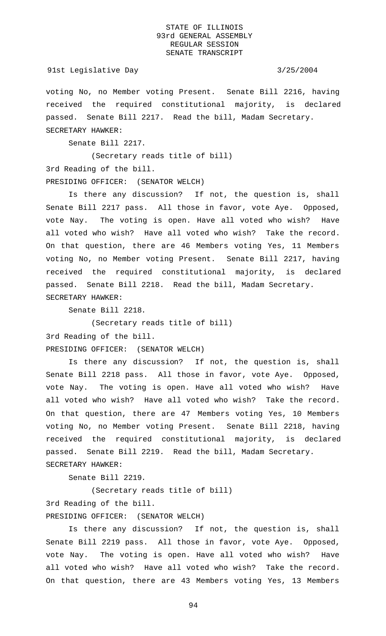### 91st Legislative Day 3/25/2004

voting No, no Member voting Present. Senate Bill 2216, having received the required constitutional majority, is declared passed. Senate Bill 2217. Read the bill, Madam Secretary. SECRETARY HAWKER:

Senate Bill 2217.

(Secretary reads title of bill) 3rd Reading of the bill. PRESIDING OFFICER: (SENATOR WELCH)

Is there any discussion? If not, the question is, shall Senate Bill 2217 pass. All those in favor, vote Aye. Opposed, vote Nay. The voting is open. Have all voted who wish? Have all voted who wish? Have all voted who wish? Take the record. On that question, there are 46 Members voting Yes, 11 Members voting No, no Member voting Present. Senate Bill 2217, having received the required constitutional majority, is declared passed. Senate Bill 2218. Read the bill, Madam Secretary. SECRETARY HAWKER:

Senate Bill 2218.

(Secretary reads title of bill) 3rd Reading of the bill. PRESIDING OFFICER: (SENATOR WELCH)

Is there any discussion? If not, the question is, shall Senate Bill 2218 pass. All those in favor, vote Aye. Opposed, vote Nay. The voting is open. Have all voted who wish? Have all voted who wish? Have all voted who wish? Take the record. On that question, there are 47 Members voting Yes, 10 Members voting No, no Member voting Present. Senate Bill 2218, having received the required constitutional majority, is declared passed. Senate Bill 2219. Read the bill, Madam Secretary. SECRETARY HAWKER:

Senate Bill 2219.

(Secretary reads title of bill) 3rd Reading of the bill.

PRESIDING OFFICER: (SENATOR WELCH)

Is there any discussion? If not, the question is, shall Senate Bill 2219 pass. All those in favor, vote Aye. Opposed, vote Nay. The voting is open. Have all voted who wish? Have all voted who wish? Have all voted who wish? Take the record. On that question, there are 43 Members voting Yes, 13 Members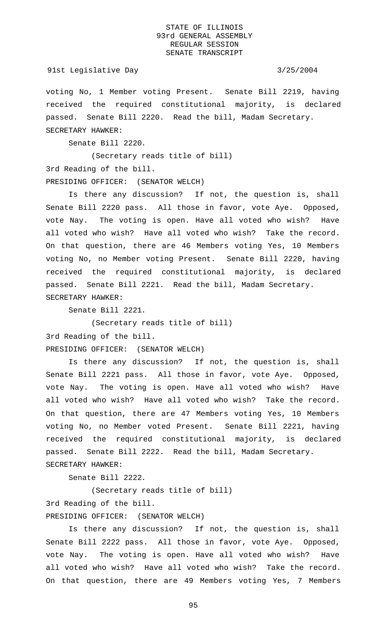### 91st Legislative Day 3/25/2004

voting No, 1 Member voting Present. Senate Bill 2219, having received the required constitutional majority, is declared passed. Senate Bill 2220. Read the bill, Madam Secretary. SECRETARY HAWKER:

Senate Bill 2220.

(Secretary reads title of bill) 3rd Reading of the bill. PRESIDING OFFICER: (SENATOR WELCH)

Is there any discussion? If not, the question is, shall Senate Bill 2220 pass. All those in favor, vote Aye. Opposed, vote Nay. The voting is open. Have all voted who wish? Have all voted who wish? Have all voted who wish? Take the record. On that question, there are 46 Members voting Yes, 10 Members voting No, no Member voting Present. Senate Bill 2220, having received the required constitutional majority, is declared passed. Senate Bill 2221. Read the bill, Madam Secretary. SECRETARY HAWKER:

Senate Bill 2221.

(Secretary reads title of bill) 3rd Reading of the bill. PRESIDING OFFICER: (SENATOR WELCH)

Is there any discussion? If not, the question is, shall Senate Bill 2221 pass. All those in favor, vote Aye. Opposed, vote Nay. The voting is open. Have all voted who wish? Have all voted who wish? Have all voted who wish? Take the record. On that question, there are 47 Members voting Yes, 10 Members voting No, no Member voted Present. Senate Bill 2221, having received the required constitutional majority, is declared passed. Senate Bill 2222. Read the bill, Madam Secretary. SECRETARY HAWKER:

Senate Bill 2222.

(Secretary reads title of bill) 3rd Reading of the bill. PRESIDING OFFICER: (SENATOR WELCH)

Is there any discussion? If not, the question is, shall Senate Bill 2222 pass. All those in favor, vote Aye. Opposed, vote Nay. The voting is open. Have all voted who wish? Have all voted who wish? Have all voted who wish? Take the record. On that question, there are 49 Members voting Yes, 7 Members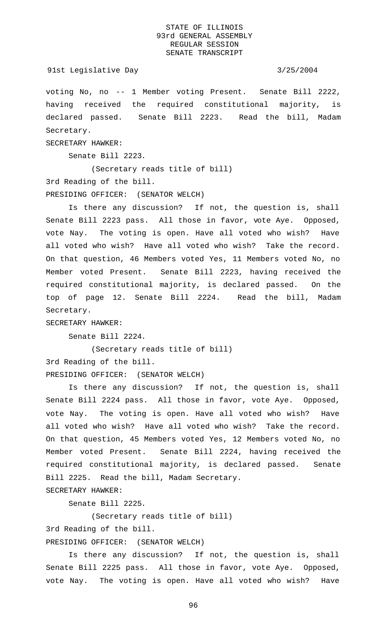## 91st Legislative Day 3/25/2004

voting No, no -- 1 Member voting Present. Senate Bill 2222, having received the required constitutional majority, is declared passed. Senate Bill 2223. Read the bill, Madam Secretary.

SECRETARY HAWKER:

Senate Bill 2223.

(Secretary reads title of bill) 3rd Reading of the bill. PRESIDING OFFICER: (SENATOR WELCH)

Is there any discussion? If not, the question is, shall Senate Bill 2223 pass. All those in favor, vote Aye. Opposed, vote Nay. The voting is open. Have all voted who wish? Have all voted who wish? Have all voted who wish? Take the record. On that question, 46 Members voted Yes, 11 Members voted No, no Member voted Present. Senate Bill 2223, having received the required constitutional majority, is declared passed. On the top of page 12. Senate Bill 2224. Read the bill, Madam Secretary.

SECRETARY HAWKER:

Senate Bill 2224.

(Secretary reads title of bill) 3rd Reading of the bill. PRESIDING OFFICER: (SENATOR WELCH)

Is there any discussion? If not, the question is, shall Senate Bill 2224 pass. All those in favor, vote Aye. Opposed, vote Nay. The voting is open. Have all voted who wish? Have all voted who wish? Have all voted who wish? Take the record. On that question, 45 Members voted Yes, 12 Members voted No, no Member voted Present. Senate Bill 2224, having received the required constitutional majority, is declared passed. Senate Bill 2225. Read the bill, Madam Secretary.

SECRETARY HAWKER:

Senate Bill 2225.

(Secretary reads title of bill)

3rd Reading of the bill.

PRESIDING OFFICER: (SENATOR WELCH)

Is there any discussion? If not, the question is, shall Senate Bill 2225 pass. All those in favor, vote Aye. Opposed, vote Nay. The voting is open. Have all voted who wish? Have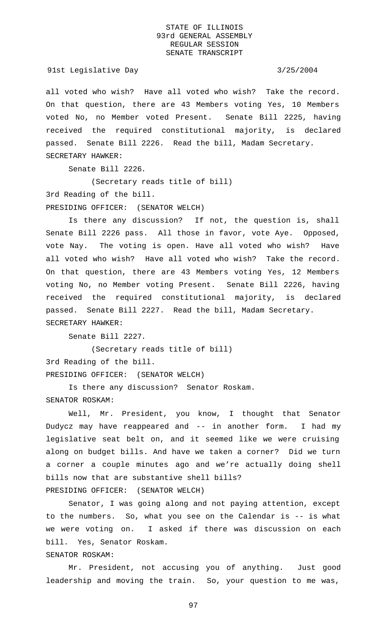91st Legislative Day 3/25/2004

all voted who wish? Have all voted who wish? Take the record. On that question, there are 43 Members voting Yes, 10 Members voted No, no Member voted Present. Senate Bill 2225, having received the required constitutional majority, is declared passed. Senate Bill 2226. Read the bill, Madam Secretary. SECRETARY HAWKER:

Senate Bill 2226.

(Secretary reads title of bill)

3rd Reading of the bill.

PRESIDING OFFICER: (SENATOR WELCH)

Is there any discussion? If not, the question is, shall Senate Bill 2226 pass. All those in favor, vote Aye. Opposed, vote Nay. The voting is open. Have all voted who wish? Have all voted who wish? Have all voted who wish? Take the record. On that question, there are 43 Members voting Yes, 12 Members voting No, no Member voting Present. Senate Bill 2226, having received the required constitutional majority, is declared passed. Senate Bill 2227. Read the bill, Madam Secretary. SECRETARY HAWKER:

Senate Bill 2227.

(Secretary reads title of bill) 3rd Reading of the bill. PRESIDING OFFICER: (SENATOR WELCH)

Is there any discussion? Senator Roskam. SENATOR ROSKAM:

Well, Mr. President, you know, I thought that Senator Dudycz may have reappeared and -- in another form. I had my legislative seat belt on, and it seemed like we were cruising along on budget bills. And have we taken a corner? Did we turn a corner a couple minutes ago and we're actually doing shell bills now that are substantive shell bills?

PRESIDING OFFICER: (SENATOR WELCH)

Senator, I was going along and not paying attention, except to the numbers. So, what you see on the Calendar is -- is what we were voting on. I asked if there was discussion on each bill. Yes, Senator Roskam.

SENATOR ROSKAM:

Mr. President, not accusing you of anything. Just good leadership and moving the train. So, your question to me was,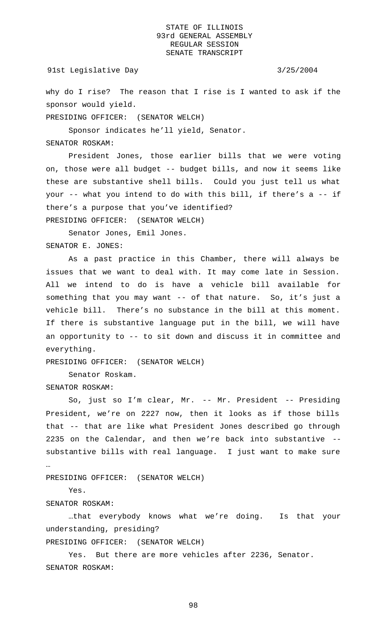why do I rise? The reason that I rise is I wanted to ask if the sponsor would yield.

PRESIDING OFFICER: (SENATOR WELCH)

Sponsor indicates he'll yield, Senator.

# SENATOR ROSKAM:

President Jones, those earlier bills that we were voting on, those were all budget -- budget bills, and now it seems like these are substantive shell bills. Could you just tell us what your -- what you intend to do with this bill, if there's a -- if there's a purpose that you've identified? PRESIDING OFFICER: (SENATOR WELCH)

Senator Jones, Emil Jones. SENATOR E. JONES:

As a past practice in this Chamber, there will always be issues that we want to deal with. It may come late in Session. All we intend to do is have a vehicle bill available for something that you may want -- of that nature. So, it's just a vehicle bill. There's no substance in the bill at this moment. If there is substantive language put in the bill, we will have an opportunity to -- to sit down and discuss it in committee and everything.

PRESIDING OFFICER: (SENATOR WELCH)

Senator Roskam.

### SENATOR ROSKAM:

So, just so I'm clear, Mr. -- Mr. President -- Presiding President, we're on 2227 now, then it looks as if those bills that -- that are like what President Jones described go through 2235 on the Calendar, and then we're back into substantive - substantive bills with real language. I just want to make sure …

PRESIDING OFFICER: (SENATOR WELCH)

Yes.

SENATOR ROSKAM:

…that everybody knows what we're doing. Is that your understanding, presiding?

PRESIDING OFFICER: (SENATOR WELCH)

Yes. But there are more vehicles after 2236, Senator. SENATOR ROSKAM: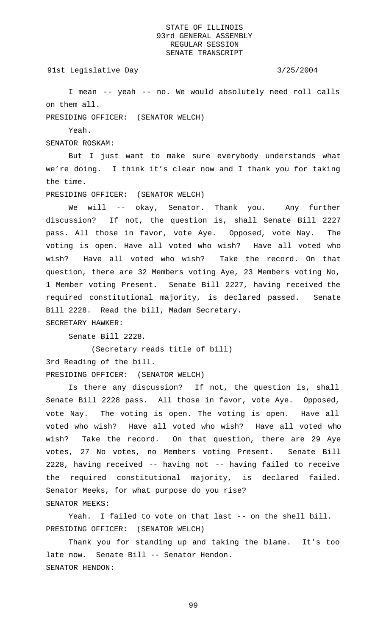# 91st Legislative Day 3/25/2004

I mean -- yeah -- no. We would absolutely need roll calls on them all.

PRESIDING OFFICER: (SENATOR WELCH)

Yeah.

SENATOR ROSKAM:

But I just want to make sure everybody understands what we're doing. I think it's clear now and I thank you for taking the time.

PRESIDING OFFICER: (SENATOR WELCH)

We will -- okay, Senator. Thank you. Any further discussion? If not, the question is, shall Senate Bill 2227 pass. All those in favor, vote Aye. Opposed, vote Nay. The voting is open. Have all voted who wish? Have all voted who wish? Have all voted who wish? Take the record. On that question, there are 32 Members voting Aye, 23 Members voting No, 1 Member voting Present. Senate Bill 2227, having received the required constitutional majority, is declared passed. Senate Bill 2228. Read the bill, Madam Secretary. SECRETARY HAWKER:

Senate Bill 2228.

(Secretary reads title of bill) 3rd Reading of the bill. PRESIDING OFFICER: (SENATOR WELCH)

Is there any discussion? If not, the question is, shall Senate Bill 2228 pass. All those in favor, vote Aye. Opposed, vote Nay. The voting is open. The voting is open. Have all voted who wish? Have all voted who wish? Have all voted who wish? Take the record. On that question, there are 29 Aye votes, 27 No votes, no Members voting Present. Senate Bill 2228, having received -- having not -- having failed to receive the required constitutional majority, is declared failed. Senator Meeks, for what purpose do you rise? SENATOR MEEKS:

Yeah. I failed to vote on that last -- on the shell bill. PRESIDING OFFICER: (SENATOR WELCH)

Thank you for standing up and taking the blame. It's too late now. Senate Bill -- Senator Hendon. SENATOR HENDON: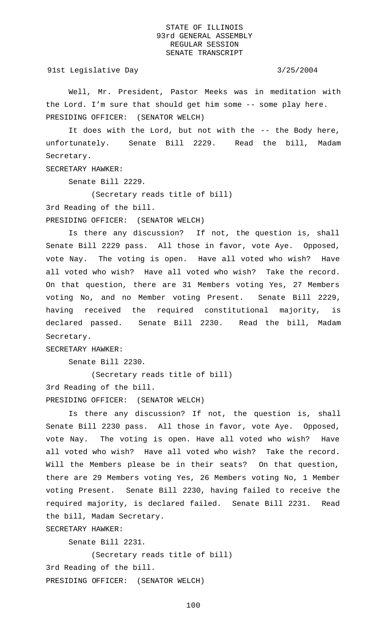91st Legislative Day 3/25/2004

Well, Mr. President, Pastor Meeks was in meditation with the Lord. I'm sure that should get him some -- some play here. PRESIDING OFFICER: (SENATOR WELCH)

It does with the Lord, but not with the -- the Body here, unfortunately. Senate Bill 2229. Read the bill, Madam Secretary.

SECRETARY HAWKER:

Senate Bill 2229.

(Secretary reads title of bill)

3rd Reading of the bill.

PRESIDING OFFICER: (SENATOR WELCH)

Is there any discussion? If not, the question is, shall Senate Bill 2229 pass. All those in favor, vote Aye. Opposed, vote Nay. The voting is open. Have all voted who wish? Have all voted who wish? Have all voted who wish? Take the record. On that question, there are 31 Members voting Yes, 27 Members voting No, and no Member voting Present. Senate Bill 2229, having received the required constitutional majority, is declared passed. Senate Bill 2230. Read the bill, Madam Secretary.

SECRETARY HAWKER:

Senate Bill 2230.

(Secretary reads title of bill) 3rd Reading of the bill. PRESIDING OFFICER: (SENATOR WELCH)

Is there any discussion? If not, the question is, shall Senate Bill 2230 pass. All those in favor, vote Aye. Opposed, vote Nay. The voting is open. Have all voted who wish? Have all voted who wish? Have all voted who wish? Take the record. Will the Members please be in their seats? On that question, there are 29 Members voting Yes, 26 Members voting No, 1 Member voting Present. Senate Bill 2230, having failed to receive the required majority, is declared failed. Senate Bill 2231. Read the bill, Madam Secretary.

SECRETARY HAWKER:

Senate Bill 2231.

(Secretary reads title of bill) 3rd Reading of the bill. PRESIDING OFFICER: (SENATOR WELCH)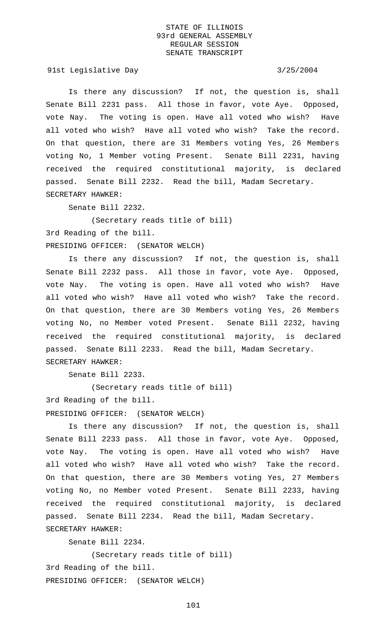91st Legislative Day 3/25/2004

Is there any discussion? If not, the question is, shall Senate Bill 2231 pass. All those in favor, vote Aye. Opposed, vote Nay. The voting is open. Have all voted who wish? Have all voted who wish? Have all voted who wish? Take the record. On that question, there are 31 Members voting Yes, 26 Members voting No, 1 Member voting Present. Senate Bill 2231, having received the required constitutional majority, is declared passed. Senate Bill 2232. Read the bill, Madam Secretary. SECRETARY HAWKER:

Senate Bill 2232.

(Secretary reads title of bill) 3rd Reading of the bill. PRESIDING OFFICER: (SENATOR WELCH)

Is there any discussion? If not, the question is, shall Senate Bill 2232 pass. All those in favor, vote Aye. Opposed, vote Nay. The voting is open. Have all voted who wish? Have all voted who wish? Have all voted who wish? Take the record. On that question, there are 30 Members voting Yes, 26 Members voting No, no Member voted Present. Senate Bill 2232, having received the required constitutional majority, is declared passed. Senate Bill 2233. Read the bill, Madam Secretary. SECRETARY HAWKER:

Senate Bill 2233.

(Secretary reads title of bill) 3rd Reading of the bill. PRESIDING OFFICER: (SENATOR WELCH)

Is there any discussion? If not, the question is, shall Senate Bill 2233 pass. All those in favor, vote Aye. Opposed, vote Nay. The voting is open. Have all voted who wish? Have all voted who wish? Have all voted who wish? Take the record. On that question, there are 30 Members voting Yes, 27 Members voting No, no Member voted Present. Senate Bill 2233, having received the required constitutional majority, is declared passed. Senate Bill 2234. Read the bill, Madam Secretary. SECRETARY HAWKER:

Senate Bill 2234.

(Secretary reads title of bill) 3rd Reading of the bill. PRESIDING OFFICER: (SENATOR WELCH)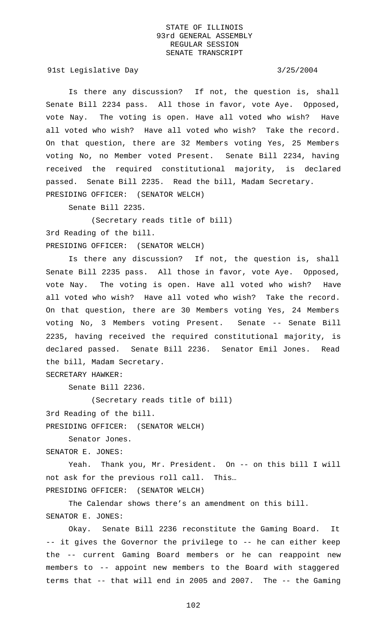91st Legislative Day 3/25/2004

Is there any discussion? If not, the question is, shall Senate Bill 2234 pass. All those in favor, vote Aye. Opposed, vote Nay. The voting is open. Have all voted who wish? Have all voted who wish? Have all voted who wish? Take the record. On that question, there are 32 Members voting Yes, 25 Members voting No, no Member voted Present. Senate Bill 2234, having received the required constitutional majority, is declared passed. Senate Bill 2235. Read the bill, Madam Secretary. PRESIDING OFFICER: (SENATOR WELCH)

Senate Bill 2235.

(Secretary reads title of bill) 3rd Reading of the bill. PRESIDING OFFICER: (SENATOR WELCH)

Is there any discussion? If not, the question is, shall Senate Bill 2235 pass. All those in favor, vote Aye. Opposed, vote Nay. The voting is open. Have all voted who wish? Have all voted who wish? Have all voted who wish? Take the record. On that question, there are 30 Members voting Yes, 24 Members voting No, 3 Members voting Present. Senate -- Senate Bill 2235, having received the required constitutional majority, is declared passed. Senate Bill 2236. Senator Emil Jones. Read the bill, Madam Secretary.

SECRETARY HAWKER:

Senate Bill 2236.

(Secretary reads title of bill)

3rd Reading of the bill.

PRESIDING OFFICER: (SENATOR WELCH)

Senator Jones.

SENATOR E. JONES:

Yeah. Thank you, Mr. President. On -- on this bill I will not ask for the previous roll call. This…

PRESIDING OFFICER: (SENATOR WELCH)

The Calendar shows there's an amendment on this bill. SENATOR E. JONES:

Okay. Senate Bill 2236 reconstitute the Gaming Board. It -- it gives the Governor the privilege to -- he can either keep the -- current Gaming Board members or he can reappoint new members to -- appoint new members to the Board with staggered terms that -- that will end in 2005 and 2007. The -- the Gaming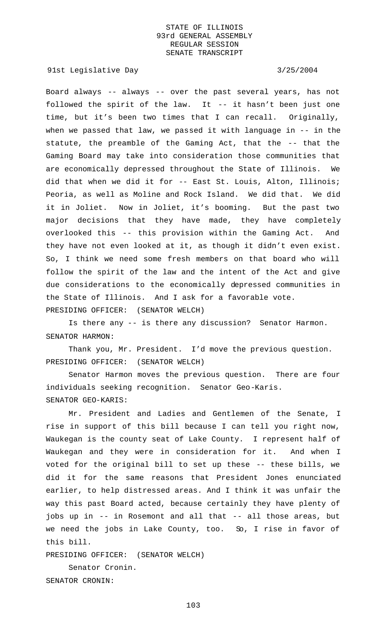91st Legislative Day 3/25/2004

Board always -- always -- over the past several years, has not followed the spirit of the law. It -- it hasn't been just one time, but it's been two times that I can recall. Originally, when we passed that law, we passed it with language in -- in the statute, the preamble of the Gaming Act, that the -- that the Gaming Board may take into consideration those communities that are economically depressed throughout the State of Illinois. We did that when we did it for -- East St. Louis, Alton, Illinois; Peoria, as well as Moline and Rock Island. We did that. We did it in Joliet. Now in Joliet, it's booming. But the past two major decisions that they have made, they have completely overlooked this -- this provision within the Gaming Act. And they have not even looked at it, as though it didn't even exist. So, I think we need some fresh members on that board who will follow the spirit of the law and the intent of the Act and give due considerations to the economically depressed communities in the State of Illinois. And I ask for a favorable vote. PRESIDING OFFICER: (SENATOR WELCH)

Is there any -- is there any discussion? Senator Harmon. SENATOR HARMON:

Thank you, Mr. President. I'd move the previous question. PRESIDING OFFICER: (SENATOR WELCH)

Senator Harmon moves the previous question. There are four individuals seeking recognition. Senator Geo-Karis. SENATOR GEO-KARIS:

Mr. President and Ladies and Gentlemen of the Senate, I rise in support of this bill because I can tell you right now, Waukegan is the county seat of Lake County. I represent half of Waukegan and they were in consideration for it. And when I voted for the original bill to set up these -- these bills, we did it for the same reasons that President Jones enunciated earlier, to help distressed areas. And I think it was unfair the way this past Board acted, because certainly they have plenty of jobs up in -- in Rosemont and all that -- all those areas, but we need the jobs in Lake County, too. So, I rise in favor of this bill.

PRESIDING OFFICER: (SENATOR WELCH)

Senator Cronin. SENATOR CRONIN: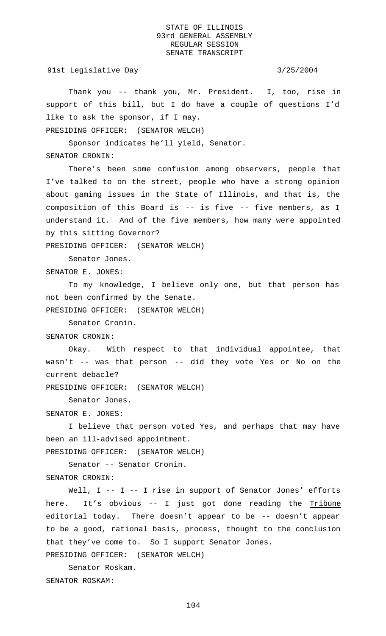91st Legislative Day 3/25/2004

Thank you -- thank you, Mr. President. I, too, rise in support of this bill, but I do have a couple of questions I'd like to ask the sponsor, if I may.

PRESIDING OFFICER: (SENATOR WELCH)

Sponsor indicates he'll yield, Senator.

SENATOR CRONIN:

There's been some confusion among observers, people that I've talked to on the street, people who have a strong opinion about gaming issues in the State of Illinois, and that is, the composition of this Board is -- is five -- five members, as I understand it. And of the five members, how many were appointed by this sitting Governor?

PRESIDING OFFICER: (SENATOR WELCH)

Senator Jones.

SENATOR E. JONES:

To my knowledge, I believe only one, but that person has not been confirmed by the Senate.

PRESIDING OFFICER: (SENATOR WELCH)

Senator Cronin.

SENATOR CRONIN:

Okay. With respect to that individual appointee, that wasn't -- was that person -- did they vote Yes or No on the current debacle?

PRESIDING OFFICER: (SENATOR WELCH)

Senator Jones.

SENATOR E. JONES:

I believe that person voted Yes, and perhaps that may have been an ill-advised appointment.

PRESIDING OFFICER: (SENATOR WELCH)

Senator -- Senator Cronin.

SENATOR CRONIN:

Well, I -- I -- I rise in support of Senator Jones' efforts here. It's obvious -- I just got done reading the Tribune editorial today. There doesn't appear to be -- doesn't appear to be a good, rational basis, process, thought to the conclusion that they've come to. So I support Senator Jones.

PRESIDING OFFICER: (SENATOR WELCH)

Senator Roskam. SENATOR ROSKAM: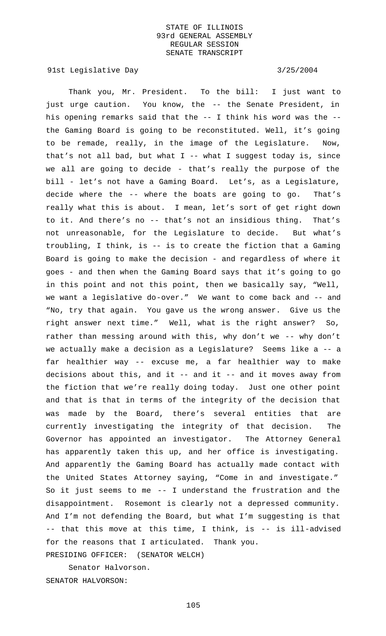91st Legislative Day 3/25/2004

Thank you, Mr. President. To the bill: I just want to just urge caution. You know, the -- the Senate President, in his opening remarks said that the -- I think his word was the - the Gaming Board is going to be reconstituted. Well, it's going to be remade, really, in the image of the Legislature. Now, that's not all bad, but what  $I$  -- what I suggest today is, since we all are going to decide - that's really the purpose of the bill - let's not have a Gaming Board. Let's, as a Legislature, decide where the -- where the boats are going to go. That's really what this is about. I mean, let's sort of get right down to it. And there's no -- that's not an insidious thing. That's not unreasonable, for the Legislature to decide. But what's troubling, I think, is -- is to create the fiction that a Gaming Board is going to make the decision - and regardless of where it goes - and then when the Gaming Board says that it's going to go in this point and not this point, then we basically say, "Well, we want a legislative do-over." We want to come back and -- and "No, try that again. You gave us the wrong answer. Give us the right answer next time." Well, what is the right answer? So, rather than messing around with this, why don't we -- why don't we actually make a decision as a Legislature? Seems like a -- a far healthier way -- excuse me, a far healthier way to make decisions about this, and it -- and it -- and it moves away from the fiction that we're really doing today. Just one other point and that is that in terms of the integrity of the decision that was made by the Board, there's several entities that are currently investigating the integrity of that decision. The Governor has appointed an investigator. The Attorney General has apparently taken this up, and her office is investigating. And apparently the Gaming Board has actually made contact with the United States Attorney saying, "Come in and investigate." So it just seems to me -- I understand the frustration and the disappointment. Rosemont is clearly not a depressed community. And I'm not defending the Board, but what I'm suggesting is that -- that this move at this time, I think, is -- is ill-advised for the reasons that I articulated. Thank you. PRESIDING OFFICER: (SENATOR WELCH)

Senator Halvorson. SENATOR HALVORSON: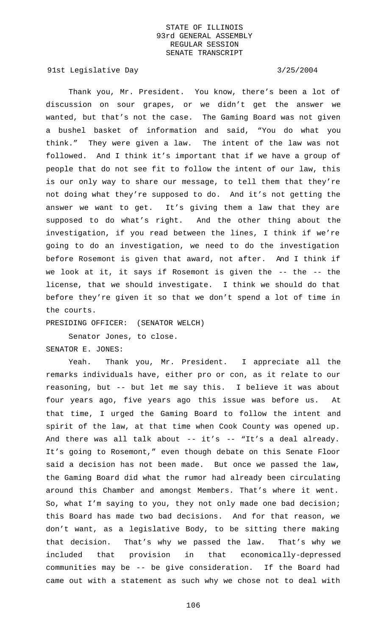91st Legislative Day 3/25/2004

Thank you, Mr. President. You know, there's been a lot of discussion on sour grapes, or we didn't get the answer we wanted, but that's not the case. The Gaming Board was not given a bushel basket of information and said, "You do what you think." They were given a law. The intent of the law was not followed. And I think it's important that if we have a group of people that do not see fit to follow the intent of our law, this is our only way to share our message, to tell them that they're not doing what they're supposed to do. And it's not getting the answer we want to get. It's giving them a law that they are supposed to do what's right. And the other thing about the investigation, if you read between the lines, I think if we're going to do an investigation, we need to do the investigation before Rosemont is given that award, not after. And I think if we look at it, it says if Rosemont is given the -- the -- the license, that we should investigate. I think we should do that before they're given it so that we don't spend a lot of time in the courts.

PRESIDING OFFICER: (SENATOR WELCH)

Senator Jones, to close.

SENATOR E. JONES:

Yeah. Thank you, Mr. President. I appreciate all the remarks individuals have, either pro or con, as it relate to our reasoning, but -- but let me say this. I believe it was about four years ago, five years ago this issue was before us. At that time, I urged the Gaming Board to follow the intent and spirit of the law, at that time when Cook County was opened up. And there was all talk about -- it's -- "It's a deal already. It's going to Rosemont," even though debate on this Senate Floor said a decision has not been made. But once we passed the law, the Gaming Board did what the rumor had already been circulating around this Chamber and amongst Members. That's where it went. So, what I'm saying to you, they not only made one bad decision; this Board has made two bad decisions. And for that reason, we don't want, as a legislative Body, to be sitting there making that decision. That's why we passed the law. That's why we included that provision in that economically-depressed communities may be -- be give consideration. If the Board had came out with a statement as such why we chose not to deal with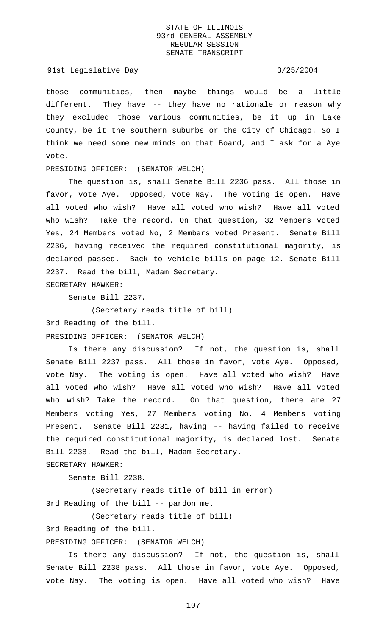### 91st Legislative Day 3/25/2004

those communities, then maybe things would be a little different. They have -- they have no rationale or reason why they excluded those various communities, be it up in Lake County, be it the southern suburbs or the City of Chicago. So I think we need some new minds on that Board, and I ask for a Aye vote.

## PRESIDING OFFICER: (SENATOR WELCH)

The question is, shall Senate Bill 2236 pass. All those in favor, vote Aye. Opposed, vote Nay. The voting is open. Have all voted who wish? Have all voted who wish? Have all voted who wish? Take the record. On that question, 32 Members voted Yes, 24 Members voted No, 2 Members voted Present. Senate Bill 2236, having received the required constitutional majority, is declared passed. Back to vehicle bills on page 12. Senate Bill 2237. Read the bill, Madam Secretary. SECRETARY HAWKER:

Senate Bill 2237.

(Secretary reads title of bill)

3rd Reading of the bill.

PRESIDING OFFICER: (SENATOR WELCH)

Is there any discussion? If not, the question is, shall Senate Bill 2237 pass. All those in favor, vote Aye. Opposed, vote Nay. The voting is open. Have all voted who wish? Have all voted who wish? Have all voted who wish? Have all voted who wish? Take the record. On that question, there are 27 Members voting Yes, 27 Members voting No, 4 Members voting Present. Senate Bill 2231, having -- having failed to receive the required constitutional majority, is declared lost. Senate Bill 2238. Read the bill, Madam Secretary.

SECRETARY HAWKER:

Senate Bill 2238.

(Secretary reads title of bill in error) 3rd Reading of the bill -- pardon me.

(Secretary reads title of bill)

3rd Reading of the bill.

PRESIDING OFFICER: (SENATOR WELCH)

Is there any discussion? If not, the question is, shall Senate Bill 2238 pass. All those in favor, vote Aye. Opposed, vote Nay. The voting is open. Have all voted who wish? Have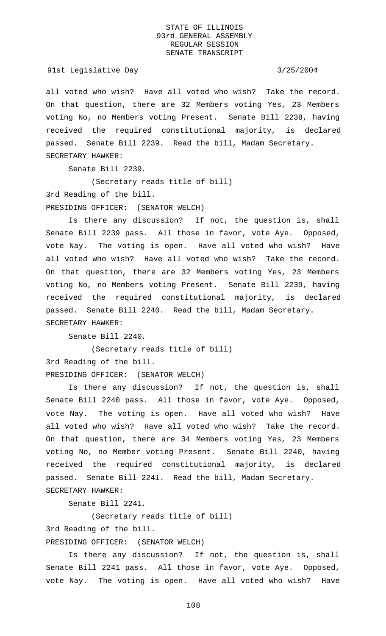## 91st Legislative Day 3/25/2004

all voted who wish? Have all voted who wish? Take the record. On that question, there are 32 Members voting Yes, 23 Members voting No, no Members voting Present. Senate Bill 2238, having received the required constitutional majority, is declared passed. Senate Bill 2239. Read the bill, Madam Secretary. SECRETARY HAWKER:

Senate Bill 2239.

(Secretary reads title of bill)

3rd Reading of the bill.

PRESIDING OFFICER: (SENATOR WELCH)

Is there any discussion? If not, the question is, shall Senate Bill 2239 pass. All those in favor, vote Aye. Opposed, vote Nay. The voting is open. Have all voted who wish? Have all voted who wish? Have all voted who wish? Take the record. On that question, there are 32 Members voting Yes, 23 Members voting No, no Members voting Present. Senate Bill 2239, having received the required constitutional majority, is declared passed. Senate Bill 2240. Read the bill, Madam Secretary. SECRETARY HAWKER:

Senate Bill 2240.

(Secretary reads title of bill) 3rd Reading of the bill. PRESIDING OFFICER: (SENATOR WELCH)

Is there any discussion? If not, the question is, shall Senate Bill 2240 pass. All those in favor, vote Aye. Opposed, vote Nay. The voting is open. Have all voted who wish? Have all voted who wish? Have all voted who wish? Take the record. On that question, there are 34 Members voting Yes, 23 Members voting No, no Member voting Present. Senate Bill 2240, having received the required constitutional majority, is declared passed. Senate Bill 2241. Read the bill, Madam Secretary. SECRETARY HAWKER:

Senate Bill 2241.

(Secretary reads title of bill)

3rd Reading of the bill.

PRESIDING OFFICER: (SENATOR WELCH)

Is there any discussion? If not, the question is, shall Senate Bill 2241 pass. All those in favor, vote Aye. Opposed, vote Nay. The voting is open. Have all voted who wish? Have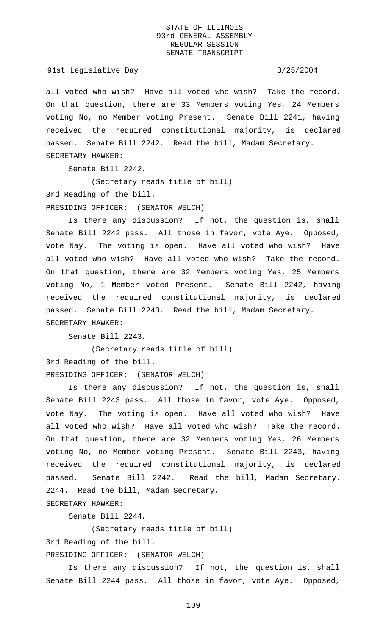91st Legislative Day 3/25/2004

all voted who wish? Have all voted who wish? Take the record. On that question, there are 33 Members voting Yes, 24 Members voting No, no Member voting Present. Senate Bill 2241, having received the required constitutional majority, is declared passed. Senate Bill 2242. Read the bill, Madam Secretary. SECRETARY HAWKER:

Senate Bill 2242.

(Secretary reads title of bill)

3rd Reading of the bill.

PRESIDING OFFICER: (SENATOR WELCH)

Is there any discussion? If not, the question is, shall Senate Bill 2242 pass. All those in favor, vote Aye. Opposed, vote Nay. The voting is open. Have all voted who wish? Have all voted who wish? Have all voted who wish? Take the record. On that question, there are 32 Members voting Yes, 25 Members voting No, 1 Member voted Present. Senate Bill 2242, having received the required constitutional majority, is declared passed. Senate Bill 2243. Read the bill, Madam Secretary. SECRETARY HAWKER:

Senate Bill 2243.

(Secretary reads title of bill) 3rd Reading of the bill. PRESIDING OFFICER: (SENATOR WELCH)

Is there any discussion? If not, the question is, shall Senate Bill 2243 pass. All those in favor, vote Aye. Opposed, vote Nay. The voting is open. Have all voted who wish? Have all voted who wish? Have all voted who wish? Take the record. On that question, there are 32 Members voting Yes, 26 Members voting No, no Member voting Present. Senate Bill 2243, having received the required constitutional majority, is declared passed. Senate Bill 2242. Read the bill, Madam Secretary. 2244. Read the bill, Madam Secretary.

SECRETARY HAWKER:

Senate Bill 2244.

(Secretary reads title of bill)

3rd Reading of the bill.

PRESIDING OFFICER: (SENATOR WELCH)

Is there any discussion? If not, the question is, shall Senate Bill 2244 pass. All those in favor, vote Aye. Opposed,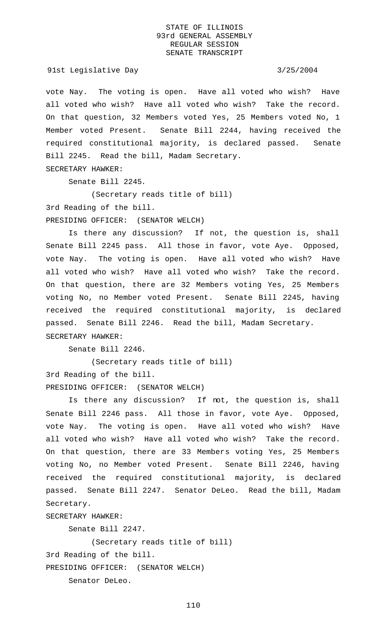91st Legislative Day 3/25/2004

vote Nay. The voting is open. Have all voted who wish? Have all voted who wish? Have all voted who wish? Take the record. On that question, 32 Members voted Yes, 25 Members voted No, 1 Member voted Present. Senate Bill 2244, having received the required constitutional majority, is declared passed. Senate Bill 2245. Read the bill, Madam Secretary.

SECRETARY HAWKER:

Senate Bill 2245.

(Secretary reads title of bill)

3rd Reading of the bill.

PRESIDING OFFICER: (SENATOR WELCH)

Is there any discussion? If not, the question is, shall Senate Bill 2245 pass. All those in favor, vote Aye. Opposed, vote Nay. The voting is open. Have all voted who wish? Have all voted who wish? Have all voted who wish? Take the record. On that question, there are 32 Members voting Yes, 25 Members voting No, no Member voted Present. Senate Bill 2245, having received the required constitutional majority, is declared passed. Senate Bill 2246. Read the bill, Madam Secretary. SECRETARY HAWKER:

Senate Bill 2246.

(Secretary reads title of bill) 3rd Reading of the bill. PRESIDING OFFICER: (SENATOR WELCH)

Is there any discussion? If not, the question is, shall Senate Bill 2246 pass. All those in favor, vote Aye. Opposed, vote Nay. The voting is open. Have all voted who wish? Have all voted who wish? Have all voted who wish? Take the record. On that question, there are 33 Members voting Yes, 25 Members voting No, no Member voted Present. Senate Bill 2246, having received the required constitutional majority, is declared passed. Senate Bill 2247. Senator DeLeo. Read the bill, Madam Secretary.

SECRETARY HAWKER:

Senate Bill 2247.

(Secretary reads title of bill) 3rd Reading of the bill. PRESIDING OFFICER: (SENATOR WELCH) Senator DeLeo.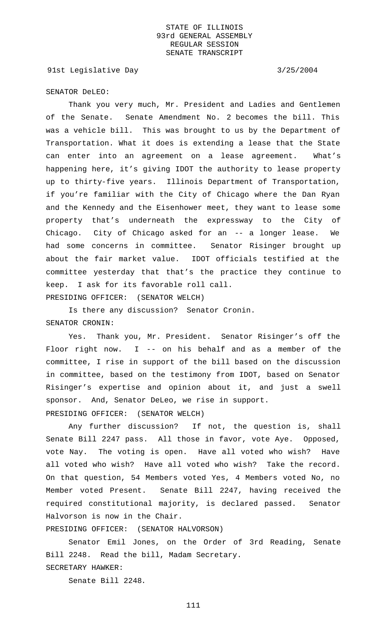91st Legislative Day 3/25/2004

## SENATOR DeLEO:

Thank you very much, Mr. President and Ladies and Gentlemen of the Senate. Senate Amendment No. 2 becomes the bill. This was a vehicle bill. This was brought to us by the Department of Transportation. What it does is extending a lease that the State can enter into an agreement on a lease agreement. What's happening here, it's giving IDOT the authority to lease property up to thirty-five years. Illinois Department of Transportation, if you're familiar with the City of Chicago where the Dan Ryan and the Kennedy and the Eisenhower meet, they want to lease some property that's underneath the expressway to the City of Chicago. City of Chicago asked for an -- a longer lease. We had some concerns in committee. Senator Risinger brought up about the fair market value. IDOT officials testified at the committee yesterday that that's the practice they continue to keep. I ask for its favorable roll call. PRESIDING OFFICER: (SENATOR WELCH)

Is there any discussion? Senator Cronin. SENATOR CRONIN:

Yes. Thank you, Mr. President. Senator Risinger's off the Floor right now.  $I$  -- on his behalf and as a member of the committee, I rise in support of the bill based on the discussion in committee, based on the testimony from IDOT, based on Senator Risinger's expertise and opinion about it, and just a swell sponsor. And, Senator DeLeo, we rise in support. PRESIDING OFFICER: (SENATOR WELCH)

Any further discussion? If not, the question is, shall Senate Bill 2247 pass. All those in favor, vote Aye. Opposed, vote Nay. The voting is open. Have all voted who wish? Have all voted who wish? Have all voted who wish? Take the record. On that question, 54 Members voted Yes, 4 Members voted No, no Member voted Present. Senate Bill 2247, having received the required constitutional majority, is declared passed. Senator Halvorson is now in the Chair.

PRESIDING OFFICER: (SENATOR HALVORSON)

Senator Emil Jones, on the Order of 3rd Reading, Senate Bill 2248. Read the bill, Madam Secretary.

SECRETARY HAWKER:

Senate Bill 2248.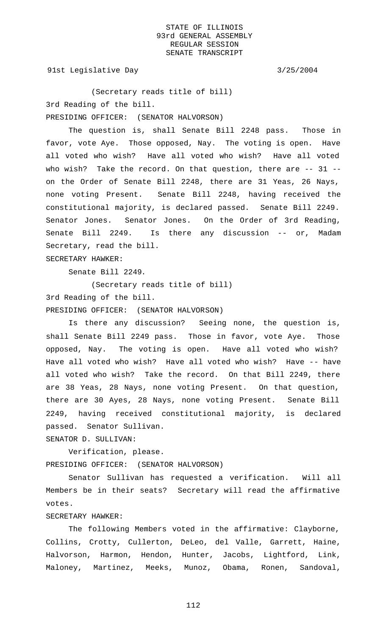91st Legislative Day 3/25/2004

(Secretary reads title of bill) 3rd Reading of the bill. PRESIDING OFFICER: (SENATOR HALVORSON)

The question is, shall Senate Bill 2248 pass. Those in favor, vote Aye. Those opposed, Nay. The voting is open. Have all voted who wish? Have all voted who wish? Have all voted who wish? Take the record. On that question, there are -- 31 -on the Order of Senate Bill 2248, there are 31 Yeas, 26 Nays, none voting Present. Senate Bill 2248, having received the constitutional majority, is declared passed. Senate Bill 2249. Senator Jones. Senator Jones. On the Order of 3rd Reading, Senate Bill 2249. Is there any discussion -- or, Madam Secretary, read the bill. SECRETARY HAWKER:

Senate Bill 2249.

(Secretary reads title of bill) 3rd Reading of the bill. PRESIDING OFFICER: (SENATOR HALVORSON)

Is there any discussion? Seeing none, the question is, shall Senate Bill 2249 pass. Those in favor, vote Aye. Those opposed, Nay. The voting is open. Have all voted who wish? Have all voted who wish? Have all voted who wish? Have -- have all voted who wish? Take the record. On that Bill 2249, there are 38 Yeas, 28 Nays, none voting Present. On that question, there are 30 Ayes, 28 Nays, none voting Present. Senate Bill 2249, having received constitutional majority, is declared passed. Senator Sullivan.

SENATOR D. SULLIVAN:

Verification, please. PRESIDING OFFICER: (SENATOR HALVORSON)

Senator Sullivan has requested a verification. Will all Members be in their seats? Secretary will read the affirmative votes.

# SECRETARY HAWKER:

The following Members voted in the affirmative: Clayborne, Collins, Crotty, Cullerton, DeLeo, del Valle, Garrett, Haine, Halvorson, Harmon, Hendon, Hunter, Jacobs, Lightford, Link, Maloney, Martinez, Meeks, Munoz, Obama, Ronen, Sandoval,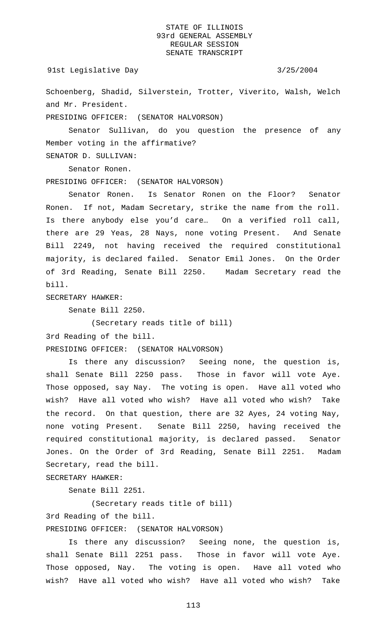91st Legislative Day 3/25/2004

Schoenberg, Shadid, Silverstein, Trotter, Viverito, Walsh, Welch and Mr. President.

PRESIDING OFFICER: (SENATOR HALVORSON)

Senator Sullivan, do you question the presence of any Member voting in the affirmative?

SENATOR D. SULLIVAN:

Senator Ronen.

PRESIDING OFFICER: (SENATOR HALVORSON)

Senator Ronen. Is Senator Ronen on the Floor? Senator Ronen. If not, Madam Secretary, strike the name from the roll. Is there anybody else you'd care… On a verified roll call, there are 29 Yeas, 28 Nays, none voting Present. And Senate Bill 2249, not having received the required constitutional majority, is declared failed. Senator Emil Jones. On the Order of 3rd Reading, Senate Bill 2250. Madam Secretary read the bill.

SECRETARY HAWKER:

Senate Bill 2250.

(Secretary reads title of bill)

3rd Reading of the bill.

PRESIDING OFFICER: (SENATOR HALVORSON)

Is there any discussion? Seeing none, the question is, shall Senate Bill 2250 pass. Those in favor will vote Aye. Those opposed, say Nay. The voting is open. Have all voted who wish? Have all voted who wish? Have all voted who wish? Take the record. On that question, there are 32 Ayes, 24 voting Nay, none voting Present. Senate Bill 2250, having received the required constitutional majority, is declared passed. Senator Jones. On the Order of 3rd Reading, Senate Bill 2251. Madam Secretary, read the bill.

SECRETARY HAWKER:

Senate Bill 2251.

(Secretary reads title of bill)

3rd Reading of the bill.

PRESIDING OFFICER: (SENATOR HALVORSON)

Is there any discussion? Seeing none, the question is, shall Senate Bill 2251 pass. Those in favor will vote Aye. Those opposed, Nay. The voting is open. Have all voted who wish? Have all voted who wish? Have all voted who wish? Take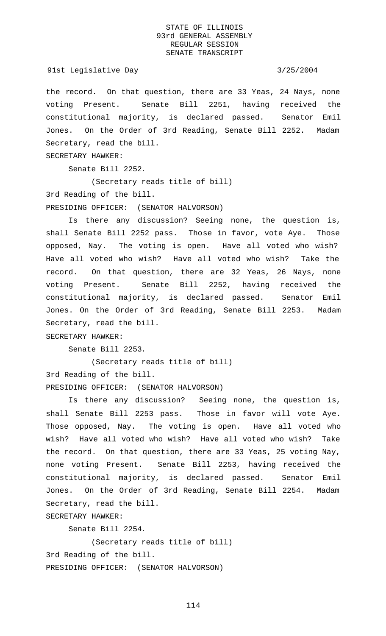91st Legislative Day 3/25/2004

the record. On that question, there are 33 Yeas, 24 Nays, none voting Present. Senate Bill 2251, having received the constitutional majority, is declared passed. Senator Emil Jones. On the Order of 3rd Reading, Senate Bill 2252. Madam Secretary, read the bill.

SECRETARY HAWKER:

Senate Bill 2252.

(Secretary reads title of bill)

3rd Reading of the bill.

PRESIDING OFFICER: (SENATOR HALVORSON)

Is there any discussion? Seeing none, the question is, shall Senate Bill 2252 pass. Those in favor, vote Aye. Those opposed, Nay. The voting is open. Have all voted who wish? Have all voted who wish? Have all voted who wish? Take the record. On that question, there are 32 Yeas, 26 Nays, none voting Present. Senate Bill 2252, having received the constitutional majority, is declared passed. Senator Emil Jones. On the Order of 3rd Reading, Senate Bill 2253. Madam Secretary, read the bill.

SECRETARY HAWKER:

Senate Bill 2253.

(Secretary reads title of bill) 3rd Reading of the bill. PRESIDING OFFICER: (SENATOR HALVORSON)

Is there any discussion? Seeing none, the question is, shall Senate Bill 2253 pass. Those in favor will vote Aye. Those opposed, Nay. The voting is open. Have all voted who wish? Have all voted who wish? Have all voted who wish? Take the record. On that question, there are 33 Yeas, 25 voting Nay, none voting Present. Senate Bill 2253, having received the constitutional majority, is declared passed. Senator Emil Jones. On the Order of 3rd Reading, Senate Bill 2254. Madam Secretary, read the bill.

SECRETARY HAWKER:

Senate Bill 2254.

(Secretary reads title of bill) 3rd Reading of the bill. PRESIDING OFFICER: (SENATOR HALVORSON)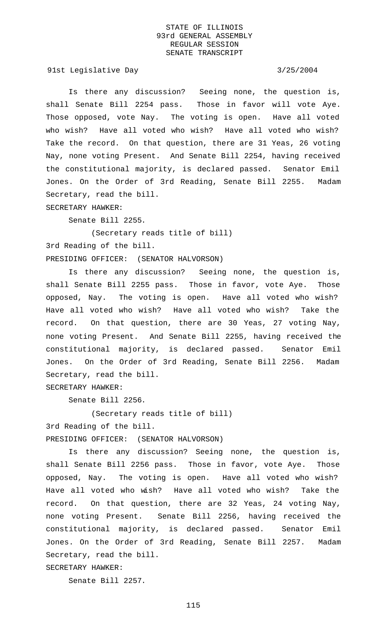91st Legislative Day 3/25/2004

Is there any discussion? Seeing none, the question is, shall Senate Bill 2254 pass. Those in favor will vote Aye. Those opposed, vote Nay. The voting is open. Have all voted who wish? Have all voted who wish? Have all voted who wish? Take the record. On that question, there are 31 Yeas, 26 voting Nay, none voting Present. And Senate Bill 2254, having received the constitutional majority, is declared passed. Senator Emil Jones. On the Order of 3rd Reading, Senate Bill 2255. Madam Secretary, read the bill.

SECRETARY HAWKER:

Senate Bill 2255.

(Secretary reads title of bill) 3rd Reading of the bill. PRESIDING OFFICER: (SENATOR HALVORSON)

Is there any discussion? Seeing none, the question is, shall Senate Bill 2255 pass. Those in favor, vote Aye. Those opposed, Nay. The voting is open. Have all voted who wish? Have all voted who wish? Have all voted who wish? Take the record. On that question, there are 30 Yeas, 27 voting Nay, none voting Present. And Senate Bill 2255, having received the constitutional majority, is declared passed. Senator Emil Jones. On the Order of 3rd Reading, Senate Bill 2256. Madam Secretary, read the bill.

SECRETARY HAWKER:

Senate Bill 2256.

(Secretary reads title of bill)

3rd Reading of the bill.

PRESIDING OFFICER: (SENATOR HALVORSON)

Is there any discussion? Seeing none, the question is, shall Senate Bill 2256 pass. Those in favor, vote Aye. Those opposed, Nay. The voting is open. Have all voted who wish? Have all voted who wish? Have all voted who wish? Take the record. On that question, there are 32 Yeas, 24 voting Nay, none voting Present. Senate Bill 2256, having received the constitutional majority, is declared passed. Senator Emil Jones. On the Order of 3rd Reading, Senate Bill 2257. Madam Secretary, read the bill.

SECRETARY HAWKER:

Senate Bill 2257.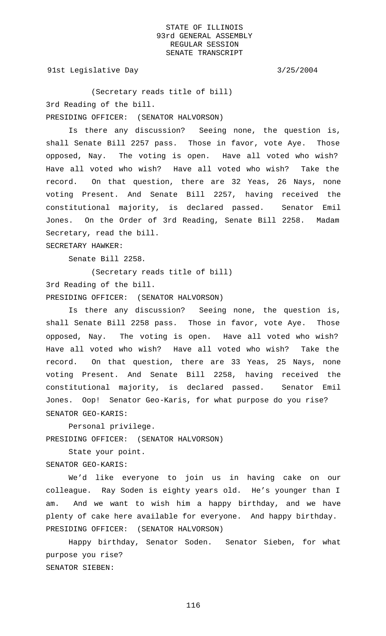91st Legislative Day 3/25/2004

(Secretary reads title of bill) 3rd Reading of the bill. PRESIDING OFFICER: (SENATOR HALVORSON)

Is there any discussion? Seeing none, the question is, shall Senate Bill 2257 pass. Those in favor, vote Aye. Those opposed, Nay. The voting is open. Have all voted who wish? Have all voted who wish? Have all voted who wish? Take the record. On that question, there are 32 Yeas, 26 Nays, none voting Present. And Senate Bill 2257, having received the constitutional majority, is declared passed. Senator Emil Jones. On the Order of 3rd Reading, Senate Bill 2258. Madam Secretary, read the bill.

SECRETARY HAWKER:

Senate Bill 2258.

(Secretary reads title of bill) 3rd Reading of the bill. PRESIDING OFFICER: (SENATOR HALVORSON)

Is there any discussion? Seeing none, the question is, shall Senate Bill 2258 pass. Those in favor, vote Aye. Those opposed, Nay. The voting is open. Have all voted who wish? Have all voted who wish? Have all voted who wish? Take the record. On that question, there are 33 Yeas, 25 Nays, none voting Present. And Senate Bill 2258, having received the constitutional majority, is declared passed. Senator Emil Jones. Oop! Senator Geo-Karis, for what purpose do you rise? SENATOR GEO-KARIS:

Personal privilege. PRESIDING OFFICER: (SENATOR HALVORSON)

State your point. SENATOR GEO-KARIS:

We'd like everyone to join us in having cake on our colleague. Ray Soden is eighty years old. He's younger than I am. And we want to wish him a happy birthday, and we have plenty of cake here available for everyone. And happy birthday. PRESIDING OFFICER: (SENATOR HALVORSON)

Happy birthday, Senator Soden. Senator Sieben, for what purpose you rise? SENATOR SIEBEN: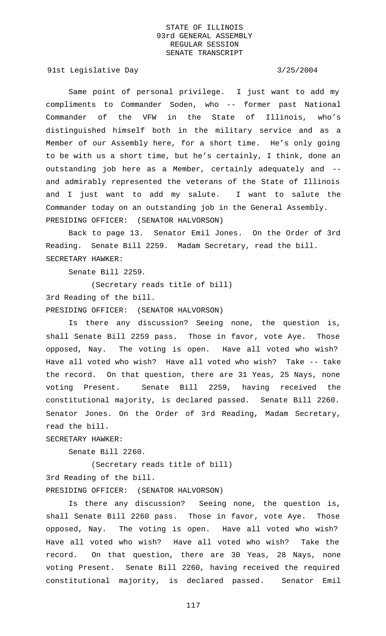91st Legislative Day 3/25/2004

Same point of personal privilege. I just want to add my compliments to Commander Soden, who -- former past National Commander of the VFW in the State of Illinois, who's distinguished himself both in the military service and as a Member of our Assembly here, for a short time. He's only going to be with us a short time, but he's certainly, I think, done an outstanding job here as a Member, certainly adequately and - and admirably represented the veterans of the State of Illinois and I just want to add my salute. I want to salute the Commander today on an outstanding job in the General Assembly. PRESIDING OFFICER: (SENATOR HALVORSON)

Back to page 13. Senator Emil Jones. On the Order of 3rd Reading. Senate Bill 2259. Madam Secretary, read the bill. SECRETARY HAWKER:

Senate Bill 2259.

(Secretary reads title of bill) 3rd Reading of the bill. PRESIDING OFFICER: (SENATOR HALVORSON)

Is there any discussion? Seeing none, the question is, shall Senate Bill 2259 pass. Those in favor, vote Aye. Those opposed, Nay. The voting is open. Have all voted who wish? Have all voted who wish? Have all voted who wish? Take -- take the record. On that question, there are 31 Yeas, 25 Nays, none voting Present. Senate Bill 2259, having received the constitutional majority, is declared passed. Senate Bill 2260. Senator Jones. On the Order of 3rd Reading, Madam Secretary, read the bill.

SECRETARY HAWKER:

Senate Bill 2260.

(Secretary reads title of bill)

3rd Reading of the bill.

PRESIDING OFFICER: (SENATOR HALVORSON)

Is there any discussion? Seeing none, the question is, shall Senate Bill 2260 pass. Those in favor, vote Aye. Those opposed, Nay. The voting is open. Have all voted who wish? Have all voted who wish? Have all voted who wish? Take the record. On that question, there are 30 Yeas, 28 Nays, none voting Present. Senate Bill 2260, having received the required constitutional majority, is declared passed. Senator Emil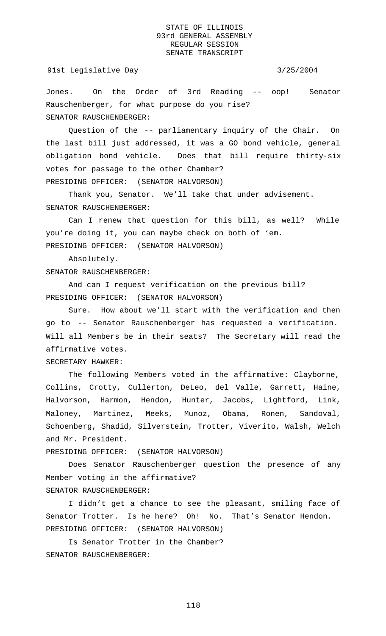Jones. On the Order of 3rd Reading -- oop! Senator Rauschenberger, for what purpose do you rise? SENATOR RAUSCHENBERGER:

Question of the -- parliamentary inquiry of the Chair. On the last bill just addressed, it was a GO bond vehicle, general obligation bond vehicle. Does that bill require thirty-six votes for passage to the other Chamber? PRESIDING OFFICER: (SENATOR HALVORSON)

Thank you, Senator. We'll take that under advisement. SENATOR RAUSCHENBERGER:

Can I renew that question for this bill, as well? While you're doing it, you can maybe check on both of 'em. PRESIDING OFFICER: (SENATOR HALVORSON)

Absolutely.

SENATOR RAUSCHENBERGER:

And can I request verification on the previous bill? PRESIDING OFFICER: (SENATOR HALVORSON)

Sure. How about we'll start with the verification and then go to -- Senator Rauschenberger has requested a verification. Will all Members be in their seats? The Secretary will read the affirmative votes.

SECRETARY HAWKER:

The following Members voted in the affirmative: Clayborne, Collins, Crotty, Cullerton, DeLeo, del Valle, Garrett, Haine, Halvorson, Harmon, Hendon, Hunter, Jacobs, Lightford, Link, Maloney, Martinez, Meeks, Munoz, Obama, Ronen, Sandoval, Schoenberg, Shadid, Silverstein, Trotter, Viverito, Walsh, Welch and Mr. President.

PRESIDING OFFICER: (SENATOR HALVORSON)

Does Senator Rauschenberger question the presence of any Member voting in the affirmative? SENATOR RAUSCHENBERGER:

I didn't get a chance to see the pleasant, smiling face of Senator Trotter. Is he here? Oh! No. That's Senator Hendon. PRESIDING OFFICER: (SENATOR HALVORSON)

 Is Senator Trotter in the Chamber? SENATOR RAUSCHENBERGER: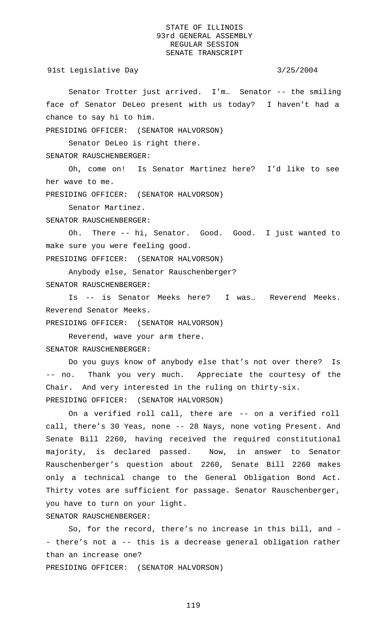91st Legislative Day 3/25/2004

Senator Trotter just arrived. I'm… Senator -- the smiling face of Senator DeLeo present with us today? I haven't had a chance to say hi to him.

PRESIDING OFFICER: (SENATOR HALVORSON)

Senator DeLeo is right there.

SENATOR RAUSCHENBERGER:

Oh, come on! Is Senator Martinez here? I'd like to see her wave to me.

PRESIDING OFFICER: (SENATOR HALVORSON)

Senator Martinez.

SENATOR RAUSCHENBERGER:

Oh. There -- hi, Senator. Good. Good. I just wanted to make sure you were feeling good.

PRESIDING OFFICER: (SENATOR HALVORSON)

Anybody else, Senator Rauschenberger? SENATOR RAUSCHENBERGER:

Is -- is Senator Meeks here? I was… Reverend Meeks. Reverend Senator Meeks.

PRESIDING OFFICER: (SENATOR HALVORSON)

Reverend, wave your arm there. SENATOR RAUSCHENBERGER:

Do you guys know of anybody else that's not over there? Is -- no. Thank you very much. Appreciate the courtesy of the Chair. And very interested in the ruling on thirty-six. PRESIDING OFFICER: (SENATOR HALVORSON)

On a verified roll call, there are -- on a verified roll call, there's 30 Yeas, none -- 28 Nays, none voting Present. And Senate Bill 2260, having received the required constitutional majority, is declared passed. Now, in answer to Senator Rauschenberger's question about 2260, Senate Bill 2260 makes only a technical change to the General Obligation Bond Act. Thirty votes are sufficient for passage. Senator Rauschenberger, you have to turn on your light.

SENATOR RAUSCHENBERGER:

So, for the record, there's no increase in this bill, and - - there's not a -- this is a decrease general obligation rather than an increase one?

PRESIDING OFFICER: (SENATOR HALVORSON)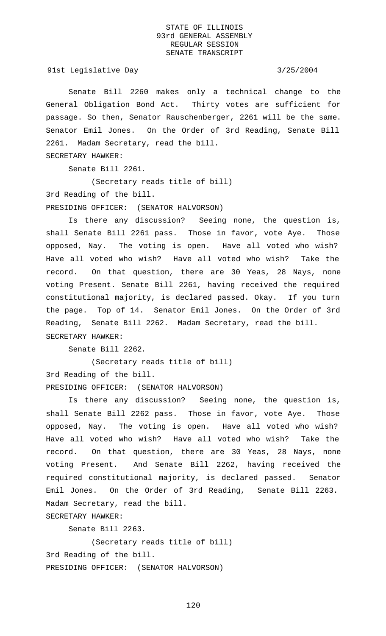91st Legislative Day 3/25/2004

Senate Bill 2260 makes only a technical change to the General Obligation Bond Act. Thirty votes are sufficient for passage. So then, Senator Rauschenberger, 2261 will be the same. Senator Emil Jones. On the Order of 3rd Reading, Senate Bill 2261. Madam Secretary, read the bill.

SECRETARY HAWKER:

Senate Bill 2261.

(Secretary reads title of bill)

3rd Reading of the bill.

PRESIDING OFFICER: (SENATOR HALVORSON)

Is there any discussion? Seeing none, the question is, shall Senate Bill 2261 pass. Those in favor, vote Aye. Those opposed, Nay. The voting is open. Have all voted who wish? Have all voted who wish? Have all voted who wish? Take the record. On that question, there are 30 Yeas, 28 Nays, none voting Present. Senate Bill 2261, having received the required constitutional majority, is declared passed. Okay. If you turn the page. Top of 14. Senator Emil Jones. On the Order of 3rd Reading, Senate Bill 2262. Madam Secretary, read the bill. SECRETARY HAWKER:

Senate Bill 2262.

(Secretary reads title of bill) 3rd Reading of the bill. PRESIDING OFFICER: (SENATOR HALVORSON)

Is there any discussion? Seeing none, the question is, shall Senate Bill 2262 pass. Those in favor, vote Aye. Those opposed, Nay. The voting is open. Have all voted who wish? Have all voted who wish? Have all voted who wish? Take the record. On that question, there are 30 Yeas, 28 Nays, none voting Present. And Senate Bill 2262, having received the required constitutional majority, is declared passed. Senator Emil Jones. On the Order of 3rd Reading, Senate Bill 2263. Madam Secretary, read the bill.

SECRETARY HAWKER:

Senate Bill 2263.

(Secretary reads title of bill) 3rd Reading of the bill. PRESIDING OFFICER: (SENATOR HALVORSON)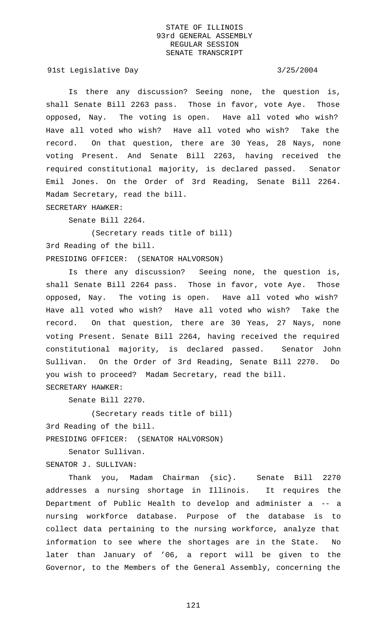91st Legislative Day 3/25/2004

Is there any discussion? Seeing none, the question is, shall Senate Bill 2263 pass. Those in favor, vote Aye. Those opposed, Nay. The voting is open. Have all voted who wish? Have all voted who wish? Have all voted who wish? Take the record. On that question, there are 30 Yeas, 28 Nays, none voting Present. And Senate Bill 2263, having received the required constitutional majority, is declared passed. Senator Emil Jones. On the Order of 3rd Reading, Senate Bill 2264. Madam Secretary, read the bill.

SECRETARY HAWKER:

Senate Bill 2264.

(Secretary reads title of bill) 3rd Reading of the bill. PRESIDING OFFICER: (SENATOR HALVORSON)

Is there any discussion? Seeing none, the question is, shall Senate Bill 2264 pass. Those in favor, vote Aye. Those opposed, Nay. The voting is open. Have all voted who wish? Have all voted who wish? Have all voted who wish? Take the record. On that question, there are 30 Yeas, 27 Nays, none voting Present. Senate Bill 2264, having received the required constitutional majority, is declared passed. Senator John Sullivan. On the Order of 3rd Reading, Senate Bill 2270. Do you wish to proceed? Madam Secretary, read the bill. SECRETARY HAWKER:

Senate Bill 2270.

(Secretary reads title of bill)

3rd Reading of the bill.

PRESIDING OFFICER: (SENATOR HALVORSON)

Senator Sullivan.

SENATOR J. SULLIVAN:

Thank you, Madam Chairman {sic}. Senate Bill 2270 addresses a nursing shortage in Illinois. It requires the Department of Public Health to develop and administer a -- a nursing workforce database. Purpose of the database is to collect data pertaining to the nursing workforce, analyze that information to see where the shortages are in the State. No later than January of '06, a report will be given to the Governor, to the Members of the General Assembly, concerning the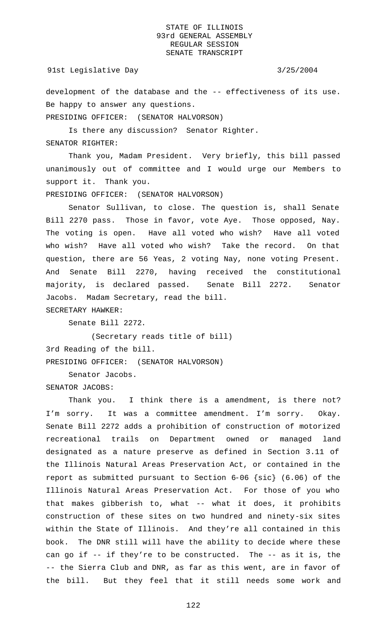## 91st Legislative Day 3/25/2004

development of the database and the -- effectiveness of its use. Be happy to answer any questions. PRESIDING OFFICER: (SENATOR HALVORSON)

Is there any discussion? Senator Righter. SENATOR RIGHTER:

Thank you, Madam President. Very briefly, this bill passed unanimously out of committee and I would urge our Members to support it. Thank you.

PRESIDING OFFICER: (SENATOR HALVORSON)

Senator Sullivan, to close. The question is, shall Senate Bill 2270 pass. Those in favor, vote Aye. Those opposed, Nay. The voting is open. Have all voted who wish? Have all voted who wish? Have all voted who wish? Take the record. On that question, there are 56 Yeas, 2 voting Nay, none voting Present. And Senate Bill 2270, having received the constitutional majority, is declared passed. Senate Bill 2272. Senator Jacobs. Madam Secretary, read the bill.

SECRETARY HAWKER:

Senate Bill 2272.

(Secretary reads title of bill) 3rd Reading of the bill.

PRESIDING OFFICER: (SENATOR HALVORSON)

Senator Jacobs.

SENATOR JACOBS:

Thank you. I think there is a amendment, is there not? I'm sorry. It was a committee amendment. I'm sorry. Okay. Senate Bill 2272 adds a prohibition of construction of motorized recreational trails on Department owned or managed land designated as a nature preserve as defined in Section 3.11 of the Illinois Natural Areas Preservation Act, or contained in the report as submitted pursuant to Section 6-06 {sic} (6.06) of the Illinois Natural Areas Preservation Act. For those of you who that makes gibberish to, what -- what it does, it prohibits construction of these sites on two hundred and ninety-six sites within the State of Illinois. And they're all contained in this book. The DNR still will have the ability to decide where these can go if -- if they're to be constructed. The -- as it is, the -- the Sierra Club and DNR, as far as this went, are in favor of the bill. But they feel that it still needs some work and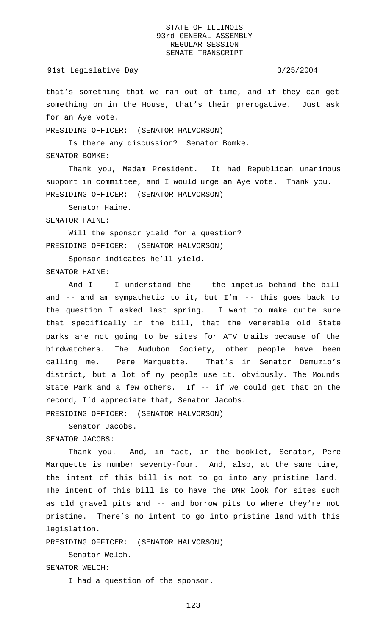# 91st Legislative Day 3/25/2004

that's something that we ran out of time, and if they can get something on in the House, that's their prerogative. Just ask for an Aye vote.

PRESIDING OFFICER: (SENATOR HALVORSON)

Is there any discussion? Senator Bomke.

SENATOR BOMKE:

Thank you, Madam President. It had Republican unanimous support in committee, and I would urge an Aye vote. Thank you. PRESIDING OFFICER: (SENATOR HALVORSON)

Senator Haine.

### SENATOR HAINE:

Will the sponsor yield for a question? PRESIDING OFFICER: (SENATOR HALVORSON)

Sponsor indicates he'll yield.

SENATOR HAINE:

And I -- I understand the -- the impetus behind the bill and -- and am sympathetic to it, but I'm -- this goes back to the question I asked last spring. I want to make quite sure that specifically in the bill, that the venerable old State parks are not going to be sites for ATV trails because of the birdwatchers. The Audubon Society, other people have been calling me. Pere Marquette. That's in Senator Demuzio's district, but a lot of my people use it, obviously. The Mounds State Park and a few others. If -- if we could get that on the record, I'd appreciate that, Senator Jacobs.

PRESIDING OFFICER: (SENATOR HALVORSON)

Senator Jacobs. SENATOR JACOBS:

Thank you. And, in fact, in the booklet, Senator, Pere Marquette is number seventy-four. And, also, at the same time, the intent of this bill is not to go into any pristine land. The intent of this bill is to have the DNR look for sites such as old gravel pits and -- and borrow pits to where they're not pristine. There's no intent to go into pristine land with this legislation.

PRESIDING OFFICER: (SENATOR HALVORSON)

Senator Welch.

SENATOR WELCH:

I had a question of the sponsor.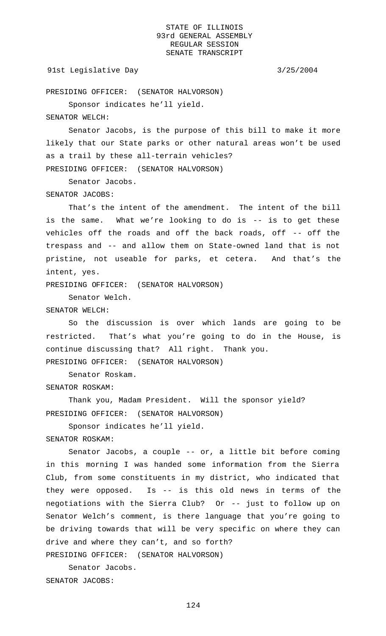## 91st Legislative Day 3/25/2004

PRESIDING OFFICER: (SENATOR HALVORSON)

Sponsor indicates he'll yield.

# SENATOR WELCH:

Senator Jacobs, is the purpose of this bill to make it more likely that our State parks or other natural areas won't be used as a trail by these all-terrain vehicles? PRESIDING OFFICER: (SENATOR HALVORSON)

Senator Jacobs.

### SENATOR JACOBS:

That's the intent of the amendment. The intent of the bill is the same. What we're looking to do is -- is to get these vehicles off the roads and off the back roads, off -- off the trespass and -- and allow them on State-owned land that is not pristine, not useable for parks, et cetera. And that's the intent, yes.

PRESIDING OFFICER: (SENATOR HALVORSON)

Senator Welch.

# SENATOR WELCH:

So the discussion is over which lands are going to be restricted. That's what you're going to do in the House, is continue discussing that? All right. Thank you. PRESIDING OFFICER: (SENATOR HALVORSON)

Senator Roskam.

SENATOR ROSKAM:

Thank you, Madam President. Will the sponsor yield? PRESIDING OFFICER: (SENATOR HALVORSON)

Sponsor indicates he'll yield.

SENATOR ROSKAM:

Senator Jacobs, a couple -- or, a little bit before coming in this morning I was handed some information from the Sierra Club, from some constituents in my district, who indicated that they were opposed. Is -- is this old news in terms of the negotiations with the Sierra Club? Or -- just to follow up on Senator Welch's comment, is there language that you're going to be driving towards that will be very specific on where they can drive and where they can't, and so forth?

PRESIDING OFFICER: (SENATOR HALVORSON)

Senator Jacobs. SENATOR JACOBS: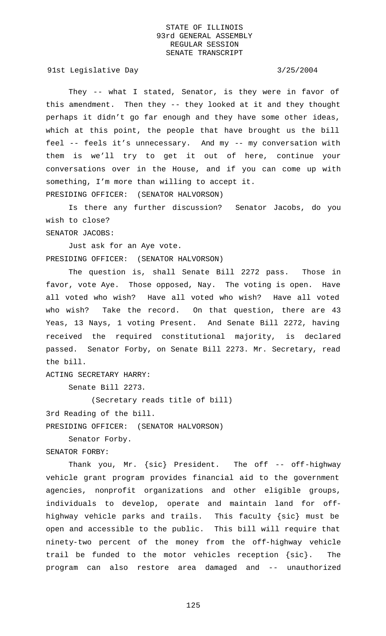91st Legislative Day 3/25/2004

SENATOR JACOBS:

They -- what I stated, Senator, is they were in favor of this amendment. Then they -- they looked at it and they thought perhaps it didn't go far enough and they have some other ideas, which at this point, the people that have brought us the bill feel -- feels it's unnecessary. And my -- my conversation with them is we'll try to get it out of here, continue your conversations over in the House, and if you can come up with something, I'm more than willing to accept it. PRESIDING OFFICER: (SENATOR HALVORSON)

Is there any further discussion? Senator Jacobs, do you wish to close?

Just ask for an Aye vote. PRESIDING OFFICER: (SENATOR HALVORSON)

The question is, shall Senate Bill 2272 pass. Those in favor, vote Aye. Those opposed, Nay. The voting is open. Have all voted who wish? Have all voted who wish? Have all voted who wish? Take the record. On that question, there are 43 Yeas, 13 Nays, 1 voting Present. And Senate Bill 2272, having received the required constitutional majority, is declared passed. Senator Forby, on Senate Bill 2273. Mr. Secretary, read the bill.

ACTING SECRETARY HARRY:

Senate Bill 2273.

(Secretary reads title of bill)

3rd Reading of the bill.

PRESIDING OFFICER: (SENATOR HALVORSON)

Senator Forby.

SENATOR FORBY:

Thank you, Mr. {sic} President. The off -- off-highway vehicle grant program provides financial aid to the government agencies, nonprofit organizations and other eligible groups, individuals to develop, operate and maintain land for offhighway vehicle parks and trails. This faculty {sic} must be open and accessible to the public. This bill will require that ninety-two percent of the money from the off-highway vehicle trail be funded to the motor vehicles reception {sic}. The program can also restore area damaged and -- unauthorized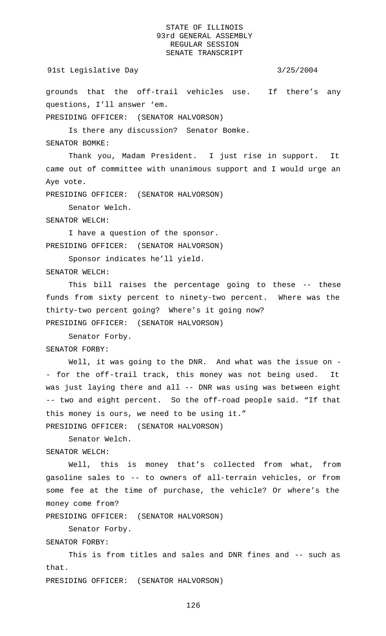## 91st Legislative Day 3/25/2004

grounds that the off-trail vehicles use. If there's any questions, I'll answer 'em.

PRESIDING OFFICER: (SENATOR HALVORSON)

Is there any discussion? Senator Bomke.

SENATOR BOMKE:

Thank you, Madam President. I just rise in support. It came out of committee with unanimous support and I would urge an Aye vote.

PRESIDING OFFICER: (SENATOR HALVORSON)

Senator Welch.

SENATOR WELCH:

I have a question of the sponsor. PRESIDING OFFICER: (SENATOR HALVORSON)

Sponsor indicates he'll yield.

SENATOR WELCH:

This bill raises the percentage going to these -- these funds from sixty percent to ninety-two percent. Where was the thirty-two percent going? Where's it going now? PRESIDING OFFICER: (SENATOR HALVORSON)

Senator Forby. SENATOR FORBY:

Well, it was going to the DNR. And what was the issue on -- for the off-trail track, this money was not being used. It was just laying there and all -- DNR was using was between eight -- two and eight percent. So the off-road people said. "If that this money is ours, we need to be using it."

PRESIDING OFFICER: (SENATOR HALVORSON)

Senator Welch.

SENATOR WELCH:

Well, this is money that's collected from what, from gasoline sales to -- to owners of all-terrain vehicles, or from some fee at the time of purchase, the vehicle? Or where's the money come from?

PRESIDING OFFICER: (SENATOR HALVORSON)

Senator Forby.

SENATOR FORBY:

This is from titles and sales and DNR fines and -- such as that.

PRESIDING OFFICER: (SENATOR HALVORSON)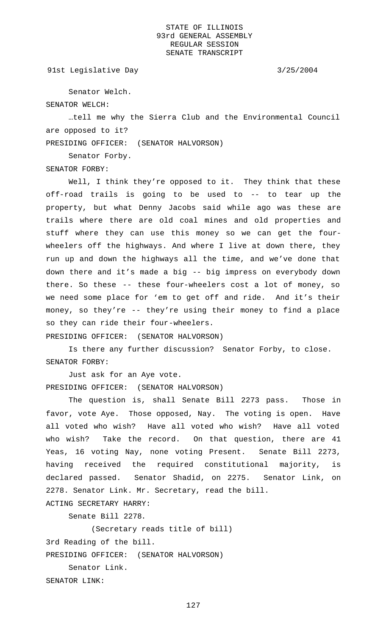91st Legislative Day 3/25/2004

Senator Welch.

SENATOR WELCH:

…tell me why the Sierra Club and the Environmental Council are opposed to it?

PRESIDING OFFICER: (SENATOR HALVORSON)

Senator Forby.

SENATOR FORBY:

Well, I think they're opposed to it. They think that these off-road trails is going to be used to -- to tear up the property, but what Denny Jacobs said while ago was these are trails where there are old coal mines and old properties and stuff where they can use this money so we can get the fourwheelers off the highways. And where I live at down there, they run up and down the highways all the time, and we've done that down there and it's made a big -- big impress on everybody down there. So these -- these four-wheelers cost a lot of money, so we need some place for 'em to get off and ride. And it's their money, so they're -- they're using their money to find a place so they can ride their four-wheelers.

PRESIDING OFFICER: (SENATOR HALVORSON)

Is there any further discussion? Senator Forby, to close. SENATOR FORBY:

Just ask for an Aye vote. PRESIDING OFFICER: (SENATOR HALVORSON)

The question is, shall Senate Bill 2273 pass. Those in favor, vote Aye. Those opposed, Nay. The voting is open. Have all voted who wish? Have all voted who wish? Have all voted who wish? Take the record. On that question, there are 41 Yeas, 16 voting Nay, none voting Present. Senate Bill 2273, having received the required constitutional majority, is declared passed. Senator Shadid, on 2275. Senator Link, on 2278. Senator Link. Mr. Secretary, read the bill.

Senate Bill 2278.

(Secretary reads title of bill)

3rd Reading of the bill.

ACTING SECRETARY HARRY:

PRESIDING OFFICER: (SENATOR HALVORSON)

Senator Link.

SENATOR LINK: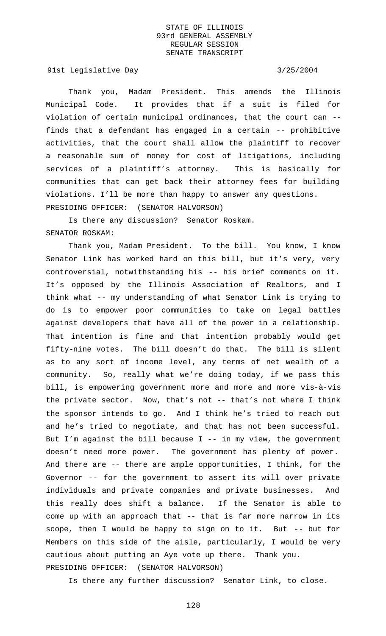91st Legislative Day 3/25/2004

Thank you, Madam President. This amends the Illinois Municipal Code. It provides that if a suit is filed for violation of certain municipal ordinances, that the court can - finds that a defendant has engaged in a certain -- prohibitive activities, that the court shall allow the plaintiff to recover a reasonable sum of money for cost of litigations, including services of a plaintiff's attorney. This is basically for communities that can get back their attorney fees for building violations. I'll be more than happy to answer any questions. PRESIDING OFFICER: (SENATOR HALVORSON)

Is there any discussion? Senator Roskam. SENATOR ROSKAM:

Thank you, Madam President. To the bill. You know, I know Senator Link has worked hard on this bill, but it's very, very controversial, notwithstanding his -- his brief comments on it. It's opposed by the Illinois Association of Realtors, and I think what -- my understanding of what Senator Link is trying to do is to empower poor communities to take on legal battles against developers that have all of the power in a relationship. That intention is fine and that intention probably would get fifty-nine votes. The bill doesn't do that. The bill is silent as to any sort of income level, any terms of net wealth of a community. So, really what we're doing today, if we pass this bill, is empowering government more and more and more vis-à-vis the private sector. Now, that's not -- that's not where I think the sponsor intends to go. And I think he's tried to reach out and he's tried to negotiate, and that has not been successful. But I'm against the bill because I -- in my view, the government doesn't need more power. The government has plenty of power. And there are -- there are ample opportunities, I think, for the Governor -- for the government to assert its will over private individuals and private companies and private businesses. And this really does shift a balance. If the Senator is able to come up with an approach that -- that is far more narrow in its scope, then I would be happy to sign on to it. But -- but for Members on this side of the aisle, particularly, I would be very cautious about putting an Aye vote up there. Thank you. PRESIDING OFFICER: (SENATOR HALVORSON)

Is there any further discussion? Senator Link, to close.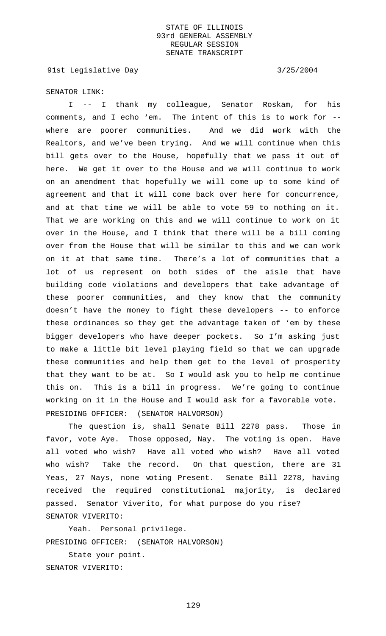91st Legislative Day 3/25/2004

SENATOR LINK:

I -- I thank my colleague, Senator Roskam, for his comments, and I echo 'em. The intent of this is to work for - where are poorer communities. And we did work with the Realtors, and we've been trying. And we will continue when this bill gets over to the House, hopefully that we pass it out of here. We get it over to the House and we will continue to work on an amendment that hopefully we will come up to some kind of agreement and that it will come back over here for concurrence, and at that time we will be able to vote 59 to nothing on it. That we are working on this and we will continue to work on it over in the House, and I think that there will be a bill coming over from the House that will be similar to this and we can work on it at that same time. There's a lot of communities that a lot of us represent on both sides of the aisle that have building code violations and developers that take advantage of these poorer communities, and they know that the community doesn't have the money to fight these developers -- to enforce these ordinances so they get the advantage taken of 'em by these bigger developers who have deeper pockets. So I'm asking just to make a little bit level playing field so that we can upgrade these communities and help them get to the level of prosperity that they want to be at. So I would ask you to help me continue this on. This is a bill in progress. We're going to continue working on it in the House and I would ask for a favorable vote. PRESIDING OFFICER: (SENATOR HALVORSON)

The question is, shall Senate Bill 2278 pass. Those in favor, vote Aye. Those opposed, Nay. The voting is open. Have all voted who wish? Have all voted who wish? Have all voted who wish? Take the record. On that question, there are 31 Yeas, 27 Nays, none voting Present. Senate Bill 2278, having received the required constitutional majority, is declared passed. Senator Viverito, for what purpose do you rise? SENATOR VIVERITO:

Yeah. Personal privilege. PRESIDING OFFICER: (SENATOR HALVORSON) State your point. SENATOR VIVERITO: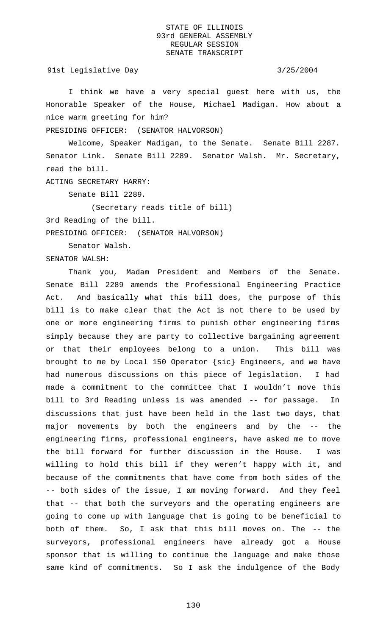91st Legislative Day 3/25/2004

I think we have a very special guest here with us, the Honorable Speaker of the House, Michael Madigan. How about a nice warm greeting for him?

PRESIDING OFFICER: (SENATOR HALVORSON)

Welcome, Speaker Madigan, to the Senate. Senate Bill 2287. Senator Link. Senate Bill 2289. Senator Walsh. Mr. Secretary, read the bill.

ACTING SECRETARY HARRY:

Senate Bill 2289.

(Secretary reads title of bill)

3rd Reading of the bill.

PRESIDING OFFICER: (SENATOR HALVORSON)

Senator Walsh.

SENATOR WALSH:

Thank you, Madam President and Members of the Senate. Senate Bill 2289 amends the Professional Engineering Practice Act. And basically what this bill does, the purpose of this bill is to make clear that the Act is not there to be used by one or more engineering firms to punish other engineering firms simply because they are party to collective bargaining agreement or that their employees belong to a union. This bill was brought to me by Local 150 Operator {sic} Engineers, and we have had numerous discussions on this piece of legislation. I had made a commitment to the committee that I wouldn't move this bill to 3rd Reading unless is was amended -- for passage. discussions that just have been held in the last two days, that major movements by both the engineers and by the -- the engineering firms, professional engineers, have asked me to move the bill forward for further discussion in the House. I was willing to hold this bill if they weren't happy with it, and because of the commitments that have come from both sides of the -- both sides of the issue, I am moving forward. And they feel that -- that both the surveyors and the operating engineers are going to come up with language that is going to be beneficial to both of them. So, I ask that this bill moves on. The -- the surveyors, professional engineers have already got a House sponsor that is willing to continue the language and make those same kind of commitments. So I ask the indulgence of the Body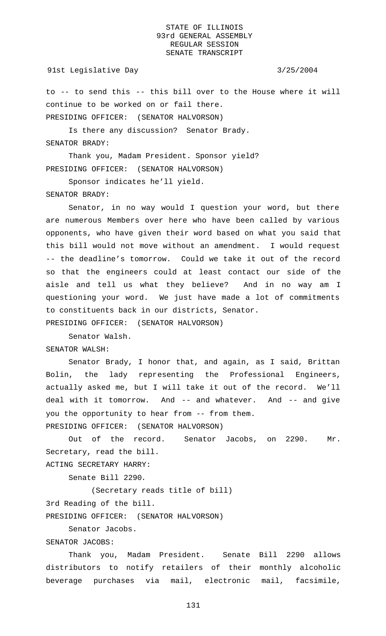## 91st Legislative Day 3/25/2004

to -- to send this -- this bill over to the House where it will continue to be worked on or fail there. PRESIDING OFFICER: (SENATOR HALVORSON)

Is there any discussion? Senator Brady. SENATOR BRADY:

Thank you, Madam President. Sponsor yield? PRESIDING OFFICER: (SENATOR HALVORSON)

Sponsor indicates he'll yield.

SENATOR BRADY:

Senator, in no way would I question your word, but there are numerous Members over here who have been called by various opponents, who have given their word based on what you said that this bill would not move without an amendment. I would request -- the deadline's tomorrow. Could we take it out of the record so that the engineers could at least contact our side of the aisle and tell us what they believe? And in no way am I questioning your word. We just have made a lot of commitments to constituents back in our districts, Senator. PRESIDING OFFICER: (SENATOR HALVORSON)

Senator Walsh. SENATOR WALSH:

Senator Brady, I honor that, and again, as I said, Brittan Bolin, the lady representing the Professional Engineers, actually asked me, but I will take it out of the record. We'll deal with it tomorrow. And -- and whatever. And -- and give you the opportunity to hear from -- from them. PRESIDING OFFICER: (SENATOR HALVORSON)

Out of the record. Senator Jacobs, on 2290. Mr. Secretary, read the bill. ACTING SECRETARY HARRY:

Senate Bill 2290.

(Secretary reads title of bill)

3rd Reading of the bill.

PRESIDING OFFICER: (SENATOR HALVORSON)

Senator Jacobs.

SENATOR JACOBS:

Thank you, Madam President. Senate Bill 2290 allows distributors to notify retailers of their monthly alcoholic beverage purchases via mail, electronic mail, facsimile,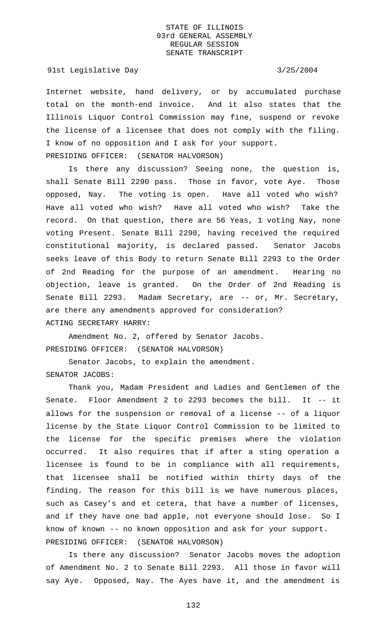### 91st Legislative Day 3/25/2004

Internet website, hand delivery, or by accumulated purchase total on the month-end invoice. And it also states that the Illinois Liquor Control Commission may fine, suspend or revoke the license of a licensee that does not comply with the filing. I know of no opposition and I ask for your support. PRESIDING OFFICER: (SENATOR HALVORSON)

Is there any discussion? Seeing none, the question is, shall Senate Bill 2290 pass. Those in favor, vote Aye. Those opposed, Nay. The voting is open. Have all voted who wish? Have all voted who wish? Have all voted who wish? Take the record. On that question, there are 56 Yeas, 1 voting Nay, none voting Present. Senate Bill 2290, having received the required constitutional majority, is declared passed. Senator Jacobs seeks leave of this Body to return Senate Bill 2293 to the Order of 2nd Reading for the purpose of an amendment. Hearing no objection, leave is granted. On the Order of 2nd Reading is Senate Bill 2293. Madam Secretary, are -- or, Mr. Secretary, are there any amendments approved for consideration? ACTING SECRETARY HARRY:

Amendment No. 2, offered by Senator Jacobs. PRESIDING OFFICER: (SENATOR HALVORSON)

Senator Jacobs, to explain the amendment. SENATOR JACOBS:

Thank you, Madam President and Ladies and Gentlemen of the Senate. Floor Amendment 2 to 2293 becomes the bill. It -- it allows for the suspension or removal of a license -- of a liquor license by the State Liquor Control Commission to be limited to the license for the specific premises where the violation occurred. It also requires that if after a sting operation a licensee is found to be in compliance with all requirements, that licensee shall be notified within thirty days of the finding. The reason for this bill is we have numerous places, such as Casey's and et cetera, that have a number of licenses, and if they have one bad apple, not everyone should lose. So I know of known -- no known opposition and ask for your support. PRESIDING OFFICER: (SENATOR HALVORSON)

Is there any discussion? Senator Jacobs moves the adoption of Amendment No. 2 to Senate Bill 2293. All those in favor will say Aye. Opposed, Nay. The Ayes have it, and the amendment is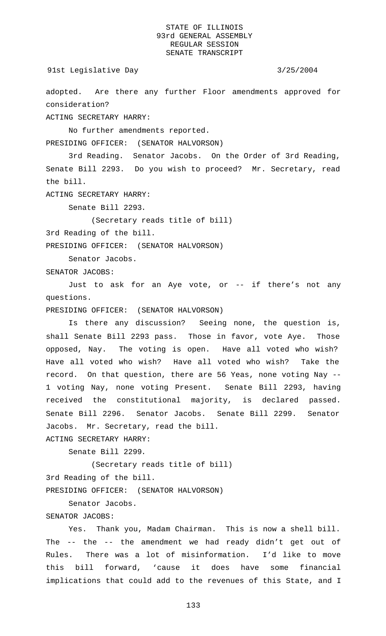91st Legislative Day 3/25/2004

adopted. Are there any further Floor amendments approved for consideration?

ACTING SECRETARY HARRY:

No further amendments reported.

PRESIDING OFFICER: (SENATOR HALVORSON)

3rd Reading. Senator Jacobs. On the Order of 3rd Reading, Senate Bill 2293. Do you wish to proceed? Mr. Secretary, read the bill.

ACTING SECRETARY HARRY:

Senate Bill 2293.

(Secretary reads title of bill)

3rd Reading of the bill.

PRESIDING OFFICER: (SENATOR HALVORSON)

Senator Jacobs.

SENATOR JACOBS:

Just to ask for an Aye vote, or -- if there's not any questions.

PRESIDING OFFICER: (SENATOR HALVORSON)

Is there any discussion? Seeing none, the question is, shall Senate Bill 2293 pass. Those in favor, vote Aye. Those opposed, Nay. The voting is open. Have all voted who wish? Have all voted who wish? Have all voted who wish? Take the record. On that question, there are 56 Yeas, none voting Nay -- 1 voting Nay, none voting Present. Senate Bill 2293, having received the constitutional majority, is declared passed. Senate Bill 2296. Senator Jacobs. Senate Bill 2299. Senator Jacobs. Mr. Secretary, read the bill.

ACTING SECRETARY HARRY:

Senate Bill 2299.

(Secretary reads title of bill)

3rd Reading of the bill.

PRESIDING OFFICER: (SENATOR HALVORSON)

Senator Jacobs.

# SENATOR JACOBS:

Yes. Thank you, Madam Chairman. This is now a shell bill. The -- the -- the amendment we had ready didn't get out of Rules. There was a lot of misinformation. I'd like to move this bill forward, 'cause it does have some financial implications that could add to the revenues of this State, and I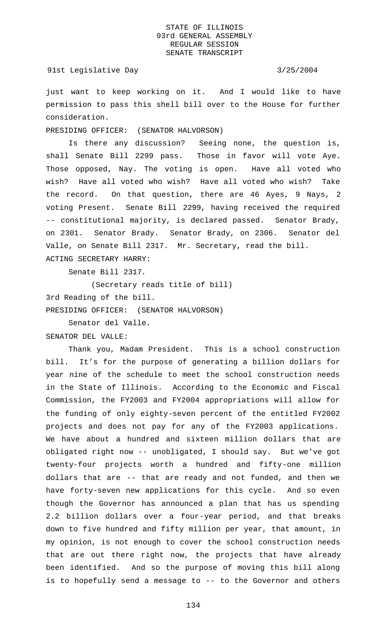## 91st Legislative Day 3/25/2004

just want to keep working on it. And I would like to have permission to pass this shell bill over to the House for further consideration.

## PRESIDING OFFICER: (SENATOR HALVORSON)

Is there any discussion? Seeing none, the question is, shall Senate Bill 2299 pass. Those in favor will vote Aye. Those opposed, Nay. The voting is open. Have all voted who wish? Have all voted who wish? Have all voted who wish? Take the record. On that question, there are 46 Ayes, 9 Nays, 2 voting Present. Senate Bill 2299, having received the required -- constitutional majority, is declared passed. Senator Brady, on 2301. Senator Brady. Senator Brady, on 2306. Senator del Valle, on Senate Bill 2317. Mr. Secretary, read the bill. ACTING SECRETARY HARRY:

Senate Bill 2317.

(Secretary reads title of bill)

3rd Reading of the bill.

PRESIDING OFFICER: (SENATOR HALVORSON)

Senator del Valle.

SENATOR DEL VALLE:

Thank you, Madam President. This is a school construction bill. It's for the purpose of generating a billion dollars for year nine of the schedule to meet the school construction needs in the State of Illinois. According to the Economic and Fiscal Commission, the FY2003 and FY2004 appropriations will allow for the funding of only eighty-seven percent of the entitled FY2002 projects and does not pay for any of the FY2003 applications. We have about a hundred and sixteen million dollars that are obligated right now -- unobligated, I should say. But we've got twenty-four projects worth a hundred and fifty-one million dollars that are -- that are ready and not funded, and then we have forty-seven new applications for this cycle. And so even though the Governor has announced a plan that has us spending 2.2 billion dollars over a four-year period, and that breaks down to five hundred and fifty million per year, that amount, in my opinion, is not enough to cover the school construction needs that are out there right now, the projects that have already been identified. And so the purpose of moving this bill along is to hopefully send a message to -- to the Governor and others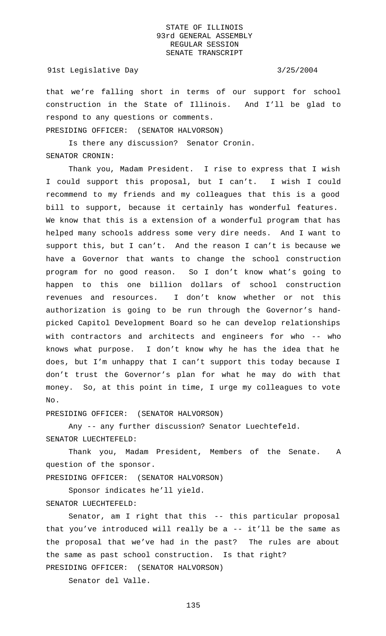## 91st Legislative Day 3/25/2004

that we're falling short in terms of our support for school construction in the State of Illinois. And I'll be glad to respond to any questions or comments.

PRESIDING OFFICER: (SENATOR HALVORSON)

Is there any discussion? Senator Cronin. SENATOR CRONIN:

Thank you, Madam President. I rise to express that I wish I could support this proposal, but I can't. I wish I could recommend to my friends and my colleagues that this is a good bill to support, because it certainly has wonderful features. We know that this is a extension of a wonderful program that has helped many schools address some very dire needs. And I want to support this, but I can't. And the reason I can't is because we have a Governor that wants to change the school construction program for no good reason. So I don't know what's going to happen to this one billion dollars of school construction revenues and resources. I don't know whether or not this authorization is going to be run through the Governor's handpicked Capitol Development Board so he can develop relationships with contractors and architects and engineers for who -- who knows what purpose. I don't know why he has the idea that he does, but I'm unhappy that I can't support this today because I don't trust the Governor's plan for what he may do with that money. So, at this point in time, I urge my colleagues to vote No.

PRESIDING OFFICER: (SENATOR HALVORSON)

Any -- any further discussion? Senator Luechtefeld. SENATOR LUECHTEFELD:

Thank you, Madam President, Members of the Senate. A question of the sponsor.

PRESIDING OFFICER: (SENATOR HALVORSON)

Sponsor indicates he'll yield.

## SENATOR LUECHTEFELD:

Senator, am I right that this -- this particular proposal that you've introduced will really be a -- it'll be the same as the proposal that we've had in the past? The rules are about the same as past school construction. Is that right? PRESIDING OFFICER: (SENATOR HALVORSON)

Senator del Valle.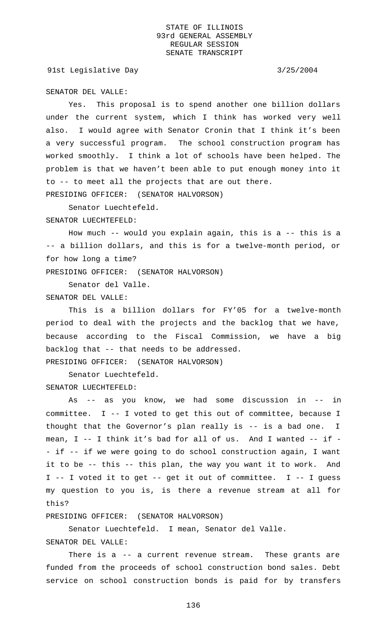91st Legislative Day 3/25/2004

SENATOR DEL VALLE:

Yes. This proposal is to spend another one billion dollars under the current system, which I think has worked very well also. I would agree with Senator Cronin that I think it's been a very successful program. The school construction program has worked smoothly. I think a lot of schools have been helped. The problem is that we haven't been able to put enough money into it to -- to meet all the projects that are out there. PRESIDING OFFICER: (SENATOR HALVORSON)

Senator Luechtefeld.

SENATOR LUECHTEFELD:

How much -- would you explain again, this is a -- this is a -- a billion dollars, and this is for a twelve-month period, or for how long a time?

PRESIDING OFFICER: (SENATOR HALVORSON)

Senator del Valle.

SENATOR DEL VALLE:

This is a billion dollars for FY'05 for a twelve-month period to deal with the projects and the backlog that we have, because according to the Fiscal Commission, we have a big backlog that -- that needs to be addressed. PRESIDING OFFICER: (SENATOR HALVORSON)

Senator Luechtefeld. SENATOR LUECHTEFELD:

As -- as you know, we had some discussion in -- in committee. I -- I voted to get this out of committee, because I thought that the Governor's plan really is -- is a bad one. I mean, I -- I think it's bad for all of us. And I wanted -- if - - if -- if we were going to do school construction again, I want it to be -- this -- this plan, the way you want it to work. And I -- I voted it to get -- get it out of committee. I -- I guess my question to you is, is there a revenue stream at all for this?

PRESIDING OFFICER: (SENATOR HALVORSON)

Senator Luechtefeld. I mean, Senator del Valle.

## SENATOR DEL VALLE:

There is a -- a current revenue stream. These grants are funded from the proceeds of school construction bond sales. Debt service on school construction bonds is paid for by transfers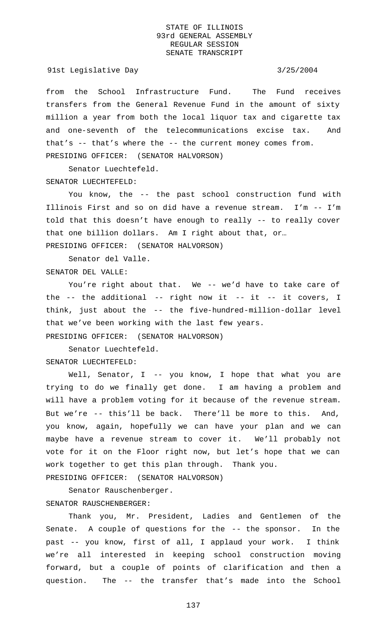### 91st Legislative Day 3/25/2004

from the School Infrastructure Fund. The Fund receives transfers from the General Revenue Fund in the amount of sixty million a year from both the local liquor tax and cigarette tax and one-seventh of the telecommunications excise tax. And that's -- that's where the -- the current money comes from. PRESIDING OFFICER: (SENATOR HALVORSON)

Senator Luechtefeld. SENATOR LUECHTEFELD:

You know, the -- the past school construction fund with Illinois First and so on did have a revenue stream. I'm -- I'm told that this doesn't have enough to really -- to really cover that one billion dollars. Am I right about that, or… PRESIDING OFFICER: (SENATOR HALVORSON)

Senator del Valle. SENATOR DEL VALLE:

You're right about that. We -- we'd have to take care of the -- the additional -- right now it -- it -- it covers, I think, just about the -- the five-hundred-million-dollar level that we've been working with the last few years.

PRESIDING OFFICER: (SENATOR HALVORSON)

Senator Luechtefeld. SENATOR LUECHTEFELD:

Well, Senator, I -- you know, I hope that what you are trying to do we finally get done. I am having a problem and will have a problem voting for it because of the revenue stream. But we're -- this'll be back. There'll be more to this. And, you know, again, hopefully we can have your plan and we can maybe have a revenue stream to cover it. We'll probably not vote for it on the Floor right now, but let's hope that we can work together to get this plan through. Thank you.

PRESIDING OFFICER: (SENATOR HALVORSON)

Senator Rauschenberger. SENATOR RAUSCHENBERGER:

Thank you, Mr. President, Ladies and Gentlemen of the Senate. A couple of questions for the -- the sponsor. In the past -- you know, first of all, I applaud your work. I think we're all interested in keeping school construction moving forward, but a couple of points of clarification and then a question. The -- the transfer that's made into the School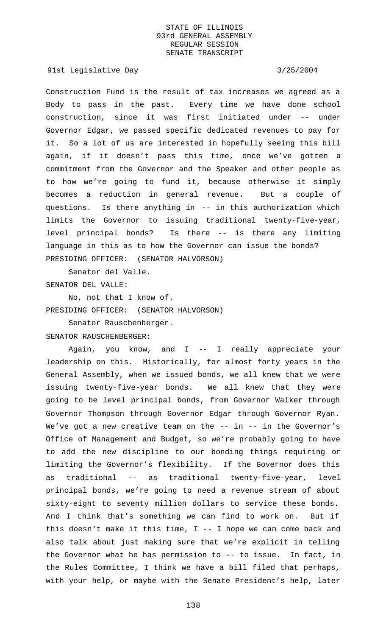### 91st Legislative Day 3/25/2004

Construction Fund is the result of tax increases we agreed as a Body to pass in the past. Every time we have done school construction, since it was first initiated under -- under Governor Edgar, we passed specific dedicated revenues to pay for it. So a lot of us are interested in hopefully seeing this bill again, if it doesn't pass this time, once we've gotten a commitment from the Governor and the Speaker and other people as to how we're going to fund it, because otherwise it simply becomes a reduction in general revenue. But a couple of questions. Is there anything in -- in this authorization which limits the Governor to issuing traditional twenty-five-year, level principal bonds? Is there -- is there any limiting language in this as to how the Governor can issue the bonds? PRESIDING OFFICER: (SENATOR HALVORSON)

Senator del Valle. SENATOR DEL VALLE:

No, not that I know of. PRESIDING OFFICER: (SENATOR HALVORSON)

Senator Rauschenberger.

SENATOR RAUSCHENBERGER:

Again, you know, and I -- I really appreciate your leadership on this. Historically, for almost forty years in the General Assembly, when we issued bonds, we all knew that we were issuing twenty-five-year bonds. We all knew that they were going to be level principal bonds, from Governor Walker through Governor Thompson through Governor Edgar through Governor Ryan. We've got a new creative team on the -- in -- in the Governor's Office of Management and Budget, so we're probably going to have to add the new discipline to our bonding things requiring or limiting the Governor's flexibility. If the Governor does this as traditional -- as traditional twenty-five-year, level principal bonds, we're going to need a revenue stream of about sixty-eight to seventy million dollars to service these bonds. And I think that's something we can find to work on. But if this doesn't make it this time, I -- I hope we can come back and also talk about just making sure that we're explicit in telling the Governor what he has permission to -- to issue. In fact, in the Rules Committee, I think we have a bill filed that perhaps, with your help, or maybe with the Senate President's help, later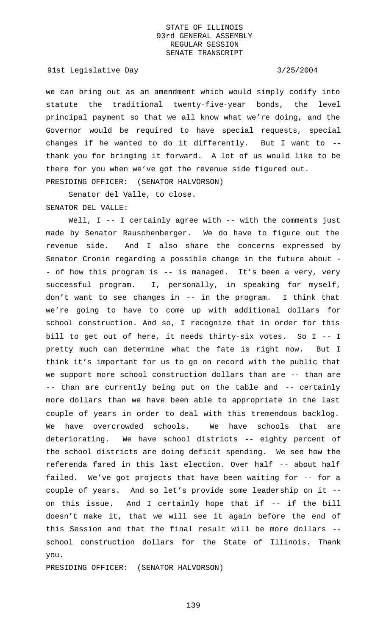91st Legislative Day 3/25/2004

we can bring out as an amendment which would simply codify into statute the traditional twenty-five-year bonds, the level principal payment so that we all know what we're doing, and the Governor would be required to have special requests, special changes if he wanted to do it differently. But I want to - thank you for bringing it forward. A lot of us would like to be there for you when we've got the revenue side figured out. PRESIDING OFFICER: (SENATOR HALVORSON)

Senator del Valle, to close. SENATOR DEL VALLE:

Well, I -- I certainly agree with -- with the comments just made by Senator Rauschenberger. We do have to figure out the revenue side. And I also share the concerns expressed by Senator Cronin regarding a possible change in the future about - - of how this program is -- is managed. It's been a very, very successful program. I, personally, in speaking for myself, don't want to see changes in -- in the program. I think that we're going to have to come up with additional dollars for school construction. And so, I recognize that in order for this bill to get out of here, it needs thirty-six votes. So I -- I pretty much can determine what the fate is right now. But I think it's important for us to go on record with the public that we support more school construction dollars than are -- than are -- than are currently being put on the table and -- certainly more dollars than we have been able to appropriate in the last couple of years in order to deal with this tremendous backlog. We have overcrowded schools. We have schools that are deteriorating. We have school districts -- eighty percent of the school districts are doing deficit spending. We see how the referenda fared in this last election. Over half -- about half failed. We've got projects that have been waiting for -- for a couple of years. And so let's provide some leadership on it - on this issue. And I certainly hope that if -- if the bill doesn't make it, that we will see it again before the end of this Session and that the final result will be more dollars - school construction dollars for the State of Illinois. Thank you.

PRESIDING OFFICER: (SENATOR HALVORSON)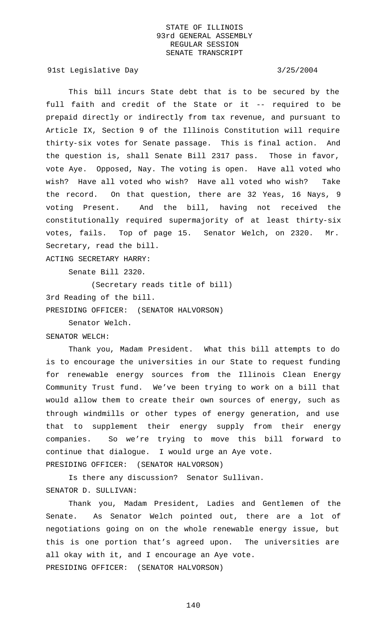91st Legislative Day 3/25/2004

This bill incurs State debt that is to be secured by the full faith and credit of the State or it -- required to be prepaid directly or indirectly from tax revenue, and pursuant to Article IX, Section 9 of the Illinois Constitution will require thirty-six votes for Senate passage. This is final action. And the question is, shall Senate Bill 2317 pass. Those in favor, vote Aye. Opposed, Nay. The voting is open. Have all voted who wish? Have all voted who wish? Have all voted who wish? Take the record. On that question, there are 32 Yeas, 16 Nays, 9 voting Present. And the bill, having not received the constitutionally required supermajority of at least thirty-six votes, fails. Top of page 15. Senator Welch, on 2320. Mr. Secretary, read the bill.

ACTING SECRETARY HARRY:

Senate Bill 2320.

(Secretary reads title of bill)

3rd Reading of the bill.

PRESIDING OFFICER: (SENATOR HALVORSON)

Senator Welch.

SENATOR WELCH:

Thank you, Madam President. What this bill attempts to do is to encourage the universities in our State to request funding for renewable energy sources from the Illinois Clean Energy Community Trust fund. We've been trying to work on a bill that would allow them to create their own sources of energy, such as through windmills or other types of energy generation, and use that to supplement their energy supply from their energy companies. So we're trying to move this bill forward to continue that dialogue. I would urge an Aye vote. PRESIDING OFFICER: (SENATOR HALVORSON)

Is there any discussion? Senator Sullivan. SENATOR D. SULLIVAN:

Thank you, Madam President, Ladies and Gentlemen of the Senate. As Senator Welch pointed out, there are a lot of negotiations going on on the whole renewable energy issue, but this is one portion that's agreed upon. The universities are all okay with it, and I encourage an Aye vote. PRESIDING OFFICER: (SENATOR HALVORSON)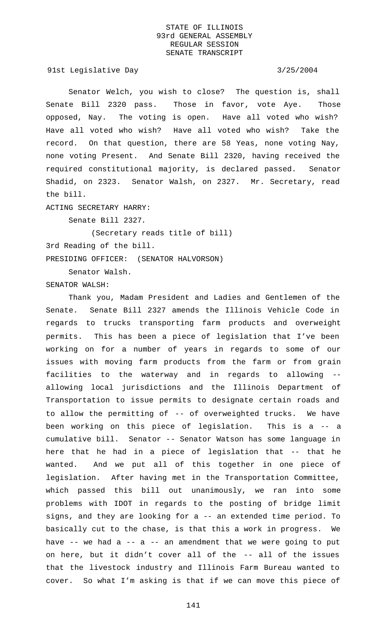91st Legislative Day 3/25/2004

Senator Welch, you wish to close? The question is, shall Senate Bill 2320 pass. Those in favor, vote Aye. Those opposed, Nay. The voting is open. Have all voted who wish? Have all voted who wish? Have all voted who wish? Take the record. On that question, there are 58 Yeas, none voting Nay, none voting Present. And Senate Bill 2320, having received the required constitutional majority, is declared passed. Senator Shadid, on 2323. Senator Walsh, on 2327. Mr. Secretary, read the bill.

ACTING SECRETARY HARRY:

Senate Bill 2327.

(Secretary reads title of bill)

3rd Reading of the bill.

PRESIDING OFFICER: (SENATOR HALVORSON)

Senator Walsh.

SENATOR WALSH:

Thank you, Madam President and Ladies and Gentlemen of the Senate. Senate Bill 2327 amends the Illinois Vehicle Code in regards to trucks transporting farm products and overweight permits. This has been a piece of legislation that I've been working on for a number of years in regards to some of our issues with moving farm products from the farm or from grain facilities to the waterway and in regards to allowing - allowing local jurisdictions and the Illinois Department of Transportation to issue permits to designate certain roads and to allow the permitting of -- of overweighted trucks. We have been working on this piece of legislation. This is a -- a cumulative bill. Senator -- Senator Watson has some language in here that he had in a piece of legislation that -- that he wanted. And we put all of this together in one piece of legislation. After having met in the Transportation Committee, which passed this bill out unanimously, we ran into some problems with IDOT in regards to the posting of bridge limit signs, and they are looking for a -- an extended time period. To basically cut to the chase, is that this a work in progress. We have  $-$ - we had a  $-$ - a  $-$  an amendment that we were going to put on here, but it didn't cover all of the -- all of the issues that the livestock industry and Illinois Farm Bureau wanted to cover. So what I'm asking is that if we can move this piece of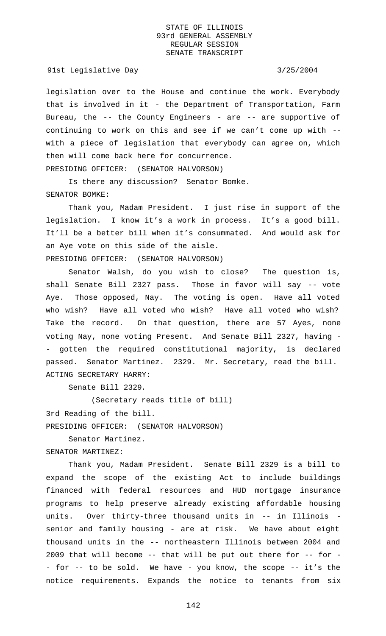91st Legislative Day 3/25/2004

legislation over to the House and continue the work. Everybody that is involved in it - the Department of Transportation, Farm Bureau, the  $--$  the County Engineers - are  $--$  are supportive of continuing to work on this and see if we can't come up with - with a piece of legislation that everybody can agree on, which then will come back here for concurrence. PRESIDING OFFICER: (SENATOR HALVORSON)

Is there any discussion? Senator Bomke. SENATOR BOMKE:

Thank you, Madam President. I just rise in support of the legislation. I know it's a work in process. It's a good bill. It'll be a better bill when it's consummated. And would ask for an Aye vote on this side of the aisle. PRESIDING OFFICER: (SENATOR HALVORSON)

Senator Walsh, do you wish to close? The question is, shall Senate Bill 2327 pass. Those in favor will say -- vote Aye. Those opposed, Nay. The voting is open. Have all voted who wish? Have all voted who wish? Have all voted who wish? Take the record. On that question, there are 57 Ayes, none voting Nay, none voting Present. And Senate Bill 2327, having - - gotten the required constitutional majority, is declared passed. Senator Martinez. 2329. Mr. Secretary, read the bill. ACTING SECRETARY HARRY:

Senate Bill 2329.

(Secretary reads title of bill)

3rd Reading of the bill.

PRESIDING OFFICER: (SENATOR HALVORSON)

Senator Martinez.

SENATOR MARTINEZ:

Thank you, Madam President. Senate Bill 2329 is a bill to expand the scope of the existing Act to include buildings financed with federal resources and HUD mortgage insurance programs to help preserve already existing affordable housing units. Over thirty-three thousand units in -- in Illinois senior and family housing - are at risk. We have about eight thousand units in the -- northeastern Illinois between 2004 and 2009 that will become -- that will be put out there for -- for - - for -- to be sold. We have - you know, the scope -- it's the notice requirements. Expands the notice to tenants from six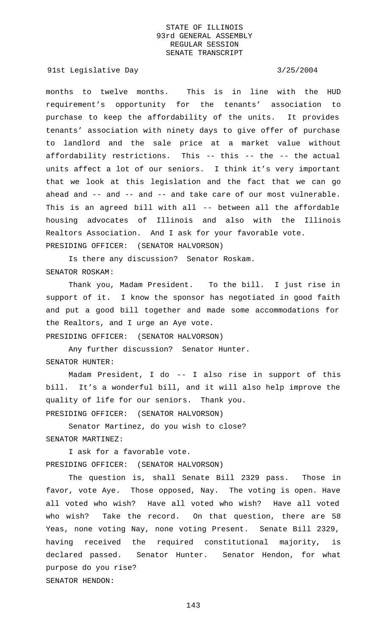91st Legislative Day 3/25/2004

months to twelve months. This is in line with the HUD requirement's opportunity for the tenants' association to purchase to keep the affordability of the units. It provides tenants' association with ninety days to give offer of purchase to landlord and the sale price at a market value without affordability restrictions. This -- this -- the -- the actual units affect a lot of our seniors. I think it's very important that we look at this legislation and the fact that we can go ahead and -- and -- and -- and take care of our most vulnerable. This is an agreed bill with all -- between all the affordable housing advocates of Illinois and also with the Illinois Realtors Association. And I ask for your favorable vote. PRESIDING OFFICER: (SENATOR HALVORSON)

Is there any discussion? Senator Roskam. SENATOR ROSKAM:

Thank you, Madam President. To the bill. I just rise in support of it. I know the sponsor has negotiated in good faith and put a good bill together and made some accommodations for the Realtors, and I urge an Aye vote.

PRESIDING OFFICER: (SENATOR HALVORSON)

Any further discussion? Senator Hunter. SENATOR HUNTER:

Madam President, I do -- I also rise in support of this bill. It's a wonderful bill, and it will also help improve the quality of life for our seniors. Thank you. PRESIDING OFFICER: (SENATOR HALVORSON)

Senator Martinez, do you wish to close? SENATOR MARTINEZ:

I ask for a favorable vote. PRESIDING OFFICER: (SENATOR HALVORSON)

The question is, shall Senate Bill 2329 pass. Those in favor, vote Aye. Those opposed, Nay. The voting is open. Have all voted who wish? Have all voted who wish? Have all voted who wish? Take the record. On that question, there are 58 Yeas, none voting Nay, none voting Present. Senate Bill 2329, having received the required constitutional majority, is declared passed. Senator Hunter. Senator Hendon, for what purpose do you rise? SENATOR HENDON: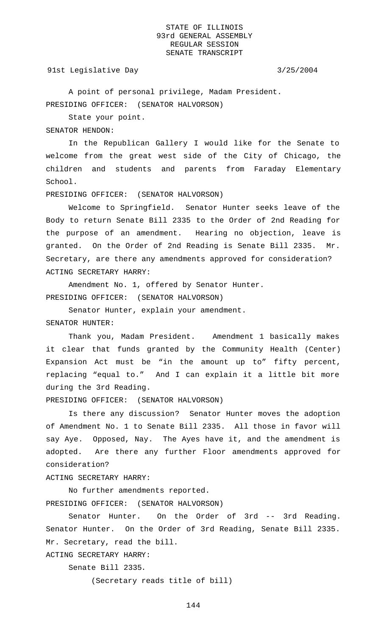#### 91st Legislative Day 3/25/2004

A point of personal privilege, Madam President. PRESIDING OFFICER: (SENATOR HALVORSON)

State your point.

SENATOR HENDON:

In the Republican Gallery I would like for the Senate to welcome from the great west side of the City of Chicago, the children and students and parents from Faraday Elementary School.

PRESIDING OFFICER: (SENATOR HALVORSON)

Welcome to Springfield. Senator Hunter seeks leave of the Body to return Senate Bill 2335 to the Order of 2nd Reading for the purpose of an amendment. Hearing no objection, leave is granted. On the Order of 2nd Reading is Senate Bill 2335. Mr. Secretary, are there any amendments approved for consideration? ACTING SECRETARY HARRY:

Amendment No. 1, offered by Senator Hunter. PRESIDING OFFICER: (SENATOR HALVORSON)

Senator Hunter, explain your amendment. SENATOR HUNTER:

Thank you, Madam President. Amendment 1 basically makes it clear that funds granted by the Community Health (Center) Expansion Act must be "in the amount up to" fifty percent, replacing "equal to." And I can explain it a little bit more during the 3rd Reading.

PRESIDING OFFICER: (SENATOR HALVORSON)

Is there any discussion? Senator Hunter moves the adoption of Amendment No. 1 to Senate Bill 2335. All those in favor will say Aye. Opposed, Nay. The Ayes have it, and the amendment is adopted. Are there any further Floor amendments approved for consideration?

ACTING SECRETARY HARRY:

No further amendments reported. PRESIDING OFFICER: (SENATOR HALVORSON)

Senator Hunter. On the Order of 3rd -- 3rd Reading. Senator Hunter. On the Order of 3rd Reading, Senate Bill 2335. Mr. Secretary, read the bill.

Senate Bill 2335.

ACTING SECRETARY HARRY:

(Secretary reads title of bill)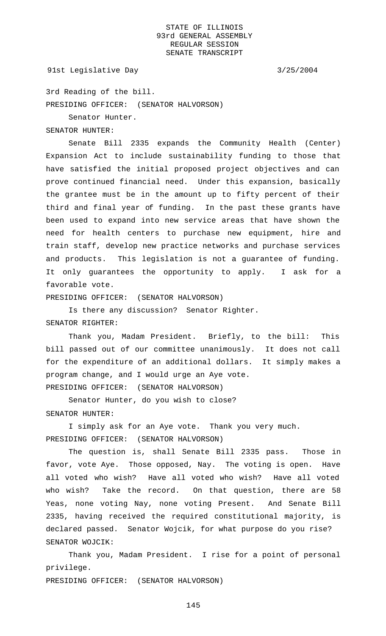### 91st Legislative Day 3/25/2004

3rd Reading of the bill. PRESIDING OFFICER: (SENATOR HALVORSON)

Senator Hunter.

SENATOR HUNTER:

Senate Bill 2335 expands the Community Health (Center) Expansion Act to include sustainability funding to those that have satisfied the initial proposed project objectives and can prove continued financial need. Under this expansion, basically the grantee must be in the amount up to fifty percent of their third and final year of funding. In the past these grants have been used to expand into new service areas that have shown the need for health centers to purchase new equipment, hire and train staff, develop new practice networks and purchase services and products. This legislation is not a guarantee of funding. It only guarantees the opportunity to apply. I ask for a favorable vote.

PRESIDING OFFICER: (SENATOR HALVORSON)

Is there any discussion? Senator Righter. SENATOR RIGHTER:

Thank you, Madam President. Briefly, to the bill: This bill passed out of our committee unanimously. It does not call for the expenditure of an additional dollars. It simply makes a program change, and I would urge an Aye vote. PRESIDING OFFICER: (SENATOR HALVORSON)

Senator Hunter, do you wish to close? SENATOR HUNTER:

I simply ask for an Aye vote. Thank you very much. PRESIDING OFFICER: (SENATOR HALVORSON)

The question is, shall Senate Bill 2335 pass. Those in favor, vote Aye. Those opposed, Nay. The voting is open. Have all voted who wish? Have all voted who wish? Have all voted who wish? Take the record. On that question, there are 58 Yeas, none voting Nay, none voting Present. And Senate Bill 2335, having received the required constitutional majority, is declared passed. Senator Wojcik, for what purpose do you rise? SENATOR WOJCIK:

Thank you, Madam President. I rise for a point of personal privilege.

PRESIDING OFFICER: (SENATOR HALVORSON)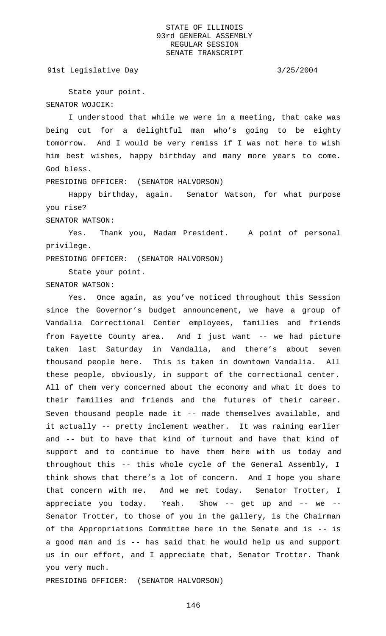91st Legislative Day 3/25/2004

State your point. SENATOR WOJCIK:

I understood that while we were in a meeting, that cake was being cut for a delightful man who's going to be eighty tomorrow. And I would be very remiss if I was not here to wish him best wishes, happy birthday and many more years to come. God bless.

PRESIDING OFFICER: (SENATOR HALVORSON)

Happy birthday, again. Senator Watson, for what purpose you rise?

SENATOR WATSON:

Yes. Thank you, Madam President. A point of personal privilege.

PRESIDING OFFICER: (SENATOR HALVORSON)

State your point. SENATOR WATSON:

Yes. Once again, as you've noticed throughout this Session since the Governor's budget announcement, we have a group of Vandalia Correctional Center employees, families and friends from Fayette County area. And I just want -- we had picture taken last Saturday in Vandalia, and there's about seven thousand people here. This is taken in downtown Vandalia. All these people, obviously, in support of the correctional center. All of them very concerned about the economy and what it does to their families and friends and the futures of their career. Seven thousand people made it -- made themselves available, and it actually -- pretty inclement weather. It was raining earlier and -- but to have that kind of turnout and have that kind of support and to continue to have them here with us today and throughout this -- this whole cycle of the General Assembly, I think shows that there's a lot of concern. And I hope you share that concern with me. And we met today. Senator Trotter, I appreciate you today. Yeah. Show -- get up and -- we -- Senator Trotter, to those of you in the gallery, is the Chairman of the Appropriations Committee here in the Senate and is -- is a good man and is -- has said that he would help us and support us in our effort, and I appreciate that, Senator Trotter. Thank you very much.

PRESIDING OFFICER: (SENATOR HALVORSON)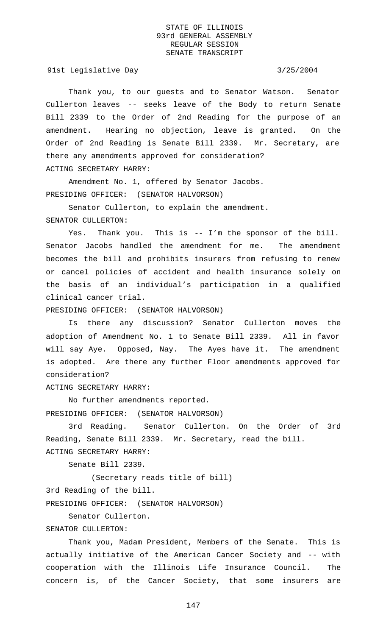91st Legislative Day 3/25/2004

Thank you, to our guests and to Senator Watson. Senator Cullerton leaves -- seeks leave of the Body to return Senate Bill 2339 to the Order of 2nd Reading for the purpose of an amendment. Hearing no objection, leave is granted. On the Order of 2nd Reading is Senate Bill 2339. Mr. Secretary, are there any amendments approved for consideration? ACTING SECRETARY HARRY:

Amendment No. 1, offered by Senator Jacobs. PRESIDING OFFICER: (SENATOR HALVORSON)

Senator Cullerton, to explain the amendment. SENATOR CULLERTON:

Yes. Thank you. This is -- I'm the sponsor of the bill. Senator Jacobs handled the amendment for me. The amendment becomes the bill and prohibits insurers from refusing to renew or cancel policies of accident and health insurance solely on the basis of an individual's participation in a qualified clinical cancer trial.

PRESIDING OFFICER: (SENATOR HALVORSON)

Is there any discussion? Senator Cullerton moves the adoption of Amendment No. 1 to Senate Bill 2339. All in favor will say Aye. Opposed, Nay. The Ayes have it. The amendment is adopted. Are there any further Floor amendments approved for consideration?

ACTING SECRETARY HARRY:

No further amendments reported. PRESIDING OFFICER: (SENATOR HALVORSON)

3rd Reading. Senator Cullerton. On the Order of 3rd Reading, Senate Bill 2339. Mr. Secretary, read the bill. ACTING SECRETARY HARRY:

Senate Bill 2339.

(Secretary reads title of bill) 3rd Reading of the bill. PRESIDING OFFICER: (SENATOR HALVORSON)

Senator Cullerton.

#### SENATOR CULLERTON:

Thank you, Madam President, Members of the Senate. This is actually initiative of the American Cancer Society and -- with cooperation with the Illinois Life Insurance Council. The concern is, of the Cancer Society, that some insurers are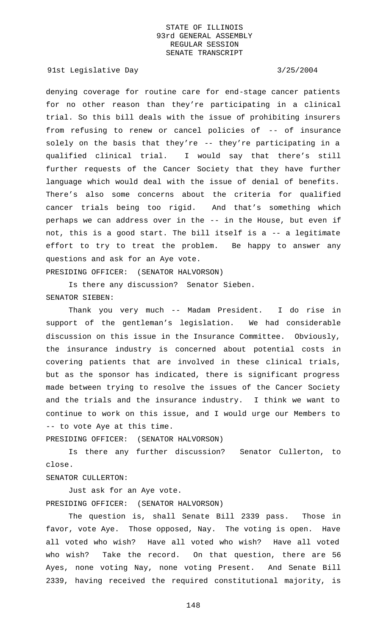91st Legislative Day 3/25/2004

denying coverage for routine care for end-stage cancer patients for no other reason than they're participating in a clinical trial. So this bill deals with the issue of prohibiting insurers from refusing to renew or cancel policies of -- of insurance solely on the basis that they're -- they're participating in a qualified clinical trial. I would say that there's still further requests of the Cancer Society that they have further language which would deal with the issue of denial of benefits. There's also some concerns about the criteria for qualified cancer trials being too rigid. And that's something which perhaps we can address over in the -- in the House, but even if not, this is a good start. The bill itself is a -- a legitimate effort to try to treat the problem. Be happy to answer any questions and ask for an Aye vote.

PRESIDING OFFICER: (SENATOR HALVORSON)

Is there any discussion? Senator Sieben. SENATOR SIEBEN:

Thank you very much -- Madam President. I do rise in support of the gentleman's legislation. We had considerable discussion on this issue in the Insurance Committee. Obviously, the insurance industry is concerned about potential costs in covering patients that are involved in these clinical trials, but as the sponsor has indicated, there is significant progress made between trying to resolve the issues of the Cancer Society and the trials and the insurance industry. I think we want to continue to work on this issue, and I would urge our Members to -- to vote Aye at this time.

PRESIDING OFFICER: (SENATOR HALVORSON)

Is there any further discussion? Senator Cullerton, to close.

# SENATOR CULLERTON:

Just ask for an Aye vote. PRESIDING OFFICER: (SENATOR HALVORSON)

The question is, shall Senate Bill 2339 pass. Those in favor, vote Aye. Those opposed, Nay. The voting is open. Have all voted who wish? Have all voted who wish? Have all voted who wish? Take the record. On that question, there are 56 Ayes, none voting Nay, none voting Present. And Senate Bill 2339, having received the required constitutional majority, is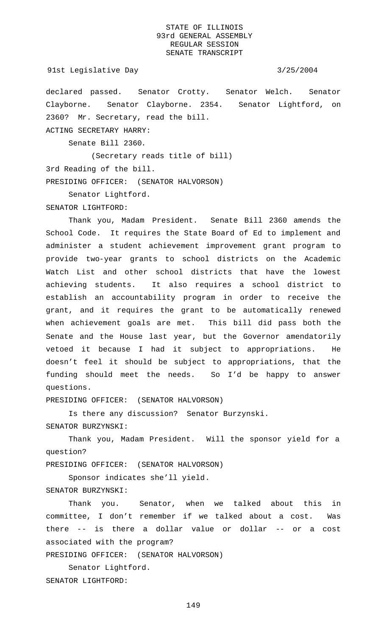```
91st Legislative Day 3/25/2004
```
declared passed. Senator Crotty. Senator Welch. Senator Clayborne. Senator Clayborne. 2354. Senator Lightford, on 2360? Mr. Secretary, read the bill. ACTING SECRETARY HARRY:

Senate Bill 2360.

(Secretary reads title of bill) 3rd Reading of the bill. PRESIDING OFFICER: (SENATOR HALVORSON)

Senator Lightford.

SENATOR LIGHTFORD:

Thank you, Madam President. Senate Bill 2360 amends the School Code. It requires the State Board of Ed to implement and administer a student achievement improvement grant program to provide two-year grants to school districts on the Academic Watch List and other school districts that have the lowest achieving students. It also requires a school district to establish an accountability program in order to receive the grant, and it requires the grant to be automatically renewed when achievement goals are met. This bill did pass both the Senate and the House last year, but the Governor amendatorily vetoed it because I had it subject to appropriations. He doesn't feel it should be subject to appropriations, that the funding should meet the needs. So I'd be happy to answer questions.

PRESIDING OFFICER: (SENATOR HALVORSON)

Is there any discussion? Senator Burzynski. SENATOR BURZYNSKI:

Thank you, Madam President. Will the sponsor yield for a question?

PRESIDING OFFICER: (SENATOR HALVORSON)

Sponsor indicates she'll yield. SENATOR BURZYNSKI:

Thank you. Senator, when we talked about this in committee, I don't remember if we talked about a cost. Was there -- is there a dollar value or dollar -- or a cost associated with the program?

PRESIDING OFFICER: (SENATOR HALVORSON)

Senator Lightford. SENATOR LIGHTFORD: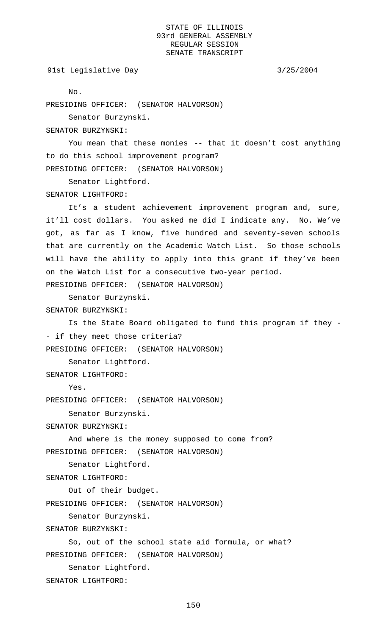91st Legislative Day 3/25/2004

No.

PRESIDING OFFICER: (SENATOR HALVORSON)

Senator Burzynski.

SENATOR BURZYNSKI:

You mean that these monies -- that it doesn't cost anything to do this school improvement program? PRESIDING OFFICER: (SENATOR HALVORSON)

Senator Lightford.

SENATOR LIGHTFORD:

It's a student achievement improvement program and, sure, it'll cost dollars. You asked me did I indicate any. No. We've got, as far as I know, five hundred and seventy-seven schools that are currently on the Academic Watch List. So those schools will have the ability to apply into this grant if they've been on the Watch List for a consecutive two-year period. PRESIDING OFFICER: (SENATOR HALVORSON)

Senator Burzynski.

SENATOR BURZYNSKI:

Is the State Board obligated to fund this program if they - - if they meet those criteria? PRESIDING OFFICER: (SENATOR HALVORSON)

Senator Lightford.

SENATOR LIGHTFORD:

Yes.

PRESIDING OFFICER: (SENATOR HALVORSON)

Senator Burzynski.

SENATOR BURZYNSKI:

And where is the money supposed to come from? PRESIDING OFFICER: (SENATOR HALVORSON)

Senator Lightford.

SENATOR LIGHTFORD:

Out of their budget.

PRESIDING OFFICER: (SENATOR HALVORSON)

Senator Burzynski.

SENATOR BURZYNSKI:

So, out of the school state aid formula, or what? PRESIDING OFFICER: (SENATOR HALVORSON)

Senator Lightford.

SENATOR LIGHTFORD: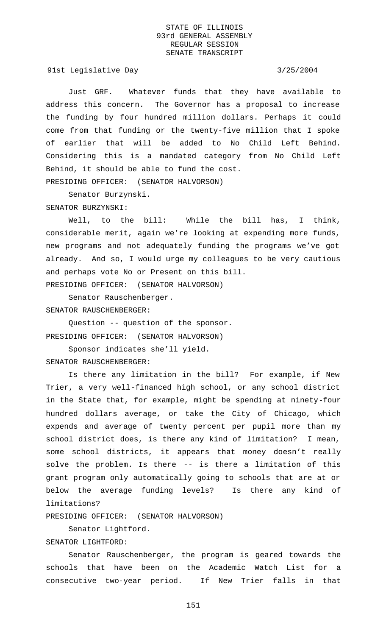91st Legislative Day 3/25/2004

Just GRF. Whatever funds that they have available to address this concern. The Governor has a proposal to increase the funding by four hundred million dollars. Perhaps it could come from that funding or the twenty-five million that I spoke of earlier that will be added to No Child Left Behind. Considering this is a mandated category from No Child Left Behind, it should be able to fund the cost. PRESIDING OFFICER: (SENATOR HALVORSON)

Senator Burzynski.

SENATOR BURZYNSKI:

Well, to the bill: While the bill has, I think, considerable merit, again we're looking at expending more funds, new programs and not adequately funding the programs we've got already. And so, I would urge my colleagues to be very cautious and perhaps vote No or Present on this bill.

PRESIDING OFFICER: (SENATOR HALVORSON)

Senator Rauschenberger. SENATOR RAUSCHENBERGER:

Question -- question of the sponsor. PRESIDING OFFICER: (SENATOR HALVORSON)

Sponsor indicates she'll yield. SENATOR RAUSCHENBERGER:

Is there any limitation in the bill? For example, if New Trier, a very well-financed high school, or any school district in the State that, for example, might be spending at ninety-four hundred dollars average, or take the City of Chicago, which expends and average of twenty percent per pupil more than my school district does, is there any kind of limitation? I mean, some school districts, it appears that money doesn't really solve the problem. Is there -- is there a limitation of this grant program only automatically going to schools that are at or below the average funding levels? Is there any kind of limitations?

PRESIDING OFFICER: (SENATOR HALVORSON)

Senator Lightford.

SENATOR LIGHTFORD:

Senator Rauschenberger, the program is geared towards the schools that have been on the Academic Watch List for a consecutive two-year period. If New Trier falls in that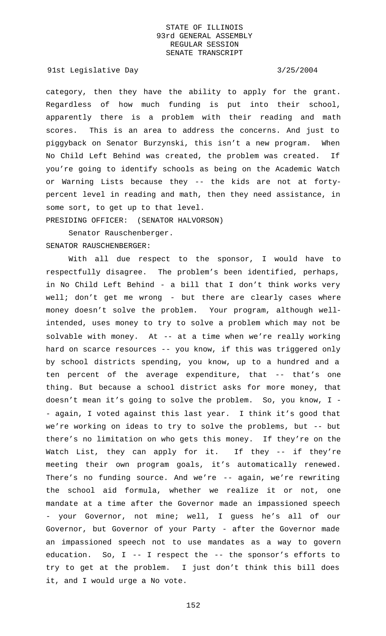91st Legislative Day 3/25/2004

category, then they have the ability to apply for the grant. Regardless of how much funding is put into their school, apparently there is a problem with their reading and math scores. This is an area to address the concerns. And just to piggyback on Senator Burzynski, this isn't a new program. When No Child Left Behind was created, the problem was created. If you're going to identify schools as being on the Academic Watch or Warning Lists because they -- the kids are not at fortypercent level in reading and math, then they need assistance, in some sort, to get up to that level.

PRESIDING OFFICER: (SENATOR HALVORSON)

Senator Rauschenberger. SENATOR RAUSCHENBERGER:

With all due respect to the sponsor, I would have to respectfully disagree. The problem's been identified, perhaps, in No Child Left Behind - a bill that I don't think works very well; don't get me wrong - but there are clearly cases where money doesn't solve the problem. Your program, although wellintended, uses money to try to solve a problem which may not be solvable with money. At -- at a time when we're really working hard on scarce resources -- you know, if this was triggered only by school districts spending, you know, up to a hundred and a ten percent of the average expenditure, that -- that's one thing. But because a school district asks for more money, that doesn't mean it's going to solve the problem. So, you know, I - - again, I voted against this last year. I think it's good that we're working on ideas to try to solve the problems, but -- but there's no limitation on who gets this money. If they're on the Watch List, they can apply for it. If they -- if they're meeting their own program goals, it's automatically renewed. There's no funding source. And we're -- again, we're rewriting the school aid formula, whether we realize it or not, one mandate at a time after the Governor made an impassioned speech - your Governor, not mine; well, I guess he's all of our Governor, but Governor of your Party - after the Governor made an impassioned speech not to use mandates as a way to govern education. So, I -- I respect the -- the sponsor's efforts to try to get at the problem. I just don't think this bill does it, and I would urge a No vote.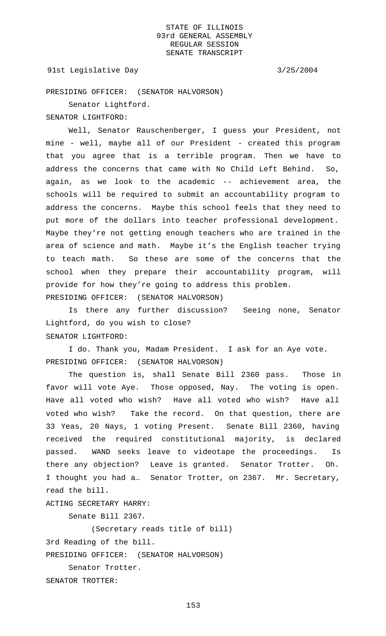#### 91st Legislative Day 3/25/2004

PRESIDING OFFICER: (SENATOR HALVORSON)

SENATOR LIGHTFORD:

Senator Lightford.

Well, Senator Rauschenberger, I guess your President, not mine - well, maybe all of our President - created this program that you agree that is a terrible program. Then we have to address the concerns that came with No Child Left Behind. So, again, as we look to the academic -- achievement area, the schools will be required to submit an accountability program to address the concerns. Maybe this school feels that they need to put more of the dollars into teacher professional development. Maybe they're not getting enough teachers who are trained in the area of science and math. Maybe it's the English teacher trying to teach math. So these are some of the concerns that the school when they prepare their accountability program, will provide for how they're going to address this problem. PRESIDING OFFICER: (SENATOR HALVORSON)

Is there any further discussion? Seeing none, Senator Lightford, do you wish to close? SENATOR LIGHTFORD:

I do. Thank you, Madam President. I ask for an Aye vote. PRESIDING OFFICER: (SENATOR HALVORSON)

The question is, shall Senate Bill 2360 pass. Those in favor will vote Aye. Those opposed, Nay. The voting is open. Have all voted who wish? Have all voted who wish? Have all voted who wish? Take the record. On that question, there are 33 Yeas, 20 Nays, 1 voting Present. Senate Bill 2360, having received the required constitutional majority, is declared passed. WAND seeks leave to videotape the proceedings. Is there any objection? Leave is granted. Senator Trotter. Oh. I thought you had a… Senator Trotter, on 2367. Mr. Secretary, read the bill.

ACTING SECRETARY HARRY:

Senate Bill 2367.

(Secretary reads title of bill)

3rd Reading of the bill.

PRESIDING OFFICER: (SENATOR HALVORSON)

Senator Trotter.

SENATOR TROTTER: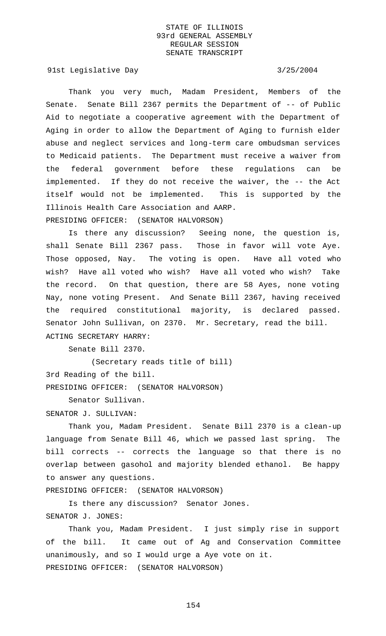91st Legislative Day 3/25/2004

Thank you very much, Madam President, Members of the Senate. Senate Bill 2367 permits the Department of -- of Public Aid to negotiate a cooperative agreement with the Department of Aging in order to allow the Department of Aging to furnish elder abuse and neglect services and long-term care ombudsman services to Medicaid patients. The Department must receive a waiver from the federal government before these regulations can be implemented. If they do not receive the waiver, the -- the Act itself would not be implemented. This is supported by the Illinois Health Care Association and AARP. PRESIDING OFFICER: (SENATOR HALVORSON)

Is there any discussion? Seeing none, the question is, shall Senate Bill 2367 pass. Those in favor will vote Aye. Those opposed, Nay. The voting is open. Have all voted who wish? Have all voted who wish? Have all voted who wish? Take the record. On that question, there are 58 Ayes, none voting Nay, none voting Present. And Senate Bill 2367, having received the required constitutional majority, is declared passed. Senator John Sullivan, on 2370. Mr. Secretary, read the bill. ACTING SECRETARY HARRY:

Senate Bill 2370.

(Secretary reads title of bill) 3rd Reading of the bill. PRESIDING OFFICER: (SENATOR HALVORSON)

Senator Sullivan.

#### SENATOR J. SULLIVAN:

Thank you, Madam President. Senate Bill 2370 is a clean-up language from Senate Bill 46, which we passed last spring. The bill corrects -- corrects the language so that there is no overlap between gasohol and majority blended ethanol. Be happy to answer any questions.

PRESIDING OFFICER: (SENATOR HALVORSON)

Is there any discussion? Senator Jones. SENATOR J. JONES:

Thank you, Madam President. I just simply rise in support of the bill. It came out of Ag and Conservation Committee unanimously, and so I would urge a Aye vote on it. PRESIDING OFFICER: (SENATOR HALVORSON)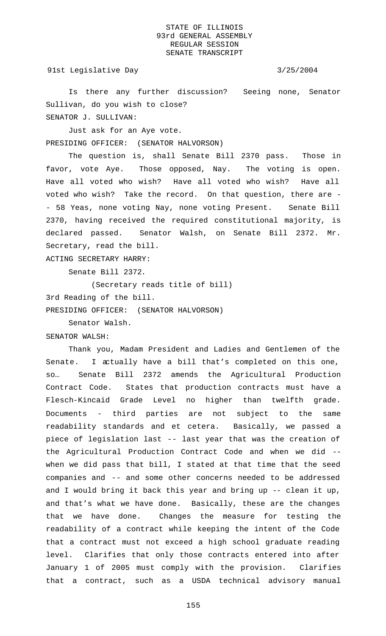91st Legislative Day 3/25/2004

Is there any further discussion? Seeing none, Senator Sullivan, do you wish to close?

SENATOR J. SULLIVAN:

Just ask for an Aye vote. PRESIDING OFFICER: (SENATOR HALVORSON)

The question is, shall Senate Bill 2370 pass. Those in favor, vote Aye. Those opposed, Nay. The voting is open. Have all voted who wish? Have all voted who wish? Have all voted who wish? Take the record. On that question, there are - - 58 Yeas, none voting Nay, none voting Present. Senate Bill 2370, having received the required constitutional majority, is declared passed. Senator Walsh, on Senate Bill 2372. Mr. Secretary, read the bill.

ACTING SECRETARY HARRY:

Senate Bill 2372.

(Secretary reads title of bill)

3rd Reading of the bill.

PRESIDING OFFICER: (SENATOR HALVORSON)

Senator Walsh.

SENATOR WALSH:

Thank you, Madam President and Ladies and Gentlemen of the Senate. I actually have a bill that's completed on this one, so… Senate Bill 2372 amends the Agricultural Production Contract Code. States that production contracts must have a Flesch-Kincaid Grade Level no higher than twelfth grade. Documents - third parties are not subject to the same readability standards and et cetera. Basically, we passed a piece of legislation last -- last year that was the creation of the Agricultural Production Contract Code and when we did - when we did pass that bill, I stated at that time that the seed companies and -- and some other concerns needed to be addressed and I would bring it back this year and bring up -- clean it up, and that's what we have done. Basically, these are the changes that we have done. Changes the measure for testing the readability of a contract while keeping the intent of the Code that a contract must not exceed a high school graduate reading level. Clarifies that only those contracts entered into after January 1 of 2005 must comply with the provision. Clarifies that a contract, such as a USDA technical advisory manual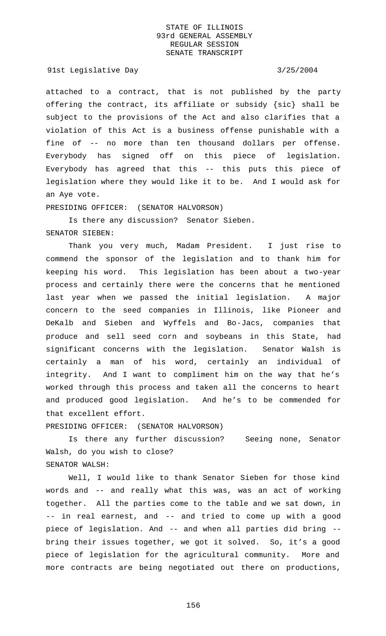#### 91st Legislative Day 3/25/2004

attached to a contract, that is not published by the party offering the contract, its affiliate or subsidy {sic} shall be subject to the provisions of the Act and also clarifies that a violation of this Act is a business offense punishable with a fine of -- no more than ten thousand dollars per offense. Everybody has signed off on this piece of legislation. Everybody has agreed that this -- this puts this piece of legislation where they would like it to be. And I would ask for an Aye vote.

### PRESIDING OFFICER: (SENATOR HALVORSON)

Is there any discussion? Senator Sieben. SENATOR SIEBEN:

Thank you very much, Madam President. I just rise to commend the sponsor of the legislation and to thank him for keeping his word. This legislation has been about a two-year process and certainly there were the concerns that he mentioned last year when we passed the initial legislation. A major concern to the seed companies in Illinois, like Pioneer and DeKalb and Sieben and Wyffels and Bo-Jacs, companies that produce and sell seed corn and soybeans in this State, had significant concerns with the legislation. Senator Walsh is certainly a man of his word, certainly an individual of integrity. And I want to compliment him on the way that he's worked through this process and taken all the concerns to heart and produced good legislation. And he's to be commended for that excellent effort.

PRESIDING OFFICER: (SENATOR HALVORSON)

Is there any further discussion? Seeing none, Senator Walsh, do you wish to close? SENATOR WALSH:

Well, I would like to thank Senator Sieben for those kind words and -- and really what this was, was an act of working together. All the parties come to the table and we sat down, in -- in real earnest, and -- and tried to come up with a good piece of legislation. And -- and when all parties did bring - bring their issues together, we got it solved. So, it's a good piece of legislation for the agricultural community. More and more contracts are being negotiated out there on productions,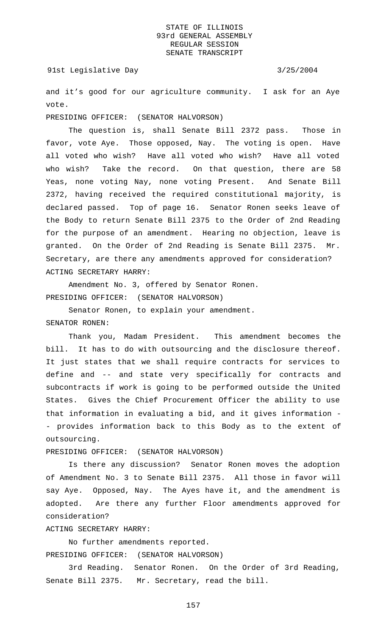91st Legislative Day 3/25/2004

and it's good for our agriculture community. I ask for an Aye vote.

PRESIDING OFFICER: (SENATOR HALVORSON)

The question is, shall Senate Bill 2372 pass. Those in favor, vote Aye. Those opposed, Nay. The voting is open. Have all voted who wish? Have all voted who wish? Have all voted who wish? Take the record. On that question, there are 58 Yeas, none voting Nay, none voting Present. And Senate Bill 2372, having received the required constitutional majority, is declared passed. Top of page 16. Senator Ronen seeks leave of the Body to return Senate Bill 2375 to the Order of 2nd Reading for the purpose of an amendment. Hearing no objection, leave is granted. On the Order of 2nd Reading is Senate Bill 2375. Mr. Secretary, are there any amendments approved for consideration? ACTING SECRETARY HARRY:

Amendment No. 3, offered by Senator Ronen. PRESIDING OFFICER: (SENATOR HALVORSON)

Senator Ronen, to explain your amendment. SENATOR RONEN:

Thank you, Madam President. This amendment becomes the bill. It has to do with outsourcing and the disclosure thereof. It just states that we shall require contracts for services to define and -- and state very specifically for contracts and subcontracts if work is going to be performed outside the United States. Gives the Chief Procurement Officer the ability to use that information in evaluating a bid, and it gives information - - provides information back to this Body as to the extent of outsourcing.

PRESIDING OFFICER: (SENATOR HALVORSON)

Is there any discussion? Senator Ronen moves the adoption of Amendment No. 3 to Senate Bill 2375. All those in favor will say Aye. Opposed, Nay. The Ayes have it, and the amendment is adopted. Are there any further Floor amendments approved for consideration?

ACTING SECRETARY HARRY:

No further amendments reported.

PRESIDING OFFICER: (SENATOR HALVORSON)

3rd Reading. Senator Ronen. On the Order of 3rd Reading, Senate Bill 2375. Mr. Secretary, read the bill.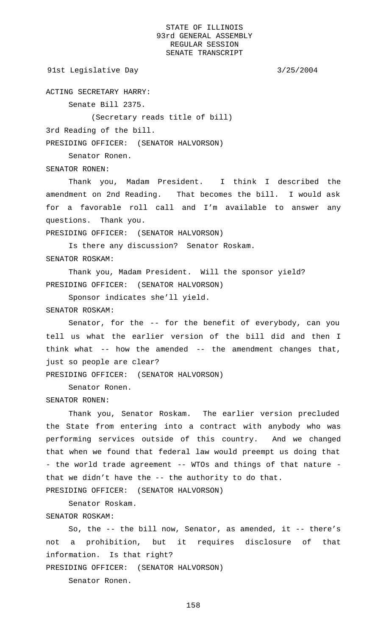```
91st Legislative Day 3/25/2004
```
ACTING SECRETARY HARRY:

Senate Bill 2375.

(Secretary reads title of bill)

3rd Reading of the bill.

Senator Ronen.

PRESIDING OFFICER: (SENATOR HALVORSON)

SENATOR RONEN:

Thank you, Madam President. I think I described the amendment on 2nd Reading. That becomes the bill. I would ask for a favorable roll call and I'm available to answer any questions. Thank you.

PRESIDING OFFICER: (SENATOR HALVORSON)

Is there any discussion? Senator Roskam. SENATOR ROSKAM:

Thank you, Madam President. Will the sponsor yield? PRESIDING OFFICER: (SENATOR HALVORSON)

Sponsor indicates she'll yield.

## SENATOR ROSKAM:

Senator, for the -- for the benefit of everybody, can you tell us what the earlier version of the bill did and then I think what -- how the amended -- the amendment changes that, just so people are clear?

PRESIDING OFFICER: (SENATOR HALVORSON)

Senator Ronen.

#### SENATOR RONEN:

Thank you, Senator Roskam. The earlier version precluded the State from entering into a contract with anybody who was performing services outside of this country. And we changed that when we found that federal law would preempt us doing that - the world trade agreement -- WTOs and things of that nature that we didn't have the -- the authority to do that.

PRESIDING OFFICER: (SENATOR HALVORSON)

Senator Roskam.

# SENATOR ROSKAM:

So, the -- the bill now, Senator, as amended, it -- there's not a prohibition, but it requires disclosure of that information. Is that right?

PRESIDING OFFICER: (SENATOR HALVORSON)

Senator Ronen.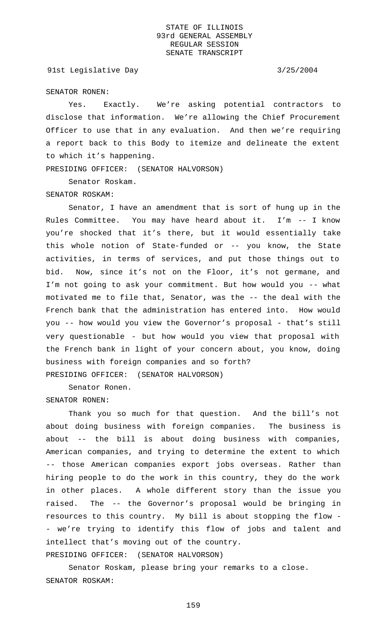91st Legislative Day 3/25/2004

#### SENATOR RONEN:

Yes. Exactly. We're asking potential contractors to disclose that information. We're allowing the Chief Procurement Officer to use that in any evaluation. And then we're requiring a report back to this Body to itemize and delineate the extent to which it's happening.

PRESIDING OFFICER: (SENATOR HALVORSON)

Senator Roskam.

SENATOR ROSKAM:

Senator, I have an amendment that is sort of hung up in the Rules Committee. You may have heard about it. I'm -- I know you're shocked that it's there, but it would essentially take this whole notion of State-funded or -- you know, the State activities, in terms of services, and put those things out to bid. Now, since it's not on the Floor, it's not germane, and I'm not going to ask your commitment. But how would you -- what motivated me to file that, Senator, was the -- the deal with the French bank that the administration has entered into. How would you -- how would you view the Governor's proposal - that's still very questionable - but how would you view that proposal with the French bank in light of your concern about, you know, doing business with foreign companies and so forth? PRESIDING OFFICER: (SENATOR HALVORSON)

Senator Ronen. SENATOR RONEN:

Thank you so much for that question. And the bill's not about doing business with foreign companies. The business is about -- the bill is about doing business with companies, American companies, and trying to determine the extent to which -- those American companies export jobs overseas. Rather than hiring people to do the work in this country, they do the work in other places. A whole different story than the issue you raised. The -- the Governor's proposal would be bringing in resources to this country. My bill is about stopping the flow - - we're trying to identify this flow of jobs and talent and intellect that's moving out of the country.

PRESIDING OFFICER: (SENATOR HALVORSON)

Senator Roskam, please bring your remarks to a close. SENATOR ROSKAM: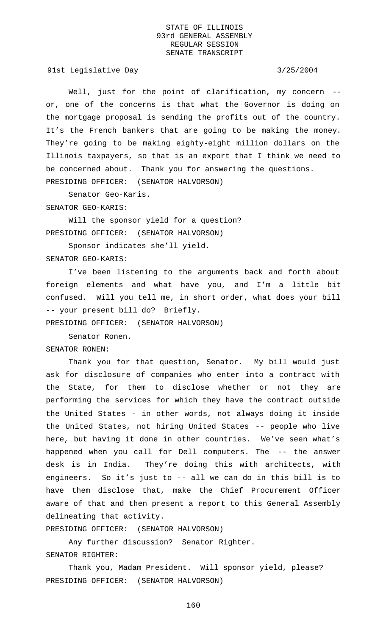91st Legislative Day 3/25/2004

Well, just for the point of clarification, my concern -or, one of the concerns is that what the Governor is doing on the mortgage proposal is sending the profits out of the country. It's the French bankers that are going to be making the money. They're going to be making eighty-eight million dollars on the Illinois taxpayers, so that is an export that I think we need to be concerned about. Thank you for answering the questions. PRESIDING OFFICER: (SENATOR HALVORSON)

Senator Geo-Karis.

SENATOR GEO-KARIS:

Will the sponsor yield for a question? PRESIDING OFFICER: (SENATOR HALVORSON)

Sponsor indicates she'll yield. SENATOR GEO-KARIS:

I've been listening to the arguments back and forth about foreign elements and what have you, and I'm a little bit confused. Will you tell me, in short order, what does your bill -- your present bill do? Briefly.

PRESIDING OFFICER: (SENATOR HALVORSON)

Senator Ronen.

SENATOR RONEN:

Thank you for that question, Senator. My bill would just ask for disclosure of companies who enter into a contract with the State, for them to disclose whether or not they are performing the services for which they have the contract outside the United States - in other words, not always doing it inside the United States, not hiring United States -- people who live here, but having it done in other countries. We've seen what's happened when you call for Dell computers. The -- the answer desk is in India. They're doing this with architects, with engineers. So it's just to -- all we can do in this bill is to have them disclose that, make the Chief Procurement Officer aware of that and then present a report to this General Assembly delineating that activity.

PRESIDING OFFICER: (SENATOR HALVORSON)

Any further discussion? Senator Righter. SENATOR RIGHTER:

Thank you, Madam President. Will sponsor yield, please? PRESIDING OFFICER: (SENATOR HALVORSON)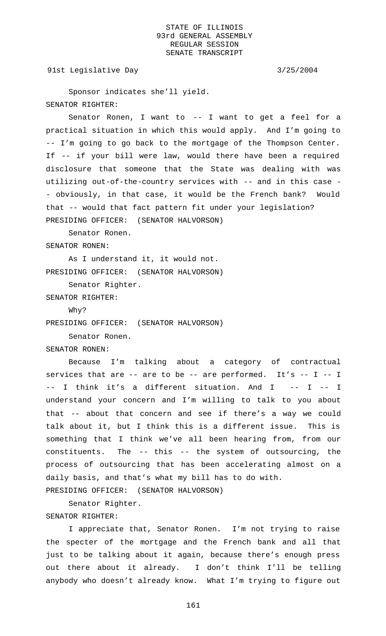91st Legislative Day 3/25/2004

Sponsor indicates she'll yield. SENATOR RIGHTER:

Senator Ronen, I want to -- I want to get a feel for a practical situation in which this would apply. And I'm going to -- I'm going to go back to the mortgage of the Thompson Center. If -- if your bill were law, would there have been a required disclosure that someone that the State was dealing with was utilizing out-of-the-country services with -- and in this case - - obviously, in that case, it would be the French bank? Would that -- would that fact pattern fit under your legislation? PRESIDING OFFICER: (SENATOR HALVORSON)

Senator Ronen.

SENATOR RONEN:

As I understand it, it would not. PRESIDING OFFICER: (SENATOR HALVORSON)

Senator Righter.

SENATOR RIGHTER:

Why?

PRESIDING OFFICER: (SENATOR HALVORSON)

Senator Ronen.

SENATOR RONEN:

Because I'm talking about a category of contractual services that are  $-$ - are to be  $-$ - are performed. It's  $-$ - I  $-$ - I -- I think it's a different situation. And I -- I -- I understand your concern and I'm willing to talk to you about that -- about that concern and see if there's a way we could talk about it, but I think this is a different issue. This is something that I think we've all been hearing from, from our constituents. The -- this -- the system of outsourcing, the process of outsourcing that has been accelerating almost on a daily basis, and that's what my bill has to do with.

PRESIDING OFFICER: (SENATOR HALVORSON)

Senator Righter.

SENATOR RIGHTER:

I appreciate that, Senator Ronen. I'm not trying to raise the specter of the mortgage and the French bank and all that just to be talking about it again, because there's enough press out there about it already. I don't think I'll be telling anybody who doesn't already know. What I'm trying to figure out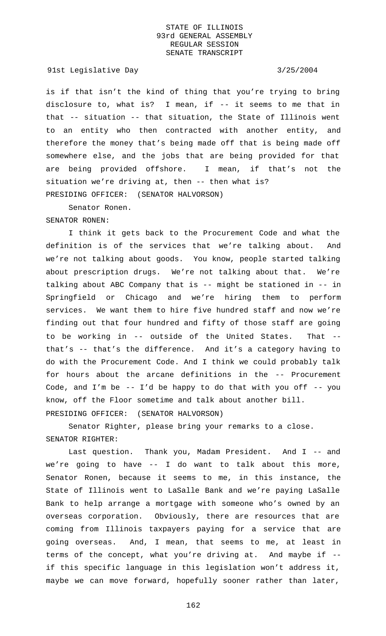91st Legislative Day 3/25/2004

is if that isn't the kind of thing that you're trying to bring disclosure to, what is? I mean, if -- it seems to me that in that -- situation -- that situation, the State of Illinois went to an entity who then contracted with another entity, and therefore the money that's being made off that is being made off somewhere else, and the jobs that are being provided for that are being provided offshore. I mean, if that's not the situation we're driving at, then -- then what is? PRESIDING OFFICER: (SENATOR HALVORSON)

Senator Ronen.

SENATOR RONEN:

I think it gets back to the Procurement Code and what the definition is of the services that we're talking about. And we're not talking about goods. You know, people started talking about prescription drugs. We're not talking about that. We're talking about ABC Company that is -- might be stationed in -- in Springfield or Chicago and we're hiring them to perform services. We want them to hire five hundred staff and now we're finding out that four hundred and fifty of those staff are going to be working in -- outside of the United States. That - that's -- that's the difference. And it's a category having to do with the Procurement Code. And I think we could probably talk for hours about the arcane definitions in the -- Procurement Code, and I'm be  $-$ - I'd be happy to do that with you off  $-$ - you know, off the Floor sometime and talk about another bill. PRESIDING OFFICER: (SENATOR HALVORSON)

Senator Righter, please bring your remarks to a close. SENATOR RIGHTER:

Last question. Thank you, Madam President. And I -- and we're going to have -- I do want to talk about this more, Senator Ronen, because it seems to me, in this instance, the State of Illinois went to LaSalle Bank and we're paying LaSalle Bank to help arrange a mortgage with someone who's owned by an overseas corporation. Obviously, there are resources that are coming from Illinois taxpayers paying for a service that are going overseas. And, I mean, that seems to me, at least in terms of the concept, what you're driving at. And maybe if - if this specific language in this legislation won't address it, maybe we can move forward, hopefully sooner rather than later,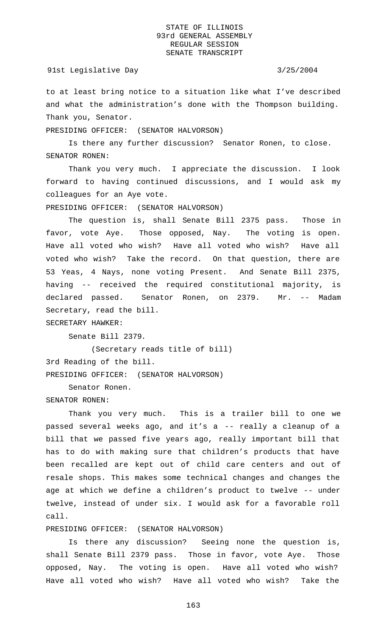#### 91st Legislative Day 3/25/2004

to at least bring notice to a situation like what I've described and what the administration's done with the Thompson building. Thank you, Senator.

PRESIDING OFFICER: (SENATOR HALVORSON)

Is there any further discussion? Senator Ronen, to close. SENATOR RONEN:

Thank you very much. I appreciate the discussion. I look forward to having continued discussions, and I would ask my colleagues for an Aye vote.

PRESIDING OFFICER: (SENATOR HALVORSON)

The question is, shall Senate Bill 2375 pass. Those in favor, vote Aye. Those opposed, Nay. The voting is open. Have all voted who wish? Have all voted who wish? Have all voted who wish? Take the record. On that question, there are 53 Yeas, 4 Nays, none voting Present. And Senate Bill 2375, having -- received the required constitutional majority, is declared passed. Senator Ronen, on 2379. Mr. -- Madam Secretary, read the bill.

SECRETARY HAWKER:

Senate Bill 2379.

(Secretary reads title of bill) 3rd Reading of the bill. PRESIDING OFFICER: (SENATOR HALVORSON)

Senator Ronen.

#### SENATOR RONEN:

Thank you very much. This is a trailer bill to one we passed several weeks ago, and it's a -- really a cleanup of a bill that we passed five years ago, really important bill that has to do with making sure that children's products that have been recalled are kept out of child care centers and out of resale shops. This makes some technical changes and changes the age at which we define a children's product to twelve -- under twelve, instead of under six. I would ask for a favorable roll call.

PRESIDING OFFICER: (SENATOR HALVORSON)

Is there any discussion? Seeing none the question is, shall Senate Bill 2379 pass. Those in favor, vote Aye. Those opposed, Nay. The voting is open. Have all voted who wish? Have all voted who wish? Have all voted who wish? Take the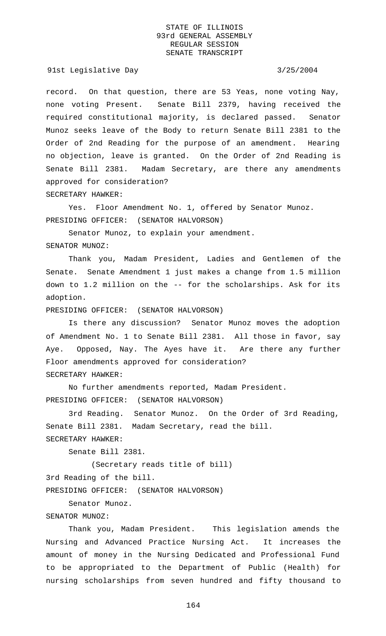91st Legislative Day 3/25/2004

record. On that question, there are 53 Yeas, none voting Nay, none voting Present. Senate Bill 2379, having received the required constitutional majority, is declared passed. Senator Munoz seeks leave of the Body to return Senate Bill 2381 to the Order of 2nd Reading for the purpose of an amendment. Hearing no objection, leave is granted. On the Order of 2nd Reading is Senate Bill 2381. Madam Secretary, are there any amendments approved for consideration? SECRETARY HAWKER:

Yes. Floor Amendment No. 1, offered by Senator Munoz. PRESIDING OFFICER: (SENATOR HALVORSON)

Senator Munoz, to explain your amendment. SENATOR MUNOZ:

Thank you, Madam President, Ladies and Gentlemen of the Senate. Senate Amendment 1 just makes a change from 1.5 million down to 1.2 million on the -- for the scholarships. Ask for its adoption.

PRESIDING OFFICER: (SENATOR HALVORSON)

Is there any discussion? Senator Munoz moves the adoption of Amendment No. 1 to Senate Bill 2381. All those in favor, say Aye. Opposed, Nay. The Ayes have it. Are there any further Floor amendments approved for consideration? SECRETARY HAWKER:

No further amendments reported, Madam President. PRESIDING OFFICER: (SENATOR HALVORSON)

3rd Reading. Senator Munoz. On the Order of 3rd Reading, Senate Bill 2381. Madam Secretary, read the bill. SECRETARY HAWKER:

Senate Bill 2381.

(Secretary reads title of bill)

3rd Reading of the bill.

PRESIDING OFFICER: (SENATOR HALVORSON)

Senator Munoz.

#### SENATOR MUNOZ:

Thank you, Madam President. This legislation amends the Nursing and Advanced Practice Nursing Act. It increases the amount of money in the Nursing Dedicated and Professional Fund to be appropriated to the Department of Public (Health) for nursing scholarships from seven hundred and fifty thousand to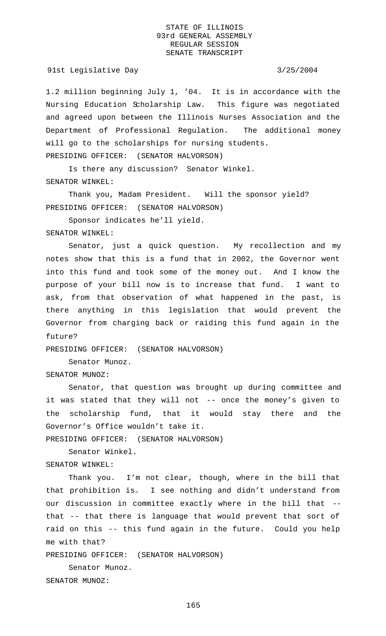#### 91st Legislative Day 3/25/2004

1.2 million beginning July 1, '04. It is in accordance with the Nursing Education Scholarship Law. This figure was negotiated and agreed upon between the Illinois Nurses Association and the Department of Professional Regulation. The additional money will go to the scholarships for nursing students. PRESIDING OFFICER: (SENATOR HALVORSON)

Is there any discussion? Senator Winkel. SENATOR WINKEL:

Thank you, Madam President. Will the sponsor yield? PRESIDING OFFICER: (SENATOR HALVORSON)

Sponsor indicates he'll yield.

SENATOR WINKEL:

Senator, just a quick question. My recollection and my notes show that this is a fund that in 2002, the Governor went into this fund and took some of the money out. And I know the purpose of your bill now is to increase that fund. I want to ask, from that observation of what happened in the past, is there anything in this legislation that would prevent the Governor from charging back or raiding this fund again in the future?

PRESIDING OFFICER: (SENATOR HALVORSON)

Senator Munoz.

SENATOR MUNOZ:

Senator, that question was brought up during committee and it was stated that they will not -- once the money's given to the scholarship fund, that it would stay there and the Governor's Office wouldn't take it.

PRESIDING OFFICER: (SENATOR HALVORSON)

Senator Winkel. SENATOR WINKEL:

Thank you. I'm not clear, though, where in the bill that that prohibition is. I see nothing and didn't understand from our discussion in committee exactly where in the bill that - that -- that there is language that would prevent that sort of raid on this -- this fund again in the future. Could you help me with that?

PRESIDING OFFICER: (SENATOR HALVORSON)

Senator Munoz. SENATOR MUNOZ: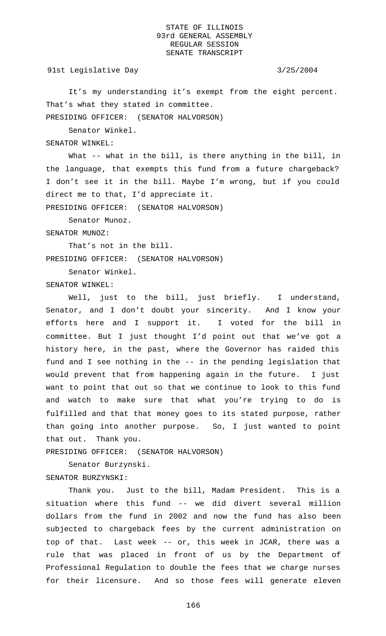91st Legislative Day 3/25/2004

It's my understanding it's exempt from the eight percent. That's what they stated in committee.

PRESIDING OFFICER: (SENATOR HALVORSON)

Senator Winkel.

SENATOR WINKEL:

What -- what in the bill, is there anything in the bill, in the language, that exempts this fund from a future chargeback? I don't see it in the bill. Maybe I'm wrong, but if you could direct me to that, I'd appreciate it.

PRESIDING OFFICER: (SENATOR HALVORSON)

Senator Munoz.

SENATOR MUNOZ:

That's not in the bill. PRESIDING OFFICER: (SENATOR HALVORSON)

Senator Winkel.

SENATOR WINKEL:

Well, just to the bill, just briefly. I understand, Senator, and I don't doubt your sincerity. And I know your efforts here and I support it. I voted for the bill in committee. But I just thought I'd point out that we've got a history here, in the past, where the Governor has raided this fund and I see nothing in the -- in the pending legislation that would prevent that from happening again in the future. I just want to point that out so that we continue to look to this fund and watch to make sure that what you're trying to do is fulfilled and that that money goes to its stated purpose, rather than going into another purpose. So, I just wanted to point that out. Thank you.

PRESIDING OFFICER: (SENATOR HALVORSON)

Senator Burzynski.

SENATOR BURZYNSKI:

Thank you. Just to the bill, Madam President. This is a situation where this fund -- we did divert several million dollars from the fund in 2002 and now the fund has also been subjected to chargeback fees by the current administration on top of that. Last week -- or, this week in JCAR, there was a rule that was placed in front of us by the Department of Professional Regulation to double the fees that we charge nurses for their licensure. And so those fees will generate eleven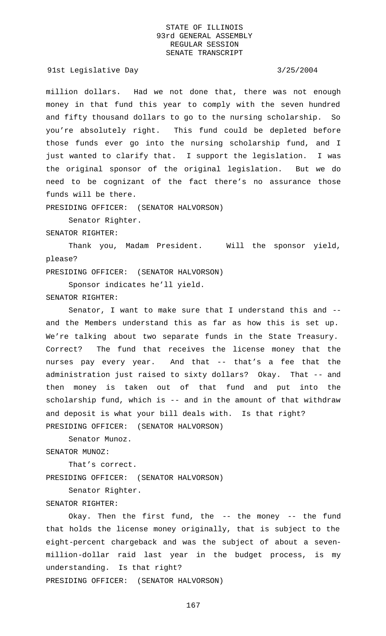91st Legislative Day 3/25/2004

million dollars. Had we not done that, there was not enough money in that fund this year to comply with the seven hundred and fifty thousand dollars to go to the nursing scholarship. So you're absolutely right. This fund could be depleted before those funds ever go into the nursing scholarship fund, and I just wanted to clarify that. I support the legislation. I was the original sponsor of the original legislation. But we do need to be cognizant of the fact there's no assurance those funds will be there.

PRESIDING OFFICER: (SENATOR HALVORSON)

Senator Righter.

SENATOR RIGHTER:

Thank you, Madam President. Will the sponsor yield, please?

PRESIDING OFFICER: (SENATOR HALVORSON)

Sponsor indicates he'll yield.

SENATOR RIGHTER:

Senator, I want to make sure that I understand this and - and the Members understand this as far as how this is set up. We're talking about two separate funds in the State Treasury. Correct? The fund that receives the license money that the nurses pay every year. And that -- that's a fee that the administration just raised to sixty dollars? Okay. That -- and then money is taken out of that fund and put into the scholarship fund, which is -- and in the amount of that withdraw and deposit is what your bill deals with. Is that right? PRESIDING OFFICER: (SENATOR HALVORSON)

Senator Munoz.

SENATOR MUNOZ:

That's correct. PRESIDING OFFICER: (SENATOR HALVORSON)

Senator Righter.

SENATOR RIGHTER:

Okay. Then the first fund, the -- the money -- the fund that holds the license money originally, that is subject to the eight-percent chargeback and was the subject of about a sevenmillion-dollar raid last year in the budget process, is my understanding. Is that right?

PRESIDING OFFICER: (SENATOR HALVORSON)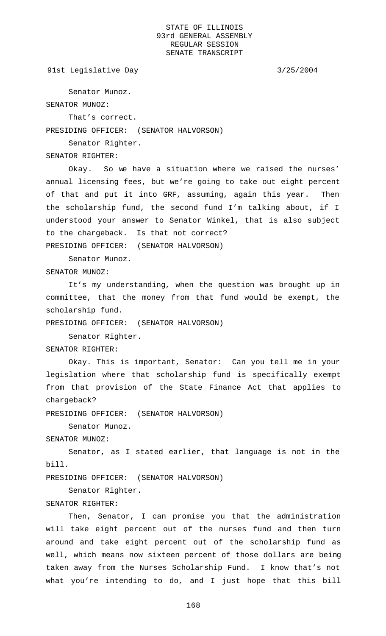```
91st Legislative Day 3/25/2004
```
Senator Munoz.

SENATOR MUNOZ:

That's correct.

PRESIDING OFFICER: (SENATOR HALVORSON)

Senator Righter.

SENATOR RIGHTER:

Okay. So we have a situation where we raised the nurses' annual licensing fees, but we're going to take out eight percent of that and put it into GRF, assuming, again this year. Then the scholarship fund, the second fund I'm talking about, if I understood your answer to Senator Winkel, that is also subject to the chargeback. Is that not correct? PRESIDING OFFICER: (SENATOR HALVORSON)

Senator Munoz.

SENATOR MUNOZ:

It's my understanding, when the question was brought up in committee, that the money from that fund would be exempt, the scholarship fund.

PRESIDING OFFICER: (SENATOR HALVORSON)

Senator Righter.

SENATOR RIGHTER:

Okay. This is important, Senator: Can you tell me in your legislation where that scholarship fund is specifically exempt from that provision of the State Finance Act that applies to chargeback?

PRESIDING OFFICER: (SENATOR HALVORSON)

Senator Munoz.

SENATOR MUNOZ:

Senator, as I stated earlier, that language is not in the bill.

PRESIDING OFFICER: (SENATOR HALVORSON)

Senator Righter.

### SENATOR RIGHTER:

Then, Senator, I can promise you that the administration will take eight percent out of the nurses fund and then turn around and take eight percent out of the scholarship fund as well, which means now sixteen percent of those dollars are being taken away from the Nurses Scholarship Fund. I know that's not what you're intending to do, and I just hope that this bill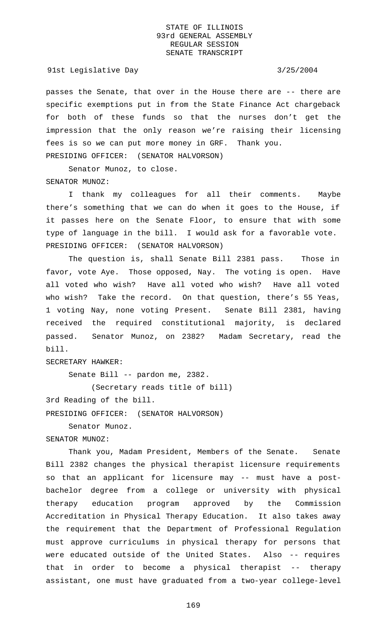91st Legislative Day 3/25/2004

passes the Senate, that over in the House there are -- there are specific exemptions put in from the State Finance Act chargeback for both of these funds so that the nurses don't get the impression that the only reason we're raising their licensing fees is so we can put more money in GRF. Thank you. PRESIDING OFFICER: (SENATOR HALVORSON)

Senator Munoz, to close. SENATOR MUNOZ:

I thank my colleagues for all their comments. Maybe there's something that we can do when it goes to the House, if it passes here on the Senate Floor, to ensure that with some type of language in the bill. I would ask for a favorable vote. PRESIDING OFFICER: (SENATOR HALVORSON)

The question is, shall Senate Bill 2381 pass. Those in favor, vote Aye. Those opposed, Nay. The voting is open. Have all voted who wish? Have all voted who wish? Have all voted who wish? Take the record. On that question, there's 55 Yeas, 1 voting Nay, none voting Present. Senate Bill 2381, having received the required constitutional majority, is declared passed. Senator Munoz, on 2382? Madam Secretary, read the bill.

SECRETARY HAWKER:

Senate Bill -- pardon me, 2382.

(Secretary reads title of bill)

3rd Reading of the bill.

PRESIDING OFFICER: (SENATOR HALVORSON)

Senator Munoz.

# SENATOR MUNOZ:

Thank you, Madam President, Members of the Senate. Senate Bill 2382 changes the physical therapist licensure requirements so that an applicant for licensure may -- must have a postbachelor degree from a college or university with physical therapy education program approved by the Commission Accreditation in Physical Therapy Education. It also takes away the requirement that the Department of Professional Regulation must approve curriculums in physical therapy for persons that were educated outside of the United States. Also -- requires that in order to become a physical therapist -- therapy assistant, one must have graduated from a two-year college-level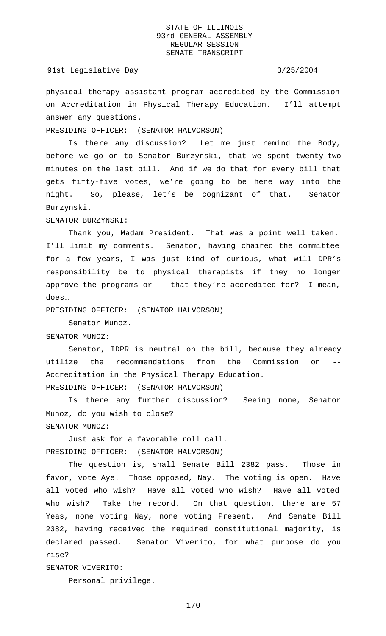#### 91st Legislative Day 3/25/2004

physical therapy assistant program accredited by the Commission on Accreditation in Physical Therapy Education. I'll attempt answer any questions.

PRESIDING OFFICER: (SENATOR HALVORSON)

Is there any discussion? Let me just remind the Body, before we go on to Senator Burzynski, that we spent twenty-two minutes on the last bill. And if we do that for every bill that gets fifty-five votes, we're going to be here way into the night. So, please, let's be cognizant of that. Senator Burzynski.

SENATOR BURZYNSKI:

Thank you, Madam President. That was a point well taken. I'll limit my comments. Senator, having chaired the committee for a few years, I was just kind of curious, what will DPR's responsibility be to physical therapists if they no longer approve the programs or -- that they're accredited for? I mean, does…

PRESIDING OFFICER: (SENATOR HALVORSON)

Senator Munoz.

SENATOR MUNOZ:

Senator, IDPR is neutral on the bill, because they already utilize the recommendations from the Commission on -- Accreditation in the Physical Therapy Education. PRESIDING OFFICER: (SENATOR HALVORSON)

Is there any further discussion? Seeing none, Senator Munoz, do you wish to close? SENATOR MUNOZ:

Just ask for a favorable roll call. PRESIDING OFFICER: (SENATOR HALVORSON)

The question is, shall Senate Bill 2382 pass. Those in favor, vote Aye. Those opposed, Nay. The voting is open. Have all voted who wish? Have all voted who wish? Have all voted who wish? Take the record. On that question, there are 57 Yeas, none voting Nay, none voting Present. And Senate Bill 2382, having received the required constitutional majority, is declared passed. Senator Viverito, for what purpose do you rise?

SENATOR VIVERITO:

Personal privilege.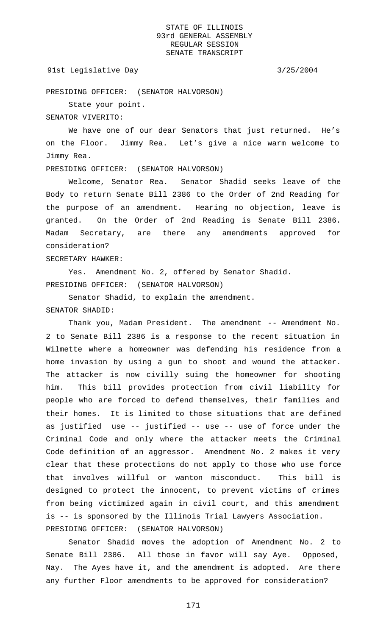#### 91st Legislative Day 3/25/2004

PRESIDING OFFICER: (SENATOR HALVORSON)

State your point.

SENATOR VIVERITO:

We have one of our dear Senators that just returned. He's on the Floor. Jimmy Rea. Let's give a nice warm welcome to Jimmy Rea.

PRESIDING OFFICER: (SENATOR HALVORSON)

Welcome, Senator Rea. Senator Shadid seeks leave of the Body to return Senate Bill 2386 to the Order of 2nd Reading for the purpose of an amendment. Hearing no objection, leave is granted. On the Order of 2nd Reading is Senate Bill 2386. Madam Secretary, are there any amendments approved for consideration?

SECRETARY HAWKER:

Yes. Amendment No. 2, offered by Senator Shadid. PRESIDING OFFICER: (SENATOR HALVORSON)

Senator Shadid, to explain the amendment.

# SENATOR SHADID:

Thank you, Madam President. The amendment -- Amendment No. 2 to Senate Bill 2386 is a response to the recent situation in Wilmette where a homeowner was defending his residence from a home invasion by using a gun to shoot and wound the attacker. The attacker is now civilly suing the homeowner for shooting him. This bill provides protection from civil liability for people who are forced to defend themselves, their families and their homes. It is limited to those situations that are defined as justified use -- justified -- use -- use of force under the Criminal Code and only where the attacker meets the Criminal Code definition of an aggressor. Amendment No. 2 makes it very clear that these protections do not apply to those who use force that involves willful or wanton misconduct. This bill is designed to protect the innocent, to prevent victims of crimes from being victimized again in civil court, and this amendment is -- is sponsored by the Illinois Trial Lawyers Association. PRESIDING OFFICER: (SENATOR HALVORSON)

Senator Shadid moves the adoption of Amendment No. 2 to Senate Bill 2386. All those in favor will say Aye. Opposed, Nay. The Ayes have it, and the amendment is adopted. Are there any further Floor amendments to be approved for consideration?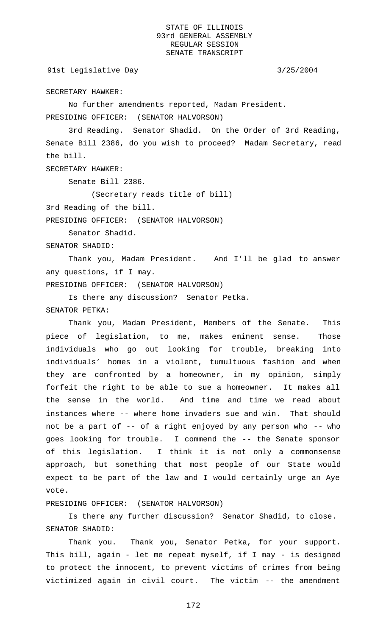91st Legislative Day 3/25/2004

SECRETARY HAWKER:

No further amendments reported, Madam President.

PRESIDING OFFICER: (SENATOR HALVORSON)

3rd Reading. Senator Shadid. On the Order of 3rd Reading, Senate Bill 2386, do you wish to proceed? Madam Secretary, read the bill.

SECRETARY HAWKER:

Senate Bill 2386.

(Secretary reads title of bill)

3rd Reading of the bill.

PRESIDING OFFICER: (SENATOR HALVORSON)

Senator Shadid.

SENATOR SHADID:

Thank you, Madam President. And I'll be glad to answer any questions, if I may.

PRESIDING OFFICER: (SENATOR HALVORSON)

Is there any discussion? Senator Petka. SENATOR PETKA:

Thank you, Madam President, Members of the Senate. This piece of legislation, to me, makes eminent sense. Those individuals who go out looking for trouble, breaking into individuals' homes in a violent, tumultuous fashion and when they are confronted by a homeowner, in my opinion, simply forfeit the right to be able to sue a homeowner. It makes all the sense in the world. And time and time we read about instances where -- where home invaders sue and win. That should not be a part of -- of a right enjoyed by any person who -- who goes looking for trouble. I commend the -- the Senate sponsor of this legislation. I think it is not only a commonsense approach, but something that most people of our State would expect to be part of the law and I would certainly urge an Aye vote.

PRESIDING OFFICER: (SENATOR HALVORSON)

Is there any further discussion? Senator Shadid, to close. SENATOR SHADID:

Thank you. Thank you, Senator Petka, for your support. This bill, again - let me repeat myself, if I may - is designed to protect the innocent, to prevent victims of crimes from being victimized again in civil court. The victim -- the amendment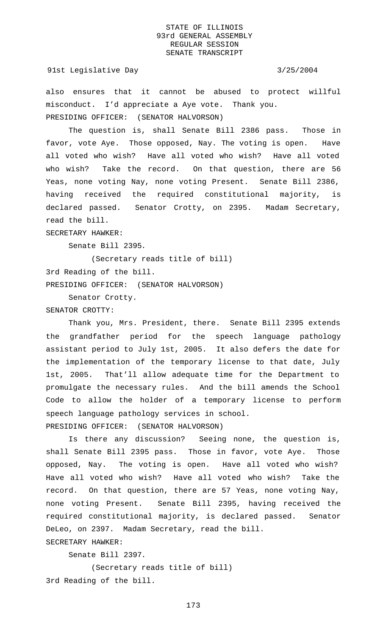#### 91st Legislative Day 3/25/2004

also ensures that it cannot be abused to protect willful misconduct. I'd appreciate a Aye vote. Thank you. PRESIDING OFFICER: (SENATOR HALVORSON)

The question is, shall Senate Bill 2386 pass. Those in favor, vote Aye. Those opposed, Nay. The voting is open. Have all voted who wish? Have all voted who wish? Have all voted who wish? Take the record. On that question, there are 56 Yeas, none voting Nay, none voting Present. Senate Bill 2386, having received the required constitutional majority, is declared passed. Senator Crotty, on 2395. Madam Secretary, read the bill.

SECRETARY HAWKER:

Senate Bill 2395.

(Secretary reads title of bill) 3rd Reading of the bill. PRESIDING OFFICER: (SENATOR HALVORSON)

Senator Crotty.

#### SENATOR CROTTY:

Thank you, Mrs. President, there. Senate Bill 2395 extends the grandfather period for the speech language pathology assistant period to July 1st, 2005. It also defers the date for the implementation of the temporary license to that date, July 1st, 2005. That'll allow adequate time for the Department to promulgate the necessary rules. And the bill amends the School Code to allow the holder of a temporary license to perform speech language pathology services in school. PRESIDING OFFICER: (SENATOR HALVORSON)

Is there any discussion? Seeing none, the question is, shall Senate Bill 2395 pass. Those in favor, vote Aye. Those opposed, Nay. The voting is open. Have all voted who wish? Have all voted who wish? Have all voted who wish? Take the record. On that question, there are 57 Yeas, none voting Nay, none voting Present. Senate Bill 2395, having received the required constitutional majority, is declared passed. Senator DeLeo, on 2397. Madam Secretary, read the bill. SECRETARY HAWKER:

Senate Bill 2397.

(Secretary reads title of bill) 3rd Reading of the bill.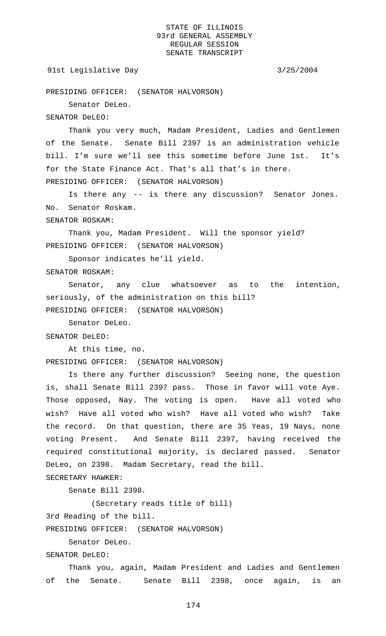#### 91st Legislative Day 3/25/2004

PRESIDING OFFICER: (SENATOR HALVORSON)

Senator DeLeo.

SENATOR DeLEO:

Thank you very much, Madam President, Ladies and Gentlemen of the Senate. Senate Bill 2397 is an administration vehicle bill. I'm sure we'll see this sometime before June 1st. It's for the State Finance Act. That's all that's in there. PRESIDING OFFICER: (SENATOR HALVORSON)

Is there any -- is there any discussion? Senator Jones. No. Senator Roskam.

SENATOR ROSKAM:

Thank you, Madam President. Will the sponsor yield? PRESIDING OFFICER: (SENATOR HALVORSON)

Sponsor indicates he'll yield.

SENATOR ROSKAM:

Senator, any clue whatsoever as to the intention, seriously, of the administration on this bill? PRESIDING OFFICER: (SENATOR HALVORSON)

Senator DeLeo.

SENATOR DeLEO:

At this time, no. PRESIDING OFFICER: (SENATOR HALVORSON)

Is there any further discussion? Seeing none, the question is, shall Senate Bill 2397 pass. Those in favor will vote Aye. Those opposed, Nay. The voting is open. Have all voted who wish? Have all voted who wish? Have all voted who wish? Take the record. On that question, there are 35 Yeas, 19 Nays, none voting Present. And Senate Bill 2397, having received the required constitutional majority, is declared passed. Senator DeLeo, on 2398. Madam Secretary, read the bill.

SECRETARY HAWKER:

Senate Bill 2398.

(Secretary reads title of bill)

3rd Reading of the bill.

PRESIDING OFFICER: (SENATOR HALVORSON)

Senator DeLeo.

SENATOR DeLEO:

Thank you, again, Madam President and Ladies and Gentlemen of the Senate. Senate Bill 2398, once again, is an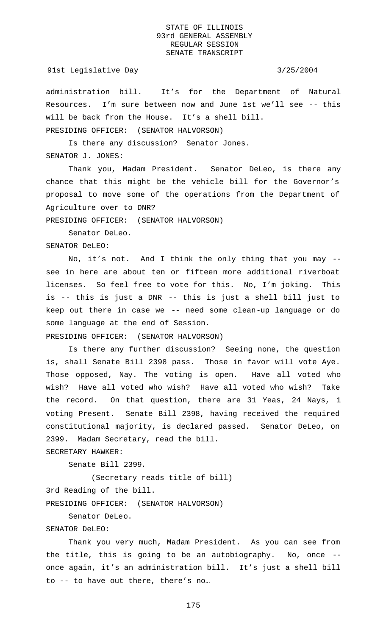## 91st Legislative Day 3/25/2004

administration bill. It's for the Department of Natural Resources. I'm sure between now and June 1st we'll see -- this will be back from the House. It's a shell bill. PRESIDING OFFICER: (SENATOR HALVORSON)

Is there any discussion? Senator Jones.

SENATOR J. JONES:

Thank you, Madam President. Senator DeLeo, is there any chance that this might be the vehicle bill for the Governor's proposal to move some of the operations from the Department of Agriculture over to DNR?

PRESIDING OFFICER: (SENATOR HALVORSON)

Senator DeLeo.

SENATOR DeLEO:

No, it's not. And I think the only thing that you may - see in here are about ten or fifteen more additional riverboat licenses. So feel free to vote for this. No, I'm joking. This is -- this is just a DNR -- this is just a shell bill just to keep out there in case we -- need some clean-up language or do some language at the end of Session.

PRESIDING OFFICER: (SENATOR HALVORSON)

Is there any further discussion? Seeing none, the question is, shall Senate Bill 2398 pass. Those in favor will vote Aye. Those opposed, Nay. The voting is open. Have all voted who wish? Have all voted who wish? Have all voted who wish? Take the record. On that question, there are 31 Yeas, 24 Nays, 1 voting Present. Senate Bill 2398, having received the required constitutional majority, is declared passed. Senator DeLeo, on 2399. Madam Secretary, read the bill.

SECRETARY HAWKER:

Senate Bill 2399.

(Secretary reads title of bill) 3rd Reading of the bill. PRESIDING OFFICER: (SENATOR HALVORSON)

Senator DeLeo.

# SENATOR DeLEO:

Thank you very much, Madam President. As you can see from the title, this is going to be an autobiography. No, once - once again, it's an administration bill. It's just a shell bill to -- to have out there, there's no…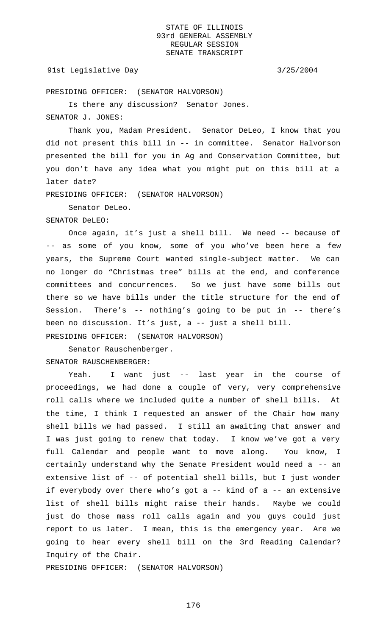## 91st Legislative Day 3/25/2004

PRESIDING OFFICER: (SENATOR HALVORSON)

Is there any discussion? Senator Jones.

SENATOR J. JONES:

Thank you, Madam President. Senator DeLeo, I know that you did not present this bill in -- in committee. Senator Halvorson presented the bill for you in Ag and Conservation Committee, but you don't have any idea what you might put on this bill at a later date?

PRESIDING OFFICER: (SENATOR HALVORSON)

Senator DeLeo.

SENATOR DeLEO:

Once again, it's just a shell bill. We need -- because of -- as some of you know, some of you who've been here a few years, the Supreme Court wanted single-subject matter. We can no longer do "Christmas tree" bills at the end, and conference committees and concurrences. So we just have some bills out there so we have bills under the title structure for the end of Session. There's -- nothing's going to be put in -- there's been no discussion. It's just, a -- just a shell bill. PRESIDING OFFICER: (SENATOR HALVORSON)

Senator Rauschenberger. SENATOR RAUSCHENBERGER:

Yeah. I want just -- last year in the course of proceedings, we had done a couple of very, very comprehensive roll calls where we included quite a number of shell bills. the time, I think I requested an answer of the Chair how many shell bills we had passed. I still am awaiting that answer and I was just going to renew that today. I know we've got a very full Calendar and people want to move along. You know, I certainly understand why the Senate President would need a -- an extensive list of -- of potential shell bills, but I just wonder if everybody over there who's got a -- kind of a -- an extensive list of shell bills might raise their hands. Maybe we could just do those mass roll calls again and you guys could just report to us later. I mean, this is the emergency year. Are we going to hear every shell bill on the 3rd Reading Calendar? Inquiry of the Chair.

PRESIDING OFFICER: (SENATOR HALVORSON)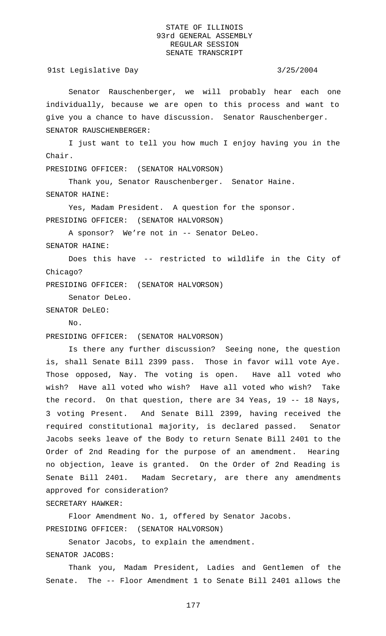91st Legislative Day 3/25/2004

Senator Rauschenberger, we will probably hear each one individually, because we are open to this process and want to give you a chance to have discussion. Senator Rauschenberger. SENATOR RAUSCHENBERGER:

I just want to tell you how much I enjoy having you in the Chair.

PRESIDING OFFICER: (SENATOR HALVORSON)

Thank you, Senator Rauschenberger. Senator Haine. SENATOR HAINE:

Yes, Madam President. A question for the sponsor. PRESIDING OFFICER: (SENATOR HALVORSON)

A sponsor? We're not in -- Senator DeLeo.

SENATOR HAINE:

Does this have -- restricted to wildlife in the City of Chicago?

PRESIDING OFFICER: (SENATOR HALVORSON)

Senator DeLeo.

SENATOR DeLEO:

No.

PRESIDING OFFICER: (SENATOR HALVORSON)

Is there any further discussion? Seeing none, the question is, shall Senate Bill 2399 pass. Those in favor will vote Aye. Those opposed, Nay. The voting is open. Have all voted who wish? Have all voted who wish? Have all voted who wish? Take the record. On that question, there are 34 Yeas, 19 -- 18 Nays, 3 voting Present. And Senate Bill 2399, having received the required constitutional majority, is declared passed. Senator Jacobs seeks leave of the Body to return Senate Bill 2401 to the Order of 2nd Reading for the purpose of an amendment. Hearing no objection, leave is granted. On the Order of 2nd Reading is Senate Bill 2401. Madam Secretary, are there any amendments approved for consideration?

SECRETARY HAWKER:

Floor Amendment No. 1, offered by Senator Jacobs. PRESIDING OFFICER: (SENATOR HALVORSON)

Senator Jacobs, to explain the amendment. SENATOR JACOBS:

Thank you, Madam President, Ladies and Gentlemen of the Senate. The -- Floor Amendment 1 to Senate Bill 2401 allows the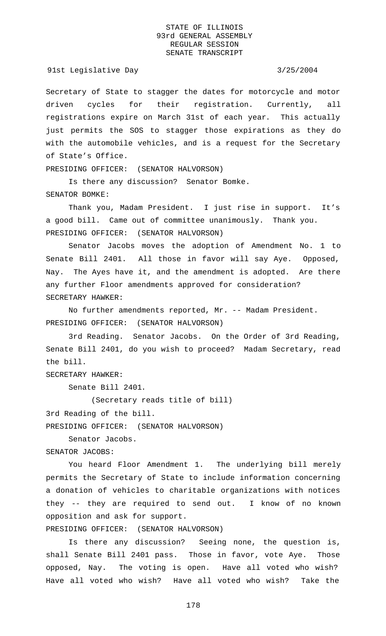91st Legislative Day 3/25/2004

Secretary of State to stagger the dates for motorcycle and motor driven cycles for their registration. Currently, all registrations expire on March 31st of each year. This actually just permits the SOS to stagger those expirations as they do with the automobile vehicles, and is a request for the Secretary of State's Office.

PRESIDING OFFICER: (SENATOR HALVORSON)

Is there any discussion? Senator Bomke. SENATOR BOMKE:

Thank you, Madam President. I just rise in support. It's a good bill. Came out of committee unanimously. Thank you. PRESIDING OFFICER: (SENATOR HALVORSON)

Senator Jacobs moves the adoption of Amendment No. 1 to Senate Bill 2401. All those in favor will say Aye. Opposed, Nay. The Ayes have it, and the amendment is adopted. Are there any further Floor amendments approved for consideration? SECRETARY HAWKER:

No further amendments reported, Mr. -- Madam President. PRESIDING OFFICER: (SENATOR HALVORSON)

3rd Reading. Senator Jacobs. On the Order of 3rd Reading, Senate Bill 2401, do you wish to proceed? Madam Secretary, read the bill.

SECRETARY HAWKER:

Senate Bill 2401.

(Secretary reads title of bill)

3rd Reading of the bill.

PRESIDING OFFICER: (SENATOR HALVORSON)

Senator Jacobs.

SENATOR JACOBS:

You heard Floor Amendment 1. The underlying bill merely permits the Secretary of State to include information concerning a donation of vehicles to charitable organizations with notices they -- they are required to send out. I know of no known opposition and ask for support.

PRESIDING OFFICER: (SENATOR HALVORSON)

Is there any discussion? Seeing none, the question is, shall Senate Bill 2401 pass. Those in favor, vote Aye. Those opposed, Nay. The voting is open. Have all voted who wish? Have all voted who wish? Have all voted who wish? Take the

178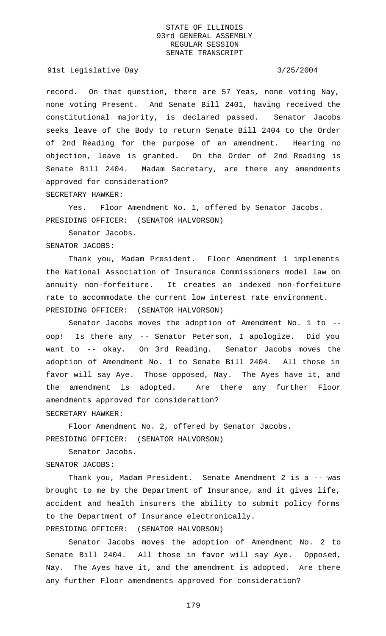91st Legislative Day 3/25/2004

record. On that question, there are 57 Yeas, none voting Nay, none voting Present. And Senate Bill 2401, having received the constitutional majority, is declared passed. Senator Jacobs seeks leave of the Body to return Senate Bill 2404 to the Order of 2nd Reading for the purpose of an amendment. Hearing no objection, leave is granted. On the Order of 2nd Reading is Senate Bill 2404. Madam Secretary, are there any amendments approved for consideration? SECRETARY HAWKER:

Yes. Floor Amendment No. 1, offered by Senator Jacobs. PRESIDING OFFICER: (SENATOR HALVORSON)

Senator Jacobs.

SENATOR JACOBS:

Thank you, Madam President. Floor Amendment 1 implements the National Association of Insurance Commissioners model law on annuity non-forfeiture. It creates an indexed non-forfeiture rate to accommodate the current low interest rate environment. PRESIDING OFFICER: (SENATOR HALVORSON)

Senator Jacobs moves the adoption of Amendment No. 1 to - oop! Is there any -- Senator Peterson, I apologize. Did you want to -- okay. On 3rd Reading. Senator Jacobs moves the adoption of Amendment No. 1 to Senate Bill 2404. All those in favor will say Aye. Those opposed, Nay. The Ayes have it, and the amendment is adopted. Are there any further Floor amendments approved for consideration? SECRETARY HAWKER:

Floor Amendment No. 2, offered by Senator Jacobs. PRESIDING OFFICER: (SENATOR HALVORSON)

Senator Jacobs. SENATOR JACOBS:

Thank you, Madam President. Senate Amendment 2 is a -- was brought to me by the Department of Insurance, and it gives life, accident and health insurers the ability to submit policy forms to the Department of Insurance electronically.

PRESIDING OFFICER: (SENATOR HALVORSON)

Senator Jacobs moves the adoption of Amendment No. 2 to Senate Bill 2404. All those in favor will say Aye. Opposed, Nay. The Ayes have it, and the amendment is adopted. Are there any further Floor amendments approved for consideration?

179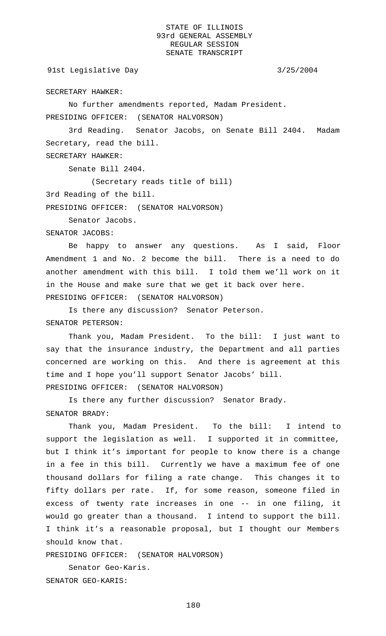91st Legislative Day 3/25/2004

SECRETARY HAWKER:

No further amendments reported, Madam President.

PRESIDING OFFICER: (SENATOR HALVORSON)

3rd Reading. Senator Jacobs, on Senate Bill 2404. Madam Secretary, read the bill.

SECRETARY HAWKER:

Senate Bill 2404.

(Secretary reads title of bill)

3rd Reading of the bill.

PRESIDING OFFICER: (SENATOR HALVORSON)

Senator Jacobs.

SENATOR JACOBS:

Be happy to answer any questions. As I said, Floor Amendment 1 and No. 2 become the bill. There is a need to do another amendment with this bill. I told them we'll work on it in the House and make sure that we get it back over here. PRESIDING OFFICER: (SENATOR HALVORSON)

Is there any discussion? Senator Peterson. SENATOR PETERSON:

Thank you, Madam President. To the bill: I just want to say that the insurance industry, the Department and all parties concerned are working on this. And there is agreement at this time and I hope you'll support Senator Jacobs' bill. PRESIDING OFFICER: (SENATOR HALVORSON)

Is there any further discussion? Senator Brady. SENATOR BRADY:

Thank you, Madam President. To the bill: I intend to support the legislation as well. I supported it in committee, but I think it's important for people to know there is a change in a fee in this bill. Currently we have a maximum fee of one thousand dollars for filing a rate change. This changes it to fifty dollars per rate. If, for some reason, someone filed in excess of twenty rate increases in one -- in one filing, it would go greater than a thousand. I intend to support the bill. I think it's a reasonable proposal, but I thought our Members should know that.

PRESIDING OFFICER: (SENATOR HALVORSON)

Senator Geo-Karis. SENATOR GEO-KARIS: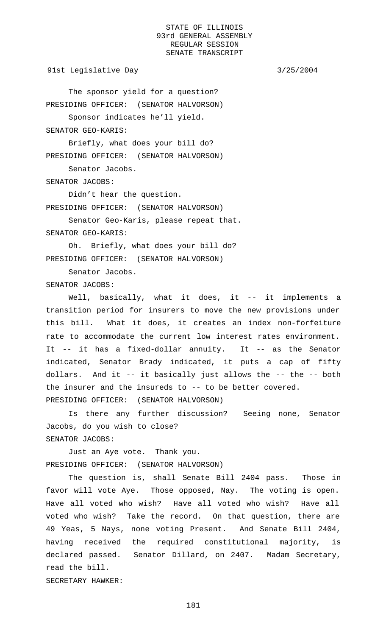91st Legislative Day 3/25/2004

The sponsor yield for a question? PRESIDING OFFICER: (SENATOR HALVORSON) Sponsor indicates he'll yield.

SENATOR GEO-KARIS:

Briefly, what does your bill do? PRESIDING OFFICER: (SENATOR HALVORSON) Senator Jacobs.

SENATOR JACOBS:

Didn't hear the question. PRESIDING OFFICER: (SENATOR HALVORSON)

Senator Geo-Karis, please repeat that. SENATOR GEO-KARIS:

Oh. Briefly, what does your bill do? PRESIDING OFFICER: (SENATOR HALVORSON)

Senator Jacobs.

SENATOR JACOBS:

Well, basically, what it does, it -- it implements a transition period for insurers to move the new provisions under this bill. What it does, it creates an index non-forfeiture rate to accommodate the current low interest rates environment. It -- it has a fixed-dollar annuity. It -- as the Senator indicated, Senator Brady indicated, it puts a cap of fifty dollars. And it -- it basically just allows the -- the -- both the insurer and the insureds to -- to be better covered. PRESIDING OFFICER: (SENATOR HALVORSON)

Is there any further discussion? Seeing none, Senator Jacobs, do you wish to close? SENATOR JACOBS:

Just an Aye vote. Thank you. PRESIDING OFFICER: (SENATOR HALVORSON)

The question is, shall Senate Bill 2404 pass. Those in favor will vote Aye. Those opposed, Nay. The voting is open. Have all voted who wish? Have all voted who wish? Have all voted who wish? Take the record. On that question, there are 49 Yeas, 5 Nays, none voting Present. And Senate Bill 2404, having received the required constitutional majority, is declared passed. Senator Dillard, on 2407. Madam Secretary, read the bill. SECRETARY HAWKER: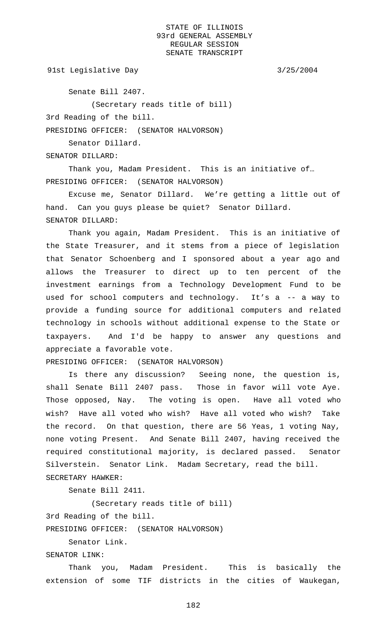91st Legislative Day 3/25/2004

Senate Bill 2407.

(Secretary reads title of bill)

3rd Reading of the bill.

PRESIDING OFFICER: (SENATOR HALVORSON)

Senator Dillard.

SENATOR DILLARD:

Thank you, Madam President. This is an initiative of… PRESIDING OFFICER: (SENATOR HALVORSON)

Excuse me, Senator Dillard. We're getting a little out of hand. Can you guys please be quiet? Senator Dillard. SENATOR DILLARD:

Thank you again, Madam President. This is an initiative of the State Treasurer, and it stems from a piece of legislation that Senator Schoenberg and I sponsored about a year ago and allows the Treasurer to direct up to ten percent of the investment earnings from a Technology Development Fund to be used for school computers and technology. It's a -- a way to provide a funding source for additional computers and related technology in schools without additional expense to the State or taxpayers. And I'd be happy to answer any questions and appreciate a favorable vote.

PRESIDING OFFICER: (SENATOR HALVORSON)

Is there any discussion? Seeing none, the question is, shall Senate Bill 2407 pass. Those in favor will vote Aye. Those opposed, Nay. The voting is open. Have all voted who wish? Have all voted who wish? Have all voted who wish? Take the record. On that question, there are 56 Yeas, 1 voting Nay, none voting Present. And Senate Bill 2407, having received the required constitutional majority, is declared passed. Senator Silverstein. Senator Link. Madam Secretary, read the bill.

SECRETARY HAWKER:

Senate Bill 2411.

(Secretary reads title of bill)

3rd Reading of the bill.

PRESIDING OFFICER: (SENATOR HALVORSON)

Senator Link.

SENATOR LINK:

Thank you, Madam President. This is basically the extension of some TIF districts in the cities of Waukegan,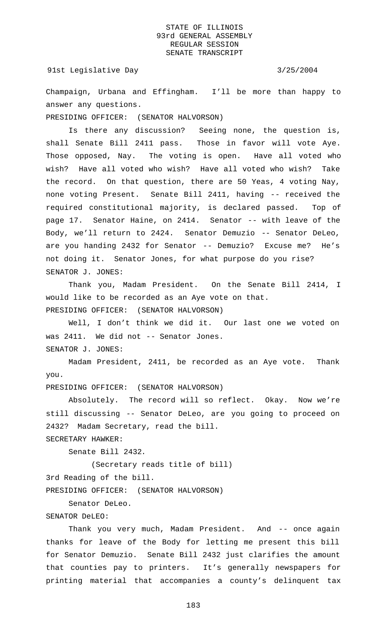### 91st Legislative Day 3/25/2004

Champaign, Urbana and Effingham. I'll be more than happy to answer any questions.

PRESIDING OFFICER: (SENATOR HALVORSON)

Is there any discussion? Seeing none, the question is, shall Senate Bill 2411 pass. Those in favor will vote Aye. Those opposed, Nay. The voting is open. Have all voted who wish? Have all voted who wish? Have all voted who wish? Take the record. On that question, there are 50 Yeas, 4 voting Nay, none voting Present. Senate Bill 2411, having -- received the required constitutional majority, is declared passed. Top of page 17. Senator Haine, on 2414. Senator -- with leave of the Body, we'll return to 2424. Senator Demuzio -- Senator DeLeo, are you handing 2432 for Senator -- Demuzio? Excuse me? He's not doing it. Senator Jones, for what purpose do you rise? SENATOR J. JONES:

Thank you, Madam President. On the Senate Bill 2414, I would like to be recorded as an Aye vote on that. PRESIDING OFFICER: (SENATOR HALVORSON)

Well, I don't think we did it. Our last one we voted on was 2411. We did not -- Senator Jones. SENATOR J. JONES:

Madam President, 2411, be recorded as an Aye vote. Thank you.

PRESIDING OFFICER: (SENATOR HALVORSON)

Absolutely. The record will so reflect. Okay. Now we're still discussing -- Senator DeLeo, are you going to proceed on 2432? Madam Secretary, read the bill.

SECRETARY HAWKER:

Senate Bill 2432.

(Secretary reads title of bill)

3rd Reading of the bill.

PRESIDING OFFICER: (SENATOR HALVORSON)

Senator DeLeo.

## SENATOR DeLEO:

Thank you very much, Madam President. And -- once again thanks for leave of the Body for letting me present this bill for Senator Demuzio. Senate Bill 2432 just clarifies the amount that counties pay to printers. It's generally newspapers for printing material that accompanies a county's delinquent tax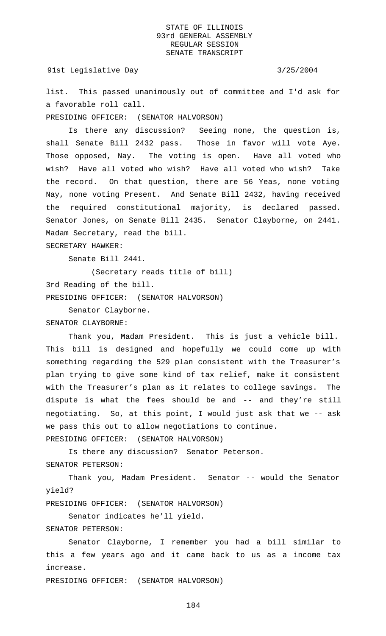91st Legislative Day 3/25/2004

list. This passed unanimously out of committee and I'd ask for a favorable roll call.

PRESIDING OFFICER: (SENATOR HALVORSON)

Is there any discussion? Seeing none, the question is, shall Senate Bill 2432 pass. Those in favor will vote Aye. Those opposed, Nay. The voting is open. Have all voted who wish? Have all voted who wish? Have all voted who wish? Take the record. On that question, there are 56 Yeas, none voting Nay, none voting Present. And Senate Bill 2432, having received the required constitutional majority, is declared passed. Senator Jones, on Senate Bill 2435. Senator Clayborne, on 2441. Madam Secretary, read the bill.

SECRETARY HAWKER:

Senate Bill 2441.

(Secretary reads title of bill) 3rd Reading of the bill. PRESIDING OFFICER: (SENATOR HALVORSON)

Senator Clayborne. SENATOR CLAYBORNE:

Thank you, Madam President. This is just a vehicle bill. This bill is designed and hopefully we could come up with something regarding the 529 plan consistent with the Treasurer's plan trying to give some kind of tax relief, make it consistent with the Treasurer's plan as it relates to college savings. The dispute is what the fees should be and -- and they're still negotiating. So, at this point, I would just ask that we -- ask we pass this out to allow negotiations to continue. PRESIDING OFFICER: (SENATOR HALVORSON)

Is there any discussion? Senator Peterson. SENATOR PETERSON:

Thank you, Madam President. Senator -- would the Senator yield?

PRESIDING OFFICER: (SENATOR HALVORSON)

Senator indicates he'll yield.

SENATOR PETERSON:

Senator Clayborne, I remember you had a bill similar to this a few years ago and it came back to us as a income tax increase.

PRESIDING OFFICER: (SENATOR HALVORSON)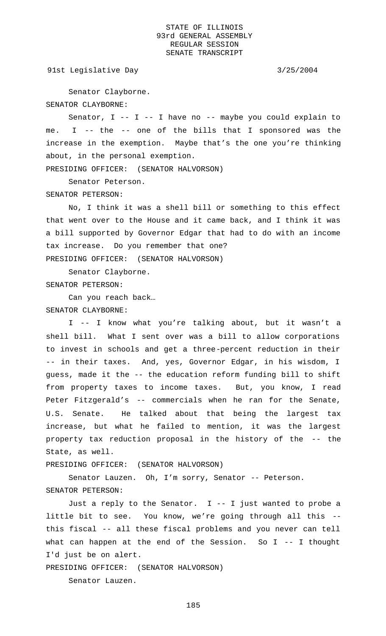91st Legislative Day 3/25/2004

Senator Clayborne. SENATOR CLAYBORNE:

Senator,  $I$  --  $I$  -- I have no -- maybe you could explain to me. I -- the -- one of the bills that I sponsored was the increase in the exemption. Maybe that's the one you're thinking about, in the personal exemption.

PRESIDING OFFICER: (SENATOR HALVORSON)

Senator Peterson.

SENATOR PETERSON:

No, I think it was a shell bill or something to this effect that went over to the House and it came back, and I think it was a bill supported by Governor Edgar that had to do with an income tax increase. Do you remember that one? PRESIDING OFFICER: (SENATOR HALVORSON)

Senator Clayborne. SENATOR PETERSON:

Can you reach back…

SENATOR CLAYBORNE:

I -- I know what you're talking about, but it wasn't a shell bill. What I sent over was a bill to allow corporations to invest in schools and get a three-percent reduction in their -- in their taxes. And, yes, Governor Edgar, in his wisdom, I guess, made it the -- the education reform funding bill to shift from property taxes to income taxes. But, you know, I read Peter Fitzgerald's -- commercials when he ran for the Senate, U.S. Senate. He talked about that being the largest tax increase, but what he failed to mention, it was the largest property tax reduction proposal in the history of the -- the State, as well.

PRESIDING OFFICER: (SENATOR HALVORSON)

Senator Lauzen. Oh, I'm sorry, Senator -- Peterson. SENATOR PETERSON:

Just a reply to the Senator. I -- I just wanted to probe a little bit to see. You know, we're going through all this - this fiscal -- all these fiscal problems and you never can tell what can happen at the end of the Session. So I -- I thought I'd just be on alert.

PRESIDING OFFICER: (SENATOR HALVORSON)

Senator Lauzen.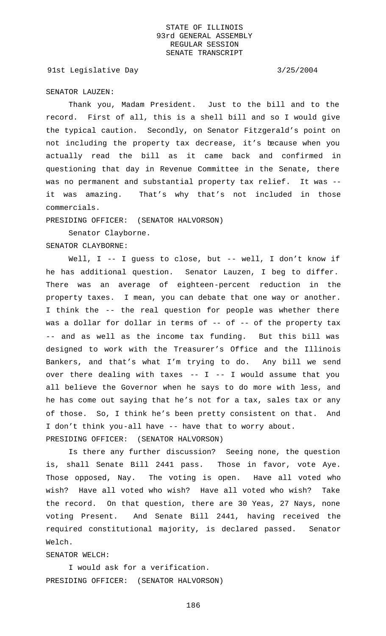91st Legislative Day 3/25/2004

## SENATOR LAUZEN:

Thank you, Madam President. Just to the bill and to the record. First of all, this is a shell bill and so I would give the typical caution. Secondly, on Senator Fitzgerald's point on not including the property tax decrease, it's because when you actually read the bill as it came back and confirmed in questioning that day in Revenue Committee in the Senate, there was no permanent and substantial property tax relief. It was - it was amazing. That's why that's not included in those commercials.

PRESIDING OFFICER: (SENATOR HALVORSON)

Senator Clayborne.

SENATOR CLAYBORNE:

Well, I -- I guess to close, but -- well, I don't know if he has additional question. Senator Lauzen, I beg to differ. There was an average of eighteen-percent reduction in the property taxes. I mean, you can debate that one way or another. I think the -- the real question for people was whether there was a dollar for dollar in terms of -- of -- of the property tax -- and as well as the income tax funding. But this bill was designed to work with the Treasurer's Office and the Illinois Bankers, and that's what I'm trying to do. Any bill we send over there dealing with taxes  $-$ - I  $-$ - I would assume that you all believe the Governor when he says to do more with less, and he has come out saying that he's not for a tax, sales tax or any of those. So, I think he's been pretty consistent on that. And I don't think you-all have -- have that to worry about. PRESIDING OFFICER: (SENATOR HALVORSON)

Is there any further discussion? Seeing none, the question is, shall Senate Bill 2441 pass. Those in favor, vote Aye. Those opposed, Nay. The voting is open. Have all voted who wish? Have all voted who wish? Have all voted who wish? Take the record. On that question, there are 30 Yeas, 27 Nays, none voting Present. And Senate Bill 2441, having received the required constitutional majority, is declared passed. Senator Welch.

### SENATOR WELCH:

I would ask for a verification. PRESIDING OFFICER: (SENATOR HALVORSON)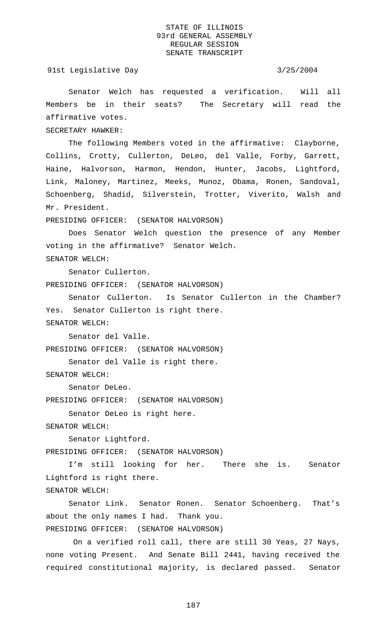## 91st Legislative Day 3/25/2004

Senator Welch has requested a verification. Will all Members be in their seats? The Secretary will read the affirmative votes.

SECRETARY HAWKER:

The following Members voted in the affirmative: Clayborne, Collins, Crotty, Cullerton, DeLeo, del Valle, Forby, Garrett, Haine, Halvorson, Harmon, Hendon, Hunter, Jacobs, Lightford, Link, Maloney, Martinez, Meeks, Munoz, Obama, Ronen, Sandoval, Schoenberg, Shadid, Silverstein, Trotter, Viverito, Walsh and Mr. President.

PRESIDING OFFICER: (SENATOR HALVORSON)

Does Senator Welch question the presence of any Member voting in the affirmative? Senator Welch. SENATOR WELCH:

Senator Cullerton.

PRESIDING OFFICER: (SENATOR HALVORSON)

Senator Cullerton. Is Senator Cullerton in the Chamber? Yes. Senator Cullerton is right there. SENATOR WELCH:

Senator del Valle.

PRESIDING OFFICER: (SENATOR HALVORSON)

Senator del Valle is right there.

SENATOR WELCH:

Senator DeLeo.

PRESIDING OFFICER: (SENATOR HALVORSON)

Senator DeLeo is right here.

SENATOR WELCH:

Senator Lightford.

PRESIDING OFFICER: (SENATOR HALVORSON)

I'm still looking for her. There she is. Senator Lightford is right there.

SENATOR WELCH:

Senator Link. Senator Ronen. Senator Schoenberg. That's about the only names I had. Thank you. PRESIDING OFFICER: (SENATOR HALVORSON)

 On a verified roll call, there are still 30 Yeas, 27 Nays, none voting Present. And Senate Bill 2441, having received the required constitutional majority, is declared passed. Senator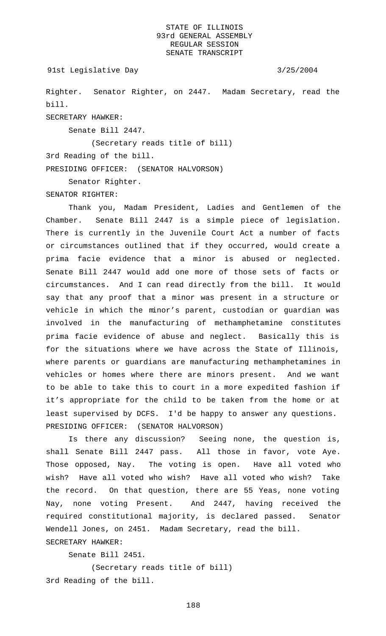```
91st Legislative Day 3/25/2004
```
Righter. Senator Righter, on 2447. Madam Secretary, read the bill.

SECRETARY HAWKER:

Senate Bill 2447.

(Secretary reads title of bill)

3rd Reading of the bill.

PRESIDING OFFICER: (SENATOR HALVORSON)

Senator Righter.

SENATOR RIGHTER:

Thank you, Madam President, Ladies and Gentlemen of the Chamber. Senate Bill 2447 is a simple piece of legislation. There is currently in the Juvenile Court Act a number of facts or circumstances outlined that if they occurred, would create a prima facie evidence that a minor is abused or neglected. Senate Bill 2447 would add one more of those sets of facts or circumstances. And I can read directly from the bill. It would say that any proof that a minor was present in a structure or vehicle in which the minor's parent, custodian or guardian was involved in the manufacturing of methamphetamine constitutes prima facie evidence of abuse and neglect. Basically this is for the situations where we have across the State of Illinois, where parents or guardians are manufacturing methamphetamines in vehicles or homes where there are minors present. And we want to be able to take this to court in a more expedited fashion if it's appropriate for the child to be taken from the home or at least supervised by DCFS. I'd be happy to answer any questions. PRESIDING OFFICER: (SENATOR HALVORSON)

Is there any discussion? Seeing none, the question is, shall Senate Bill 2447 pass. All those in favor, vote Aye. Those opposed, Nay. The voting is open. Have all voted who wish? Have all voted who wish? Have all voted who wish? Take the record. On that question, there are 55 Yeas, none voting Nay, none voting Present. And 2447, having received the required constitutional majority, is declared passed. Senator Wendell Jones, on 2451. Madam Secretary, read the bill. SECRETARY HAWKER:

Senate Bill 2451.

(Secretary reads title of bill) 3rd Reading of the bill.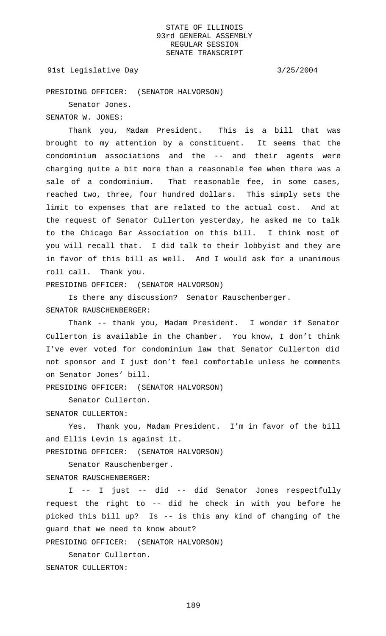### 91st Legislative Day 3/25/2004

PRESIDING OFFICER: (SENATOR HALVORSON)

Senator Jones.

SENATOR W. JONES:

Thank you, Madam President. This is a bill that was brought to my attention by a constituent. It seems that the condominium associations and the -- and their agents were charging quite a bit more than a reasonable fee when there was a sale of a condominium. That reasonable fee, in some cases, reached two, three, four hundred dollars. This simply sets the limit to expenses that are related to the actual cost. And at the request of Senator Cullerton yesterday, he asked me to talk to the Chicago Bar Association on this bill. I think most of you will recall that. I did talk to their lobbyist and they are in favor of this bill as well. And I would ask for a unanimous roll call. Thank you.

PRESIDING OFFICER: (SENATOR HALVORSON)

Is there any discussion? Senator Rauschenberger. SENATOR RAUSCHENBERGER:

Thank -- thank you, Madam President. I wonder if Senator Cullerton is available in the Chamber. You know, I don't think I've ever voted for condominium law that Senator Cullerton did not sponsor and I just don't feel comfortable unless he comments on Senator Jones' bill.

PRESIDING OFFICER: (SENATOR HALVORSON)

Senator Cullerton.

SENATOR CULLERTON:

Yes. Thank you, Madam President. I'm in favor of the bill and Ellis Levin is against it.

PRESIDING OFFICER: (SENATOR HALVORSON)

Senator Rauschenberger.

SENATOR RAUSCHENBERGER:

I -- I just -- did -- did Senator Jones respectfully request the right to -- did he check in with you before he picked this bill up? Is -- is this any kind of changing of the guard that we need to know about?

PRESIDING OFFICER: (SENATOR HALVORSON)

Senator Cullerton.

SENATOR CULLERTON: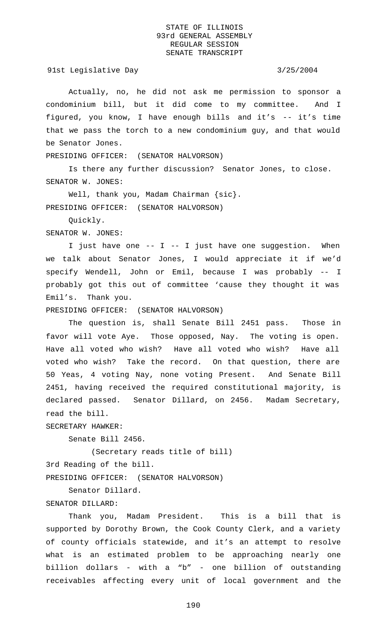91st Legislative Day 3/25/2004

Actually, no, he did not ask me permission to sponsor a condominium bill, but it did come to my committee. And I figured, you know, I have enough bills and it's -- it's time that we pass the torch to a new condominium guy, and that would be Senator Jones.

PRESIDING OFFICER: (SENATOR HALVORSON)

Is there any further discussion? Senator Jones, to close. SENATOR W. JONES:

Well, thank you, Madam Chairman {sic}. PRESIDING OFFICER: (SENATOR HALVORSON)

Quickly.

SENATOR W. JONES:

I just have one -- I -- I just have one suggestion. When we talk about Senator Jones, I would appreciate it if we'd specify Wendell, John or Emil, because I was probably -- I probably got this out of committee 'cause they thought it was Emil's. Thank you.

PRESIDING OFFICER: (SENATOR HALVORSON)

The question is, shall Senate Bill 2451 pass. Those in favor will vote Aye. Those opposed, Nay. The voting is open. Have all voted who wish? Have all voted who wish? Have all voted who wish? Take the record. On that question, there are 50 Yeas, 4 voting Nay, none voting Present. And Senate Bill 2451, having received the required constitutional majority, is declared passed. Senator Dillard, on 2456. Madam Secretary, read the bill.

SECRETARY HAWKER:

Senate Bill 2456.

(Secretary reads title of bill)

3rd Reading of the bill.

PRESIDING OFFICER: (SENATOR HALVORSON)

Senator Dillard.

SENATOR DILLARD:

Thank you, Madam President. This is a bill that is supported by Dorothy Brown, the Cook County Clerk, and a variety of county officials statewide, and it's an attempt to resolve what is an estimated problem to be approaching nearly one billion dollars - with a "b" - one billion of outstanding receivables affecting every unit of local government and the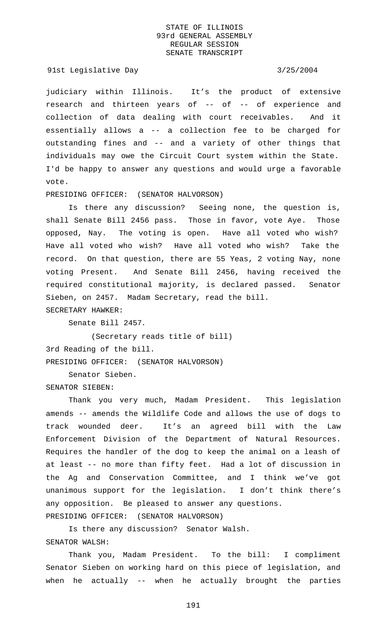91st Legislative Day 3/25/2004

judiciary within Illinois. It's the product of extensive research and thirteen years of -- of -- of experience and collection of data dealing with court receivables. And it essentially allows a -- a collection fee to be charged for outstanding fines and -- and a variety of other things that individuals may owe the Circuit Court system within the State. I'd be happy to answer any questions and would urge a favorable vote.

# PRESIDING OFFICER: (SENATOR HALVORSON)

Is there any discussion? Seeing none, the question is, shall Senate Bill 2456 pass. Those in favor, vote Aye. Those opposed, Nay. The voting is open. Have all voted who wish? Have all voted who wish? Have all voted who wish? Take the record. On that question, there are 55 Yeas, 2 voting Nay, none voting Present. And Senate Bill 2456, having received the required constitutional majority, is declared passed. Senator Sieben, on 2457. Madam Secretary, read the bill. SECRETARY HAWKER:

Senate Bill 2457.

(Secretary reads title of bill) 3rd Reading of the bill. PRESIDING OFFICER: (SENATOR HALVORSON)

Senator Sieben.

SENATOR SIEBEN:

Thank you very much, Madam President. This legislation amends -- amends the Wildlife Code and allows the use of dogs to track wounded deer. It's an agreed bill with the Law Enforcement Division of the Department of Natural Resources. Requires the handler of the dog to keep the animal on a leash of at least -- no more than fifty feet. Had a lot of discussion in the Ag and Conservation Committee, and I think we've got unanimous support for the legislation. I don't think there's any opposition. Be pleased to answer any questions.

PRESIDING OFFICER: (SENATOR HALVORSON)

Is there any discussion? Senator Walsh.

# SENATOR WALSH:

Thank you, Madam President. To the bill: I compliment Senator Sieben on working hard on this piece of legislation, and when he actually -- when he actually brought the parties

191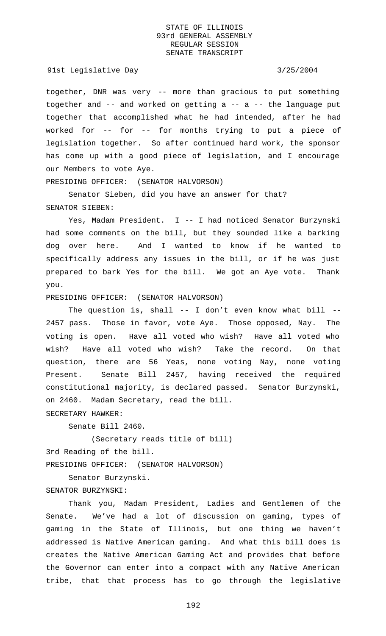### 91st Legislative Day 3/25/2004

together, DNR was very -- more than gracious to put something together and -- and worked on getting a -- a -- the language put together that accomplished what he had intended, after he had worked for -- for -- for months trying to put a piece of legislation together. So after continued hard work, the sponsor has come up with a good piece of legislation, and I encourage our Members to vote Aye.

PRESIDING OFFICER: (SENATOR HALVORSON)

Senator Sieben, did you have an answer for that? SENATOR SIEBEN:

Yes, Madam President. I -- I had noticed Senator Burzynski had some comments on the bill, but they sounded like a barking dog over here. And I wanted to know if he wanted to specifically address any issues in the bill, or if he was just prepared to bark Yes for the bill. We got an Aye vote. Thank you.

### PRESIDING OFFICER: (SENATOR HALVORSON)

The question is, shall -- I don't even know what bill --2457 pass. Those in favor, vote Aye. Those opposed, Nay. The voting is open. Have all voted who wish? Have all voted who wish? Have all voted who wish? Take the record. On that question, there are 56 Yeas, none voting Nay, none voting Present. Senate Bill 2457, having received the required constitutional majority, is declared passed. Senator Burzynski, on 2460. Madam Secretary, read the bill.

SECRETARY HAWKER:

Senate Bill 2460.

(Secretary reads title of bill) 3rd Reading of the bill. PRESIDING OFFICER: (SENATOR HALVORSON)

Senator Burzynski. SENATOR BURZYNSKI:

Thank you, Madam President, Ladies and Gentlemen of the Senate. We've had a lot of discussion on gaming, types of gaming in the State of Illinois, but one thing we haven't addressed is Native American gaming. And what this bill does is creates the Native American Gaming Act and provides that before the Governor can enter into a compact with any Native American tribe, that that process has to go through the legislative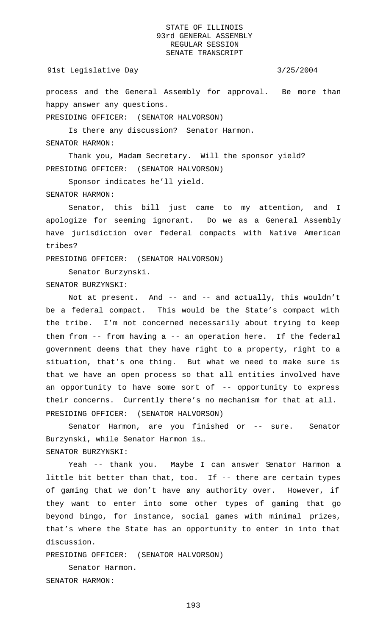### 91st Legislative Day 3/25/2004

process and the General Assembly for approval. Be more than happy answer any questions.

PRESIDING OFFICER: (SENATOR HALVORSON)

Is there any discussion? Senator Harmon.

# SENATOR HARMON:

Thank you, Madam Secretary. Will the sponsor yield? PRESIDING OFFICER: (SENATOR HALVORSON)

Sponsor indicates he'll yield.

SENATOR HARMON:

Senator, this bill just came to my attention, and I apologize for seeming ignorant. Do we as a General Assembly have jurisdiction over federal compacts with Native American tribes?

PRESIDING OFFICER: (SENATOR HALVORSON)

Senator Burzynski.

SENATOR BURZYNSKI:

Not at present. And -- and -- and actually, this wouldn't be a federal compact. This would be the State's compact with the tribe. I'm not concerned necessarily about trying to keep them from -- from having a -- an operation here. If the federal government deems that they have right to a property, right to a situation, that's one thing. But what we need to make sure is that we have an open process so that all entities involved have an opportunity to have some sort of -- opportunity to express their concerns. Currently there's no mechanism for that at all. PRESIDING OFFICER: (SENATOR HALVORSON)

Senator Harmon, are you finished or -- sure. Senator Burzynski, while Senator Harmon is… SENATOR BURZYNSKI:

Yeah -- thank you. Maybe I can answer Senator Harmon a little bit better than that, too. If -- there are certain types of gaming that we don't have any authority over. However, if they want to enter into some other types of gaming that go beyond bingo, for instance, social games with minimal prizes, that's where the State has an opportunity to enter in into that discussion.

PRESIDING OFFICER: (SENATOR HALVORSON)

Senator Harmon. SENATOR HARMON: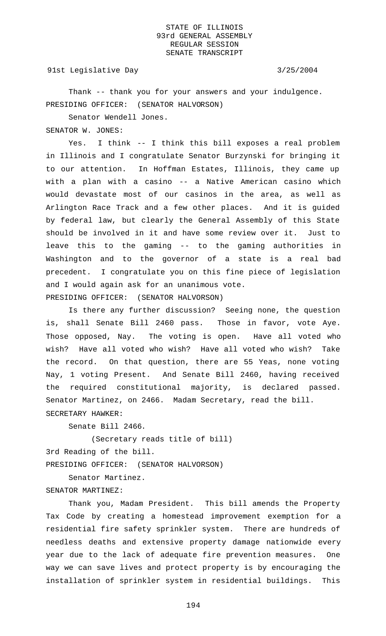91st Legislative Day 3/25/2004

Thank -- thank you for your answers and your indulgence. PRESIDING OFFICER: (SENATOR HALVORSON)

Senator Wendell Jones.

SENATOR W. JONES:

Yes. I think -- I think this bill exposes a real problem in Illinois and I congratulate Senator Burzynski for bringing it to our attention. In Hoffman Estates, Illinois, they came up with a plan with a casino -- a Native American casino which would devastate most of our casinos in the area, as well as Arlington Race Track and a few other places. And it is guided by federal law, but clearly the General Assembly of this State should be involved in it and have some review over it. Just to leave this to the gaming -- to the gaming authorities in Washington and to the governor of a state is a real bad precedent. I congratulate you on this fine piece of legislation and I would again ask for an unanimous vote. PRESIDING OFFICER: (SENATOR HALVORSON)

Is there any further discussion? Seeing none, the question is, shall Senate Bill 2460 pass. Those in favor, vote Aye. Those opposed, Nay. The voting is open. Have all voted who wish? Have all voted who wish? Have all voted who wish? Take the record. On that question, there are 55 Yeas, none voting Nay, 1 voting Present. And Senate Bill 2460, having received the required constitutional majority, is declared passed. Senator Martinez, on 2466. Madam Secretary, read the bill. SECRETARY HAWKER:

Senate Bill 2466.

(Secretary reads title of bill) 3rd Reading of the bill. PRESIDING OFFICER: (SENATOR HALVORSON)

Senator Martinez. SENATOR MARTINEZ:

Thank you, Madam President. This bill amends the Property Tax Code by creating a homestead improvement exemption for a residential fire safety sprinkler system. There are hundreds of needless deaths and extensive property damage nationwide every year due to the lack of adequate fire prevention measures. One way we can save lives and protect property is by encouraging the installation of sprinkler system in residential buildings. This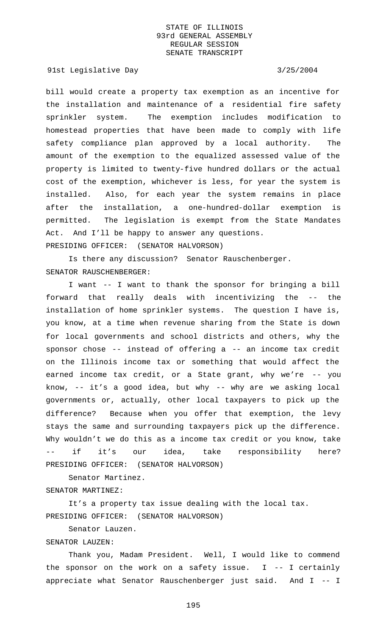91st Legislative Day 3/25/2004

bill would create a property tax exemption as an incentive for the installation and maintenance of a residential fire safety sprinkler system. The exemption includes modification to homestead properties that have been made to comply with life safety compliance plan approved by a local authority. The amount of the exemption to the equalized assessed value of the property is limited to twenty-five hundred dollars or the actual cost of the exemption, whichever is less, for year the system is installed. Also, for each year the system remains in place after the installation, a one-hundred-dollar exemption is permitted. The legislation is exempt from the State Mandates Act. And I'll be happy to answer any questions. PRESIDING OFFICER: (SENATOR HALVORSON)

Is there any discussion? Senator Rauschenberger. SENATOR RAUSCHENBERGER:

I want -- I want to thank the sponsor for bringing a bill forward that really deals with incentivizing the -- the installation of home sprinkler systems. The question I have is, you know, at a time when revenue sharing from the State is down for local governments and school districts and others, why the sponsor chose -- instead of offering a -- an income tax credit on the Illinois income tax or something that would affect the earned income tax credit, or a State grant, why we're -- you know, -- it's a good idea, but why -- why are we asking local governments or, actually, other local taxpayers to pick up the difference? Because when you offer that exemption, the levy stays the same and surrounding taxpayers pick up the difference. Why wouldn't we do this as a income tax credit or you know, take if it's our idea, take responsibility here? PRESIDING OFFICER: (SENATOR HALVORSON)

Senator Martinez. SENATOR MARTINEZ:

It's a property tax issue dealing with the local tax. PRESIDING OFFICER: (SENATOR HALVORSON)

Senator Lauzen.

### SENATOR LAUZEN:

Thank you, Madam President. Well, I would like to commend the sponsor on the work on a safety issue.  $I$  -- I certainly appreciate what Senator Rauschenberger just said. And I -- I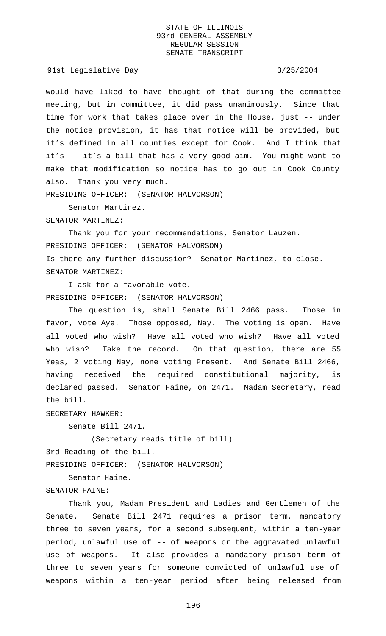91st Legislative Day 3/25/2004

would have liked to have thought of that during the committee meeting, but in committee, it did pass unanimously. Since that time for work that takes place over in the House, just -- under the notice provision, it has that notice will be provided, but it's defined in all counties except for Cook. And I think that it's -- it's a bill that has a very good aim. You might want to make that modification so notice has to go out in Cook County also. Thank you very much.

PRESIDING OFFICER: (SENATOR HALVORSON)

Senator Martinez.

SENATOR MARTINEZ:

Thank you for your recommendations, Senator Lauzen. PRESIDING OFFICER: (SENATOR HALVORSON) Is there any further discussion? Senator Martinez, to close. SENATOR MARTINEZ:

I ask for a favorable vote. PRESIDING OFFICER: (SENATOR HALVORSON)

The question is, shall Senate Bill 2466 pass. Those in favor, vote Aye. Those opposed, Nay. The voting is open. Have all voted who wish? Have all voted who wish? Have all voted who wish? Take the record. On that question, there are 55 Yeas, 2 voting Nay, none voting Present. And Senate Bill 2466, having received the required constitutional majority, is declared passed. Senator Haine, on 2471. Madam Secretary, read the bill.

SECRETARY HAWKER:

Senate Bill 2471.

(Secretary reads title of bill)

3rd Reading of the bill.

PRESIDING OFFICER: (SENATOR HALVORSON)

Senator Haine. SENATOR HAINE:

Thank you, Madam President and Ladies and Gentlemen of the Senate. Senate Bill 2471 requires a prison term, mandatory three to seven years, for a second subsequent, within a ten-year period, unlawful use of -- of weapons or the aggravated unlawful use of weapons. It also provides a mandatory prison term of three to seven years for someone convicted of unlawful use of weapons within a ten-year period after being released from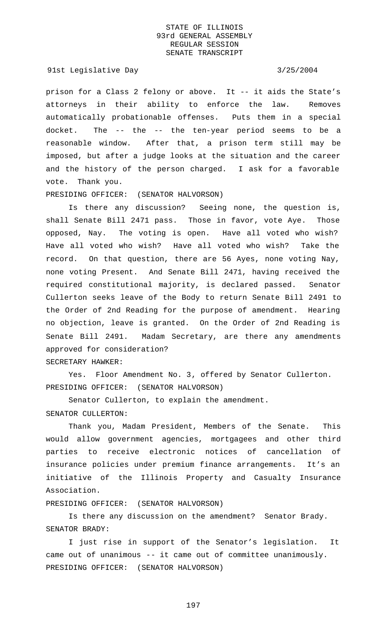91st Legislative Day 3/25/2004

prison for a Class 2 felony or above. It -- it aids the State's attorneys in their ability to enforce the law. Removes automatically probationable offenses. Puts them in a special docket. The -- the -- the ten-year period seems to be a reasonable window. After that, a prison term still may be imposed, but after a judge looks at the situation and the career and the history of the person charged. I ask for a favorable vote. Thank you.

# PRESIDING OFFICER: (SENATOR HALVORSON)

Is there any discussion? Seeing none, the question is, shall Senate Bill 2471 pass. Those in favor, vote Aye. Those opposed, Nay. The voting is open. Have all voted who wish? Have all voted who wish? Have all voted who wish? Take the record. On that question, there are 56 Ayes, none voting Nay, none voting Present. And Senate Bill 2471, having received the required constitutional majority, is declared passed. Senator Cullerton seeks leave of the Body to return Senate Bill 2491 to the Order of 2nd Reading for the purpose of amendment. Hearing no objection, leave is granted. On the Order of 2nd Reading is Senate Bill 2491. Madam Secretary, are there any amendments approved for consideration?

## SECRETARY HAWKER:

Yes. Floor Amendment No. 3, offered by Senator Cullerton. PRESIDING OFFICER: (SENATOR HALVORSON)

Senator Cullerton, to explain the amendment.

## SENATOR CULLERTON:

Thank you, Madam President, Members of the Senate. This would allow government agencies, mortgagees and other third parties to receive electronic notices of cancellation of insurance policies under premium finance arrangements. It's an initiative of the Illinois Property and Casualty Insurance Association.

PRESIDING OFFICER: (SENATOR HALVORSON)

Is there any discussion on the amendment? Senator Brady. SENATOR BRADY:

I just rise in support of the Senator's legislation. It came out of unanimous -- it came out of committee unanimously. PRESIDING OFFICER: (SENATOR HALVORSON)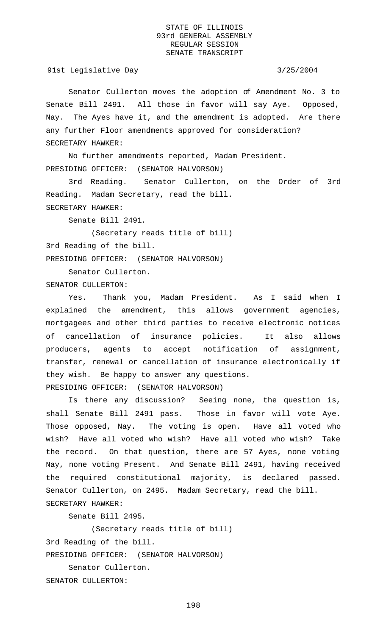91st Legislative Day 3/25/2004

Senator Cullerton moves the adoption of Amendment No. 3 to Senate Bill 2491. All those in favor will say Aye. Opposed, Nay. The Ayes have it, and the amendment is adopted. Are there any further Floor amendments approved for consideration? SECRETARY HAWKER:

No further amendments reported, Madam President. PRESIDING OFFICER: (SENATOR HALVORSON)

3rd Reading. Senator Cullerton, on the Order of 3rd Reading. Madam Secretary, read the bill. SECRETARY HAWKER:

Senate Bill 2491.

(Secretary reads title of bill) 3rd Reading of the bill. PRESIDING OFFICER: (SENATOR HALVORSON)

Senator Cullerton. SENATOR CULLERTON:

Yes. Thank you, Madam President. As I said when I explained the amendment, this allows government agencies, mortgagees and other third parties to receive electronic notices of cancellation of insurance policies. It also allows producers, agents to accept notification of assignment, transfer, renewal or cancellation of insurance electronically if they wish. Be happy to answer any questions. PRESIDING OFFICER: (SENATOR HALVORSON)

Is there any discussion? Seeing none, the question is, shall Senate Bill 2491 pass. Those in favor will vote Aye. Those opposed, Nay. The voting is open. Have all voted who wish? Have all voted who wish? Have all voted who wish? Take the record. On that question, there are 57 Ayes, none voting Nay, none voting Present. And Senate Bill 2491, having received the required constitutional majority, is declared passed. Senator Cullerton, on 2495. Madam Secretary, read the bill. SECRETARY HAWKER:

Senate Bill 2495.

(Secretary reads title of bill)

3rd Reading of the bill.

PRESIDING OFFICER: (SENATOR HALVORSON)

Senator Cullerton. SENATOR CULLERTON: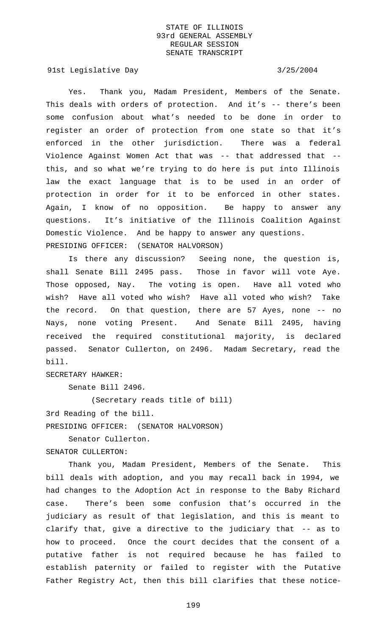91st Legislative Day 3/25/2004

Yes. Thank you, Madam President, Members of the Senate. This deals with orders of protection. And it's -- there's been some confusion about what's needed to be done in order to register an order of protection from one state so that it's enforced in the other jurisdiction. There was a federal Violence Against Women Act that was -- that addressed that - this, and so what we're trying to do here is put into Illinois law the exact language that is to be used in an order of protection in order for it to be enforced in other states. Again, I know of no opposition. Be happy to answer any questions. It's initiative of the Illinois Coalition Against Domestic Violence. And be happy to answer any questions. PRESIDING OFFICER: (SENATOR HALVORSON)

Is there any discussion? Seeing none, the question is, shall Senate Bill 2495 pass. Those in favor will vote Aye. Those opposed, Nay. The voting is open. Have all voted who wish? Have all voted who wish? Have all voted who wish? Take the record. On that question, there are 57 Ayes, none -- no Nays, none voting Present. And Senate Bill 2495, having received the required constitutional majority, is declared passed. Senator Cullerton, on 2496. Madam Secretary, read the bill.

SECRETARY HAWKER:

Senate Bill 2496.

(Secretary reads title of bill)

3rd Reading of the bill.

PRESIDING OFFICER: (SENATOR HALVORSON)

Senator Cullerton.

SENATOR CULLERTON:

Thank you, Madam President, Members of the Senate. This bill deals with adoption, and you may recall back in 1994, we had changes to the Adoption Act in response to the Baby Richard case. There's been some confusion that's occurred in the judiciary as result of that legislation, and this is meant to clarify that, give a directive to the judiciary that -- as to how to proceed. Once the court decides that the consent of a putative father is not required because he has failed to establish paternity or failed to register with the Putative Father Registry Act, then this bill clarifies that these notice-

199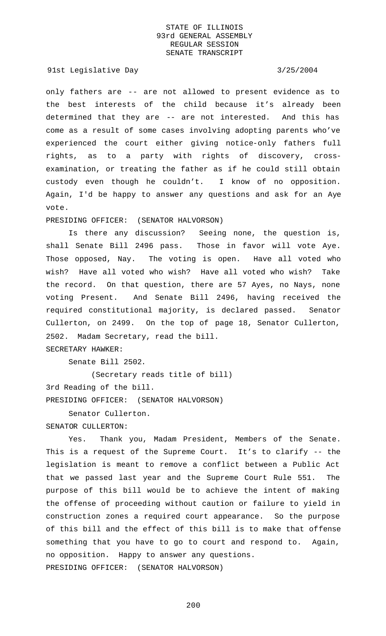91st Legislative Day 3/25/2004

only fathers are -- are not allowed to present evidence as to the best interests of the child because it's already been determined that they are -- are not interested. And this has come as a result of some cases involving adopting parents who've experienced the court either giving notice-only fathers full rights, as to a party with rights of discovery, crossexamination, or treating the father as if he could still obtain custody even though he couldn't. I know of no opposition. Again, I'd be happy to answer any questions and ask for an Aye vote.

PRESIDING OFFICER: (SENATOR HALVORSON)

Is there any discussion? Seeing none, the question is, shall Senate Bill 2496 pass. Those in favor will vote Aye. Those opposed, Nay. The voting is open. Have all voted who wish? Have all voted who wish? Have all voted who wish? Take the record. On that question, there are 57 Ayes, no Nays, none voting Present. And Senate Bill 2496, having received the required constitutional majority, is declared passed. Senator Cullerton, on 2499. On the top of page 18, Senator Cullerton, 2502. Madam Secretary, read the bill.

SECRETARY HAWKER:

Senate Bill 2502.

(Secretary reads title of bill) 3rd Reading of the bill. PRESIDING OFFICER: (SENATOR HALVORSON)

Senator Cullerton.

SENATOR CULLERTON:

Yes. Thank you, Madam President, Members of the Senate. This is a request of the Supreme Court. It's to clarify -- the legislation is meant to remove a conflict between a Public Act that we passed last year and the Supreme Court Rule 551. The purpose of this bill would be to achieve the intent of making the offense of proceeding without caution or failure to yield in construction zones a required court appearance. So the purpose of this bill and the effect of this bill is to make that offense something that you have to go to court and respond to. Again, no opposition. Happy to answer any questions. PRESIDING OFFICER: (SENATOR HALVORSON)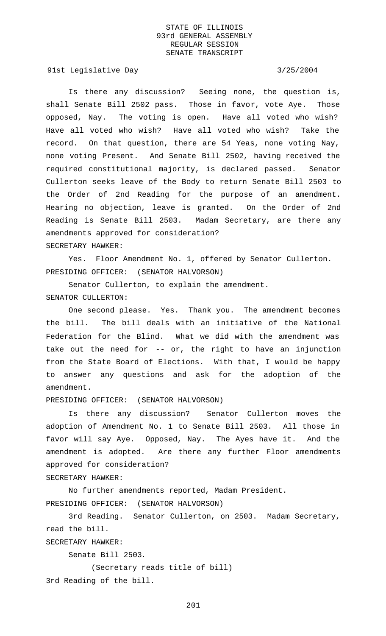91st Legislative Day 3/25/2004

Is there any discussion? Seeing none, the question is, shall Senate Bill 2502 pass. Those in favor, vote Aye. Those opposed, Nay. The voting is open. Have all voted who wish? Have all voted who wish? Have all voted who wish? Take the record. On that question, there are 54 Yeas, none voting Nay, none voting Present. And Senate Bill 2502, having received the required constitutional majority, is declared passed. Senator Cullerton seeks leave of the Body to return Senate Bill 2503 to the Order of 2nd Reading for the purpose of an amendment. Hearing no objection, leave is granted. On the Order of 2nd Reading is Senate Bill 2503. Madam Secretary, are there any amendments approved for consideration? SECRETARY HAWKER:

Yes. Floor Amendment No. 1, offered by Senator Cullerton. PRESIDING OFFICER: (SENATOR HALVORSON)

Senator Cullerton, to explain the amendment. SENATOR CULLERTON:

One second please. Yes. Thank you. The amendment becomes the bill. The bill deals with an initiative of the National Federation for the Blind. What we did with the amendment was take out the need for -- or, the right to have an injunction from the State Board of Elections. With that, I would be happy to answer any questions and ask for the adoption of the amendment.

PRESIDING OFFICER: (SENATOR HALVORSON)

Is there any discussion? Senator Cullerton moves the adoption of Amendment No. 1 to Senate Bill 2503. All those in favor will say Aye. Opposed, Nay. The Ayes have it. And the amendment is adopted. Are there any further Floor amendments approved for consideration?

SECRETARY HAWKER:

No further amendments reported, Madam President. PRESIDING OFFICER: (SENATOR HALVORSON)

3rd Reading. Senator Cullerton, on 2503. Madam Secretary, read the bill.

SECRETARY HAWKER:

Senate Bill 2503.

(Secretary reads title of bill)

3rd Reading of the bill.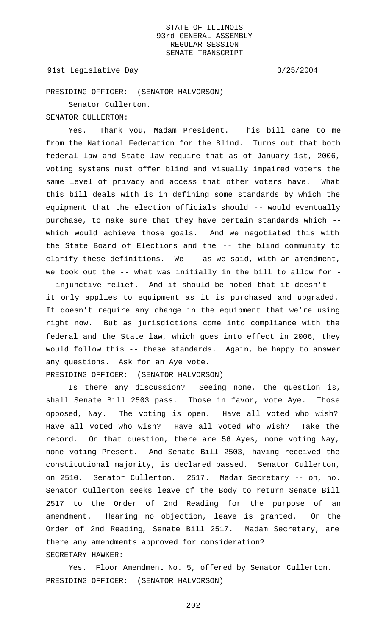## 91st Legislative Day 3/25/2004

PRESIDING OFFICER: (SENATOR HALVORSON)

Senator Cullerton.

SENATOR CULLERTON:

Yes. Thank you, Madam President. This bill came to me from the National Federation for the Blind. Turns out that both federal law and State law require that as of January 1st, 2006, voting systems must offer blind and visually impaired voters the same level of privacy and access that other voters have. What this bill deals with is in defining some standards by which the equipment that the election officials should -- would eventually purchase, to make sure that they have certain standards which - which would achieve those goals. And we negotiated this with the State Board of Elections and the -- the blind community to clarify these definitions. We -- as we said, with an amendment, we took out the -- what was initially in the bill to allow for - - injunctive relief. And it should be noted that it doesn't - it only applies to equipment as it is purchased and upgraded. It doesn't require any change in the equipment that we're using right now. But as jurisdictions come into compliance with the federal and the State law, which goes into effect in 2006, they would follow this -- these standards. Again, be happy to answer any questions. Ask for an Aye vote. PRESIDING OFFICER: (SENATOR HALVORSON)

Is there any discussion? Seeing none, the question is, shall Senate Bill 2503 pass. Those in favor, vote Aye. Those opposed, Nay. The voting is open. Have all voted who wish? Have all voted who wish? Have all voted who wish? Take the record. On that question, there are 56 Ayes, none voting Nay, none voting Present. And Senate Bill 2503, having received the constitutional majority, is declared passed. Senator Cullerton, on 2510. Senator Cullerton. 2517. Madam Secretary -- oh, no. Senator Cullerton seeks leave of the Body to return Senate Bill 2517 to the Order of 2nd Reading for the purpose of an amendment. Hearing no objection, leave is granted. On the Order of 2nd Reading, Senate Bill 2517. Madam Secretary, are there any amendments approved for consideration? SECRETARY HAWKER:

Yes. Floor Amendment No. 5, offered by Senator Cullerton. PRESIDING OFFICER: (SENATOR HALVORSON)

202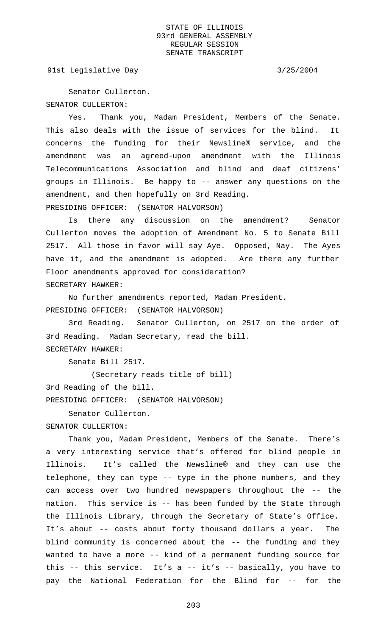91st Legislative Day 3/25/2004

Senator Cullerton. SENATOR CULLERTON:

Yes. Thank you, Madam President, Members of the Senate. This also deals with the issue of services for the blind. It concerns the funding for their Newsline® service, and the amendment was an agreed-upon amendment with the Illinois Telecommunications Association and blind and deaf citizens' groups in Illinois. Be happy to -- answer any questions on the amendment, and then hopefully on 3rd Reading. PRESIDING OFFICER: (SENATOR HALVORSON)

Is there any discussion on the amendment? Senator Cullerton moves the adoption of Amendment No. 5 to Senate Bill 2517. All those in favor will say Aye. Opposed, Nay. The Ayes have it, and the amendment is adopted. Are there any further Floor amendments approved for consideration? SECRETARY HAWKER:

No further amendments reported, Madam President. PRESIDING OFFICER: (SENATOR HALVORSON)

3rd Reading. Senator Cullerton, on 2517 on the order of 3rd Reading. Madam Secretary, read the bill. SECRETARY HAWKER:

Senate Bill 2517.

(Secretary reads title of bill) 3rd Reading of the bill. PRESIDING OFFICER: (SENATOR HALVORSON)

Senator Cullerton.

SENATOR CULLERTON:

Thank you, Madam President, Members of the Senate. There's a very interesting service that's offered for blind people in Illinois. It's called the Newsline® and they can use the telephone, they can type -- type in the phone numbers, and they can access over two hundred newspapers throughout the -- the nation. This service is -- has been funded by the State through the Illinois Library, through the Secretary of State's Office. It's about -- costs about forty thousand dollars a year. The blind community is concerned about the -- the funding and they wanted to have a more -- kind of a permanent funding source for this -- this service. It's a -- it's -- basically, you have to pay the National Federation for the Blind for -- for the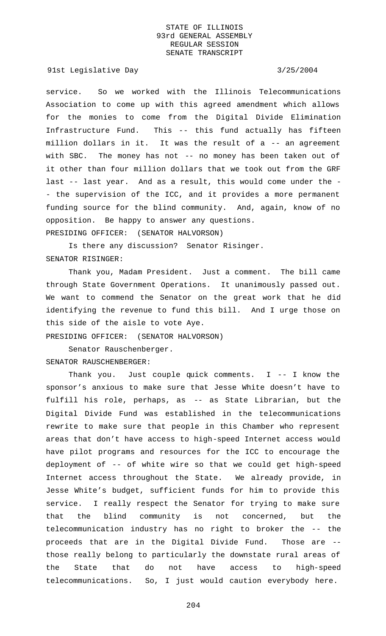91st Legislative Day 3/25/2004

service. So we worked with the Illinois Telecommunications Association to come up with this agreed amendment which allows for the monies to come from the Digital Divide Elimination Infrastructure Fund. This -- this fund actually has fifteen million dollars in it. It was the result of a -- an agreement with SBC. The money has not -- no money has been taken out of it other than four million dollars that we took out from the GRF last -- last year. And as a result, this would come under the - - the supervision of the ICC, and it provides a more permanent funding source for the blind community. And, again, know of no opposition. Be happy to answer any questions. PRESIDING OFFICER: (SENATOR HALVORSON)

Is there any discussion? Senator Risinger. SENATOR RISINGER:

Thank you, Madam President. Just a comment. The bill came through State Government Operations. It unanimously passed out. We want to commend the Senator on the great work that he did identifying the revenue to fund this bill. And I urge those on this side of the aisle to vote Aye.

PRESIDING OFFICER: (SENATOR HALVORSON)

Senator Rauschenberger.

SENATOR RAUSCHENBERGER:

Thank you. Just couple quick comments. I -- I know the sponsor's anxious to make sure that Jesse White doesn't have to fulfill his role, perhaps, as -- as State Librarian, but the Digital Divide Fund was established in the telecommunications rewrite to make sure that people in this Chamber who represent areas that don't have access to high-speed Internet access would have pilot programs and resources for the ICC to encourage the deployment of -- of white wire so that we could get high-speed Internet access throughout the State. We already provide, in Jesse White's budget, sufficient funds for him to provide this service. I really respect the Senator for trying to make sure that the blind community is not concerned, but the telecommunication industry has no right to broker the -- the proceeds that are in the Digital Divide Fund. Those are - those really belong to particularly the downstate rural areas of the State that do not have access to high-speed telecommunications. So, I just would caution everybody here.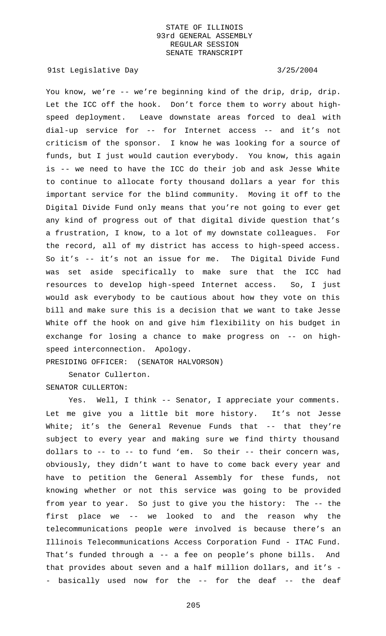91st Legislative Day 3/25/2004

You know, we're -- we're beginning kind of the drip, drip, drip. Let the ICC off the hook. Don't force them to worry about highspeed deployment. Leave downstate areas forced to deal with dial-up service for -- for Internet access -- and it's not criticism of the sponsor. I know he was looking for a source of funds, but I just would caution everybody. You know, this again is -- we need to have the ICC do their job and ask Jesse White to continue to allocate forty thousand dollars a year for this important service for the blind community. Moving it off to the Digital Divide Fund only means that you're not going to ever get any kind of progress out of that digital divide question that's a frustration, I know, to a lot of my downstate colleagues. For the record, all of my district has access to high-speed access. So it's -- it's not an issue for me. The Digital Divide Fund was set aside specifically to make sure that the ICC had resources to develop high-speed Internet access. So, I just would ask everybody to be cautious about how they vote on this bill and make sure this is a decision that we want to take Jesse White off the hook on and give him flexibility on his budget in exchange for losing a chance to make progress on -- on highspeed interconnection. Apology.

PRESIDING OFFICER: (SENATOR HALVORSON)

Senator Cullerton. SENATOR CULLERTON:

Yes. Well, I think -- Senator, I appreciate your comments. Let me give you a little bit more history. It's not Jesse White; it's the General Revenue Funds that -- that they're subject to every year and making sure we find thirty thousand dollars to -- to -- to fund 'em. So their -- their concern was, obviously, they didn't want to have to come back every year and have to petition the General Assembly for these funds, not knowing whether or not this service was going to be provided from year to year. So just to give you the history: The -- the first place we -- we looked to and the reason why the telecommunications people were involved is because there's an Illinois Telecommunications Access Corporation Fund - ITAC Fund. That's funded through a -- a fee on people's phone bills. And that provides about seven and a half million dollars, and it's - - basically used now for the -- for the deaf -- the deaf

205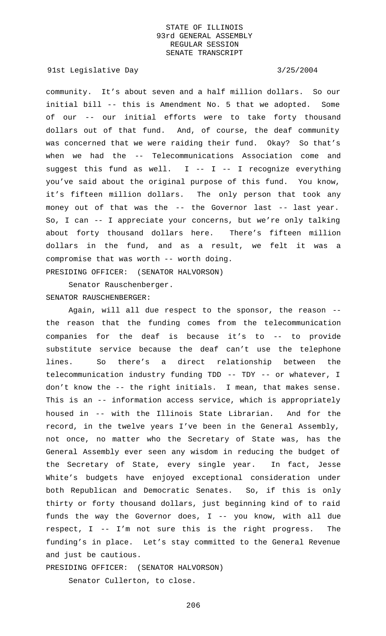91st Legislative Day 3/25/2004

community. It's about seven and a half million dollars. So our initial bill -- this is Amendment No. 5 that we adopted. Some of our -- our initial efforts were to take forty thousand dollars out of that fund. And, of course, the deaf community was concerned that we were raiding their fund. Okay? So that's when we had the -- Telecommunications Association come and suggest this fund as well.  $I$  --  $I$  -- I recognize everything you've said about the original purpose of this fund. You know, it's fifteen million dollars. The only person that took any money out of that was the -- the Governor last -- last year. So, I can -- I appreciate your concerns, but we're only talking about forty thousand dollars here. There's fifteen million dollars in the fund, and as a result, we felt it was a compromise that was worth -- worth doing.

PRESIDING OFFICER: (SENATOR HALVORSON)

Senator Rauschenberger. SENATOR RAUSCHENBERGER:

Again, will all due respect to the sponsor, the reason - the reason that the funding comes from the telecommunication companies for the deaf is because it's to -- to provide substitute service because the deaf can't use the telephone lines. So there's a direct relationship between the telecommunication industry funding TDD -- TDY -- or whatever, I don't know the -- the right initials. I mean, that makes sense. This is an -- information access service, which is appropriately housed in -- with the Illinois State Librarian. And for the record, in the twelve years I've been in the General Assembly, not once, no matter who the Secretary of State was, has the General Assembly ever seen any wisdom in reducing the budget of the Secretary of State, every single year. In fact, Jesse White's budgets have enjoyed exceptional consideration under both Republican and Democratic Senates. So, if this is only thirty or forty thousand dollars, just beginning kind of to raid funds the way the Governor does,  $I$  -- you know, with all due respect, I -- I'm not sure this is the right progress. The funding's in place. Let's stay committed to the General Revenue and just be cautious.

PRESIDING OFFICER: (SENATOR HALVORSON)

Senator Cullerton, to close.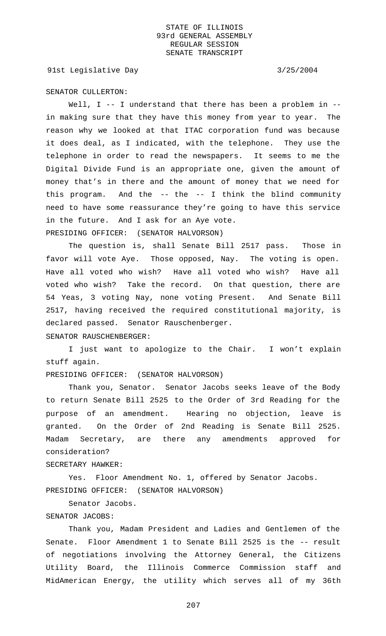91st Legislative Day 3/25/2004

### SENATOR CULLERTON:

Well, I -- I understand that there has been a problem in -in making sure that they have this money from year to year. The reason why we looked at that ITAC corporation fund was because it does deal, as I indicated, with the telephone. They use the telephone in order to read the newspapers. It seems to me the Digital Divide Fund is an appropriate one, given the amount of money that's in there and the amount of money that we need for this program. And the -- the -- I think the blind community need to have some reassurance they're going to have this service in the future. And I ask for an Aye vote. PRESIDING OFFICER: (SENATOR HALVORSON)

The question is, shall Senate Bill 2517 pass. Those in favor will vote Aye. Those opposed, Nay. The voting is open. Have all voted who wish? Have all voted who wish? Have all voted who wish? Take the record. On that question, there are 54 Yeas, 3 voting Nay, none voting Present. And Senate Bill 2517, having received the required constitutional majority, is declared passed. Senator Rauschenberger.

SENATOR RAUSCHENBERGER:

I just want to apologize to the Chair. I won't explain stuff again.

PRESIDING OFFICER: (SENATOR HALVORSON)

Thank you, Senator. Senator Jacobs seeks leave of the Body to return Senate Bill 2525 to the Order of 3rd Reading for the purpose of an amendment. Hearing no objection, leave is granted. On the Order of 2nd Reading is Senate Bill 2525. Madam Secretary, are there any amendments approved for consideration?

### SECRETARY HAWKER:

Yes. Floor Amendment No. 1, offered by Senator Jacobs. PRESIDING OFFICER: (SENATOR HALVORSON)

Senator Jacobs.

## SENATOR JACOBS:

Thank you, Madam President and Ladies and Gentlemen of the Senate. Floor Amendment 1 to Senate Bill 2525 is the -- result of negotiations involving the Attorney General, the Citizens Utility Board, the Illinois Commerce Commission staff and MidAmerican Energy, the utility which serves all of my 36th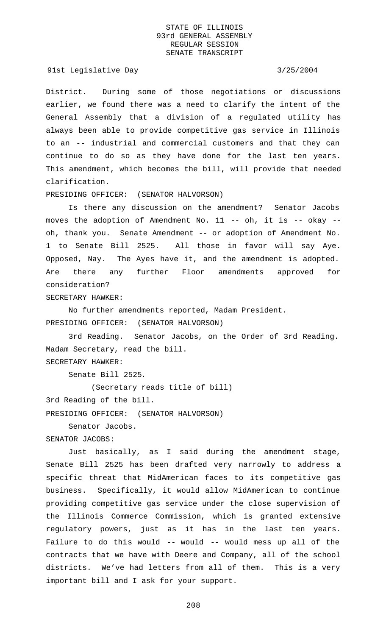91st Legislative Day 3/25/2004

District. During some of those negotiations or discussions earlier, we found there was a need to clarify the intent of the General Assembly that a division of a regulated utility has always been able to provide competitive gas service in Illinois to an -- industrial and commercial customers and that they can continue to do so as they have done for the last ten years. This amendment, which becomes the bill, will provide that needed clarification.

## PRESIDING OFFICER: (SENATOR HALVORSON)

Is there any discussion on the amendment? Senator Jacobs moves the adoption of Amendment No. 11 -- oh, it is -- okay - oh, thank you. Senate Amendment -- or adoption of Amendment No. 1 to Senate Bill 2525. All those in favor will say Aye. Opposed, Nay. The Ayes have it, and the amendment is adopted. Are there any further Floor amendments approved for consideration?

SECRETARY HAWKER:

No further amendments reported, Madam President. PRESIDING OFFICER: (SENATOR HALVORSON)

3rd Reading. Senator Jacobs, on the Order of 3rd Reading. Madam Secretary, read the bill. SECRETARY HAWKER:

Senate Bill 2525.

(Secretary reads title of bill)

3rd Reading of the bill.

PRESIDING OFFICER: (SENATOR HALVORSON)

Senator Jacobs.

# SENATOR JACOBS:

Just basically, as I said during the amendment stage, Senate Bill 2525 has been drafted very narrowly to address a specific threat that MidAmerican faces to its competitive gas business. Specifically, it would allow MidAmerican to continue providing competitive gas service under the close supervision of the Illinois Commerce Commission, which is granted extensive regulatory powers, just as it has in the last ten years. Failure to do this would -- would -- would mess up all of the contracts that we have with Deere and Company, all of the school districts. We've had letters from all of them. This is a very important bill and I ask for your support.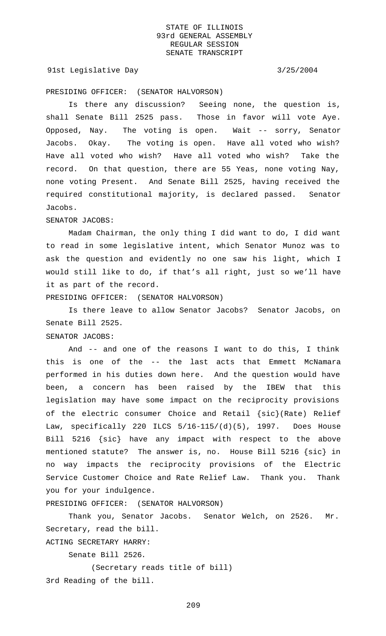## 91st Legislative Day 3/25/2004

PRESIDING OFFICER: (SENATOR HALVORSON)

Is there any discussion? Seeing none, the question is, shall Senate Bill 2525 pass. Those in favor will vote Aye. Opposed, Nay. The voting is open. Wait -- sorry, Senator Jacobs. Okay. The voting is open. Have all voted who wish? Have all voted who wish? Have all voted who wish? Take the record. On that question, there are 55 Yeas, none voting Nay, none voting Present. And Senate Bill 2525, having received the required constitutional majority, is declared passed. Senator Jacobs.

### SENATOR JACOBS:

Madam Chairman, the only thing I did want to do, I did want to read in some legislative intent, which Senator Munoz was to ask the question and evidently no one saw his light, which I would still like to do, if that's all right, just so we'll have it as part of the record.

PRESIDING OFFICER: (SENATOR HALVORSON)

Is there leave to allow Senator Jacobs? Senator Jacobs, on Senate Bill 2525.

# SENATOR JACOBS:

And -- and one of the reasons I want to do this, I think this is one of the -- the last acts that Emmett McNamara performed in his duties down here. And the question would have been, a concern has been raised by the IBEW that this legislation may have some impact on the reciprocity provisions of the electric consumer Choice and Retail {sic}(Rate) Relief Law, specifically 220 ILCS 5/16-115/(d)(5), 1997. Does House Bill 5216 {sic} have any impact with respect to the above mentioned statute? The answer is, no. House Bill 5216 {sic} in no way impacts the reciprocity provisions of the Electric Service Customer Choice and Rate Relief Law. Thank you. Thank you for your indulgence.

PRESIDING OFFICER: (SENATOR HALVORSON)

Thank you, Senator Jacobs. Senator Welch, on 2526. Mr. Secretary, read the bill. ACTING SECRETARY HARRY:

Senate Bill 2526.

(Secretary reads title of bill) 3rd Reading of the bill.

209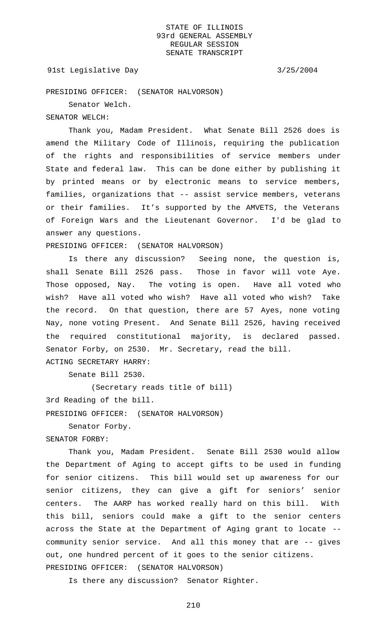### 91st Legislative Day 3/25/2004

PRESIDING OFFICER: (SENATOR HALVORSON)

Senator Welch.

# SENATOR WELCH:

Thank you, Madam President. What Senate Bill 2526 does is amend the Military Code of Illinois, requiring the publication of the rights and responsibilities of service members under State and federal law. This can be done either by publishing it by printed means or by electronic means to service members, families, organizations that -- assist service members, veterans or their families. It's supported by the AMVETS, the Veterans of Foreign Wars and the Lieutenant Governor. I'd be glad to answer any questions.

PRESIDING OFFICER: (SENATOR HALVORSON)

Is there any discussion? Seeing none, the question is, shall Senate Bill 2526 pass. Those in favor will vote Aye. Those opposed, Nay. The voting is open. Have all voted who wish? Have all voted who wish? Have all voted who wish? Take the record. On that question, there are 57 Ayes, none voting Nay, none voting Present. And Senate Bill 2526, having received the required constitutional majority, is declared passed. Senator Forby, on 2530. Mr. Secretary, read the bill. ACTING SECRETARY HARRY:

Senate Bill 2530.

(Secretary reads title of bill)

3rd Reading of the bill.

PRESIDING OFFICER: (SENATOR HALVORSON)

Senator Forby.

# SENATOR FORBY:

Thank you, Madam President. Senate Bill 2530 would allow the Department of Aging to accept gifts to be used in funding for senior citizens. This bill would set up awareness for our senior citizens, they can give a gift for seniors' senior centers. The AARP has worked really hard on this bill. With this bill, seniors could make a gift to the senior centers across the State at the Department of Aging grant to locate - community senior service. And all this money that are -- gives out, one hundred percent of it goes to the senior citizens. PRESIDING OFFICER: (SENATOR HALVORSON)

Is there any discussion? Senator Righter.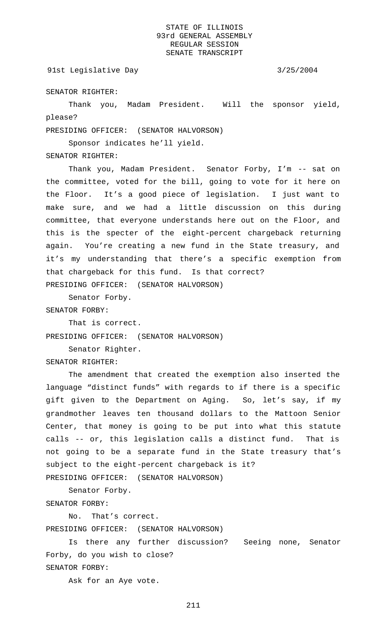### 91st Legislative Day 3/25/2004

SENATOR RIGHTER:

Thank you, Madam President. Will the sponsor yield, please?

PRESIDING OFFICER: (SENATOR HALVORSON)

Sponsor indicates he'll yield.

SENATOR RIGHTER:

Thank you, Madam President. Senator Forby, I'm -- sat on the committee, voted for the bill, going to vote for it here on the Floor. It's a good piece of legislation. I just want to make sure, and we had a little discussion on this during committee, that everyone understands here out on the Floor, and this is the specter of the eight-percent chargeback returning again. You're creating a new fund in the State treasury, and it's my understanding that there's a specific exemption from that chargeback for this fund. Is that correct? PRESIDING OFFICER: (SENATOR HALVORSON)

Senator Forby.

SENATOR FORBY:

That is correct. PRESIDING OFFICER: (SENATOR HALVORSON)

Senator Righter.

### SENATOR RIGHTER:

The amendment that created the exemption also inserted the language "distinct funds" with regards to if there is a specific gift given to the Department on Aging. So, let's say, if my grandmother leaves ten thousand dollars to the Mattoon Senior Center, that money is going to be put into what this statute calls -- or, this legislation calls a distinct fund. That is not going to be a separate fund in the State treasury that's subject to the eight-percent chargeback is it?

PRESIDING OFFICER: (SENATOR HALVORSON)

Senator Forby.

SENATOR FORBY:

No. That's correct. PRESIDING OFFICER: (SENATOR HALVORSON)

Is there any further discussion? Seeing none, Senator Forby, do you wish to close? SENATOR FORBY:

Ask for an Aye vote.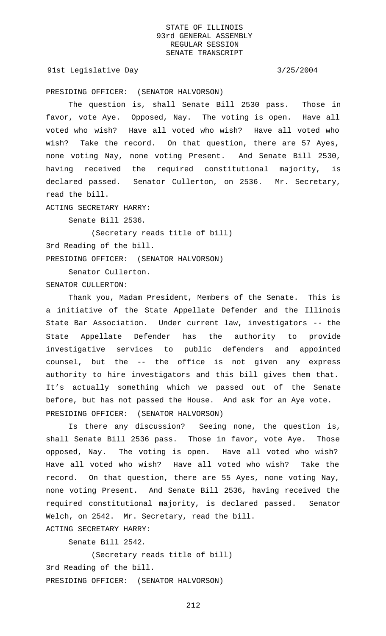91st Legislative Day 3/25/2004

PRESIDING OFFICER: (SENATOR HALVORSON)

The question is, shall Senate Bill 2530 pass. Those in favor, vote Aye. Opposed, Nay. The voting is open. Have all voted who wish? Have all voted who wish? Have all voted who wish? Take the record. On that question, there are 57 Ayes, none voting Nay, none voting Present. And Senate Bill 2530, having received the required constitutional majority, is declared passed. Senator Cullerton, on 2536. Mr. Secretary, read the bill.

ACTING SECRETARY HARRY:

Senate Bill 2536.

(Secretary reads title of bill) 3rd Reading of the bill.

PRESIDING OFFICER: (SENATOR HALVORSON)

Senator Cullerton. SENATOR CULLERTON:

Thank you, Madam President, Members of the Senate. This is a initiative of the State Appellate Defender and the Illinois State Bar Association. Under current law, investigators -- the State Appellate Defender has the authority to provide investigative services to public defenders and appointed counsel, but the -- the office is not given any express authority to hire investigators and this bill gives them that. It's actually something which we passed out of the Senate before, but has not passed the House. And ask for an Aye vote. PRESIDING OFFICER: (SENATOR HALVORSON)

Is there any discussion? Seeing none, the question is, shall Senate Bill 2536 pass. Those in favor, vote Aye. Those opposed, Nay. The voting is open. Have all voted who wish? Have all voted who wish? Have all voted who wish? Take the record. On that question, there are 55 Ayes, none voting Nay, none voting Present. And Senate Bill 2536, having received the required constitutional majority, is declared passed. Senator Welch, on 2542. Mr. Secretary, read the bill. ACTING SECRETARY HARRY:

Senate Bill 2542.

(Secretary reads title of bill) 3rd Reading of the bill. PRESIDING OFFICER: (SENATOR HALVORSON)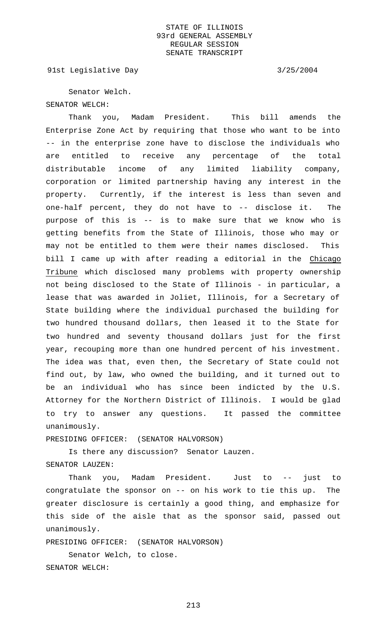91st Legislative Day 3/25/2004

Senator Welch. SENATOR WELCH:

Thank you, Madam President. This bill amends the Enterprise Zone Act by requiring that those who want to be into -- in the enterprise zone have to disclose the individuals who are entitled to receive any percentage of the total distributable income of any limited liability company, corporation or limited partnership having any interest in the property. Currently, if the interest is less than seven and one-half percent, they do not have to -- disclose it. The purpose of this is -- is to make sure that we know who is getting benefits from the State of Illinois, those who may or may not be entitled to them were their names disclosed. This bill I came up with after reading a editorial in the Chicago Tribune which disclosed many problems with property ownership not being disclosed to the State of Illinois - in particular, a lease that was awarded in Joliet, Illinois, for a Secretary of State building where the individual purchased the building for two hundred thousand dollars, then leased it to the State for two hundred and seventy thousand dollars just for the first year, recouping more than one hundred percent of his investment. The idea was that, even then, the Secretary of State could not find out, by law, who owned the building, and it turned out to be an individual who has since been indicted by the U.S. Attorney for the Northern District of Illinois. I would be glad to try to answer any questions. It passed the committee unanimously.

PRESIDING OFFICER: (SENATOR HALVORSON)

Is there any discussion? Senator Lauzen. SENATOR LAUZEN:

Thank you, Madam President. Just to -- just to congratulate the sponsor on -- on his work to tie this up. The greater disclosure is certainly a good thing, and emphasize for this side of the aisle that as the sponsor said, passed out unanimously.

PRESIDING OFFICER: (SENATOR HALVORSON) Senator Welch, to close.

SENATOR WELCH: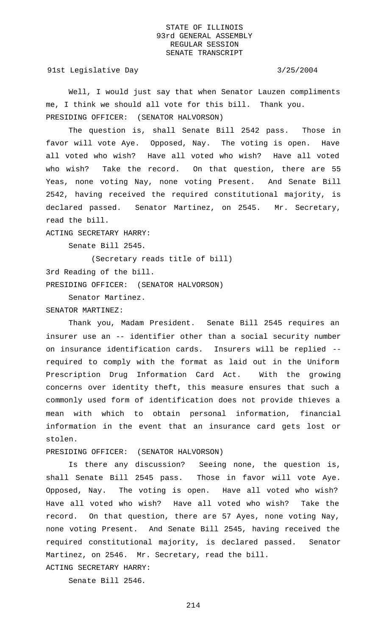91st Legislative Day 3/25/2004

Well, I would just say that when Senator Lauzen compliments me, I think we should all vote for this bill. Thank you. PRESIDING OFFICER: (SENATOR HALVORSON)

The question is, shall Senate Bill 2542 pass. Those in favor will vote Aye. Opposed, Nay. The voting is open. Have all voted who wish? Have all voted who wish? Have all voted who wish? Take the record. On that question, there are 55 Yeas, none voting Nay, none voting Present. And Senate Bill 2542, having received the required constitutional majority, is declared passed. Senator Martinez, on 2545. Mr. Secretary, read the bill.

ACTING SECRETARY HARRY:

Senate Bill 2545.

(Secretary reads title of bill)

3rd Reading of the bill.

PRESIDING OFFICER: (SENATOR HALVORSON)

Senator Martinez.

SENATOR MARTINEZ:

Thank you, Madam President. Senate Bill 2545 requires an insurer use an -- identifier other than a social security number on insurance identification cards. Insurers will be replied - required to comply with the format as laid out in the Uniform Prescription Drug Information Card Act. With the growing concerns over identity theft, this measure ensures that such a commonly used form of identification does not provide thieves a mean with which to obtain personal information, financial information in the event that an insurance card gets lost or stolen.

PRESIDING OFFICER: (SENATOR HALVORSON)

Is there any discussion? Seeing none, the question is, shall Senate Bill 2545 pass. Those in favor will vote Aye. Opposed, Nay. The voting is open. Have all voted who wish? Have all voted who wish? Have all voted who wish? Take the record. On that question, there are 57 Ayes, none voting Nay, none voting Present. And Senate Bill 2545, having received the required constitutional majority, is declared passed. Senator Martinez, on 2546. Mr. Secretary, read the bill.

Senate Bill 2546.

ACTING SECRETARY HARRY: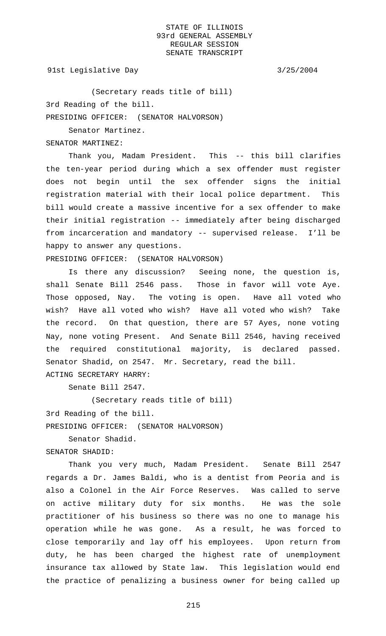91st Legislative Day 3/25/2004

(Secretary reads title of bill) 3rd Reading of the bill. PRESIDING OFFICER: (SENATOR HALVORSON)

Senator Martinez.

SENATOR MARTINEZ:

Thank you, Madam President. This -- this bill clarifies the ten-year period during which a sex offender must register does not begin until the sex offender signs the initial registration material with their local police department. This bill would create a massive incentive for a sex offender to make their initial registration -- immediately after being discharged from incarceration and mandatory -- supervised release. I'll be happy to answer any questions.

PRESIDING OFFICER: (SENATOR HALVORSON)

Is there any discussion? Seeing none, the question is, shall Senate Bill 2546 pass. Those in favor will vote Aye. Those opposed, Nay. The voting is open. Have all voted who wish? Have all voted who wish? Have all voted who wish? Take the record. On that question, there are 57 Ayes, none voting Nay, none voting Present. And Senate Bill 2546, having received the required constitutional majority, is declared passed. Senator Shadid, on 2547. Mr. Secretary, read the bill.

ACTING SECRETARY HARRY:

Senate Bill 2547.

(Secretary reads title of bill)

3rd Reading of the bill.

PRESIDING OFFICER: (SENATOR HALVORSON)

Senator Shadid.

SENATOR SHADID:

Thank you very much, Madam President. Senate Bill 2547 regards a Dr. James Baldi, who is a dentist from Peoria and is also a Colonel in the Air Force Reserves. Was called to serve on active military duty for six months. He was the sole practitioner of his business so there was no one to manage his operation while he was gone. As a result, he was forced to close temporarily and lay off his employees. Upon return from duty, he has been charged the highest rate of unemployment insurance tax allowed by State law. This legislation would end the practice of penalizing a business owner for being called up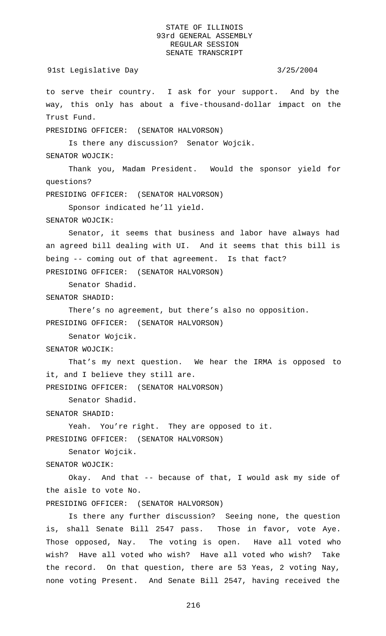91st Legislative Day 3/25/2004 to serve their country. I ask for your support. And by the way, this only has about a five-thousand-dollar impact on the Trust Fund. PRESIDING OFFICER: (SENATOR HALVORSON) Is there any discussion? Senator Wojcik. SENATOR WOJCIK: Thank you, Madam President. Would the sponsor yield for questions? PRESIDING OFFICER: (SENATOR HALVORSON) Sponsor indicated he'll yield. SENATOR WOJCIK: Senator, it seems that business and labor have always had an agreed bill dealing with UI. And it seems that this bill is being -- coming out of that agreement. Is that fact? PRESIDING OFFICER: (SENATOR HALVORSON) Senator Shadid. SENATOR SHADID: There's no agreement, but there's also no opposition. PRESIDING OFFICER: (SENATOR HALVORSON) Senator Wojcik. SENATOR WOJCIK: That's my next question. We hear the IRMA is opposed to it, and I believe they still are. PRESIDING OFFICER: (SENATOR HALVORSON) Senator Shadid. SENATOR SHADID: Yeah. You're right. They are opposed to it. PRESIDING OFFICER: (SENATOR HALVORSON) Senator Wojcik. SENATOR WOJCIK: Okay. And that -- because of that, I would ask my side of the aisle to vote No. PRESIDING OFFICER: (SENATOR HALVORSON) Is there any further discussion? Seeing none, the question is, shall Senate Bill 2547 pass. Those in favor, vote Aye. Those opposed, Nay. The voting is open. Have all voted who

wish? Have all voted who wish? Have all voted who wish? Take the record. On that question, there are 53 Yeas, 2 voting Nay, none voting Present. And Senate Bill 2547, having received the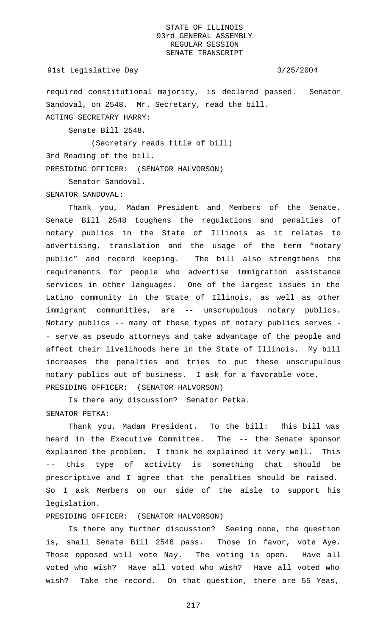### 91st Legislative Day 3/25/2004

required constitutional majority, is declared passed. Senator Sandoval, on 2548. Mr. Secretary, read the bill. ACTING SECRETARY HARRY:

Senate Bill 2548.

(Secretary reads title of bill)

3rd Reading of the bill.

PRESIDING OFFICER: (SENATOR HALVORSON)

Senator Sandoval.

SENATOR SANDOVAL:

Thank you, Madam President and Members of the Senate. Senate Bill 2548 toughens the regulations and penalties of notary publics in the State of Illinois as it relates to advertising, translation and the usage of the term "notary public" and record keeping. The bill also strengthens the requirements for people who advertise immigration assistance services in other languages. One of the largest issues in the Latino community in the State of Illinois, as well as other immigrant communities, are -- unscrupulous notary publics. Notary publics -- many of these types of notary publics serves - - serve as pseudo attorneys and take advantage of the people and affect their livelihoods here in the State of Illinois. My bill increases the penalties and tries to put these unscrupulous notary publics out of business. I ask for a favorable vote. PRESIDING OFFICER: (SENATOR HALVORSON)

Is there any discussion? Senator Petka. SENATOR PETKA:

Thank you, Madam President. To the bill: This bill was heard in the Executive Committee. The -- the Senate sponsor explained the problem. I think he explained it very well. This -- this type of activity is something that should be prescriptive and I agree that the penalties should be raised. So I ask Members on our side of the aisle to support his legislation.

### PRESIDING OFFICER: (SENATOR HALVORSON)

Is there any further discussion? Seeing none, the question is, shall Senate Bill 2548 pass. Those in favor, vote Aye. Those opposed will vote Nay. The voting is open. Have all voted who wish? Have all voted who wish? Have all voted who wish? Take the record. On that question, there are 55 Yeas,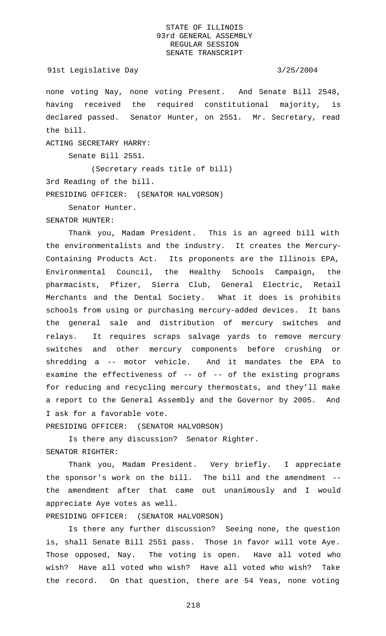### 91st Legislative Day 3/25/2004

none voting Nay, none voting Present. And Senate Bill 2548, having received the required constitutional majority, is declared passed. Senator Hunter, on 2551. Mr. Secretary, read the bill.

ACTING SECRETARY HARRY:

Senate Bill 2551.

(Secretary reads title of bill) 3rd Reading of the bill. PRESIDING OFFICER: (SENATOR HALVORSON)

Senator Hunter.

SENATOR HUNTER:

Thank you, Madam President. This is an agreed bill with the environmentalists and the industry. It creates the Mercury-Containing Products Act. Its proponents are the Illinois EPA, Environmental Council, the Healthy Schools Campaign, the pharmacists, Pfizer, Sierra Club, General Electric, Retail Merchants and the Dental Society. What it does is prohibits schools from using or purchasing mercury-added devices. It bans the general sale and distribution of mercury switches and relays. It requires scraps salvage yards to remove mercury switches and other mercury components before crushing or shredding a -- motor vehicle. And it mandates the EPA to examine the effectiveness of -- of -- of the existing programs for reducing and recycling mercury thermostats, and they'll make a report to the General Assembly and the Governor by 2005. And I ask for a favorable vote.

PRESIDING OFFICER: (SENATOR HALVORSON)

Is there any discussion? Senator Righter. SENATOR RIGHTER:

Thank you, Madam President. Very briefly. I appreciate the sponsor's work on the bill. The bill and the amendment - the amendment after that came out unanimously and I would appreciate Aye votes as well.

PRESIDING OFFICER: (SENATOR HALVORSON)

Is there any further discussion? Seeing none, the question is, shall Senate Bill 2551 pass. Those in favor will vote Aye. Those opposed, Nay. The voting is open. Have all voted who wish? Have all voted who wish? Have all voted who wish? Take the record. On that question, there are 54 Yeas, none voting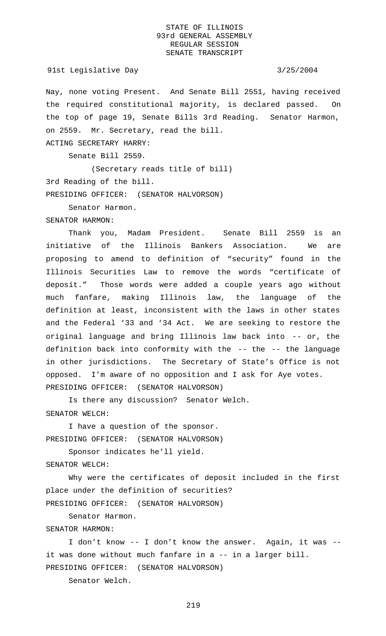Nay, none voting Present. And Senate Bill 2551, having received the required constitutional majority, is declared passed. On the top of page 19, Senate Bills 3rd Reading. Senator Harmon, on 2559. Mr. Secretary, read the bill.

ACTING SECRETARY HARRY:

Senate Bill 2559.

(Secretary reads title of bill) 3rd Reading of the bill. PRESIDING OFFICER: (SENATOR HALVORSON)

Senator Harmon.

SENATOR HARMON:

Thank you, Madam President. Senate Bill 2559 is an initiative of the Illinois Bankers Association. We are proposing to amend to definition of "security" found in the Illinois Securities Law to remove the words "certificate of deposit." Those words were added a couple years ago without much fanfare, making Illinois law, the language of the definition at least, inconsistent with the laws in other states and the Federal '33 and '34 Act. We are seeking to restore the original language and bring Illinois law back into -- or, the definition back into conformity with the -- the -- the language in other jurisdictions. The Secretary of State's Office is not opposed. I'm aware of no opposition and I ask for Aye votes. PRESIDING OFFICER: (SENATOR HALVORSON)

Is there any discussion? Senator Welch. SENATOR WELCH:

I have a question of the sponsor. PRESIDING OFFICER: (SENATOR HALVORSON)

Sponsor indicates he'll yield.

SENATOR WELCH:

Why were the certificates of deposit included in the first place under the definition of securities? PRESIDING OFFICER: (SENATOR HALVORSON)

Senator Harmon.

SENATOR HARMON:

I don't know -- I don't know the answer. Again, it was - it was done without much fanfare in a -- in a larger bill. PRESIDING OFFICER: (SENATOR HALVORSON)

Senator Welch.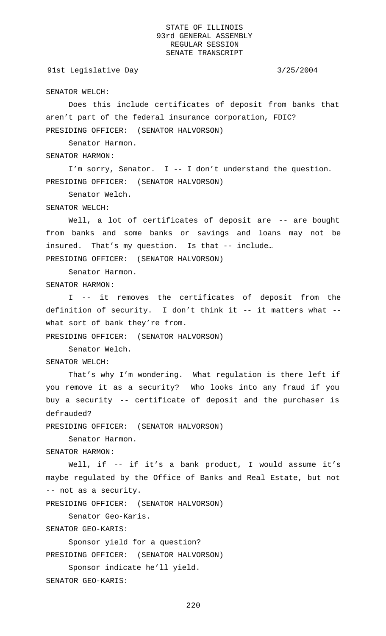### 91st Legislative Day 3/25/2004

SENATOR WELCH:

Does this include certificates of deposit from banks that aren't part of the federal insurance corporation, FDIC? PRESIDING OFFICER: (SENATOR HALVORSON)

Senator Harmon.

SENATOR HARMON:

I'm sorry, Senator. I -- I don't understand the question. PRESIDING OFFICER: (SENATOR HALVORSON)

Senator Welch.

SENATOR WELCH:

Well, a lot of certificates of deposit are -- are bought from banks and some banks or savings and loans may not be insured. That's my question. Is that -- include… PRESIDING OFFICER: (SENATOR HALVORSON)

Senator Harmon.

SENATOR HARMON:

I -- it removes the certificates of deposit from the definition of security. I don't think it -- it matters what - what sort of bank they're from.

PRESIDING OFFICER: (SENATOR HALVORSON)

Senator Welch.

SENATOR WELCH:

That's why I'm wondering. What regulation is there left if you remove it as a security? Who looks into any fraud if you buy a security -- certificate of deposit and the purchaser is defrauded?

PRESIDING OFFICER: (SENATOR HALVORSON)

Senator Harmon.

SENATOR HARMON:

Well, if -- if it's a bank product, I would assume it's maybe regulated by the Office of Banks and Real Estate, but not -- not as a security.

PRESIDING OFFICER: (SENATOR HALVORSON)

Senator Geo-Karis.

SENATOR GEO-KARIS:

Sponsor yield for a question?

PRESIDING OFFICER: (SENATOR HALVORSON)

Sponsor indicate he'll yield.

SENATOR GEO-KARIS: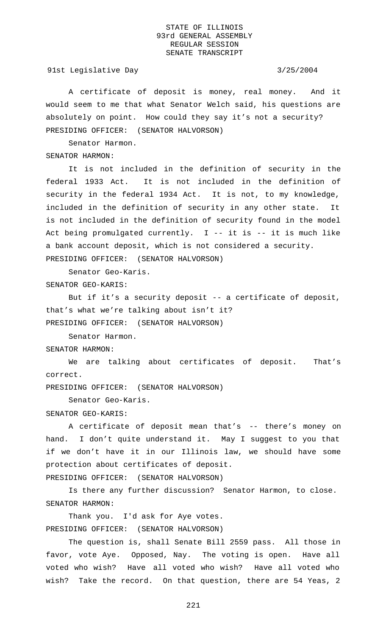91st Legislative Day 3/25/2004

A certificate of deposit is money, real money. And it would seem to me that what Senator Welch said, his questions are absolutely on point. How could they say it's not a security? PRESIDING OFFICER: (SENATOR HALVORSON)

Senator Harmon.

SENATOR HARMON:

It is not included in the definition of security in the federal 1933 Act. It is not included in the definition of security in the federal 1934 Act. It is not, to my knowledge, included in the definition of security in any other state. It is not included in the definition of security found in the model Act being promulgated currently.  $I$  -- it is -- it is much like a bank account deposit, which is not considered a security. PRESIDING OFFICER: (SENATOR HALVORSON)

Senator Geo-Karis. SENATOR GEO-KARIS:

But if it's a security deposit -- a certificate of deposit, that's what we're talking about isn't it? PRESIDING OFFICER: (SENATOR HALVORSON)

Senator Harmon.

SENATOR HARMON:

We are talking about certificates of deposit. That's correct.

PRESIDING OFFICER: (SENATOR HALVORSON)

Senator Geo-Karis.

SENATOR GEO-KARIS:

A certificate of deposit mean that's -- there's money on hand. I don't quite understand it. May I suggest to you that if we don't have it in our Illinois law, we should have some protection about certificates of deposit.

PRESIDING OFFICER: (SENATOR HALVORSON)

Is there any further discussion? Senator Harmon, to close. SENATOR HARMON:

Thank you. I'd ask for Aye votes. PRESIDING OFFICER: (SENATOR HALVORSON)

The question is, shall Senate Bill 2559 pass. All those in favor, vote Aye. Opposed, Nay. The voting is open. Have all voted who wish? Have all voted who wish? Have all voted who wish? Take the record. On that question, there are 54 Yeas, 2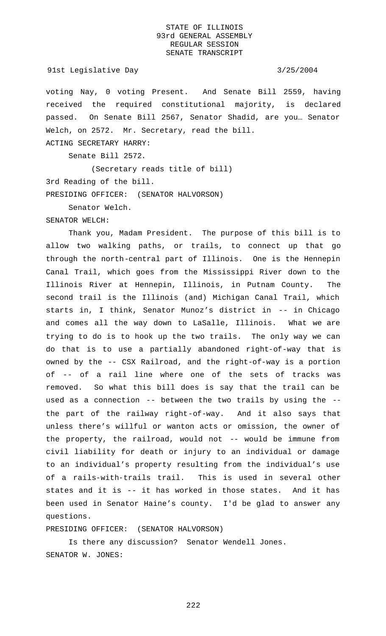### 91st Legislative Day 3/25/2004

voting Nay, 0 voting Present. And Senate Bill 2559, having received the required constitutional majority, is declared passed. On Senate Bill 2567, Senator Shadid, are you… Senator Welch, on 2572. Mr. Secretary, read the bill.

Senate Bill 2572.

ACTING SECRETARY HARRY:

(Secretary reads title of bill) 3rd Reading of the bill. PRESIDING OFFICER: (SENATOR HALVORSON)

Senator Welch.

SENATOR WELCH:

Thank you, Madam President. The purpose of this bill is to allow two walking paths, or trails, to connect up that go through the north-central part of Illinois. One is the Hennepin Canal Trail, which goes from the Mississippi River down to the Illinois River at Hennepin, Illinois, in Putnam County. The second trail is the Illinois (and) Michigan Canal Trail, which starts in, I think, Senator Munoz's district in -- in Chicago and comes all the way down to LaSalle, Illinois. What we are trying to do is to hook up the two trails. The only way we can do that is to use a partially abandoned right-of-way that is owned by the -- CSX Railroad, and the right-of-way is a portion of -- of a rail line where one of the sets of tracks was removed. So what this bill does is say that the trail can be used as a connection -- between the two trails by using the - the part of the railway right-of-way. And it also says that unless there's willful or wanton acts or omission, the owner of the property, the railroad, would not -- would be immune from civil liability for death or injury to an individual or damage to an individual's property resulting from the individual's use of a rails-with-trails trail. This is used in several other states and it is -- it has worked in those states. And it has been used in Senator Haine's county. I'd be glad to answer any questions.

PRESIDING OFFICER: (SENATOR HALVORSON)

Is there any discussion? Senator Wendell Jones. SENATOR W. JONES: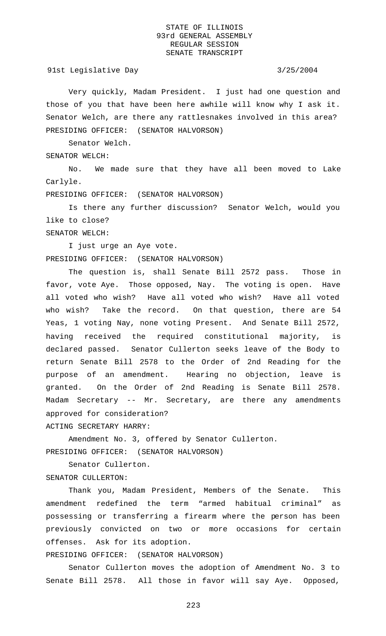91st Legislative Day 3/25/2004

Very quickly, Madam President. I just had one question and those of you that have been here awhile will know why I ask it. Senator Welch, are there any rattlesnakes involved in this area? PRESIDING OFFICER: (SENATOR HALVORSON)

Senator Welch.

SENATOR WELCH:

SENATOR WELCH:

No. We made sure that they have all been moved to Lake Carlyle.

PRESIDING OFFICER: (SENATOR HALVORSON)

Is there any further discussion? Senator Welch, would you like to close?

I just urge an Aye vote.

PRESIDING OFFICER: (SENATOR HALVORSON)

The question is, shall Senate Bill 2572 pass. Those in favor, vote Aye. Those opposed, Nay. The voting is open. Have all voted who wish? Have all voted who wish? Have all voted who wish? Take the record. On that question, there are 54 Yeas, 1 voting Nay, none voting Present. And Senate Bill 2572, having received the required constitutional majority, is declared passed. Senator Cullerton seeks leave of the Body to return Senate Bill 2578 to the Order of 2nd Reading for the purpose of an amendment. Hearing no objection, leave is granted. On the Order of 2nd Reading is Senate Bill 2578. Madam Secretary -- Mr. Secretary, are there any amendments approved for consideration?

ACTING SECRETARY HARRY:

Amendment No. 3, offered by Senator Cullerton. PRESIDING OFFICER: (SENATOR HALVORSON)

Senator Cullerton.

SENATOR CULLERTON:

Thank you, Madam President, Members of the Senate. This amendment redefined the term "armed habitual criminal" as possessing or transferring a firearm where the person has been previously convicted on two or more occasions for certain offenses. Ask for its adoption.

PRESIDING OFFICER: (SENATOR HALVORSON)

Senator Cullerton moves the adoption of Amendment No. 3 to Senate Bill 2578. All those in favor will say Aye. Opposed,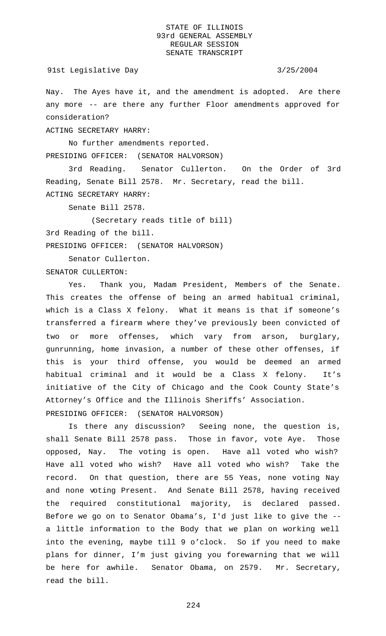Nay. The Ayes have it, and the amendment is adopted. Are there any more -- are there any further Floor amendments approved for consideration?

ACTING SECRETARY HARRY:

No further amendments reported. PRESIDING OFFICER: (SENATOR HALVORSON)

3rd Reading. Senator Cullerton. On the Order of 3rd Reading, Senate Bill 2578. Mr. Secretary, read the bill. ACTING SECRETARY HARRY:

Senate Bill 2578.

(Secretary reads title of bill)

3rd Reading of the bill.

PRESIDING OFFICER: (SENATOR HALVORSON)

Senator Cullerton.

SENATOR CULLERTON:

Yes. Thank you, Madam President, Members of the Senate. This creates the offense of being an armed habitual criminal, which is a Class X felony. What it means is that if someone's transferred a firearm where they've previously been convicted of two or more offenses, which vary from arson, burglary, gunrunning, home invasion, a number of these other offenses, if this is your third offense, you would be deemed an armed habitual criminal and it would be a Class X felony. It's initiative of the City of Chicago and the Cook County State's Attorney's Office and the Illinois Sheriffs' Association. PRESIDING OFFICER: (SENATOR HALVORSON)

Is there any discussion? Seeing none, the question is, shall Senate Bill 2578 pass. Those in favor, vote Aye. Those opposed, Nay. The voting is open. Have all voted who wish? Have all voted who wish? Have all voted who wish? Take the record. On that question, there are 55 Yeas, none voting Nay and none voting Present. And Senate Bill 2578, having received the required constitutional majority, is declared passed. Before we go on to Senator Obama's, I'd just like to give the - a little information to the Body that we plan on working well into the evening, maybe till 9 o'clock. So if you need to make plans for dinner, I'm just giving you forewarning that we will be here for awhile. Senator Obama, on 2579. Mr. Secretary, read the bill.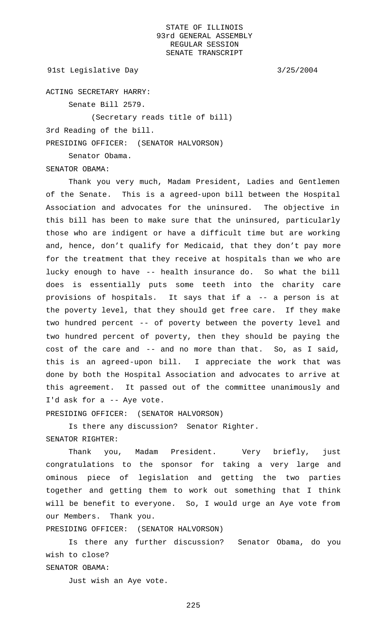91st Legislative Day 3/25/2004

ACTING SECRETARY HARRY:

Senate Bill 2579.

(Secretary reads title of bill)

3rd Reading of the bill.

Senator Obama.

PRESIDING OFFICER: (SENATOR HALVORSON)

SENATOR OBAMA:

Thank you very much, Madam President, Ladies and Gentlemen of the Senate. This is a agreed-upon bill between the Hospital Association and advocates for the uninsured. The objective in this bill has been to make sure that the uninsured, particularly those who are indigent or have a difficult time but are working and, hence, don't qualify for Medicaid, that they don't pay more for the treatment that they receive at hospitals than we who are lucky enough to have -- health insurance do. So what the bill does is essentially puts some teeth into the charity care provisions of hospitals. It says that if a -- a person is at the poverty level, that they should get free care. If they make two hundred percent -- of poverty between the poverty level and two hundred percent of poverty, then they should be paying the cost of the care and -- and no more than that. So, as I said, this is an agreed-upon bill. I appreciate the work that was done by both the Hospital Association and advocates to arrive at this agreement. It passed out of the committee unanimously and I'd ask for a -- Aye vote.

PRESIDING OFFICER: (SENATOR HALVORSON)

Is there any discussion? Senator Righter. SENATOR RIGHTER:

Thank you, Madam President. Very briefly, just congratulations to the sponsor for taking a very large and ominous piece of legislation and getting the two parties together and getting them to work out something that I think will be benefit to everyone. So, I would urge an Aye vote from our Members. Thank you.

PRESIDING OFFICER: (SENATOR HALVORSON)

Is there any further discussion? Senator Obama, do you wish to close?

SENATOR OBAMA:

Just wish an Aye vote.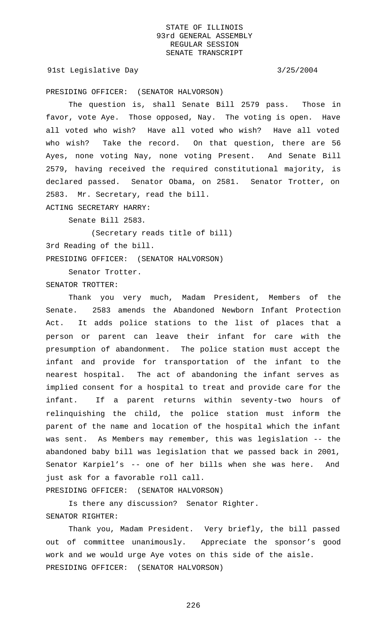91st Legislative Day 3/25/2004

PRESIDING OFFICER: (SENATOR HALVORSON)

The question is, shall Senate Bill 2579 pass. Those in favor, vote Aye. Those opposed, Nay. The voting is open. Have all voted who wish? Have all voted who wish? Have all voted who wish? Take the record. On that question, there are 56 Ayes, none voting Nay, none voting Present. And Senate Bill 2579, having received the required constitutional majority, is declared passed. Senator Obama, on 2581. Senator Trotter, on 2583. Mr. Secretary, read the bill.

ACTING SECRETARY HARRY:

Senate Bill 2583.

(Secretary reads title of bill) 3rd Reading of the bill. PRESIDING OFFICER: (SENATOR HALVORSON)

Senator Trotter.

SENATOR TROTTER:

Thank you very much, Madam President, Members of the Senate. 2583 amends the Abandoned Newborn Infant Protection Act. It adds police stations to the list of places that a person or parent can leave their infant for care with the presumption of abandonment. The police station must accept the infant and provide for transportation of the infant to the nearest hospital. The act of abandoning the infant serves as implied consent for a hospital to treat and provide care for the infant. If a parent returns within seventy-two hours of relinquishing the child, the police station must inform the parent of the name and location of the hospital which the infant was sent. As Members may remember, this was legislation -- the abandoned baby bill was legislation that we passed back in 2001, Senator Karpiel's -- one of her bills when she was here. And just ask for a favorable roll call.

PRESIDING OFFICER: (SENATOR HALVORSON)

Is there any discussion? Senator Righter. SENATOR RIGHTER:

Thank you, Madam President. Very briefly, the bill passed out of committee unanimously. Appreciate the sponsor's good work and we would urge Aye votes on this side of the aisle. PRESIDING OFFICER: (SENATOR HALVORSON)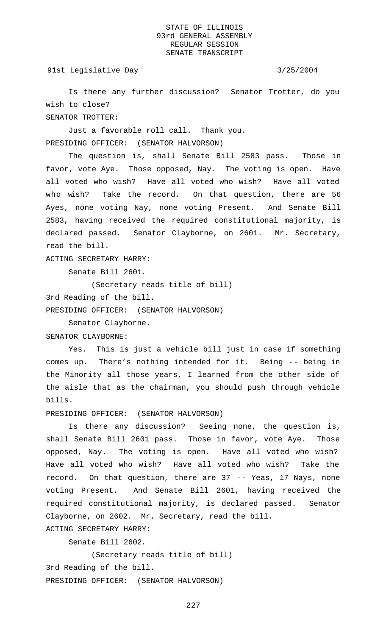91st Legislative Day 3/25/2004

Is there any further discussion? Senator Trotter, do you wish to close? SENATOR TROTTER:

Just a favorable roll call. Thank you. PRESIDING OFFICER: (SENATOR HALVORSON)

The question is, shall Senate Bill 2583 pass. Those in favor, vote Aye. Those opposed, Nay. The voting is open. Have all voted who wish? Have all voted who wish? Have all voted who wish? Take the record. On that question, there are 56 Ayes, none voting Nay, none voting Present. And Senate Bill 2583, having received the required constitutional majority, is declared passed. Senator Clayborne, on 2601. Mr. Secretary, read the bill.

ACTING SECRETARY HARRY:

Senate Bill 2601.

(Secretary reads title of bill)

3rd Reading of the bill.

PRESIDING OFFICER: (SENATOR HALVORSON)

Senator Clayborne.

SENATOR CLAYBORNE:

Yes. This is just a vehicle bill just in case if something comes up. There's nothing intended for it. Being -- being in the Minority all those years, I learned from the other side of the aisle that as the chairman, you should push through vehicle bills.

PRESIDING OFFICER: (SENATOR HALVORSON)

Is there any discussion? Seeing none, the question is, shall Senate Bill 2601 pass. Those in favor, vote Aye. Those opposed, Nay. The voting is open. Have all voted who wish? Have all voted who wish? Have all voted who wish? Take the record. On that question, there are 37 -- Yeas, 17 Nays, none voting Present. And Senate Bill 2601, having received the required constitutional majority, is declared passed. Senator Clayborne, on 2602. Mr. Secretary, read the bill. ACTING SECRETARY HARRY:

Senate Bill 2602.

(Secretary reads title of bill) 3rd Reading of the bill. PRESIDING OFFICER: (SENATOR HALVORSON)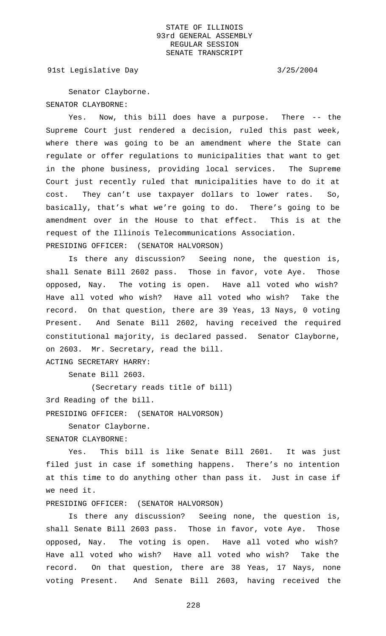91st Legislative Day 3/25/2004

Senator Clayborne. SENATOR CLAYBORNE:

Yes. Now, this bill does have a purpose. There -- the Supreme Court just rendered a decision, ruled this past week, where there was going to be an amendment where the State can regulate or offer regulations to municipalities that want to get in the phone business, providing local services. The Supreme Court just recently ruled that municipalities have to do it at cost. They can't use taxpayer dollars to lower rates. So, basically, that's what we're going to do. There's going to be amendment over in the House to that effect. This is at the request of the Illinois Telecommunications Association. PRESIDING OFFICER: (SENATOR HALVORSON)

Is there any discussion? Seeing none, the question is, shall Senate Bill 2602 pass. Those in favor, vote Aye. Those opposed, Nay. The voting is open. Have all voted who wish? Have all voted who wish? Have all voted who wish? Take the record. On that question, there are 39 Yeas, 13 Nays, 0 voting Present. And Senate Bill 2602, having received the required constitutional majority, is declared passed. Senator Clayborne, on 2603. Mr. Secretary, read the bill. ACTING SECRETARY HARRY:

Senate Bill 2603.

(Secretary reads title of bill)

3rd Reading of the bill.

PRESIDING OFFICER: (SENATOR HALVORSON)

Senator Clayborne. SENATOR CLAYBORNE:

Yes. This bill is like Senate Bill 2601. It was just filed just in case if something happens. There's no intention at this time to do anything other than pass it. Just in case if we need it.

PRESIDING OFFICER: (SENATOR HALVORSON)

Is there any discussion? Seeing none, the question is, shall Senate Bill 2603 pass. Those in favor, vote Aye. Those opposed, Nay. The voting is open. Have all voted who wish? Have all voted who wish? Have all voted who wish? Take the record. On that question, there are 38 Yeas, 17 Nays, none voting Present. And Senate Bill 2603, having received the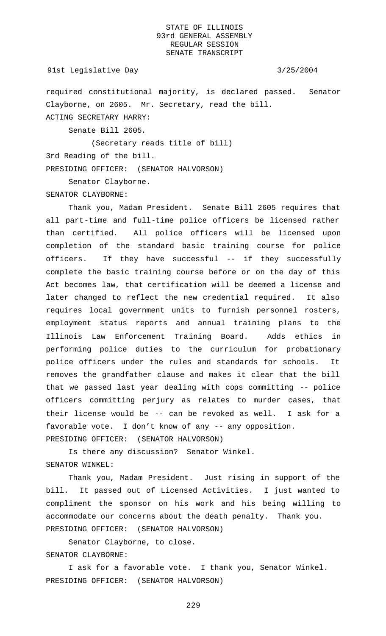required constitutional majority, is declared passed. Senator Clayborne, on 2605. Mr. Secretary, read the bill. ACTING SECRETARY HARRY:

Senate Bill 2605.

(Secretary reads title of bill)

3rd Reading of the bill.

PRESIDING OFFICER: (SENATOR HALVORSON)

Senator Clayborne.

SENATOR CLAYBORNE:

Thank you, Madam President. Senate Bill 2605 requires that all part-time and full-time police officers be licensed rather than certified. All police officers will be licensed upon completion of the standard basic training course for police officers. If they have successful -- if they successfully complete the basic training course before or on the day of this Act becomes law, that certification will be deemed a license and later changed to reflect the new credential required. It also requires local government units to furnish personnel rosters, employment status reports and annual training plans to the Illinois Law Enforcement Training Board. Adds ethics in performing police duties to the curriculum for probationary police officers under the rules and standards for schools. It removes the grandfather clause and makes it clear that the bill that we passed last year dealing with cops committing -- police officers committing perjury as relates to murder cases, that their license would be -- can be revoked as well. I ask for a favorable vote. I don't know of any -- any opposition. PRESIDING OFFICER: (SENATOR HALVORSON)

Is there any discussion? Senator Winkel. SENATOR WINKEL:

Thank you, Madam President. Just rising in support of the bill. It passed out of Licensed Activities. I just wanted to compliment the sponsor on his work and his being willing to accommodate our concerns about the death penalty. Thank you. PRESIDING OFFICER: (SENATOR HALVORSON)

Senator Clayborne, to close. SENATOR CLAYBORNE:

I ask for a favorable vote. I thank you, Senator Winkel. PRESIDING OFFICER: (SENATOR HALVORSON)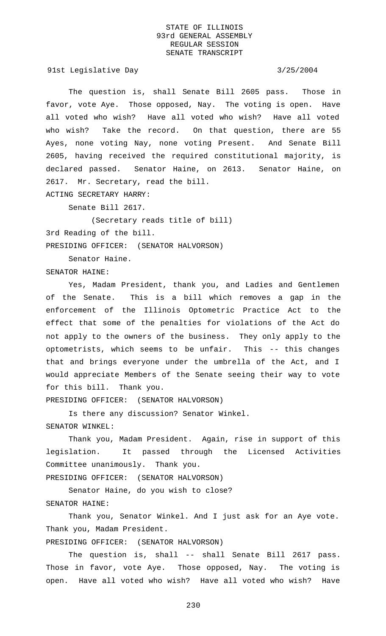91st Legislative Day 3/25/2004

The question is, shall Senate Bill 2605 pass. Those in favor, vote Aye. Those opposed, Nay. The voting is open. Have all voted who wish? Have all voted who wish? Have all voted who wish? Take the record. On that question, there are 55 Ayes, none voting Nay, none voting Present. And Senate Bill 2605, having received the required constitutional majority, is declared passed. Senator Haine, on 2613. Senator Haine, on 2617. Mr. Secretary, read the bill. ACTING SECRETARY HARRY:

Senate Bill 2617.

(Secretary reads title of bill) 3rd Reading of the bill. PRESIDING OFFICER: (SENATOR HALVORSON)

Senator Haine.

SENATOR HAINE:

Yes, Madam President, thank you, and Ladies and Gentlemen of the Senate. This is a bill which removes a gap in the enforcement of the Illinois Optometric Practice Act to the effect that some of the penalties for violations of the Act do not apply to the owners of the business. They only apply to the optometrists, which seems to be unfair. This -- this changes that and brings everyone under the umbrella of the Act, and I would appreciate Members of the Senate seeing their way to vote for this bill. Thank you.

PRESIDING OFFICER: (SENATOR HALVORSON)

Is there any discussion? Senator Winkel. SENATOR WINKEL:

Thank you, Madam President. Again, rise in support of this legislation. It passed through the Licensed Activities Committee unanimously. Thank you.

PRESIDING OFFICER: (SENATOR HALVORSON)

Senator Haine, do you wish to close? SENATOR HAINE:

Thank you, Senator Winkel. And I just ask for an Aye vote. Thank you, Madam President.

PRESIDING OFFICER: (SENATOR HALVORSON)

The question is, shall -- shall Senate Bill 2617 pass. Those in favor, vote Aye. Those opposed, Nay. The voting is open. Have all voted who wish? Have all voted who wish? Have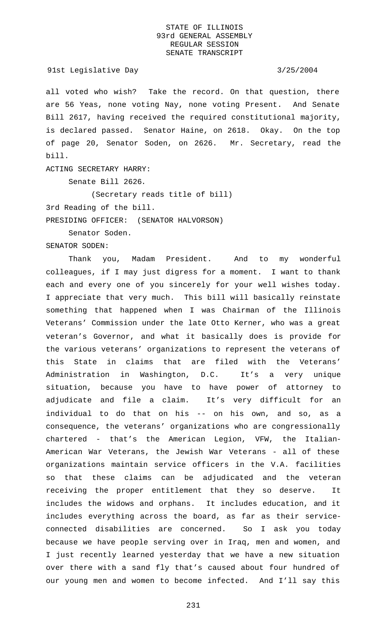### 91st Legislative Day 3/25/2004

all voted who wish? Take the record. On that question, there are 56 Yeas, none voting Nay, none voting Present. And Senate Bill 2617, having received the required constitutional majority, is declared passed. Senator Haine, on 2618. Okay. On the top of page 20, Senator Soden, on 2626. Mr. Secretary, read the bill.

ACTING SECRETARY HARRY:

Senate Bill 2626.

(Secretary reads title of bill)

3rd Reading of the bill.

PRESIDING OFFICER: (SENATOR HALVORSON)

Senator Soden.

SENATOR SODEN:

Thank you, Madam President. And to my wonderful colleagues, if I may just digress for a moment. I want to thank each and every one of you sincerely for your well wishes today. I appreciate that very much. This bill will basically reinstate something that happened when I was Chairman of the Illinois Veterans' Commission under the late Otto Kerner, who was a great veteran's Governor, and what it basically does is provide for the various veterans' organizations to represent the veterans of this State in claims that are filed with the Veterans' Administration in Washington, D.C. It's a very unique situation, because you have to have power of attorney to adjudicate and file a claim. It's very difficult for an individual to do that on his -- on his own, and so, as a consequence, the veterans' organizations who are congressionally chartered - that's the American Legion, VFW, the Italian-American War Veterans, the Jewish War Veterans - all of these organizations maintain service officers in the V.A. facilities so that these claims can be adjudicated and the veteran receiving the proper entitlement that they so deserve. It includes the widows and orphans. It includes education, and it includes everything across the board, as far as their serviceconnected disabilities are concerned. So I ask you today because we have people serving over in Iraq, men and women, and I just recently learned yesterday that we have a new situation over there with a sand fly that's caused about four hundred of our young men and women to become infected. And I'll say this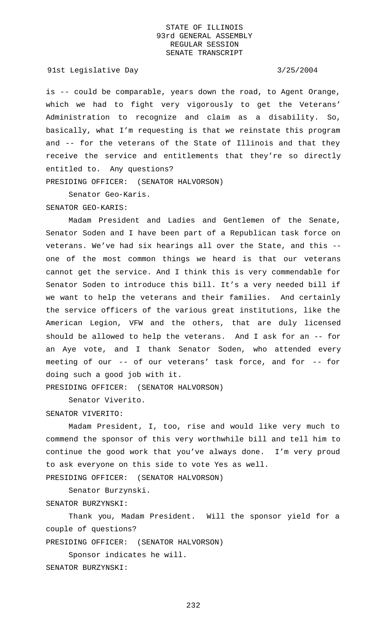91st Legislative Day 3/25/2004

is -- could be comparable, years down the road, to Agent Orange, which we had to fight very vigorously to get the Veterans' Administration to recognize and claim as a disability. So, basically, what I'm requesting is that we reinstate this program and -- for the veterans of the State of Illinois and that they receive the service and entitlements that they're so directly entitled to. Any questions?

PRESIDING OFFICER: (SENATOR HALVORSON)

Senator Geo-Karis.

## SENATOR GEO-KARIS:

Madam President and Ladies and Gentlemen of the Senate, Senator Soden and I have been part of a Republican task force on veterans. We've had six hearings all over the State, and this - one of the most common things we heard is that our veterans cannot get the service. And I think this is very commendable for Senator Soden to introduce this bill. It's a very needed bill if we want to help the veterans and their families. And certainly the service officers of the various great institutions, like the American Legion, VFW and the others, that are duly licensed should be allowed to help the veterans. And I ask for an -- for an Aye vote, and I thank Senator Soden, who attended every meeting of our -- of our veterans' task force, and for -- for doing such a good job with it.

PRESIDING OFFICER: (SENATOR HALVORSON)

Senator Viverito.

### SENATOR VIVERITO:

Madam President, I, too, rise and would like very much to commend the sponsor of this very worthwhile bill and tell him to continue the good work that you've always done. I'm very proud to ask everyone on this side to vote Yes as well.

PRESIDING OFFICER: (SENATOR HALVORSON)

Senator Burzynski.

SENATOR BURZYNSKI:

Thank you, Madam President. Will the sponsor yield for a couple of questions?

PRESIDING OFFICER: (SENATOR HALVORSON)

Sponsor indicates he will.

SENATOR BURZYNSKI: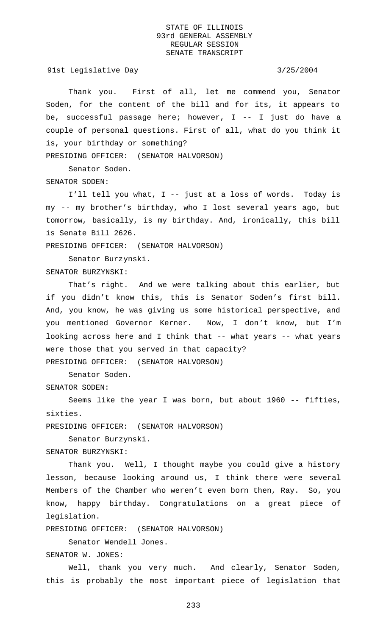91st Legislative Day 3/25/2004

Thank you. First of all, let me commend you, Senator Soden, for the content of the bill and for its, it appears to be, successful passage here; however, I -- I just do have a couple of personal questions. First of all, what do you think it is, your birthday or something?

PRESIDING OFFICER: (SENATOR HALVORSON)

Senator Soden. SENATOR SODEN:

I'll tell you what, I -- just at a loss of words. Today is my -- my brother's birthday, who I lost several years ago, but tomorrow, basically, is my birthday. And, ironically, this bill is Senate Bill 2626.

PRESIDING OFFICER: (SENATOR HALVORSON)

Senator Burzynski.

SENATOR BURZYNSKI:

That's right. And we were talking about this earlier, but if you didn't know this, this is Senator Soden's first bill. And, you know, he was giving us some historical perspective, and you mentioned Governor Kerner. Now, I don't know, but I'm looking across here and I think that -- what years -- what years were those that you served in that capacity? PRESIDING OFFICER: (SENATOR HALVORSON)

Senator Soden.

SENATOR SODEN:

Seems like the year I was born, but about 1960 -- fifties, sixties.

PRESIDING OFFICER: (SENATOR HALVORSON)

Senator Burzynski.

SENATOR BURZYNSKI:

Thank you. Well, I thought maybe you could give a history lesson, because looking around us, I think there were several Members of the Chamber who weren't even born then, Ray. So, you know, happy birthday. Congratulations on a great piece of legislation.

PRESIDING OFFICER: (SENATOR HALVORSON)

Senator Wendell Jones.

SENATOR W. JONES:

Well, thank you very much. And clearly, Senator Soden, this is probably the most important piece of legislation that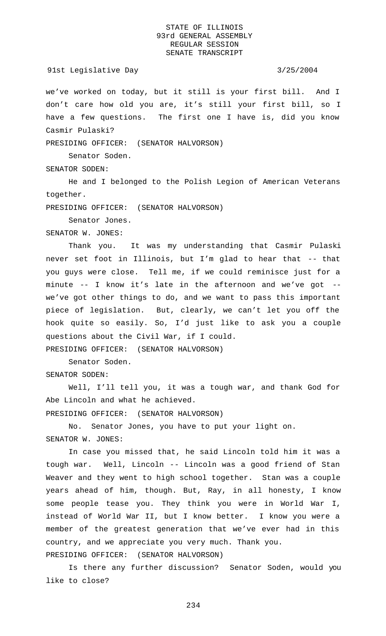### 91st Legislative Day 3/25/2004

we've worked on today, but it still is your first bill. And I don't care how old you are, it's still your first bill, so I have a few questions. The first one I have is, did you know Casmir Pulaski?

PRESIDING OFFICER: (SENATOR HALVORSON)

Senator Soden.

SENATOR SODEN:

He and I belonged to the Polish Legion of American Veterans together.

PRESIDING OFFICER: (SENATOR HALVORSON)

Senator Jones.

SENATOR W. JONES:

Thank you. It was my understanding that Casmir Pulaski never set foot in Illinois, but I'm glad to hear that -- that you guys were close. Tell me, if we could reminisce just for a minute -- I know it's late in the afternoon and we've got - we've got other things to do, and we want to pass this important piece of legislation. But, clearly, we can't let you off the hook quite so easily. So, I'd just like to ask you a couple questions about the Civil War, if I could.

PRESIDING OFFICER: (SENATOR HALVORSON)

Senator Soden.

SENATOR SODEN:

Well, I'll tell you, it was a tough war, and thank God for Abe Lincoln and what he achieved.

PRESIDING OFFICER: (SENATOR HALVORSON)

No. Senator Jones, you have to put your light on. SENATOR W. JONES:

In case you missed that, he said Lincoln told him it was a tough war. Well, Lincoln -- Lincoln was a good friend of Stan Weaver and they went to high school together. Stan was a couple years ahead of him, though. But, Ray, in all honesty, I know some people tease you. They think you were in World War I, instead of World War II, but I know better. I know you were a member of the greatest generation that we've ever had in this country, and we appreciate you very much. Thank you. PRESIDING OFFICER: (SENATOR HALVORSON)

Is there any further discussion? Senator Soden, would you like to close?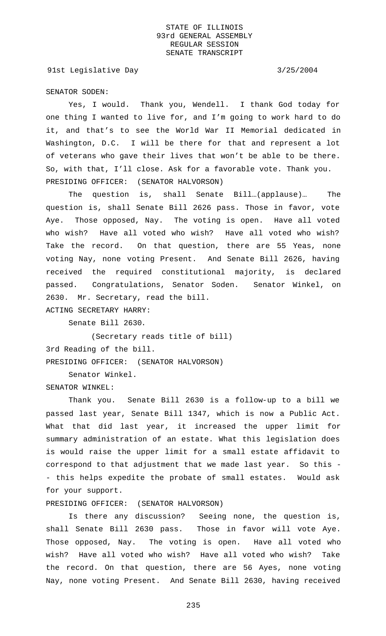91st Legislative Day 3/25/2004

SENATOR SODEN:

Yes, I would. Thank you, Wendell. I thank God today for one thing I wanted to live for, and I'm going to work hard to do it, and that's to see the World War II Memorial dedicated in Washington, D.C. I will be there for that and represent a lot of veterans who gave their lives that won't be able to be there. So, with that, I'll close. Ask for a favorable vote. Thank you. PRESIDING OFFICER: (SENATOR HALVORSON)

The question is, shall Senate Bill…(applause)… The question is, shall Senate Bill 2626 pass. Those in favor, vote Aye. Those opposed, Nay. The voting is open. Have all voted who wish? Have all voted who wish? Have all voted who wish? Take the record. On that question, there are 55 Yeas, none voting Nay, none voting Present. And Senate Bill 2626, having received the required constitutional majority, is declared passed. Congratulations, Senator Soden. Senator Winkel, on 2630. Mr. Secretary, read the bill.

ACTING SECRETARY HARRY:

Senate Bill 2630.

(Secretary reads title of bill) 3rd Reading of the bill. PRESIDING OFFICER: (SENATOR HALVORSON)

Senator Winkel.

SENATOR WINKEL:

Thank you. Senate Bill 2630 is a follow-up to a bill we passed last year, Senate Bill 1347, which is now a Public Act. What that did last year, it increased the upper limit for summary administration of an estate. What this legislation does is would raise the upper limit for a small estate affidavit to correspond to that adjustment that we made last year. So this - - this helps expedite the probate of small estates. Would ask for your support.

PRESIDING OFFICER: (SENATOR HALVORSON)

Is there any discussion? Seeing none, the question is, shall Senate Bill 2630 pass. Those in favor will vote Aye. Those opposed, Nay. The voting is open. Have all voted who wish? Have all voted who wish? Have all voted who wish? Take the record. On that question, there are 56 Ayes, none voting Nay, none voting Present. And Senate Bill 2630, having received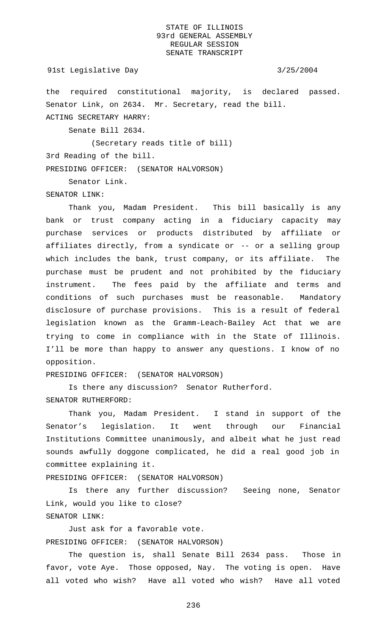### 91st Legislative Day 3/25/2004

the required constitutional majority, is declared passed. Senator Link, on 2634. Mr. Secretary, read the bill. ACTING SECRETARY HARRY:

Senate Bill 2634.

(Secretary reads title of bill)

3rd Reading of the bill.

PRESIDING OFFICER: (SENATOR HALVORSON)

Senator Link.

SENATOR LINK:

Thank you, Madam President. This bill basically is any bank or trust company acting in a fiduciary capacity may purchase services or products distributed by affiliate or affiliates directly, from a syndicate or -- or a selling group which includes the bank, trust company, or its affiliate. The purchase must be prudent and not prohibited by the fiduciary instrument. The fees paid by the affiliate and terms and conditions of such purchases must be reasonable. Mandatory disclosure of purchase provisions. This is a result of federal legislation known as the Gramm-Leach-Bailey Act that we are trying to come in compliance with in the State of Illinois. I'll be more than happy to answer any questions. I know of no opposition.

PRESIDING OFFICER: (SENATOR HALVORSON)

Is there any discussion? Senator Rutherford. SENATOR RUTHERFORD:

Thank you, Madam President. I stand in support of the Senator's legislation. It went through our Financial Institutions Committee unanimously, and albeit what he just read sounds awfully doggone complicated, he did a real good job in committee explaining it.

PRESIDING OFFICER: (SENATOR HALVORSON)

Is there any further discussion? Seeing none, Senator Link, would you like to close? SENATOR LINK:

Just ask for a favorable vote. PRESIDING OFFICER: (SENATOR HALVORSON)

The question is, shall Senate Bill 2634 pass. Those in favor, vote Aye. Those opposed, Nay. The voting is open. Have all voted who wish? Have all voted who wish? Have all voted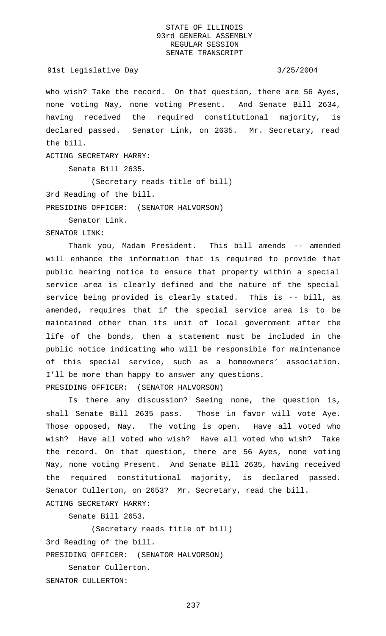who wish? Take the record. On that question, there are 56 Ayes, none voting Nay, none voting Present. And Senate Bill 2634, having received the required constitutional majority, is declared passed. Senator Link, on 2635. Mr. Secretary, read the bill.

ACTING SECRETARY HARRY:

Senate Bill 2635.

(Secretary reads title of bill)

3rd Reading of the bill.

PRESIDING OFFICER: (SENATOR HALVORSON)

Senator Link.

### SENATOR LINK:

Thank you, Madam President. This bill amends -- amended will enhance the information that is required to provide that public hearing notice to ensure that property within a special service area is clearly defined and the nature of the special service being provided is clearly stated. This is -- bill, as amended, requires that if the special service area is to be maintained other than its unit of local government after the life of the bonds, then a statement must be included in the public notice indicating who will be responsible for maintenance of this special service, such as a homeowners' association. I'll be more than happy to answer any questions. PRESIDING OFFICER: (SENATOR HALVORSON)

Is there any discussion? Seeing none, the question is, shall Senate Bill 2635 pass. Those in favor will vote Aye. Those opposed, Nay. The voting is open. Have all voted who wish? Have all voted who wish? Have all voted who wish? Take the record. On that question, there are 56 Ayes, none voting Nay, none voting Present. And Senate Bill 2635, having received the required constitutional majority, is declared passed. Senator Cullerton, on 2653? Mr. Secretary, read the bill. ACTING SECRETARY HARRY:

Senate Bill 2653.

(Secretary reads title of bill)

3rd Reading of the bill.

PRESIDING OFFICER: (SENATOR HALVORSON)

Senator Cullerton. SENATOR CULLERTON: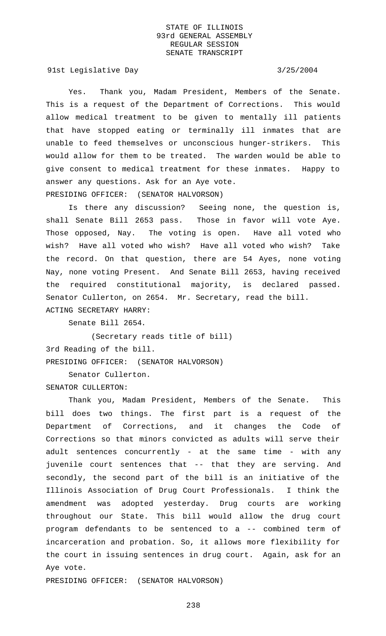91st Legislative Day 3/25/2004

Yes. Thank you, Madam President, Members of the Senate. This is a request of the Department of Corrections. This would allow medical treatment to be given to mentally ill patients that have stopped eating or terminally ill inmates that are unable to feed themselves or unconscious hunger-strikers. This would allow for them to be treated. The warden would be able to give consent to medical treatment for these inmates. Happy to answer any questions. Ask for an Aye vote. PRESIDING OFFICER: (SENATOR HALVORSON)

Is there any discussion? Seeing none, the question is, shall Senate Bill 2653 pass. Those in favor will vote Aye. Those opposed, Nay. The voting is open. Have all voted who wish? Have all voted who wish? Have all voted who wish? Take the record. On that question, there are 54 Ayes, none voting Nay, none voting Present. And Senate Bill 2653, having received the required constitutional majority, is declared passed. Senator Cullerton, on 2654. Mr. Secretary, read the bill. ACTING SECRETARY HARRY:

Senate Bill 2654.

(Secretary reads title of bill) 3rd Reading of the bill. PRESIDING OFFICER: (SENATOR HALVORSON)

Senator Cullerton. SENATOR CULLERTON:

Thank you, Madam President, Members of the Senate. This bill does two things. The first part is a request of the Department of Corrections, and it changes the Code of Corrections so that minors convicted as adults will serve their adult sentences concurrently - at the same time - with any juvenile court sentences that -- that they are serving. And secondly, the second part of the bill is an initiative of the Illinois Association of Drug Court Professionals. I think the amendment was adopted yesterday. Drug courts are working throughout our State. This bill would allow the drug court program defendants to be sentenced to a -- combined term of incarceration and probation. So, it allows more flexibility for the court in issuing sentences in drug court. Again, ask for an Aye vote.

PRESIDING OFFICER: (SENATOR HALVORSON)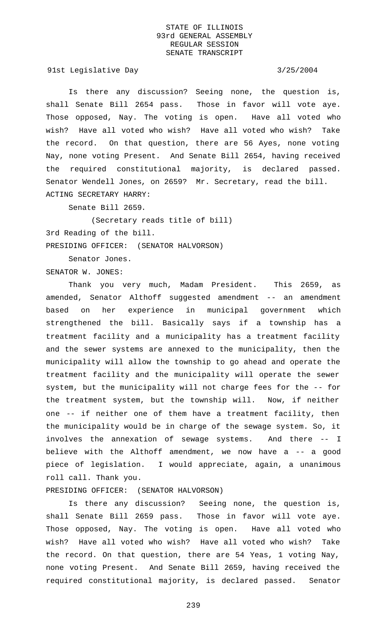91st Legislative Day 3/25/2004

Is there any discussion? Seeing none, the question is, shall Senate Bill 2654 pass. Those in favor will vote aye. Those opposed, Nay. The voting is open. Have all voted who wish? Have all voted who wish? Have all voted who wish? Take the record. On that question, there are 56 Ayes, none voting Nay, none voting Present. And Senate Bill 2654, having received the required constitutional majority, is declared passed. Senator Wendell Jones, on 2659? Mr. Secretary, read the bill. ACTING SECRETARY HARRY:

Senate Bill 2659.

(Secretary reads title of bill) 3rd Reading of the bill. PRESIDING OFFICER: (SENATOR HALVORSON)

Senator Jones.

SENATOR W. JONES:

Thank you very much, Madam President. This 2659, as amended, Senator Althoff suggested amendment -- an amendment based on her experience in municipal government which strengthened the bill. Basically says if a township has a treatment facility and a municipality has a treatment facility and the sewer systems are annexed to the municipality, then the municipality will allow the township to go ahead and operate the treatment facility and the municipality will operate the sewer system, but the municipality will not charge fees for the -- for the treatment system, but the township will. Now, if neither one -- if neither one of them have a treatment facility, then the municipality would be in charge of the sewage system. So, it involves the annexation of sewage systems. And there -- I believe with the Althoff amendment, we now have a -- a good piece of legislation. I would appreciate, again, a unanimous roll call. Thank you.

# PRESIDING OFFICER: (SENATOR HALVORSON)

Is there any discussion? Seeing none, the question is, shall Senate Bill 2659 pass. Those in favor will vote aye. Those opposed, Nay. The voting is open. Have all voted who wish? Have all voted who wish? Have all voted who wish? Take the record. On that question, there are 54 Yeas, 1 voting Nay, none voting Present. And Senate Bill 2659, having received the required constitutional majority, is declared passed. Senator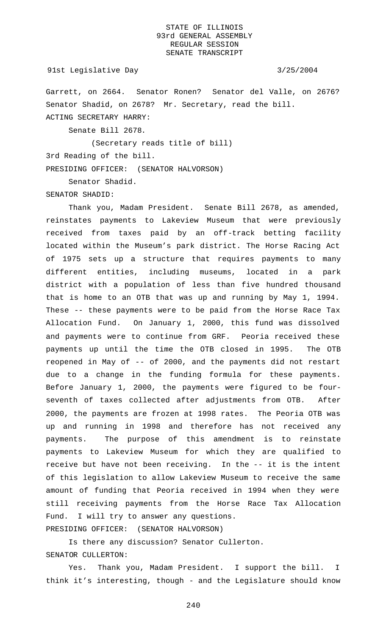### 91st Legislative Day 3/25/2004

Garrett, on 2664. Senator Ronen? Senator del Valle, on 2676? Senator Shadid, on 2678? Mr. Secretary, read the bill. ACTING SECRETARY HARRY:

Senate Bill 2678.

(Secretary reads title of bill)

3rd Reading of the bill.

PRESIDING OFFICER: (SENATOR HALVORSON)

Senator Shadid.

SENATOR SHADID:

Thank you, Madam President. Senate Bill 2678, as amended, reinstates payments to Lakeview Museum that were previously received from taxes paid by an off-track betting facility located within the Museum's park district. The Horse Racing Act of 1975 sets up a structure that requires payments to many different entities, including museums, located in a park district with a population of less than five hundred thousand that is home to an OTB that was up and running by May 1, 1994. These -- these payments were to be paid from the Horse Race Tax Allocation Fund. On January 1, 2000, this fund was dissolved and payments were to continue from GRF. Peoria received these payments up until the time the OTB closed in 1995. The OTB reopened in May of -- of 2000, and the payments did not restart due to a change in the funding formula for these payments. Before January 1, 2000, the payments were figured to be fourseventh of taxes collected after adjustments from OTB. 2000, the payments are frozen at 1998 rates. The Peoria OTB was up and running in 1998 and therefore has not received any payments. The purpose of this amendment is to reinstate payments to Lakeview Museum for which they are qualified to receive but have not been receiving. In the -- it is the intent of this legislation to allow Lakeview Museum to receive the same amount of funding that Peoria received in 1994 when they were still receiving payments from the Horse Race Tax Allocation Fund. I will try to answer any questions. PRESIDING OFFICER: (SENATOR HALVORSON)

Is there any discussion? Senator Cullerton.

SENATOR CULLERTON:

Yes. Thank you, Madam President. I support the bill. I think it's interesting, though - and the Legislature should know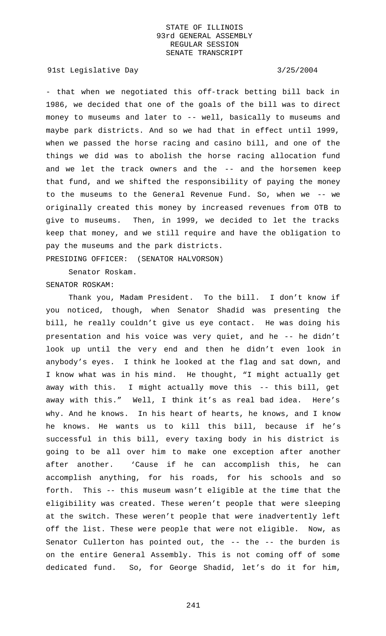# 91st Legislative Day 3/25/2004

- that when we negotiated this off-track betting bill back in 1986, we decided that one of the goals of the bill was to direct money to museums and later to -- well, basically to museums and maybe park districts. And so we had that in effect until 1999, when we passed the horse racing and casino bill, and one of the things we did was to abolish the horse racing allocation fund and we let the track owners and the -- and the horsemen keep that fund, and we shifted the responsibility of paying the money to the museums to the General Revenue Fund. So, when we -- we originally created this money by increased revenues from OTB to give to museums. Then, in 1999, we decided to let the tracks keep that money, and we still require and have the obligation to pay the museums and the park districts. PRESIDING OFFICER: (SENATOR HALVORSON)

Senator Roskam.

# SENATOR ROSKAM:

Thank you, Madam President. To the bill. I don't know if you noticed, though, when Senator Shadid was presenting the bill, he really couldn't give us eye contact. He was doing his presentation and his voice was very quiet, and he -- he didn't look up until the very end and then he didn't even look in anybody's eyes. I think he looked at the flag and sat down, and I know what was in his mind. He thought, "I might actually get away with this. I might actually move this -- this bill, get away with this." Well, I think it's as real bad idea. Here's why. And he knows. In his heart of hearts, he knows, and I know he knows. He wants us to kill this bill, because if he's successful in this bill, every taxing body in his district is going to be all over him to make one exception after another after another. 'Cause if he can accomplish this, he can accomplish anything, for his roads, for his schools and so forth. This -- this museum wasn't eligible at the time that the eligibility was created. These weren't people that were sleeping at the switch. These weren't people that were inadvertently left off the list. These were people that were not eligible. Now, as Senator Cullerton has pointed out, the -- the -- the burden is on the entire General Assembly. This is not coming off of some dedicated fund. So, for George Shadid, let's do it for him,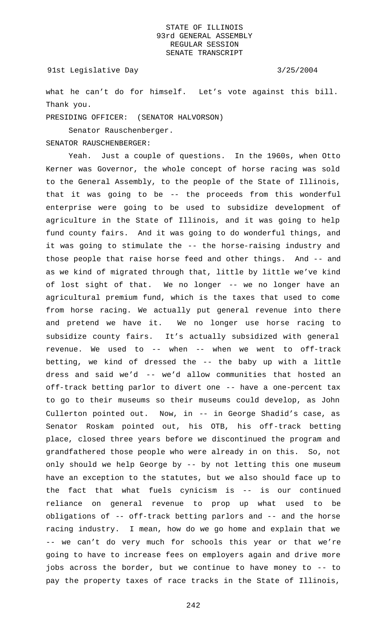### 91st Legislative Day 3/25/2004

what he can't do for himself. Let's vote against this bill. Thank you.

PRESIDING OFFICER: (SENATOR HALVORSON)

Senator Rauschenberger.

### SENATOR RAUSCHENBERGER:

Yeah. Just a couple of questions. In the 1960s, when Otto Kerner was Governor, the whole concept of horse racing was sold to the General Assembly, to the people of the State of Illinois, that it was going to be -- the proceeds from this wonderful enterprise were going to be used to subsidize development of agriculture in the State of Illinois, and it was going to help fund county fairs. And it was going to do wonderful things, and it was going to stimulate the -- the horse-raising industry and those people that raise horse feed and other things. And -- and as we kind of migrated through that, little by little we've kind of lost sight of that. We no longer -- we no longer have an agricultural premium fund, which is the taxes that used to come from horse racing. We actually put general revenue into there and pretend we have it. We no longer use horse racing to subsidize county fairs. It's actually subsidized with general revenue. We used to -- when -- when we went to off-track betting, we kind of dressed the -- the baby up with a little dress and said we'd -- we'd allow communities that hosted an off-track betting parlor to divert one -- have a one-percent tax to go to their museums so their museums could develop, as John Cullerton pointed out. Now, in -- in George Shadid's case, as Senator Roskam pointed out, his OTB, his off-track betting place, closed three years before we discontinued the program and grandfathered those people who were already in on this. So, not only should we help George by -- by not letting this one museum have an exception to the statutes, but we also should face up to the fact that what fuels cynicism is -- is our continued reliance on general revenue to prop up what used to be obligations of -- off-track betting parlors and -- and the horse racing industry. I mean, how do we go home and explain that we -- we can't do very much for schools this year or that we're going to have to increase fees on employers again and drive more jobs across the border, but we continue to have money to -- to pay the property taxes of race tracks in the State of Illinois,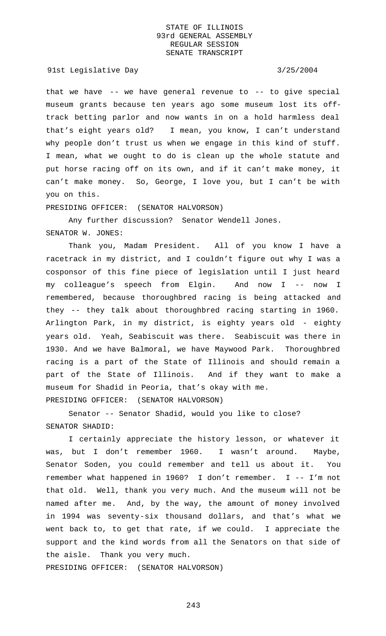91st Legislative Day 3/25/2004

that we have  $-$ - we have general revenue to  $-$ - to give special museum grants because ten years ago some museum lost its offtrack betting parlor and now wants in on a hold harmless deal that's eight years old? I mean, you know, I can't understand why people don't trust us when we engage in this kind of stuff. I mean, what we ought to do is clean up the whole statute and put horse racing off on its own, and if it can't make money, it can't make money. So, George, I love you, but I can't be with you on this.

PRESIDING OFFICER: (SENATOR HALVORSON)

Any further discussion? Senator Wendell Jones. SENATOR W. JONES:

Thank you, Madam President. All of you know I have a racetrack in my district, and I couldn't figure out why I was a cosponsor of this fine piece of legislation until I just heard my colleague's speech from Elgin. And now I -- now I remembered, because thoroughbred racing is being attacked and they -- they talk about thoroughbred racing starting in 1960. Arlington Park, in my district, is eighty years old - eighty years old. Yeah, Seabiscuit was there. Seabiscuit was there in 1930. And we have Balmoral, we have Maywood Park. Thoroughbred racing is a part of the State of Illinois and should remain a part of the State of Illinois. And if they want to make a museum for Shadid in Peoria, that's okay with me. PRESIDING OFFICER: (SENATOR HALVORSON)

Senator -- Senator Shadid, would you like to close? SENATOR SHADID:

I certainly appreciate the history lesson, or whatever it was, but I don't remember 1960. I wasn't around. Maybe, Senator Soden, you could remember and tell us about it. You remember what happened in 1960? I don't remember. I -- I'm not that old. Well, thank you very much. And the museum will not be named after me. And, by the way, the amount of money involved in 1994 was seventy-six thousand dollars, and that's what we went back to, to get that rate, if we could. I appreciate the support and the kind words from all the Senators on that side of the aisle. Thank you very much.

PRESIDING OFFICER: (SENATOR HALVORSON)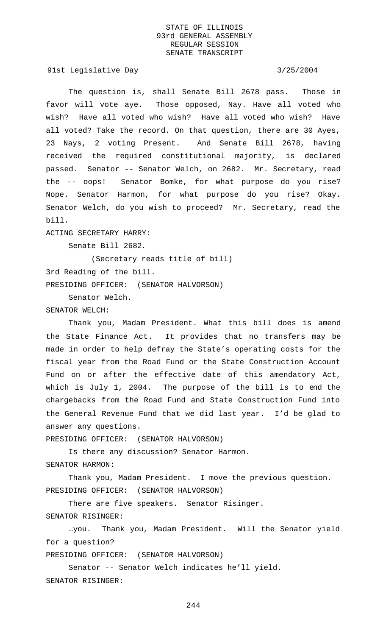91st Legislative Day 3/25/2004

The question is, shall Senate Bill 2678 pass. Those in favor will vote aye. Those opposed, Nay. Have all voted who wish? Have all voted who wish? Have all voted who wish? Have all voted? Take the record. On that question, there are 30 Ayes, 23 Nays, 2 voting Present. And Senate Bill 2678, having received the required constitutional majority, is declared passed. Senator -- Senator Welch, on 2682. Mr. Secretary, read the -- oops! Senator Bomke, for what purpose do you rise? Nope. Senator Harmon, for what purpose do you rise? Okay. Senator Welch, do you wish to proceed? Mr. Secretary, read the bill.

### ACTING SECRETARY HARRY:

Senate Bill 2682.

(Secretary reads title of bill)

3rd Reading of the bill.

PRESIDING OFFICER: (SENATOR HALVORSON)

Senator Welch.

## SENATOR WELCH:

Thank you, Madam President. What this bill does is amend the State Finance Act. It provides that no transfers may be made in order to help defray the State's operating costs for the fiscal year from the Road Fund or the State Construction Account Fund on or after the effective date of this amendatory Act, which is July 1, 2004. The purpose of the bill is to end the chargebacks from the Road Fund and State Construction Fund into the General Revenue Fund that we did last year. I'd be glad to answer any questions.

PRESIDING OFFICER: (SENATOR HALVORSON)

Is there any discussion? Senator Harmon. SENATOR HARMON:

Thank you, Madam President. I move the previous question. PRESIDING OFFICER: (SENATOR HALVORSON)

There are five speakers. Senator Risinger.

SENATOR RISINGER:

…you. Thank you, Madam President. Will the Senator yield for a question?

PRESIDING OFFICER: (SENATOR HALVORSON)

Senator -- Senator Welch indicates he'll yield. SENATOR RISINGER: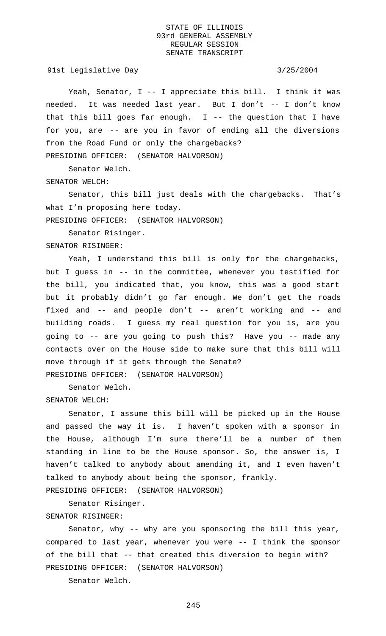91st Legislative Day 3/25/2004

Yeah, Senator, I -- I appreciate this bill. I think it was needed. It was needed last year. But I don't -- I don't know that this bill goes far enough.  $I$  -- the question that I have for you, are -- are you in favor of ending all the diversions from the Road Fund or only the chargebacks? PRESIDING OFFICER: (SENATOR HALVORSON)

Senator Welch.

SENATOR WELCH:

Senator, this bill just deals with the chargebacks. That's what I'm proposing here today.

PRESIDING OFFICER: (SENATOR HALVORSON)

Senator Risinger.

SENATOR RISINGER:

Yeah, I understand this bill is only for the chargebacks, but I guess in -- in the committee, whenever you testified for the bill, you indicated that, you know, this was a good start but it probably didn't go far enough. We don't get the roads fixed and -- and people don't -- aren't working and -- and building roads. I guess my real question for you is, are you going to -- are you going to push this? Have you -- made any contacts over on the House side to make sure that this bill will move through if it gets through the Senate?

PRESIDING OFFICER: (SENATOR HALVORSON)

Senator Welch.

### SENATOR WELCH:

Senator, I assume this bill will be picked up in the House and passed the way it is. I haven't spoken with a sponsor in the House, although I'm sure there'll be a number of them standing in line to be the House sponsor. So, the answer is, I haven't talked to anybody about amending it, and I even haven't talked to anybody about being the sponsor, frankly.

PRESIDING OFFICER: (SENATOR HALVORSON)

Senator Risinger.

SENATOR RISINGER:

Senator, why -- why are you sponsoring the bill this year, compared to last year, whenever you were -- I think the sponsor of the bill that -- that created this diversion to begin with? PRESIDING OFFICER: (SENATOR HALVORSON)

Senator Welch.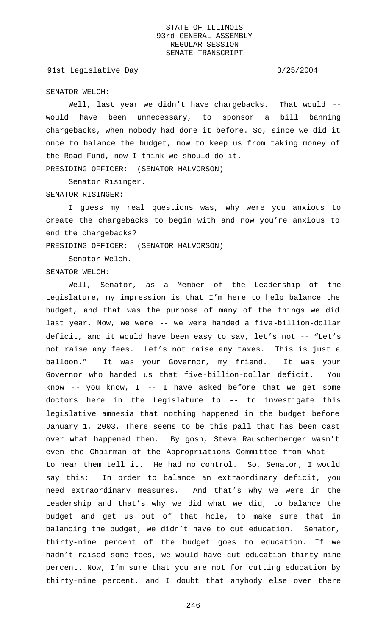91st Legislative Day 3/25/2004

SENATOR WELCH:

Well, last year we didn't have chargebacks. That would -would have been unnecessary, to sponsor a bill banning chargebacks, when nobody had done it before. So, since we did it once to balance the budget, now to keep us from taking money of the Road Fund, now I think we should do it. PRESIDING OFFICER: (SENATOR HALVORSON)

Senator Risinger.

SENATOR RISINGER:

I guess my real questions was, why were you anxious to create the chargebacks to begin with and now you're anxious to end the chargebacks?

PRESIDING OFFICER: (SENATOR HALVORSON)

Senator Welch.

SENATOR WELCH:

Well, Senator, as a Member of the Leadership of the Legislature, my impression is that I'm here to help balance the budget, and that was the purpose of many of the things we did last year. Now, we were -- we were handed a five-billion-dollar deficit, and it would have been easy to say, let's not -- "Let's not raise any fees. Let's not raise any taxes. This is just a balloon." It was your Governor, my friend. It was your Governor who handed us that five-billion-dollar deficit. You know  $--$  you know, I  $--$  I have asked before that we get some doctors here in the Legislature to -- to investigate this legislative amnesia that nothing happened in the budget before January 1, 2003. There seems to be this pall that has been cast over what happened then. By gosh, Steve Rauschenberger wasn't even the Chairman of the Appropriations Committee from what - to hear them tell it. He had no control. So, Senator, I would say this: In order to balance an extraordinary deficit, you need extraordinary measures. And that's why we were in the Leadership and that's why we did what we did, to balance the budget and get us out of that hole, to make sure that in balancing the budget, we didn't have to cut education. Senator, thirty-nine percent of the budget goes to education. If we hadn't raised some fees, we would have cut education thirty-nine percent. Now, I'm sure that you are not for cutting education by thirty-nine percent, and I doubt that anybody else over there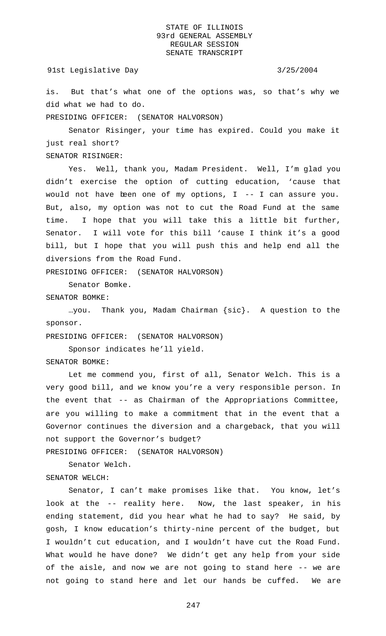### 91st Legislative Day 3/25/2004

is. But that's what one of the options was, so that's why we did what we had to do.

PRESIDING OFFICER: (SENATOR HALVORSON)

Senator Risinger, your time has expired. Could you make it just real short?

SENATOR RISINGER:

Yes. Well, thank you, Madam President. Well, I'm glad you didn't exercise the option of cutting education, 'cause that would not have been one of my options, I -- I can assure you. But, also, my option was not to cut the Road Fund at the same time. I hope that you will take this a little bit further, Senator. I will vote for this bill 'cause I think it's a good bill, but I hope that you will push this and help end all the diversions from the Road Fund.

PRESIDING OFFICER: (SENATOR HALVORSON)

Senator Bomke.

SENATOR BOMKE:

…you. Thank you, Madam Chairman {sic}. A question to the sponsor.

PRESIDING OFFICER: (SENATOR HALVORSON)

Sponsor indicates he'll yield.

SENATOR BOMKE:

Let me commend you, first of all, Senator Welch. This is a very good bill, and we know you're a very responsible person. In the event that -- as Chairman of the Appropriations Committee, are you willing to make a commitment that in the event that a Governor continues the diversion and a chargeback, that you will not support the Governor's budget?

PRESIDING OFFICER: (SENATOR HALVORSON)

Senator Welch.

SENATOR WELCH:

Senator, I can't make promises like that. You know, let's look at the -- reality here. Now, the last speaker, in his ending statement, did you hear what he had to say? He said, by gosh, I know education's thirty-nine percent of the budget, but I wouldn't cut education, and I wouldn't have cut the Road Fund. What would he have done? We didn't get any help from your side of the aisle, and now we are not going to stand here -- we are not going to stand here and let our hands be cuffed. We are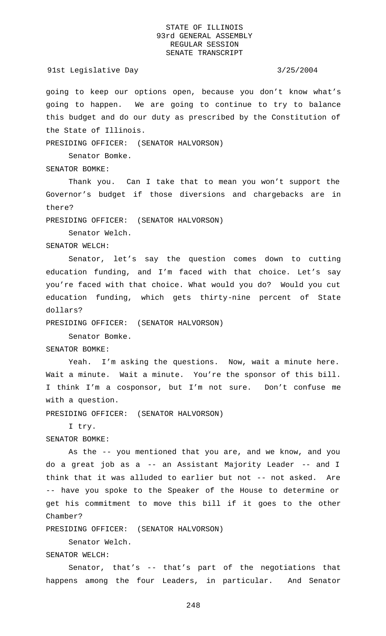## 91st Legislative Day 3/25/2004

going to keep our options open, because you don't know what's going to happen. We are going to continue to try to balance this budget and do our duty as prescribed by the Constitution of the State of Illinois.

PRESIDING OFFICER: (SENATOR HALVORSON)

Senator Bomke.

## SENATOR BOMKE:

Thank you. Can I take that to mean you won't support the Governor's budget if those diversions and chargebacks are in there?

PRESIDING OFFICER: (SENATOR HALVORSON)

Senator Welch.

SENATOR WELCH:

Senator, let's say the question comes down to cutting education funding, and I'm faced with that choice. Let's say you're faced with that choice. What would you do? Would you cut education funding, which gets thirty-nine percent of State dollars?

PRESIDING OFFICER: (SENATOR HALVORSON)

Senator Bomke.

SENATOR BOMKE:

Yeah. I'm asking the questions. Now, wait a minute here. Wait a minute. Wait a minute. You're the sponsor of this bill. I think I'm a cosponsor, but I'm not sure. Don't confuse me with a question.

PRESIDING OFFICER: (SENATOR HALVORSON)

I try.

SENATOR BOMKE:

As the -- you mentioned that you are, and we know, and you do a great job as a -- an Assistant Majority Leader -- and I think that it was alluded to earlier but not -- not asked. Are -- have you spoke to the Speaker of the House to determine or get his commitment to move this bill if it goes to the other Chamber?

PRESIDING OFFICER: (SENATOR HALVORSON)

Senator Welch.

SENATOR WELCH:

Senator, that's -- that's part of the negotiations that happens among the four Leaders, in particular. And Senator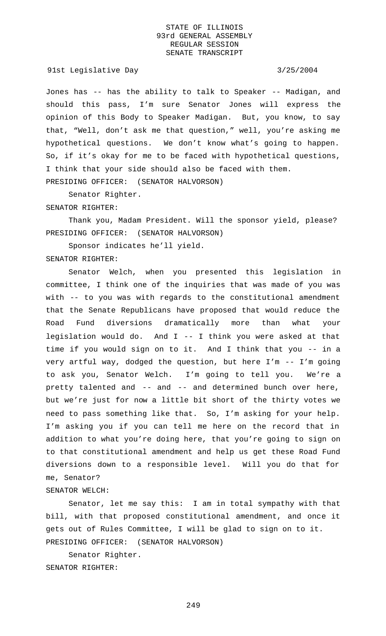91st Legislative Day 3/25/2004

Jones has -- has the ability to talk to Speaker -- Madigan, and should this pass, I'm sure Senator Jones will express the opinion of this Body to Speaker Madigan. But, you know, to say that, "Well, don't ask me that question," well, you're asking me hypothetical questions. We don't know what's going to happen. So, if it's okay for me to be faced with hypothetical questions, I think that your side should also be faced with them. PRESIDING OFFICER: (SENATOR HALVORSON)

Senator Righter.

### SENATOR RIGHTER:

Thank you, Madam President. Will the sponsor yield, please? PRESIDING OFFICER: (SENATOR HALVORSON)

Sponsor indicates he'll yield. SENATOR RIGHTER:

Senator Welch, when you presented this legislation in committee, I think one of the inquiries that was made of you was with -- to you was with regards to the constitutional amendment that the Senate Republicans have proposed that would reduce the Road Fund diversions dramatically more than what your legislation would do. And I -- I think you were asked at that time if you would sign on to it. And I think that you -- in a very artful way, dodged the question, but here I'm -- I'm going to ask you, Senator Welch. I'm going to tell you. We're a pretty talented and -- and -- and determined bunch over here, but we're just for now a little bit short of the thirty votes we need to pass something like that. So, I'm asking for your help. I'm asking you if you can tell me here on the record that in addition to what you're doing here, that you're going to sign on to that constitutional amendment and help us get these Road Fund diversions down to a responsible level. Will you do that for me, Senator?

SENATOR WELCH:

Senator, let me say this: I am in total sympathy with that bill, with that proposed constitutional amendment, and once it gets out of Rules Committee, I will be glad to sign on to it. PRESIDING OFFICER: (SENATOR HALVORSON)

Senator Righter. SENATOR RIGHTER: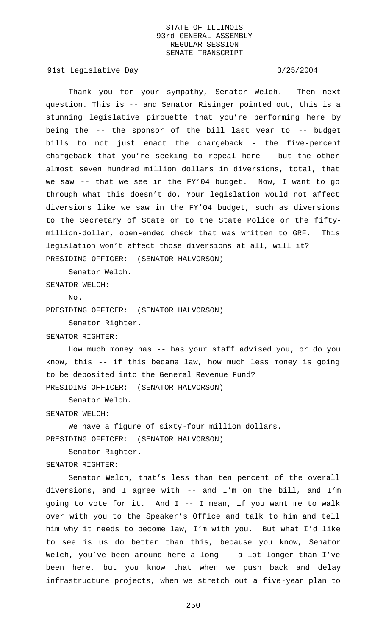91st Legislative Day 3/25/2004

Thank you for your sympathy, Senator Welch. Then next question. This is -- and Senator Risinger pointed out, this is a stunning legislative pirouette that you're performing here by being the -- the sponsor of the bill last year to -- budget bills to not just enact the chargeback - the five-percent chargeback that you're seeking to repeal here - but the other almost seven hundred million dollars in diversions, total, that we saw -- that we see in the FY'04 budget. Now, I want to go through what this doesn't do. Your legislation would not affect diversions like we saw in the FY'04 budget, such as diversions to the Secretary of State or to the State Police or the fiftymillion-dollar, open-ended check that was written to GRF. This legislation won't affect those diversions at all, will it? PRESIDING OFFICER: (SENATOR HALVORSON)

Senator Welch.

SENATOR WELCH:

 $N<sub>O</sub>$ 

PRESIDING OFFICER: (SENATOR HALVORSON)

Senator Righter.

SENATOR RIGHTER:

How much money has -- has your staff advised you, or do you know, this -- if this became law, how much less money is going to be deposited into the General Revenue Fund? PRESIDING OFFICER: (SENATOR HALVORSON)

Senator Welch.

## SENATOR WELCH:

We have a figure of sixty-four million dollars. PRESIDING OFFICER: (SENATOR HALVORSON)

Senator Righter.

### SENATOR RIGHTER:

Senator Welch, that's less than ten percent of the overall diversions, and I agree with -- and I'm on the bill, and I'm going to vote for it. And I -- I mean, if you want me to walk over with you to the Speaker's Office and talk to him and tell him why it needs to become law, I'm with you. But what I'd like to see is us do better than this, because you know, Senator Welch, you've been around here a long -- a lot longer than I've been here, but you know that when we push back and delay infrastructure projects, when we stretch out a five-year plan to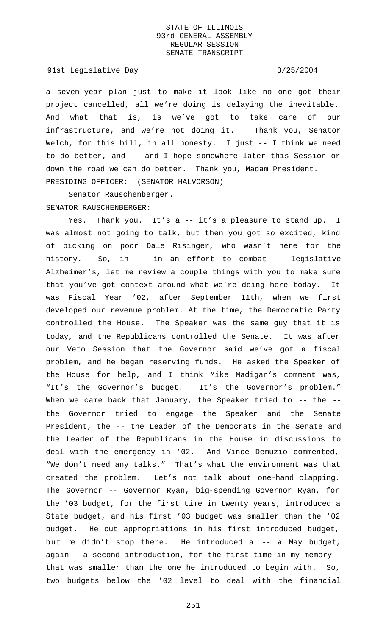91st Legislative Day 3/25/2004

a seven-year plan just to make it look like no one got their project cancelled, all we're doing is delaying the inevitable. And what that is, is we've got to take care of our infrastructure, and we're not doing it. Thank you, Senator Welch, for this bill, in all honesty. I just -- I think we need to do better, and -- and I hope somewhere later this Session or down the road we can do better. Thank you, Madam President. PRESIDING OFFICER: (SENATOR HALVORSON)

Senator Rauschenberger. SENATOR RAUSCHENBERGER:

Yes. Thank you. It's a -- it's a pleasure to stand up. I was almost not going to talk, but then you got so excited, kind of picking on poor Dale Risinger, who wasn't here for the history. So, in -- in an effort to combat -- legislative Alzheimer's, let me review a couple things with you to make sure that you've got context around what we're doing here today. It was Fiscal Year '02, after September 11th, when we first developed our revenue problem. At the time, the Democratic Party controlled the House. The Speaker was the same guy that it is today, and the Republicans controlled the Senate. It was after our Veto Session that the Governor said we've got a fiscal problem, and he began reserving funds. He asked the Speaker of the House for help, and I think Mike Madigan's comment was, "It's the Governor's budget. It's the Governor's problem." When we came back that January, the Speaker tried to -- the -the Governor tried to engage the Speaker and the Senate President, the -- the Leader of the Democrats in the Senate and the Leader of the Republicans in the House in discussions to deal with the emergency in '02. And Vince Demuzio commented, "We don't need any talks." That's what the environment was that created the problem. Let's not talk about one-hand clapping. The Governor -- Governor Ryan, big-spending Governor Ryan, for the '03 budget, for the first time in twenty years, introduced a State budget, and his first '03 budget was smaller than the '02 budget. He cut appropriations in his first introduced budget, but he didn't stop there. He introduced a -- a May budget, again - a second introduction, for the first time in my memory that was smaller than the one he introduced to begin with. So, two budgets below the '02 level to deal with the financial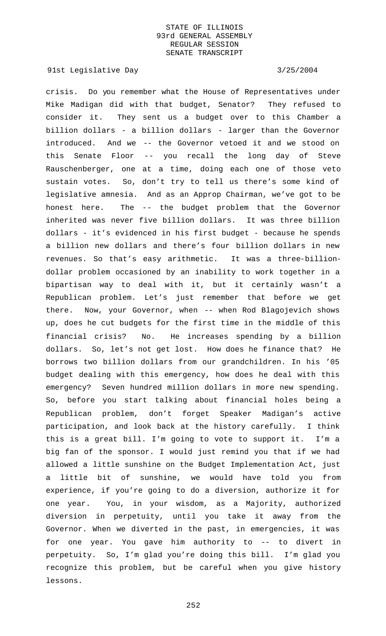91st Legislative Day 3/25/2004

crisis. Do you remember what the House of Representatives under Mike Madigan did with that budget, Senator? They refused to consider it. They sent us a budget over to this Chamber a billion dollars - a billion dollars - larger than the Governor introduced. And we -- the Governor vetoed it and we stood on this Senate Floor -- you recall the long day of Steve Rauschenberger, one at a time, doing each one of those veto sustain votes. So, don't try to tell us there's some kind of legislative amnesia. And as an Approp Chairman, we've got to be honest here. The -- the budget problem that the Governor inherited was never five billion dollars. It was three billion dollars - it's evidenced in his first budget - because he spends a billion new dollars and there's four billion dollars in new revenues. So that's easy arithmetic. It was a three-billiondollar problem occasioned by an inability to work together in a bipartisan way to deal with it, but it certainly wasn't a Republican problem. Let's just remember that before we get there. Now, your Governor, when -- when Rod Blagojevich shows up, does he cut budgets for the first time in the middle of this financial crisis? No. He increases spending by a billion dollars. So, let's not get lost. How does he finance that? He borrows two billion dollars from our grandchildren. In his '05 budget dealing with this emergency, how does he deal with this emergency? Seven hundred million dollars in more new spending. So, before you start talking about financial holes being a Republican problem, don't forget Speaker Madigan's active participation, and look back at the history carefully. I think this is a great bill. I'm going to vote to support it. I'm a big fan of the sponsor. I would just remind you that if we had allowed a little sunshine on the Budget Implementation Act, just a little bit of sunshine, we would have told you from experience, if you're going to do a diversion, authorize it for one year. You, in your wisdom, as a Majority, authorized diversion in perpetuity, until you take it away from the Governor. When we diverted in the past, in emergencies, it was for one year. You gave him authority to -- to divert in perpetuity. So, I'm glad you're doing this bill. I'm glad you recognize this problem, but be careful when you give history lessons.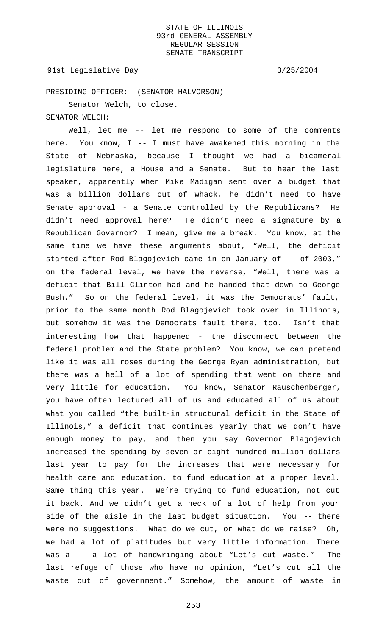91st Legislative Day 3/25/2004

PRESIDING OFFICER: (SENATOR HALVORSON)

Senator Welch, to close.

SENATOR WELCH:

Well, let me -- let me respond to some of the comments here. You know, I -- I must have awakened this morning in the State of Nebraska, because I thought we had a bicameral legislature here, a House and a Senate. But to hear the last speaker, apparently when Mike Madigan sent over a budget that was a billion dollars out of whack, he didn't need to have Senate approval - a Senate controlled by the Republicans? He didn't need approval here? He didn't need a signature by a Republican Governor? I mean, give me a break. You know, at the same time we have these arguments about, "Well, the deficit started after Rod Blagojevich came in on January of -- of 2003," on the federal level, we have the reverse, "Well, there was a deficit that Bill Clinton had and he handed that down to George Bush." So on the federal level, it was the Democrats' fault, prior to the same month Rod Blagojevich took over in Illinois, but somehow it was the Democrats fault there, too. Isn't that interesting how that happened - the disconnect between the federal problem and the State problem? You know, we can pretend like it was all roses during the George Ryan administration, but there was a hell of a lot of spending that went on there and very little for education. You know, Senator Rauschenberger, you have often lectured all of us and educated all of us about what you called "the built-in structural deficit in the State of Illinois," a deficit that continues yearly that we don't have enough money to pay, and then you say Governor Blagojevich increased the spending by seven or eight hundred million dollars last year to pay for the increases that were necessary for health care and education, to fund education at a proper level. Same thing this year. We're trying to fund education, not cut it back. And we didn't get a heck of a lot of help from your side of the aisle in the last budget situation. You -- there were no suggestions. What do we cut, or what do we raise? Oh, we had a lot of platitudes but very little information. There was a -- a lot of handwringing about "Let's cut waste." The last refuge of those who have no opinion, "Let's cut all the waste out of government." Somehow, the amount of waste in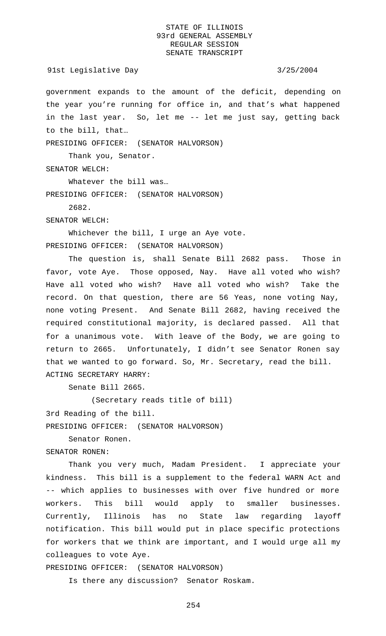government expands to the amount of the deficit, depending on the year you're running for office in, and that's what happened in the last year. So, let me -- let me just say, getting back to the bill, that…

PRESIDING OFFICER: (SENATOR HALVORSON)

Thank you, Senator.

SENATOR WELCH:

Whatever the bill was… PRESIDING OFFICER: (SENATOR HALVORSON)

2682.

SENATOR WELCH:

Whichever the bill, I urge an Aye vote. PRESIDING OFFICER: (SENATOR HALVORSON)

The question is, shall Senate Bill 2682 pass. Those in favor, vote Aye. Those opposed, Nay. Have all voted who wish? Have all voted who wish? Have all voted who wish? Take the record. On that question, there are 56 Yeas, none voting Nay, none voting Present. And Senate Bill 2682, having received the required constitutional majority, is declared passed. All that for a unanimous vote. With leave of the Body, we are going to return to 2665. Unfortunately, I didn't see Senator Ronen say that we wanted to go forward. So, Mr. Secretary, read the bill. ACTING SECRETARY HARRY:

Senate Bill 2665.

(Secretary reads title of bill)

3rd Reading of the bill.

PRESIDING OFFICER: (SENATOR HALVORSON)

Senator Ronen.

SENATOR RONEN:

Thank you very much, Madam President. I appreciate your kindness. This bill is a supplement to the federal WARN Act and -- which applies to businesses with over five hundred or more workers. This bill would apply to smaller businesses. Currently, Illinois has no State law regarding layoff notification. This bill would put in place specific protections for workers that we think are important, and I would urge all my colleagues to vote Aye.

PRESIDING OFFICER: (SENATOR HALVORSON)

Is there any discussion? Senator Roskam.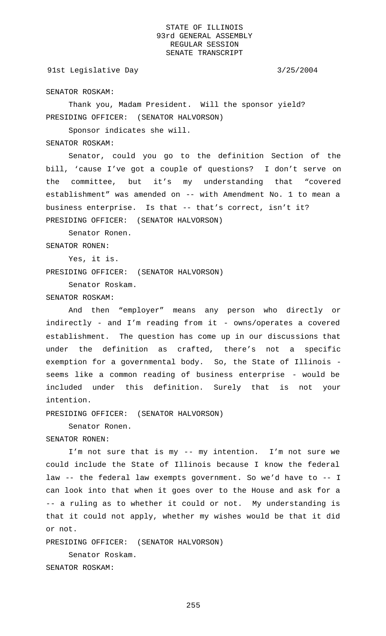## 91st Legislative Day 3/25/2004

SENATOR ROSKAM:

Thank you, Madam President. Will the sponsor yield? PRESIDING OFFICER: (SENATOR HALVORSON)

Sponsor indicates she will.

# SENATOR ROSKAM:

Senator, could you go to the definition Section of the bill, 'cause I've got a couple of questions? I don't serve on the committee, but it's my understanding that "covered establishment" was amended on -- with Amendment No. 1 to mean a business enterprise. Is that -- that's correct, isn't it? PRESIDING OFFICER: (SENATOR HALVORSON)

Senator Ronen.

SENATOR RONEN:

Yes, it is.

PRESIDING OFFICER: (SENATOR HALVORSON)

Senator Roskam.

## SENATOR ROSKAM:

And then "employer" means any person who directly or indirectly - and I'm reading from it - owns/operates a covered establishment. The question has come up in our discussions that under the definition as crafted, there's not a specific exemption for a governmental body. So, the State of Illinois seems like a common reading of business enterprise - would be included under this definition. Surely that is not your intention.

PRESIDING OFFICER: (SENATOR HALVORSON)

Senator Ronen.

SENATOR RONEN:

I'm not sure that is my -- my intention. I'm not sure we could include the State of Illinois because I know the federal law -- the federal law exempts government. So we'd have to -- I can look into that when it goes over to the House and ask for a -- a ruling as to whether it could or not. My understanding is that it could not apply, whether my wishes would be that it did or not.

PRESIDING OFFICER: (SENATOR HALVORSON)

Senator Roskam. SENATOR ROSKAM: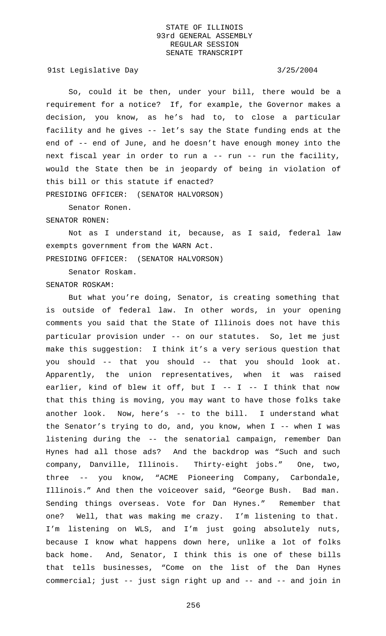91st Legislative Day 3/25/2004

So, could it be then, under your bill, there would be a requirement for a notice? If, for example, the Governor makes a decision, you know, as he's had to, to close a particular facility and he gives -- let's say the State funding ends at the end of -- end of June, and he doesn't have enough money into the next fiscal year in order to run a -- run -- run the facility, would the State then be in jeopardy of being in violation of this bill or this statute if enacted? PRESIDING OFFICER: (SENATOR HALVORSON)

Senator Ronen.

### SENATOR RONEN:

Not as I understand it, because, as I said, federal law exempts government from the WARN Act. PRESIDING OFFICER: (SENATOR HALVORSON)

Senator Roskam. SENATOR ROSKAM:

But what you're doing, Senator, is creating something that is outside of federal law. In other words, in your opening comments you said that the State of Illinois does not have this particular provision under -- on our statutes. So, let me just make this suggestion: I think it's a very serious question that you should -- that you should -- that you should look at. Apparently, the union representatives, when it was raised earlier, kind of blew it off, but  $I$  --  $I$  -- I think that now that this thing is moving, you may want to have those folks take another look. Now, here's -- to the bill. I understand what the Senator's trying to do, and, you know, when I -- when I was listening during the -- the senatorial campaign, remember Dan Hynes had all those ads? And the backdrop was "Such and such company, Danville, Illinois. Thirty-eight jobs." One, two, three -- you know, "ACME Pioneering Company, Carbondale, Illinois." And then the voiceover said, "George Bush. Bad man. Sending things overseas. Vote for Dan Hynes." Remember that one? Well, that was making me crazy. I'm listening to that. I'm listening on WLS, and I'm just going absolutely nuts, because I know what happens down here, unlike a lot of folks back home. And, Senator, I think this is one of these bills that tells businesses, "Come on the list of the Dan Hynes commercial; just -- just sign right up and -- and -- and join in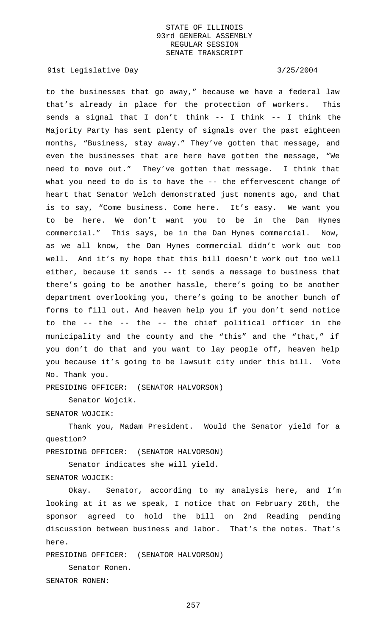91st Legislative Day 3/25/2004

to the businesses that go away," because we have a federal law that's already in place for the protection of workers. This sends a signal that I don't think -- I think -- I think the Majority Party has sent plenty of signals over the past eighteen months, "Business, stay away." They've gotten that message, and even the businesses that are here have gotten the message, "We need to move out." They've gotten that message. I think that what you need to do is to have the -- the effervescent change of heart that Senator Welch demonstrated just moments ago, and that is to say, "Come business. Come here. It's easy. We want you to be here. We don't want you to be in the Dan Hynes commercial." This says, be in the Dan Hynes commercial. Now, as we all know, the Dan Hynes commercial didn't work out too well. And it's my hope that this bill doesn't work out too well either, because it sends -- it sends a message to business that there's going to be another hassle, there's going to be another department overlooking you, there's going to be another bunch of forms to fill out. And heaven help you if you don't send notice to the -- the -- the -- the chief political officer in the municipality and the county and the "this" and the "that," if you don't do that and you want to lay people off, heaven help you because it's going to be lawsuit city under this bill. Vote No. Thank you.

PRESIDING OFFICER: (SENATOR HALVORSON)

Senator Wojcik.

## SENATOR WOJCIK:

Thank you, Madam President. Would the Senator yield for a question?

PRESIDING OFFICER: (SENATOR HALVORSON)

Senator indicates she will yield.

SENATOR WOJCIK:

Okay. Senator, according to my analysis here, and I'm looking at it as we speak, I notice that on February 26th, the sponsor agreed to hold the bill on 2nd Reading pending discussion between business and labor. That's the notes. That's here.

PRESIDING OFFICER: (SENATOR HALVORSON)

Senator Ronen. SENATOR RONEN: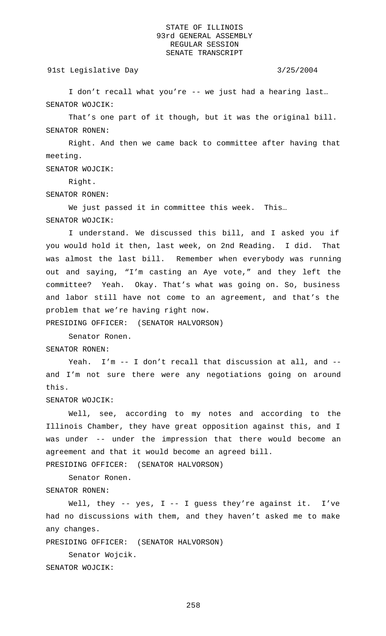### 91st Legislative Day 3/25/2004

I don't recall what you're -- we just had a hearing last… SENATOR WOJCIK:

That's one part of it though, but it was the original bill. SENATOR RONEN:

Right. And then we came back to committee after having that meeting.

SENATOR WOJCIK:

Right.

SENATOR RONEN:

We just passed it in committee this week. This… SENATOR WOJCIK:

I understand. We discussed this bill, and I asked you if you would hold it then, last week, on 2nd Reading. I did. That was almost the last bill. Remember when everybody was running out and saying, "I'm casting an Aye vote," and they left the committee? Yeah. Okay. That's what was going on. So, business and labor still have not come to an agreement, and that's the problem that we're having right now.

PRESIDING OFFICER: (SENATOR HALVORSON)

Senator Ronen.

SENATOR RONEN:

Yeah. I'm -- I don't recall that discussion at all, and - and I'm not sure there were any negotiations going on around this.

SENATOR WOJCIK:

Well, see, according to my notes and according to the Illinois Chamber, they have great opposition against this, and I was under -- under the impression that there would become an agreement and that it would become an agreed bill. PRESIDING OFFICER: (SENATOR HALVORSON)

Senator Ronen. SENATOR RONEN:

Well, they -- yes,  $I$  -- I guess they're against it. I've had no discussions with them, and they haven't asked me to make any changes.

PRESIDING OFFICER: (SENATOR HALVORSON)

Senator Wojcik. SENATOR WOJCIK: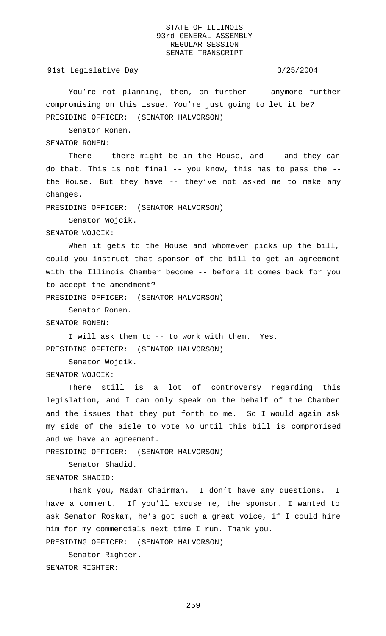91st Legislative Day 3/25/2004

You're not planning, then, on further -- anymore further compromising on this issue. You're just going to let it be? PRESIDING OFFICER: (SENATOR HALVORSON)

Senator Ronen.

SENATOR RONEN:

There -- there might be in the House, and -- and they can do that. This is not final -- you know, this has to pass the - the House. But they have -- they've not asked me to make any changes.

PRESIDING OFFICER: (SENATOR HALVORSON)

Senator Wojcik.

SENATOR WOJCIK:

When it gets to the House and whomever picks up the bill, could you instruct that sponsor of the bill to get an agreement with the Illinois Chamber become -- before it comes back for you to accept the amendment?

PRESIDING OFFICER: (SENATOR HALVORSON)

Senator Ronen.

SENATOR RONEN:

I will ask them to -- to work with them. Yes. PRESIDING OFFICER: (SENATOR HALVORSON)

Senator Wojcik.

SENATOR WOJCIK:

There still is a lot of controversy regarding this legislation, and I can only speak on the behalf of the Chamber and the issues that they put forth to me. So I would again ask my side of the aisle to vote No until this bill is compromised and we have an agreement.

PRESIDING OFFICER: (SENATOR HALVORSON)

Senator Shadid.

SENATOR SHADID:

Thank you, Madam Chairman. I don't have any questions. I have a comment. If you'll excuse me, the sponsor. I wanted to ask Senator Roskam, he's got such a great voice, if I could hire him for my commercials next time I run. Thank you.

PRESIDING OFFICER: (SENATOR HALVORSON)

Senator Righter. SENATOR RIGHTER: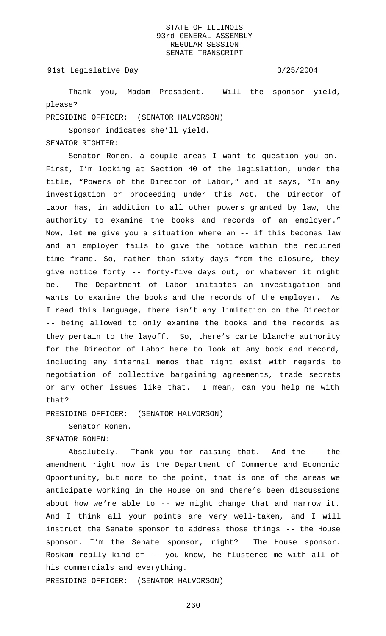91st Legislative Day 3/25/2004

Thank you, Madam President. Will the sponsor yield, please?

PRESIDING OFFICER: (SENATOR HALVORSON)

Sponsor indicates she'll yield.

## SENATOR RIGHTER:

Senator Ronen, a couple areas I want to question you on. First, I'm looking at Section 40 of the legislation, under the title, "Powers of the Director of Labor," and it says, "In any investigation or proceeding under this Act, the Director of Labor has, in addition to all other powers granted by law, the authority to examine the books and records of an employer." Now, let me give you a situation where an -- if this becomes law and an employer fails to give the notice within the required time frame. So, rather than sixty days from the closure, they give notice forty -- forty-five days out, or whatever it might be. The Department of Labor initiates an investigation and wants to examine the books and the records of the employer. As I read this language, there isn't any limitation on the Director -- being allowed to only examine the books and the records as they pertain to the layoff. So, there's carte blanche authority for the Director of Labor here to look at any book and record, including any internal memos that might exist with regards to negotiation of collective bargaining agreements, trade secrets or any other issues like that. I mean, can you help me with that?

PRESIDING OFFICER: (SENATOR HALVORSON)

Senator Ronen.

SENATOR RONEN:

Absolutely. Thank you for raising that. And the -- the amendment right now is the Department of Commerce and Economic Opportunity, but more to the point, that is one of the areas we anticipate working in the House on and there's been discussions about how we're able to -- we might change that and narrow it. And I think all your points are very well-taken, and I will instruct the Senate sponsor to address those things -- the House sponsor. I'm the Senate sponsor, right? The House sponsor. Roskam really kind of -- you know, he flustered me with all of his commercials and everything.

PRESIDING OFFICER: (SENATOR HALVORSON)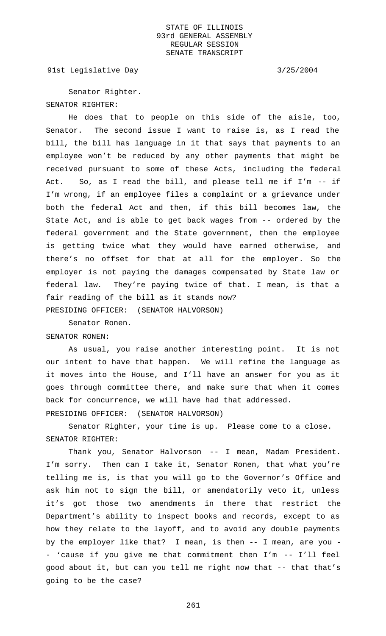91st Legislative Day 3/25/2004

Senator Righter. SENATOR RIGHTER:

He does that to people on this side of the aisle, too, Senator. The second issue I want to raise is, as I read the bill, the bill has language in it that says that payments to an employee won't be reduced by any other payments that might be received pursuant to some of these Acts, including the federal Act. So, as I read the bill, and please tell me if I'm -- if I'm wrong, if an employee files a complaint or a grievance under both the federal Act and then, if this bill becomes law, the State Act, and is able to get back wages from -- ordered by the federal government and the State government, then the employee is getting twice what they would have earned otherwise, and there's no offset for that at all for the employer. So the employer is not paying the damages compensated by State law or federal law. They're paying twice of that. I mean, is that a fair reading of the bill as it stands now? PRESIDING OFFICER: (SENATOR HALVORSON)

Senator Ronen.

## SENATOR RONEN:

As usual, you raise another interesting point. It is not our intent to have that happen. We will refine the language as it moves into the House, and I'll have an answer for you as it goes through committee there, and make sure that when it comes back for concurrence, we will have had that addressed. PRESIDING OFFICER: (SENATOR HALVORSON)

Senator Righter, your time is up. Please come to a close. SENATOR RIGHTER:

Thank you, Senator Halvorson -- I mean, Madam President. I'm sorry. Then can I take it, Senator Ronen, that what you're telling me is, is that you will go to the Governor's Office and ask him not to sign the bill, or amendatorily veto it, unless it's got those two amendments in there that restrict the Department's ability to inspect books and records, except to as how they relate to the layoff, and to avoid any double payments by the employer like that? I mean, is then -- I mean, are you - - 'cause if you give me that commitment then I'm -- I'll feel good about it, but can you tell me right now that -- that that's going to be the case?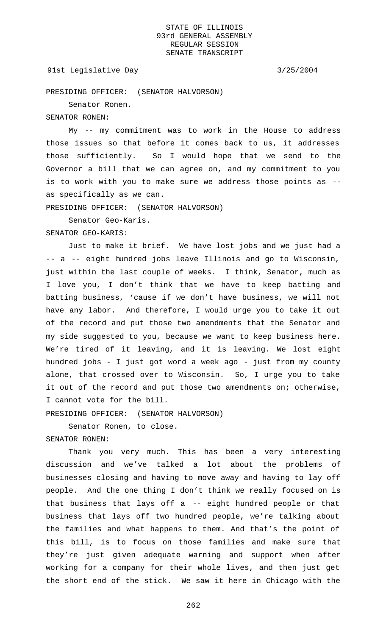## 91st Legislative Day 3/25/2004

PRESIDING OFFICER: (SENATOR HALVORSON)

Senator Ronen.

## SENATOR RONEN:

My -- my commitment was to work in the House to address those issues so that before it comes back to us, it addresses those sufficiently. So I would hope that we send to the Governor a bill that we can agree on, and my commitment to you is to work with you to make sure we address those points as - as specifically as we can.

PRESIDING OFFICER: (SENATOR HALVORSON)

Senator Geo-Karis.

## SENATOR GEO-KARIS:

Just to make it brief. We have lost jobs and we just had a -- a -- eight hundred jobs leave Illinois and go to Wisconsin, just within the last couple of weeks. I think, Senator, much as I love you, I don't think that we have to keep batting and batting business, 'cause if we don't have business, we will not have any labor. And therefore, I would urge you to take it out of the record and put those two amendments that the Senator and my side suggested to you, because we want to keep business here. We're tired of it leaving, and it is leaving. We lost eight hundred jobs - I just got word a week ago - just from my county alone, that crossed over to Wisconsin. So, I urge you to take it out of the record and put those two amendments on; otherwise, I cannot vote for the bill.

PRESIDING OFFICER: (SENATOR HALVORSON)

Senator Ronen, to close.

SENATOR RONEN:

Thank you very much. This has been a very interesting discussion and we've talked a lot about the problems of businesses closing and having to move away and having to lay off people. And the one thing I don't think we really focused on is that business that lays off a -- eight hundred people or that business that lays off two hundred people, we're talking about the families and what happens to them. And that's the point of this bill, is to focus on those families and make sure that they're just given adequate warning and support when after working for a company for their whole lives, and then just get the short end of the stick. We saw it here in Chicago with the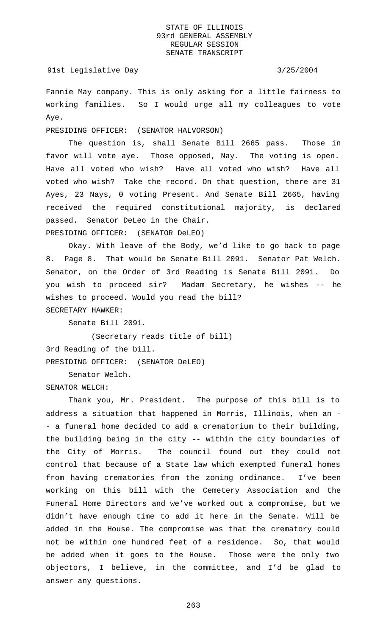### 91st Legislative Day 3/25/2004

Fannie May company. This is only asking for a little fairness to working families. So I would urge all my colleagues to vote Aye.

PRESIDING OFFICER: (SENATOR HALVORSON)

The question is, shall Senate Bill 2665 pass. Those in favor will vote aye. Those opposed, Nay. The voting is open. Have all voted who wish? Have all voted who wish? Have all voted who wish? Take the record. On that question, there are 31 Ayes, 23 Nays, 0 voting Present. And Senate Bill 2665, having received the required constitutional majority, is declared passed. Senator DeLeo in the Chair.

PRESIDING OFFICER: (SENATOR DeLEO)

Okay. With leave of the Body, we'd like to go back to page 8. Page 8. That would be Senate Bill 2091. Senator Pat Welch. Senator, on the Order of 3rd Reading is Senate Bill 2091. Do you wish to proceed sir? Madam Secretary, he wishes -- he wishes to proceed. Would you read the bill? SECRETARY HAWKER:

Senate Bill 2091.

(Secretary reads title of bill) 3rd Reading of the bill. PRESIDING OFFICER: (SENATOR DeLEO)

Senator Welch.

SENATOR WELCH:

Thank you, Mr. President. The purpose of this bill is to address a situation that happened in Morris, Illinois, when an - - a funeral home decided to add a crematorium to their building, the building being in the city -- within the city boundaries of the City of Morris. The council found out they could not control that because of a State law which exempted funeral homes from having crematories from the zoning ordinance. I've been working on this bill with the Cemetery Association and the Funeral Home Directors and we've worked out a compromise, but we didn't have enough time to add it here in the Senate. Will be added in the House. The compromise was that the crematory could not be within one hundred feet of a residence. So, that would be added when it goes to the House. Those were the only two objectors, I believe, in the committee, and I'd be glad to answer any questions.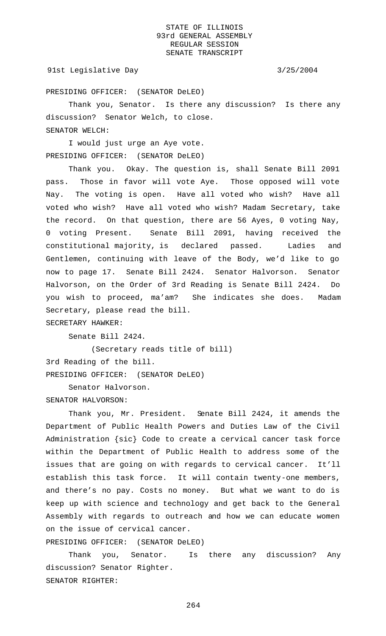## 91st Legislative Day 3/25/2004

PRESIDING OFFICER: (SENATOR DeLEO)

Thank you, Senator. Is there any discussion? Is there any discussion? Senator Welch, to close. SENATOR WELCH:

I would just urge an Aye vote. PRESIDING OFFICER: (SENATOR DeLEO)

Thank you. Okay. The question is, shall Senate Bill 2091 pass. Those in favor will vote Aye. Those opposed will vote Nay. The voting is open. Have all voted who wish? Have all voted who wish? Have all voted who wish? Madam Secretary, take the record. On that question, there are 56 Ayes, 0 voting Nay, 0 voting Present. Senate Bill 2091, having received the constitutional majority, is declared passed. Ladies and Gentlemen, continuing with leave of the Body, we'd like to go now to page 17. Senate Bill 2424. Senator Halvorson. Senator Halvorson, on the Order of 3rd Reading is Senate Bill 2424. Do you wish to proceed, ma'am? She indicates she does. Madam Secretary, please read the bill.

SECRETARY HAWKER:

Senate Bill 2424.

(Secretary reads title of bill) 3rd Reading of the bill. PRESIDING OFFICER: (SENATOR DeLEO)

Senator Halvorson. SENATOR HALVORSON:

Thank you, Mr. President. Senate Bill 2424, it amends the Department of Public Health Powers and Duties Law of the Civil Administration {sic} Code to create a cervical cancer task force within the Department of Public Health to address some of the issues that are going on with regards to cervical cancer. It'll establish this task force. It will contain twenty-one members, and there's no pay. Costs no money. But what we want to do is keep up with science and technology and get back to the General Assembly with regards to outreach and how we can educate women on the issue of cervical cancer.

PRESIDING OFFICER: (SENATOR DeLEO)

Thank you, Senator. Is there any discussion? Any discussion? Senator Righter. SENATOR RIGHTER: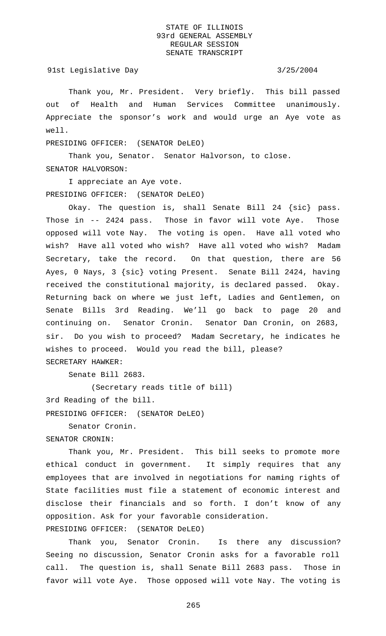91st Legislative Day 3/25/2004

Thank you, Mr. President. Very briefly. This bill passed out of Health and Human Services Committee unanimously. Appreciate the sponsor's work and would urge an Aye vote as well.

PRESIDING OFFICER: (SENATOR DeLEO)

Thank you, Senator. Senator Halvorson, to close. SENATOR HALVORSON:

I appreciate an Aye vote. PRESIDING OFFICER: (SENATOR DeLEO)

Okay. The question is, shall Senate Bill 24 {sic} pass. Those in -- 2424 pass. Those in favor will vote Aye. Those opposed will vote Nay. The voting is open. Have all voted who wish? Have all voted who wish? Have all voted who wish? Madam Secretary, take the record. On that question, there are 56 Ayes, 0 Nays, 3 {sic} voting Present. Senate Bill 2424, having received the constitutional majority, is declared passed. Okay. Returning back on where we just left, Ladies and Gentlemen, on Senate Bills 3rd Reading. We'll go back to page 20 and continuing on. Senator Cronin. Senator Dan Cronin, on 2683, sir. Do you wish to proceed? Madam Secretary, he indicates he wishes to proceed. Would you read the bill, please? SECRETARY HAWKER:

Senate Bill 2683.

(Secretary reads title of bill)

3rd Reading of the bill.

PRESIDING OFFICER: (SENATOR DeLEO)

Senator Cronin.

SENATOR CRONIN:

Thank you, Mr. President. This bill seeks to promote more ethical conduct in government. It simply requires that any employees that are involved in negotiations for naming rights of State facilities must file a statement of economic interest and disclose their financials and so forth. I don't know of any opposition. Ask for your favorable consideration. PRESIDING OFFICER: (SENATOR DeLEO)

Thank you, Senator Cronin. Is there any discussion? Seeing no discussion, Senator Cronin asks for a favorable roll call. The question is, shall Senate Bill 2683 pass. Those in favor will vote Aye. Those opposed will vote Nay. The voting is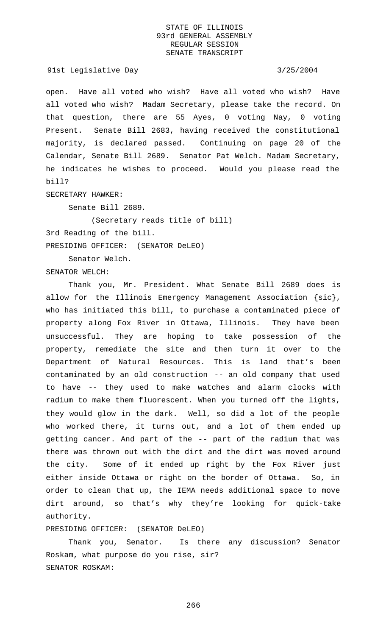91st Legislative Day 3/25/2004

open. Have all voted who wish? Have all voted who wish? Have all voted who wish? Madam Secretary, please take the record. On that question, there are 55 Ayes, 0 voting Nay, 0 voting Present. Senate Bill 2683, having received the constitutional majority, is declared passed. Continuing on page 20 of the Calendar, Senate Bill 2689. Senator Pat Welch. Madam Secretary, he indicates he wishes to proceed. Would you please read the bill?

SECRETARY HAWKER:

Senate Bill 2689.

(Secretary reads title of bill)

3rd Reading of the bill.

PRESIDING OFFICER: (SENATOR DeLEO)

Senator Welch.

SENATOR WELCH:

Thank you, Mr. President. What Senate Bill 2689 does is allow for the Illinois Emergency Management Association {sic}, who has initiated this bill, to purchase a contaminated piece of property along Fox River in Ottawa, Illinois. They have been unsuccessful. They are hoping to take possession of the property, remediate the site and then turn it over to the Department of Natural Resources. This is land that's been contaminated by an old construction -- an old company that used to have -- they used to make watches and alarm clocks with radium to make them fluorescent. When you turned off the lights, they would glow in the dark. Well, so did a lot of the people who worked there, it turns out, and a lot of them ended up getting cancer. And part of the -- part of the radium that was there was thrown out with the dirt and the dirt was moved around the city. Some of it ended up right by the Fox River just either inside Ottawa or right on the border of Ottawa. So, in order to clean that up, the IEMA needs additional space to move dirt around, so that's why they're looking for quick-take authority.

PRESIDING OFFICER: (SENATOR DeLEO)

Thank you, Senator. Is there any discussion? Senator Roskam, what purpose do you rise, sir? SENATOR ROSKAM: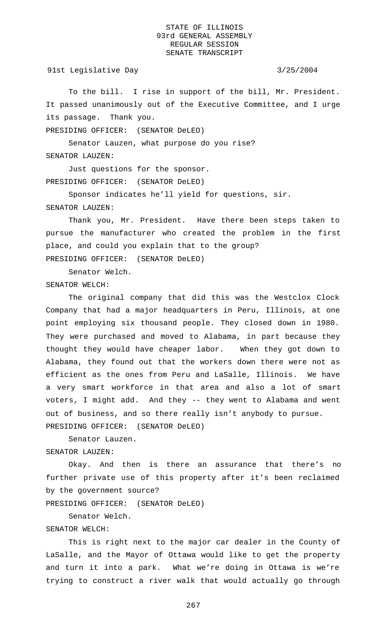91st Legislative Day 3/25/2004

To the bill. I rise in support of the bill, Mr. President. It passed unanimously out of the Executive Committee, and I urge its passage. Thank you.

PRESIDING OFFICER: (SENATOR DeLEO)

Senator Lauzen, what purpose do you rise? SENATOR LAUZEN:

Just questions for the sponsor. PRESIDING OFFICER: (SENATOR DeLEO)

Sponsor indicates he'll yield for questions, sir. SENATOR LAUZEN:

Thank you, Mr. President. Have there been steps taken to pursue the manufacturer who created the problem in the first place, and could you explain that to the group? PRESIDING OFFICER: (SENATOR DeLEO)

Senator Welch.

SENATOR WELCH:

The original company that did this was the Westclox Clock Company that had a major headquarters in Peru, Illinois, at one point employing six thousand people. They closed down in 1980. They were purchased and moved to Alabama, in part because they thought they would have cheaper labor. When they got down to Alabama, they found out that the workers down there were not as efficient as the ones from Peru and LaSalle, Illinois. We have a very smart workforce in that area and also a lot of smart voters, I might add. And they -- they went to Alabama and went out of business, and so there really isn't anybody to pursue. PRESIDING OFFICER: (SENATOR DeLEO)

Senator Lauzen. SENATOR LAUZEN:

Okay. And then is there an assurance that there's no further private use of this property after it's been reclaimed by the government source?

PRESIDING OFFICER: (SENATOR DeLEO)

Senator Welch.

## SENATOR WELCH:

This is right next to the major car dealer in the County of LaSalle, and the Mayor of Ottawa would like to get the property and turn it into a park. What we're doing in Ottawa is we're trying to construct a river walk that would actually go through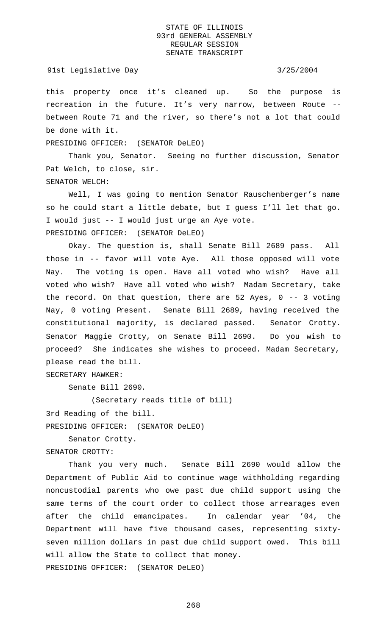### 91st Legislative Day 3/25/2004

this property once it's cleaned up. So the purpose is recreation in the future. It's very narrow, between Route - between Route 71 and the river, so there's not a lot that could be done with it.

PRESIDING OFFICER: (SENATOR DeLEO)

Thank you, Senator. Seeing no further discussion, Senator Pat Welch, to close, sir. SENATOR WELCH:

Well, I was going to mention Senator Rauschenberger's name so he could start a little debate, but I guess I'll let that go. I would just -- I would just urge an Aye vote. PRESIDING OFFICER: (SENATOR DeLEO)

Okay. The question is, shall Senate Bill 2689 pass. All those in -- favor will vote Aye. All those opposed will vote Nay. The voting is open. Have all voted who wish? Have all voted who wish? Have all voted who wish? Madam Secretary, take the record. On that question, there are 52 Ayes, 0 -- 3 voting Nay, 0 voting Present. Senate Bill 2689, having received the constitutional majority, is declared passed. Senator Crotty. Senator Maggie Crotty, on Senate Bill 2690. Do you wish to proceed? She indicates she wishes to proceed. Madam Secretary, please read the bill.

SECRETARY HAWKER:

Senate Bill 2690.

(Secretary reads title of bill)

3rd Reading of the bill.

PRESIDING OFFICER: (SENATOR DeLEO)

Senator Crotty.

```
SENATOR CROTTY:
```
Thank you very much. Senate Bill 2690 would allow the Department of Public Aid to continue wage withholding regarding noncustodial parents who owe past due child support using the same terms of the court order to collect those arrearages even after the child emancipates. In calendar year '04, the Department will have five thousand cases, representing sixtyseven million dollars in past due child support owed. This bill will allow the State to collect that money. PRESIDING OFFICER: (SENATOR DeLEO)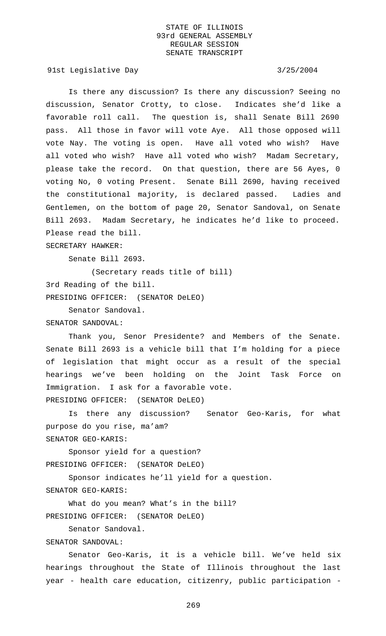91st Legislative Day 3/25/2004

Is there any discussion? Is there any discussion? Seeing no discussion, Senator Crotty, to close. Indicates she'd like a favorable roll call. The question is, shall Senate Bill 2690 pass. All those in favor will vote Aye. All those opposed will vote Nay. The voting is open. Have all voted who wish? Have all voted who wish? Have all voted who wish? Madam Secretary, please take the record. On that question, there are 56 Ayes, 0 voting No, 0 voting Present. Senate Bill 2690, having received the constitutional majority, is declared passed. Ladies and Gentlemen, on the bottom of page 20, Senator Sandoval, on Senate Bill 2693. Madam Secretary, he indicates he'd like to proceed. Please read the bill.

SECRETARY HAWKER:

Senate Bill 2693.

(Secretary reads title of bill) 3rd Reading of the bill.

PRESIDING OFFICER: (SENATOR DeLEO)

Senator Sandoval. SENATOR SANDOVAL:

Thank you, Senor Presidente? and Members of the Senate. Senate Bill 2693 is a vehicle bill that I'm holding for a piece of legislation that might occur as a result of the special hearings we've been holding on the Joint Task Force on Immigration. I ask for a favorable vote. PRESIDING OFFICER: (SENATOR DeLEO)

Is there any discussion? Senator Geo-Karis, for what purpose do you rise, ma'am? SENATOR GEO-KARIS:

Sponsor yield for a question? PRESIDING OFFICER: (SENATOR DeLEO)

Sponsor indicates he'll yield for a question.

SENATOR GEO-KARIS:

What do you mean? What's in the bill? PRESIDING OFFICER: (SENATOR DeLEO)

Senator Sandoval.

SENATOR SANDOVAL:

Senator Geo-Karis, it is a vehicle bill. We've held six hearings throughout the State of Illinois throughout the last year - health care education, citizenry, public participation -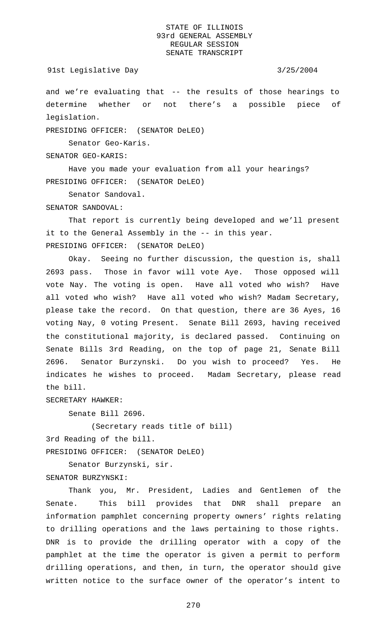and we're evaluating that -- the results of those hearings to determine whether or not there's a possible piece of legislation.

PRESIDING OFFICER: (SENATOR DeLEO)

Senator Geo-Karis.

SENATOR GEO-KARIS:

Have you made your evaluation from all your hearings? PRESIDING OFFICER: (SENATOR DeLEO)

Senator Sandoval.

SENATOR SANDOVAL:

That report is currently being developed and we'll present it to the General Assembly in the -- in this year. PRESIDING OFFICER: (SENATOR DeLEO)

Okay. Seeing no further discussion, the question is, shall 2693 pass. Those in favor will vote Aye. Those opposed will vote Nay. The voting is open. Have all voted who wish? Have all voted who wish? Have all voted who wish? Madam Secretary, please take the record. On that question, there are 36 Ayes, 16 voting Nay, 0 voting Present. Senate Bill 2693, having received the constitutional majority, is declared passed. Continuing on Senate Bills 3rd Reading, on the top of page 21, Senate Bill 2696. Senator Burzynski. Do you wish to proceed? Yes. He indicates he wishes to proceed. Madam Secretary, please read the bill.

SECRETARY HAWKER:

Senate Bill 2696.

(Secretary reads title of bill) 3rd Reading of the bill.

PRESIDING OFFICER: (SENATOR DeLEO)

Senator Burzynski, sir.

SENATOR BURZYNSKI:

Thank you, Mr. President, Ladies and Gentlemen of the Senate. This bill provides that DNR shall prepare an information pamphlet concerning property owners' rights relating to drilling operations and the laws pertaining to those rights. DNR is to provide the drilling operator with a copy of the pamphlet at the time the operator is given a permit to perform drilling operations, and then, in turn, the operator should give written notice to the surface owner of the operator's intent to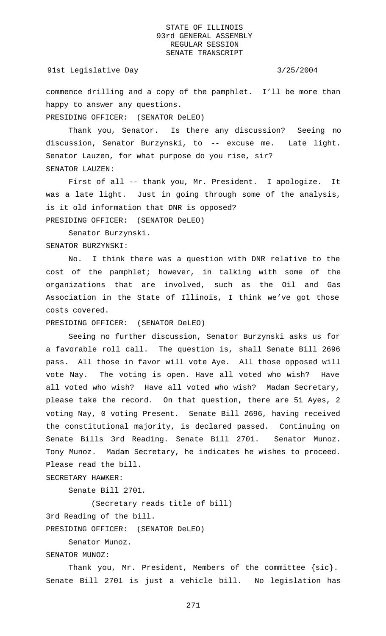91st Legislative Day 3/25/2004

commence drilling and a copy of the pamphlet. I'll be more than happy to answer any questions.

PRESIDING OFFICER: (SENATOR DeLEO)

Thank you, Senator. Is there any discussion? Seeing no discussion, Senator Burzynski, to -- excuse me. Late light. Senator Lauzen, for what purpose do you rise, sir? SENATOR LAUZEN:

First of all -- thank you, Mr. President. I apologize. It was a late light. Just in going through some of the analysis, is it old information that DNR is opposed? PRESIDING OFFICER: (SENATOR DeLEO)

Senator Burzynski. SENATOR BURZYNSKI:

No. I think there was a question with DNR relative to the cost of the pamphlet; however, in talking with some of the organizations that are involved, such as the Oil and Gas Association in the State of Illinois, I think we've got those costs covered.

PRESIDING OFFICER: (SENATOR DeLEO)

Seeing no further discussion, Senator Burzynski asks us for a favorable roll call. The question is, shall Senate Bill 2696 pass. All those in favor will vote Aye. All those opposed will vote Nay. The voting is open. Have all voted who wish? Have all voted who wish? Have all voted who wish? Madam Secretary, please take the record. On that question, there are 51 Ayes, 2 voting Nay, 0 voting Present. Senate Bill 2696, having received the constitutional majority, is declared passed. Continuing on Senate Bills 3rd Reading. Senate Bill 2701. Senator Munoz. Tony Munoz. Madam Secretary, he indicates he wishes to proceed. Please read the bill.

SECRETARY HAWKER:

Senate Bill 2701.

(Secretary reads title of bill)

3rd Reading of the bill.

PRESIDING OFFICER: (SENATOR DeLEO)

Senator Munoz.

SENATOR MUNOZ:

Thank you, Mr. President, Members of the committee {sic}. Senate Bill 2701 is just a vehicle bill. No legislation has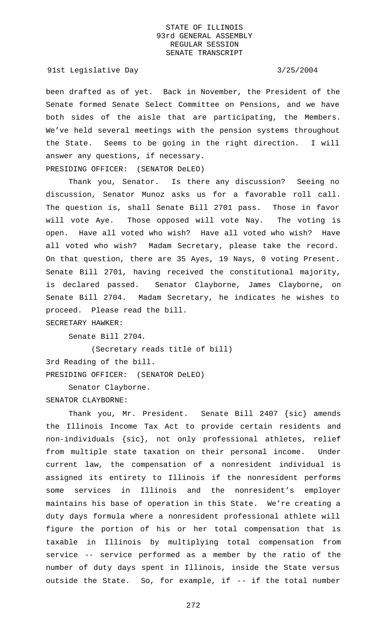91st Legislative Day 3/25/2004

been drafted as of yet. Back in November, the President of the Senate formed Senate Select Committee on Pensions, and we have both sides of the aisle that are participating, the Members. We've held several meetings with the pension systems throughout the State. Seems to be going in the right direction. I will answer any questions, if necessary.

PRESIDING OFFICER: (SENATOR DeLEO)

Thank you, Senator. Is there any discussion? Seeing no discussion, Senator Munoz asks us for a favorable roll call. The question is, shall Senate Bill 2701 pass. Those in favor will vote Aye. Those opposed will vote Nay. The voting is open. Have all voted who wish? Have all voted who wish? Have all voted who wish? Madam Secretary, please take the record. On that question, there are 35 Ayes, 19 Nays, 0 voting Present. Senate Bill 2701, having received the constitutional majority, is declared passed. Senator Clayborne, James Clayborne, on Senate Bill 2704. Madam Secretary, he indicates he wishes to proceed. Please read the bill.

SECRETARY HAWKER:

Senate Bill 2704.

(Secretary reads title of bill) 3rd Reading of the bill. PRESIDING OFFICER: (SENATOR DeLEO)

Senator Clayborne. SENATOR CLAYBORNE:

Thank you, Mr. President. Senate Bill 2407 {sic} amends the Illinois Income Tax Act to provide certain residents and non-individuals {sic}, not only professional athletes, relief from multiple state taxation on their personal income. Under current law, the compensation of a nonresident individual is assigned its entirety to Illinois if the nonresident performs some services in Illinois and the nonresident's employer maintains his base of operation in this State. We're creating a duty days formula where a nonresident professional athlete will figure the portion of his or her total compensation that is taxable in Illinois by multiplying total compensation from service -- service performed as a member by the ratio of the number of duty days spent in Illinois, inside the State versus outside the State. So, for example, if -- if the total number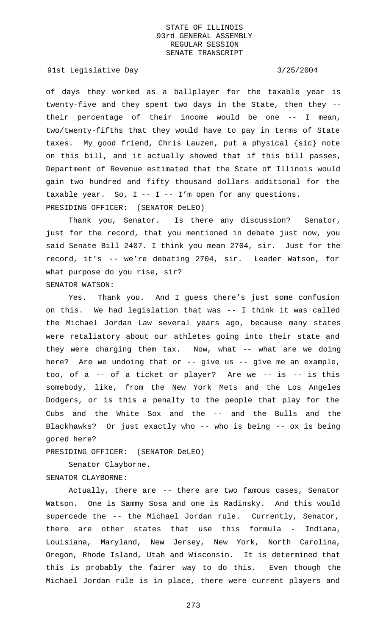91st Legislative Day 3/25/2004

of days they worked as a ballplayer for the taxable year is twenty-five and they spent two days in the State, then they - their percentage of their income would be one -- I mean, two/twenty-fifths that they would have to pay in terms of State taxes. My good friend, Chris Lauzen, put a physical {sic} note on this bill, and it actually showed that if this bill passes, Department of Revenue estimated that the State of Illinois would gain two hundred and fifty thousand dollars additional for the taxable year. So,  $I - - I - - I'm$  open for any questions. PRESIDING OFFICER: (SENATOR DeLEO)

Thank you, Senator. Is there any discussion? Senator, just for the record, that you mentioned in debate just now, you said Senate Bill 2407. I think you mean 2704, sir. Just for the record, it's -- we're debating 2704, sir. Leader Watson, for what purpose do you rise, sir? SENATOR WATSON:

Yes. Thank you. And I guess there's just some confusion on this. We had legislation that was -- I think it was called the Michael Jordan Law several years ago, because many states were retaliatory about our athletes going into their state and they were charging them tax. Now, what -- what are we doing here? Are we undoing that or  $-$ - give us  $-$ - give me an example, too, of a -- of a ticket or player? Are we -- is -- is this somebody, like, from the New York Mets and the Los Angeles Dodgers, or is this a penalty to the people that play for the Cubs and the White Sox and the -- and the Bulls and the Blackhawks? Or just exactly who -- who is being -- ox is being gored here?

PRESIDING OFFICER: (SENATOR DeLEO)

Senator Clayborne.

SENATOR CLAYBORNE:

Actually, there are -- there are two famous cases, Senator Watson. One is Sammy Sosa and one is Radinsky. And this would supercede the -- the Michael Jordan rule. Currently, Senator, there are other states that use this formula - Indiana, Louisiana, Maryland, New Jersey, New York, North Carolina, Oregon, Rhode Island, Utah and Wisconsin. It is determined that this is probably the fairer way to do this. Even though the Michael Jordan rule is in place, there were current players and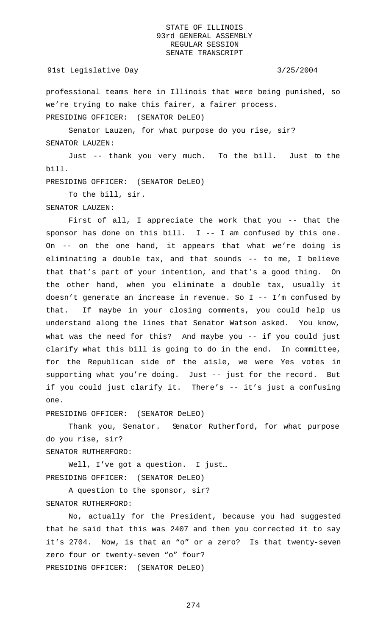### 91st Legislative Day 3/25/2004

professional teams here in Illinois that were being punished, so we're trying to make this fairer, a fairer process. PRESIDING OFFICER: (SENATOR DeLEO)

Senator Lauzen, for what purpose do you rise, sir?

SENATOR LAUZEN:

Just -- thank you very much. To the bill. Just to the bill.

PRESIDING OFFICER: (SENATOR DeLEO)

To the bill, sir.

SENATOR LAUZEN:

First of all, I appreciate the work that you -- that the sponsor has done on this bill.  $I - - I$  am confused by this one. On -- on the one hand, it appears that what we're doing is eliminating a double tax, and that sounds -- to me, I believe that that's part of your intention, and that's a good thing. On the other hand, when you eliminate a double tax, usually it doesn't generate an increase in revenue. So I -- I'm confused by that. If maybe in your closing comments, you could help us understand along the lines that Senator Watson asked. You know, what was the need for this? And maybe you -- if you could just clarify what this bill is going to do in the end. In committee, for the Republican side of the aisle, we were Yes votes in supporting what you're doing. Just -- just for the record. But if you could just clarify it. There's -- it's just a confusing one.

PRESIDING OFFICER: (SENATOR DeLEO)

Thank you, Senator. Senator Rutherford, for what purpose do you rise, sir? SENATOR RUTHERFORD:

Well, I've got a question. I just… PRESIDING OFFICER: (SENATOR DeLEO)

A question to the sponsor, sir? SENATOR RUTHERFORD:

No, actually for the President, because you had suggested that he said that this was 2407 and then you corrected it to say it's 2704. Now, is that an "o" or a zero? Is that twenty-seven zero four or twenty-seven "o" four? PRESIDING OFFICER: (SENATOR DeLEO)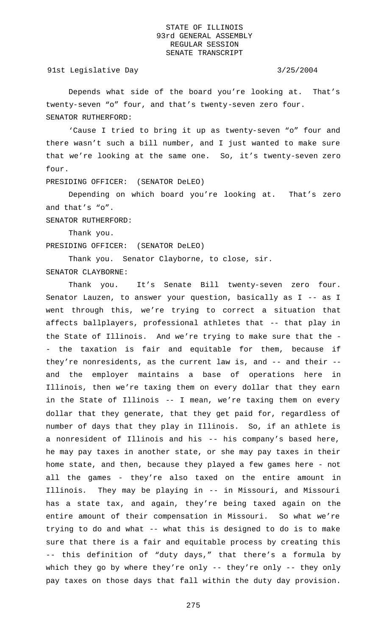91st Legislative Day 3/25/2004

Depends what side of the board you're looking at. That's twenty-seven "o" four, and that's twenty-seven zero four. SENATOR RUTHERFORD:

'Cause I tried to bring it up as twenty-seven "o" four and there wasn't such a bill number, and I just wanted to make sure that we're looking at the same one. So, it's twenty-seven zero four.

PRESIDING OFFICER: (SENATOR DeLEO)

Depending on which board you're looking at. That's zero and that's "o".

SENATOR RUTHERFORD:

Thank you.

PRESIDING OFFICER: (SENATOR DeLEO)

Thank you. Senator Clayborne, to close, sir.

SENATOR CLAYBORNE:

Thank you. It's Senate Bill twenty-seven zero four. Senator Lauzen, to answer your question, basically as I -- as I went through this, we're trying to correct a situation that affects ballplayers, professional athletes that -- that play in the State of Illinois. And we're trying to make sure that the - - the taxation is fair and equitable for them, because if they're nonresidents, as the current law is, and -- and their - and the employer maintains a base of operations here in Illinois, then we're taxing them on every dollar that they earn in the State of Illinois -- I mean, we're taxing them on every dollar that they generate, that they get paid for, regardless of number of days that they play in Illinois. So, if an athlete is a nonresident of Illinois and his -- his company's based here, he may pay taxes in another state, or she may pay taxes in their home state, and then, because they played a few games here - not all the games - they're also taxed on the entire amount in Illinois. They may be playing in -- in Missouri, and Missouri has a state tax, and again, they're being taxed again on the entire amount of their compensation in Missouri. So what we're trying to do and what -- what this is designed to do is to make sure that there is a fair and equitable process by creating this -- this definition of "duty days," that there's a formula by which they go by where they're only -- they're only -- they only pay taxes on those days that fall within the duty day provision.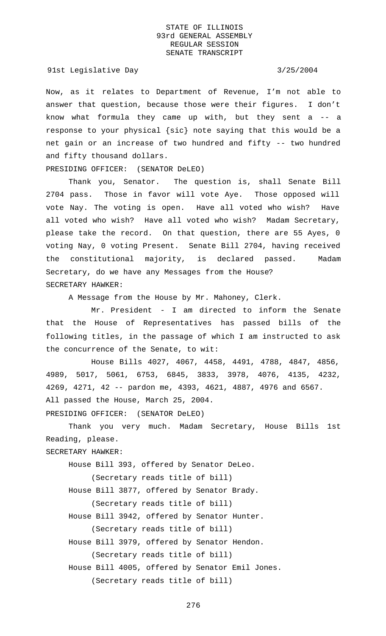### 91st Legislative Day 3/25/2004

Now, as it relates to Department of Revenue, I'm not able to answer that question, because those were their figures. I don't know what formula they came up with, but they sent a -- a response to your physical {sic} note saying that this would be a net gain or an increase of two hundred and fifty -- two hundred and fifty thousand dollars.

PRESIDING OFFICER: (SENATOR DeLEO)

Thank you, Senator. The question is, shall Senate Bill 2704 pass. Those in favor will vote Aye. Those opposed will vote Nay. The voting is open. Have all voted who wish? Have all voted who wish? Have all voted who wish? Madam Secretary, please take the record. On that question, there are 55 Ayes, 0 voting Nay, 0 voting Present. Senate Bill 2704, having received the constitutional majority, is declared passed. Madam Secretary, do we have any Messages from the House? SECRETARY HAWKER:

A Message from the House by Mr. Mahoney, Clerk.

Mr. President - I am directed to inform the Senate that the House of Representatives has passed bills of the following titles, in the passage of which I am instructed to ask the concurrence of the Senate, to wit:

House Bills 4027, 4067, 4458, 4491, 4788, 4847, 4856, 4989, 5017, 5061, 6753, 6845, 3833, 3978, 4076, 4135, 4232, 4269, 4271, 42 -- pardon me, 4393, 4621, 4887, 4976 and 6567. All passed the House, March 25, 2004.

PRESIDING OFFICER: (SENATOR DeLEO)

Thank you very much. Madam Secretary, House Bills 1st Reading, please.

## SECRETARY HAWKER:

House Bill 393, offered by Senator DeLeo.

(Secretary reads title of bill)

House Bill 3877, offered by Senator Brady.

(Secretary reads title of bill)

House Bill 3942, offered by Senator Hunter.

(Secretary reads title of bill)

House Bill 3979, offered by Senator Hendon.

(Secretary reads title of bill)

House Bill 4005, offered by Senator Emil Jones. (Secretary reads title of bill)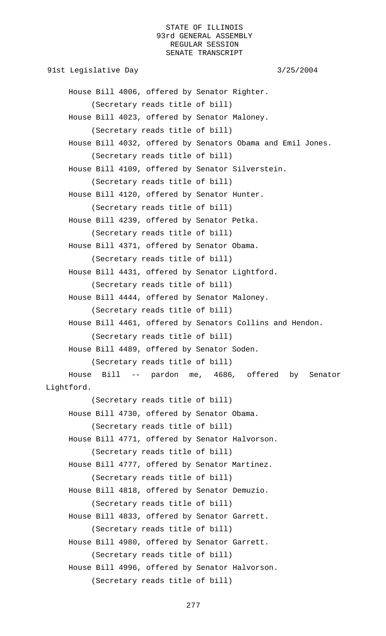91st Legislative Day 3/25/2004 House Bill 4006, offered by Senator Righter. (Secretary reads title of bill) House Bill 4023, offered by Senator Maloney. (Secretary reads title of bill) House Bill 4032, offered by Senators Obama and Emil Jones. (Secretary reads title of bill) House Bill 4109, offered by Senator Silverstein. (Secretary reads title of bill) House Bill 4120, offered by Senator Hunter. (Secretary reads title of bill) House Bill 4239, offered by Senator Petka. (Secretary reads title of bill) House Bill 4371, offered by Senator Obama. (Secretary reads title of bill) House Bill 4431, offered by Senator Lightford. (Secretary reads title of bill) House Bill 4444, offered by Senator Maloney. (Secretary reads title of bill) House Bill 4461, offered by Senators Collins and Hendon. (Secretary reads title of bill) House Bill 4489, offered by Senator Soden. (Secretary reads title of bill) House Bill -- pardon me, 4686, offered by Senator Lightford. (Secretary reads title of bill) House Bill 4730, offered by Senator Obama. (Secretary reads title of bill) House Bill 4771, offered by Senator Halvorson. (Secretary reads title of bill) House Bill 4777, offered by Senator Martinez. (Secretary reads title of bill) House Bill 4818, offered by Senator Demuzio. (Secretary reads title of bill) House Bill 4833, offered by Senator Garrett. (Secretary reads title of bill) House Bill 4980, offered by Senator Garrett. (Secretary reads title of bill) House Bill 4996, offered by Senator Halvorson. (Secretary reads title of bill)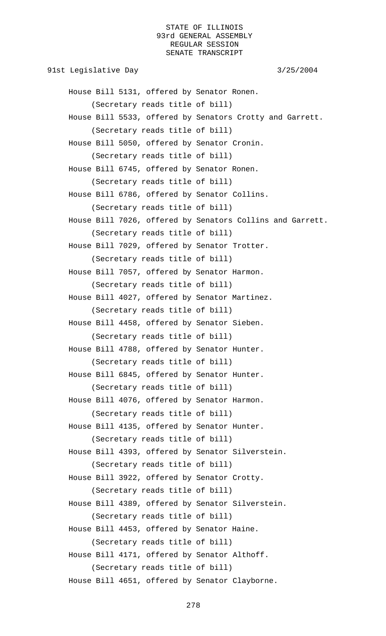91st Legislative Day 3/25/2004 House Bill 5131, offered by Senator Ronen. (Secretary reads title of bill) House Bill 5533, offered by Senators Crotty and Garrett. (Secretary reads title of bill) House Bill 5050, offered by Senator Cronin. (Secretary reads title of bill) House Bill 6745, offered by Senator Ronen. (Secretary reads title of bill) House Bill 6786, offered by Senator Collins. (Secretary reads title of bill) House Bill 7026, offered by Senators Collins and Garrett. (Secretary reads title of bill) House Bill 7029, offered by Senator Trotter. (Secretary reads title of bill) House Bill 7057, offered by Senator Harmon. (Secretary reads title of bill) House Bill 4027, offered by Senator Martinez. (Secretary reads title of bill) House Bill 4458, offered by Senator Sieben. (Secretary reads title of bill) House Bill 4788, offered by Senator Hunter. (Secretary reads title of bill) House Bill 6845, offered by Senator Hunter. (Secretary reads title of bill) House Bill 4076, offered by Senator Harmon. (Secretary reads title of bill) House Bill 4135, offered by Senator Hunter. (Secretary reads title of bill) House Bill 4393, offered by Senator Silverstein. (Secretary reads title of bill) House Bill 3922, offered by Senator Crotty. (Secretary reads title of bill) House Bill 4389, offered by Senator Silverstein. (Secretary reads title of bill) House Bill 4453, offered by Senator Haine. (Secretary reads title of bill) House Bill 4171, offered by Senator Althoff. (Secretary reads title of bill) House Bill 4651, offered by Senator Clayborne.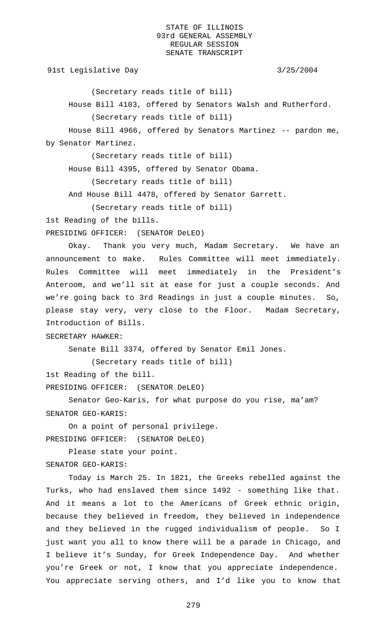91st Legislative Day 3/25/2004

(Secretary reads title of bill)

House Bill 4103, offered by Senators Walsh and Rutherford.

(Secretary reads title of bill)

House Bill 4966, offered by Senators Martinez -- pardon me, by Senator Martinez.

(Secretary reads title of bill)

House Bill 4395, offered by Senator Obama.

(Secretary reads title of bill)

And House Bill 4478, offered by Senator Garrett.

(Secretary reads title of bill)

1st Reading of the bills.

PRESIDING OFFICER: (SENATOR DeLEO)

Okay. Thank you very much, Madam Secretary. We have an announcement to make. Rules Committee will meet immediately. Rules Committee will meet immediately in the President's Anteroom, and we'll sit at ease for just a couple seconds. And we're going back to 3rd Readings in just a couple minutes. So, please stay very, very close to the Floor. Madam Secretary, Introduction of Bills.

SECRETARY HAWKER:

Senate Bill 3374, offered by Senator Emil Jones.

(Secretary reads title of bill)

1st Reading of the bill.

PRESIDING OFFICER: (SENATOR DeLEO)

Senator Geo-Karis, for what purpose do you rise, ma'am? SENATOR GEO-KARIS:

On a point of personal privilege. PRESIDING OFFICER: (SENATOR DeLEO)

Please state your point. SENATOR GEO-KARIS:

Today is March 25. In 1821, the Greeks rebelled against the Turks, who had enslaved them since 1492 - something like that. And it means a lot to the Americans of Greek ethnic origin, because they believed in freedom, they believed in independence and they believed in the rugged individualism of people. So I just want you all to know there will be a parade in Chicago, and I believe it's Sunday, for Greek Independence Day. And whether you're Greek or not, I know that you appreciate independence. You appreciate serving others, and I'd like you to know that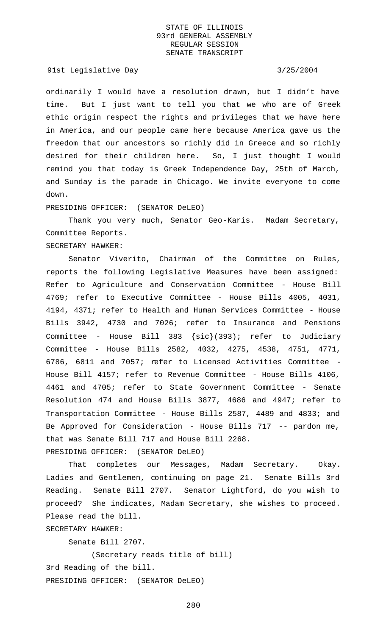### 91st Legislative Day 3/25/2004

ordinarily I would have a resolution drawn, but I didn't have time. But I just want to tell you that we who are of Greek ethic origin respect the rights and privileges that we have here in America, and our people came here because America gave us the freedom that our ancestors so richly did in Greece and so richly desired for their children here. So, I just thought I would remind you that today is Greek Independence Day, 25th of March, and Sunday is the parade in Chicago. We invite everyone to come down.

### PRESIDING OFFICER: (SENATOR DeLEO)

Thank you very much, Senator Geo-Karis. Madam Secretary, Committee Reports.

# SECRETARY HAWKER:

Senator Viverito, Chairman of the Committee on Rules, reports the following Legislative Measures have been assigned: Refer to Agriculture and Conservation Committee - House Bill 4769; refer to Executive Committee - House Bills 4005, 4031, 4194, 4371; refer to Health and Human Services Committee - House Bills 3942, 4730 and 7026; refer to Insurance and Pensions Committee - House Bill 383 {sic}(393); refer to Judiciary Committee - House Bills 2582, 4032, 4275, 4538, 4751, 4771, 6786, 6811 and 7057; refer to Licensed Activities Committee - House Bill 4157; refer to Revenue Committee - House Bills 4106, 4461 and 4705; refer to State Government Committee - Senate Resolution 474 and House Bills 3877, 4686 and 4947; refer to Transportation Committee - House Bills 2587, 4489 and 4833; and Be Approved for Consideration - House Bills 717 -- pardon me, that was Senate Bill 717 and House Bill 2268. PRESIDING OFFICER: (SENATOR DeLEO)

That completes our Messages, Madam Secretary. Okay. Ladies and Gentlemen, continuing on page 21. Senate Bills 3rd Reading. Senate Bill 2707. Senator Lightford, do you wish to proceed? She indicates, Madam Secretary, she wishes to proceed. Please read the bill.

# SECRETARY HAWKER:

Senate Bill 2707.

(Secretary reads title of bill) 3rd Reading of the bill. PRESIDING OFFICER: (SENATOR DeLEO)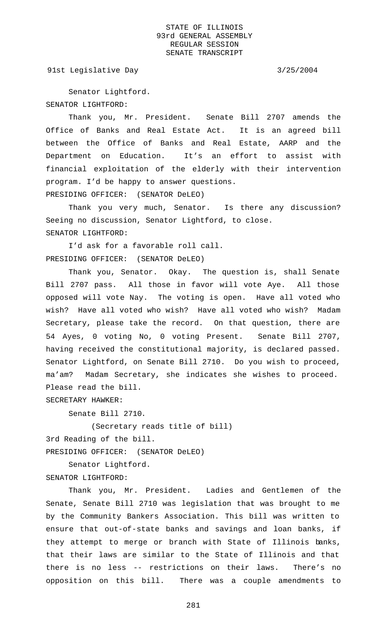91st Legislative Day 3/25/2004

Senator Lightford. SENATOR LIGHTFORD:

Thank you, Mr. President. Senate Bill 2707 amends the Office of Banks and Real Estate Act. It is an agreed bill between the Office of Banks and Real Estate, AARP and the Department on Education. It's an effort to assist with financial exploitation of the elderly with their intervention program. I'd be happy to answer questions. PRESIDING OFFICER: (SENATOR DeLEO)

Thank you very much, Senator. Is there any discussion? Seeing no discussion, Senator Lightford, to close. SENATOR LIGHTFORD:

I'd ask for a favorable roll call. PRESIDING OFFICER: (SENATOR DeLEO)

Thank you, Senator. Okay. The question is, shall Senate Bill 2707 pass. All those in favor will vote Aye. All those opposed will vote Nay. The voting is open. Have all voted who wish? Have all voted who wish? Have all voted who wish? Madam Secretary, please take the record. On that question, there are 54 Ayes, 0 voting No, 0 voting Present. Senate Bill 2707, having received the constitutional majority, is declared passed. Senator Lightford, on Senate Bill 2710. Do you wish to proceed, ma'am? Madam Secretary, she indicates she wishes to proceed. Please read the bill.

SECRETARY HAWKER:

Senate Bill 2710.

(Secretary reads title of bill) 3rd Reading of the bill. PRESIDING OFFICER: (SENATOR DeLEO)

Senator Lightford. SENATOR LIGHTFORD:

Thank you, Mr. President. Ladies and Gentlemen of the Senate, Senate Bill 2710 was legislation that was brought to me by the Community Bankers Association. This bill was written to ensure that out-of-state banks and savings and loan banks, if they attempt to merge or branch with State of Illinois banks, that their laws are similar to the State of Illinois and that there is no less -- restrictions on their laws. There's no opposition on this bill. There was a couple amendments to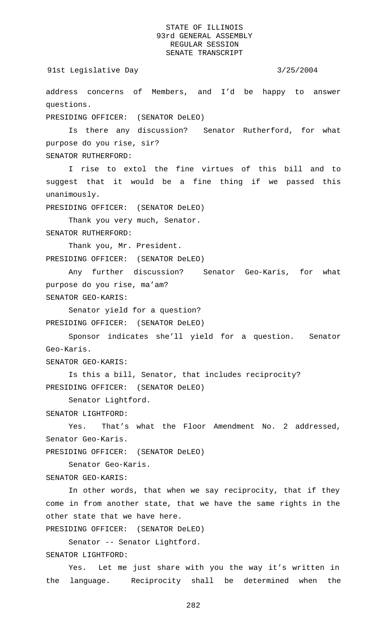91st Legislative Day 3/25/2004

address concerns of Members, and I'd be happy to answer questions.

PRESIDING OFFICER: (SENATOR DeLEO)

Is there any discussion? Senator Rutherford, for what purpose do you rise, sir? SENATOR RUTHERFORD:

I rise to extol the fine virtues of this bill and to suggest that it would be a fine thing if we passed this unanimously.

PRESIDING OFFICER: (SENATOR DeLEO)

Thank you very much, Senator.

SENATOR RUTHERFORD:

Thank you, Mr. President. PRESIDING OFFICER: (SENATOR DeLEO)

Any further discussion? Senator Geo-Karis, for what purpose do you rise, ma'am? SENATOR GEO-KARIS:

Senator yield for a question?

PRESIDING OFFICER: (SENATOR DeLEO)

Sponsor indicates she'll yield for a question. Senator Geo-Karis.

SENATOR GEO-KARIS:

Is this a bill, Senator, that includes reciprocity? PRESIDING OFFICER: (SENATOR DeLEO)

Senator Lightford.

SENATOR LIGHTFORD:

Yes. That's what the Floor Amendment No. 2 addressed, Senator Geo-Karis.

PRESIDING OFFICER: (SENATOR DeLEO)

Senator Geo-Karis.

SENATOR GEO-KARIS:

In other words, that when we say reciprocity, that if they come in from another state, that we have the same rights in the other state that we have here.

PRESIDING OFFICER: (SENATOR DeLEO)

Senator -- Senator Lightford. SENATOR LIGHTFORD:

Yes. Let me just share with you the way it's written in the language. Reciprocity shall be determined when the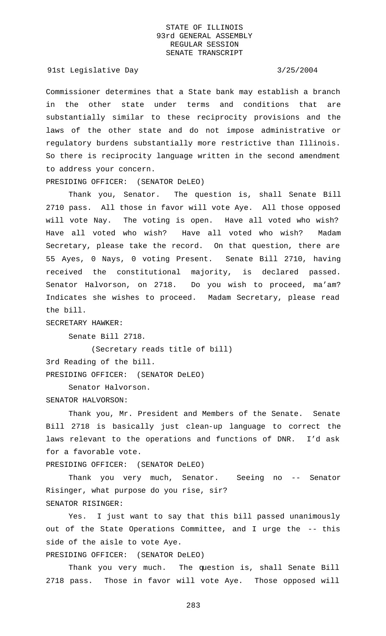### 91st Legislative Day 3/25/2004

Commissioner determines that a State bank may establish a branch in the other state under terms and conditions that are substantially similar to these reciprocity provisions and the laws of the other state and do not impose administrative or regulatory burdens substantially more restrictive than Illinois. So there is reciprocity language written in the second amendment to address your concern.

PRESIDING OFFICER: (SENATOR DeLEO)

Thank you, Senator. The question is, shall Senate Bill 2710 pass. All those in favor will vote Aye. All those opposed will vote Nay. The voting is open. Have all voted who wish? Have all voted who wish? Have all voted who wish? Madam Secretary, please take the record. On that question, there are 55 Ayes, 0 Nays, 0 voting Present. Senate Bill 2710, having received the constitutional majority, is declared passed. Senator Halvorson, on 2718. Do you wish to proceed, ma'am? Indicates she wishes to proceed. Madam Secretary, please read the bill.

SECRETARY HAWKER:

Senate Bill 2718.

(Secretary reads title of bill) 3rd Reading of the bill. PRESIDING OFFICER: (SENATOR DeLEO)

Senator Halvorson.

SENATOR HALVORSON:

Thank you, Mr. President and Members of the Senate. Senate Bill 2718 is basically just clean-up language to correct the laws relevant to the operations and functions of DNR. I'd ask for a favorable vote.

PRESIDING OFFICER: (SENATOR DeLEO)

Thank you very much, Senator. Seeing no -- Senator Risinger, what purpose do you rise, sir? SENATOR RISINGER:

Yes. I just want to say that this bill passed unanimously out of the State Operations Committee, and I urge the -- this side of the aisle to vote Aye.

PRESIDING OFFICER: (SENATOR DeLEO)

Thank you very much. The question is, shall Senate Bill 2718 pass. Those in favor will vote Aye. Those opposed will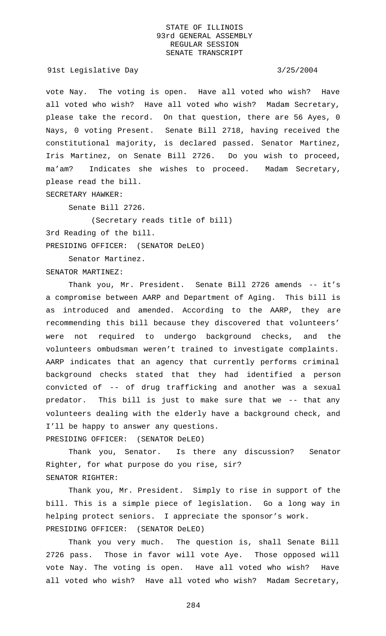91st Legislative Day 3/25/2004

vote Nay. The voting is open. Have all voted who wish? Have all voted who wish? Have all voted who wish? Madam Secretary, please take the record. On that question, there are 56 Ayes, 0 Nays, 0 voting Present. Senate Bill 2718, having received the constitutional majority, is declared passed. Senator Martinez, Iris Martinez, on Senate Bill 2726. Do you wish to proceed, ma'am? Indicates she wishes to proceed. Madam Secretary, please read the bill.

SECRETARY HAWKER:

Senate Bill 2726.

(Secretary reads title of bill) 3rd Reading of the bill. PRESIDING OFFICER: (SENATOR DeLEO)

Senator Martinez.

SENATOR MARTINEZ:

Thank you, Mr. President. Senate Bill 2726 amends -- it's a compromise between AARP and Department of Aging. This bill is as introduced and amended. According to the AARP, they are recommending this bill because they discovered that volunteers' were not required to undergo background checks, and the volunteers ombudsman weren't trained to investigate complaints. AARP indicates that an agency that currently performs criminal background checks stated that they had identified a person convicted of -- of drug trafficking and another was a sexual predator. This bill is just to make sure that we -- that any volunteers dealing with the elderly have a background check, and I'll be happy to answer any questions. PRESIDING OFFICER: (SENATOR DeLEO)

Thank you, Senator. Is there any discussion? Senator Righter, for what purpose do you rise, sir? SENATOR RIGHTER:

Thank you, Mr. President. Simply to rise in support of the bill. This is a simple piece of legislation. Go a long way in helping protect seniors. I appreciate the sponsor's work. PRESIDING OFFICER: (SENATOR DeLEO)

Thank you very much. The question is, shall Senate Bill 2726 pass. Those in favor will vote Aye. Those opposed will vote Nay. The voting is open. Have all voted who wish? Have all voted who wish? Have all voted who wish? Madam Secretary,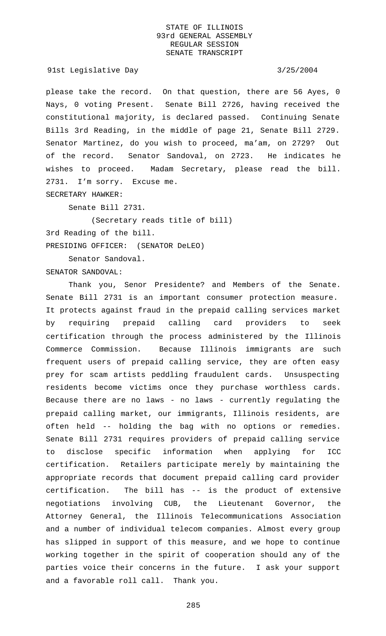### 91st Legislative Day 3/25/2004

please take the record. On that question, there are 56 Ayes, 0 Nays, 0 voting Present. Senate Bill 2726, having received the constitutional majority, is declared passed. Continuing Senate Bills 3rd Reading, in the middle of page 21, Senate Bill 2729. Senator Martinez, do you wish to proceed, ma'am, on 2729? Out of the record. Senator Sandoval, on 2723. He indicates he wishes to proceed. Madam Secretary, please read the bill. 2731. I'm sorry. Excuse me. SECRETARY HAWKER:

Senate Bill 2731.

(Secretary reads title of bill) 3rd Reading of the bill. PRESIDING OFFICER: (SENATOR DeLEO)

Senator Sandoval.

SENATOR SANDOVAL:

Thank you, Senor Presidente? and Members of the Senate. Senate Bill 2731 is an important consumer protection measure. It protects against fraud in the prepaid calling services market by requiring prepaid calling card providers to seek certification through the process administered by the Illinois Commerce Commission. Because Illinois immigrants are such frequent users of prepaid calling service, they are often easy prey for scam artists peddling fraudulent cards. Unsuspecting residents become victims once they purchase worthless cards. Because there are no laws - no laws - currently regulating the prepaid calling market, our immigrants, Illinois residents, are often held -- holding the bag with no options or remedies. Senate Bill 2731 requires providers of prepaid calling service to disclose specific information when applying for ICC certification. Retailers participate merely by maintaining the appropriate records that document prepaid calling card provider certification. The bill has -- is the product of extensive negotiations involving CUB, the Lieutenant Governor, the Attorney General, the Illinois Telecommunications Association and a number of individual telecom companies. Almost every group has slipped in support of this measure, and we hope to continue working together in the spirit of cooperation should any of the parties voice their concerns in the future. I ask your support and a favorable roll call. Thank you.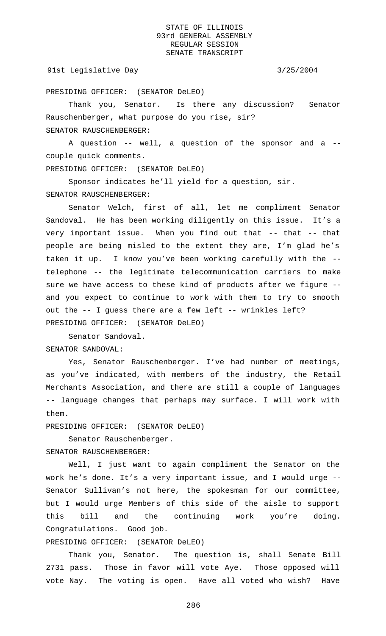### 91st Legislative Day 3/25/2004

PRESIDING OFFICER: (SENATOR DeLEO)

Thank you, Senator. Is there any discussion? Senator Rauschenberger, what purpose do you rise, sir? SENATOR RAUSCHENBERGER:

A question -- well, a question of the sponsor and a - couple quick comments.

PRESIDING OFFICER: (SENATOR DeLEO)

Sponsor indicates he'll yield for a question, sir. SENATOR RAUSCHENBERGER:

Senator Welch, first of all, let me compliment Senator Sandoval. He has been working diligently on this issue. It's a very important issue. When you find out that -- that -- that people are being misled to the extent they are, I'm glad he's taken it up. I know you've been working carefully with the - telephone -- the legitimate telecommunication carriers to make sure we have access to these kind of products after we figure - and you expect to continue to work with them to try to smooth out the -- I guess there are a few left -- wrinkles left? PRESIDING OFFICER: (SENATOR DeLEO)

Senator Sandoval. SENATOR SANDOVAL:

Yes, Senator Rauschenberger. I've had number of meetings, as you've indicated, with members of the industry, the Retail Merchants Association, and there are still a couple of languages -- language changes that perhaps may surface. I will work with them.

PRESIDING OFFICER: (SENATOR DeLEO)

Senator Rauschenberger.

SENATOR RAUSCHENBERGER:

Well, I just want to again compliment the Senator on the work he's done. It's a very important issue, and I would urge -- Senator Sullivan's not here, the spokesman for our committee, but I would urge Members of this side of the aisle to support this bill and the continuing work you're doing. Congratulations. Good job.

PRESIDING OFFICER: (SENATOR DeLEO)

Thank you, Senator. The question is, shall Senate Bill 2731 pass. Those in favor will vote Aye. Those opposed will vote Nay. The voting is open. Have all voted who wish? Have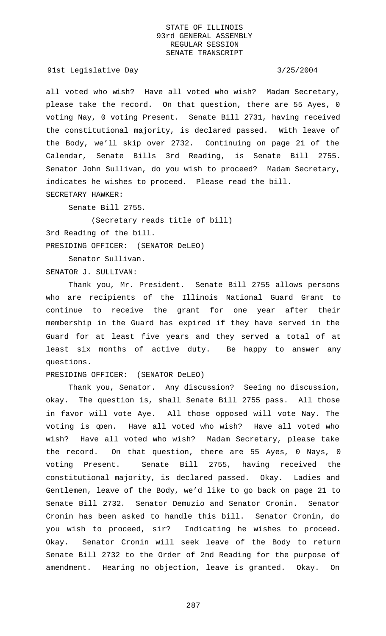91st Legislative Day 3/25/2004

all voted who wish? Have all voted who wish? Madam Secretary, please take the record. On that question, there are 55 Ayes, 0 voting Nay, 0 voting Present. Senate Bill 2731, having received the constitutional majority, is declared passed. With leave of the Body, we'll skip over 2732. Continuing on page 21 of the Calendar, Senate Bills 3rd Reading, is Senate Bill 2755. Senator John Sullivan, do you wish to proceed? Madam Secretary, indicates he wishes to proceed. Please read the bill. SECRETARY HAWKER:

Senate Bill 2755.

(Secretary reads title of bill) 3rd Reading of the bill. PRESIDING OFFICER: (SENATOR DeLEO)

Senator Sullivan.

SENATOR J. SULLIVAN:

Thank you, Mr. President. Senate Bill 2755 allows persons who are recipients of the Illinois National Guard Grant to continue to receive the grant for one year after their membership in the Guard has expired if they have served in the Guard for at least five years and they served a total of at least six months of active duty. Be happy to answer any questions.

PRESIDING OFFICER: (SENATOR DeLEO)

Thank you, Senator. Any discussion? Seeing no discussion, okay. The question is, shall Senate Bill 2755 pass. All those in favor will vote Aye. All those opposed will vote Nay. The voting is open. Have all voted who wish? Have all voted who wish? Have all voted who wish? Madam Secretary, please take the record. On that question, there are 55 Ayes, 0 Nays, 0 voting Present. Senate Bill 2755, having received the constitutional majority, is declared passed. Okay. Ladies and Gentlemen, leave of the Body, we'd like to go back on page 21 to Senate Bill 2732. Senator Demuzio and Senator Cronin. Senator Cronin has been asked to handle this bill. Senator Cronin, do you wish to proceed, sir? Indicating he wishes to proceed. Okay. Senator Cronin will seek leave of the Body to return Senate Bill 2732 to the Order of 2nd Reading for the purpose of amendment. Hearing no objection, leave is granted. Okay. On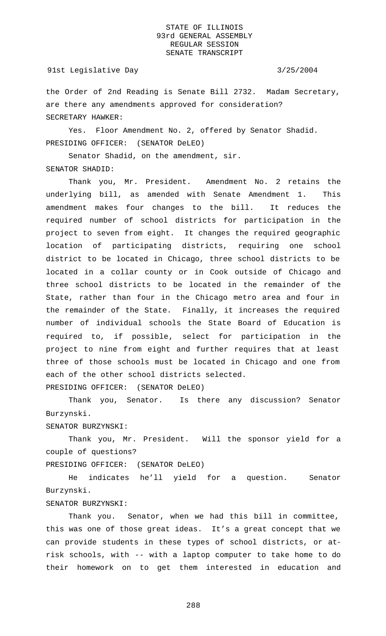### 91st Legislative Day 3/25/2004

the Order of 2nd Reading is Senate Bill 2732. Madam Secretary, are there any amendments approved for consideration? SECRETARY HAWKER:

Yes. Floor Amendment No. 2, offered by Senator Shadid. PRESIDING OFFICER: (SENATOR DeLEO)

Senator Shadid, on the amendment, sir. SENATOR SHADID:

Thank you, Mr. President. Amendment No. 2 retains the underlying bill, as amended with Senate Amendment 1. This amendment makes four changes to the bill. It reduces the required number of school districts for participation in the project to seven from eight. It changes the required geographic location of participating districts, requiring one school district to be located in Chicago, three school districts to be located in a collar county or in Cook outside of Chicago and three school districts to be located in the remainder of the State, rather than four in the Chicago metro area and four in the remainder of the State. Finally, it increases the required number of individual schools the State Board of Education is required to, if possible, select for participation in the project to nine from eight and further requires that at least three of those schools must be located in Chicago and one from each of the other school districts selected. PRESIDING OFFICER: (SENATOR DeLEO)

Thank you, Senator. Is there any discussion? Senator Burzynski.

SENATOR BURZYNSKI:

Thank you, Mr. President. Will the sponsor yield for a couple of questions?

PRESIDING OFFICER: (SENATOR DeLEO)

He indicates he'll yield for a question. Senator Burzynski.

# SENATOR BURZYNSKI:

Thank you. Senator, when we had this bill in committee, this was one of those great ideas. It's a great concept that we can provide students in these types of school districts, or atrisk schools, with -- with a laptop computer to take home to do their homework on to get them interested in education and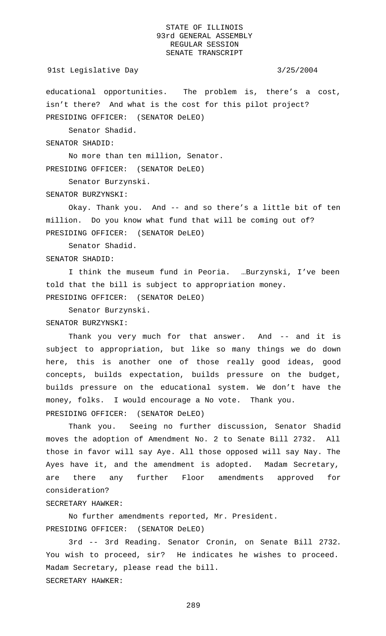### 91st Legislative Day 3/25/2004

educational opportunities. The problem is, there's a cost, isn't there? And what is the cost for this pilot project? PRESIDING OFFICER: (SENATOR DeLEO)

Senator Shadid.

SENATOR SHADID:

No more than ten million, Senator. PRESIDING OFFICER: (SENATOR DeLEO)

Senator Burzynski.

SENATOR BURZYNSKI:

Okay. Thank you. And -- and so there's a little bit of ten million. Do you know what fund that will be coming out of? PRESIDING OFFICER: (SENATOR DeLEO)

Senator Shadid.

SENATOR SHADID:

I think the museum fund in Peoria. …Burzynski, I've been told that the bill is subject to appropriation money. PRESIDING OFFICER: (SENATOR DeLEO)

Senator Burzynski.

SENATOR BURZYNSKI:

Thank you very much for that answer. And -- and it is subject to appropriation, but like so many things we do down here, this is another one of those really good ideas, good concepts, builds expectation, builds pressure on the budget, builds pressure on the educational system. We don't have the money, folks. I would encourage a No vote. Thank you. PRESIDING OFFICER: (SENATOR DeLEO)

Thank you. Seeing no further discussion, Senator Shadid moves the adoption of Amendment No. 2 to Senate Bill 2732. All those in favor will say Aye. All those opposed will say Nay. The Ayes have it, and the amendment is adopted. Madam Secretary, are there any further Floor amendments approved for consideration?

# SECRETARY HAWKER:

No further amendments reported, Mr. President. PRESIDING OFFICER: (SENATOR DeLEO)

3rd -- 3rd Reading. Senator Cronin, on Senate Bill 2732. You wish to proceed, sir? He indicates he wishes to proceed. Madam Secretary, please read the bill. SECRETARY HAWKER: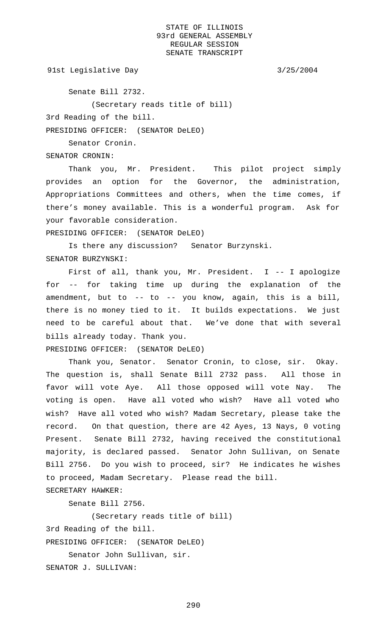91st Legislative Day 3/25/2004

Senate Bill 2732.

(Secretary reads title of bill)

3rd Reading of the bill.

PRESIDING OFFICER: (SENATOR DeLEO)

Senator Cronin.

SENATOR CRONIN:

Thank you, Mr. President. This pilot project simply provides an option for the Governor, the administration, Appropriations Committees and others, when the time comes, if there's money available. This is a wonderful program. Ask for your favorable consideration.

PRESIDING OFFICER: (SENATOR DeLEO)

Is there any discussion? Senator Burzynski. SENATOR BURZYNSKI:

First of all, thank you, Mr. President. I -- I apologize for -- for taking time up during the explanation of the amendment, but to -- to -- you know, again, this is a bill, there is no money tied to it. It builds expectations. We just need to be careful about that. We've done that with several bills already today. Thank you.

PRESIDING OFFICER: (SENATOR DeLEO)

Thank you, Senator. Senator Cronin, to close, sir. Okay. The question is, shall Senate Bill 2732 pass. All those in favor will vote Aye. All those opposed will vote Nay. The voting is open. Have all voted who wish? Have all voted who wish? Have all voted who wish? Madam Secretary, please take the record. On that question, there are 42 Ayes, 13 Nays, 0 voting Present. Senate Bill 2732, having received the constitutional majority, is declared passed. Senator John Sullivan, on Senate Bill 2756. Do you wish to proceed, sir? He indicates he wishes to proceed, Madam Secretary. Please read the bill. SECRETARY HAWKER:

Senate Bill 2756.

(Secretary reads title of bill)

3rd Reading of the bill.

PRESIDING OFFICER: (SENATOR DeLEO)

Senator John Sullivan, sir.

SENATOR J. SULLIVAN: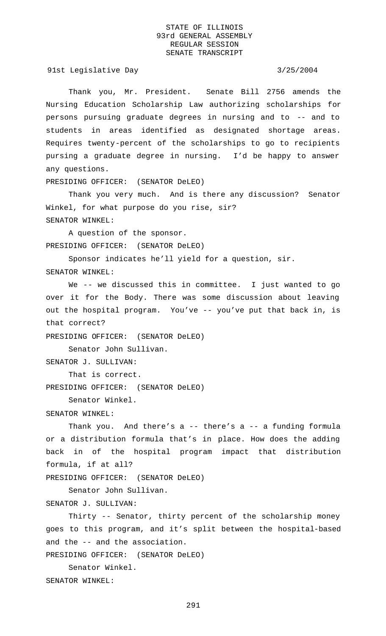91st Legislative Day 3/25/2004

Thank you, Mr. President. Senate Bill 2756 amends the Nursing Education Scholarship Law authorizing scholarships for persons pursuing graduate degrees in nursing and to -- and to students in areas identified as designated shortage areas. Requires twenty-percent of the scholarships to go to recipients pursing a graduate degree in nursing. I'd be happy to answer any questions.

PRESIDING OFFICER: (SENATOR DeLEO)

Thank you very much. And is there any discussion? Senator Winkel, for what purpose do you rise, sir? SENATOR WINKEL:

A question of the sponsor. PRESIDING OFFICER: (SENATOR DeLEO)

Sponsor indicates he'll yield for a question, sir. SENATOR WINKEL:

We -- we discussed this in committee. I just wanted to go over it for the Body. There was some discussion about leaving out the hospital program. You've -- you've put that back in, is that correct?

PRESIDING OFFICER: (SENATOR DeLEO)

Senator John Sullivan.

```
SENATOR J. SULLIVAN:
```
That is correct.

PRESIDING OFFICER: (SENATOR DeLEO)

Senator Winkel.

### SENATOR WINKEL:

Thank you. And there's a -- there's a -- a funding formula or a distribution formula that's in place. How does the adding back in of the hospital program impact that distribution formula, if at all?

PRESIDING OFFICER: (SENATOR DeLEO)

Senator John Sullivan.

SENATOR J. SULLIVAN:

Thirty -- Senator, thirty percent of the scholarship money goes to this program, and it's split between the hospital-based and the -- and the association.

PRESIDING OFFICER: (SENATOR DeLEO)

Senator Winkel. SENATOR WINKEL: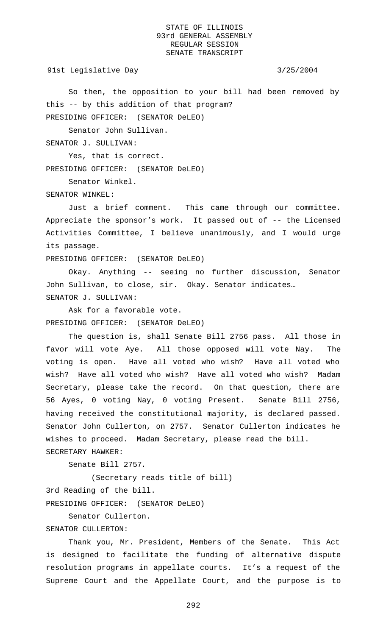91st Legislative Day 3/25/2004

So then, the opposition to your bill had been removed by this -- by this addition of that program? PRESIDING OFFICER: (SENATOR DeLEO)

Senator John Sullivan.

SENATOR J. SULLIVAN:

Yes, that is correct.

PRESIDING OFFICER: (SENATOR DeLEO)

Senator Winkel.

SENATOR WINKEL:

Just a brief comment. This came through our committee. Appreciate the sponsor's work. It passed out of -- the Licensed Activities Committee, I believe unanimously, and I would urge its passage.

PRESIDING OFFICER: (SENATOR DeLEO)

Okay. Anything -- seeing no further discussion, Senator John Sullivan, to close, sir. Okay. Senator indicates… SENATOR J. SULLIVAN:

Ask for a favorable vote. PRESIDING OFFICER: (SENATOR DeLEO)

The question is, shall Senate Bill 2756 pass. All those in favor will vote Aye. All those opposed will vote Nay. The voting is open. Have all voted who wish? Have all voted who wish? Have all voted who wish? Have all voted who wish? Madam Secretary, please take the record. On that question, there are 56 Ayes, 0 voting Nay, 0 voting Present. Senate Bill 2756, having received the constitutional majority, is declared passed. Senator John Cullerton, on 2757. Senator Cullerton indicates he wishes to proceed. Madam Secretary, please read the bill. SECRETARY HAWKER:

Senate Bill 2757.

(Secretary reads title of bill) 3rd Reading of the bill. PRESIDING OFFICER: (SENATOR DeLEO)

Senator Cullerton.

# SENATOR CULLERTON:

Thank you, Mr. President, Members of the Senate. This Act is designed to facilitate the funding of alternative dispute resolution programs in appellate courts. It's a request of the Supreme Court and the Appellate Court, and the purpose is to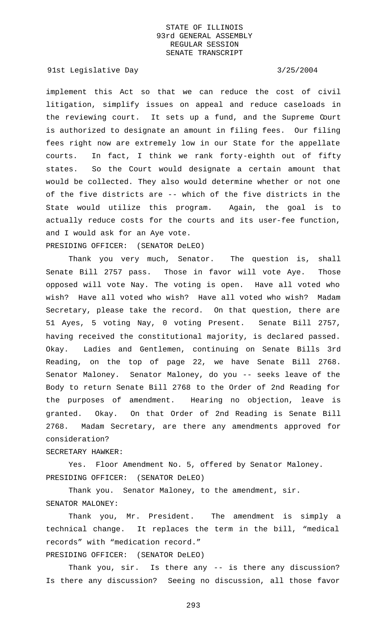91st Legislative Day 3/25/2004

implement this Act so that we can reduce the cost of civil litigation, simplify issues on appeal and reduce caseloads in the reviewing court. It sets up a fund, and the Supreme Court is authorized to designate an amount in filing fees. Our filing fees right now are extremely low in our State for the appellate courts. In fact, I think we rank forty-eighth out of fifty states. So the Court would designate a certain amount that would be collected. They also would determine whether or not one of the five districts are -- which of the five districts in the State would utilize this program. Again, the goal is to actually reduce costs for the courts and its user-fee function, and I would ask for an Aye vote. PRESIDING OFFICER: (SENATOR DeLEO)

Thank you very much, Senator. The question is, shall Senate Bill 2757 pass. Those in favor will vote Aye. Those opposed will vote Nay. The voting is open. Have all voted who wish? Have all voted who wish? Have all voted who wish? Madam Secretary, please take the record. On that question, there are 51 Ayes, 5 voting Nay, 0 voting Present. Senate Bill 2757, having received the constitutional majority, is declared passed. Okay. Ladies and Gentlemen, continuing on Senate Bills 3rd Reading, on the top of page 22, we have Senate Bill 2768. Senator Maloney. Senator Maloney, do you -- seeks leave of the Body to return Senate Bill 2768 to the Order of 2nd Reading for the purposes of amendment. Hearing no objection, leave is granted. Okay. On that Order of 2nd Reading is Senate Bill 2768. Madam Secretary, are there any amendments approved for consideration?

SECRETARY HAWKER:

Yes. Floor Amendment No. 5, offered by Senator Maloney. PRESIDING OFFICER: (SENATOR DeLEO)

Thank you. Senator Maloney, to the amendment, sir. SENATOR MALONEY:

Thank you, Mr. President. The amendment is simply a technical change. It replaces the term in the bill, "medical records" with "medication record."

PRESIDING OFFICER: (SENATOR DeLEO)

Thank you, sir. Is there any -- is there any discussion? Is there any discussion? Seeing no discussion, all those favor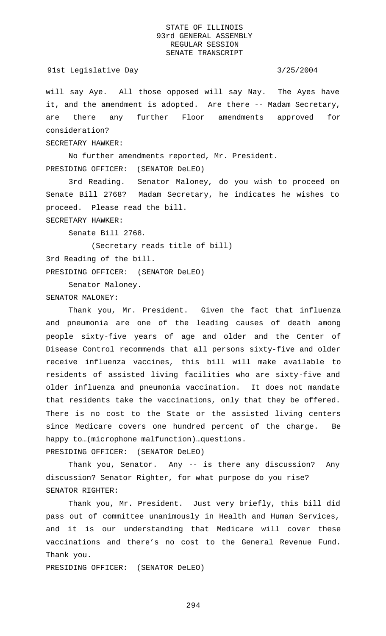### 91st Legislative Day 3/25/2004

will say Aye. All those opposed will say Nay. The Ayes have it, and the amendment is adopted. Are there -- Madam Secretary, are there any further Floor amendments approved for consideration?

SECRETARY HAWKER:

No further amendments reported, Mr. President. PRESIDING OFFICER: (SENATOR DeLEO)

3rd Reading. Senator Maloney, do you wish to proceed on Senate Bill 2768? Madam Secretary, he indicates he wishes to proceed. Please read the bill.

SECRETARY HAWKER:

Senate Bill 2768.

(Secretary reads title of bill) 3rd Reading of the bill. PRESIDING OFFICER: (SENATOR DeLEO)

Senator Maloney.

SENATOR MALONEY:

Thank you, Mr. President. Given the fact that influenza and pneumonia are one of the leading causes of death among people sixty-five years of age and older and the Center of Disease Control recommends that all persons sixty-five and older receive influenza vaccines, this bill will make available to residents of assisted living facilities who are sixty-five and older influenza and pneumonia vaccination. It does not mandate that residents take the vaccinations, only that they be offered. There is no cost to the State or the assisted living centers since Medicare covers one hundred percent of the charge. Be happy to…(microphone malfunction)…questions. PRESIDING OFFICER: (SENATOR DeLEO)

Thank you, Senator. Any -- is there any discussion? Any discussion? Senator Righter, for what purpose do you rise? SENATOR RIGHTER:

Thank you, Mr. President. Just very briefly, this bill did pass out of committee unanimously in Health and Human Services, and it is our understanding that Medicare will cover these vaccinations and there's no cost to the General Revenue Fund. Thank you.

PRESIDING OFFICER: (SENATOR DeLEO)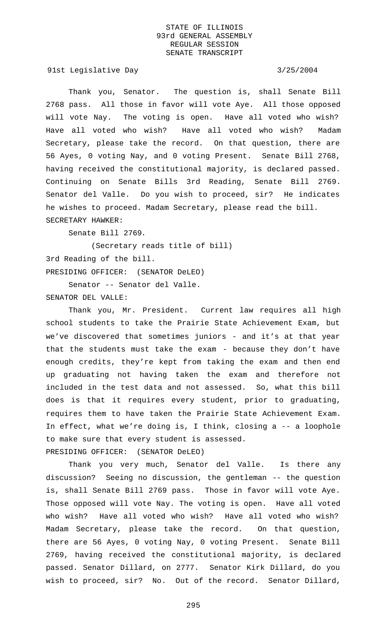91st Legislative Day 3/25/2004

Thank you, Senator. The question is, shall Senate Bill 2768 pass. All those in favor will vote Aye. All those opposed will vote Nay. The voting is open. Have all voted who wish? Have all voted who wish? Have all voted who wish? Madam Secretary, please take the record. On that question, there are 56 Ayes, 0 voting Nay, and 0 voting Present. Senate Bill 2768, having received the constitutional majority, is declared passed. Continuing on Senate Bills 3rd Reading, Senate Bill 2769. Senator del Valle. Do you wish to proceed, sir? He indicates he wishes to proceed. Madam Secretary, please read the bill. SECRETARY HAWKER:

Senate Bill 2769.

(Secretary reads title of bill) 3rd Reading of the bill. PRESIDING OFFICER: (SENATOR DeLEO)

Senator -- Senator del Valle. SENATOR DEL VALLE:

Thank you, Mr. President. Current law requires all high school students to take the Prairie State Achievement Exam, but we've discovered that sometimes juniors - and it's at that year that the students must take the exam - because they don't have enough credits, they're kept from taking the exam and then end up graduating not having taken the exam and therefore not included in the test data and not assessed. So, what this bill does is that it requires every student, prior to graduating, requires them to have taken the Prairie State Achievement Exam. In effect, what we're doing is, I think, closing a -- a loophole to make sure that every student is assessed. PRESIDING OFFICER: (SENATOR DeLEO)

Thank you very much, Senator del Valle. Is there any discussion? Seeing no discussion, the gentleman -- the question is, shall Senate Bill 2769 pass. Those in favor will vote Aye. Those opposed will vote Nay. The voting is open. Have all voted who wish? Have all voted who wish? Have all voted who wish? Madam Secretary, please take the record. On that question, there are 56 Ayes, 0 voting Nay, 0 voting Present. Senate Bill 2769, having received the constitutional majority, is declared passed. Senator Dillard, on 2777. Senator Kirk Dillard, do you wish to proceed, sir? No. Out of the record. Senator Dillard,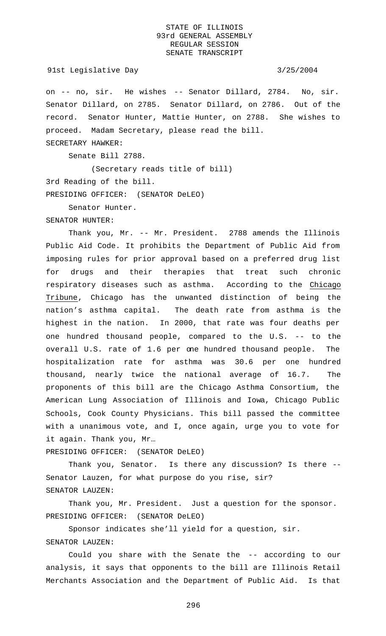### 91st Legislative Day 3/25/2004

on -- no, sir. He wishes -- Senator Dillard, 2784. No, sir. Senator Dillard, on 2785. Senator Dillard, on 2786. Out of the record. Senator Hunter, Mattie Hunter, on 2788. She wishes to proceed. Madam Secretary, please read the bill.

SECRETARY HAWKER:

Senate Bill 2788.

(Secretary reads title of bill) 3rd Reading of the bill. PRESIDING OFFICER: (SENATOR DeLEO)

Senator Hunter.

SENATOR HUNTER:

Thank you, Mr. -- Mr. President. 2788 amends the Illinois Public Aid Code. It prohibits the Department of Public Aid from imposing rules for prior approval based on a preferred drug list for drugs and their therapies that treat such chronic respiratory diseases such as asthma. According to the Chicago Tribune, Chicago has the unwanted distinction of being the nation's asthma capital. The death rate from asthma is the highest in the nation. In 2000, that rate was four deaths per one hundred thousand people, compared to the U.S. -- to the overall U.S. rate of 1.6 per one hundred thousand people. The hospitalization rate for asthma was 30.6 per one hundred thousand, nearly twice the national average of 16.7. The proponents of this bill are the Chicago Asthma Consortium, the American Lung Association of Illinois and Iowa, Chicago Public Schools, Cook County Physicians. This bill passed the committee with a unanimous vote, and I, once again, urge you to vote for it again. Thank you, Mr…

PRESIDING OFFICER: (SENATOR DeLEO)

Thank you, Senator. Is there any discussion? Is there -- Senator Lauzen, for what purpose do you rise, sir? SENATOR LAUZEN:

Thank you, Mr. President. Just a question for the sponsor. PRESIDING OFFICER: (SENATOR DeLEO)

Sponsor indicates she'll yield for a question, sir. SENATOR LAUZEN:

Could you share with the Senate the -- according to our analysis, it says that opponents to the bill are Illinois Retail Merchants Association and the Department of Public Aid. Is that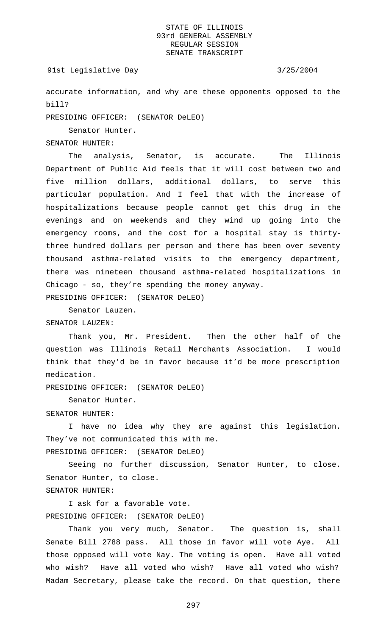### 91st Legislative Day 3/25/2004

accurate information, and why are these opponents opposed to the bill?

PRESIDING OFFICER: (SENATOR DeLEO)

Senator Hunter.

# SENATOR HUNTER:

The analysis, Senator, is accurate. The Illinois Department of Public Aid feels that it will cost between two and five million dollars, additional dollars, to serve this particular population. And I feel that with the increase of hospitalizations because people cannot get this drug in the evenings and on weekends and they wind up going into the emergency rooms, and the cost for a hospital stay is thirtythree hundred dollars per person and there has been over seventy thousand asthma-related visits to the emergency department, there was nineteen thousand asthma-related hospitalizations in Chicago - so, they're spending the money anyway. PRESIDING OFFICER: (SENATOR DeLEO)

Senator Lauzen. SENATOR LAUZEN:

Thank you, Mr. President. Then the other half of the question was Illinois Retail Merchants Association. I would think that they'd be in favor because it'd be more prescription medication.

PRESIDING OFFICER: (SENATOR DeLEO)

Senator Hunter.

### SENATOR HUNTER:

I have no idea why they are against this legislation. They've not communicated this with me. PRESIDING OFFICER: (SENATOR DeLEO)

Seeing no further discussion, Senator Hunter, to close. Senator Hunter, to close. SENATOR HUNTER:

I ask for a favorable vote. PRESIDING OFFICER: (SENATOR DeLEO)

Thank you very much, Senator. The question is, shall Senate Bill 2788 pass. All those in favor will vote Aye. All those opposed will vote Nay. The voting is open. Have all voted who wish? Have all voted who wish? Have all voted who wish? Madam Secretary, please take the record. On that question, there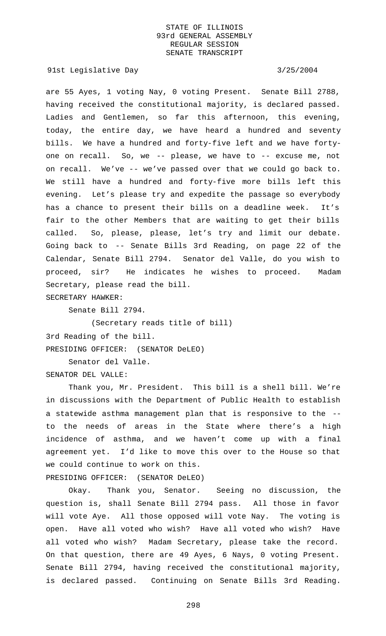91st Legislative Day 3/25/2004

are 55 Ayes, 1 voting Nay, 0 voting Present. Senate Bill 2788, having received the constitutional majority, is declared passed. Ladies and Gentlemen, so far this afternoon, this evening, today, the entire day, we have heard a hundred and seventy bills. We have a hundred and forty-five left and we have fortyone on recall. So, we -- please, we have to -- excuse me, not on recall. We've -- we've passed over that we could go back to. We still have a hundred and forty-five more bills left this evening. Let's please try and expedite the passage so everybody has a chance to present their bills on a deadline week. It's fair to the other Members that are waiting to get their bills called. So, please, please, let's try and limit our debate. Going back to -- Senate Bills 3rd Reading, on page 22 of the Calendar, Senate Bill 2794. Senator del Valle, do you wish to proceed, sir? He indicates he wishes to proceed. Madam Secretary, please read the bill. SECRETARY HAWKER:

Senate Bill 2794.

(Secretary reads title of bill) 3rd Reading of the bill. PRESIDING OFFICER: (SENATOR DeLEO)

Senator del Valle. SENATOR DEL VALLE:

Thank you, Mr. President. This bill is a shell bill. We're in discussions with the Department of Public Health to establish a statewide asthma management plan that is responsive to the - to the needs of areas in the State where there's a high incidence of asthma, and we haven't come up with a final agreement yet. I'd like to move this over to the House so that we could continue to work on this.

PRESIDING OFFICER: (SENATOR DeLEO)

Okay. Thank you, Senator. Seeing no discussion, the question is, shall Senate Bill 2794 pass. All those in favor will vote Aye. All those opposed will vote Nay. The voting is open. Have all voted who wish? Have all voted who wish? Have all voted who wish? Madam Secretary, please take the record. On that question, there are 49 Ayes, 6 Nays, 0 voting Present. Senate Bill 2794, having received the constitutional majority, is declared passed. Continuing on Senate Bills 3rd Reading.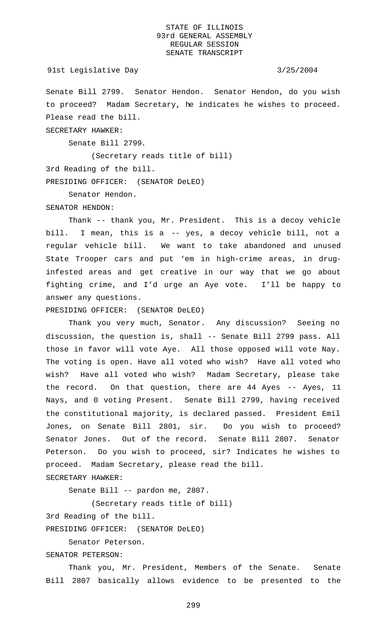### 91st Legislative Day 3/25/2004

Senate Bill 2799. Senator Hendon. Senator Hendon, do you wish to proceed? Madam Secretary, he indicates he wishes to proceed. Please read the bill.

SECRETARY HAWKER:

Senate Bill 2799.

(Secretary reads title of bill) 3rd Reading of the bill. PRESIDING OFFICER: (SENATOR DeLEO)

Senator Hendon.

### SENATOR HENDON:

Thank -- thank you, Mr. President. This is a decoy vehicle bill. I mean, this is a -- yes, a decoy vehicle bill, not a regular vehicle bill. We want to take abandoned and unused State Trooper cars and put 'em in high-crime areas, in druginfested areas and get creative in our way that we go about fighting crime, and I'd urge an Aye vote. I'll be happy to answer any questions.

PRESIDING OFFICER: (SENATOR DeLEO)

Thank you very much, Senator. Any discussion? Seeing no discussion, the question is, shall -- Senate Bill 2799 pass. All those in favor will vote Aye. All those opposed will vote Nay. The voting is open. Have all voted who wish? Have all voted who wish? Have all voted who wish? Madam Secretary, please take the record. On that question, there are 44 Ayes -- Ayes, 11 Nays, and 0 voting Present. Senate Bill 2799, having received the constitutional majority, is declared passed. President Emil Jones, on Senate Bill 2801, sir. Do you wish to proceed? Senator Jones. Out of the record. Senate Bill 2807. Senator Peterson. Do you wish to proceed, sir? Indicates he wishes to proceed. Madam Secretary, please read the bill.

# SECRETARY HAWKER:

Senate Bill -- pardon me, 2807.

(Secretary reads title of bill)

3rd Reading of the bill.

PRESIDING OFFICER: (SENATOR DeLEO)

Senator Peterson.

SENATOR PETERSON:

Thank you, Mr. President, Members of the Senate. Senate Bill 2807 basically allows evidence to be presented to the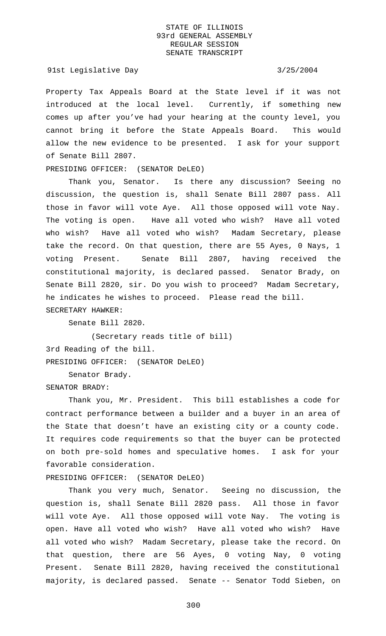### 91st Legislative Day 3/25/2004

Property Tax Appeals Board at the State level if it was not introduced at the local level. Currently, if something new comes up after you've had your hearing at the county level, you cannot bring it before the State Appeals Board. This would allow the new evidence to be presented. I ask for your support of Senate Bill 2807.

PRESIDING OFFICER: (SENATOR DeLEO)

Thank you, Senator. Is there any discussion? Seeing no discussion, the question is, shall Senate Bill 2807 pass. All those in favor will vote Aye. All those opposed will vote Nay. The voting is open. Have all voted who wish? Have all voted who wish? Have all voted who wish? Madam Secretary, please take the record. On that question, there are 55 Ayes, 0 Nays, 1 voting Present. Senate Bill 2807, having received the constitutional majority, is declared passed. Senator Brady, on Senate Bill 2820, sir. Do you wish to proceed? Madam Secretary, he indicates he wishes to proceed. Please read the bill. SECRETARY HAWKER:

Senate Bill 2820.

(Secretary reads title of bill) 3rd Reading of the bill. PRESIDING OFFICER: (SENATOR DeLEO)

Senator Brady.

SENATOR BRADY:

Thank you, Mr. President. This bill establishes a code for contract performance between a builder and a buyer in an area of the State that doesn't have an existing city or a county code. It requires code requirements so that the buyer can be protected on both pre-sold homes and speculative homes. I ask for your favorable consideration.

PRESIDING OFFICER: (SENATOR DeLEO)

Thank you very much, Senator. Seeing no discussion, the question is, shall Senate Bill 2820 pass. All those in favor will vote Aye. All those opposed will vote Nay. The voting is open. Have all voted who wish? Have all voted who wish? Have all voted who wish? Madam Secretary, please take the record. On that question, there are 56 Ayes, 0 voting Nay, 0 voting Present. Senate Bill 2820, having received the constitutional majority, is declared passed. Senate -- Senator Todd Sieben, on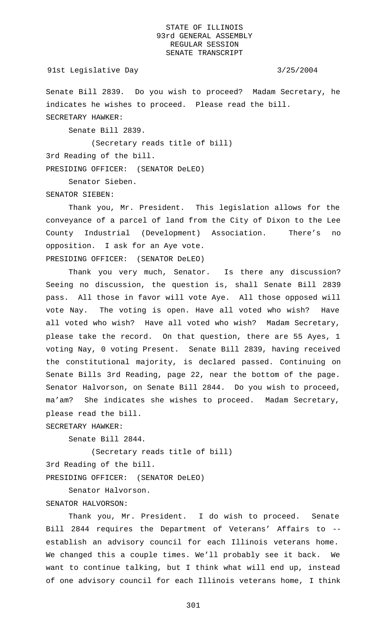Senate Bill 2839. Do you wish to proceed? Madam Secretary, he indicates he wishes to proceed. Please read the bill. SECRETARY HAWKER:

Senate Bill 2839.

(Secretary reads title of bill)

3rd Reading of the bill.

PRESIDING OFFICER: (SENATOR DeLEO)

Senator Sieben.

SENATOR SIEBEN:

Thank you, Mr. President. This legislation allows for the conveyance of a parcel of land from the City of Dixon to the Lee County Industrial (Development) Association. There's no opposition. I ask for an Aye vote. PRESIDING OFFICER: (SENATOR DeLEO)

Thank you very much, Senator. Is there any discussion? Seeing no discussion, the question is, shall Senate Bill 2839 pass. All those in favor will vote Aye. All those opposed will vote Nay. The voting is open. Have all voted who wish? Have all voted who wish? Have all voted who wish? Madam Secretary, please take the record. On that question, there are 55 Ayes, 1 voting Nay, 0 voting Present. Senate Bill 2839, having received the constitutional majority, is declared passed. Continuing on Senate Bills 3rd Reading, page 22, near the bottom of the page. Senator Halvorson, on Senate Bill 2844. Do you wish to proceed, ma'am? She indicates she wishes to proceed. Madam Secretary, please read the bill.

SECRETARY HAWKER:

Senate Bill 2844.

(Secretary reads title of bill) 3rd Reading of the bill. PRESIDING OFFICER: (SENATOR DeLEO)

Senator Halvorson.

### SENATOR HALVORSON:

Thank you, Mr. President. I do wish to proceed. Senate Bill 2844 requires the Department of Veterans' Affairs to - establish an advisory council for each Illinois veterans home. We changed this a couple times. We'll probably see it back. We want to continue talking, but I think what will end up, instead of one advisory council for each Illinois veterans home, I think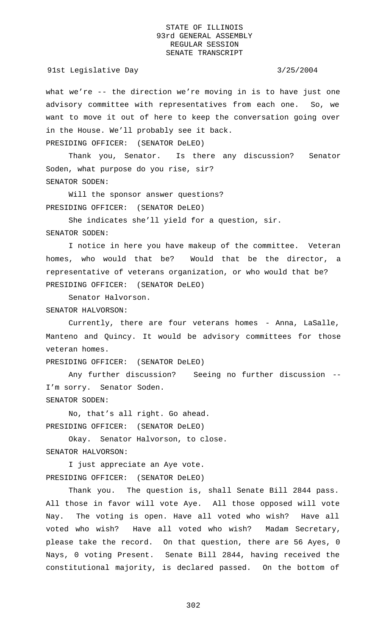what we're -- the direction we're moving in is to have just one advisory committee with representatives from each one. So, we want to move it out of here to keep the conversation going over in the House. We'll probably see it back. PRESIDING OFFICER: (SENATOR DeLEO)

Thank you, Senator. Is there any discussion? Senator Soden, what purpose do you rise, sir? SENATOR SODEN:

Will the sponsor answer questions? PRESIDING OFFICER: (SENATOR DeLEO)

She indicates she'll yield for a question, sir. SENATOR SODEN:

I notice in here you have makeup of the committee. Veteran homes, who would that be? Would that be the director, a representative of veterans organization, or who would that be? PRESIDING OFFICER: (SENATOR DeLEO)

Senator Halvorson.

SENATOR HALVORSON:

Currently, there are four veterans homes - Anna, LaSalle, Manteno and Quincy. It would be advisory committees for those veteran homes.

PRESIDING OFFICER: (SENATOR DeLEO)

Any further discussion? Seeing no further discussion -- I'm sorry. Senator Soden. SENATOR SODEN:

No, that's all right. Go ahead. PRESIDING OFFICER: (SENATOR DeLEO)

Okay. Senator Halvorson, to close. SENATOR HALVORSON:

I just appreciate an Aye vote.

PRESIDING OFFICER: (SENATOR DeLEO)

Thank you. The question is, shall Senate Bill 2844 pass. All those in favor will vote Aye. All those opposed will vote Nay. The voting is open. Have all voted who wish? Have all voted who wish? Have all voted who wish? Madam Secretary, please take the record. On that question, there are 56 Ayes, 0 Nays, 0 voting Present. Senate Bill 2844, having received the constitutional majority, is declared passed. On the bottom of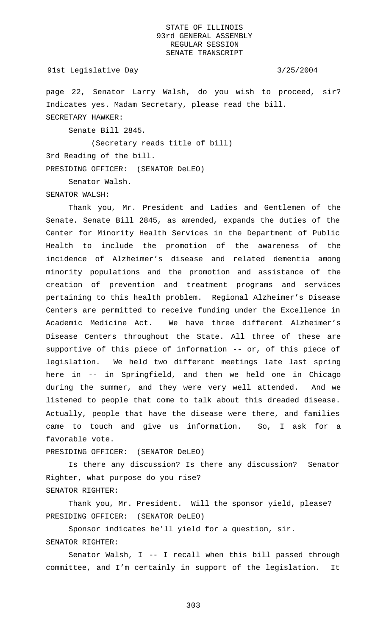### 91st Legislative Day 3/25/2004

page 22, Senator Larry Walsh, do you wish to proceed, sir? Indicates yes. Madam Secretary, please read the bill. SECRETARY HAWKER:

Senate Bill 2845.

(Secretary reads title of bill)

3rd Reading of the bill.

PRESIDING OFFICER: (SENATOR DeLEO)

Senator Walsh.

SENATOR WALSH:

Thank you, Mr. President and Ladies and Gentlemen of the Senate. Senate Bill 2845, as amended, expands the duties of the Center for Minority Health Services in the Department of Public Health to include the promotion of the awareness of the incidence of Alzheimer's disease and related dementia among minority populations and the promotion and assistance of the creation of prevention and treatment programs and services pertaining to this health problem. Regional Alzheimer's Disease Centers are permitted to receive funding under the Excellence in Academic Medicine Act. We have three different Alzheimer's Disease Centers throughout the State. All three of these are supportive of this piece of information -- or, of this piece of legislation. We held two different meetings late last spring here in -- in Springfield, and then we held one in Chicago during the summer, and they were very well attended. And we listened to people that come to talk about this dreaded disease. Actually, people that have the disease were there, and families came to touch and give us information. So, I ask for a favorable vote.

PRESIDING OFFICER: (SENATOR DeLEO)

Is there any discussion? Is there any discussion? Senator Righter, what purpose do you rise? SENATOR RIGHTER:

Thank you, Mr. President. Will the sponsor yield, please? PRESIDING OFFICER: (SENATOR DeLEO)

Sponsor indicates he'll yield for a question, sir.

# SENATOR RIGHTER:

Senator Walsh, I -- I recall when this bill passed through committee, and I'm certainly in support of the legislation. It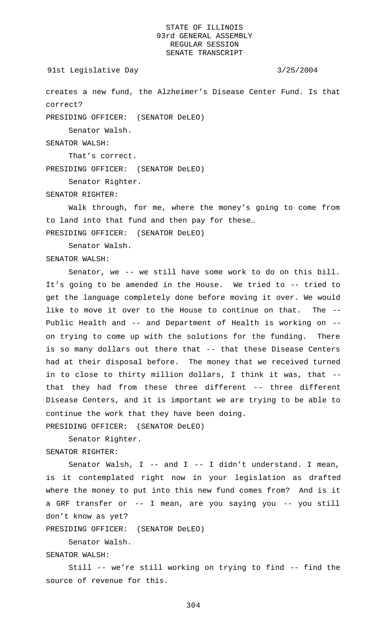```
91st Legislative Day 3/25/2004
```
creates a new fund, the Alzheimer's Disease Center Fund. Is that correct?

PRESIDING OFFICER: (SENATOR DeLEO)

Senator Walsh.

SENATOR WALSH:

That's correct.

PRESIDING OFFICER: (SENATOR DeLEO)

Senator Righter.

SENATOR RIGHTER:

Walk through, for me, where the money's going to come from to land into that fund and then pay for these…

PRESIDING OFFICER: (SENATOR DeLEO)

Senator Walsh.

SENATOR WALSH:

Senator, we -- we still have some work to do on this bill. It's going to be amended in the House. We tried to -- tried to get the language completely done before moving it over. We would like to move it over to the House to continue on that. The -- Public Health and -- and Department of Health is working on - on trying to come up with the solutions for the funding. There is so many dollars out there that -- that these Disease Centers had at their disposal before. The money that we received turned in to close to thirty million dollars, I think it was, that - that they had from these three different -- three different Disease Centers, and it is important we are trying to be able to continue the work that they have been doing. PRESIDING OFFICER: (SENATOR DeLEO)

Senator Righter.

SENATOR RIGHTER:

Senator Walsh, I -- and I -- I didn't understand. I mean, is it contemplated right now in your legislation as drafted where the money to put into this new fund comes from? And is it a GRF transfer or -- I mean, are you saying you -- you still don't know as yet?

PRESIDING OFFICER: (SENATOR DeLEO)

Senator Walsh.

SENATOR WALSH:

Still -- we're still working on trying to find -- find the source of revenue for this.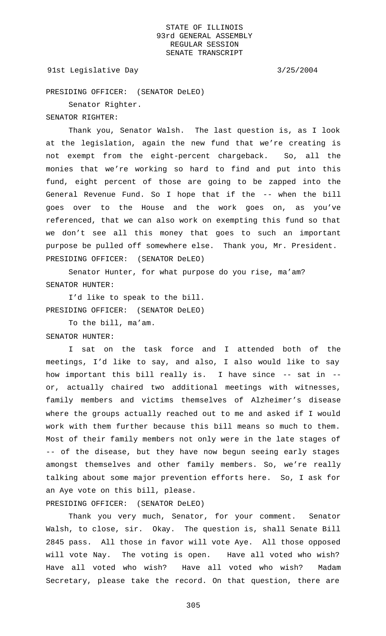91st Legislative Day 3/25/2004

PRESIDING OFFICER: (SENATOR DeLEO)

Senator Righter.

SENATOR RIGHTER:

Thank you, Senator Walsh. The last question is, as I look at the legislation, again the new fund that we're creating is not exempt from the eight-percent chargeback. So, all the monies that we're working so hard to find and put into this fund, eight percent of those are going to be zapped into the General Revenue Fund. So I hope that if the -- when the bill goes over to the House and the work goes on, as you've referenced, that we can also work on exempting this fund so that we don't see all this money that goes to such an important purpose be pulled off somewhere else. Thank you, Mr. President. PRESIDING OFFICER: (SENATOR DeLEO)

Senator Hunter, for what purpose do you rise, ma'am? SENATOR HUNTER:

I'd like to speak to the bill. PRESIDING OFFICER: (SENATOR DeLEO)

To the bill, ma'am. SENATOR HUNTER:

I sat on the task force and I attended both of the meetings, I'd like to say, and also, I also would like to say how important this bill really is. I have since -- sat in - or, actually chaired two additional meetings with witnesses, family members and victims themselves of Alzheimer's disease where the groups actually reached out to me and asked if I would work with them further because this bill means so much to them. Most of their family members not only were in the late stages of -- of the disease, but they have now begun seeing early stages amongst themselves and other family members. So, we're really talking about some major prevention efforts here. So, I ask for an Aye vote on this bill, please.

PRESIDING OFFICER: (SENATOR DeLEO)

Thank you very much, Senator, for your comment. Senator Walsh, to close, sir. Okay. The question is, shall Senate Bill 2845 pass. All those in favor will vote Aye. All those opposed will vote Nay. The voting is open. Have all voted who wish? Have all voted who wish? Have all voted who wish? Madam Secretary, please take the record. On that question, there are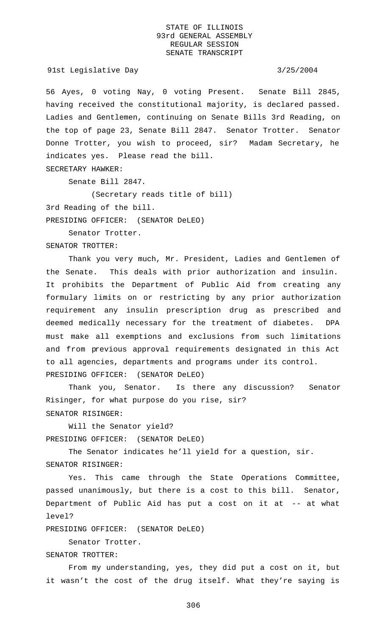91st Legislative Day 3/25/2004

56 Ayes, 0 voting Nay, 0 voting Present. Senate Bill 2845, having received the constitutional majority, is declared passed. Ladies and Gentlemen, continuing on Senate Bills 3rd Reading, on the top of page 23, Senate Bill 2847. Senator Trotter. Senator Donne Trotter, you wish to proceed, sir? Madam Secretary, he indicates yes. Please read the bill.

SECRETARY HAWKER:

Senate Bill 2847.

(Secretary reads title of bill)

3rd Reading of the bill.

PRESIDING OFFICER: (SENATOR DeLEO)

Senator Trotter.

SENATOR TROTTER:

Thank you very much, Mr. President, Ladies and Gentlemen of the Senate. This deals with prior authorization and insulin. It prohibits the Department of Public Aid from creating any formulary limits on or restricting by any prior authorization requirement any insulin prescription drug as prescribed and deemed medically necessary for the treatment of diabetes. DPA must make all exemptions and exclusions from such limitations and from previous approval requirements designated in this Act to all agencies, departments and programs under its control. PRESIDING OFFICER: (SENATOR DeLEO)

Thank you, Senator. Is there any discussion? Senator Risinger, for what purpose do you rise, sir? SENATOR RISINGER:

Will the Senator yield? PRESIDING OFFICER: (SENATOR DeLEO)

The Senator indicates he'll yield for a question, sir. SENATOR RISINGER:

Yes. This came through the State Operations Committee, passed unanimously, but there is a cost to this bill. Senator, Department of Public Aid has put a cost on it at -- at what level?

PRESIDING OFFICER: (SENATOR DeLEO)

Senator Trotter.

SENATOR TROTTER:

From my understanding, yes, they did put a cost on it, but it wasn't the cost of the drug itself. What they're saying is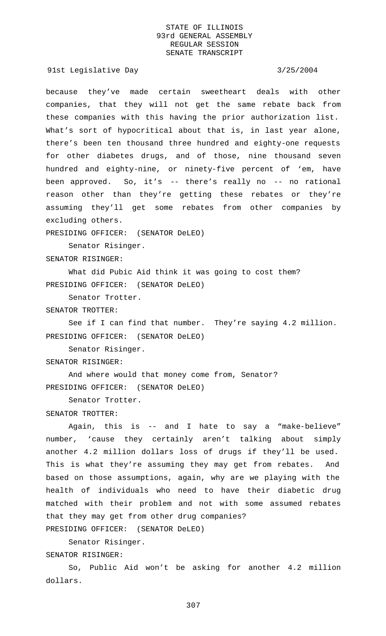91st Legislative Day 3/25/2004

because they've made certain sweetheart deals with other companies, that they will not get the same rebate back from these companies with this having the prior authorization list. What's sort of hypocritical about that is, in last year alone, there's been ten thousand three hundred and eighty-one requests for other diabetes drugs, and of those, nine thousand seven hundred and eighty-nine, or ninety-five percent of 'em, have been approved. So, it's -- there's really no -- no rational reason other than they're getting these rebates or they're assuming they'll get some rebates from other companies by excluding others.

PRESIDING OFFICER: (SENATOR DeLEO)

Senator Risinger. SENATOR RISINGER:

What did Pubic Aid think it was going to cost them? PRESIDING OFFICER: (SENATOR DeLEO)

Senator Trotter.

SENATOR TROTTER:

See if I can find that number. They're saying 4.2 million. PRESIDING OFFICER: (SENATOR DeLEO)

Senator Risinger.

SENATOR RISINGER:

And where would that money come from, Senator? PRESIDING OFFICER: (SENATOR DeLEO)

Senator Trotter.

### SENATOR TROTTER:

Again, this is -- and I hate to say a "make-believe" number, 'cause they certainly aren't talking about simply another 4.2 million dollars loss of drugs if they'll be used. This is what they're assuming they may get from rebates. And based on those assumptions, again, why are we playing with the health of individuals who need to have their diabetic drug matched with their problem and not with some assumed rebates that they may get from other drug companies? PRESIDING OFFICER: (SENATOR DeLEO)

Senator Risinger. SENATOR RISINGER:

So, Public Aid won't be asking for another 4.2 million dollars.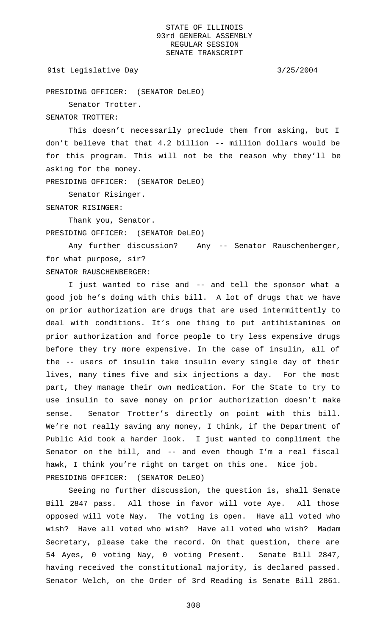91st Legislative Day 3/25/2004

PRESIDING OFFICER: (SENATOR DeLEO)

Senator Trotter.

SENATOR TROTTER:

This doesn't necessarily preclude them from asking, but I don't believe that that 4.2 billion -- million dollars would be for this program. This will not be the reason why they'll be asking for the money.

PRESIDING OFFICER: (SENATOR DeLEO)

Senator Risinger.

SENATOR RISINGER:

Thank you, Senator. PRESIDING OFFICER: (SENATOR DeLEO)

Any further discussion? Any -- Senator Rauschenberger, for what purpose, sir? SENATOR RAUSCHENBERGER:

I just wanted to rise and -- and tell the sponsor what a good job he's doing with this bill. A lot of drugs that we have on prior authorization are drugs that are used intermittently to deal with conditions. It's one thing to put antihistamines on prior authorization and force people to try less expensive drugs before they try more expensive. In the case of insulin, all of the -- users of insulin take insulin every single day of their lives, many times five and six injections a day. For the most part, they manage their own medication. For the State to try to use insulin to save money on prior authorization doesn't make sense. Senator Trotter's directly on point with this bill. We're not really saving any money, I think, if the Department of Public Aid took a harder look. I just wanted to compliment the Senator on the bill, and -- and even though I'm a real fiscal hawk, I think you're right on target on this one. Nice job. PRESIDING OFFICER: (SENATOR DeLEO)

Seeing no further discussion, the question is, shall Senate Bill 2847 pass. All those in favor will vote Aye. All those opposed will vote Nay. The voting is open. Have all voted who wish? Have all voted who wish? Have all voted who wish? Madam Secretary, please take the record. On that question, there are 54 Ayes, 0 voting Nay, 0 voting Present. Senate Bill 2847, having received the constitutional majority, is declared passed. Senator Welch, on the Order of 3rd Reading is Senate Bill 2861.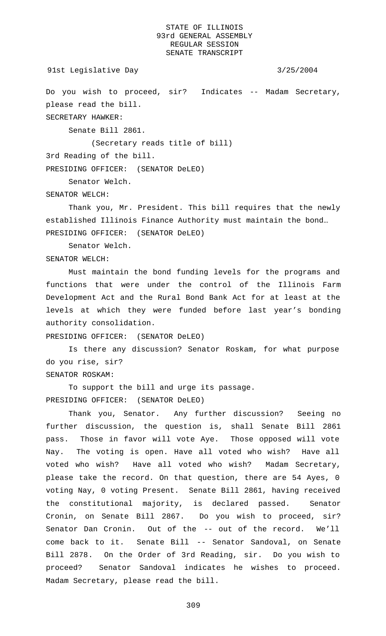```
91st Legislative Day 3/25/2004
```
Do you wish to proceed, sir? Indicates -- Madam Secretary, please read the bill. SECRETARY HAWKER:

Senate Bill 2861.

(Secretary reads title of bill)

3rd Reading of the bill.

PRESIDING OFFICER: (SENATOR DeLEO)

Senator Welch.

SENATOR WELCH:

Thank you, Mr. President. This bill requires that the newly established Illinois Finance Authority must maintain the bond… PRESIDING OFFICER: (SENATOR DeLEO)

Senator Welch.

SENATOR WELCH:

Must maintain the bond funding levels for the programs and functions that were under the control of the Illinois Farm Development Act and the Rural Bond Bank Act for at least at the levels at which they were funded before last year's bonding authority consolidation.

PRESIDING OFFICER: (SENATOR DeLEO)

Is there any discussion? Senator Roskam, for what purpose do you rise, sir?

SENATOR ROSKAM:

To support the bill and urge its passage. PRESIDING OFFICER: (SENATOR DeLEO)

Thank you, Senator. Any further discussion? Seeing no further discussion, the question is, shall Senate Bill 2861 pass. Those in favor will vote Aye. Those opposed will vote Nay. The voting is open. Have all voted who wish? Have all voted who wish? Have all voted who wish? Madam Secretary, please take the record. On that question, there are 54 Ayes, 0 voting Nay, 0 voting Present. Senate Bill 2861, having received the constitutional majority, is declared passed. Senator Cronin, on Senate Bill 2867. Do you wish to proceed, sir? Senator Dan Cronin. Out of the -- out of the record. We'll come back to it. Senate Bill -- Senator Sandoval, on Senate Bill 2878. On the Order of 3rd Reading, sir. Do you wish to proceed? Senator Sandoval indicates he wishes to proceed. Madam Secretary, please read the bill.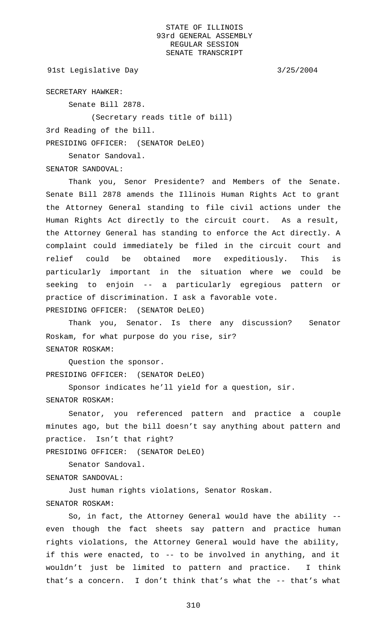91st Legislative Day 3/25/2004

SECRETARY HAWKER:

Senate Bill 2878.

Senator Sandoval.

(Secretary reads title of bill)

3rd Reading of the bill.

PRESIDING OFFICER: (SENATOR DeLEO)

SENATOR SANDOVAL:

Thank you, Senor Presidente? and Members of the Senate. Senate Bill 2878 amends the Illinois Human Rights Act to grant the Attorney General standing to file civil actions under the Human Rights Act directly to the circuit court. As a result, the Attorney General has standing to enforce the Act directly. A complaint could immediately be filed in the circuit court and relief could be obtained more expeditiously. This is particularly important in the situation where we could be seeking to enjoin -- a particularly egregious pattern or practice of discrimination. I ask a favorable vote. PRESIDING OFFICER: (SENATOR DeLEO)

Thank you, Senator. Is there any discussion? Senator Roskam, for what purpose do you rise, sir? SENATOR ROSKAM:

Question the sponsor. PRESIDING OFFICER: (SENATOR DeLEO)

Sponsor indicates he'll yield for a question, sir. SENATOR ROSKAM:

Senator, you referenced pattern and practice a couple minutes ago, but the bill doesn't say anything about pattern and practice. Isn't that right?

PRESIDING OFFICER: (SENATOR DeLEO)

Senator Sandoval.

SENATOR SANDOVAL:

Just human rights violations, Senator Roskam. SENATOR ROSKAM:

So, in fact, the Attorney General would have the ability - even though the fact sheets say pattern and practice human rights violations, the Attorney General would have the ability, if this were enacted, to -- to be involved in anything, and it wouldn't just be limited to pattern and practice. I think that's a concern. I don't think that's what the -- that's what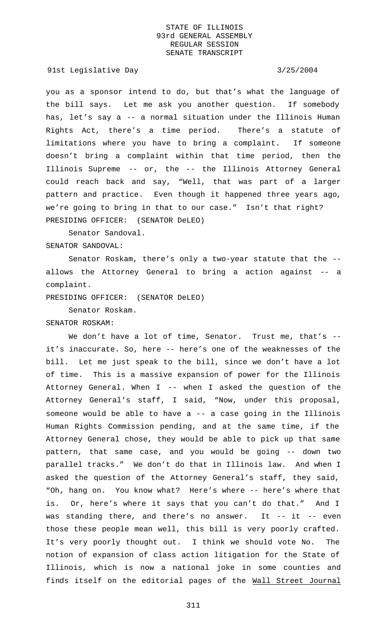91st Legislative Day 3/25/2004

you as a sponsor intend to do, but that's what the language of the bill says. Let me ask you another question. If somebody has, let's say a -- a normal situation under the Illinois Human Rights Act, there's a time period. There's a statute of limitations where you have to bring a complaint. If someone doesn't bring a complaint within that time period, then the Illinois Supreme -- or, the -- the Illinois Attorney General could reach back and say, "Well, that was part of a larger pattern and practice. Even though it happened three years ago, we're going to bring in that to our case." Isn't that right? PRESIDING OFFICER: (SENATOR DeLEO)

Senator Sandoval. SENATOR SANDOVAL:

Senator Roskam, there's only a two-year statute that the - allows the Attorney General to bring a action against -- a complaint.

PRESIDING OFFICER: (SENATOR DeLEO)

Senator Roskam.

SENATOR ROSKAM:

We don't have a lot of time, Senator. Trust me, that's -it's inaccurate. So, here -- here's one of the weaknesses of the bill. Let me just speak to the bill, since we don't have a lot of time. This is a massive expansion of power for the Illinois Attorney General. When  $I$  -- when I asked the question of the Attorney General's staff, I said, "Now, under this proposal, someone would be able to have a -- a case going in the Illinois Human Rights Commission pending, and at the same time, if the Attorney General chose, they would be able to pick up that same pattern, that same case, and you would be going -- down two parallel tracks." We don't do that in Illinois law. And when I asked the question of the Attorney General's staff, they said, "Oh, hang on. You know what? Here's where -- here's where that is. Or, here's where it says that you can't do that." And I was standing there, and there's no answer. It -- it -- even those these people mean well, this bill is very poorly crafted. It's very poorly thought out. I think we should vote No. The notion of expansion of class action litigation for the State of Illinois, which is now a national joke in some counties and finds itself on the editorial pages of the Wall Street Journal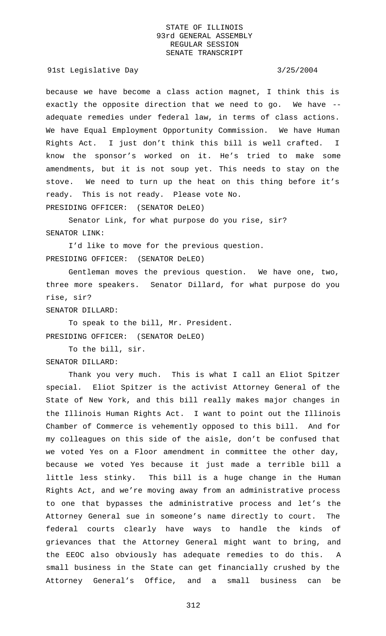### 91st Legislative Day 3/25/2004

because we have become a class action magnet, I think this is exactly the opposite direction that we need to go. We have - adequate remedies under federal law, in terms of class actions. We have Equal Employment Opportunity Commission. We have Human Rights Act. I just don't think this bill is well crafted. I know the sponsor's worked on it. He's tried to make some amendments, but it is not soup yet. This needs to stay on the stove. We need to turn up the heat on this thing before it's ready. This is not ready. Please vote No. PRESIDING OFFICER: (SENATOR DeLEO)

Senator Link, for what purpose do you rise, sir? SENATOR LINK:

I'd like to move for the previous question. PRESIDING OFFICER: (SENATOR DeLEO)

Gentleman moves the previous question. We have one, two, three more speakers. Senator Dillard, for what purpose do you rise, sir?

### SENATOR DILLARD:

To speak to the bill, Mr. President. PRESIDING OFFICER: (SENATOR DeLEO)

To the bill, sir. SENATOR DILLARD:

Thank you very much. This is what I call an Eliot Spitzer special. Eliot Spitzer is the activist Attorney General of the State of New York, and this bill really makes major changes in the Illinois Human Rights Act. I want to point out the Illinois Chamber of Commerce is vehemently opposed to this bill. And for my colleagues on this side of the aisle, don't be confused that we voted Yes on a Floor amendment in committee the other day, because we voted Yes because it just made a terrible bill a little less stinky. This bill is a huge change in the Human Rights Act, and we're moving away from an administrative process to one that bypasses the administrative process and let's the Attorney General sue in someone's name directly to court. The federal courts clearly have ways to handle the kinds of grievances that the Attorney General might want to bring, and the EEOC also obviously has adequate remedies to do this. A small business in the State can get financially crushed by the Attorney General's Office, and a small business can be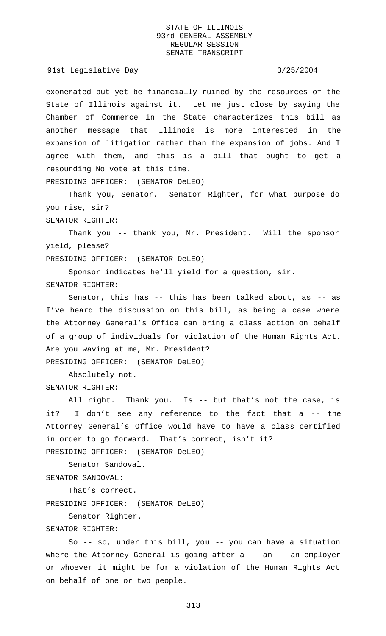91st Legislative Day 3/25/2004

exonerated but yet be financially ruined by the resources of the State of Illinois against it. Let me just close by saying the Chamber of Commerce in the State characterizes this bill as another message that Illinois is more interested in the expansion of litigation rather than the expansion of jobs. And I agree with them, and this is a bill that ought to get a resounding No vote at this time.

PRESIDING OFFICER: (SENATOR DeLEO)

Thank you, Senator. Senator Righter, for what purpose do you rise, sir?

SENATOR RIGHTER:

Thank you -- thank you, Mr. President. Will the sponsor yield, please?

PRESIDING OFFICER: (SENATOR DeLEO)

Sponsor indicates he'll yield for a question, sir. SENATOR RIGHTER:

Senator, this has -- this has been talked about, as -- as I've heard the discussion on this bill, as being a case where the Attorney General's Office can bring a class action on behalf of a group of individuals for violation of the Human Rights Act. Are you waving at me, Mr. President? PRESIDING OFFICER: (SENATOR DeLEO)

Absolutely not. SENATOR RIGHTER:

All right. Thank you. Is -- but that's not the case, is it? I don't see any reference to the fact that a -- the Attorney General's Office would have to have a class certified in order to go forward. That's correct, isn't it? PRESIDING OFFICER: (SENATOR DeLEO)

Senator Sandoval.

SENATOR SANDOVAL:

That's correct. PRESIDING OFFICER: (SENATOR DeLEO)

Senator Righter.

# SENATOR RIGHTER:

So -- so, under this bill, you -- you can have a situation where the Attorney General is going after a -- an -- an employer or whoever it might be for a violation of the Human Rights Act on behalf of one or two people.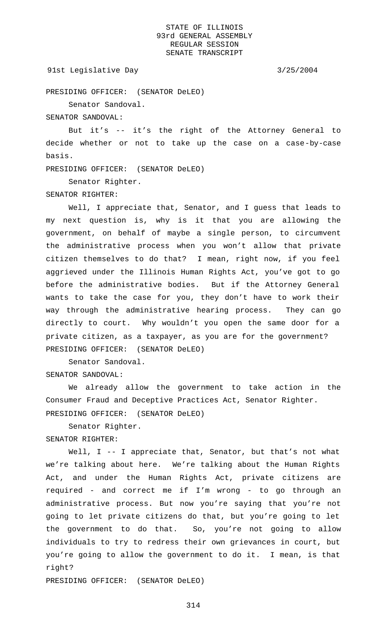### 91st Legislative Day 3/25/2004

PRESIDING OFFICER: (SENATOR DeLEO)

Senator Sandoval.

SENATOR SANDOVAL:

But it's -- it's the right of the Attorney General to decide whether or not to take up the case on a case-by-case basis.

PRESIDING OFFICER: (SENATOR DeLEO)

Senator Righter.

SENATOR RIGHTER:

Well, I appreciate that, Senator, and I guess that leads to my next question is, why is it that you are allowing the government, on behalf of maybe a single person, to circumvent the administrative process when you won't allow that private citizen themselves to do that? I mean, right now, if you feel aggrieved under the Illinois Human Rights Act, you've got to go before the administrative bodies. But if the Attorney General wants to take the case for you, they don't have to work their way through the administrative hearing process. They can go directly to court. Why wouldn't you open the same door for a private citizen, as a taxpayer, as you are for the government? PRESIDING OFFICER: (SENATOR DeLEO)

Senator Sandoval. SENATOR SANDOVAL:

We already allow the government to take action in the Consumer Fraud and Deceptive Practices Act, Senator Righter. PRESIDING OFFICER: (SENATOR DeLEO)

Senator Righter.

SENATOR RIGHTER:

Well, I -- I appreciate that, Senator, but that's not what we're talking about here. We're talking about the Human Rights Act, and under the Human Rights Act, private citizens are required - and correct me if I'm wrong - to go through an administrative process. But now you're saying that you're not going to let private citizens do that, but you're going to let the government to do that. So, you're not going to allow individuals to try to redress their own grievances in court, but you're going to allow the government to do it. I mean, is that right?

PRESIDING OFFICER: (SENATOR DeLEO)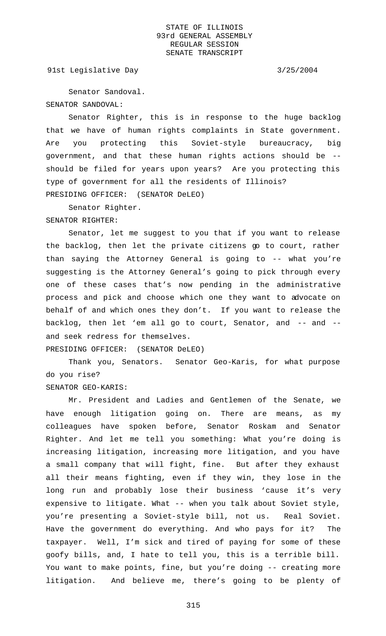91st Legislative Day 3/25/2004

Senator Sandoval. SENATOR SANDOVAL:

Senator Righter, this is in response to the huge backlog that we have of human rights complaints in State government. Are you protecting this Soviet-style bureaucracy, big government, and that these human rights actions should be - should be filed for years upon years? Are you protecting this type of government for all the residents of Illinois? PRESIDING OFFICER: (SENATOR DeLEO)

Senator Righter.

SENATOR RIGHTER:

Senator, let me suggest to you that if you want to release the backlog, then let the private citizens go to court, rather than saying the Attorney General is going to -- what you're suggesting is the Attorney General's going to pick through every one of these cases that's now pending in the administrative process and pick and choose which one they want to advocate on behalf of and which ones they don't. If you want to release the backlog, then let 'em all go to court, Senator, and -- and - and seek redress for themselves.

PRESIDING OFFICER: (SENATOR DeLEO)

Thank you, Senators. Senator Geo-Karis, for what purpose do you rise?

SENATOR GEO-KARIS:

Mr. President and Ladies and Gentlemen of the Senate, we have enough litigation going on. There are means, as my colleagues have spoken before, Senator Roskam and Senator Righter. And let me tell you something: What you're doing is increasing litigation, increasing more litigation, and you have a small company that will fight, fine. But after they exhaust all their means fighting, even if they win, they lose in the long run and probably lose their business 'cause it's very expensive to litigate. What -- when you talk about Soviet style, you're presenting a Soviet-style bill, not us. Real Soviet. Have the government do everything. And who pays for it? The taxpayer. Well, I'm sick and tired of paying for some of these goofy bills, and, I hate to tell you, this is a terrible bill. You want to make points, fine, but you're doing -- creating more litigation. And believe me, there's going to be plenty of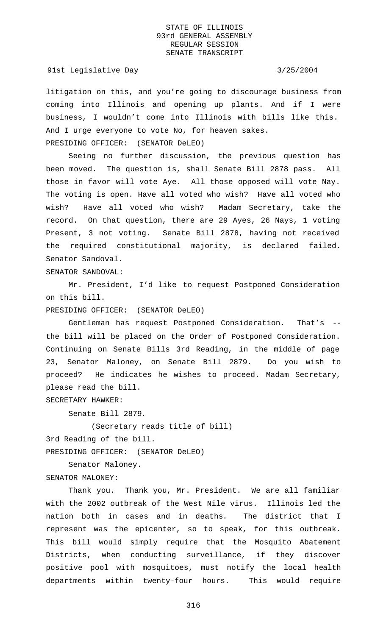### 91st Legislative Day 3/25/2004

litigation on this, and you're going to discourage business from coming into Illinois and opening up plants. And if I were business, I wouldn't come into Illinois with bills like this. And I urge everyone to vote No, for heaven sakes.

PRESIDING OFFICER: (SENATOR DeLEO)

Seeing no further discussion, the previous question has been moved. The question is, shall Senate Bill 2878 pass. All those in favor will vote Aye. All those opposed will vote Nay. The voting is open. Have all voted who wish? Have all voted who wish? Have all voted who wish? Madam Secretary, take the record. On that question, there are 29 Ayes, 26 Nays, 1 voting Present, 3 not voting. Senate Bill 2878, having not received the required constitutional majority, is declared failed. Senator Sandoval.

SENATOR SANDOVAL:

Mr. President, I'd like to request Postponed Consideration on this bill.

PRESIDING OFFICER: (SENATOR DeLEO)

Gentleman has request Postponed Consideration. That's - the bill will be placed on the Order of Postponed Consideration. Continuing on Senate Bills 3rd Reading, in the middle of page 23, Senator Maloney, on Senate Bill 2879. Do you wish to proceed? He indicates he wishes to proceed. Madam Secretary, please read the bill.

SECRETARY HAWKER:

Senate Bill 2879.

(Secretary reads title of bill) 3rd Reading of the bill.

PRESIDING OFFICER: (SENATOR DeLEO)

Senator Maloney.

### SENATOR MALONEY:

Thank you. Thank you, Mr. President. We are all familiar with the 2002 outbreak of the West Nile virus. Illinois led the nation both in cases and in deaths. The district that I represent was the epicenter, so to speak, for this outbreak. This bill would simply require that the Mosquito Abatement Districts, when conducting surveillance, if they discover positive pool with mosquitoes, must notify the local health departments within twenty-four hours. This would require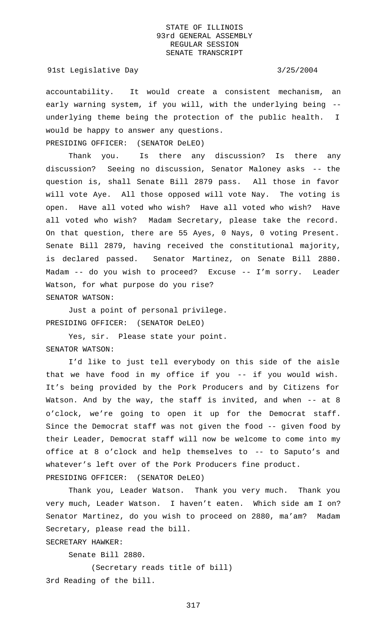### 91st Legislative Day 3/25/2004

accountability. It would create a consistent mechanism, an early warning system, if you will, with the underlying being - underlying theme being the protection of the public health. I would be happy to answer any questions. PRESIDING OFFICER: (SENATOR DeLEO)

Thank you. Is there any discussion? Is there any discussion? Seeing no discussion, Senator Maloney asks -- the question is, shall Senate Bill 2879 pass. All those in favor will vote Aye. All those opposed will vote Nay. The voting is open. Have all voted who wish? Have all voted who wish? Have all voted who wish? Madam Secretary, please take the record. On that question, there are 55 Ayes, 0 Nays, 0 voting Present. Senate Bill 2879, having received the constitutional majority, is declared passed. Senator Martinez, on Senate Bill 2880. Madam -- do you wish to proceed? Excuse -- I'm sorry. Leader Watson, for what purpose do you rise? SENATOR WATSON:

Just a point of personal privilege. PRESIDING OFFICER: (SENATOR DeLEO)

Yes, sir. Please state your point. SENATOR WATSON:

I'd like to just tell everybody on this side of the aisle that we have food in my office if you  $-$  if you would wish. It's being provided by the Pork Producers and by Citizens for Watson. And by the way, the staff is invited, and when -- at 8 o'clock, we're going to open it up for the Democrat staff. Since the Democrat staff was not given the food -- given food by their Leader, Democrat staff will now be welcome to come into my office at 8 o'clock and help themselves to -- to Saputo's and whatever's left over of the Pork Producers fine product. PRESIDING OFFICER: (SENATOR DeLEO)

Thank you, Leader Watson. Thank you very much. Thank you very much, Leader Watson. I haven't eaten. Which side am I on? Senator Martinez, do you wish to proceed on 2880, ma'am? Madam Secretary, please read the bill.

SECRETARY HAWKER:

Senate Bill 2880.

(Secretary reads title of bill) 3rd Reading of the bill.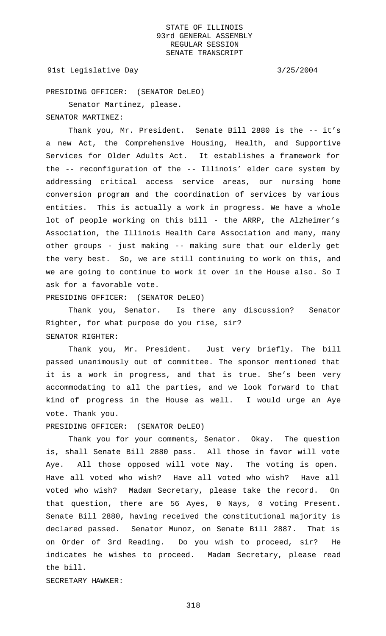91st Legislative Day 3/25/2004

PRESIDING OFFICER: (SENATOR DeLEO)

Senator Martinez, please.

SENATOR MARTINEZ:

Thank you, Mr. President. Senate Bill 2880 is the -- it's a new Act, the Comprehensive Housing, Health, and Supportive Services for Older Adults Act. It establishes a framework for the -- reconfiguration of the -- Illinois' elder care system by addressing critical access service areas, our nursing home conversion program and the coordination of services by various entities. This is actually a work in progress. We have a whole lot of people working on this bill - the ARRP, the Alzheimer's Association, the Illinois Health Care Association and many, many other groups - just making -- making sure that our elderly get the very best. So, we are still continuing to work on this, and we are going to continue to work it over in the House also. So I ask for a favorable vote.

PRESIDING OFFICER: (SENATOR DeLEO)

Thank you, Senator. Is there any discussion? Senator Righter, for what purpose do you rise, sir? SENATOR RIGHTER:

Thank you, Mr. President. Just very briefly. The bill passed unanimously out of committee. The sponsor mentioned that it is a work in progress, and that is true. She's been very accommodating to all the parties, and we look forward to that kind of progress in the House as well. I would urge an Aye vote. Thank you.

PRESIDING OFFICER: (SENATOR DeLEO)

Thank you for your comments, Senator. Okay. The question is, shall Senate Bill 2880 pass. All those in favor will vote Aye. All those opposed will vote Nay. The voting is open. Have all voted who wish? Have all voted who wish? Have all voted who wish? Madam Secretary, please take the record. On that question, there are 56 Ayes, 0 Nays, 0 voting Present. Senate Bill 2880, having received the constitutional majority is declared passed. Senator Munoz, on Senate Bill 2887. That is on Order of 3rd Reading. Do you wish to proceed, sir? He indicates he wishes to proceed. Madam Secretary, please read the bill.

SECRETARY HAWKER: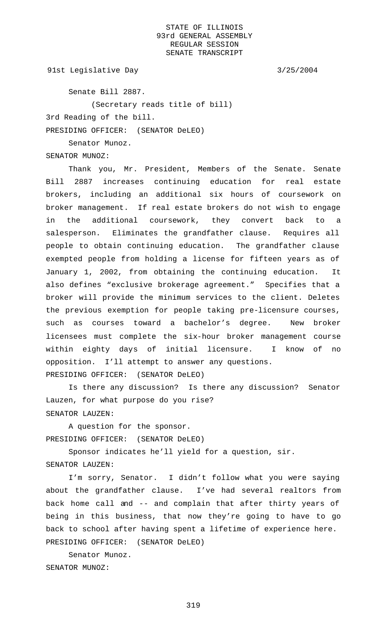91st Legislative Day 3/25/2004

Senate Bill 2887.

(Secretary reads title of bill)

3rd Reading of the bill.

PRESIDING OFFICER: (SENATOR DeLEO)

Senator Munoz.

SENATOR MUNOZ:

Thank you, Mr. President, Members of the Senate. Senate Bill 2887 increases continuing education for real estate brokers, including an additional six hours of coursework on broker management. If real estate brokers do not wish to engage in the additional coursework, they convert back to a salesperson. Eliminates the grandfather clause. Requires all people to obtain continuing education. The grandfather clause exempted people from holding a license for fifteen years as of January 1, 2002, from obtaining the continuing education. It also defines "exclusive brokerage agreement." Specifies that a broker will provide the minimum services to the client. Deletes the previous exemption for people taking pre-licensure courses, such as courses toward a bachelor's degree. New broker licensees must complete the six-hour broker management course within eighty days of initial licensure. I know of no opposition. I'll attempt to answer any questions. PRESIDING OFFICER: (SENATOR DeLEO)

Is there any discussion? Is there any discussion? Senator Lauzen, for what purpose do you rise? SENATOR LAUZEN:

A question for the sponsor. PRESIDING OFFICER: (SENATOR DeLEO)

Sponsor indicates he'll yield for a question, sir. SENATOR LAUZEN:

I'm sorry, Senator. I didn't follow what you were saying about the grandfather clause. I've had several realtors from back home call and -- and complain that after thirty years of being in this business, that now they're going to have to go back to school after having spent a lifetime of experience here. PRESIDING OFFICER: (SENATOR DeLEO)

Senator Munoz. SENATOR MUNOZ: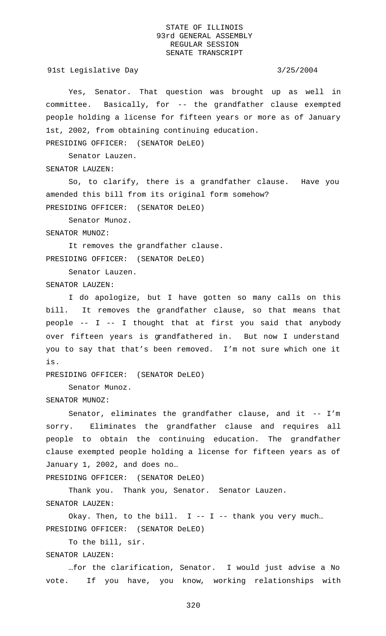91st Legislative Day 3/25/2004

Yes, Senator. That question was brought up as well in committee. Basically, for -- the grandfather clause exempted people holding a license for fifteen years or more as of January 1st, 2002, from obtaining continuing education.

PRESIDING OFFICER: (SENATOR DeLEO)

Senator Lauzen.

SENATOR LAUZEN:

So, to clarify, there is a grandfather clause. Have you amended this bill from its original form somehow? PRESIDING OFFICER: (SENATOR DeLEO)

Senator Munoz.

SENATOR MUNOZ:

It removes the grandfather clause. PRESIDING OFFICER: (SENATOR DeLEO)

Senator Lauzen.

SENATOR LAUZEN:

I do apologize, but I have gotten so many calls on this bill. It removes the grandfather clause, so that means that people -- I -- I thought that at first you said that anybody over fifteen years is grandfathered in. But now I understand you to say that that's been removed. I'm not sure which one it is.

PRESIDING OFFICER: (SENATOR DeLEO)

Senator Munoz.

SENATOR MUNOZ:

Senator, eliminates the grandfather clause, and it -- I'm sorry. Eliminates the grandfather clause and requires all people to obtain the continuing education. The grandfather clause exempted people holding a license for fifteen years as of January 1, 2002, and does no…

PRESIDING OFFICER: (SENATOR DeLEO)

Thank you. Thank you, Senator. Senator Lauzen. SENATOR LAUZEN:

Okay. Then, to the bill.  $I - I - I$  -- thank you very much... PRESIDING OFFICER: (SENATOR DeLEO)

To the bill, sir.

SENATOR LAUZEN:

…for the clarification, Senator. I would just advise a No vote. If you have, you know, working relationships with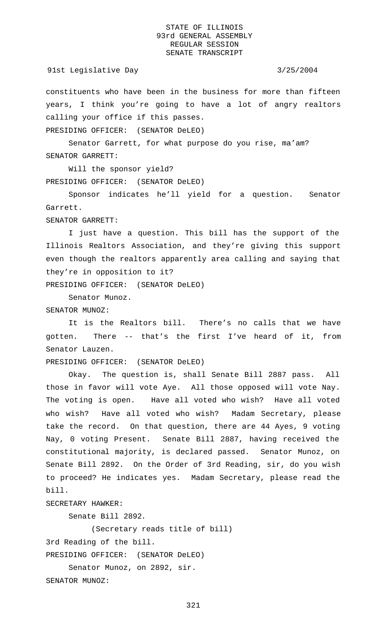constituents who have been in the business for more than fifteen years, I think you're going to have a lot of angry realtors calling your office if this passes.

PRESIDING OFFICER: (SENATOR DeLEO)

Senator Garrett, for what purpose do you rise, ma'am? SENATOR GARRETT:

Will the sponsor yield? PRESIDING OFFICER: (SENATOR DeLEO)

Sponsor indicates he'll yield for a question. Senator Garrett.

SENATOR GARRETT:

I just have a question. This bill has the support of the Illinois Realtors Association, and they're giving this support even though the realtors apparently area calling and saying that they're in opposition to it?

PRESIDING OFFICER: (SENATOR DeLEO)

Senator Munoz.

SENATOR MUNOZ:

It is the Realtors bill. There's no calls that we have gotten. There -- that's the first I've heard of it, from Senator Lauzen.

PRESIDING OFFICER: (SENATOR DeLEO)

Okay. The question is, shall Senate Bill 2887 pass. All those in favor will vote Aye. All those opposed will vote Nay. The voting is open. Have all voted who wish? Have all voted who wish? Have all voted who wish? Madam Secretary, please take the record. On that question, there are 44 Ayes, 9 voting Nay, 0 voting Present. Senate Bill 2887, having received the constitutional majority, is declared passed. Senator Munoz, on Senate Bill 2892. On the Order of 3rd Reading, sir, do you wish to proceed? He indicates yes. Madam Secretary, please read the bill.

SECRETARY HAWKER:

Senate Bill 2892.

(Secretary reads title of bill)

3rd Reading of the bill.

```
PRESIDING OFFICER: (SENATOR DeLEO)
```

```
Senator Munoz, on 2892, sir.
```
SENATOR MUNOZ: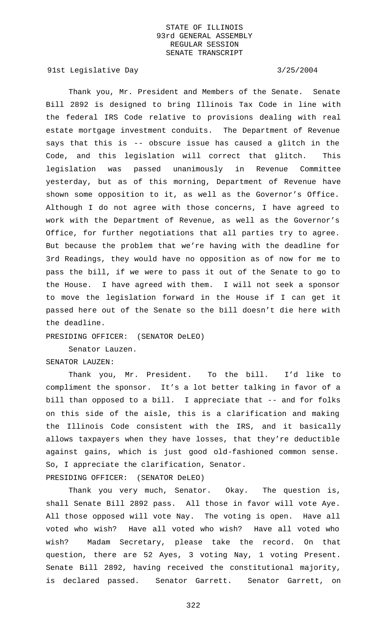91st Legislative Day 3/25/2004

Thank you, Mr. President and Members of the Senate. Senate Bill 2892 is designed to bring Illinois Tax Code in line with the federal IRS Code relative to provisions dealing with real estate mortgage investment conduits. The Department of Revenue says that this is -- obscure issue has caused a glitch in the Code, and this legislation will correct that glitch. This legislation was passed unanimously in Revenue Committee yesterday, but as of this morning, Department of Revenue have shown some opposition to it, as well as the Governor's Office. Although I do not agree with those concerns, I have agreed to work with the Department of Revenue, as well as the Governor's Office, for further negotiations that all parties try to agree. But because the problem that we're having with the deadline for 3rd Readings, they would have no opposition as of now for me to pass the bill, if we were to pass it out of the Senate to go to the House. I have agreed with them. I will not seek a sponsor to move the legislation forward in the House if I can get it passed here out of the Senate so the bill doesn't die here with the deadline.

PRESIDING OFFICER: (SENATOR DeLEO)

Senator Lauzen. SENATOR LAUZEN:

Thank you, Mr. President. To the bill. I'd like to compliment the sponsor. It's a lot better talking in favor of a bill than opposed to a bill. I appreciate that -- and for folks on this side of the aisle, this is a clarification and making the Illinois Code consistent with the IRS, and it basically allows taxpayers when they have losses, that they're deductible against gains, which is just good old-fashioned common sense. So, I appreciate the clarification, Senator.

PRESIDING OFFICER: (SENATOR DeLEO)

Thank you very much, Senator. Okay. The question is, shall Senate Bill 2892 pass. All those in favor will vote Aye. All those opposed will vote Nay. The voting is open. Have all voted who wish? Have all voted who wish? Have all voted who wish? Madam Secretary, please take the record. On that question, there are 52 Ayes, 3 voting Nay, 1 voting Present. Senate Bill 2892, having received the constitutional majority, is declared passed. Senator Garrett. Senator Garrett, on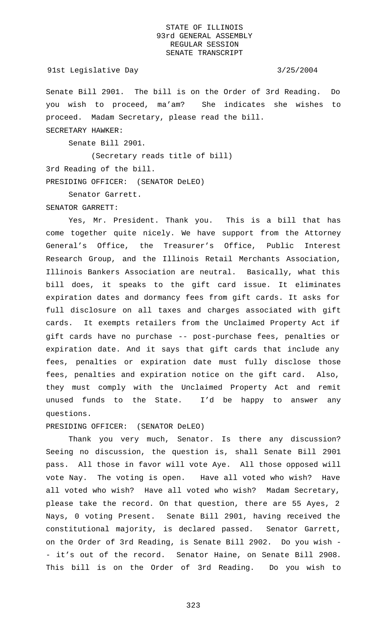#### 91st Legislative Day 3/25/2004

Senate Bill 2901. The bill is on the Order of 3rd Reading. Do you wish to proceed, ma'am? She indicates she wishes to proceed. Madam Secretary, please read the bill. SECRETARY HAWKER:

Senate Bill 2901.

(Secretary reads title of bill) 3rd Reading of the bill. PRESIDING OFFICER: (SENATOR DeLEO)

Senator Garrett.

#### SENATOR GARRETT:

Yes, Mr. President. Thank you. This is a bill that has come together quite nicely. We have support from the Attorney General's Office, the Treasurer's Office, Public Interest Research Group, and the Illinois Retail Merchants Association, Illinois Bankers Association are neutral. Basically, what this bill does, it speaks to the gift card issue. It eliminates expiration dates and dormancy fees from gift cards. It asks for full disclosure on all taxes and charges associated with gift cards. It exempts retailers from the Unclaimed Property Act if gift cards have no purchase -- post-purchase fees, penalties or expiration date. And it says that gift cards that include any fees, penalties or expiration date must fully disclose those fees, penalties and expiration notice on the gift card. Also, they must comply with the Unclaimed Property Act and remit unused funds to the State. I'd be happy to answer any questions.

# PRESIDING OFFICER: (SENATOR DeLEO)

Thank you very much, Senator. Is there any discussion? Seeing no discussion, the question is, shall Senate Bill 2901 pass. All those in favor will vote Aye. All those opposed will vote Nay. The voting is open. Have all voted who wish? Have all voted who wish? Have all voted who wish? Madam Secretary, please take the record. On that question, there are 55 Ayes, 2 Nays, 0 voting Present. Senate Bill 2901, having received the constitutional majority, is declared passed. Senator Garrett, on the Order of 3rd Reading, is Senate Bill 2902. Do you wish - - it's out of the record. Senator Haine, on Senate Bill 2908. This bill is on the Order of 3rd Reading. Do you wish to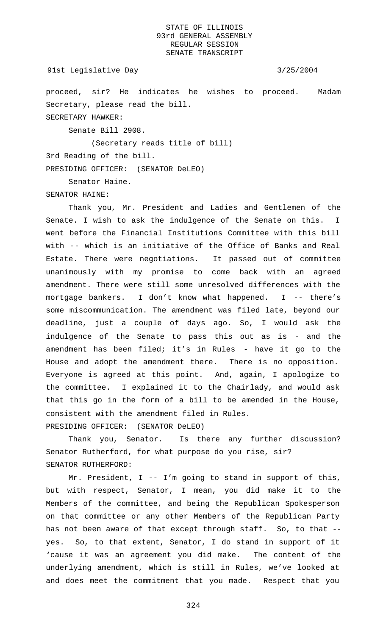```
91st Legislative Day 3/25/2004
```
proceed, sir? He indicates he wishes to proceed. Madam Secretary, please read the bill. SECRETARY HAWKER:

Senate Bill 2908.

(Secretary reads title of bill)

3rd Reading of the bill.

PRESIDING OFFICER: (SENATOR DeLEO)

Senator Haine.

SENATOR HAINE:

Thank you, Mr. President and Ladies and Gentlemen of the Senate. I wish to ask the indulgence of the Senate on this. I went before the Financial Institutions Committee with this bill with -- which is an initiative of the Office of Banks and Real Estate. There were negotiations. It passed out of committee unanimously with my promise to come back with an agreed amendment. There were still some unresolved differences with the mortgage bankers. I don't know what happened. I -- there's some miscommunication. The amendment was filed late, beyond our deadline, just a couple of days ago. So, I would ask the indulgence of the Senate to pass this out as is - and the amendment has been filed; it's in Rules - have it go to the House and adopt the amendment there. There is no opposition. Everyone is agreed at this point. And, again, I apologize to the committee. I explained it to the Chairlady, and would ask that this go in the form of a bill to be amended in the House, consistent with the amendment filed in Rules. PRESIDING OFFICER: (SENATOR DeLEO)

Thank you, Senator. Is there any further discussion? Senator Rutherford, for what purpose do you rise, sir? SENATOR RUTHERFORD:

Mr. President, I -- I'm going to stand in support of this, but with respect, Senator, I mean, you did make it to the Members of the committee, and being the Republican Spokesperson on that committee or any other Members of the Republican Party has not been aware of that except through staff. So, to that - yes. So, to that extent, Senator, I do stand in support of it 'cause it was an agreement you did make. The content of the underlying amendment, which is still in Rules, we've looked at and does meet the commitment that you made. Respect that you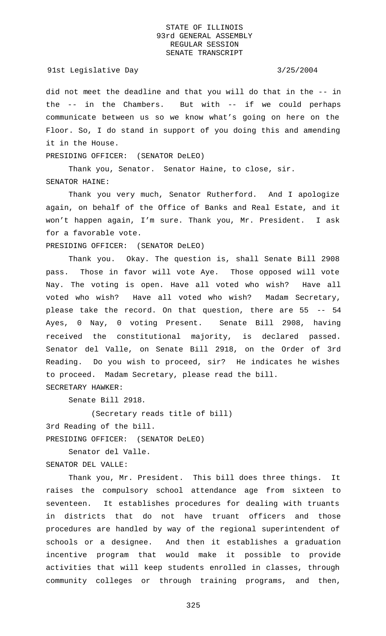#### 91st Legislative Day 3/25/2004

did not meet the deadline and that you will do that in the -- in the -- in the Chambers. But with -- if we could perhaps communicate between us so we know what's going on here on the Floor. So, I do stand in support of you doing this and amending it in the House.

PRESIDING OFFICER: (SENATOR DeLEO)

Thank you, Senator. Senator Haine, to close, sir. SENATOR HAINE:

Thank you very much, Senator Rutherford. And I apologize again, on behalf of the Office of Banks and Real Estate, and it won't happen again, I'm sure. Thank you, Mr. President. I ask for a favorable vote.

PRESIDING OFFICER: (SENATOR DeLEO)

Thank you. Okay. The question is, shall Senate Bill 2908 pass. Those in favor will vote Aye. Those opposed will vote Nay. The voting is open. Have all voted who wish? Have all voted who wish? Have all voted who wish? Madam Secretary, please take the record. On that question, there are 55 -- 54 Ayes, 0 Nay, 0 voting Present. Senate Bill 2908, having received the constitutional majority, is declared passed. Senator del Valle, on Senate Bill 2918, on the Order of 3rd Reading. Do you wish to proceed, sir? He indicates he wishes to proceed. Madam Secretary, please read the bill. SECRETARY HAWKER:

Senate Bill 2918.

(Secretary reads title of bill)

3rd Reading of the bill.

PRESIDING OFFICER: (SENATOR DeLEO)

Senator del Valle. SENATOR DEL VALLE:

Thank you, Mr. President. This bill does three things. It raises the compulsory school attendance age from sixteen to seventeen. It establishes procedures for dealing with truants in districts that do not have truant officers and those procedures are handled by way of the regional superintendent of schools or a designee. And then it establishes a graduation incentive program that would make it possible to provide activities that will keep students enrolled in classes, through community colleges or through training programs, and then,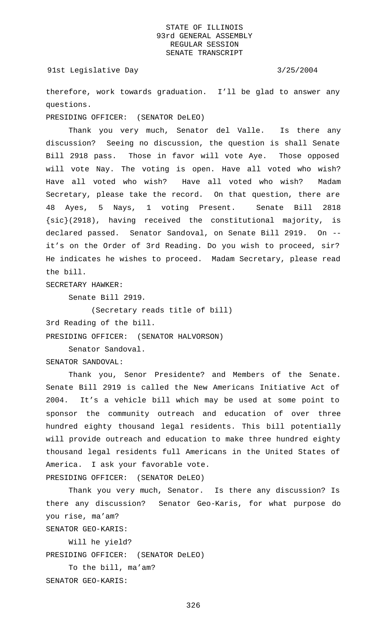91st Legislative Day 3/25/2004

therefore, work towards graduation. I'll be glad to answer any questions.

PRESIDING OFFICER: (SENATOR DeLEO)

Thank you very much, Senator del Valle. Is there any discussion? Seeing no discussion, the question is shall Senate Bill 2918 pass. Those in favor will vote Aye. Those opposed will vote Nay. The voting is open. Have all voted who wish? Have all voted who wish? Have all voted who wish? Madam Secretary, please take the record. On that question, there are 48 Ayes, 5 Nays, 1 voting Present. Senate Bill 2818 {sic}(2918), having received the constitutional majority, is declared passed. Senator Sandoval, on Senate Bill 2919. On - it's on the Order of 3rd Reading. Do you wish to proceed, sir? He indicates he wishes to proceed. Madam Secretary, please read the bill.

SECRETARY HAWKER:

Senate Bill 2919.

(Secretary reads title of bill)

3rd Reading of the bill.

PRESIDING OFFICER: (SENATOR HALVORSON)

Senator Sandoval.

SENATOR SANDOVAL:

Thank you, Senor Presidente? and Members of the Senate. Senate Bill 2919 is called the New Americans Initiative Act of 2004. It's a vehicle bill which may be used at some point to sponsor the community outreach and education of over three hundred eighty thousand legal residents. This bill potentially will provide outreach and education to make three hundred eighty thousand legal residents full Americans in the United States of America. I ask your favorable vote.

PRESIDING OFFICER: (SENATOR DeLEO)

Thank you very much, Senator. Is there any discussion? Is there any discussion? Senator Geo-Karis, for what purpose do you rise, ma'am?

SENATOR GEO-KARIS:

Will he yield? PRESIDING OFFICER: (SENATOR DeLEO) To the bill, ma'am?

SENATOR GEO-KARIS: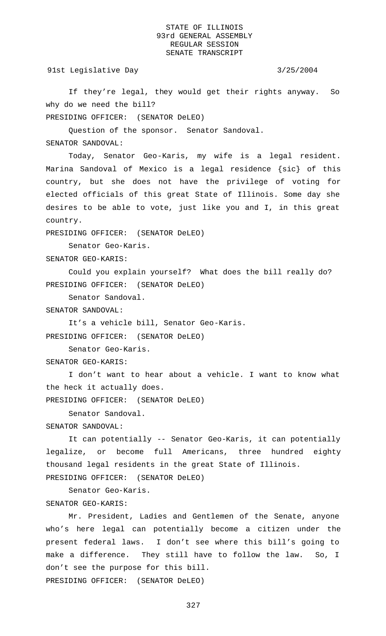91st Legislative Day 3/25/2004

If they're legal, they would get their rights anyway. So why do we need the bill?

PRESIDING OFFICER: (SENATOR DeLEO)

Question of the sponsor. Senator Sandoval.

SENATOR SANDOVAL:

Today, Senator Geo-Karis, my wife is a legal resident. Marina Sandoval of Mexico is a legal residence {sic} of this country, but she does not have the privilege of voting for elected officials of this great State of Illinois. Some day she desires to be able to vote, just like you and I, in this great country.

PRESIDING OFFICER: (SENATOR DeLEO)

Senator Geo-Karis.

SENATOR GEO-KARIS:

Could you explain yourself? What does the bill really do? PRESIDING OFFICER: (SENATOR DeLEO)

Senator Sandoval.

SENATOR SANDOVAL:

It's a vehicle bill, Senator Geo-Karis.

PRESIDING OFFICER: (SENATOR DeLEO)

Senator Geo-Karis.

SENATOR GEO-KARIS:

I don't want to hear about a vehicle. I want to know what the heck it actually does.

PRESIDING OFFICER: (SENATOR DeLEO)

Senator Sandoval.

SENATOR SANDOVAL:

It can potentially -- Senator Geo-Karis, it can potentially legalize, or become full Americans, three hundred eighty thousand legal residents in the great State of Illinois.

PRESIDING OFFICER: (SENATOR DeLEO)

Senator Geo-Karis.

SENATOR GEO-KARIS:

Mr. President, Ladies and Gentlemen of the Senate, anyone who's here legal can potentially become a citizen under the present federal laws. I don't see where this bill's going to make a difference. They still have to follow the law. So, I don't see the purpose for this bill. PRESIDING OFFICER: (SENATOR DeLEO)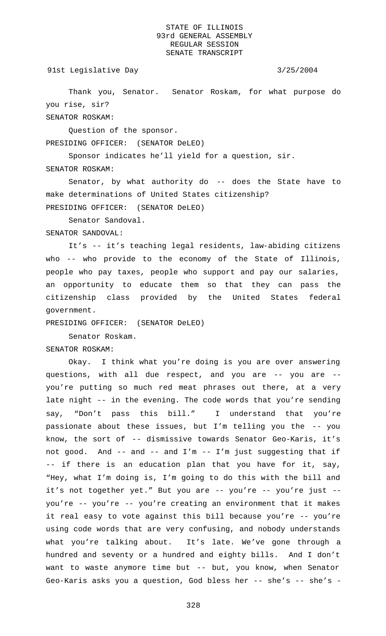91st Legislative Day 3/25/2004

Thank you, Senator. Senator Roskam, for what purpose do you rise, sir? SENATOR ROSKAM:

Question of the sponsor.

PRESIDING OFFICER: (SENATOR DeLEO)

Sponsor indicates he'll yield for a question, sir. SENATOR ROSKAM:

Senator, by what authority do -- does the State have to make determinations of United States citizenship? PRESIDING OFFICER: (SENATOR DeLEO)

Senator Sandoval.

SENATOR SANDOVAL:

It's -- it's teaching legal residents, law-abiding citizens who -- who provide to the economy of the State of Illinois, people who pay taxes, people who support and pay our salaries, an opportunity to educate them so that they can pass the citizenship class provided by the United States federal government.

PRESIDING OFFICER: (SENATOR DeLEO)

Senator Roskam.

SENATOR ROSKAM:

Okay. I think what you're doing is you are over answering questions, with all due respect, and you are -- you are - you're putting so much red meat phrases out there, at a very late night -- in the evening. The code words that you're sending say, "Don't pass this bill." I understand that you're passionate about these issues, but I'm telling you the -- you know, the sort of -- dismissive towards Senator Geo-Karis, it's not good. And -- and -- and I'm -- I'm just suggesting that if -- if there is an education plan that you have for it, say, "Hey, what I'm doing is, I'm going to do this with the bill and it's not together yet." But you are -- you're -- you're just -you're -- you're -- you're creating an environment that it makes it real easy to vote against this bill because you're -- you're using code words that are very confusing, and nobody understands what you're talking about. It's late. We've gone through a hundred and seventy or a hundred and eighty bills. And I don't want to waste anymore time but -- but, you know, when Senator Geo-Karis asks you a question, God bless her -- she's -- she's -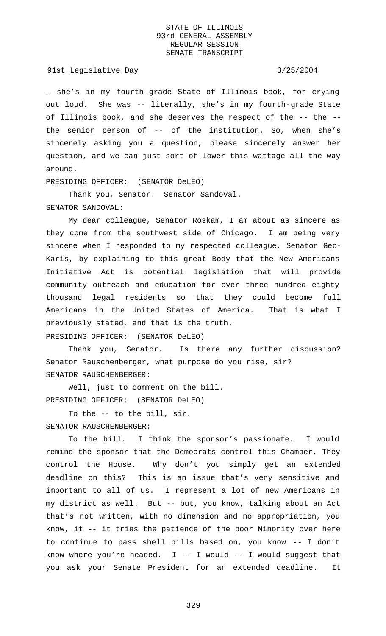91st Legislative Day 3/25/2004

- she's in my fourth-grade State of Illinois book, for crying out loud. She was -- literally, she's in my fourth-grade State of Illinois book, and she deserves the respect of the -- the - the senior person of -- of the institution. So, when she's sincerely asking you a question, please sincerely answer her question, and we can just sort of lower this wattage all the way around.

PRESIDING OFFICER: (SENATOR DeLEO)

Thank you, Senator. Senator Sandoval.

#### SENATOR SANDOVAL:

My dear colleague, Senator Roskam, I am about as sincere as they come from the southwest side of Chicago. I am being very sincere when I responded to my respected colleague, Senator Geo-Karis, by explaining to this great Body that the New Americans Initiative Act is potential legislation that will provide community outreach and education for over three hundred eighty thousand legal residents so that they could become full Americans in the United States of America. That is what I previously stated, and that is the truth. PRESIDING OFFICER: (SENATOR DeLEO)

Thank you, Senator. Is there any further discussion? Senator Rauschenberger, what purpose do you rise, sir? SENATOR RAUSCHENBERGER:

Well, just to comment on the bill. PRESIDING OFFICER: (SENATOR DeLEO)

To the -- to the bill, sir. SENATOR RAUSCHENBERGER:

To the bill. I think the sponsor's passionate. I would remind the sponsor that the Democrats control this Chamber. They control the House. Why don't you simply get an extended deadline on this? This is an issue that's very sensitive and important to all of us. I represent a lot of new Americans in my district as well. But -- but, you know, talking about an Act that's not written, with no dimension and no appropriation, you know, it -- it tries the patience of the poor Minority over here to continue to pass shell bills based on, you know -- I don't know where you're headed.  $I$  -- I would -- I would suggest that you ask your Senate President for an extended deadline. It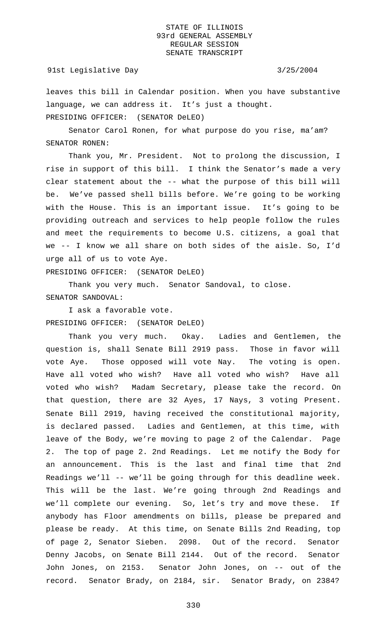#### 91st Legislative Day 3/25/2004

leaves this bill in Calendar position. When you have substantive language, we can address it. It's just a thought. PRESIDING OFFICER: (SENATOR DeLEO)

Senator Carol Ronen, for what purpose do you rise, ma'am? SENATOR RONEN:

Thank you, Mr. President. Not to prolong the discussion, I rise in support of this bill. I think the Senator's made a very clear statement about the -- what the purpose of this bill will be. We've passed shell bills before. We're going to be working with the House. This is an important issue. It's going to be providing outreach and services to help people follow the rules and meet the requirements to become U.S. citizens, a goal that we -- I know we all share on both sides of the aisle. So, I'd urge all of us to vote Aye.

PRESIDING OFFICER: (SENATOR DeLEO)

Thank you very much. Senator Sandoval, to close. SENATOR SANDOVAL:

I ask a favorable vote. PRESIDING OFFICER: (SENATOR DeLEO)

Thank you very much. Okay. Ladies and Gentlemen, the question is, shall Senate Bill 2919 pass. Those in favor will vote Aye. Those opposed will vote Nay. The voting is open. Have all voted who wish? Have all voted who wish? Have all voted who wish? Madam Secretary, please take the record. On that question, there are 32 Ayes, 17 Nays, 3 voting Present. Senate Bill 2919, having received the constitutional majority, is declared passed. Ladies and Gentlemen, at this time, with leave of the Body, we're moving to page 2 of the Calendar. Page 2. The top of page 2. 2nd Readings. Let me notify the Body for an announcement. This is the last and final time that 2nd Readings we'll -- we'll be going through for this deadline week. This will be the last. We're going through 2nd Readings and we'll complete our evening. So, let's try and move these. If anybody has Floor amendments on bills, please be prepared and please be ready. At this time, on Senate Bills 2nd Reading, top of page 2, Senator Sieben. 2098. Out of the record. Senator Denny Jacobs, on Senate Bill 2144. Out of the record. Senator John Jones, on 2153. Senator John Jones, on -- out of the record. Senator Brady, on 2184, sir. Senator Brady, on 2384?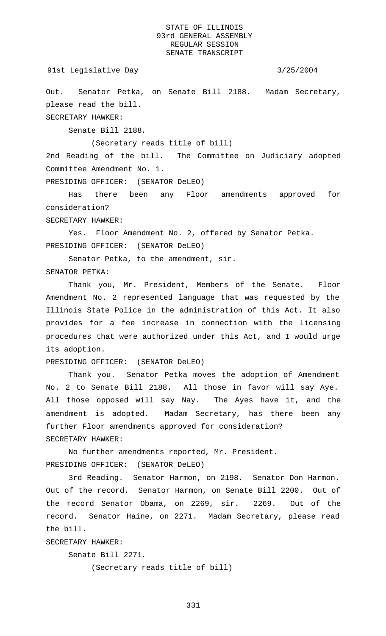```
91st Legislative Day 3/25/2004
```
Out. Senator Petka, on Senate Bill 2188. Madam Secretary, please read the bill.

SECRETARY HAWKER:

Senate Bill 2188.

(Secretary reads title of bill)

2nd Reading of the bill. The Committee on Judiciary adopted Committee Amendment No. 1.

PRESIDING OFFICER: (SENATOR DeLEO)

Has there been any Floor amendments approved for consideration?

SECRETARY HAWKER:

Yes. Floor Amendment No. 2, offered by Senator Petka. PRESIDING OFFICER: (SENATOR DeLEO)

Senator Petka, to the amendment, sir.

SENATOR PETKA:

Thank you, Mr. President, Members of the Senate. Floor Amendment No. 2 represented language that was requested by the Illinois State Police in the administration of this Act. It also provides for a fee increase in connection with the licensing procedures that were authorized under this Act, and I would urge its adoption.

PRESIDING OFFICER: (SENATOR DeLEO)

Thank you. Senator Petka moves the adoption of Amendment No. 2 to Senate Bill 2188. All those in favor will say Aye. All those opposed will say Nay. The Ayes have it, and the amendment is adopted. Madam Secretary, has there been any further Floor amendments approved for consideration? SECRETARY HAWKER:

No further amendments reported, Mr. President. PRESIDING OFFICER: (SENATOR DeLEO)

3rd Reading. Senator Harmon, on 2198. Senator Don Harmon. Out of the record. Senator Harmon, on Senate Bill 2200. Out of the record Senator Obama, on 2269, sir. 2269. Out of the record. Senator Haine, on 2271. Madam Secretary, please read the bill.

SECRETARY HAWKER:

Senate Bill 2271.

(Secretary reads title of bill)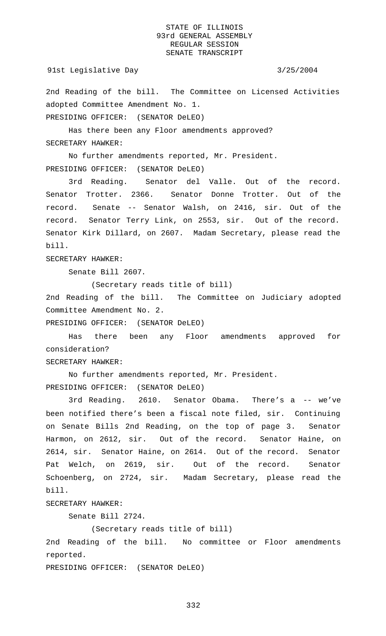2nd Reading of the bill. The Committee on Licensed Activities adopted Committee Amendment No. 1.

PRESIDING OFFICER: (SENATOR DeLEO)

Has there been any Floor amendments approved? SECRETARY HAWKER:

No further amendments reported, Mr. President. PRESIDING OFFICER: (SENATOR DeLEO)

3rd Reading. Senator del Valle. Out of the record. Senator Trotter. 2366. Senator Donne Trotter. Out of the record. Senate -- Senator Walsh, on 2416, sir. Out of the record. Senator Terry Link, on 2553, sir. Out of the record. Senator Kirk Dillard, on 2607. Madam Secretary, please read the bill.

SECRETARY HAWKER:

Senate Bill 2607.

(Secretary reads title of bill)

2nd Reading of the bill. The Committee on Judiciary adopted Committee Amendment No. 2.

PRESIDING OFFICER: (SENATOR DeLEO)

Has there been any Floor amendments approved for consideration?

SECRETARY HAWKER:

No further amendments reported, Mr. President. PRESIDING OFFICER: (SENATOR DeLEO)

3rd Reading. 2610. Senator Obama. There's a -- we've been notified there's been a fiscal note filed, sir. Continuing on Senate Bills 2nd Reading, on the top of page 3. Senator Harmon, on 2612, sir. Out of the record. Senator Haine, on 2614, sir. Senator Haine, on 2614. Out of the record. Senator Pat Welch, on 2619, sir. Out of the record. Senator Schoenberg, on 2724, sir. Madam Secretary, please read the bill.

SECRETARY HAWKER:

Senate Bill 2724.

(Secretary reads title of bill)

2nd Reading of the bill. No committee or Floor amendments reported.

PRESIDING OFFICER: (SENATOR DeLEO)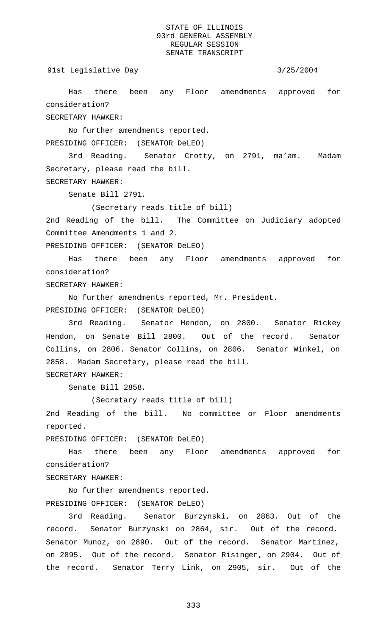91st Legislative Day 3/25/2004

Has there been any Floor amendments approved for consideration?

SECRETARY HAWKER:

No further amendments reported.

PRESIDING OFFICER: (SENATOR DeLEO)

3rd Reading. Senator Crotty, on 2791, ma'am. Madam Secretary, please read the bill. SECRETARY HAWKER:

Senate Bill 2791.

(Secretary reads title of bill)

2nd Reading of the bill. The Committee on Judiciary adopted Committee Amendments 1 and 2.

PRESIDING OFFICER: (SENATOR DeLEO)

Has there been any Floor amendments approved for consideration?

SECRETARY HAWKER:

No further amendments reported, Mr. President. PRESIDING OFFICER: (SENATOR DeLEO)

3rd Reading. Senator Hendon, on 2800. Senator Rickey Hendon, on Senate Bill 2800. Out of the record. Senator Collins, on 2806. Senator Collins, on 2806. Senator Winkel, on 2858. Madam Secretary, please read the bill. SECRETARY HAWKER:

Senate Bill 2858.

(Secretary reads title of bill)

2nd Reading of the bill. No committee or Floor amendments reported.

PRESIDING OFFICER: (SENATOR DeLEO)

Has there been any Floor amendments approved for consideration?

SECRETARY HAWKER:

No further amendments reported. PRESIDING OFFICER: (SENATOR DeLEO)

3rd Reading. Senator Burzynski, on 2863. Out of the record. Senator Burzynski on 2864, sir. Out of the record. Senator Munoz, on 2890. Out of the record. Senator Martinez, on 2895. Out of the record. Senator Risinger, on 2904. Out of the record. Senator Terry Link, on 2905, sir. Out of the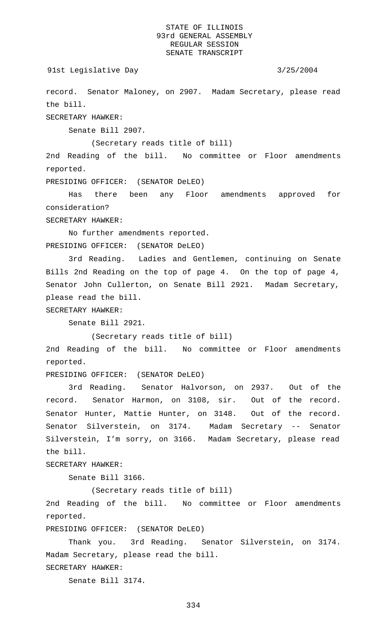```
91st Legislative Day 3/25/2004
```
record. Senator Maloney, on 2907. Madam Secretary, please read the bill.

SECRETARY HAWKER:

Senate Bill 2907.

(Secretary reads title of bill)

2nd Reading of the bill. No committee or Floor amendments reported.

PRESIDING OFFICER: (SENATOR DeLEO)

Has there been any Floor amendments approved for consideration?

SECRETARY HAWKER:

No further amendments reported. PRESIDING OFFICER: (SENATOR DeLEO)

3rd Reading. Ladies and Gentlemen, continuing on Senate Bills 2nd Reading on the top of page 4. On the top of page 4, Senator John Cullerton, on Senate Bill 2921. Madam Secretary, please read the bill.

SECRETARY HAWKER:

Senate Bill 2921.

(Secretary reads title of bill)

2nd Reading of the bill. No committee or Floor amendments reported.

PRESIDING OFFICER: (SENATOR DeLEO)

3rd Reading. Senator Halvorson, on 2937. Out of the record. Senator Harmon, on 3108, sir. Out of the record. Senator Hunter, Mattie Hunter, on 3148. Out of the record. Senator Silverstein, on 3174. Madam Secretary -- Senator Silverstein, I'm sorry, on 3166. Madam Secretary, please read the bill.

SECRETARY HAWKER:

Senate Bill 3166.

(Secretary reads title of bill)

2nd Reading of the bill. No committee or Floor amendments reported.

PRESIDING OFFICER: (SENATOR DeLEO)

Thank you. 3rd Reading. Senator Silverstein, on 3174. Madam Secretary, please read the bill.

SECRETARY HAWKER:

Senate Bill 3174.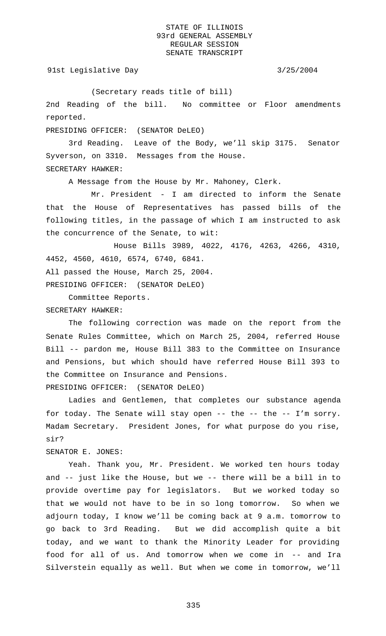91st Legislative Day 3/25/2004

(Secretary reads title of bill)

2nd Reading of the bill. No committee or Floor amendments reported.

PRESIDING OFFICER: (SENATOR DeLEO)

3rd Reading. Leave of the Body, we'll skip 3175. Senator Syverson, on 3310. Messages from the House. SECRETARY HAWKER:

A Message from the House by Mr. Mahoney, Clerk.

Mr. President - I am directed to inform the Senate that the House of Representatives has passed bills of the following titles, in the passage of which I am instructed to ask the concurrence of the Senate, to wit:

House Bills 3989, 4022, 4176, 4263, 4266, 4310, 4452, 4560, 4610, 6574, 6740, 6841.

All passed the House, March 25, 2004.

PRESIDING OFFICER: (SENATOR DeLEO)

Committee Reports.

SECRETARY HAWKER:

The following correction was made on the report from the Senate Rules Committee, which on March 25, 2004, referred House Bill -- pardon me, House Bill 383 to the Committee on Insurance and Pensions, but which should have referred House Bill 393 to the Committee on Insurance and Pensions.

PRESIDING OFFICER: (SENATOR DeLEO)

Ladies and Gentlemen, that completes our substance agenda for today. The Senate will stay open -- the -- the -- I'm sorry. Madam Secretary. President Jones, for what purpose do you rise, sir?

SENATOR E. JONES:

Yeah. Thank you, Mr. President. We worked ten hours today and -- just like the House, but we -- there will be a bill in to provide overtime pay for legislators. But we worked today so that we would not have to be in so long tomorrow. So when we adjourn today, I know we'll be coming back at 9 a.m. tomorrow to go back to 3rd Reading. But we did accomplish quite a bit today, and we want to thank the Minority Leader for providing food for all of us. And tomorrow when we come in -- and Ira Silverstein equally as well. But when we come in tomorrow, we'll